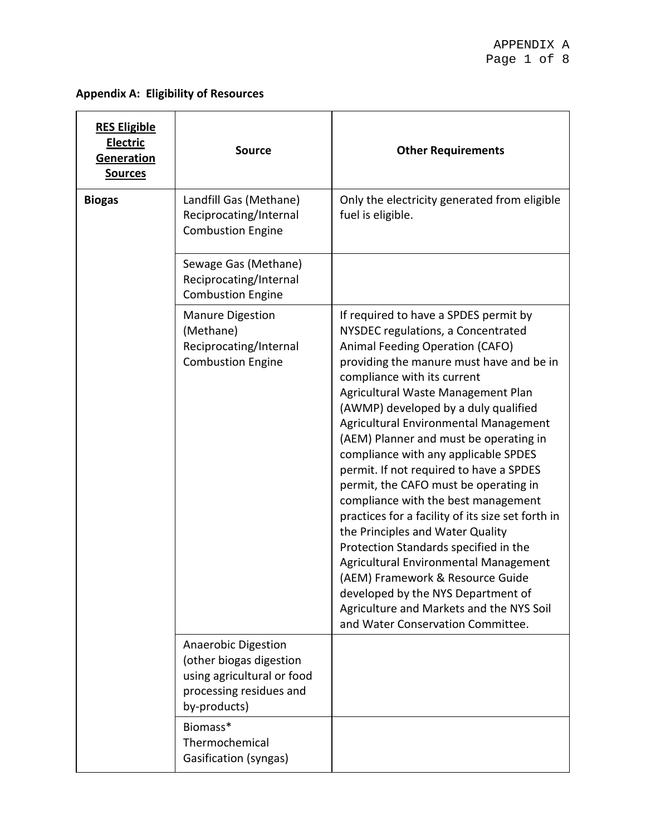# **Appendix A: Eligibility of Resources**

| <b>RES Eligible</b><br>Electric<br>Generation<br><b>Sources</b> | <b>Source</b>                                                                                                                  | <b>Other Requirements</b>                                                                                                                                                                                                                                                                                                                                                                                                                                                                                                                                                                                                                                                                                                                                                                                                                                           |
|-----------------------------------------------------------------|--------------------------------------------------------------------------------------------------------------------------------|---------------------------------------------------------------------------------------------------------------------------------------------------------------------------------------------------------------------------------------------------------------------------------------------------------------------------------------------------------------------------------------------------------------------------------------------------------------------------------------------------------------------------------------------------------------------------------------------------------------------------------------------------------------------------------------------------------------------------------------------------------------------------------------------------------------------------------------------------------------------|
| <b>Biogas</b>                                                   | Landfill Gas (Methane)<br>Reciprocating/Internal<br><b>Combustion Engine</b>                                                   | Only the electricity generated from eligible<br>fuel is eligible.                                                                                                                                                                                                                                                                                                                                                                                                                                                                                                                                                                                                                                                                                                                                                                                                   |
|                                                                 | Sewage Gas (Methane)<br>Reciprocating/Internal<br><b>Combustion Engine</b>                                                     |                                                                                                                                                                                                                                                                                                                                                                                                                                                                                                                                                                                                                                                                                                                                                                                                                                                                     |
|                                                                 | <b>Manure Digestion</b><br>(Methane)<br>Reciprocating/Internal<br><b>Combustion Engine</b>                                     | If required to have a SPDES permit by<br>NYSDEC regulations, a Concentrated<br>Animal Feeding Operation (CAFO)<br>providing the manure must have and be in<br>compliance with its current<br>Agricultural Waste Management Plan<br>(AWMP) developed by a duly qualified<br>Agricultural Environmental Management<br>(AEM) Planner and must be operating in<br>compliance with any applicable SPDES<br>permit. If not required to have a SPDES<br>permit, the CAFO must be operating in<br>compliance with the best management<br>practices for a facility of its size set forth in<br>the Principles and Water Quality<br>Protection Standards specified in the<br>Agricultural Environmental Management<br>(AEM) Framework & Resource Guide<br>developed by the NYS Department of<br>Agriculture and Markets and the NYS Soil<br>and Water Conservation Committee. |
|                                                                 | <b>Anaerobic Digestion</b><br>(other biogas digestion<br>using agricultural or food<br>processing residues and<br>by-products) |                                                                                                                                                                                                                                                                                                                                                                                                                                                                                                                                                                                                                                                                                                                                                                                                                                                                     |
|                                                                 | Biomass*<br>Thermochemical<br>Gasification (syngas)                                                                            |                                                                                                                                                                                                                                                                                                                                                                                                                                                                                                                                                                                                                                                                                                                                                                                                                                                                     |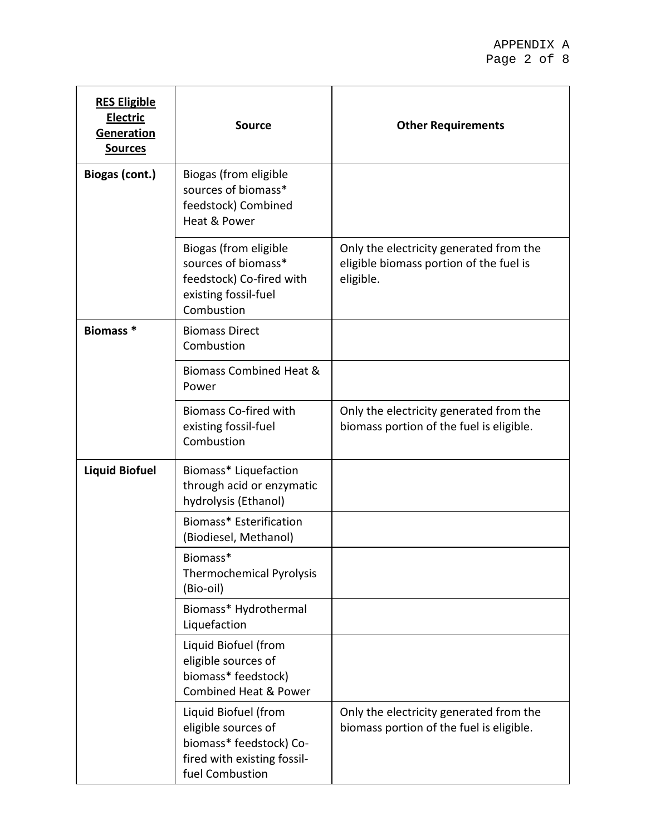| <b>RES Eligible</b><br><b>Electric</b><br>Generation<br><b>Sources</b> | <b>Source</b>                                                                                                            | <b>Other Requirements</b>                                                                       |
|------------------------------------------------------------------------|--------------------------------------------------------------------------------------------------------------------------|-------------------------------------------------------------------------------------------------|
| Biogas (cont.)                                                         | Biogas (from eligible<br>sources of biomass*<br>feedstock) Combined<br>Heat & Power                                      |                                                                                                 |
|                                                                        | Biogas (from eligible<br>sources of biomass*<br>feedstock) Co-fired with<br>existing fossil-fuel<br>Combustion           | Only the electricity generated from the<br>eligible biomass portion of the fuel is<br>eligible. |
| Biomass <sup>*</sup>                                                   | <b>Biomass Direct</b><br>Combustion                                                                                      |                                                                                                 |
|                                                                        | <b>Biomass Combined Heat &amp;</b><br>Power                                                                              |                                                                                                 |
|                                                                        | <b>Biomass Co-fired with</b><br>existing fossil-fuel<br>Combustion                                                       | Only the electricity generated from the<br>biomass portion of the fuel is eligible.             |
| <b>Liquid Biofuel</b>                                                  | Biomass* Liquefaction<br>through acid or enzymatic<br>hydrolysis (Ethanol)                                               |                                                                                                 |
|                                                                        | Biomass* Esterification<br>(Biodiesel, Methanol)                                                                         |                                                                                                 |
|                                                                        | Biomass*<br><b>Thermochemical Pyrolysis</b><br>(Bio-oil)                                                                 |                                                                                                 |
|                                                                        | Biomass* Hydrothermal<br>Liquefaction                                                                                    |                                                                                                 |
|                                                                        | Liquid Biofuel (from<br>eligible sources of<br>biomass* feedstock)<br><b>Combined Heat &amp; Power</b>                   |                                                                                                 |
|                                                                        | Liquid Biofuel (from<br>eligible sources of<br>biomass* feedstock) Co-<br>fired with existing fossil-<br>fuel Combustion | Only the electricity generated from the<br>biomass portion of the fuel is eligible.             |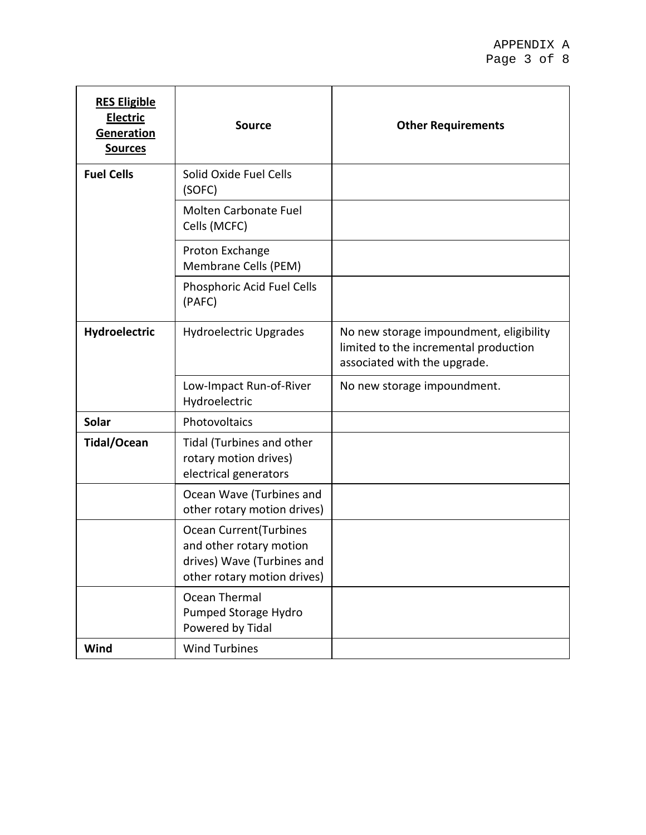| <b>RES Eligible</b><br>Electric<br>Generation<br><b>Sources</b> | <b>Source</b>                                                                                                          | <b>Other Requirements</b>                                                                                        |
|-----------------------------------------------------------------|------------------------------------------------------------------------------------------------------------------------|------------------------------------------------------------------------------------------------------------------|
| <b>Fuel Cells</b>                                               | Solid Oxide Fuel Cells<br>(SOFC)                                                                                       |                                                                                                                  |
|                                                                 | <b>Molten Carbonate Fuel</b><br>Cells (MCFC)                                                                           |                                                                                                                  |
|                                                                 | Proton Exchange<br>Membrane Cells (PEM)                                                                                |                                                                                                                  |
|                                                                 | Phosphoric Acid Fuel Cells<br>(PAFC)                                                                                   |                                                                                                                  |
| Hydroelectric                                                   | <b>Hydroelectric Upgrades</b>                                                                                          | No new storage impoundment, eligibility<br>limited to the incremental production<br>associated with the upgrade. |
|                                                                 | Low-Impact Run-of-River<br>Hydroelectric                                                                               | No new storage impoundment.                                                                                      |
| <b>Solar</b>                                                    | Photovoltaics                                                                                                          |                                                                                                                  |
| <b>Tidal/Ocean</b>                                              | <b>Tidal (Turbines and other</b><br>rotary motion drives)<br>electrical generators                                     |                                                                                                                  |
|                                                                 | Ocean Wave (Turbines and<br>other rotary motion drives)                                                                |                                                                                                                  |
|                                                                 | <b>Ocean Current (Turbines</b><br>and other rotary motion<br>drives) Wave (Turbines and<br>other rotary motion drives) |                                                                                                                  |
|                                                                 | <b>Ocean Thermal</b><br>Pumped Storage Hydro<br>Powered by Tidal                                                       |                                                                                                                  |
| Wind                                                            | <b>Wind Turbines</b>                                                                                                   |                                                                                                                  |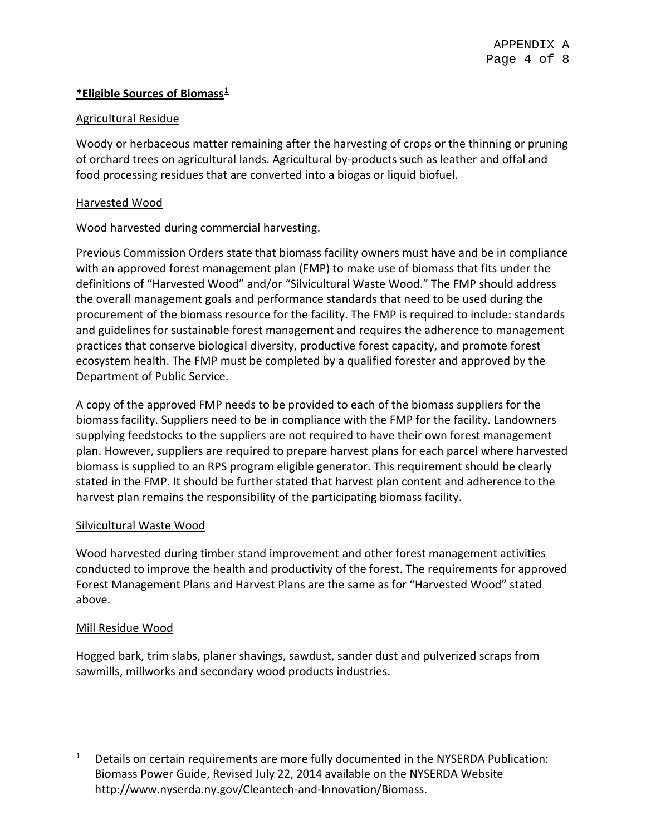# **\*Eligible Sources of Biomass[1](#page-3-0)**

# Agricultural Residue

Woody or herbaceous matter remaining after the harvesting of crops or the thinning or pruning of orchard trees on agricultural lands. Agricultural by-products such as leather and offal and food processing residues that are converted into a biogas or liquid biofuel.

# Harvested Wood

Wood harvested during commercial harvesting.

Previous Commission Orders state that biomass facility owners must have and be in compliance with an approved forest management plan (FMP) to make use of biomass that fits under the definitions of "Harvested Wood" and/or "Silvicultural Waste Wood." The FMP should address the overall management goals and performance standards that need to be used during the procurement of the biomass resource for the facility. The FMP is required to include: standards and guidelines for sustainable forest management and requires the adherence to management practices that conserve biological diversity, productive forest capacity, and promote forest ecosystem health. The FMP must be completed by a qualified forester and approved by the Department of Public Service.

A copy of the approved FMP needs to be provided to each of the biomass suppliers for the biomass facility. Suppliers need to be in compliance with the FMP for the facility. Landowners supplying feedstocks to the suppliers are not required to have their own forest management plan. However, suppliers are required to prepare harvest plans for each parcel where harvested biomass is supplied to an RPS program eligible generator. This requirement should be clearly stated in the FMP. It should be further stated that harvest plan content and adherence to the harvest plan remains the responsibility of the participating biomass facility.

# Silvicultural Waste Wood

Wood harvested during timber stand improvement and other forest management activities conducted to improve the health and productivity of the forest. The requirements for approved Forest Management Plans and Harvest Plans are the same as for "Harvested Wood" stated above.

# Mill Residue Wood

Hogged bark, trim slabs, planer shavings, sawdust, sander dust and pulverized scraps from sawmills, millworks and secondary wood products industries.

<span id="page-3-0"></span> $1$  Details on certain requirements are more fully documented in the NYSERDA Publication: Biomass Power Guide, Revised July 22, 2014 available on the NYSERDA Website http://www.nyserda.ny.gov/Cleantech-and-Innovation/Biomass.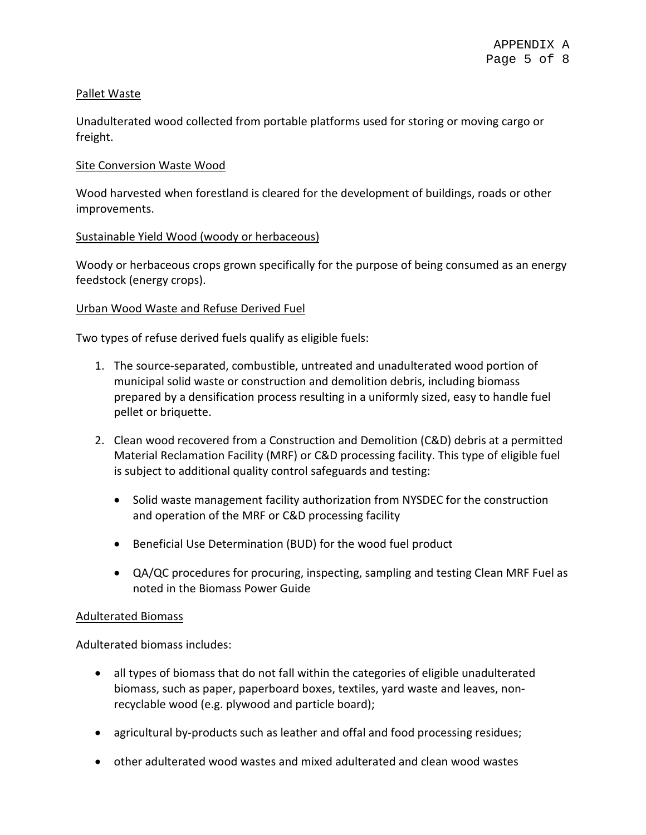# Pallet Waste

Unadulterated wood collected from portable platforms used for storing or moving cargo or freight.

# Site Conversion Waste Wood

Wood harvested when forestland is cleared for the development of buildings, roads or other improvements.

# Sustainable Yield Wood (woody or herbaceous)

Woody or herbaceous crops grown specifically for the purpose of being consumed as an energy feedstock (energy crops).

# Urban Wood Waste and Refuse Derived Fuel

Two types of refuse derived fuels qualify as eligible fuels:

- 1. The source-separated, combustible, untreated and unadulterated wood portion of municipal solid waste or construction and demolition debris, including biomass prepared by a densification process resulting in a uniformly sized, easy to handle fuel pellet or briquette.
- 2. Clean wood recovered from a Construction and Demolition (C&D) debris at a permitted Material Reclamation Facility (MRF) or C&D processing facility. This type of eligible fuel is subject to additional quality control safeguards and testing:
	- Solid waste management facility authorization from NYSDEC for the construction and operation of the MRF or C&D processing facility
	- Beneficial Use Determination (BUD) for the wood fuel product
	- QA/QC procedures for procuring, inspecting, sampling and testing Clean MRF Fuel as noted in the Biomass Power Guide

### Adulterated Biomass

Adulterated biomass includes:

- all types of biomass that do not fall within the categories of eligible unadulterated biomass, such as paper, paperboard boxes, textiles, yard waste and leaves, nonrecyclable wood (e.g. plywood and particle board);
- agricultural by-products such as leather and offal and food processing residues;
- other adulterated wood wastes and mixed adulterated and clean wood wastes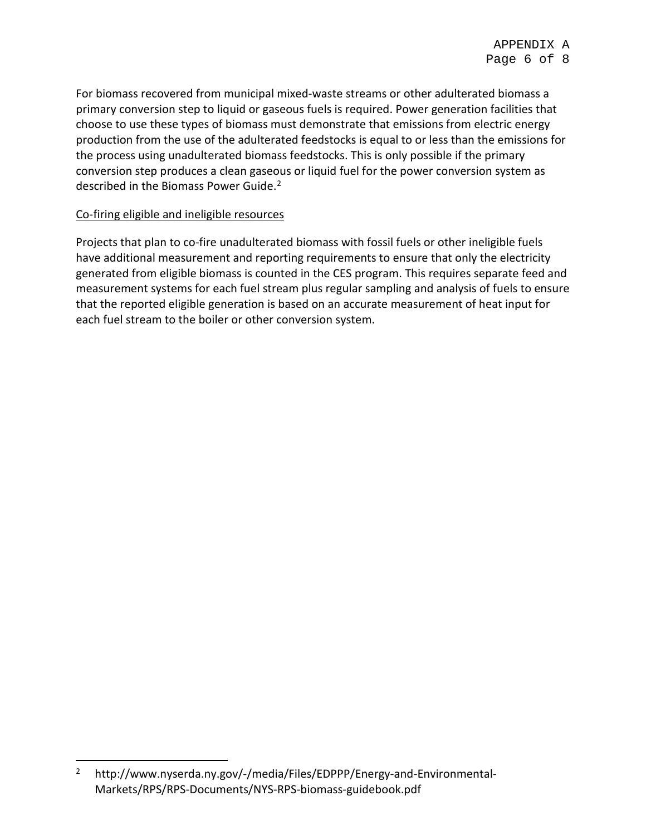For biomass recovered from municipal mixed-waste streams or other adulterated biomass a primary conversion step to liquid or gaseous fuels is required. Power generation facilities that choose to use these types of biomass must demonstrate that emissions from electric energy production from the use of the adulterated feedstocks is equal to or less than the emissions for the process using unadulterated biomass feedstocks. This is only possible if the primary conversion step produces a clean gaseous or liquid fuel for the power conversion system as described in the Biomass Power Guide.[2](#page-5-0)

# Co-firing eligible and ineligible resources

Projects that plan to co-fire unadulterated biomass with fossil fuels or other ineligible fuels have additional measurement and reporting requirements to ensure that only the electricity generated from eligible biomass is counted in the CES program. This requires separate feed and measurement systems for each fuel stream plus regular sampling and analysis of fuels to ensure that the reported eligible generation is based on an accurate measurement of heat input for each fuel stream to the boiler or other conversion system.

<span id="page-5-0"></span> <sup>2</sup> http://www.nyserda.ny.gov/-/media/Files/EDPPP/Energy-and-Environmental-Markets/RPS/RPS-Documents/NYS-RPS-biomass-guidebook.pdf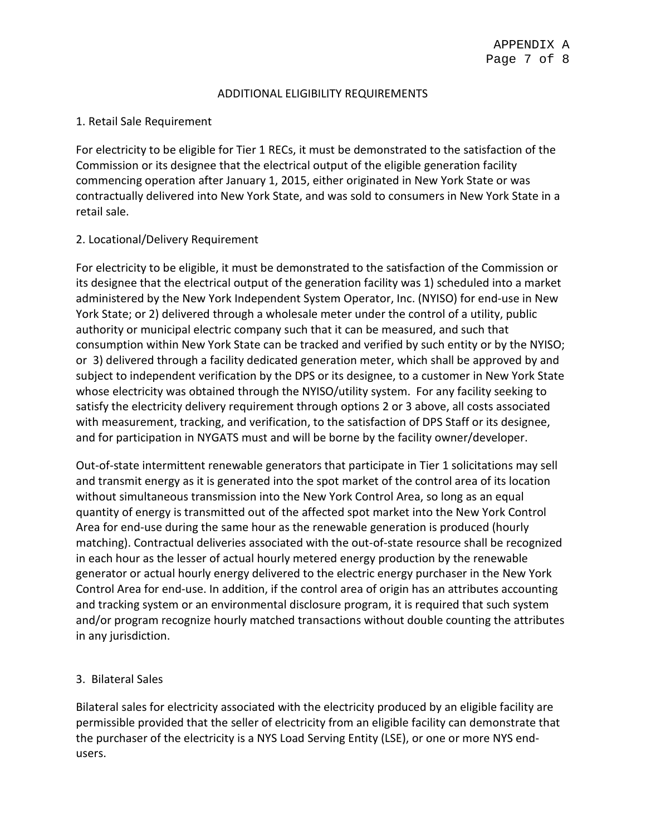### ADDITIONAL ELIGIBILITY REQUIREMENTS

# 1. Retail Sale Requirement

For electricity to be eligible for Tier 1 RECs, it must be demonstrated to the satisfaction of the Commission or its designee that the electrical output of the eligible generation facility commencing operation after January 1, 2015, either originated in New York State or was contractually delivered into New York State, and was sold to consumers in New York State in a retail sale.

# 2. Locational/Delivery Requirement

For electricity to be eligible, it must be demonstrated to the satisfaction of the Commission or its designee that the electrical output of the generation facility was 1) scheduled into a market administered by the New York Independent System Operator, Inc. (NYISO) for end-use in New York State; or 2) delivered through a wholesale meter under the control of a utility, public authority or municipal electric company such that it can be measured, and such that consumption within New York State can be tracked and verified by such entity or by the NYISO; or 3) delivered through a facility dedicated generation meter, which shall be approved by and subject to independent verification by the DPS or its designee, to a customer in New York State whose electricity was obtained through the NYISO/utility system. For any facility seeking to satisfy the electricity delivery requirement through options 2 or 3 above, all costs associated with measurement, tracking, and verification, to the satisfaction of DPS Staff or its designee, and for participation in NYGATS must and will be borne by the facility owner/developer.

Out-of-state intermittent renewable generators that participate in Tier 1 solicitations may sell and transmit energy as it is generated into the spot market of the control area of its location without simultaneous transmission into the New York Control Area, so long as an equal quantity of energy is transmitted out of the affected spot market into the New York Control Area for end-use during the same hour as the renewable generation is produced (hourly matching). Contractual deliveries associated with the out-of-state resource shall be recognized in each hour as the lesser of actual hourly metered energy production by the renewable generator or actual hourly energy delivered to the electric energy purchaser in the New York Control Area for end-use. In addition, if the control area of origin has an attributes accounting and tracking system or an environmental disclosure program, it is required that such system and/or program recognize hourly matched transactions without double counting the attributes in any jurisdiction.

# 3. Bilateral Sales

Bilateral sales for electricity associated with the electricity produced by an eligible facility are permissible provided that the seller of electricity from an eligible facility can demonstrate that the purchaser of the electricity is a NYS Load Serving Entity (LSE), or one or more NYS endusers.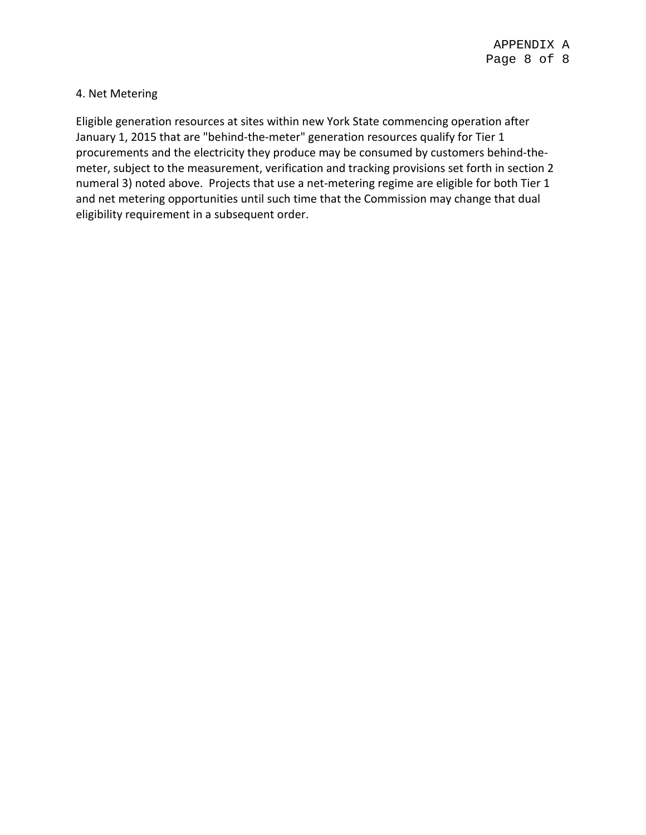# 4. Net Metering

Eligible generation resources at sites within new York State commencing operation after January 1, 2015 that are "behind-the-meter" generation resources qualify for Tier 1 procurements and the electricity they produce may be consumed by customers behind-themeter, subject to the measurement, verification and tracking provisions set forth in section 2 numeral 3) noted above. Projects that use a net-metering regime are eligible for both Tier 1 and net metering opportunities until such time that the Commission may change that dual eligibility requirement in a subsequent order.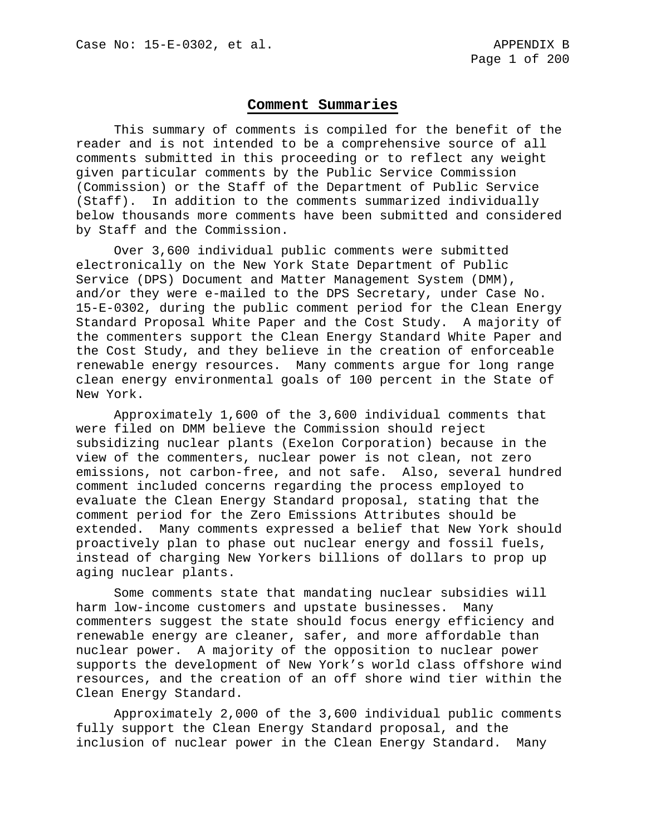#### **Comment Summaries**

This summary of comments is compiled for the benefit of the reader and is not intended to be a comprehensive source of all comments submitted in this proceeding or to reflect any weight given particular comments by the Public Service Commission (Commission) or the Staff of the Department of Public Service (Staff). In addition to the comments summarized individually below thousands more comments have been submitted and considered by Staff and the Commission.

Over 3,600 individual public comments were submitted electronically on the New York State Department of Public Service (DPS) Document and Matter Management System (DMM), and/or they were e-mailed to the DPS Secretary, under Case No. 15-E-0302, during the public comment period for the Clean Energy Standard Proposal White Paper and the Cost Study. A majority of the commenters support the Clean Energy Standard White Paper and the Cost Study, and they believe in the creation of enforceable renewable energy resources. Many comments argue for long range clean energy environmental goals of 100 percent in the State of New York.

Approximately 1,600 of the 3,600 individual comments that were filed on DMM believe the Commission should reject subsidizing nuclear plants (Exelon Corporation) because in the view of the commenters, nuclear power is not clean, not zero emissions, not carbon-free, and not safe. Also, several hundred comment included concerns regarding the process employed to evaluate the Clean Energy Standard proposal, stating that the comment period for the Zero Emissions Attributes should be extended. Many comments expressed a belief that New York should proactively plan to phase out nuclear energy and fossil fuels, instead of charging New Yorkers billions of dollars to prop up aging nuclear plants.

Some comments state that mandating nuclear subsidies will harm low-income customers and upstate businesses. Many commenters suggest the state should focus energy efficiency and renewable energy are cleaner, safer, and more affordable than nuclear power. A majority of the opposition to nuclear power supports the development of New York's world class offshore wind resources, and the creation of an off shore wind tier within the Clean Energy Standard.

Approximately 2,000 of the 3,600 individual public comments fully support the Clean Energy Standard proposal, and the inclusion of nuclear power in the Clean Energy Standard. Many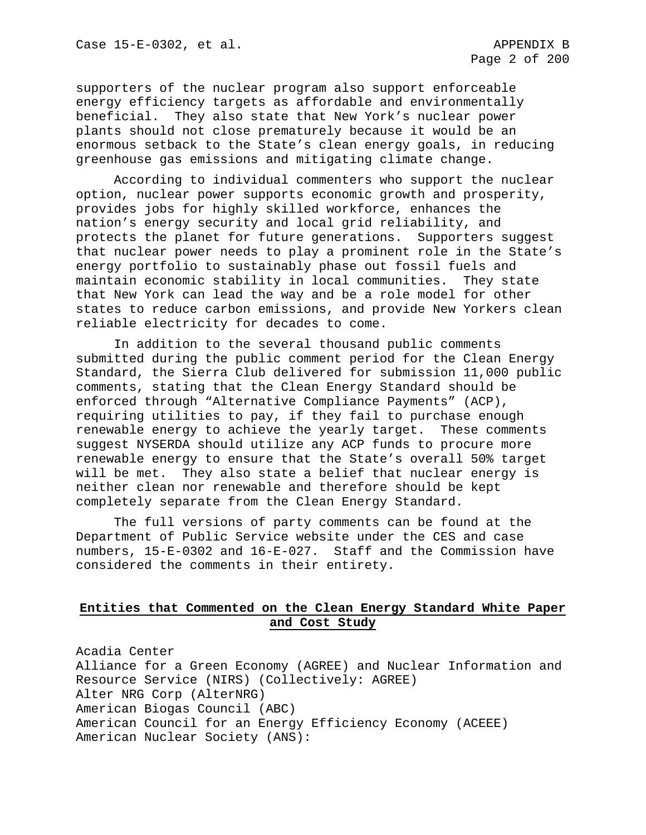supporters of the nuclear program also support enforceable energy efficiency targets as affordable and environmentally beneficial. They also state that New York's nuclear power plants should not close prematurely because it would be an enormous setback to the State's clean energy goals, in reducing greenhouse gas emissions and mitigating climate change.

According to individual commenters who support the nuclear option, nuclear power supports economic growth and prosperity, provides jobs for highly skilled workforce, enhances the nation's energy security and local grid reliability, and protects the planet for future generations. Supporters suggest that nuclear power needs to play a prominent role in the State's energy portfolio to sustainably phase out fossil fuels and maintain economic stability in local communities. They state that New York can lead the way and be a role model for other states to reduce carbon emissions, and provide New Yorkers clean reliable electricity for decades to come.

In addition to the several thousand public comments submitted during the public comment period for the Clean Energy Standard, the Sierra Club delivered for submission 11,000 public comments, stating that the Clean Energy Standard should be enforced through "Alternative Compliance Payments" (ACP), requiring utilities to pay, if they fail to purchase enough renewable energy to achieve the yearly target. These comments suggest NYSERDA should utilize any ACP funds to procure more renewable energy to ensure that the State's overall 50% target will be met. They also state a belief that nuclear energy is neither clean nor renewable and therefore should be kept completely separate from the Clean Energy Standard.

The full versions of party comments can be found at the Department of Public Service website under the CES and case numbers, 15-E-0302 and 16-E-027. Staff and the Commission have considered the comments in their entirety.

### **Entities that Commented on the Clean Energy Standard White Paper and Cost Study**

Acadia Center Alliance for a Green Economy (AGREE) and Nuclear Information and Resource Service (NIRS) (Collectively: AGREE) Alter NRG Corp (AlterNRG) American Biogas Council (ABC) American Council for an Energy Efficiency Economy (ACEEE) American Nuclear Society (ANS):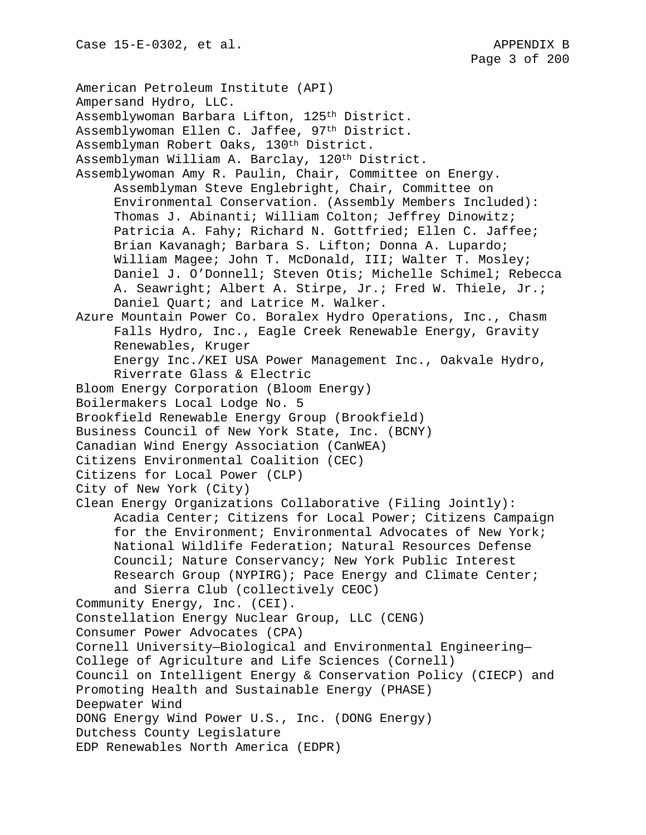American Petroleum Institute (API) Ampersand Hydro, LLC. Assemblywoman Barbara Lifton, 125th District. Assemblywoman Ellen C. Jaffee, 97<sup>th</sup> District. Assemblyman Robert Oaks, 130th District. Assemblyman William A. Barclay, 120th District. Assemblywoman Amy R. Paulin, Chair, Committee on Energy. Assemblyman Steve Englebright, Chair, Committee on Environmental Conservation. (Assembly Members Included): Thomas J. Abinanti; William Colton; Jeffrey Dinowitz; Patricia A. Fahy; Richard N. Gottfried; Ellen C. Jaffee; Brian Kavanagh; Barbara S. Lifton; Donna A. Lupardo; William Magee; John T. McDonald, III; Walter T. Mosley; Daniel J. O'Donnell; Steven Otis; Michelle Schimel; Rebecca A. Seawright; Albert A. Stirpe, Jr.; Fred W. Thiele, Jr.; Daniel Quart; and Latrice M. Walker. Azure Mountain Power Co. Boralex Hydro Operations, Inc., Chasm Falls Hydro, Inc., Eagle Creek Renewable Energy, Gravity Renewables, Kruger Energy Inc./KEI USA Power Management Inc., Oakvale Hydro, Riverrate Glass & Electric Bloom Energy Corporation (Bloom Energy) Boilermakers Local Lodge No. 5 Brookfield Renewable Energy Group (Brookfield) Business Council of New York State, Inc. (BCNY) Canadian Wind Energy Association (CanWEA) Citizens Environmental Coalition (CEC) Citizens for Local Power (CLP) City of New York (City) Clean Energy Organizations Collaborative (Filing Jointly): Acadia Center; Citizens for Local Power; Citizens Campaign for the Environment; Environmental Advocates of New York; National Wildlife Federation; Natural Resources Defense Council; Nature Conservancy; New York Public Interest Research Group (NYPIRG); Pace Energy and Climate Center; and Sierra Club (collectively CEOC) Community Energy, Inc. (CEI). Constellation Energy Nuclear Group, LLC (CENG) Consumer Power Advocates (CPA) Cornell University—Biological and Environmental Engineering— College of Agriculture and Life Sciences (Cornell) Council on Intelligent Energy & Conservation Policy (CIECP) and Promoting Health and Sustainable Energy (PHASE) Deepwater Wind DONG Energy Wind Power U.S., Inc. (DONG Energy) Dutchess County Legislature EDP Renewables North America (EDPR)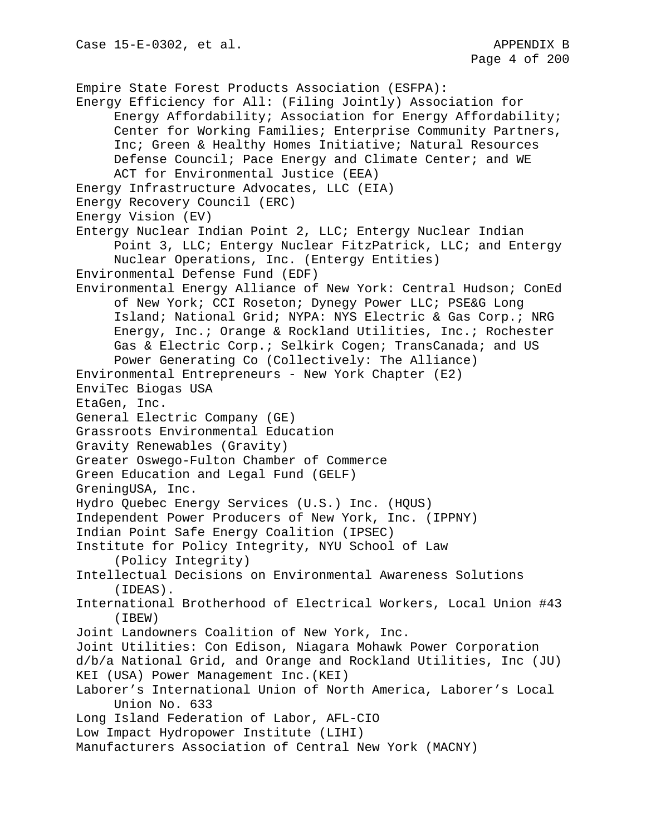Empire State Forest Products Association (ESFPA): Energy Efficiency for All: (Filing Jointly) Association for Energy Affordability; Association for Energy Affordability; Center for Working Families; Enterprise Community Partners, Inc; Green & Healthy Homes Initiative; Natural Resources Defense Council; Pace Energy and Climate Center; and WE ACT for Environmental Justice (EEA) Energy Infrastructure Advocates, LLC (EIA) Energy Recovery Council (ERC) Energy Vision (EV) Entergy Nuclear Indian Point 2, LLC; Entergy Nuclear Indian Point 3, LLC; Entergy Nuclear FitzPatrick, LLC; and Entergy Nuclear Operations, Inc. (Entergy Entities) Environmental Defense Fund (EDF) Environmental Energy Alliance of New York: Central Hudson; ConEd of New York; CCI Roseton; Dynegy Power LLC; PSE&G Long Island; National Grid; NYPA: NYS Electric & Gas Corp.; NRG Energy, Inc.; Orange & Rockland Utilities, Inc.; Rochester Gas & Electric Corp.; Selkirk Cogen; TransCanada; and US Power Generating Co (Collectively: The Alliance) Environmental Entrepreneurs - New York Chapter (E2) EnviTec Biogas USA EtaGen, Inc. General Electric Company (GE) Grassroots Environmental Education Gravity Renewables (Gravity) Greater Oswego-Fulton Chamber of Commerce Green Education and Legal Fund (GELF) GreningUSA, Inc. Hydro Quebec Energy Services (U.S.) Inc. (HQUS) Independent Power Producers of New York, Inc. (IPPNY) Indian Point Safe Energy Coalition (IPSEC) Institute for Policy Integrity, NYU School of Law (Policy Integrity) Intellectual Decisions on Environmental Awareness Solutions (IDEAS). International Brotherhood of Electrical Workers, Local Union #43 (IBEW) Joint Landowners Coalition of New York, Inc. Joint Utilities: Con Edison, Niagara Mohawk Power Corporation d/b/a National Grid, and Orange and Rockland Utilities, Inc (JU) KEI (USA) Power Management Inc.(KEI) Laborer's International Union of North America, Laborer's Local Union No. 633 Long Island Federation of Labor, AFL-CIO Low Impact Hydropower Institute (LIHI) Manufacturers Association of Central New York (MACNY)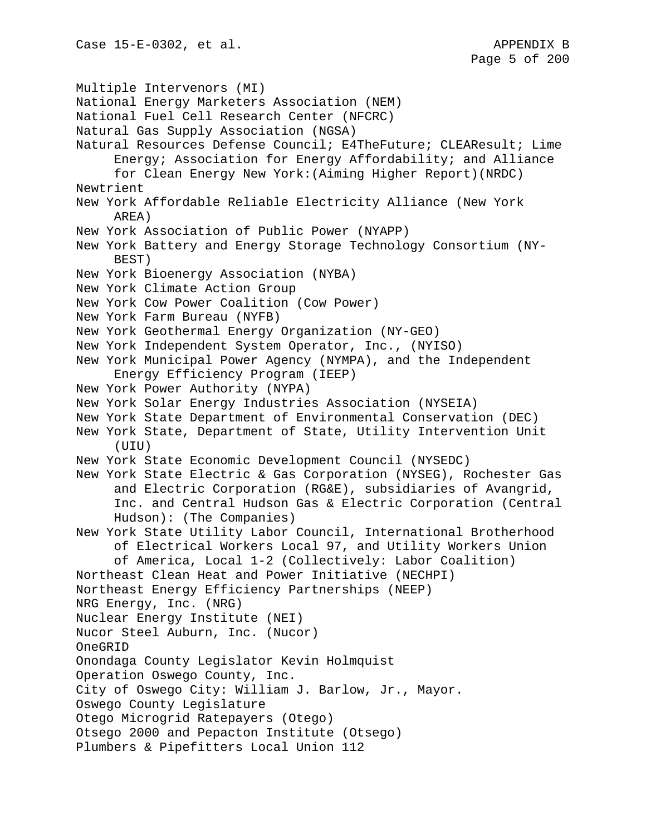Multiple Intervenors (MI) National Energy Marketers Association (NEM) National Fuel Cell Research Center (NFCRC) Natural Gas Supply Association (NGSA) Natural Resources Defense Council; E4TheFuture; CLEAResult; Lime Energy; Association for Energy Affordability; and Alliance for Clean Energy New York:(Aiming Higher Report)(NRDC) Newtrient New York Affordable Reliable Electricity Alliance (New York AREA) New York Association of Public Power (NYAPP) New York Battery and Energy Storage Technology Consortium (NY-BEST) New York Bioenergy Association (NYBA) New York Climate Action Group New York Cow Power Coalition (Cow Power) New York Farm Bureau (NYFB) New York Geothermal Energy Organization (NY-GEO) New York Independent System Operator, Inc., (NYISO) New York Municipal Power Agency (NYMPA), and the Independent Energy Efficiency Program (IEEP) New York Power Authority (NYPA) New York Solar Energy Industries Association (NYSEIA) New York State Department of Environmental Conservation (DEC) New York State, Department of State, Utility Intervention Unit (UIU) New York State Economic Development Council (NYSEDC) New York State Electric & Gas Corporation (NYSEG), Rochester Gas and Electric Corporation (RG&E), subsidiaries of Avangrid, Inc. and Central Hudson Gas & Electric Corporation (Central Hudson): (The Companies) New York State Utility Labor Council, International Brotherhood of Electrical Workers Local 97, and Utility Workers Union of America, Local 1-2 (Collectively: Labor Coalition) Northeast Clean Heat and Power Initiative (NECHPI) Northeast Energy Efficiency Partnerships (NEEP) NRG Energy, Inc. (NRG) Nuclear Energy Institute (NEI) Nucor Steel Auburn, Inc. (Nucor) OneGRID Onondaga County Legislator Kevin Holmquist Operation Oswego County, Inc. City of Oswego City: William J. Barlow, Jr., Mayor. Oswego County Legislature Otego Microgrid Ratepayers (Otego) Otsego 2000 and Pepacton Institute (Otsego) Plumbers & Pipefitters Local Union 112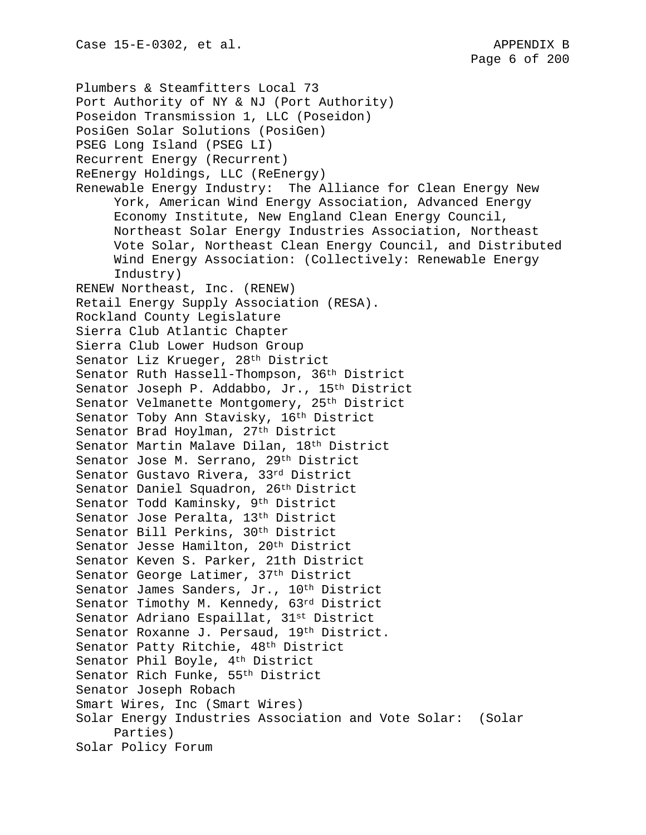Plumbers & Steamfitters Local 73 Port Authority of NY & NJ (Port Authority) Poseidon Transmission 1, LLC (Poseidon) PosiGen Solar Solutions (PosiGen) PSEG Long Island (PSEG LI) Recurrent Energy (Recurrent) ReEnergy Holdings, LLC (ReEnergy) Renewable Energy Industry: The Alliance for Clean Energy New York, American Wind Energy Association, Advanced Energy Economy Institute, New England Clean Energy Council, Northeast Solar Energy Industries Association, Northeast Vote Solar, Northeast Clean Energy Council, and Distributed Wind Energy Association: (Collectively: Renewable Energy Industry) RENEW Northeast, Inc. (RENEW) Retail Energy Supply Association (RESA). Rockland County Legislature Sierra Club Atlantic Chapter Sierra Club Lower Hudson Group Senator Liz Krueger, 28th District Senator Ruth Hassell-Thompson, 36th District Senator Joseph P. Addabbo, Jr., 15th District Senator Velmanette Montgomery, 25th District Senator Toby Ann Stavisky, 16th District Senator Brad Hoylman, 27th District Senator Martin Malave Dilan, 18th District Senator Jose M. Serrano, 29th District Senator Gustavo Rivera, 33rd District Senator Daniel Squadron, 26th District Senator Todd Kaminsky, 9th District Senator Jose Peralta, 13th District Senator Bill Perkins, 30th District Senator Jesse Hamilton, 20th District Senator Keven S. Parker, 21th District Senator George Latimer, 37<sup>th</sup> District Senator James Sanders, Jr., 10<sup>th</sup> District Senator Timothy M. Kennedy, 63rd District Senator Adriano Espaillat, 31st District Senator Roxanne J. Persaud, 19th District. Senator Patty Ritchie, 48th District Senator Phil Boyle, 4th District Senator Rich Funke, 55th District Senator Joseph Robach Smart Wires, Inc (Smart Wires) Solar Energy Industries Association and Vote Solar: (Solar Parties) Solar Policy Forum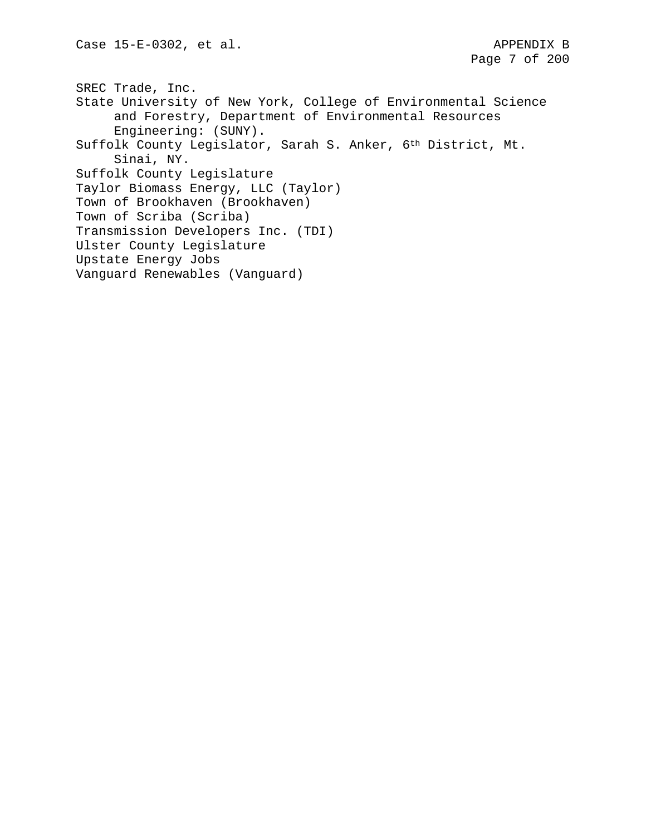SREC Trade, Inc. State University of New York, College of Environmental Science and Forestry, Department of Environmental Resources Engineering: (SUNY). Suffolk County Legislator, Sarah S. Anker, 6th District, Mt. Sinai, NY. Suffolk County Legislature Taylor Biomass Energy, LLC (Taylor) Town of Brookhaven (Brookhaven) Town of Scriba (Scriba) Transmission Developers Inc. (TDI) Ulster County Legislature Upstate Energy Jobs Vanguard Renewables (Vanguard)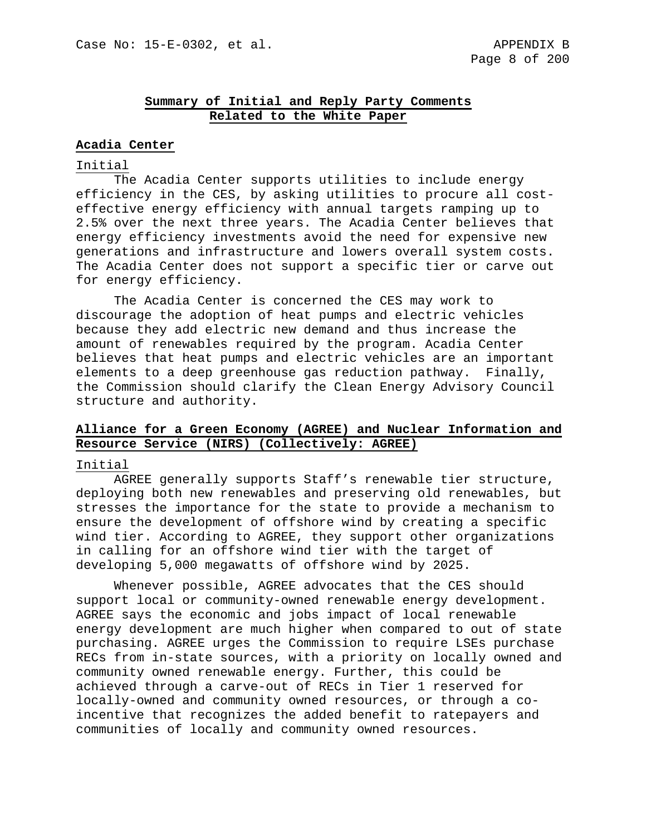### **Summary of Initial and Reply Party Comments Related to the White Paper**

#### **Acadia Center**

### Initial

The Acadia Center supports utilities to include energy efficiency in the CES, by asking utilities to procure all costeffective energy efficiency with annual targets ramping up to 2.5% over the next three years. The Acadia Center believes that energy efficiency investments avoid the need for expensive new generations and infrastructure and lowers overall system costs. The Acadia Center does not support a specific tier or carve out for energy efficiency.

The Acadia Center is concerned the CES may work to discourage the adoption of heat pumps and electric vehicles because they add electric new demand and thus increase the amount of renewables required by the program. Acadia Center believes that heat pumps and electric vehicles are an important elements to a deep greenhouse gas reduction pathway. Finally, the Commission should clarify the Clean Energy Advisory Council structure and authority.

### **Alliance for a Green Economy (AGREE) and Nuclear Information and Resource Service (NIRS) (Collectively: AGREE)**

#### Initial

AGREE generally supports Staff's renewable tier structure, deploying both new renewables and preserving old renewables, but stresses the importance for the state to provide a mechanism to ensure the development of offshore wind by creating a specific wind tier. According to AGREE, they support other organizations in calling for an offshore wind tier with the target of developing 5,000 megawatts of offshore wind by 2025.

Whenever possible, AGREE advocates that the CES should support local or community-owned renewable energy development. AGREE says the economic and jobs impact of local renewable energy development are much higher when compared to out of state purchasing. AGREE urges the Commission to require LSEs purchase RECs from in-state sources, with a priority on locally owned and community owned renewable energy. Further, this could be achieved through a carve-out of RECs in Tier 1 reserved for locally-owned and community owned resources, or through a coincentive that recognizes the added benefit to ratepayers and communities of locally and community owned resources.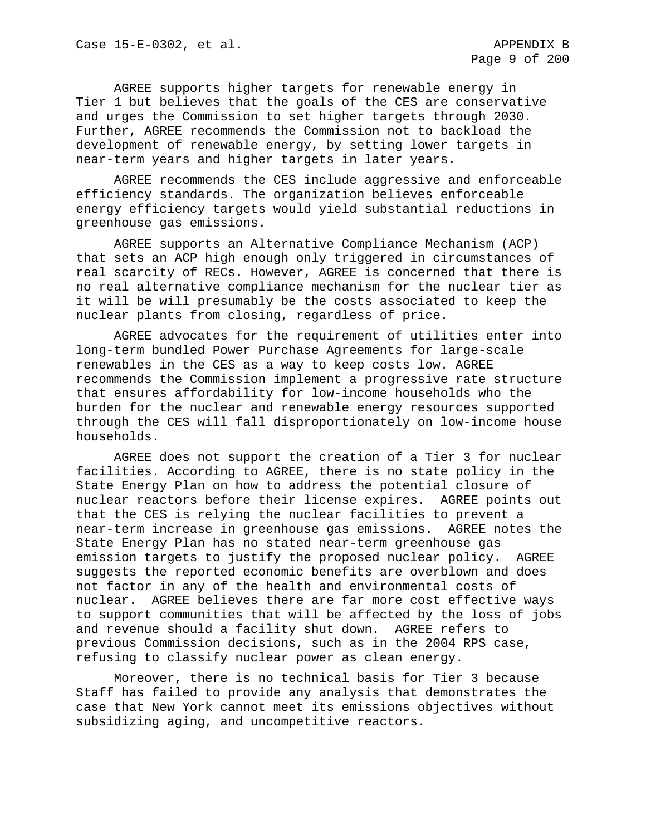AGREE supports higher targets for renewable energy in Tier 1 but believes that the goals of the CES are conservative and urges the Commission to set higher targets through 2030. Further, AGREE recommends the Commission not to backload the development of renewable energy, by setting lower targets in near-term years and higher targets in later years.

AGREE recommends the CES include aggressive and enforceable efficiency standards. The organization believes enforceable energy efficiency targets would yield substantial reductions in greenhouse gas emissions.

AGREE supports an Alternative Compliance Mechanism (ACP) that sets an ACP high enough only triggered in circumstances of real scarcity of RECs. However, AGREE is concerned that there is no real alternative compliance mechanism for the nuclear tier as it will be will presumably be the costs associated to keep the nuclear plants from closing, regardless of price.

AGREE advocates for the requirement of utilities enter into long-term bundled Power Purchase Agreements for large-scale renewables in the CES as a way to keep costs low. AGREE recommends the Commission implement a progressive rate structure that ensures affordability for low-income households who the burden for the nuclear and renewable energy resources supported through the CES will fall disproportionately on low-income house households.

AGREE does not support the creation of a Tier 3 for nuclear facilities. According to AGREE, there is no state policy in the State Energy Plan on how to address the potential closure of nuclear reactors before their license expires. AGREE points out that the CES is relying the nuclear facilities to prevent a near-term increase in greenhouse gas emissions. AGREE notes the State Energy Plan has no stated near-term greenhouse gas emission targets to justify the proposed nuclear policy. AGREE suggests the reported economic benefits are overblown and does not factor in any of the health and environmental costs of nuclear. AGREE believes there are far more cost effective ways to support communities that will be affected by the loss of jobs and revenue should a facility shut down. AGREE refers to previous Commission decisions, such as in the 2004 RPS case, refusing to classify nuclear power as clean energy.

Moreover, there is no technical basis for Tier 3 because Staff has failed to provide any analysis that demonstrates the case that New York cannot meet its emissions objectives without subsidizing aging, and uncompetitive reactors.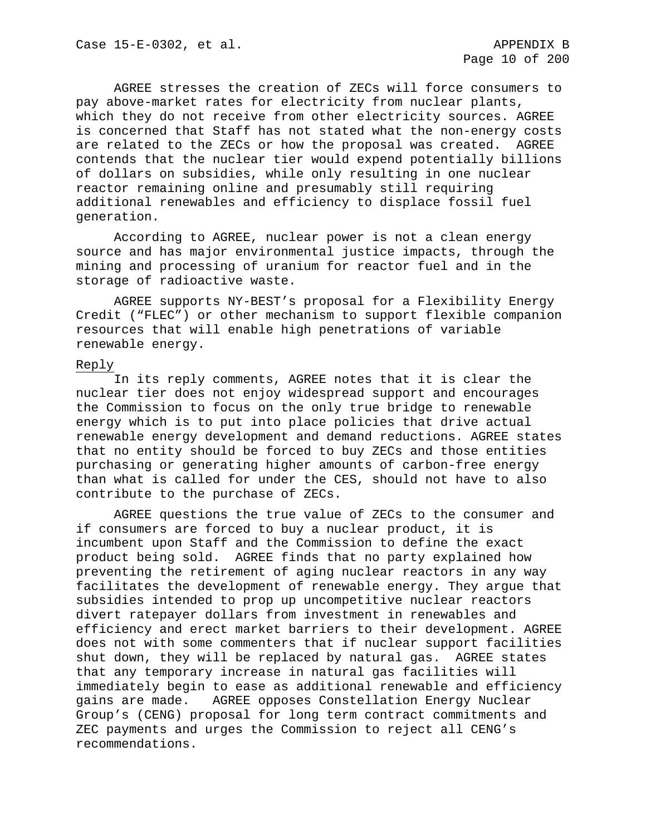AGREE stresses the creation of ZECs will force consumers to pay above-market rates for electricity from nuclear plants, which they do not receive from other electricity sources. AGREE is concerned that Staff has not stated what the non-energy costs are related to the ZECs or how the proposal was created. AGREE contends that the nuclear tier would expend potentially billions of dollars on subsidies, while only resulting in one nuclear reactor remaining online and presumably still requiring additional renewables and efficiency to displace fossil fuel generation.

According to AGREE, nuclear power is not a clean energy source and has major environmental justice impacts, through the mining and processing of uranium for reactor fuel and in the storage of radioactive waste.

AGREE supports NY-BEST's proposal for a Flexibility Energy Credit ("FLEC") or other mechanism to support flexible companion resources that will enable high penetrations of variable renewable energy.

#### Reply

In its reply comments, AGREE notes that it is clear the nuclear tier does not enjoy widespread support and encourages the Commission to focus on the only true bridge to renewable energy which is to put into place policies that drive actual renewable energy development and demand reductions. AGREE states that no entity should be forced to buy ZECs and those entities purchasing or generating higher amounts of carbon-free energy than what is called for under the CES, should not have to also contribute to the purchase of ZECs.

AGREE questions the true value of ZECs to the consumer and if consumers are forced to buy a nuclear product, it is incumbent upon Staff and the Commission to define the exact product being sold. AGREE finds that no party explained how preventing the retirement of aging nuclear reactors in any way facilitates the development of renewable energy. They argue that subsidies intended to prop up uncompetitive nuclear reactors divert ratepayer dollars from investment in renewables and efficiency and erect market barriers to their development. AGREE does not with some commenters that if nuclear support facilities shut down, they will be replaced by natural gas. AGREE states that any temporary increase in natural gas facilities will immediately begin to ease as additional renewable and efficiency<br>gains are made. AGREE opposes Constellation Energy Nuclear AGREE opposes Constellation Energy Nuclear Group's (CENG) proposal for long term contract commitments and ZEC payments and urges the Commission to reject all CENG's recommendations.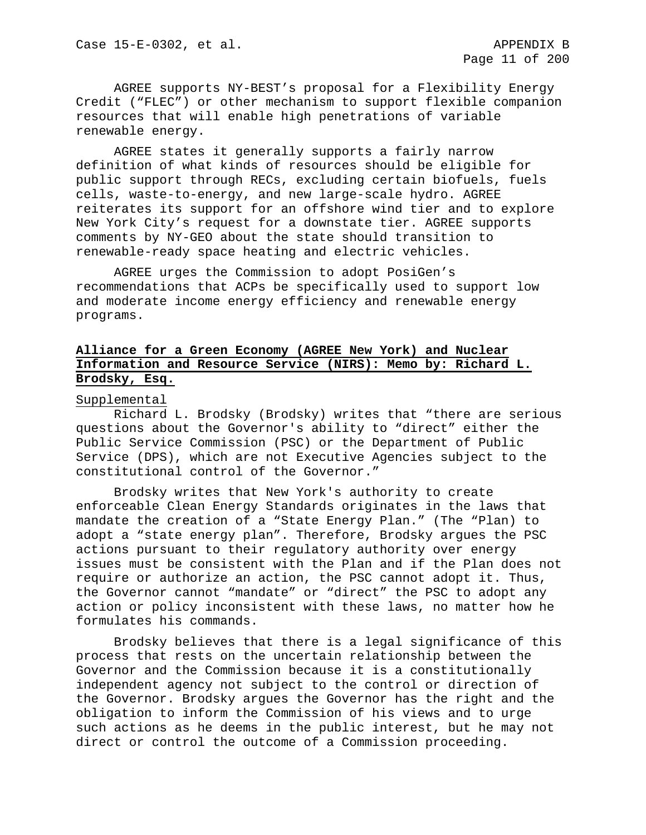AGREE supports NY-BEST's proposal for a Flexibility Energy Credit ("FLEC") or other mechanism to support flexible companion resources that will enable high penetrations of variable renewable energy.

AGREE states it generally supports a fairly narrow definition of what kinds of resources should be eligible for public support through RECs, excluding certain biofuels, fuels cells, waste-to-energy, and new large-scale hydro. AGREE reiterates its support for an offshore wind tier and to explore New York City's request for a downstate tier. AGREE supports comments by NY-GEO about the state should transition to renewable-ready space heating and electric vehicles.

AGREE urges the Commission to adopt PosiGen's recommendations that ACPs be specifically used to support low and moderate income energy efficiency and renewable energy programs.

# **Alliance for a Green Economy (AGREE New York) and Nuclear Information and Resource Service (NIRS): Memo by: Richard L. Brodsky, Esq.**

#### Supplemental

Richard L. Brodsky (Brodsky) writes that "there are serious questions about the Governor's ability to "direct" either the Public Service Commission (PSC) or the Department of Public Service (DPS), which are not Executive Agencies subject to the constitutional control of the Governor."

Brodsky writes that New York's authority to create enforceable Clean Energy Standards originates in the laws that mandate the creation of a "State Energy Plan." (The "Plan) to adopt a "state energy plan". Therefore, Brodsky argues the PSC actions pursuant to their regulatory authority over energy issues must be consistent with the Plan and if the Plan does not require or authorize an action, the PSC cannot adopt it. Thus, the Governor cannot "mandate" or "direct" the PSC to adopt any action or policy inconsistent with these laws, no matter how he formulates his commands.

Brodsky believes that there is a legal significance of this process that rests on the uncertain relationship between the Governor and the Commission because it is a constitutionally independent agency not subject to the control or direction of the Governor. Brodsky argues the Governor has the right and the obligation to inform the Commission of his views and to urge such actions as he deems in the public interest, but he may not direct or control the outcome of a Commission proceeding.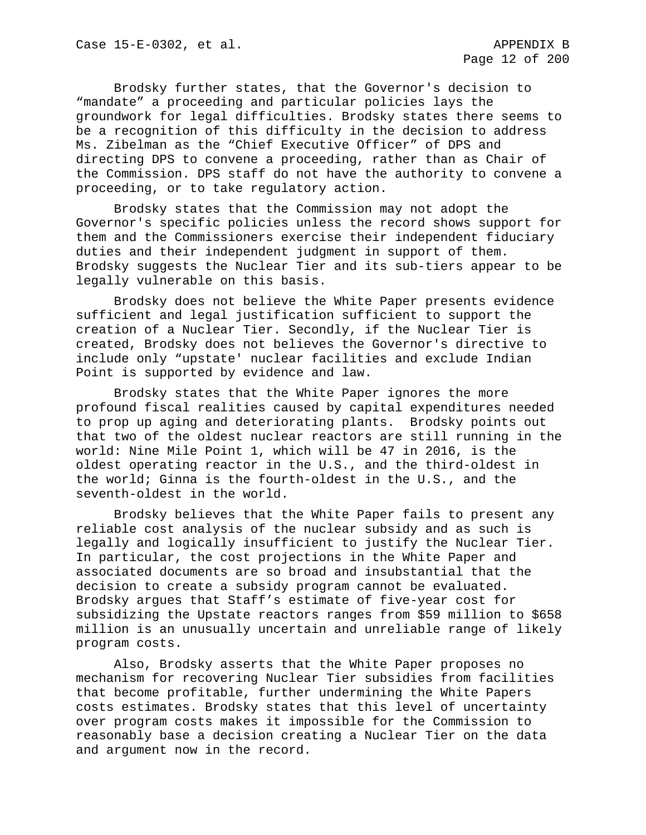Brodsky further states, that the Governor's decision to "mandate" a proceeding and particular policies lays the groundwork for legal difficulties. Brodsky states there seems to be a recognition of this difficulty in the decision to address Ms. Zibelman as the "Chief Executive Officer" of DPS and directing DPS to convene a proceeding, rather than as Chair of the Commission. DPS staff do not have the authority to convene a proceeding, or to take regulatory action.

Brodsky states that the Commission may not adopt the Governor's specific policies unless the record shows support for them and the Commissioners exercise their independent fiduciary duties and their independent judgment in support of them. Brodsky suggests the Nuclear Tier and its sub-tiers appear to be legally vulnerable on this basis.

Brodsky does not believe the White Paper presents evidence sufficient and legal justification sufficient to support the creation of a Nuclear Tier. Secondly, if the Nuclear Tier is created, Brodsky does not believes the Governor's directive to include only "upstate' nuclear facilities and exclude Indian Point is supported by evidence and law.

Brodsky states that the White Paper ignores the more profound fiscal realities caused by capital expenditures needed to prop up aging and deteriorating plants. Brodsky points out that two of the oldest nuclear reactors are still running in the world: Nine Mile Point 1, which will be 47 in 2016, is the oldest operating reactor in the U.S., and the third-oldest in the world; Ginna is the fourth-oldest in the U.S., and the seventh-oldest in the world.

Brodsky believes that the White Paper fails to present any reliable cost analysis of the nuclear subsidy and as such is legally and logically insufficient to justify the Nuclear Tier. In particular, the cost projections in the White Paper and associated documents are so broad and insubstantial that the decision to create a subsidy program cannot be evaluated. Brodsky argues that Staff's estimate of five-year cost for subsidizing the Upstate reactors ranges from \$59 million to \$658 million is an unusually uncertain and unreliable range of likely program costs.

Also, Brodsky asserts that the White Paper proposes no mechanism for recovering Nuclear Tier subsidies from facilities that become profitable, further undermining the White Papers costs estimates. Brodsky states that this level of uncertainty over program costs makes it impossible for the Commission to reasonably base a decision creating a Nuclear Tier on the data and argument now in the record.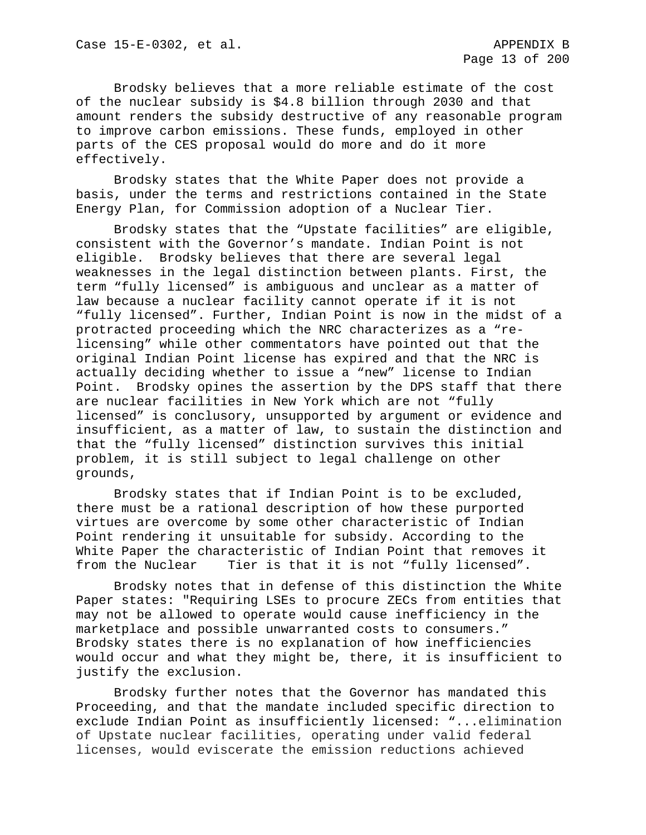Brodsky believes that a more reliable estimate of the cost of the nuclear subsidy is \$4.8 billion through 2030 and that amount renders the subsidy destructive of any reasonable program to improve carbon emissions. These funds, employed in other parts of the CES proposal would do more and do it more effectively.

Brodsky states that the White Paper does not provide a basis, under the terms and restrictions contained in the State Energy Plan, for Commission adoption of a Nuclear Tier.

Brodsky states that the "Upstate facilities" are eligible, consistent with the Governor's mandate. Indian Point is not eligible. Brodsky believes that there are several legal weaknesses in the legal distinction between plants. First, the term "fully licensed" is ambiguous and unclear as a matter of law because a nuclear facility cannot operate if it is not "fully licensed". Further, Indian Point is now in the midst of a protracted proceeding which the NRC characterizes as a "relicensing" while other commentators have pointed out that the original Indian Point license has expired and that the NRC is actually deciding whether to issue a "new" license to Indian Point. Brodsky opines the assertion by the DPS staff that there are nuclear facilities in New York which are not "fully licensed" is conclusory, unsupported by argument or evidence and insufficient, as a matter of law, to sustain the distinction and that the "fully licensed" distinction survives this initial problem, it is still subject to legal challenge on other grounds,

Brodsky states that if Indian Point is to be excluded, there must be a rational description of how these purported virtues are overcome by some other characteristic of Indian Point rendering it unsuitable for subsidy. According to the White Paper the characteristic of Indian Point that removes it<br>from the Nuclear Tier is that it is not "fully licensed". Tier is that it is not "fully licensed".

Brodsky notes that in defense of this distinction the White Paper states: "Requiring LSEs to procure ZECs from entities that may not be allowed to operate would cause inefficiency in the marketplace and possible unwarranted costs to consumers." Brodsky states there is no explanation of how inefficiencies would occur and what they might be, there, it is insufficient to justify the exclusion.

Brodsky further notes that the Governor has mandated this Proceeding, and that the mandate included specific direction to exclude Indian Point as insufficiently licensed: "...elimination of Upstate nuclear facilities, operating under valid federal licenses, would eviscerate the emission reductions achieved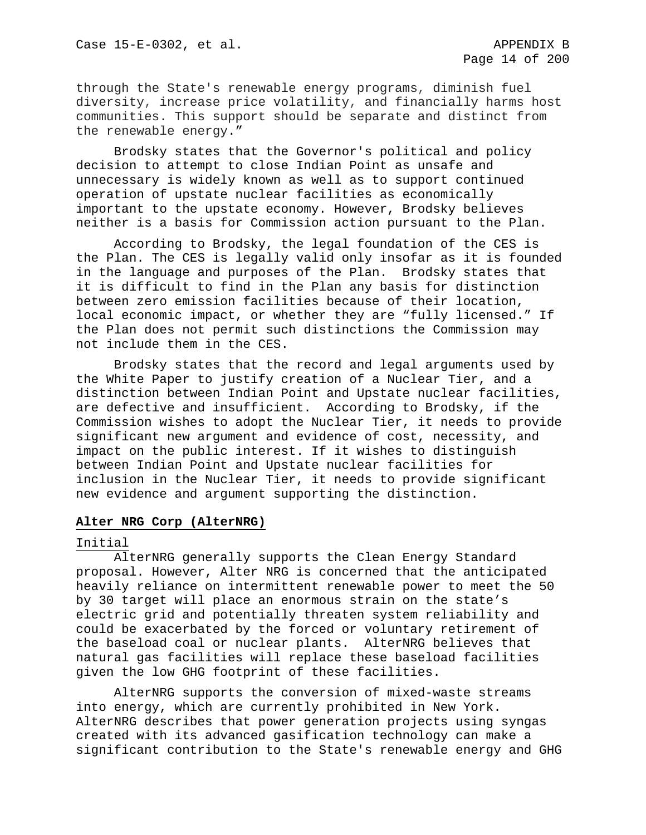through the State's renewable energy programs, diminish fuel diversity, increase price volatility, and financially harms host communities. This support should be separate and distinct from the renewable energy."

Brodsky states that the Governor's political and policy decision to attempt to close Indian Point as unsafe and unnecessary is widely known as well as to support continued operation of upstate nuclear facilities as economically important to the upstate economy. However, Brodsky believes neither is a basis for Commission action pursuant to the Plan.

According to Brodsky, the legal foundation of the CES is the Plan. The CES is legally valid only insofar as it is founded in the language and purposes of the Plan. Brodsky states that it is difficult to find in the Plan any basis for distinction between zero emission facilities because of their location, local economic impact, or whether they are "fully licensed." If the Plan does not permit such distinctions the Commission may not include them in the CES.

Brodsky states that the record and legal arguments used by the White Paper to justify creation of a Nuclear Tier, and a distinction between Indian Point and Upstate nuclear facilities, are defective and insufficient. According to Brodsky, if the Commission wishes to adopt the Nuclear Tier, it needs to provide significant new argument and evidence of cost, necessity, and impact on the public interest. If it wishes to distinguish between Indian Point and Upstate nuclear facilities for inclusion in the Nuclear Tier, it needs to provide significant new evidence and argument supporting the distinction.

#### **Alter NRG Corp (AlterNRG)**

#### Initial

AlterNRG generally supports the Clean Energy Standard proposal. However, Alter NRG is concerned that the anticipated heavily reliance on intermittent renewable power to meet the 50 by 30 target will place an enormous strain on the state's electric grid and potentially threaten system reliability and could be exacerbated by the forced or voluntary retirement of the baseload coal or nuclear plants. AlterNRG believes that natural gas facilities will replace these baseload facilities given the low GHG footprint of these facilities.

AlterNRG supports the conversion of mixed-waste streams into energy, which are currently prohibited in New York. AlterNRG describes that power generation projects using syngas created with its advanced gasification technology can make a significant contribution to the State's renewable energy and GHG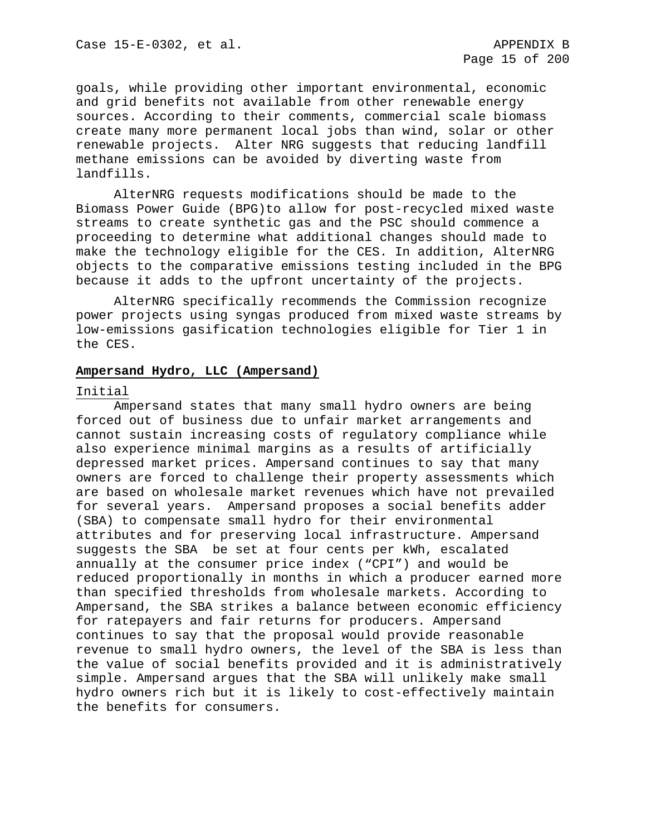goals, while providing other important environmental, economic and grid benefits not available from other renewable energy sources. According to their comments, commercial scale biomass create many more permanent local jobs than wind, solar or other renewable projects. Alter NRG suggests that reducing landfill methane emissions can be avoided by diverting waste from landfills.

AlterNRG requests modifications should be made to the Biomass Power Guide (BPG)to allow for post-recycled mixed waste streams to create synthetic gas and the PSC should commence a proceeding to determine what additional changes should made to make the technology eligible for the CES. In addition, AlterNRG objects to the comparative emissions testing included in the BPG because it adds to the upfront uncertainty of the projects.

AlterNRG specifically recommends the Commission recognize power projects using syngas produced from mixed waste streams by low-emissions gasification technologies eligible for Tier 1 in the CES.

### **Ampersand Hydro, LLC (Ampersand)**

#### Initial

Ampersand states that many small hydro owners are being forced out of business due to unfair market arrangements and cannot sustain increasing costs of regulatory compliance while also experience minimal margins as a results of artificially depressed market prices. Ampersand continues to say that many owners are forced to challenge their property assessments which are based on wholesale market revenues which have not prevailed for several years. Ampersand proposes a social benefits adder (SBA) to compensate small hydro for their environmental attributes and for preserving local infrastructure. Ampersand suggests the SBA be set at four cents per kWh, escalated annually at the consumer price index ("CPI") and would be reduced proportionally in months in which a producer earned more than specified thresholds from wholesale markets. According to Ampersand, the SBA strikes a balance between economic efficiency for ratepayers and fair returns for producers. Ampersand continues to say that the proposal would provide reasonable revenue to small hydro owners, the level of the SBA is less than the value of social benefits provided and it is administratively simple. Ampersand argues that the SBA will unlikely make small hydro owners rich but it is likely to cost-effectively maintain the benefits for consumers.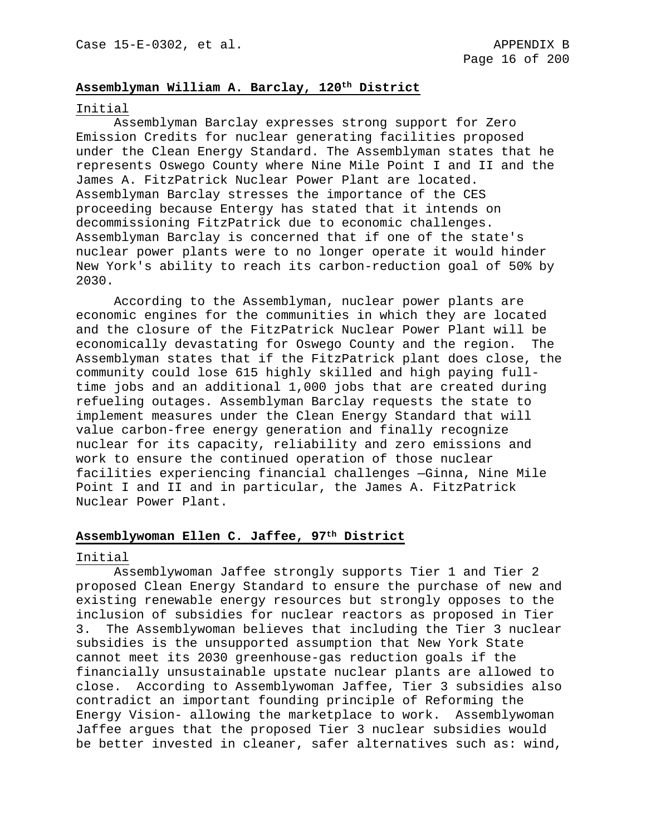### **Assemblyman William A. Barclay, 120th District**

#### Initial

Assemblyman Barclay expresses strong support for Zero Emission Credits for nuclear generating facilities proposed under the Clean Energy Standard. The Assemblyman states that he represents Oswego County where Nine Mile Point I and II and the James A. FitzPatrick Nuclear Power Plant are located. Assemblyman Barclay stresses the importance of the CES proceeding because Entergy has stated that it intends on decommissioning FitzPatrick due to economic challenges. Assemblyman Barclay is concerned that if one of the state's nuclear power plants were to no longer operate it would hinder New York's ability to reach its carbon-reduction goal of 50% by 2030.

According to the Assemblyman, nuclear power plants are economic engines for the communities in which they are located and the closure of the FitzPatrick Nuclear Power Plant will be economically devastating for Oswego County and the region. Assemblyman states that if the FitzPatrick plant does close, the community could lose 615 highly skilled and high paying fulltime jobs and an additional 1,000 jobs that are created during refueling outages. Assemblyman Barclay requests the state to implement measures under the Clean Energy Standard that will value carbon-free energy generation and finally recognize nuclear for its capacity, reliability and zero emissions and work to ensure the continued operation of those nuclear facilities experiencing financial challenges —Ginna, Nine Mile Point I and II and in particular, the James A. FitzPatrick Nuclear Power Plant.

#### **Assemblywoman Ellen C. Jaffee, 97th District**

#### Initial

Assemblywoman Jaffee strongly supports Tier 1 and Tier 2 proposed Clean Energy Standard to ensure the purchase of new and existing renewable energy resources but strongly opposes to the inclusion of subsidies for nuclear reactors as proposed in Tier 3. The Assemblywoman believes that including the Tier 3 nuclear subsidies is the unsupported assumption that New York State cannot meet its 2030 greenhouse-gas reduction goals if the financially unsustainable upstate nuclear plants are allowed to close. According to Assemblywoman Jaffee, Tier 3 subsidies also contradict an important founding principle of Reforming the Energy Vision- allowing the marketplace to work. Assemblywoman Jaffee argues that the proposed Tier 3 nuclear subsidies would be better invested in cleaner, safer alternatives such as: wind,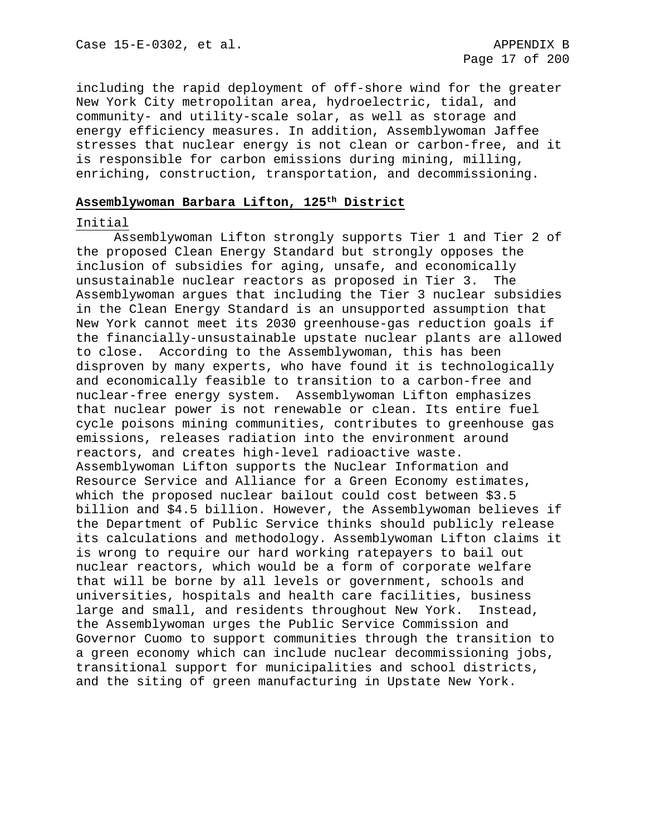including the rapid deployment of off-shore wind for the greater New York City metropolitan area, hydroelectric, tidal, and community- and utility-scale solar, as well as storage and energy efficiency measures. In addition, Assemblywoman Jaffee stresses that nuclear energy is not clean or carbon-free, and it is responsible for carbon emissions during mining, milling, enriching, construction, transportation, and decommissioning.

### **Assemblywoman Barbara Lifton, 125th District**

#### Initial

Assemblywoman Lifton strongly supports Tier 1 and Tier 2 of the proposed Clean Energy Standard but strongly opposes the inclusion of subsidies for aging, unsafe, and economically unsustainable nuclear reactors as proposed in Tier 3. The Assemblywoman argues that including the Tier 3 nuclear subsidies in the Clean Energy Standard is an unsupported assumption that New York cannot meet its 2030 greenhouse-gas reduction goals if the financially-unsustainable upstate nuclear plants are allowed to close. According to the Assemblywoman, this has been disproven by many experts, who have found it is technologically and economically feasible to transition to a carbon-free and nuclear-free energy system. Assemblywoman Lifton emphasizes that nuclear power is not renewable or clean. Its entire fuel cycle poisons mining communities, contributes to greenhouse gas emissions, releases radiation into the environment around reactors, and creates high-level radioactive waste. Assemblywoman Lifton supports the Nuclear Information and Resource Service and Alliance for a Green Economy estimates, which the proposed nuclear bailout could cost between \$3.5 billion and \$4.5 billion. However, the Assemblywoman believes if the Department of Public Service thinks should publicly release its calculations and methodology. Assemblywoman Lifton claims it is wrong to require our hard working ratepayers to bail out nuclear reactors, which would be a form of corporate welfare that will be borne by all levels or government, schools and universities, hospitals and health care facilities, business large and small, and residents throughout New York. Instead, the Assemblywoman urges the Public Service Commission and Governor Cuomo to support communities through the transition to a green economy which can include nuclear decommissioning jobs, transitional support for municipalities and school districts, and the siting of green manufacturing in Upstate New York.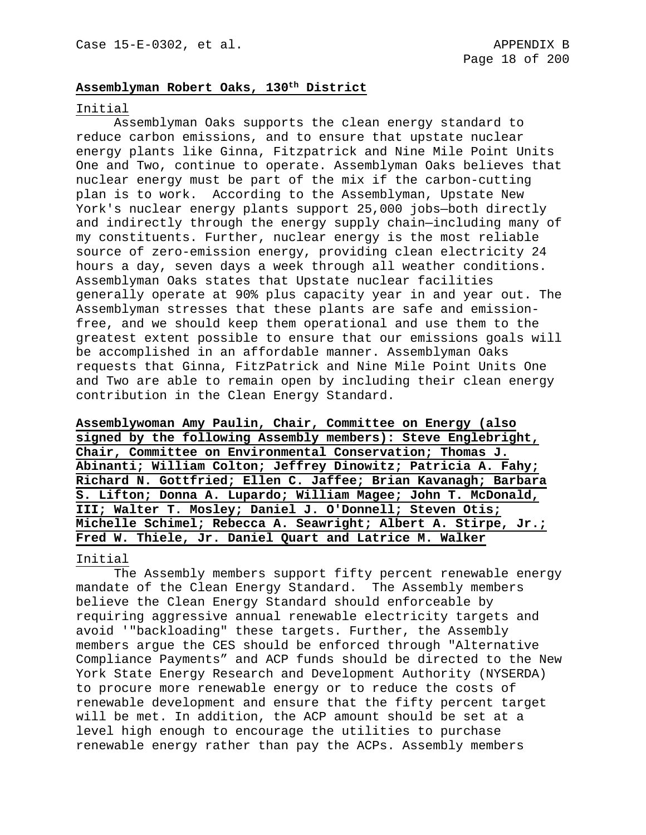### **Assemblyman Robert Oaks, 130th District**

#### Initial

Assemblyman Oaks supports the clean energy standard to reduce carbon emissions, and to ensure that upstate nuclear energy plants like Ginna, Fitzpatrick and Nine Mile Point Units One and Two, continue to operate. Assemblyman Oaks believes that nuclear energy must be part of the mix if the carbon-cutting plan is to work. According to the Assemblyman, Upstate New York's nuclear energy plants support 25,000 jobs—both directly and indirectly through the energy supply chain—including many of my constituents. Further, nuclear energy is the most reliable source of zero-emission energy, providing clean electricity 24 hours a day, seven days a week through all weather conditions. Assemblyman Oaks states that Upstate nuclear facilities generally operate at 90% plus capacity year in and year out. The Assemblyman stresses that these plants are safe and emissionfree, and we should keep them operational and use them to the greatest extent possible to ensure that our emissions goals will be accomplished in an affordable manner. Assemblyman Oaks requests that Ginna, FitzPatrick and Nine Mile Point Units One and Two are able to remain open by including their clean energy contribution in the Clean Energy Standard.

**Assemblywoman Amy Paulin, Chair, Committee on Energy (also signed by the following Assembly members): Steve Englebright, Chair, Committee on Environmental Conservation; Thomas J. Abinanti; William Colton; Jeffrey Dinowitz; Patricia A. Fahy; Richard N. Gottfried; Ellen C. Jaffee; Brian Kavanagh; Barbara S. Lifton; Donna A. Lupardo; William Magee; John T. McDonald, III; Walter T. Mosley; Daniel J. O'Donnell; Steven Otis; Michelle Schimel; Rebecca A. Seawright; Albert A. Stirpe, Jr.; Fred W. Thiele, Jr. Daniel Quart and Latrice M. Walker**

### Initial

The Assembly members support fifty percent renewable energy mandate of the Clean Energy Standard. The Assembly members believe the Clean Energy Standard should enforceable by requiring aggressive annual renewable electricity targets and avoid '"backloading" these targets. Further, the Assembly members argue the CES should be enforced through "Alternative Compliance Payments" and ACP funds should be directed to the New York State Energy Research and Development Authority (NYSERDA) to procure more renewable energy or to reduce the costs of renewable development and ensure that the fifty percent target will be met. In addition, the ACP amount should be set at a level high enough to encourage the utilities to purchase renewable energy rather than pay the ACPs. Assembly members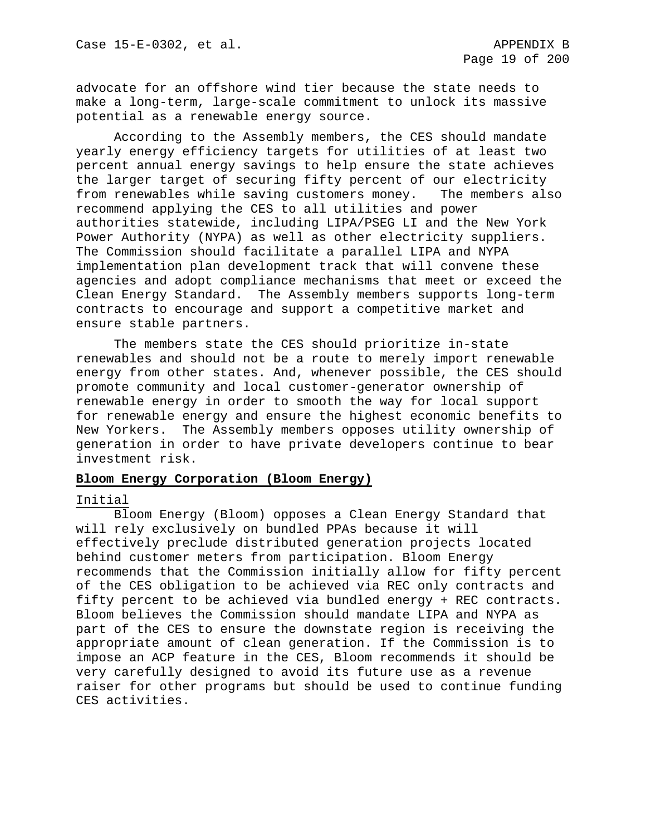advocate for an offshore wind tier because the state needs to make a long-term, large-scale commitment to unlock its massive potential as a renewable energy source.

According to the Assembly members, the CES should mandate yearly energy efficiency targets for utilities of at least two percent annual energy savings to help ensure the state achieves the larger target of securing fifty percent of our electricity<br>from renewables while saving customers money. The members also from renewables while saving customers money. recommend applying the CES to all utilities and power authorities statewide, including LIPA/PSEG LI and the New York Power Authority (NYPA) as well as other electricity suppliers. The Commission should facilitate a parallel LIPA and NYPA implementation plan development track that will convene these agencies and adopt compliance mechanisms that meet or exceed the Clean Energy Standard. The Assembly members supports long-term contracts to encourage and support a competitive market and ensure stable partners.

The members state the CES should prioritize in-state renewables and should not be a route to merely import renewable energy from other states. And, whenever possible, the CES should promote community and local customer-generator ownership of renewable energy in order to smooth the way for local support for renewable energy and ensure the highest economic benefits to New Yorkers. The Assembly members opposes utility ownership of generation in order to have private developers continue to bear investment risk.

#### **Bloom Energy Corporation (Bloom Energy)**

### Initial

Bloom Energy (Bloom) opposes a Clean Energy Standard that will rely exclusively on bundled PPAs because it will effectively preclude distributed generation projects located behind customer meters from participation. Bloom Energy recommends that the Commission initially allow for fifty percent of the CES obligation to be achieved via REC only contracts and fifty percent to be achieved via bundled energy + REC contracts. Bloom believes the Commission should mandate LIPA and NYPA as part of the CES to ensure the downstate region is receiving the appropriate amount of clean generation. If the Commission is to impose an ACP feature in the CES, Bloom recommends it should be very carefully designed to avoid its future use as a revenue raiser for other programs but should be used to continue funding CES activities.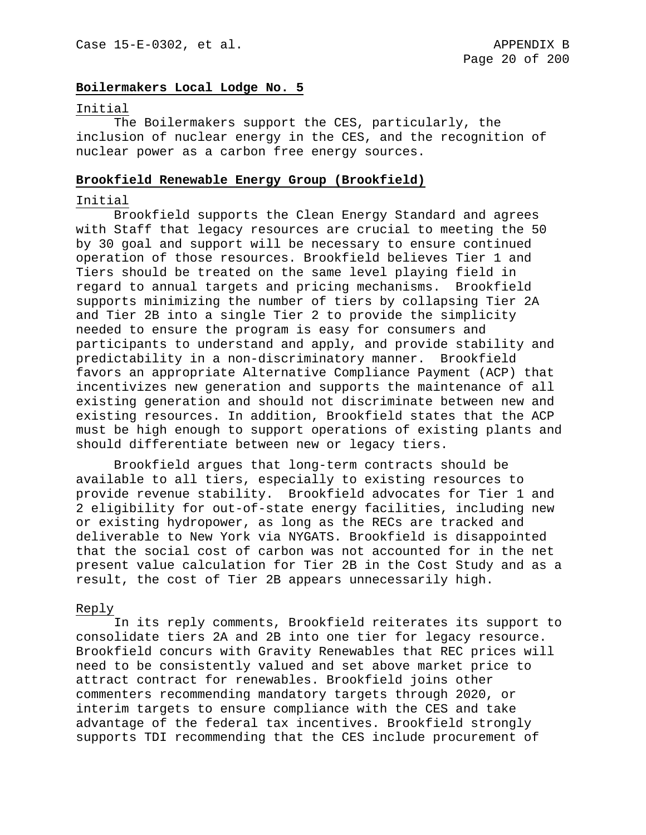### **Boilermakers Local Lodge No. 5**

#### Initial

The Boilermakers support the CES, particularly, the inclusion of nuclear energy in the CES, and the recognition of nuclear power as a carbon free energy sources.

#### **Brookfield Renewable Energy Group (Brookfield)**

#### Initial

Brookfield supports the Clean Energy Standard and agrees with Staff that legacy resources are crucial to meeting the 50 by 30 goal and support will be necessary to ensure continued operation of those resources. Brookfield believes Tier 1 and Tiers should be treated on the same level playing field in regard to annual targets and pricing mechanisms. Brookfield supports minimizing the number of tiers by collapsing Tier 2A and Tier 2B into a single Tier 2 to provide the simplicity needed to ensure the program is easy for consumers and participants to understand and apply, and provide stability and predictability in a non-discriminatory manner. Brookfield favors an appropriate Alternative Compliance Payment (ACP) that incentivizes new generation and supports the maintenance of all existing generation and should not discriminate between new and existing resources. In addition, Brookfield states that the ACP must be high enough to support operations of existing plants and should differentiate between new or legacy tiers.

Brookfield argues that long-term contracts should be available to all tiers, especially to existing resources to provide revenue stability. Brookfield advocates for Tier 1 and 2 eligibility for out-of-state energy facilities, including new or existing hydropower, as long as the RECs are tracked and deliverable to New York via NYGATS. Brookfield is disappointed that the social cost of carbon was not accounted for in the net present value calculation for Tier 2B in the Cost Study and as a result, the cost of Tier 2B appears unnecessarily high.

#### Reply

In its reply comments, Brookfield reiterates its support to consolidate tiers 2A and 2B into one tier for legacy resource. Brookfield concurs with Gravity Renewables that REC prices will need to be consistently valued and set above market price to attract contract for renewables. Brookfield joins other commenters recommending mandatory targets through 2020, or interim targets to ensure compliance with the CES and take advantage of the federal tax incentives. Brookfield strongly supports TDI recommending that the CES include procurement of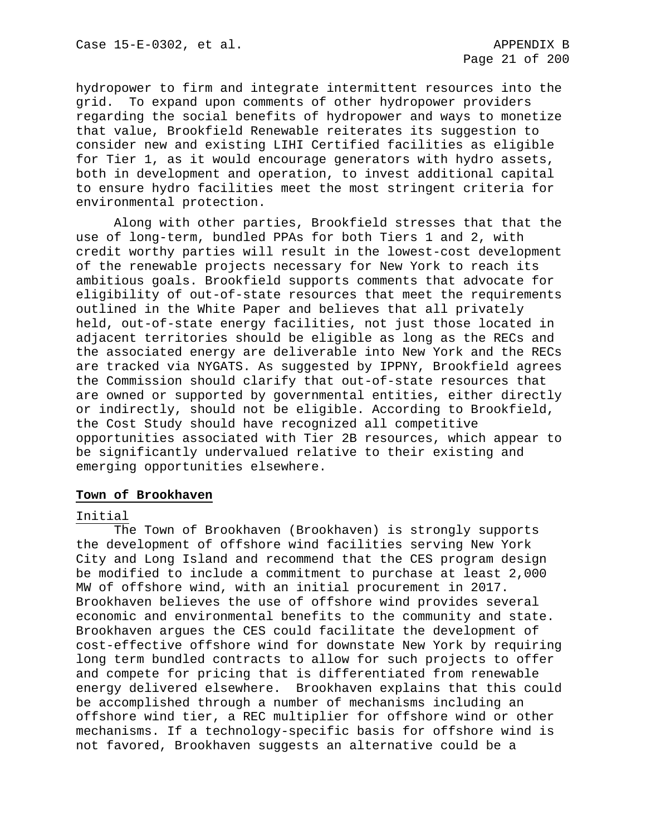hydropower to firm and integrate intermittent resources into the grid. To expand upon comments of other hydropower providers regarding the social benefits of hydropower and ways to monetize that value, Brookfield Renewable reiterates its suggestion to consider new and existing LIHI Certified facilities as eligible for Tier 1, as it would encourage generators with hydro assets, both in development and operation, to invest additional capital to ensure hydro facilities meet the most stringent criteria for environmental protection.

Along with other parties, Brookfield stresses that that the use of long-term, bundled PPAs for both Tiers 1 and 2, with credit worthy parties will result in the lowest-cost development of the renewable projects necessary for New York to reach its ambitious goals. Brookfield supports comments that advocate for eligibility of out-of-state resources that meet the requirements outlined in the White Paper and believes that all privately held, out-of-state energy facilities, not just those located in adjacent territories should be eligible as long as the RECs and the associated energy are deliverable into New York and the RECs are tracked via NYGATS. As suggested by IPPNY, Brookfield agrees the Commission should clarify that out-of-state resources that are owned or supported by governmental entities, either directly or indirectly, should not be eligible. According to Brookfield, the Cost Study should have recognized all competitive opportunities associated with Tier 2B resources, which appear to be significantly undervalued relative to their existing and emerging opportunities elsewhere.

#### **Town of Brookhaven**

### Initial

The Town of Brookhaven (Brookhaven) is strongly supports the development of offshore wind facilities serving New York City and Long Island and recommend that the CES program design be modified to include a commitment to purchase at least 2,000 MW of offshore wind, with an initial procurement in 2017. Brookhaven believes the use of offshore wind provides several economic and environmental benefits to the community and state. Brookhaven argues the CES could facilitate the development of cost-effective offshore wind for downstate New York by requiring long term bundled contracts to allow for such projects to offer and compete for pricing that is differentiated from renewable energy delivered elsewhere. Brookhaven explains that this could be accomplished through a number of mechanisms including an offshore wind tier, a REC multiplier for offshore wind or other mechanisms. If a technology-specific basis for offshore wind is not favored, Brookhaven suggests an alternative could be a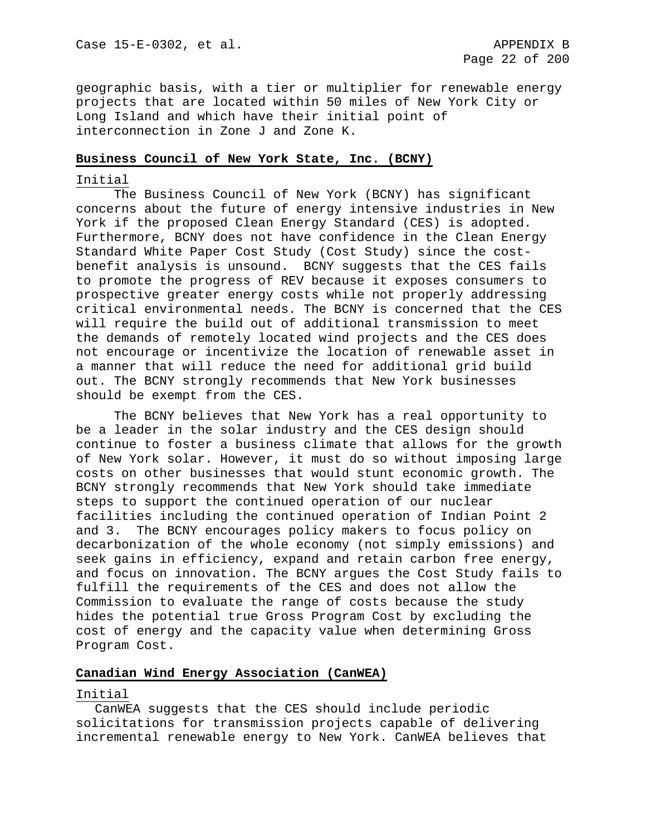geographic basis, with a tier or multiplier for renewable energy projects that are located within 50 miles of New York City or Long Island and which have their initial point of interconnection in Zone J and Zone K.

#### **Business Council of New York State, Inc. (BCNY)**

#### Initial

The Business Council of New York (BCNY) has significant concerns about the future of energy intensive industries in New York if the proposed Clean Energy Standard (CES) is adopted. Furthermore, BCNY does not have confidence in the Clean Energy Standard White Paper Cost Study (Cost Study) since the costbenefit analysis is unsound. BCNY suggests that the CES fails to promote the progress of REV because it exposes consumers to prospective greater energy costs while not properly addressing critical environmental needs. The BCNY is concerned that the CES will require the build out of additional transmission to meet the demands of remotely located wind projects and the CES does not encourage or incentivize the location of renewable asset in a manner that will reduce the need for additional grid build out. The BCNY strongly recommends that New York businesses should be exempt from the CES.

The BCNY believes that New York has a real opportunity to be a leader in the solar industry and the CES design should continue to foster a business climate that allows for the growth of New York solar. However, it must do so without imposing large costs on other businesses that would stunt economic growth. The BCNY strongly recommends that New York should take immediate steps to support the continued operation of our nuclear facilities including the continued operation of Indian Point 2 and 3. The BCNY encourages policy makers to focus policy on decarbonization of the whole economy (not simply emissions) and seek gains in efficiency, expand and retain carbon free energy, and focus on innovation. The BCNY argues the Cost Study fails to fulfill the requirements of the CES and does not allow the Commission to evaluate the range of costs because the study hides the potential true Gross Program Cost by excluding the cost of energy and the capacity value when determining Gross Program Cost.

### **Canadian Wind Energy Association (CanWEA)**

#### Initial

CanWEA suggests that the CES should include periodic solicitations for transmission projects capable of delivering incremental renewable energy to New York. CanWEA believes that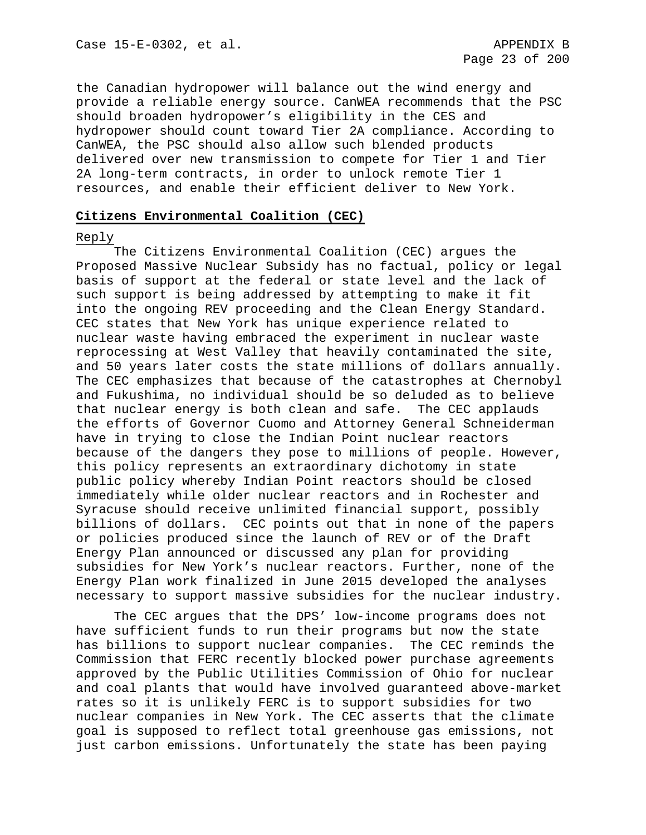the Canadian hydropower will balance out the wind energy and provide a reliable energy source. CanWEA recommends that the PSC should broaden hydropower's eligibility in the CES and hydropower should count toward Tier 2A compliance. According to CanWEA, the PSC should also allow such blended products delivered over new transmission to compete for Tier 1 and Tier 2A long-term contracts, in order to unlock remote Tier 1 resources, and enable their efficient deliver to New York.

#### **Citizens Environmental Coalition (CEC)**

#### Reply

The Citizens Environmental Coalition (CEC) argues the Proposed Massive Nuclear Subsidy has no factual, policy or legal basis of support at the federal or state level and the lack of such support is being addressed by attempting to make it fit into the ongoing REV proceeding and the Clean Energy Standard. CEC states that New York has unique experience related to nuclear waste having embraced the experiment in nuclear waste reprocessing at West Valley that heavily contaminated the site, and 50 years later costs the state millions of dollars annually. The CEC emphasizes that because of the catastrophes at Chernobyl and Fukushima, no individual should be so deluded as to believe that nuclear energy is both clean and safe. The CEC applauds the efforts of Governor Cuomo and Attorney General Schneiderman have in trying to close the Indian Point nuclear reactors because of the dangers they pose to millions of people. However, this policy represents an extraordinary dichotomy in state public policy whereby Indian Point reactors should be closed immediately while older nuclear reactors and in Rochester and Syracuse should receive unlimited financial support, possibly billions of dollars. CEC points out that in none of the papers or policies produced since the launch of REV or of the Draft Energy Plan announced or discussed any plan for providing subsidies for New York's nuclear reactors. Further, none of the Energy Plan work finalized in June 2015 developed the analyses necessary to support massive subsidies for the nuclear industry.

The CEC argues that the DPS' low-income programs does not have sufficient funds to run their programs but now the state has billions to support nuclear companies. The CEC reminds the Commission that FERC recently blocked power purchase agreements approved by the Public Utilities Commission of Ohio for nuclear and coal plants that would have involved guaranteed above-market rates so it is unlikely FERC is to support subsidies for two nuclear companies in New York. The CEC asserts that the climate goal is supposed to reflect total greenhouse gas emissions, not just carbon emissions. Unfortunately the state has been paying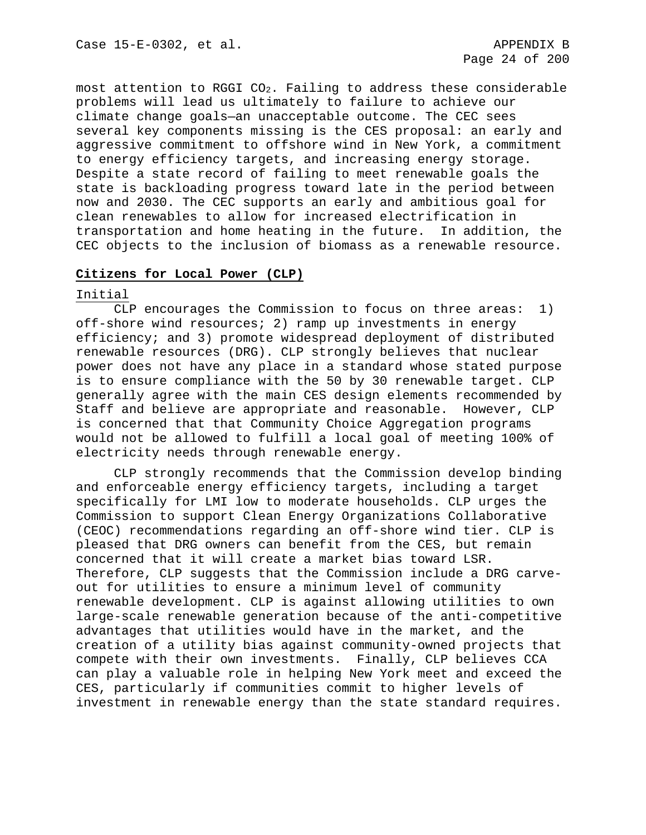most attention to RGGI  $CO<sub>2</sub>$ . Failing to address these considerable problems will lead us ultimately to failure to achieve our climate change goals—an unacceptable outcome. The CEC sees several key components missing is the CES proposal: an early and aggressive commitment to offshore wind in New York, a commitment to energy efficiency targets, and increasing energy storage. Despite a state record of failing to meet renewable goals the state is backloading progress toward late in the period between now and 2030. The CEC supports an early and ambitious goal for clean renewables to allow for increased electrification in transportation and home heating in the future. In addition, the CEC objects to the inclusion of biomass as a renewable resource.

#### **Citizens for Local Power (CLP)**

#### Initial

CLP encourages the Commission to focus on three areas: 1) off-shore wind resources; 2) ramp up investments in energy efficiency; and 3) promote widespread deployment of distributed renewable resources (DRG). CLP strongly believes that nuclear power does not have any place in a standard whose stated purpose is to ensure compliance with the 50 by 30 renewable target. CLP generally agree with the main CES design elements recommended by Staff and believe are appropriate and reasonable. However, CLP is concerned that that Community Choice Aggregation programs would not be allowed to fulfill a local goal of meeting 100% of electricity needs through renewable energy.

CLP strongly recommends that the Commission develop binding and enforceable energy efficiency targets, including a target specifically for LMI low to moderate households. CLP urges the Commission to support Clean Energy Organizations Collaborative (CEOC) recommendations regarding an off-shore wind tier. CLP is pleased that DRG owners can benefit from the CES, but remain concerned that it will create a market bias toward LSR. Therefore, CLP suggests that the Commission include a DRG carveout for utilities to ensure a minimum level of community renewable development. CLP is against allowing utilities to own large-scale renewable generation because of the anti-competitive advantages that utilities would have in the market, and the creation of a utility bias against community-owned projects that compete with their own investments. Finally, CLP believes CCA can play a valuable role in helping New York meet and exceed the CES, particularly if communities commit to higher levels of investment in renewable energy than the state standard requires.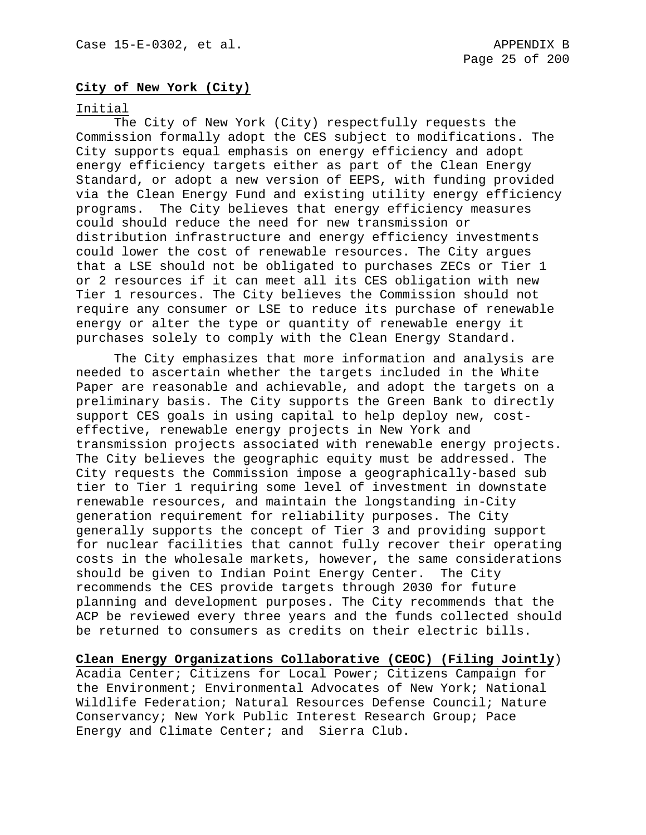# **City of New York (City)**

#### Initial

The City of New York (City) respectfully requests the Commission formally adopt the CES subject to modifications. The City supports equal emphasis on energy efficiency and adopt energy efficiency targets either as part of the Clean Energy Standard, or adopt a new version of EEPS, with funding provided via the Clean Energy Fund and existing utility energy efficiency programs. The City believes that energy efficiency measures could should reduce the need for new transmission or distribution infrastructure and energy efficiency investments could lower the cost of renewable resources. The City argues that a LSE should not be obligated to purchases ZECs or Tier 1 or 2 resources if it can meet all its CES obligation with new Tier 1 resources. The City believes the Commission should not require any consumer or LSE to reduce its purchase of renewable energy or alter the type or quantity of renewable energy it purchases solely to comply with the Clean Energy Standard.

The City emphasizes that more information and analysis are needed to ascertain whether the targets included in the White Paper are reasonable and achievable, and adopt the targets on a preliminary basis. The City supports the Green Bank to directly support CES goals in using capital to help deploy new, costeffective, renewable energy projects in New York and transmission projects associated with renewable energy projects. The City believes the geographic equity must be addressed. The City requests the Commission impose a geographically-based sub tier to Tier 1 requiring some level of investment in downstate renewable resources, and maintain the longstanding in-City generation requirement for reliability purposes. The City generally supports the concept of Tier 3 and providing support for nuclear facilities that cannot fully recover their operating costs in the wholesale markets, however, the same considerations should be given to Indian Point Energy Center. The City recommends the CES provide targets through 2030 for future planning and development purposes. The City recommends that the ACP be reviewed every three years and the funds collected should be returned to consumers as credits on their electric bills.

**Clean Energy Organizations Collaborative (CEOC) (Filing Jointly**) Acadia Center; Citizens for Local Power; Citizens Campaign for the Environment; Environmental Advocates of New York; National Wildlife Federation; Natural Resources Defense Council; Nature Conservancy; New York Public Interest Research Group; Pace Energy and Climate Center; and Sierra Club.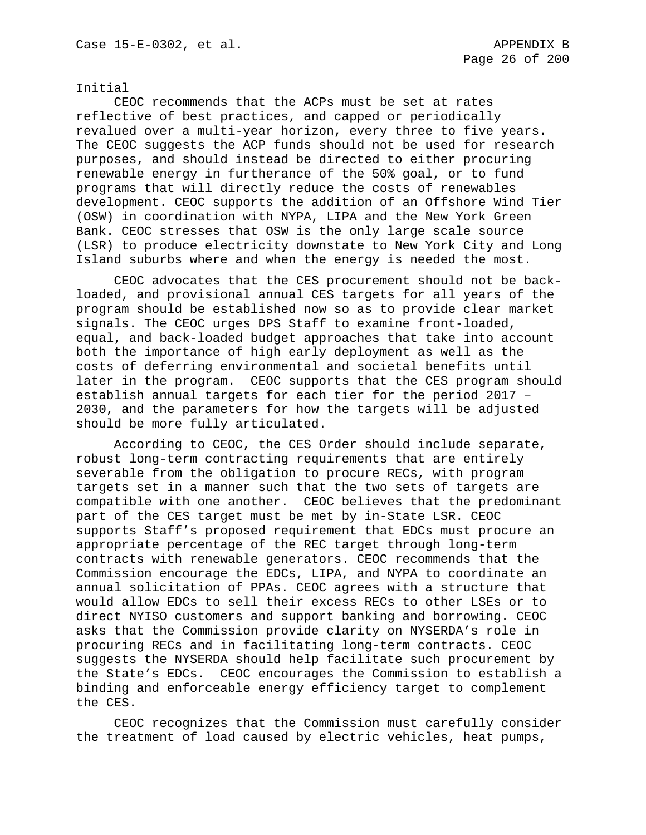### Initial

CEOC recommends that the ACPs must be set at rates reflective of best practices, and capped or periodically revalued over a multi-year horizon, every three to five years. The CEOC suggests the ACP funds should not be used for research purposes, and should instead be directed to either procuring renewable energy in furtherance of the 50% goal, or to fund programs that will directly reduce the costs of renewables development. CEOC supports the addition of an Offshore Wind Tier (OSW) in coordination with NYPA, LIPA and the New York Green Bank. CEOC stresses that OSW is the only large scale source (LSR) to produce electricity downstate to New York City and Long Island suburbs where and when the energy is needed the most.

CEOC advocates that the CES procurement should not be backloaded, and provisional annual CES targets for all years of the program should be established now so as to provide clear market signals. The CEOC urges DPS Staff to examine front-loaded, equal, and back-loaded budget approaches that take into account both the importance of high early deployment as well as the costs of deferring environmental and societal benefits until later in the program. CEOC supports that the CES program should establish annual targets for each tier for the period 2017 – 2030, and the parameters for how the targets will be adjusted should be more fully articulated.

According to CEOC, the CES Order should include separate, robust long-term contracting requirements that are entirely severable from the obligation to procure RECs, with program targets set in a manner such that the two sets of targets are compatible with one another. CEOC believes that the predominant part of the CES target must be met by in-State LSR. CEOC supports Staff's proposed requirement that EDCs must procure an appropriate percentage of the REC target through long-term contracts with renewable generators. CEOC recommends that the Commission encourage the EDCs, LIPA, and NYPA to coordinate an annual solicitation of PPAs. CEOC agrees with a structure that would allow EDCs to sell their excess RECs to other LSEs or to direct NYISO customers and support banking and borrowing. CEOC asks that the Commission provide clarity on NYSERDA's role in procuring RECs and in facilitating long-term contracts. CEOC suggests the NYSERDA should help facilitate such procurement by the State's EDCs. CEOC encourages the Commission to establish a binding and enforceable energy efficiency target to complement the CES.

CEOC recognizes that the Commission must carefully consider the treatment of load caused by electric vehicles, heat pumps,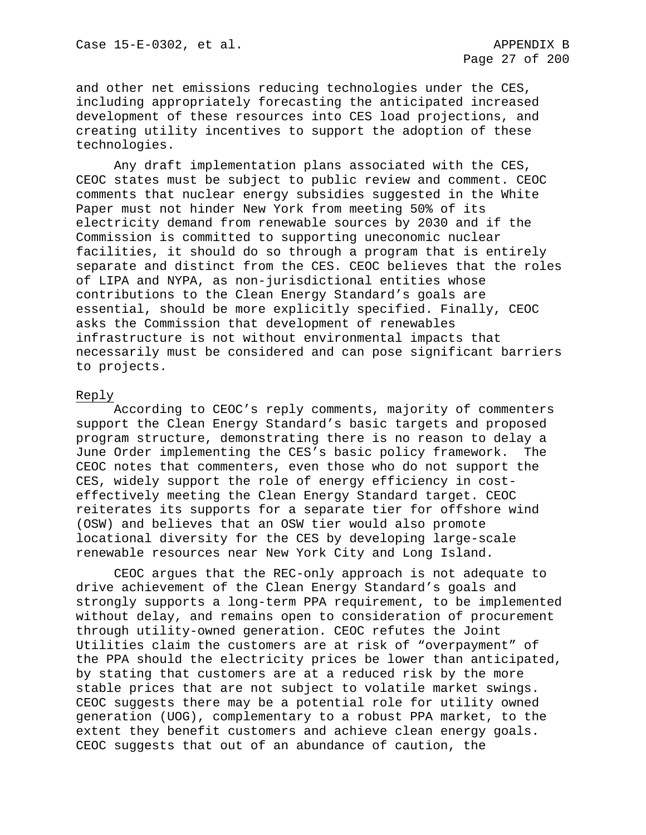and other net emissions reducing technologies under the CES, including appropriately forecasting the anticipated increased development of these resources into CES load projections, and creating utility incentives to support the adoption of these technologies.

Any draft implementation plans associated with the CES, CEOC states must be subject to public review and comment. CEOC comments that nuclear energy subsidies suggested in the White Paper must not hinder New York from meeting 50% of its electricity demand from renewable sources by 2030 and if the Commission is committed to supporting uneconomic nuclear facilities, it should do so through a program that is entirely separate and distinct from the CES. CEOC believes that the roles of LIPA and NYPA, as non-jurisdictional entities whose contributions to the Clean Energy Standard's goals are essential, should be more explicitly specified. Finally, CEOC asks the Commission that development of renewables infrastructure is not without environmental impacts that necessarily must be considered and can pose significant barriers to projects.

### Reply

According to CEOC's reply comments, majority of commenters support the Clean Energy Standard's basic targets and proposed program structure, demonstrating there is no reason to delay a June Order implementing the CES's basic policy framework. The CEOC notes that commenters, even those who do not support the CES, widely support the role of energy efficiency in costeffectively meeting the Clean Energy Standard target. CEOC reiterates its supports for a separate tier for offshore wind (OSW) and believes that an OSW tier would also promote locational diversity for the CES by developing large-scale renewable resources near New York City and Long Island.

CEOC argues that the REC-only approach is not adequate to drive achievement of the Clean Energy Standard's goals and strongly supports a long-term PPA requirement, to be implemented without delay, and remains open to consideration of procurement through utility-owned generation. CEOC refutes the Joint Utilities claim the customers are at risk of "overpayment" of the PPA should the electricity prices be lower than anticipated, by stating that customers are at a reduced risk by the more stable prices that are not subject to volatile market swings. CEOC suggests there may be a potential role for utility owned generation (UOG), complementary to a robust PPA market, to the extent they benefit customers and achieve clean energy goals. CEOC suggests that out of an abundance of caution, the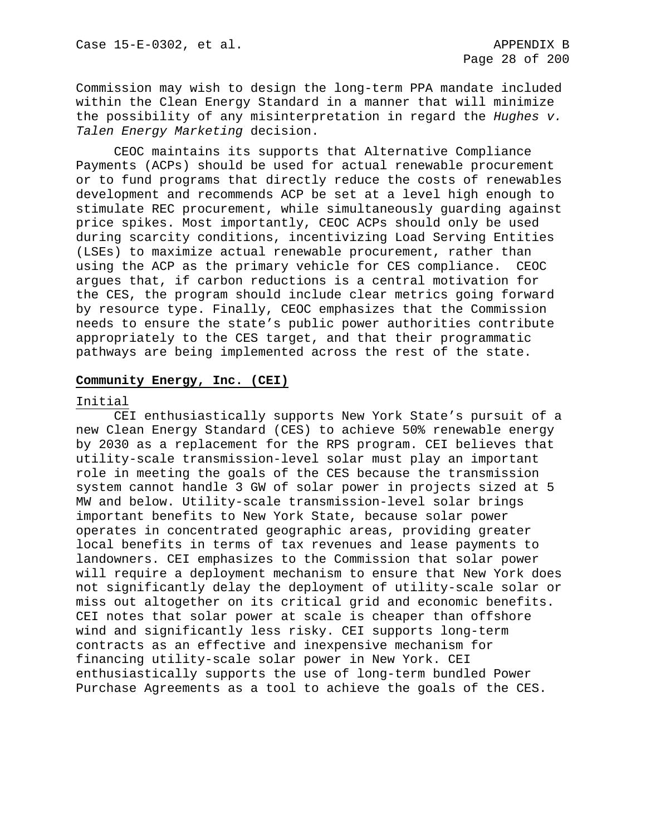Commission may wish to design the long-term PPA mandate included within the Clean Energy Standard in a manner that will minimize the possibility of any misinterpretation in regard the *Hughes v. Talen Energy Marketing* decision.

CEOC maintains its supports that Alternative Compliance Payments (ACPs) should be used for actual renewable procurement or to fund programs that directly reduce the costs of renewables development and recommends ACP be set at a level high enough to stimulate REC procurement, while simultaneously guarding against price spikes. Most importantly, CEOC ACPs should only be used during scarcity conditions, incentivizing Load Serving Entities (LSEs) to maximize actual renewable procurement, rather than using the ACP as the primary vehicle for CES compliance. CEOC argues that, if carbon reductions is a central motivation for the CES, the program should include clear metrics going forward by resource type. Finally, CEOC emphasizes that the Commission needs to ensure the state's public power authorities contribute appropriately to the CES target, and that their programmatic pathways are being implemented across the rest of the state.

#### **Community Energy, Inc. (CEI)**

#### Initial

CEI enthusiastically supports New York State's pursuit of a new Clean Energy Standard (CES) to achieve 50% renewable energy by 2030 as a replacement for the RPS program. CEI believes that utility-scale transmission-level solar must play an important role in meeting the goals of the CES because the transmission system cannot handle 3 GW of solar power in projects sized at 5 MW and below. Utility-scale transmission-level solar brings important benefits to New York State, because solar power operates in concentrated geographic areas, providing greater local benefits in terms of tax revenues and lease payments to landowners. CEI emphasizes to the Commission that solar power will require a deployment mechanism to ensure that New York does not significantly delay the deployment of utility-scale solar or miss out altogether on its critical grid and economic benefits. CEI notes that solar power at scale is cheaper than offshore wind and significantly less risky. CEI supports long-term contracts as an effective and inexpensive mechanism for financing utility-scale solar power in New York. CEI enthusiastically supports the use of long-term bundled Power Purchase Agreements as a tool to achieve the goals of the CES.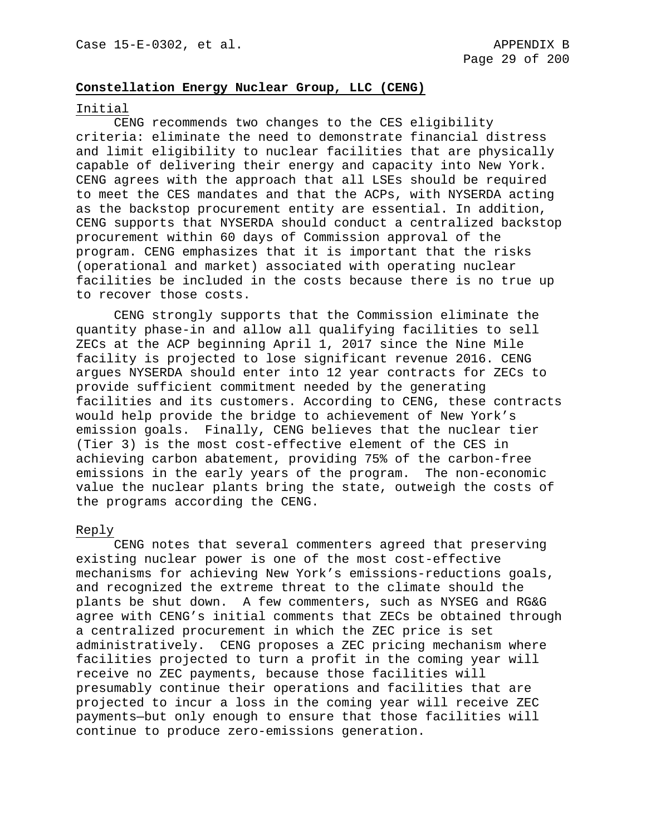## **Constellation Energy Nuclear Group, LLC (CENG)**

### Initial

CENG recommends two changes to the CES eligibility criteria: eliminate the need to demonstrate financial distress and limit eligibility to nuclear facilities that are physically capable of delivering their energy and capacity into New York. CENG agrees with the approach that all LSEs should be required to meet the CES mandates and that the ACPs, with NYSERDA acting as the backstop procurement entity are essential. In addition, CENG supports that NYSERDA should conduct a centralized backstop procurement within 60 days of Commission approval of the program. CENG emphasizes that it is important that the risks (operational and market) associated with operating nuclear facilities be included in the costs because there is no true up to recover those costs.

CENG strongly supports that the Commission eliminate the quantity phase-in and allow all qualifying facilities to sell ZECs at the ACP beginning April 1, 2017 since the Nine Mile facility is projected to lose significant revenue 2016. CENG argues NYSERDA should enter into 12 year contracts for ZECs to provide sufficient commitment needed by the generating facilities and its customers. According to CENG, these contracts would help provide the bridge to achievement of New York's emission goals. Finally, CENG believes that the nuclear tier (Tier 3) is the most cost-effective element of the CES in achieving carbon abatement, providing 75% of the carbon-free emissions in the early years of the program. The non-economic value the nuclear plants bring the state, outweigh the costs of the programs according the CENG.

#### Reply

CENG notes that several commenters agreed that preserving existing nuclear power is one of the most cost-effective mechanisms for achieving New York's emissions-reductions goals, and recognized the extreme threat to the climate should the plants be shut down. A few commenters, such as NYSEG and RG&G agree with CENG's initial comments that ZECs be obtained through a centralized procurement in which the ZEC price is set administratively. CENG proposes a ZEC pricing mechanism where facilities projected to turn a profit in the coming year will receive no ZEC payments, because those facilities will presumably continue their operations and facilities that are projected to incur a loss in the coming year will receive ZEC payments—but only enough to ensure that those facilities will continue to produce zero-emissions generation.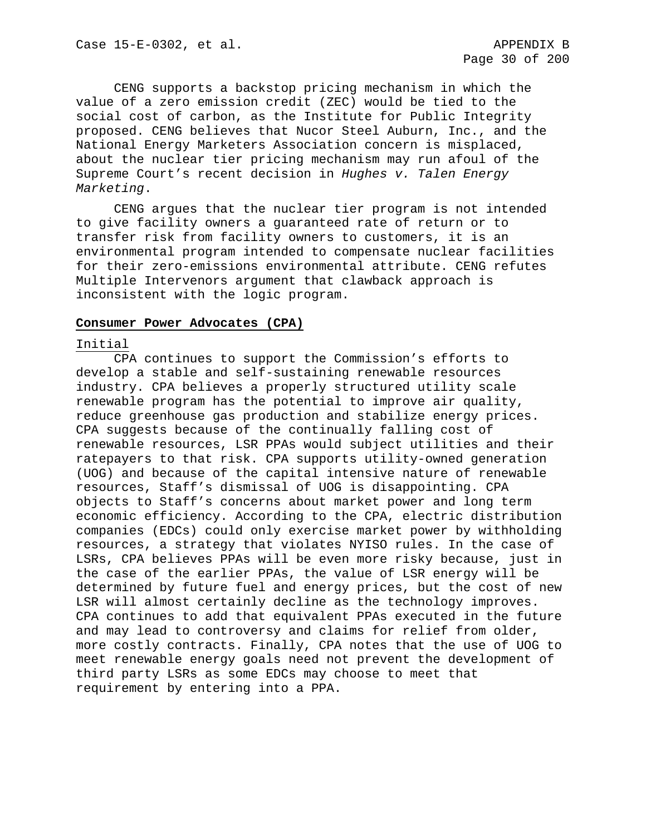CENG supports a backstop pricing mechanism in which the value of a zero emission credit (ZEC) would be tied to the social cost of carbon, as the Institute for Public Integrity proposed. CENG believes that Nucor Steel Auburn, Inc., and the National Energy Marketers Association concern is misplaced, about the nuclear tier pricing mechanism may run afoul of the Supreme Court's recent decision in *Hughes v. Talen Energy Marketing*.

CENG argues that the nuclear tier program is not intended to give facility owners a guaranteed rate of return or to transfer risk from facility owners to customers, it is an environmental program intended to compensate nuclear facilities for their zero-emissions environmental attribute. CENG refutes Multiple Intervenors argument that clawback approach is inconsistent with the logic program.

#### **Consumer Power Advocates (CPA)**

### Initial

CPA continues to support the Commission's efforts to develop a stable and self-sustaining renewable resources industry. CPA believes a properly structured utility scale renewable program has the potential to improve air quality, reduce greenhouse gas production and stabilize energy prices. CPA suggests because of the continually falling cost of renewable resources, LSR PPAs would subject utilities and their ratepayers to that risk. CPA supports utility-owned generation (UOG) and because of the capital intensive nature of renewable resources, Staff's dismissal of UOG is disappointing. CPA objects to Staff's concerns about market power and long term economic efficiency. According to the CPA, electric distribution companies (EDCs) could only exercise market power by withholding resources, a strategy that violates NYISO rules. In the case of LSRs, CPA believes PPAs will be even more risky because, just in the case of the earlier PPAs, the value of LSR energy will be determined by future fuel and energy prices, but the cost of new LSR will almost certainly decline as the technology improves. CPA continues to add that equivalent PPAs executed in the future and may lead to controversy and claims for relief from older, more costly contracts. Finally, CPA notes that the use of UOG to meet renewable energy goals need not prevent the development of third party LSRs as some EDCs may choose to meet that requirement by entering into a PPA.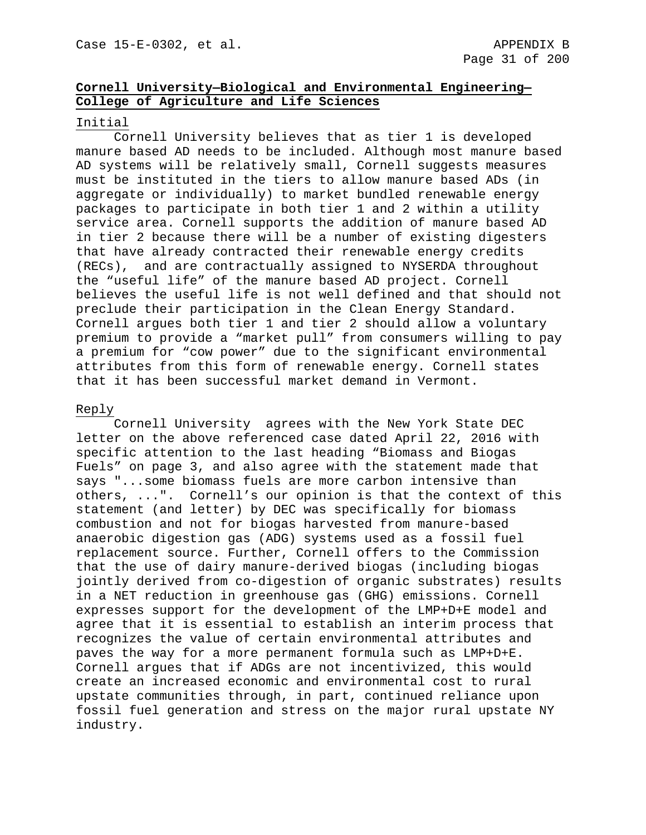# **Cornell University—Biological and Environmental Engineering— College of Agriculture and Life Sciences**

# Initial

Cornell University believes that as tier 1 is developed manure based AD needs to be included. Although most manure based AD systems will be relatively small, Cornell suggests measures must be instituted in the tiers to allow manure based ADs (in aggregate or individually) to market bundled renewable energy packages to participate in both tier 1 and 2 within a utility service area. Cornell supports the addition of manure based AD in tier 2 because there will be a number of existing digesters that have already contracted their renewable energy credits (RECs), and are contractually assigned to NYSERDA throughout the "useful life" of the manure based AD project. Cornell believes the useful life is not well defined and that should not preclude their participation in the Clean Energy Standard. Cornell argues both tier 1 and tier 2 should allow a voluntary premium to provide a "market pull" from consumers willing to pay a premium for "cow power" due to the significant environmental attributes from this form of renewable energy. Cornell states that it has been successful market demand in Vermont.

## Reply

Cornell University agrees with the New York State DEC letter on the above referenced case dated April 22, 2016 with specific attention to the last heading "Biomass and Biogas Fuels" on page 3, and also agree with the statement made that says "...some biomass fuels are more carbon intensive than others, ...". Cornell's our opinion is that the context of this statement (and letter) by DEC was specifically for biomass combustion and not for biogas harvested from manure-based anaerobic digestion gas (ADG) systems used as a fossil fuel replacement source. Further, Cornell offers to the Commission that the use of dairy manure-derived biogas (including biogas jointly derived from co-digestion of organic substrates) results in a NET reduction in greenhouse gas (GHG) emissions. Cornell expresses support for the development of the LMP+D+E model and agree that it is essential to establish an interim process that recognizes the value of certain environmental attributes and paves the way for a more permanent formula such as LMP+D+E. Cornell argues that if ADGs are not incentivized, this would create an increased economic and environmental cost to rural upstate communities through, in part, continued reliance upon fossil fuel generation and stress on the major rural upstate NY industry.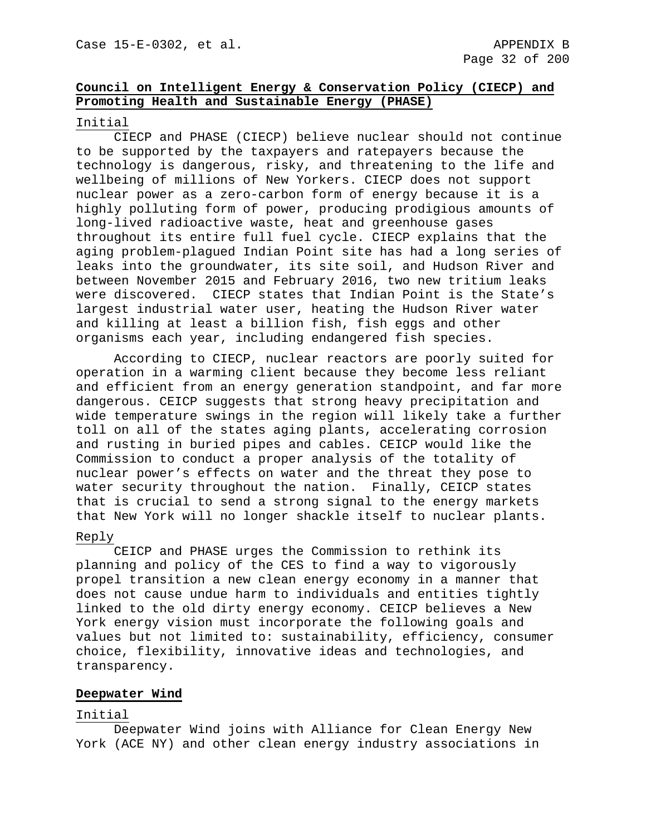# **Council on Intelligent Energy & Conservation Policy (CIECP) and Promoting Health and Sustainable Energy (PHASE)**

## Initial

CIECP and PHASE (CIECP) believe nuclear should not continue to be supported by the taxpayers and ratepayers because the technology is dangerous, risky, and threatening to the life and wellbeing of millions of New Yorkers. CIECP does not support nuclear power as a zero-carbon form of energy because it is a highly polluting form of power, producing prodigious amounts of long-lived radioactive waste, heat and greenhouse gases throughout its entire full fuel cycle. CIECP explains that the aging problem-plagued Indian Point site has had a long series of leaks into the groundwater, its site soil, and Hudson River and between November 2015 and February 2016, two new tritium leaks were discovered. CIECP states that Indian Point is the State's largest industrial water user, heating the Hudson River water and killing at least a billion fish, fish eggs and other organisms each year, including endangered fish species.

According to CIECP, nuclear reactors are poorly suited for operation in a warming client because they become less reliant and efficient from an energy generation standpoint, and far more dangerous. CEICP suggests that strong heavy precipitation and wide temperature swings in the region will likely take a further toll on all of the states aging plants, accelerating corrosion and rusting in buried pipes and cables. CEICP would like the Commission to conduct a proper analysis of the totality of nuclear power's effects on water and the threat they pose to water security throughout the nation. Finally, CEICP states that is crucial to send a strong signal to the energy markets that New York will no longer shackle itself to nuclear plants.

## Reply

CEICP and PHASE urges the Commission to rethink its planning and policy of the CES to find a way to vigorously propel transition a new clean energy economy in a manner that does not cause undue harm to individuals and entities tightly linked to the old dirty energy economy. CEICP believes a New York energy vision must incorporate the following goals and values but not limited to: sustainability, efficiency, consumer choice, flexibility, innovative ideas and technologies, and transparency.

## **Deepwater Wind**

## Initial

Deepwater Wind joins with Alliance for Clean Energy New York (ACE NY) and other clean energy industry associations in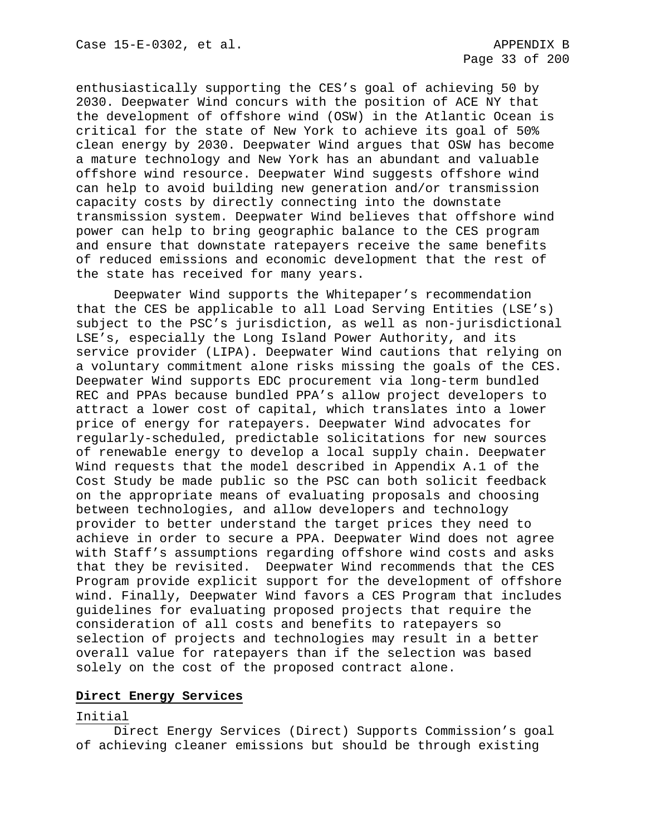enthusiastically supporting the CES's goal of achieving 50 by 2030. Deepwater Wind concurs with the position of ACE NY that the development of offshore wind (OSW) in the Atlantic Ocean is critical for the state of New York to achieve its goal of 50% clean energy by 2030. Deepwater Wind argues that OSW has become a mature technology and New York has an abundant and valuable offshore wind resource. Deepwater Wind suggests offshore wind can help to avoid building new generation and/or transmission capacity costs by directly connecting into the downstate transmission system. Deepwater Wind believes that offshore wind power can help to bring geographic balance to the CES program and ensure that downstate ratepayers receive the same benefits of reduced emissions and economic development that the rest of the state has received for many years.

Deepwater Wind supports the Whitepaper's recommendation that the CES be applicable to all Load Serving Entities (LSE's) subject to the PSC's jurisdiction, as well as non-jurisdictional LSE's, especially the Long Island Power Authority, and its service provider (LIPA). Deepwater Wind cautions that relying on a voluntary commitment alone risks missing the goals of the CES. Deepwater Wind supports EDC procurement via long-term bundled REC and PPAs because bundled PPA's allow project developers to attract a lower cost of capital, which translates into a lower price of energy for ratepayers. Deepwater Wind advocates for regularly-scheduled, predictable solicitations for new sources of renewable energy to develop a local supply chain. Deepwater Wind requests that the model described in Appendix A.1 of the Cost Study be made public so the PSC can both solicit feedback on the appropriate means of evaluating proposals and choosing between technologies, and allow developers and technology provider to better understand the target prices they need to achieve in order to secure a PPA. Deepwater Wind does not agree with Staff's assumptions regarding offshore wind costs and asks that they be revisited. Deepwater Wind recommends that the CES Program provide explicit support for the development of offshore wind. Finally, Deepwater Wind favors a CES Program that includes guidelines for evaluating proposed projects that require the consideration of all costs and benefits to ratepayers so selection of projects and technologies may result in a better overall value for ratepayers than if the selection was based solely on the cost of the proposed contract alone.

# **Direct Energy Services**

## Initial

Direct Energy Services (Direct) Supports Commission's goal of achieving cleaner emissions but should be through existing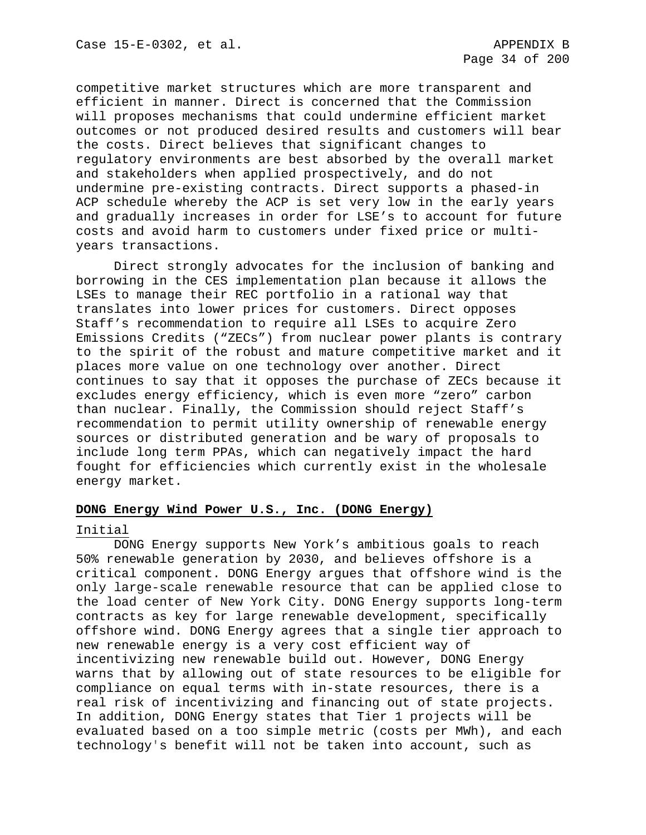competitive market structures which are more transparent and efficient in manner. Direct is concerned that the Commission will proposes mechanisms that could undermine efficient market outcomes or not produced desired results and customers will bear the costs. Direct believes that significant changes to regulatory environments are best absorbed by the overall market and stakeholders when applied prospectively, and do not undermine pre-existing contracts. Direct supports a phased-in ACP schedule whereby the ACP is set very low in the early years and gradually increases in order for LSE's to account for future costs and avoid harm to customers under fixed price or multiyears transactions.

Direct strongly advocates for the inclusion of banking and borrowing in the CES implementation plan because it allows the LSEs to manage their REC portfolio in a rational way that translates into lower prices for customers. Direct opposes Staff's recommendation to require all LSEs to acquire Zero Emissions Credits ("ZECs") from nuclear power plants is contrary to the spirit of the robust and mature competitive market and it places more value on one technology over another. Direct continues to say that it opposes the purchase of ZECs because it excludes energy efficiency, which is even more "zero" carbon than nuclear. Finally, the Commission should reject Staff's recommendation to permit utility ownership of renewable energy sources or distributed generation and be wary of proposals to include long term PPAs, which can negatively impact the hard fought for efficiencies which currently exist in the wholesale energy market.

## **DONG Energy Wind Power U.S., Inc. (DONG Energy)**

#### Initial

DONG Energy supports New York's ambitious goals to reach 50% renewable generation by 2030, and believes offshore is a critical component. DONG Energy argues that offshore wind is the only large-scale renewable resource that can be applied close to the load center of New York City. DONG Energy supports long-term contracts as key for large renewable development, specifically offshore wind. DONG Energy agrees that a single tier approach to new renewable energy is a very cost efficient way of incentivizing new renewable build out. However, DONG Energy warns that by allowing out of state resources to be eligible for compliance on equal terms with in-state resources, there is a real risk of incentivizing and financing out of state projects. In addition, DONG Energy states that Tier 1 projects will be evaluated based on a too simple metric (costs per MWh), and each technology's benefit will not be taken into account, such as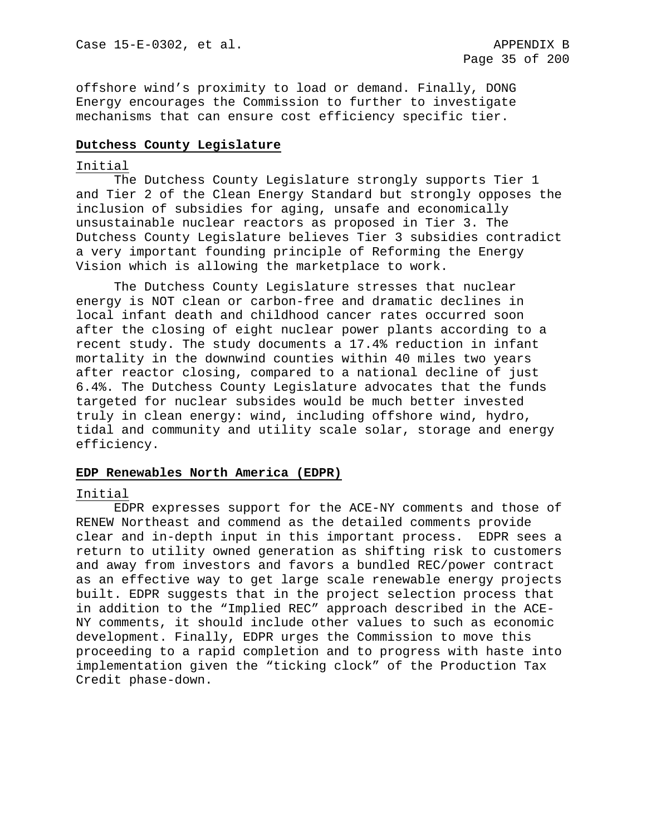offshore wind's proximity to load or demand. Finally, DONG Energy encourages the Commission to further to investigate mechanisms that can ensure cost efficiency specific tier.

## **Dutchess County Legislature**

## Initial

The Dutchess County Legislature strongly supports Tier 1 and Tier 2 of the Clean Energy Standard but strongly opposes the inclusion of subsidies for aging, unsafe and economically unsustainable nuclear reactors as proposed in Tier 3. The Dutchess County Legislature believes Tier 3 subsidies contradict a very important founding principle of Reforming the Energy Vision which is allowing the marketplace to work.

The Dutchess County Legislature stresses that nuclear energy is NOT clean or carbon-free and dramatic declines in local infant death and childhood cancer rates occurred soon after the closing of eight nuclear power plants according to a recent study. The study documents a 17.4% reduction in infant mortality in the downwind counties within 40 miles two years after reactor closing, compared to a national decline of just 6.4%. The Dutchess County Legislature advocates that the funds targeted for nuclear subsides would be much better invested truly in clean energy: wind, including offshore wind, hydro, tidal and community and utility scale solar, storage and energy efficiency.

## **EDP Renewables North America (EDPR)**

## Initial

EDPR expresses support for the ACE-NY comments and those of RENEW Northeast and commend as the detailed comments provide clear and in-depth input in this important process. EDPR sees a return to utility owned generation as shifting risk to customers and away from investors and favors a bundled REC/power contract as an effective way to get large scale renewable energy projects built. EDPR suggests that in the project selection process that in addition to the "Implied REC" approach described in the ACE-NY comments, it should include other values to such as economic development. Finally, EDPR urges the Commission to move this proceeding to a rapid completion and to progress with haste into implementation given the "ticking clock" of the Production Tax Credit phase-down.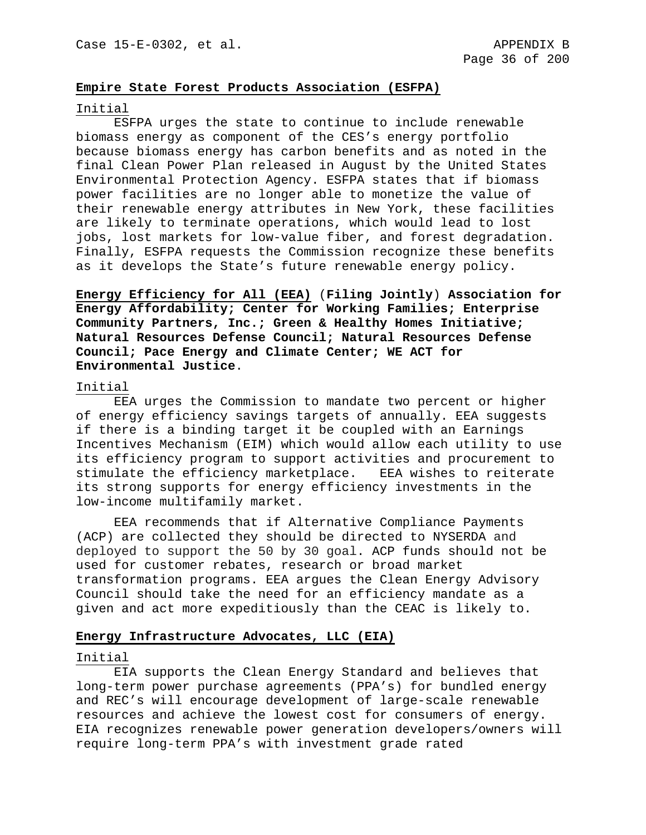## **Empire State Forest Products Association (ESFPA)**

#### Initial

ESFPA urges the state to continue to include renewable biomass energy as component of the CES's energy portfolio because biomass energy has carbon benefits and as noted in the final Clean Power Plan released in August by the United States Environmental Protection Agency. ESFPA states that if biomass power facilities are no longer able to monetize the value of their renewable energy attributes in New York, these facilities are likely to terminate operations, which would lead to lost jobs, lost markets for low-value fiber, and forest degradation. Finally, ESFPA requests the Commission recognize these benefits as it develops the State's future renewable energy policy.

**Energy Efficiency for All (EEA)** (**Filing Jointly**) **Association for Energy Affordability; Center for Working Families; Enterprise Community Partners, Inc.; Green & Healthy Homes Initiative; Natural Resources Defense Council; Natural Resources Defense Council; Pace Energy and Climate Center; WE ACT for Environmental Justice**.

#### Initial

EEA urges the Commission to mandate two percent or higher of energy efficiency savings targets of annually. EEA suggests if there is a binding target it be coupled with an Earnings Incentives Mechanism (EIM) which would allow each utility to use its efficiency program to support activities and procurement to stimulate the efficiency marketplace. EEA wishes to reiterate its strong supports for energy efficiency investments in the low-income multifamily market.

EEA recommends that if Alternative Compliance Payments (ACP) are collected they should be directed to NYSERDA and deployed to support the 50 by 30 goal. ACP funds should not be used for customer rebates, research or broad market transformation programs. EEA argues the Clean Energy Advisory Council should take the need for an efficiency mandate as a given and act more expeditiously than the CEAC is likely to.

## **Energy Infrastructure Advocates, LLC (EIA)**

## Initial

EIA supports the Clean Energy Standard and believes that long-term power purchase agreements (PPA's) for bundled energy and REC's will encourage development of large-scale renewable resources and achieve the lowest cost for consumers of energy. EIA recognizes renewable power generation developers/owners will require long-term PPA's with investment grade rated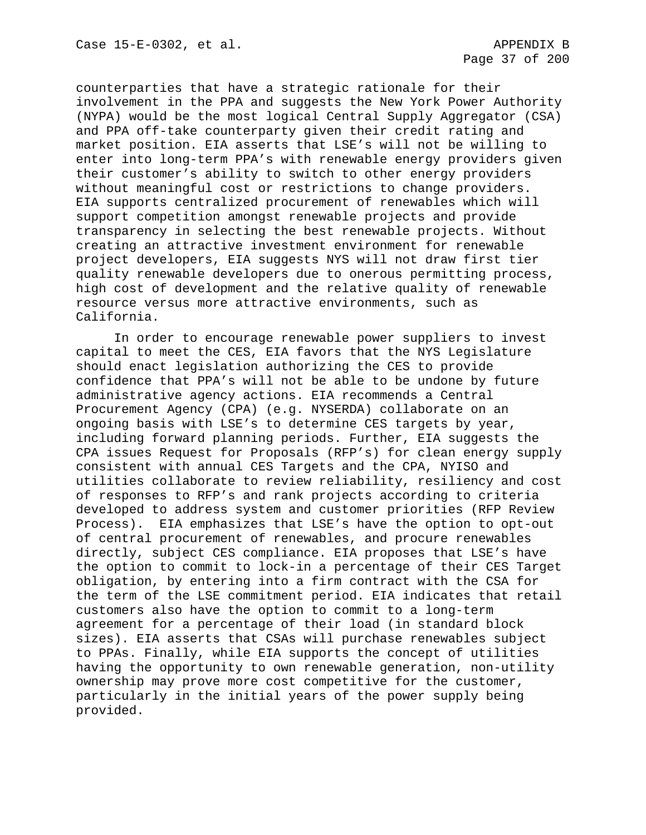counterparties that have a strategic rationale for their involvement in the PPA and suggests the New York Power Authority (NYPA) would be the most logical Central Supply Aggregator (CSA) and PPA off-take counterparty given their credit rating and market position. EIA asserts that LSE's will not be willing to enter into long-term PPA's with renewable energy providers given their customer's ability to switch to other energy providers without meaningful cost or restrictions to change providers. EIA supports centralized procurement of renewables which will support competition amongst renewable projects and provide transparency in selecting the best renewable projects. Without creating an attractive investment environment for renewable project developers, EIA suggests NYS will not draw first tier quality renewable developers due to onerous permitting process, high cost of development and the relative quality of renewable resource versus more attractive environments, such as California.

In order to encourage renewable power suppliers to invest capital to meet the CES, EIA favors that the NYS Legislature should enact legislation authorizing the CES to provide confidence that PPA's will not be able to be undone by future administrative agency actions. EIA recommends a Central Procurement Agency (CPA) (e.g. NYSERDA) collaborate on an ongoing basis with LSE's to determine CES targets by year, including forward planning periods. Further, EIA suggests the CPA issues Request for Proposals (RFP's) for clean energy supply consistent with annual CES Targets and the CPA, NYISO and utilities collaborate to review reliability, resiliency and cost of responses to RFP's and rank projects according to criteria developed to address system and customer priorities (RFP Review Process). EIA emphasizes that LSE's have the option to opt-out of central procurement of renewables, and procure renewables directly, subject CES compliance. EIA proposes that LSE's have the option to commit to lock-in a percentage of their CES Target obligation, by entering into a firm contract with the CSA for the term of the LSE commitment period. EIA indicates that retail customers also have the option to commit to a long-term agreement for a percentage of their load (in standard block sizes). EIA asserts that CSAs will purchase renewables subject to PPAs. Finally, while EIA supports the concept of utilities having the opportunity to own renewable generation, non-utility ownership may prove more cost competitive for the customer, particularly in the initial years of the power supply being provided.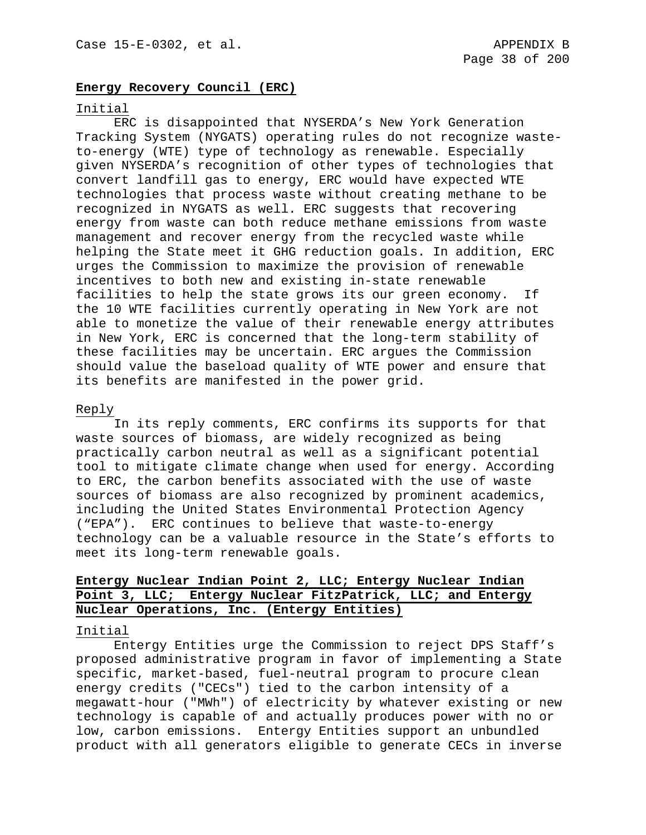## **Energy Recovery Council (ERC)**

### Initial

ERC is disappointed that NYSERDA's New York Generation Tracking System (NYGATS) operating rules do not recognize wasteto-energy (WTE) type of technology as renewable. Especially given NYSERDA's recognition of other types of technologies that convert landfill gas to energy, ERC would have expected WTE technologies that process waste without creating methane to be recognized in NYGATS as well. ERC suggests that recovering energy from waste can both reduce methane emissions from waste management and recover energy from the recycled waste while helping the State meet it GHG reduction goals. In addition, ERC urges the Commission to maximize the provision of renewable incentives to both new and existing in-state renewable facilities to help the state grows its our green economy. If the 10 WTE facilities currently operating in New York are not able to monetize the value of their renewable energy attributes in New York, ERC is concerned that the long-term stability of these facilities may be uncertain. ERC argues the Commission should value the baseload quality of WTE power and ensure that its benefits are manifested in the power grid.

## Reply

In its reply comments, ERC confirms its supports for that waste sources of biomass, are widely recognized as being practically carbon neutral as well as a significant potential tool to mitigate climate change when used for energy. According to ERC, the carbon benefits associated with the use of waste sources of biomass are also recognized by prominent academics, including the United States Environmental Protection Agency ("EPA"). ERC continues to believe that waste-to-energy technology can be a valuable resource in the State's efforts to meet its long-term renewable goals.

# **Entergy Nuclear Indian Point 2, LLC; Entergy Nuclear Indian Point 3, LLC; Entergy Nuclear FitzPatrick, LLC; and Entergy Nuclear Operations, Inc. (Entergy Entities)**

#### Initial

Entergy Entities urge the Commission to reject DPS Staff's proposed administrative program in favor of implementing a State specific, market-based, fuel-neutral program to procure clean energy credits ("CECs") tied to the carbon intensity of a megawatt-hour ("MWh") of electricity by whatever existing or new technology is capable of and actually produces power with no or low, carbon emissions. Entergy Entities support an unbundled product with all generators eligible to generate CECs in inverse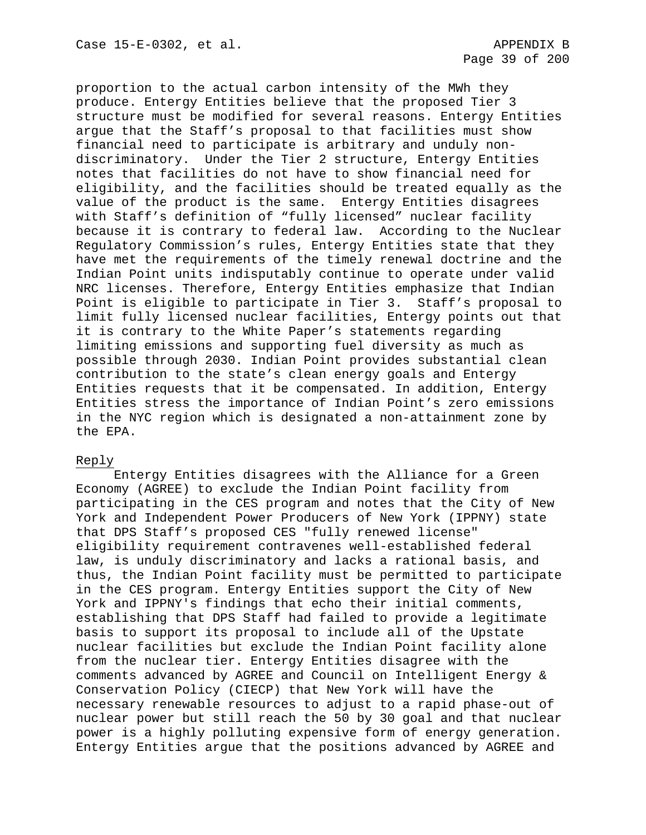proportion to the actual carbon intensity of the MWh they produce. Entergy Entities believe that the proposed Tier 3 structure must be modified for several reasons. Entergy Entities argue that the Staff's proposal to that facilities must show financial need to participate is arbitrary and unduly nondiscriminatory. Under the Tier 2 structure, Entergy Entities notes that facilities do not have to show financial need for eligibility, and the facilities should be treated equally as the value of the product is the same. Entergy Entities disagrees with Staff's definition of "fully licensed" nuclear facility because it is contrary to federal law. According to the Nuclear Regulatory Commission's rules, Entergy Entities state that they have met the requirements of the timely renewal doctrine and the Indian Point units indisputably continue to operate under valid NRC licenses. Therefore, Entergy Entities emphasize that Indian Point is eligible to participate in Tier 3. Staff's proposal to limit fully licensed nuclear facilities, Entergy points out that it is contrary to the White Paper's statements regarding limiting emissions and supporting fuel diversity as much as possible through 2030. Indian Point provides substantial clean contribution to the state's clean energy goals and Entergy Entities requests that it be compensated. In addition, Entergy Entities stress the importance of Indian Point's zero emissions in the NYC region which is designated a non-attainment zone by the EPA.

## Reply

Entergy Entities disagrees with the Alliance for a Green Economy (AGREE) to exclude the Indian Point facility from participating in the CES program and notes that the City of New York and Independent Power Producers of New York (IPPNY) state that DPS Staff's proposed CES "fully renewed license" eligibility requirement contravenes well-established federal law, is unduly discriminatory and lacks a rational basis, and thus, the Indian Point facility must be permitted to participate in the CES program. Entergy Entities support the City of New York and IPPNY's findings that echo their initial comments, establishing that DPS Staff had failed to provide a legitimate basis to support its proposal to include all of the Upstate nuclear facilities but exclude the Indian Point facility alone from the nuclear tier. Entergy Entities disagree with the comments advanced by AGREE and Council on Intelligent Energy & Conservation Policy (CIECP) that New York will have the necessary renewable resources to adjust to a rapid phase-out of nuclear power but still reach the 50 by 30 goal and that nuclear power is a highly polluting expensive form of energy generation. Entergy Entities argue that the positions advanced by AGREE and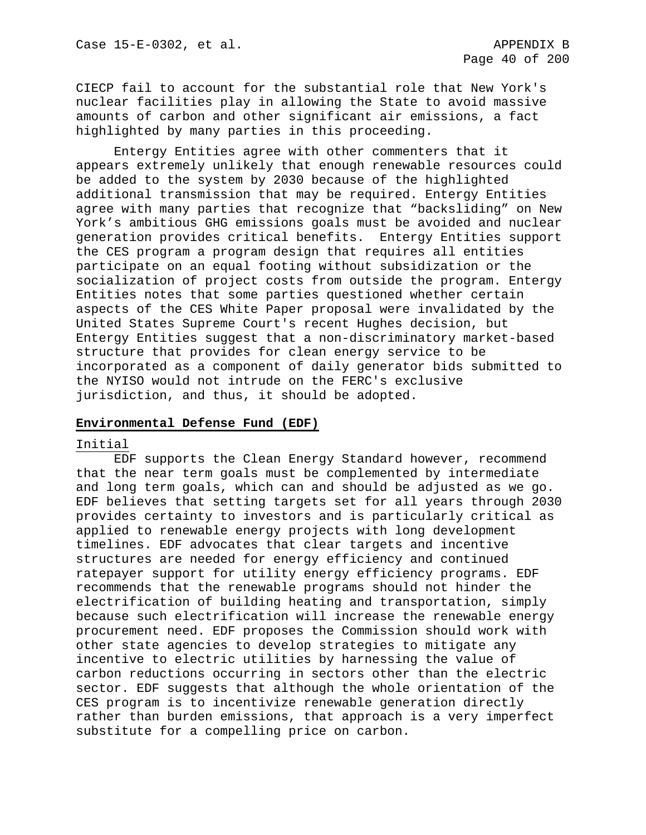CIECP fail to account for the substantial role that New York's nuclear facilities play in allowing the State to avoid massive amounts of carbon and other significant air emissions, a fact highlighted by many parties in this proceeding.

Entergy Entities agree with other commenters that it appears extremely unlikely that enough renewable resources could be added to the system by 2030 because of the highlighted additional transmission that may be required. Entergy Entities agree with many parties that recognize that "backsliding" on New York's ambitious GHG emissions goals must be avoided and nuclear generation provides critical benefits. Entergy Entities support the CES program a program design that requires all entities participate on an equal footing without subsidization or the socialization of project costs from outside the program. Entergy Entities notes that some parties questioned whether certain aspects of the CES White Paper proposal were invalidated by the United States Supreme Court's recent Hughes decision, but Entergy Entities suggest that a non-discriminatory market-based structure that provides for clean energy service to be incorporated as a component of daily generator bids submitted to the NYISO would not intrude on the FERC's exclusive jurisdiction, and thus, it should be adopted.

## **Environmental Defense Fund (EDF)**

#### Initial

EDF supports the Clean Energy Standard however, recommend that the near term goals must be complemented by intermediate and long term goals, which can and should be adjusted as we go. EDF believes that setting targets set for all years through 2030 provides certainty to investors and is particularly critical as applied to renewable energy projects with long development timelines. EDF advocates that clear targets and incentive structures are needed for energy efficiency and continued ratepayer support for utility energy efficiency programs. EDF recommends that the renewable programs should not hinder the electrification of building heating and transportation, simply because such electrification will increase the renewable energy procurement need. EDF proposes the Commission should work with other state agencies to develop strategies to mitigate any incentive to electric utilities by harnessing the value of carbon reductions occurring in sectors other than the electric sector. EDF suggests that although the whole orientation of the CES program is to incentivize renewable generation directly rather than burden emissions, that approach is a very imperfect substitute for a compelling price on carbon.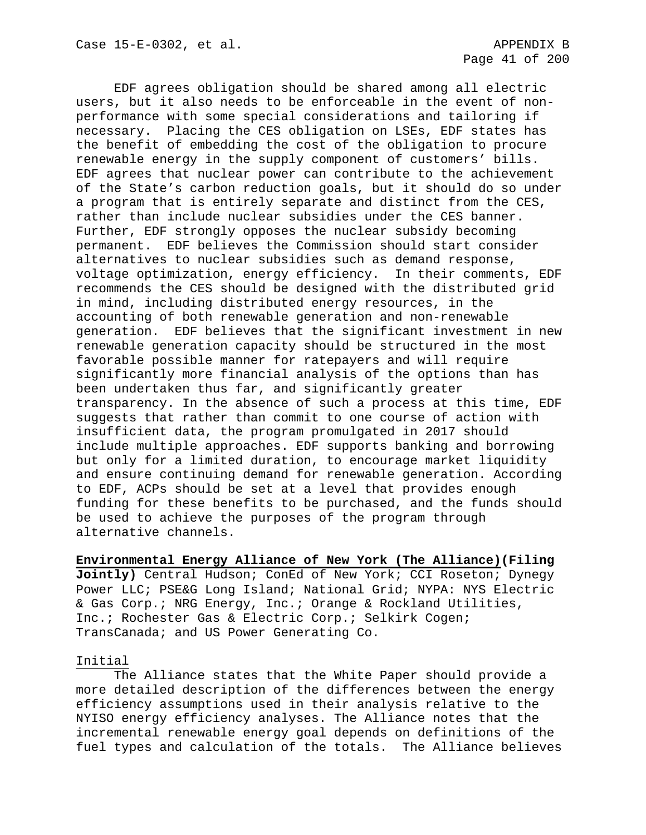EDF agrees obligation should be shared among all electric users, but it also needs to be enforceable in the event of nonperformance with some special considerations and tailoring if necessary. Placing the CES obligation on LSEs, EDF states has the benefit of embedding the cost of the obligation to procure renewable energy in the supply component of customers' bills. EDF agrees that nuclear power can contribute to the achievement of the State's carbon reduction goals, but it should do so under a program that is entirely separate and distinct from the CES, rather than include nuclear subsidies under the CES banner. Further, EDF strongly opposes the nuclear subsidy becoming permanent. EDF believes the Commission should start consider alternatives to nuclear subsidies such as demand response, voltage optimization, energy efficiency. In their comments, EDF recommends the CES should be designed with the distributed grid in mind, including distributed energy resources, in the accounting of both renewable generation and non-renewable generation. EDF believes that the significant investment in new renewable generation capacity should be structured in the most favorable possible manner for ratepayers and will require significantly more financial analysis of the options than has been undertaken thus far, and significantly greater transparency. In the absence of such a process at this time, EDF suggests that rather than commit to one course of action with insufficient data, the program promulgated in 2017 should include multiple approaches. EDF supports banking and borrowing but only for a limited duration, to encourage market liquidity and ensure continuing demand for renewable generation. According to EDF, ACPs should be set at a level that provides enough funding for these benefits to be purchased, and the funds should be used to achieve the purposes of the program through alternative channels.

**Environmental Energy Alliance of New York (The Alliance)(Filing Jointly)** Central Hudson; ConEd of New York; CCI Roseton; Dynegy Power LLC; PSE&G Long Island; National Grid; NYPA: NYS Electric & Gas Corp.; NRG Energy, Inc.; Orange & Rockland Utilities, Inc.; Rochester Gas & Electric Corp.; Selkirk Cogen; TransCanada; and US Power Generating Co.

## Initial

The Alliance states that the White Paper should provide a more detailed description of the differences between the energy efficiency assumptions used in their analysis relative to the NYISO energy efficiency analyses. The Alliance notes that the incremental renewable energy goal depends on definitions of the fuel types and calculation of the totals. The Alliance believes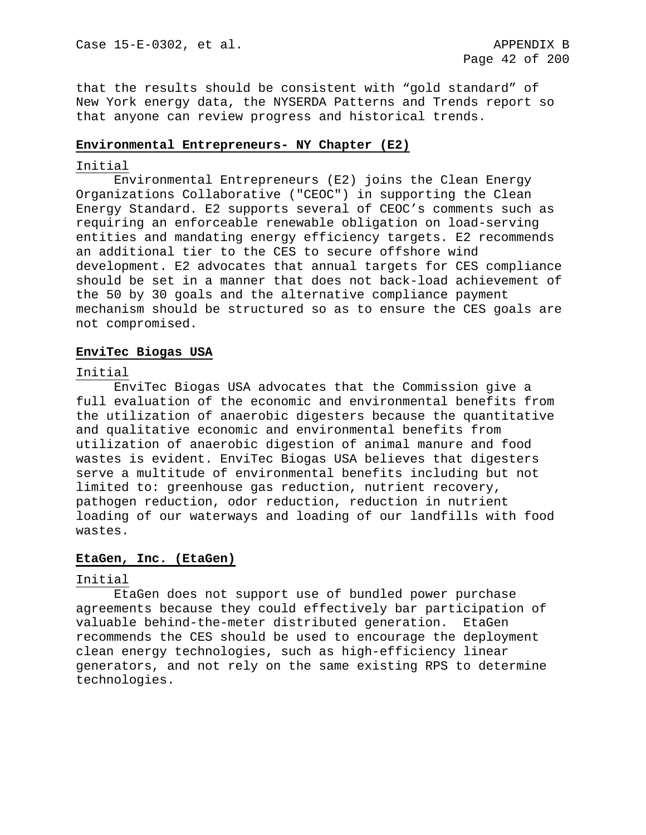that the results should be consistent with "gold standard" of New York energy data, the NYSERDA Patterns and Trends report so that anyone can review progress and historical trends.

## **Environmental Entrepreneurs- NY Chapter (E2)**

## Initial

Environmental Entrepreneurs (E2) joins the Clean Energy Organizations Collaborative ("CEOC") in supporting the Clean Energy Standard. E2 supports several of CEOC's comments such as requiring an enforceable renewable obligation on load-serving entities and mandating energy efficiency targets. E2 recommends an additional tier to the CES to secure offshore wind development. E2 advocates that annual targets for CES compliance should be set in a manner that does not back-load achievement of the 50 by 30 goals and the alternative compliance payment mechanism should be structured so as to ensure the CES goals are not compromised.

## **EnviTec Biogas USA**

## Initial

EnviTec Biogas USA advocates that the Commission give a full evaluation of the economic and environmental benefits from the utilization of anaerobic digesters because the quantitative and qualitative economic and environmental benefits from utilization of anaerobic digestion of animal manure and food wastes is evident. EnviTec Biogas USA believes that digesters serve a multitude of environmental benefits including but not limited to: greenhouse gas reduction, nutrient recovery, pathogen reduction, odor reduction, reduction in nutrient loading of our waterways and loading of our landfills with food wastes.

# **EtaGen, Inc. (EtaGen)**

# Initial

EtaGen does not support use of bundled power purchase agreements because they could effectively bar participation of valuable behind-the-meter distributed generation. EtaGen recommends the CES should be used to encourage the deployment clean energy technologies, such as high-efficiency linear generators, and not rely on the same existing RPS to determine technologies.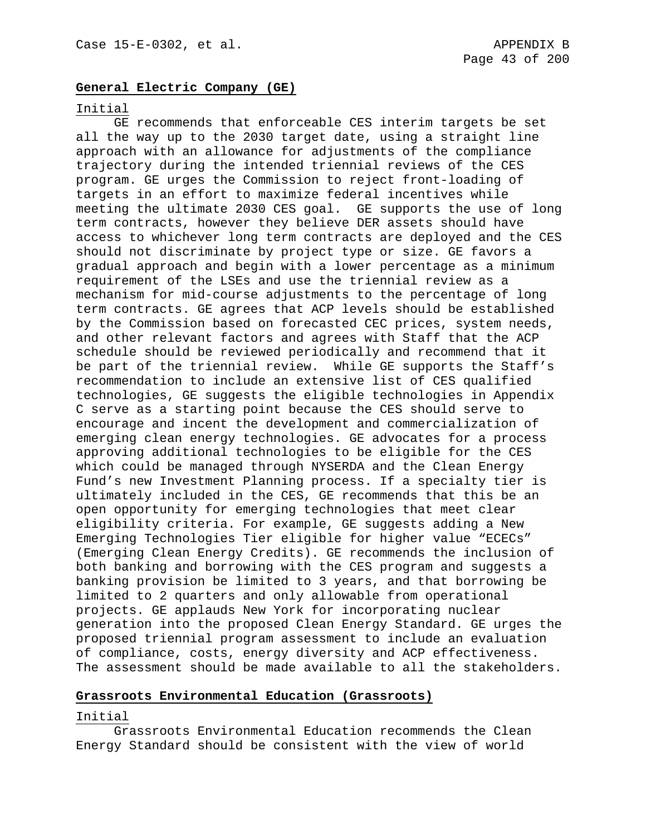## **General Electric Company (GE)**

### Initial

GE recommends that enforceable CES interim targets be set all the way up to the 2030 target date, using a straight line approach with an allowance for adjustments of the compliance trajectory during the intended triennial reviews of the CES program. GE urges the Commission to reject front-loading of targets in an effort to maximize federal incentives while meeting the ultimate 2030 CES goal. GE supports the use of long term contracts, however they believe DER assets should have access to whichever long term contracts are deployed and the CES should not discriminate by project type or size. GE favors a gradual approach and begin with a lower percentage as a minimum requirement of the LSEs and use the triennial review as a mechanism for mid-course adjustments to the percentage of long term contracts. GE agrees that ACP levels should be established by the Commission based on forecasted CEC prices, system needs, and other relevant factors and agrees with Staff that the ACP schedule should be reviewed periodically and recommend that it be part of the triennial review. While GE supports the Staff's recommendation to include an extensive list of CES qualified technologies, GE suggests the eligible technologies in Appendix C serve as a starting point because the CES should serve to encourage and incent the development and commercialization of emerging clean energy technologies. GE advocates for a process approving additional technologies to be eligible for the CES which could be managed through NYSERDA and the Clean Energy Fund's new Investment Planning process. If a specialty tier is ultimately included in the CES, GE recommends that this be an open opportunity for emerging technologies that meet clear eligibility criteria. For example, GE suggests adding a New Emerging Technologies Tier eligible for higher value "ECECs" (Emerging Clean Energy Credits). GE recommends the inclusion of both banking and borrowing with the CES program and suggests a banking provision be limited to 3 years, and that borrowing be limited to 2 quarters and only allowable from operational projects. GE applauds New York for incorporating nuclear generation into the proposed Clean Energy Standard. GE urges the proposed triennial program assessment to include an evaluation of compliance, costs, energy diversity and ACP effectiveness. The assessment should be made available to all the stakeholders.

## **Grassroots Environmental Education (Grassroots)**

## Initial

Grassroots Environmental Education recommends the Clean Energy Standard should be consistent with the view of world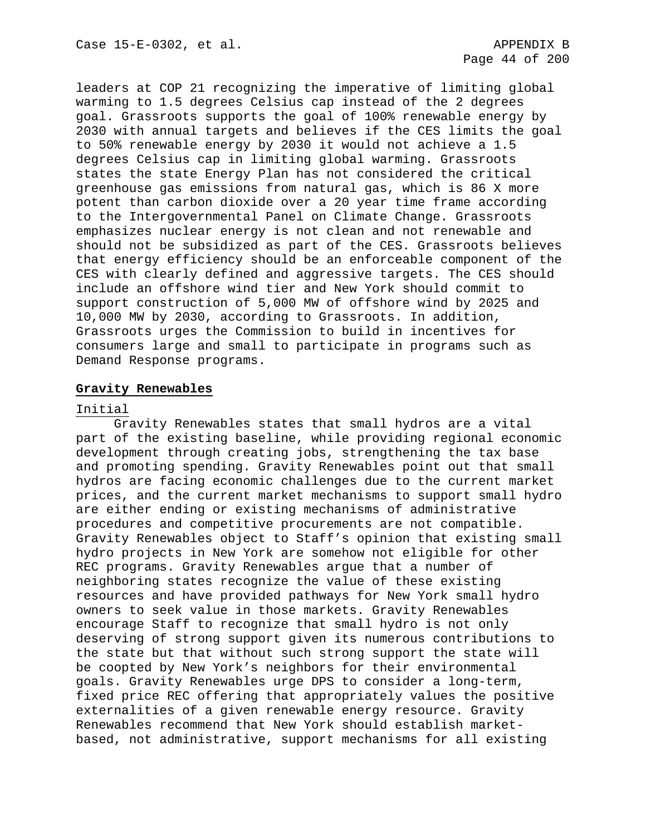leaders at COP 21 recognizing the imperative of limiting global warming to 1.5 degrees Celsius cap instead of the 2 degrees goal. Grassroots supports the goal of 100% renewable energy by 2030 with annual targets and believes if the CES limits the goal to 50% renewable energy by 2030 it would not achieve a 1.5 degrees Celsius cap in limiting global warming. Grassroots states the state Energy Plan has not considered the critical greenhouse gas emissions from natural gas, which is 86 X more potent than carbon dioxide over a 20 year time frame according to the Intergovernmental Panel on Climate Change. Grassroots emphasizes nuclear energy is not clean and not renewable and should not be subsidized as part of the CES. Grassroots believes that energy efficiency should be an enforceable component of the CES with clearly defined and aggressive targets. The CES should include an offshore wind tier and New York should commit to support construction of 5,000 MW of offshore wind by 2025 and 10,000 MW by 2030, according to Grassroots. In addition, Grassroots urges the Commission to build in incentives for consumers large and small to participate in programs such as Demand Response programs.

# **Gravity Renewables**

## Initial

Gravity Renewables states that small hydros are a vital part of the existing baseline, while providing regional economic development through creating jobs, strengthening the tax base and promoting spending. Gravity Renewables point out that small hydros are facing economic challenges due to the current market prices, and the current market mechanisms to support small hydro are either ending or existing mechanisms of administrative procedures and competitive procurements are not compatible. Gravity Renewables object to Staff's opinion that existing small hydro projects in New York are somehow not eligible for other REC programs. Gravity Renewables argue that a number of neighboring states recognize the value of these existing resources and have provided pathways for New York small hydro owners to seek value in those markets. Gravity Renewables encourage Staff to recognize that small hydro is not only deserving of strong support given its numerous contributions to the state but that without such strong support the state will be coopted by New York's neighbors for their environmental goals. Gravity Renewables urge DPS to consider a long-term, fixed price REC offering that appropriately values the positive externalities of a given renewable energy resource. Gravity Renewables recommend that New York should establish marketbased, not administrative, support mechanisms for all existing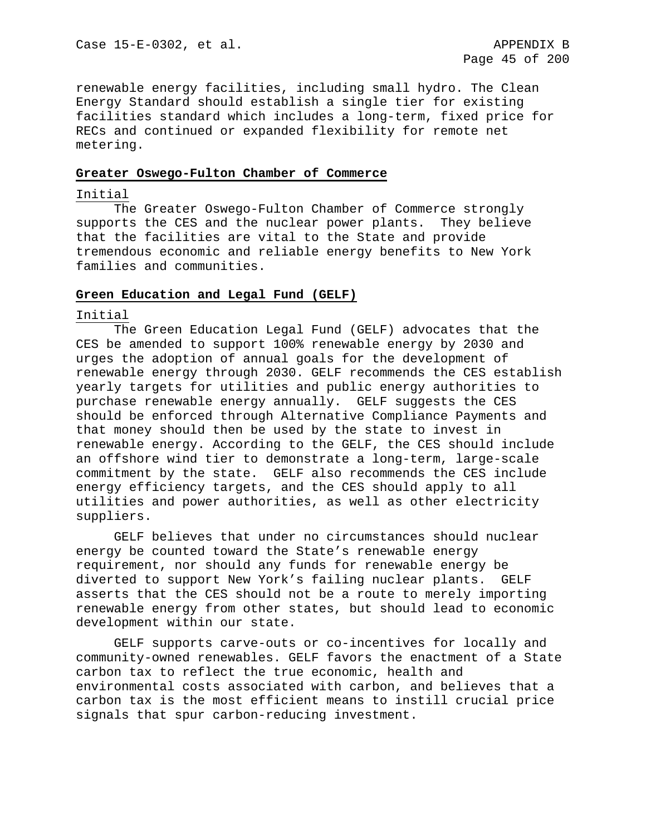renewable energy facilities, including small hydro. The Clean Energy Standard should establish a single tier for existing facilities standard which includes a long-term, fixed price for RECs and continued or expanded flexibility for remote net metering.

## **Greater Oswego-Fulton Chamber of Commerce**

## Initial

The Greater Oswego-Fulton Chamber of Commerce strongly<br>rts the CES and the nuclear power plants. They believe supports the CES and the nuclear power plants. that the facilities are vital to the State and provide tremendous economic and reliable energy benefits to New York families and communities.

### **Green Education and Legal Fund (GELF)**

## Initial

The Green Education Legal Fund (GELF) advocates that the CES be amended to support 100% renewable energy by 2030 and urges the adoption of annual goals for the development of renewable energy through 2030. GELF recommends the CES establish yearly targets for utilities and public energy authorities to purchase renewable energy annually. GELF suggests the CES should be enforced through Alternative Compliance Payments and that money should then be used by the state to invest in renewable energy. According to the GELF, the CES should include an offshore wind tier to demonstrate a long-term, large-scale commitment by the state. GELF also recommends the CES include energy efficiency targets, and the CES should apply to all utilities and power authorities, as well as other electricity suppliers.

GELF believes that under no circumstances should nuclear energy be counted toward the State's renewable energy requirement, nor should any funds for renewable energy be diverted to support New York's failing nuclear plants. GELF asserts that the CES should not be a route to merely importing renewable energy from other states, but should lead to economic development within our state.

GELF supports carve-outs or co-incentives for locally and community-owned renewables. GELF favors the enactment of a State carbon tax to reflect the true economic, health and environmental costs associated with carbon, and believes that a carbon tax is the most efficient means to instill crucial price signals that spur carbon-reducing investment.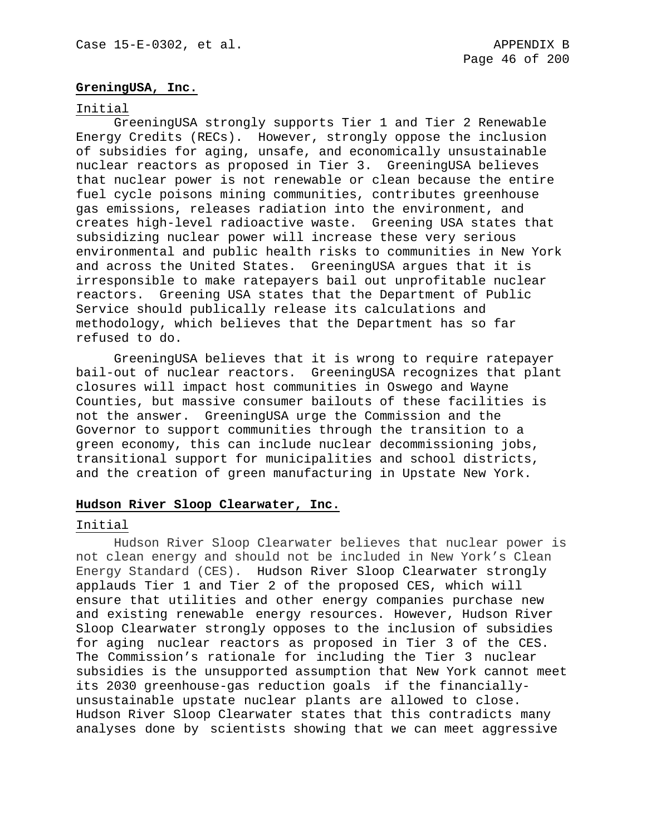## **GreningUSA, Inc.**

### Initial

GreeningUSA strongly supports Tier 1 and Tier 2 Renewable Energy Credits (RECs). However, strongly oppose the inclusion of subsidies for aging, unsafe, and economically unsustainable nuclear reactors as proposed in Tier 3. GreeningUSA believes that nuclear power is not renewable or clean because the entire fuel cycle poisons mining communities, contributes greenhouse gas emissions, releases radiation into the environment, and creates high-level radioactive waste. Greening USA states that subsidizing nuclear power will increase these very serious environmental and public health risks to communities in New York and across the United States. GreeningUSA argues that it is irresponsible to make ratepayers bail out unprofitable nuclear reactors. Greening USA states that the Department of Public Service should publically release its calculations and methodology, which believes that the Department has so far refused to do.

GreeningUSA believes that it is wrong to require ratepayer bail-out of nuclear reactors. GreeningUSA recognizes that plant closures will impact host communities in Oswego and Wayne Counties, but massive consumer bailouts of these facilities is not the answer. GreeningUSA urge the Commission and the Governor to support communities through the transition to a green economy, this can include nuclear decommissioning jobs, transitional support for municipalities and school districts, and the creation of green manufacturing in Upstate New York.

## **Hudson River Sloop Clearwater, Inc.**

#### Initial

Hudson River Sloop Clearwater believes that nuclear power is not clean energy and should not be included in New York's Clean Energy Standard (CES). Hudson River Sloop Clearwater strongly applauds Tier 1 and Tier 2 of the proposed CES, which will ensure that utilities and other energy companies purchase new and existing renewable energy resources. However, Hudson River Sloop Clearwater strongly opposes to the inclusion of subsidies for aging nuclear reactors as proposed in Tier 3 of the CES. The Commission's rationale for including the Tier 3 nuclear subsidies is the unsupported assumption that New York cannot meet its 2030 greenhouse-gas reduction goals if the financiallyunsustainable upstate nuclear plants are allowed to close. Hudson River Sloop Clearwater states that this contradicts many analyses done by scientists showing that we can meet aggressive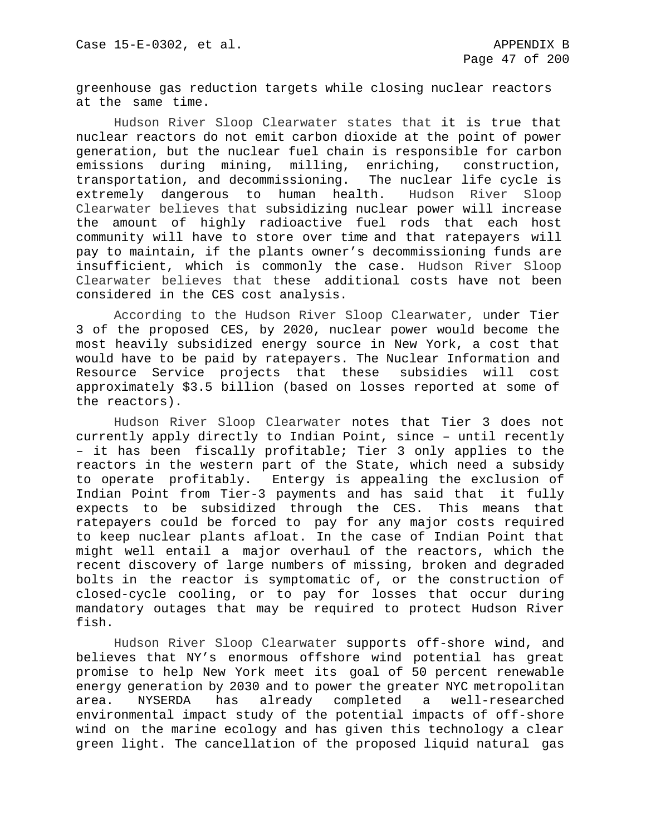greenhouse gas reduction targets while closing nuclear reactors at the same time.

Hudson River Sloop Clearwater states that it is true that nuclear reactors do not emit carbon dioxide at the point of power generation, but the nuclear fuel chain is responsible for carbon<br>emissions during mining, milling, enriching, construction, emissions during mining, milling, enriching, transportation, and decommissioning. The nuclear life cycle is<br>extremely dangerous to human health. Hudson River Sloop extremely dangerous to human health. Clearwater believes that subsidizing nuclear power will increase the amount of highly radioactive fuel rods that each host community will have to store over time and that ratepayers will pay to maintain, if the plants owner's decommissioning funds are insufficient, which is commonly the case. Hudson River Sloop Clearwater believes that these additional costs have not been considered in the CES cost analysis.

According to the Hudson River Sloop Clearwater, under Tier 3 of the proposed CES, by 2020, nuclear power would become the most heavily subsidized energy source in New York, a cost that would have to be paid by ratepayers. The Nuclear Information and Resource Service projects that these subsidies will cost approximately \$3.5 billion (based on losses reported at some of the reactors).

Hudson River Sloop Clearwater notes that Tier 3 does not currently apply directly to Indian Point, since – until recently – it has been fiscally profitable; Tier 3 only applies to the reactors in the western part of the State, which need a subsidy to operate profitably. Entergy is appealing the exclusion of Indian Point from Tier-3 payments and has said that it fully expects to be subsidized through the CES. This means that ratepayers could be forced to pay for any major costs required to keep nuclear plants afloat. In the case of Indian Point that might well entail a major overhaul of the reactors, which the recent discovery of large numbers of missing, broken and degraded bolts in the reactor is symptomatic of, or the construction of closed-cycle cooling, or to pay for losses that occur during mandatory outages that may be required to protect Hudson River fish.

Hudson River Sloop Clearwater supports off-shore wind, and believes that NY's enormous offshore wind potential has great promise to help New York meet its goal of 50 percent renewable energy generation by 2030 and to power the greater NYC metropolitan<br>area. NYSERDA has already completed a well-researched has already completed a well-researched environmental impact study of the potential impacts of off-shore wind on the marine ecology and has given this technology a clear green light. The cancellation of the proposed liquid natural gas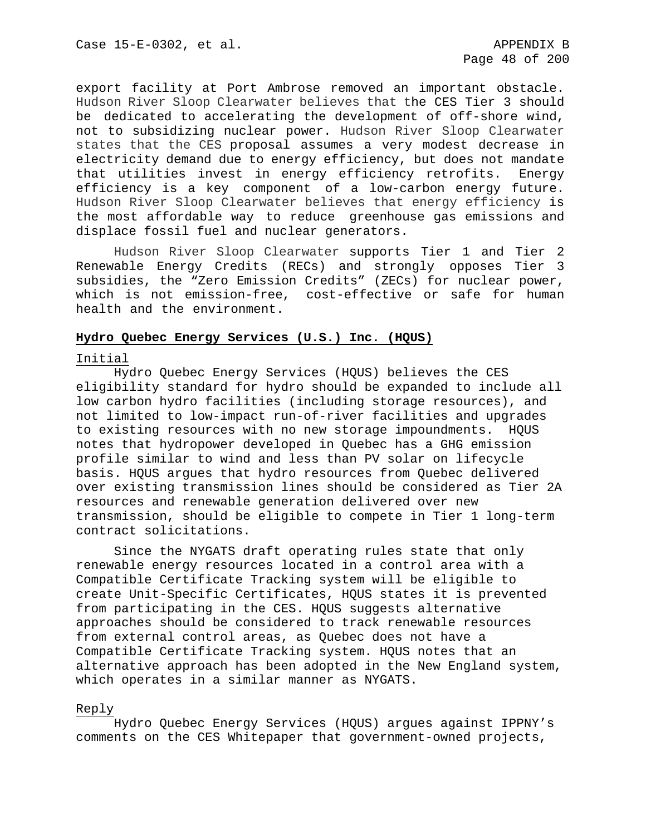export facility at Port Ambrose removed an important obstacle. Hudson River Sloop Clearwater believes that the CES Tier 3 should be dedicated to accelerating the development of off-shore wind, not to subsidizing nuclear power. Hudson River Sloop Clearwater states that the CES proposal assumes a very modest decrease in electricity demand due to energy efficiency, but does not mandate that utilities invest in energy efficiency retrofits. Energy efficiency is a key component of a low-carbon energy future. Hudson River Sloop Clearwater believes that energy efficiency is the most affordable way to reduce greenhouse gas emissions and displace fossil fuel and nuclear generators.

Hudson River Sloop Clearwater supports Tier 1 and Tier 2 Renewable Energy Credits (RECs) and strongly opposes Tier 3 subsidies, the "Zero Emission Credits" (ZECs) for nuclear power, which is not emission-free, cost-effective or safe for human health and the environment.

## **Hydro Quebec Energy Services (U.S.) Inc. (HQUS)**

#### Initial

Hydro Quebec Energy Services (HQUS) believes the CES eligibility standard for hydro should be expanded to include all low carbon hydro facilities (including storage resources), and not limited to low-impact run-of-river facilities and upgrades to existing resources with no new storage impoundments. HQUS notes that hydropower developed in Quebec has a GHG emission profile similar to wind and less than PV solar on lifecycle basis. HQUS argues that hydro resources from Quebec delivered over existing transmission lines should be considered as Tier 2A resources and renewable generation delivered over new transmission, should be eligible to compete in Tier 1 long-term contract solicitations.

Since the NYGATS draft operating rules state that only renewable energy resources located in a control area with a Compatible Certificate Tracking system will be eligible to create Unit-Specific Certificates, HQUS states it is prevented from participating in the CES. HQUS suggests alternative approaches should be considered to track renewable resources from external control areas, as Quebec does not have a Compatible Certificate Tracking system. HQUS notes that an alternative approach has been adopted in the New England system, which operates in a similar manner as NYGATS.

#### Reply

Hydro Quebec Energy Services (HQUS) argues against IPPNY's comments on the CES Whitepaper that government-owned projects,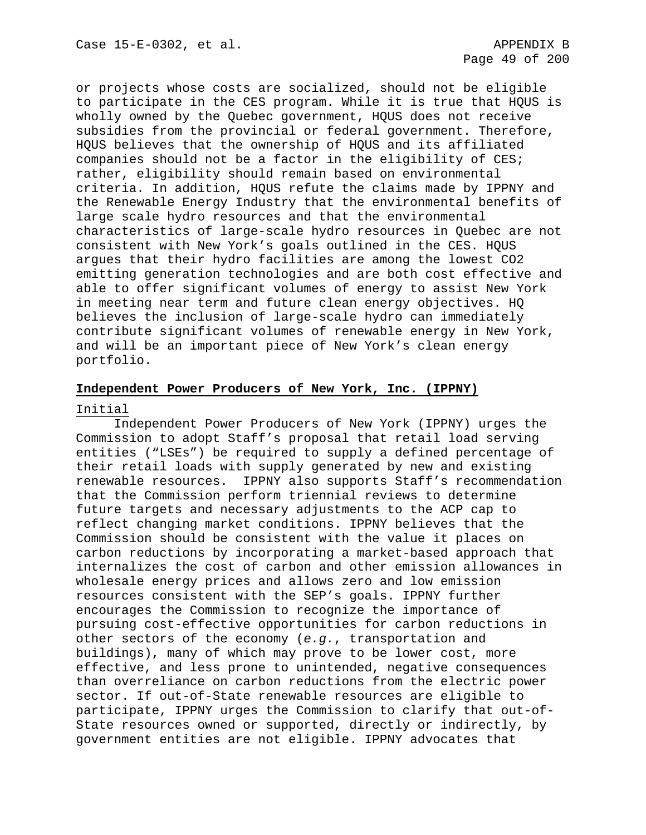or projects whose costs are socialized, should not be eligible to participate in the CES program. While it is true that HQUS is wholly owned by the Quebec government, HQUS does not receive subsidies from the provincial or federal government. Therefore, HQUS believes that the ownership of HQUS and its affiliated companies should not be a factor in the eligibility of CES; rather, eligibility should remain based on environmental criteria. In addition, HQUS refute the claims made by IPPNY and the Renewable Energy Industry that the environmental benefits of large scale hydro resources and that the environmental characteristics of large-scale hydro resources in Quebec are not consistent with New York's goals outlined in the CES. HQUS argues that their hydro facilities are among the lowest CO2 emitting generation technologies and are both cost effective and able to offer significant volumes of energy to assist New York in meeting near term and future clean energy objectives. HQ believes the inclusion of large-scale hydro can immediately contribute significant volumes of renewable energy in New York, and will be an important piece of New York's clean energy portfolio.

# **Independent Power Producers of New York, Inc. (IPPNY)**

## Initial

Independent Power Producers of New York (IPPNY) urges the Commission to adopt Staff's proposal that retail load serving entities ("LSEs") be required to supply a defined percentage of their retail loads with supply generated by new and existing renewable resources. IPPNY also supports Staff's recommendation that the Commission perform triennial reviews to determine future targets and necessary adjustments to the ACP cap to reflect changing market conditions. IPPNY believes that the Commission should be consistent with the value it places on carbon reductions by incorporating a market-based approach that internalizes the cost of carbon and other emission allowances in wholesale energy prices and allows zero and low emission resources consistent with the SEP's goals. IPPNY further encourages the Commission to recognize the importance of pursuing cost-effective opportunities for carbon reductions in other sectors of the economy (*e.g.*, transportation and buildings), many of which may prove to be lower cost, more effective, and less prone to unintended, negative consequences than overreliance on carbon reductions from the electric power sector. If out-of-State renewable resources are eligible to participate, IPPNY urges the Commission to clarify that out-of-State resources owned or supported, directly or indirectly, by government entities are not eligible. IPPNY advocates that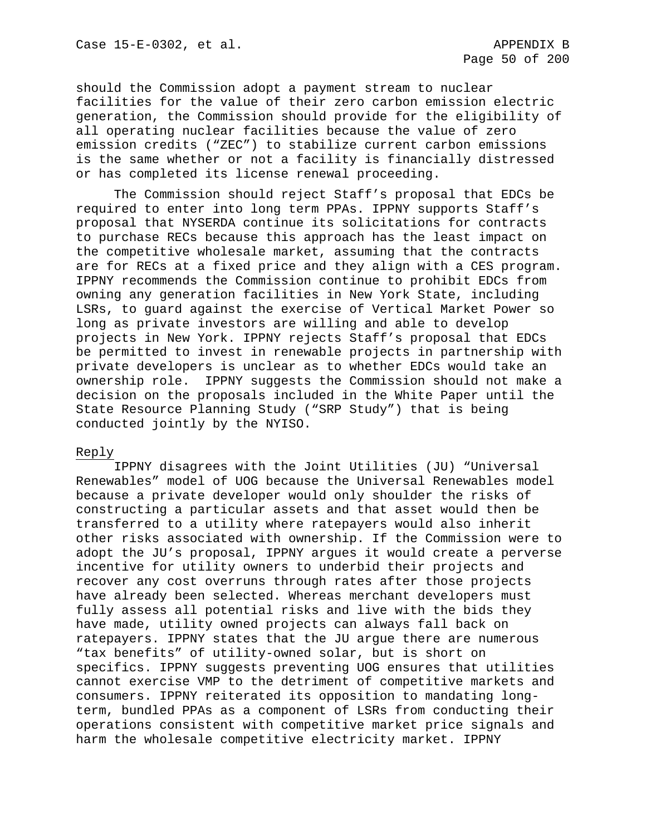should the Commission adopt a payment stream to nuclear facilities for the value of their zero carbon emission electric generation, the Commission should provide for the eligibility of all operating nuclear facilities because the value of zero emission credits ("ZEC") to stabilize current carbon emissions is the same whether or not a facility is financially distressed or has completed its license renewal proceeding.

The Commission should reject Staff's proposal that EDCs be required to enter into long term PPAs. IPPNY supports Staff's proposal that NYSERDA continue its solicitations for contracts to purchase RECs because this approach has the least impact on the competitive wholesale market, assuming that the contracts are for RECs at a fixed price and they align with a CES program. IPPNY recommends the Commission continue to prohibit EDCs from owning any generation facilities in New York State, including LSRs, to guard against the exercise of Vertical Market Power so long as private investors are willing and able to develop projects in New York. IPPNY rejects Staff's proposal that EDCs be permitted to invest in renewable projects in partnership with private developers is unclear as to whether EDCs would take an ownership role. IPPNY suggests the Commission should not make a decision on the proposals included in the White Paper until the State Resource Planning Study ("SRP Study") that is being conducted jointly by the NYISO.

## Reply

IPPNY disagrees with the Joint Utilities (JU) "Universal Renewables" model of UOG because the Universal Renewables model because a private developer would only shoulder the risks of constructing a particular assets and that asset would then be transferred to a utility where ratepayers would also inherit other risks associated with ownership. If the Commission were to adopt the JU's proposal, IPPNY argues it would create a perverse incentive for utility owners to underbid their projects and recover any cost overruns through rates after those projects have already been selected. Whereas merchant developers must fully assess all potential risks and live with the bids they have made, utility owned projects can always fall back on ratepayers. IPPNY states that the JU argue there are numerous "tax benefits" of utility-owned solar, but is short on specifics. IPPNY suggests preventing UOG ensures that utilities cannot exercise VMP to the detriment of competitive markets and consumers. IPPNY reiterated its opposition to mandating longterm, bundled PPAs as a component of LSRs from conducting their operations consistent with competitive market price signals and harm the wholesale competitive electricity market. IPPNY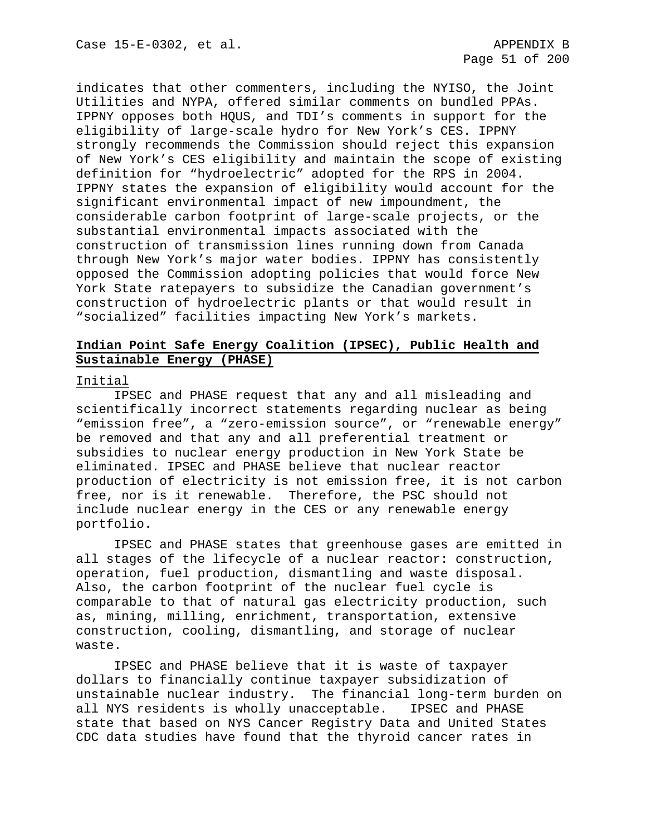indicates that other commenters, including the NYISO, the Joint Utilities and NYPA, offered similar comments on bundled PPAs. IPPNY opposes both HQUS, and TDI's comments in support for the eligibility of large-scale hydro for New York's CES. IPPNY strongly recommends the Commission should reject this expansion of New York's CES eligibility and maintain the scope of existing definition for "hydroelectric" adopted for the RPS in 2004. IPPNY states the expansion of eligibility would account for the significant environmental impact of new impoundment, the considerable carbon footprint of large-scale projects, or the substantial environmental impacts associated with the construction of transmission lines running down from Canada through New York's major water bodies. IPPNY has consistently opposed the Commission adopting policies that would force New York State ratepayers to subsidize the Canadian government's construction of hydroelectric plants or that would result in "socialized" facilities impacting New York's markets.

# **Indian Point Safe Energy Coalition (IPSEC), Public Health and Sustainable Energy (PHASE)**

## Initial

IPSEC and PHASE request that any and all misleading and scientifically incorrect statements regarding nuclear as being "emission free", a "zero-emission source", or "renewable energy" be removed and that any and all preferential treatment or subsidies to nuclear energy production in New York State be eliminated. IPSEC and PHASE believe that nuclear reactor production of electricity is not emission free, it is not carbon free, nor is it renewable. Therefore, the PSC should not include nuclear energy in the CES or any renewable energy portfolio.

IPSEC and PHASE states that greenhouse gases are emitted in all stages of the lifecycle of a nuclear reactor: construction, operation, fuel production, dismantling and waste disposal. Also, the carbon footprint of the nuclear fuel cycle is comparable to that of natural gas electricity production, such as, mining, milling, enrichment, transportation, extensive construction, cooling, dismantling, and storage of nuclear waste.

IPSEC and PHASE believe that it is waste of taxpayer dollars to financially continue taxpayer subsidization of unstainable nuclear industry. The financial long-term burden on all NYS residents is wholly unacceptable. IPSEC and PHASE state that based on NYS Cancer Registry Data and United States CDC data studies have found that the thyroid cancer rates in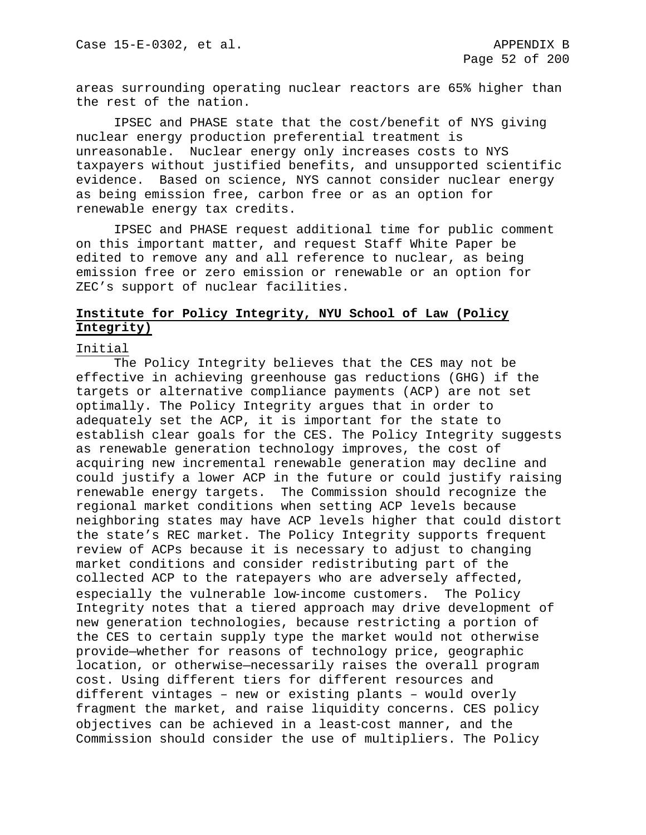areas surrounding operating nuclear reactors are 65% higher than the rest of the nation.

IPSEC and PHASE state that the cost/benefit of NYS giving nuclear energy production preferential treatment is unreasonable. Nuclear energy only increases costs to NYS taxpayers without justified benefits, and unsupported scientific evidence. Based on science, NYS cannot consider nuclear energy as being emission free, carbon free or as an option for renewable energy tax credits.

IPSEC and PHASE request additional time for public comment on this important matter, and request Staff White Paper be edited to remove any and all reference to nuclear, as being emission free or zero emission or renewable or an option for ZEC's support of nuclear facilities.

# **Institute for Policy Integrity, NYU School of Law (Policy Integrity)**

## Initial

The Policy Integrity believes that the CES may not be effective in achieving greenhouse gas reductions (GHG) if the targets or alternative compliance payments (ACP) are not set optimally. The Policy Integrity argues that in order to adequately set the ACP, it is important for the state to establish clear goals for the CES. The Policy Integrity suggests as renewable generation technology improves, the cost of acquiring new incremental renewable generation may decline and could justify a lower ACP in the future or could justify raising renewable energy targets. The Commission should recognize the regional market conditions when setting ACP levels because neighboring states may have ACP levels higher that could distort the state's REC market. The Policy Integrity supports frequent review of ACPs because it is necessary to adjust to changing market conditions and consider redistributing part of the collected ACP to the ratepayers who are adversely affected, especially the vulnerable low-income customers. The Policy Integrity notes that a tiered approach may drive development of new generation technologies, because restricting a portion of the CES to certain supply type the market would not otherwise provide—whether for reasons of technology price, geographic location, or otherwise—necessarily raises the overall program cost. Using different tiers for different resources and different vintages – new or existing plants – would overly fragment the market, and raise liquidity concerns. CES policy objectives can be achieved in a least‐cost manner, and the Commission should consider the use of multipliers. The Policy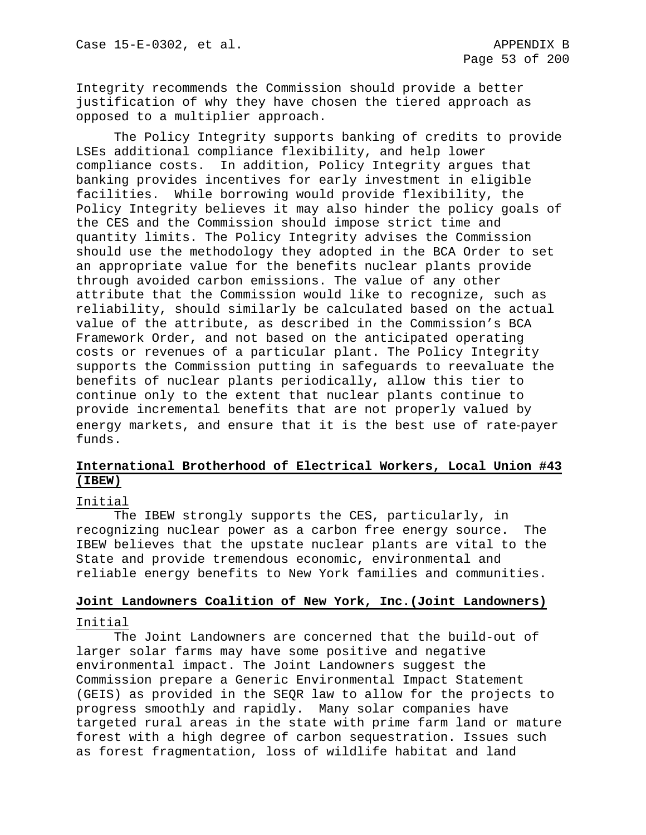Integrity recommends the Commission should provide a better justification of why they have chosen the tiered approach as opposed to a multiplier approach.

The Policy Integrity supports banking of credits to provide LSEs additional compliance flexibility, and help lower compliance costs. In addition, Policy Integrity argues that banking provides incentives for early investment in eligible facilities. While borrowing would provide flexibility, the Policy Integrity believes it may also hinder the policy goals of the CES and the Commission should impose strict time and quantity limits. The Policy Integrity advises the Commission should use the methodology they adopted in the BCA Order to set an appropriate value for the benefits nuclear plants provide through avoided carbon emissions. The value of any other attribute that the Commission would like to recognize, such as reliability, should similarly be calculated based on the actual value of the attribute, as described in the Commission's BCA Framework Order, and not based on the anticipated operating costs or revenues of a particular plant. The Policy Integrity supports the Commission putting in safeguards to reevaluate the benefits of nuclear plants periodically, allow this tier to continue only to the extent that nuclear plants continue to provide incremental benefits that are not properly valued by energy markets, and ensure that it is the best use of rate-payer funds.

# **International Brotherhood of Electrical Workers, Local Union #43 (IBEW)**

## Initial

The IBEW strongly supports the CES, particularly, in recognizing nuclear power as a carbon free energy source. The IBEW believes that the upstate nuclear plants are vital to the State and provide tremendous economic, environmental and reliable energy benefits to New York families and communities.

## **Joint Landowners Coalition of New York, Inc.(Joint Landowners)**

#### Initial

The Joint Landowners are concerned that the build-out of larger solar farms may have some positive and negative environmental impact. The Joint Landowners suggest the Commission prepare a Generic Environmental Impact Statement (GEIS) as provided in the SEQR law to allow for the projects to progress smoothly and rapidly. Many solar companies have targeted rural areas in the state with prime farm land or mature forest with a high degree of carbon sequestration. Issues such as forest fragmentation, loss of wildlife habitat and land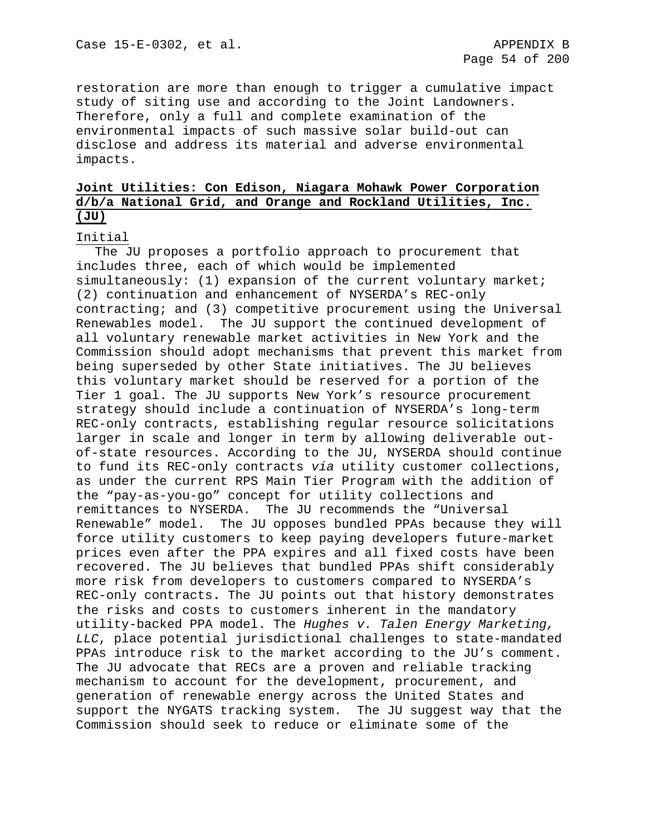restoration are more than enough to trigger a cumulative impact study of siting use and according to the Joint Landowners. Therefore, only a full and complete examination of the environmental impacts of such massive solar build-out can disclose and address its material and adverse environmental impacts.

# **Joint Utilities: Con Edison, Niagara Mohawk Power Corporation d/b/a National Grid, and Orange and Rockland Utilities, Inc. (JU)**

## Initial

The JU proposes a portfolio approach to procurement that includes three, each of which would be implemented simultaneously: (1) expansion of the current voluntary market; (2) continuation and enhancement of NYSERDA's REC-only contracting; and (3) competitive procurement using the Universal Renewables model. The JU support the continued development of all voluntary renewable market activities in New York and the Commission should adopt mechanisms that prevent this market from being superseded by other State initiatives. The JU believes this voluntary market should be reserved for a portion of the Tier 1 goal. The JU supports New York's resource procurement strategy should include a continuation of NYSERDA's long-term REC-only contracts, establishing regular resource solicitations larger in scale and longer in term by allowing deliverable outof-state resources. According to the JU, NYSERDA should continue to fund its REC-only contracts *via* utility customer collections, as under the current RPS Main Tier Program with the addition of the "pay-as-you-go" concept for utility collections and remittances to NYSERDA. The JU recommends the "Universal Renewable" model. The JU opposes bundled PPAs because they will force utility customers to keep paying developers future-market prices even after the PPA expires and all fixed costs have been recovered. The JU believes that bundled PPAs shift considerably more risk from developers to customers compared to NYSERDA's REC-only contracts**.** The JU points out that history demonstrates the risks and costs to customers inherent in the mandatory utility-backed PPA model. The *Hughes v. Talen Energy Marketing, LLC*, place potential jurisdictional challenges to state-mandated PPAs introduce risk to the market according to the JU's comment. The JU advocate that RECs are a proven and reliable tracking mechanism to account for the development, procurement, and generation of renewable energy across the United States and support the NYGATS tracking system. The JU suggest way that the Commission should seek to reduce or eliminate some of the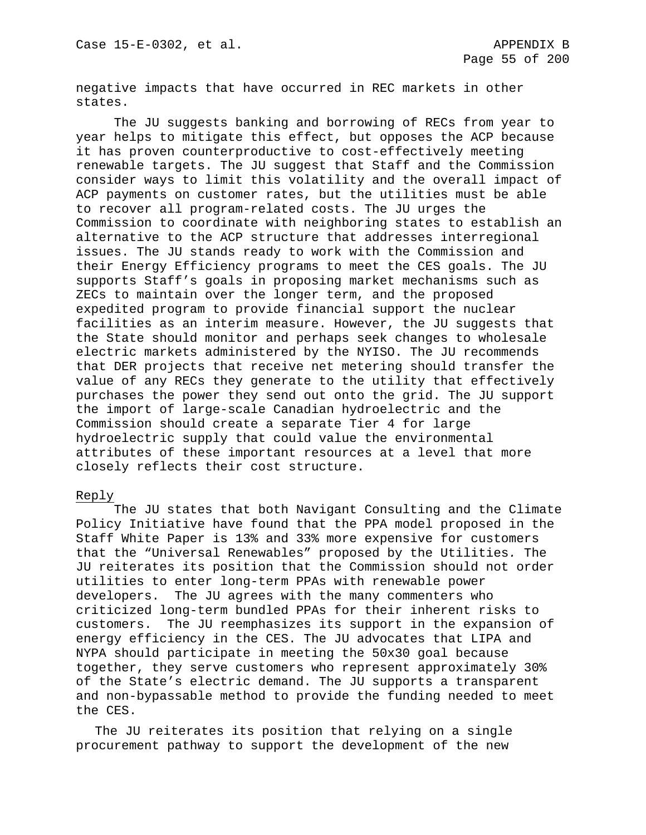negative impacts that have occurred in REC markets in other states.

The JU suggests banking and borrowing of RECs from year to year helps to mitigate this effect, but opposes the ACP because it has proven counterproductive to cost-effectively meeting renewable targets. The JU suggest that Staff and the Commission consider ways to limit this volatility and the overall impact of ACP payments on customer rates, but the utilities must be able to recover all program-related costs. The JU urges the Commission to coordinate with neighboring states to establish an alternative to the ACP structure that addresses interregional issues. The JU stands ready to work with the Commission and their Energy Efficiency programs to meet the CES goals. The JU supports Staff's goals in proposing market mechanisms such as ZECs to maintain over the longer term, and the proposed expedited program to provide financial support the nuclear facilities as an interim measure. However, the JU suggests that the State should monitor and perhaps seek changes to wholesale electric markets administered by the NYISO. The JU recommends that DER projects that receive net metering should transfer the value of any RECs they generate to the utility that effectively purchases the power they send out onto the grid. The JU support the import of large-scale Canadian hydroelectric and the Commission should create a separate Tier 4 for large hydroelectric supply that could value the environmental attributes of these important resources at a level that more closely reflects their cost structure.

## Reply

The JU states that both Navigant Consulting and the Climate Policy Initiative have found that the PPA model proposed in the Staff White Paper is 13% and 33% more expensive for customers that the "Universal Renewables" proposed by the Utilities*.* The JU reiterates its position that the Commission should not order utilities to enter long-term PPAs with renewable power developers. The JU agrees with the many commenters who criticized long-term bundled PPAs for their inherent risks to customers. The JU reemphasizes its support in the expansion of energy efficiency in the CES. The JU advocates that LIPA and NYPA should participate in meeting the 50x30 goal because together, they serve customers who represent approximately 30% of the State's electric demand. The JU supports a transparent and non-bypassable method to provide the funding needed to meet the CES.

The JU reiterates its position that relying on a single procurement pathway to support the development of the new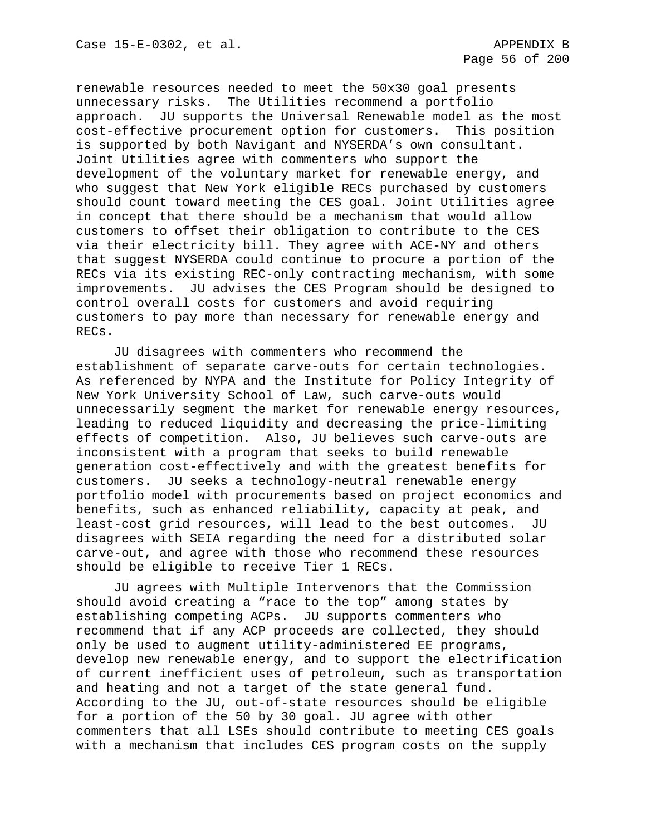renewable resources needed to meet the 50x30 goal presents unnecessary risks. The Utilities recommend a portfolio approach. JU supports the Universal Renewable model as the most cost-effective procurement option for customers. This position is supported by both Navigant and NYSERDA's own consultant. Joint Utilities agree with commenters who support the development of the voluntary market for renewable energy, and who suggest that New York eligible RECs purchased by customers should count toward meeting the CES goal. Joint Utilities agree in concept that there should be a mechanism that would allow customers to offset their obligation to contribute to the CES via their electricity bill. They agree with ACE-NY and others that suggest NYSERDA could continue to procure a portion of the RECs via its existing REC-only contracting mechanism, with some improvements. JU advises the CES Program should be designed to control overall costs for customers and avoid requiring customers to pay more than necessary for renewable energy and RECs.

JU disagrees with commenters who recommend the establishment of separate carve-outs for certain technologies. As referenced by NYPA and the Institute for Policy Integrity of New York University School of Law, such carve-outs would unnecessarily segment the market for renewable energy resources, leading to reduced liquidity and decreasing the price-limiting effects of competition. Also, JU believes such carve-outs are inconsistent with a program that seeks to build renewable generation cost-effectively and with the greatest benefits for customers. JU seeks a technology-neutral renewable energy portfolio model with procurements based on project economics and benefits, such as enhanced reliability, capacity at peak, and least-cost grid resources, will lead to the best outcomes. JU disagrees with SEIA regarding the need for a distributed solar carve-out, and agree with those who recommend these resources should be eligible to receive Tier 1 RECs.

JU agrees with Multiple Intervenors that the Commission should avoid creating a "race to the top" among states by establishing competing ACPs. JU supports commenters who recommend that if any ACP proceeds are collected, they should only be used to augment utility-administered EE programs, develop new renewable energy, and to support the electrification of current inefficient uses of petroleum, such as transportation and heating and not a target of the state general fund. According to the JU, out-of-state resources should be eligible for a portion of the 50 by 30 goal. JU agree with other commenters that all LSEs should contribute to meeting CES goals with a mechanism that includes CES program costs on the supply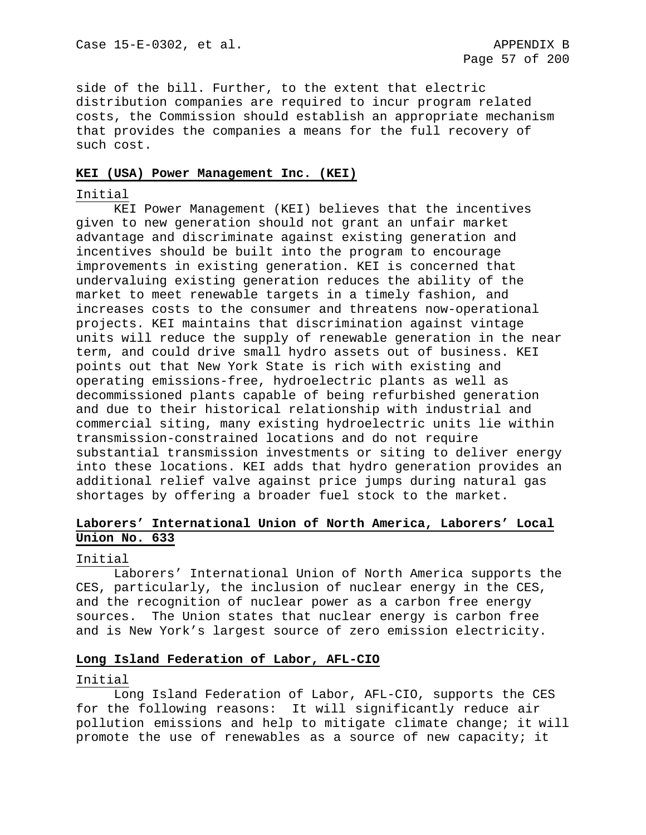side of the bill. Further, to the extent that electric distribution companies are required to incur program related costs, the Commission should establish an appropriate mechanism that provides the companies a means for the full recovery of such cost.

## **KEI (USA) Power Management Inc. (KEI)**

## Initial

KEI Power Management (KEI) believes that the incentives given to new generation should not grant an unfair market advantage and discriminate against existing generation and incentives should be built into the program to encourage improvements in existing generation. KEI is concerned that undervaluing existing generation reduces the ability of the market to meet renewable targets in a timely fashion, and increases costs to the consumer and threatens now-operational projects. KEI maintains that discrimination against vintage units will reduce the supply of renewable generation in the near term, and could drive small hydro assets out of business. KEI points out that New York State is rich with existing and operating emissions-free, hydroelectric plants as well as decommissioned plants capable of being refurbished generation and due to their historical relationship with industrial and commercial siting, many existing hydroelectric units lie within transmission-constrained locations and do not require substantial transmission investments or siting to deliver energy into these locations. KEI adds that hydro generation provides an additional relief valve against price jumps during natural gas shortages by offering a broader fuel stock to the market.

# **Laborers' International Union of North America, Laborers' Local Union No. 633**

## Initial

Laborers' International Union of North America supports the CES, particularly, the inclusion of nuclear energy in the CES, and the recognition of nuclear power as a carbon free energy sources. The Union states that nuclear energy is carbon free and is New York's largest source of zero emission electricity.

## **Long Island Federation of Labor, AFL-CIO**

## Initial

Long Island Federation of Labor, AFL-CIO, supports the CES for the following reasons: It will significantly reduce air pollution emissions and help to mitigate climate change; it will promote the use of renewables as a source of new capacity; it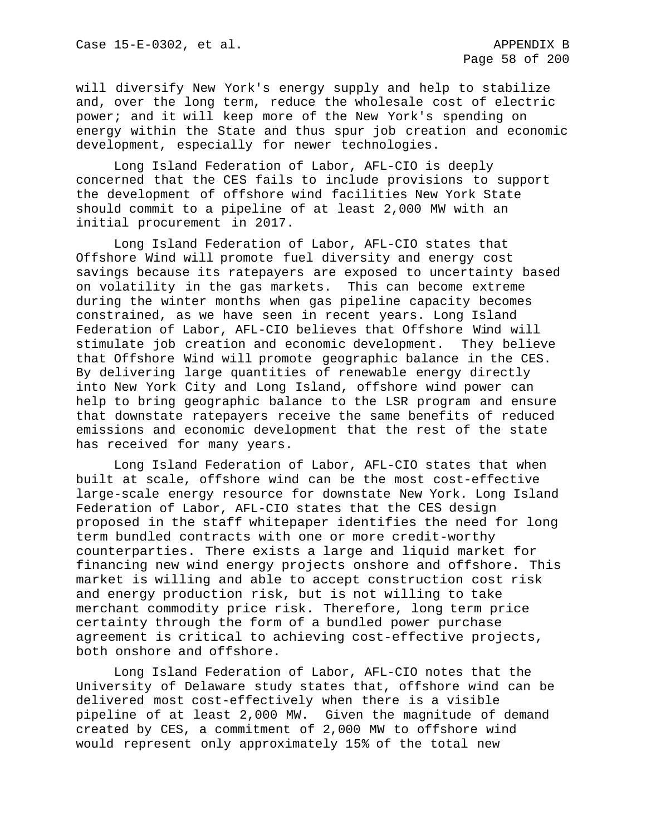will diversify New York's energy supply and help to stabilize and, over the long term, reduce the wholesale cost of electric power; and it will keep more of the New York's spending on energy within the State and thus spur job creation and economic development, especially for newer technologies.

Long Island Federation of Labor, AFL-CIO is deeply concerned that the CES fails to include provisions to support the development of offshore wind facilities New York State should commit to a pipeline of at least 2,000 MW with an initial procurement in 2017.

Long Island Federation of Labor, AFL-CIO states that Offshore Wind will promote fuel diversity and energy cost savings because its ratepayers are exposed to uncertainty based on volatility in the gas markets. This can become extreme during the winter months when gas pipeline capacity becomes constrained, as we have seen in recent years. Long Island Federation of Labor, AFL-CIO believes that Offshore Wind will stimulate job creation and economic development. They believe that Offshore Wind will promote geographic balance in the CES. By delivering large quantities of renewable energy directly into New York City and Long Island, offshore wind power can help to bring geographic balance to the LSR program and ensure that downstate ratepayers receive the same benefits of reduced emissions and economic development that the rest of the state has received for many years.

Long Island Federation of Labor, AFL-CIO states that when built at scale, offshore wind can be the most cost-effective large-scale energy resource for downstate New York. Long Island Federation of Labor, AFL-CIO states that the CES design proposed in the staff whitepaper identifies the need for long term bundled contracts with one or more credit-worthy counterparties. There exists a large and liquid market for financing new wind energy projects onshore and offshore. This market is willing and able to accept construction cost risk and energy production risk, but is not willing to take merchant commodity price risk. Therefore, long term price certainty through the form of a bundled power purchase agreement is critical to achieving cost-effective projects, both onshore and offshore.

Long Island Federation of Labor, AFL-CIO notes that the University of Delaware study states that, offshore wind can be delivered most cost-effectively when there is a visible pipeline of at least 2,000 MW. Given the magnitude of demand created by CES, a commitment of 2,000 MW to offshore wind would represent only approximately 15% of the total new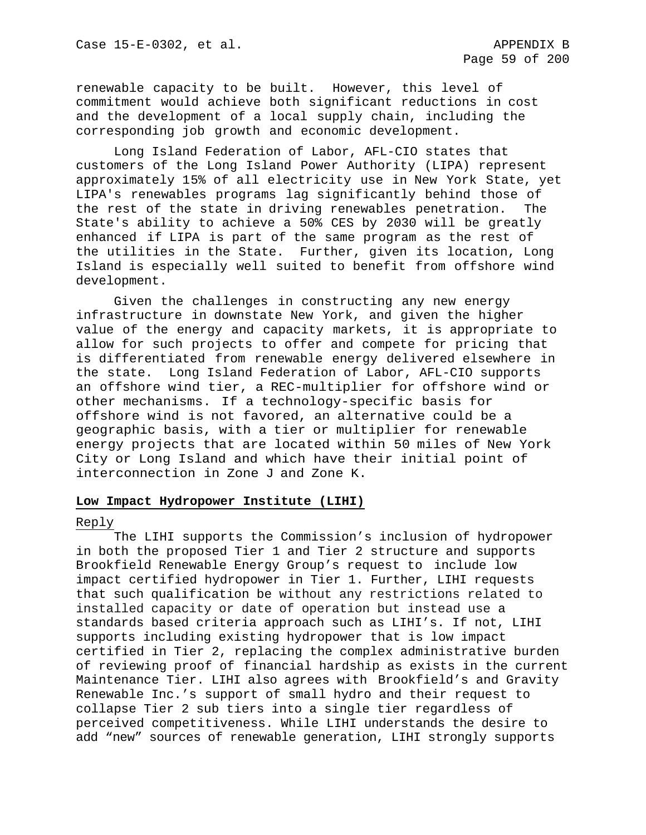renewable capacity to be built. However, this level of commitment would achieve both significant reductions in cost and the development of a local supply chain, including the corresponding job growth and economic development.

Long Island Federation of Labor, AFL-CIO states that customers of the Long Island Power Authority (LIPA) represent approximately 15% of all electricity use in New York State, yet LIPA's renewables programs lag significantly behind those of the rest of the state in driving renewables penetration. The State's ability to achieve a 50% CES by 2030 will be greatly enhanced if LIPA is part of the same program as the rest of the utilities in the State. Further, given its location, Long Island is especially well suited to benefit from offshore wind development.

Given the challenges in constructing any new energy infrastructure in downstate New York, and given the higher value of the energy and capacity markets, it is appropriate to allow for such projects to offer and compete for pricing that is differentiated from renewable energy delivered elsewhere in the state. Long Island Federation of Labor, AFL-CIO supports an offshore wind tier, a REC-multiplier for offshore wind or other mechanisms. If a technology-specific basis for offshore wind is not favored, an alternative could be a geographic basis, with a tier or multiplier for renewable energy projects that are located within 50 miles of New York City or Long Island and which have their initial point of interconnection in Zone J and Zone K.

## **Low Impact Hydropower Institute (LIHI)**

### Reply

The LIHI supports the Commission's inclusion of hydropower in both the proposed Tier 1 and Tier 2 structure and supports Brookfield Renewable Energy Group's request to include low impact certified hydropower in Tier 1. Further, LIHI requests that such qualification be without any restrictions related to installed capacity or date of operation but instead use a standards based criteria approach such as LIHI's. If not, LIHI supports including existing hydropower that is low impact certified in Tier 2, replacing the complex administrative burden of reviewing proof of financial hardship as exists in the current Maintenance Tier. LIHI also agrees with Brookfield's and Gravity Renewable Inc.'s support of small hydro and their request to collapse Tier 2 sub tiers into a single tier regardless of perceived competitiveness. While LIHI understands the desire to add "new" sources of renewable generation, LIHI strongly supports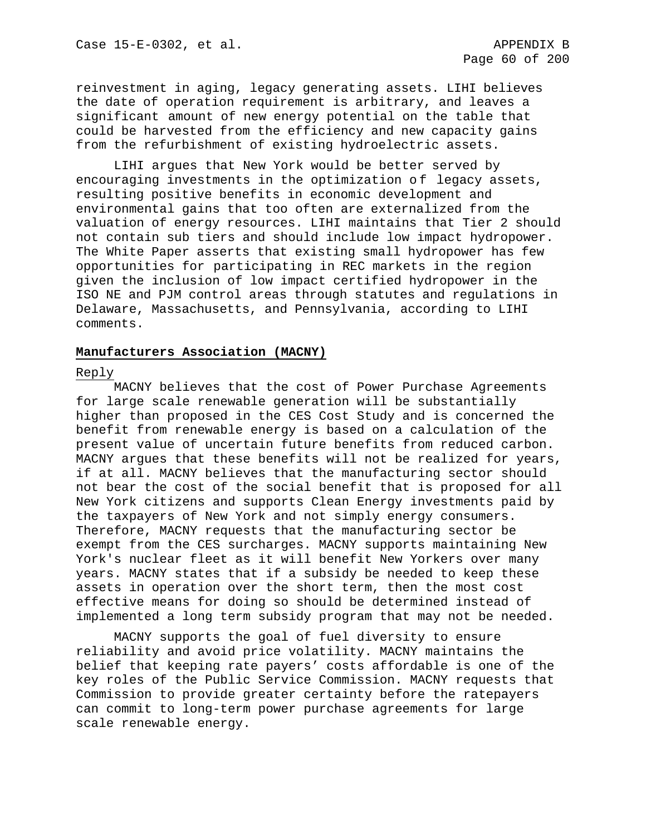reinvestment in aging, legacy generating assets. LIHI believes the date of operation requirement is arbitrary, and leaves a significant amount of new energy potential on the table that could be harvested from the efficiency and new capacity gains from the refurbishment of existing hydroelectric assets.

LIHI argues that New York would be better served by encouraging investments in the optimization of legacy assets, resulting positive benefits in economic development and environmental gains that too often are externalized from the valuation of energy resources. LIHI maintains that Tier 2 should not contain sub tiers and should include low impact hydropower. The White Paper asserts that existing small hydropower has few opportunities for participating in REC markets in the region given the inclusion of low impact certified hydropower in the ISO NE and PJM control areas through statutes and regulations in Delaware, Massachusetts, and Pennsylvania, according to LIHI comments.

# **Manufacturers Association (MACNY)**

### Reply

MACNY believes that the cost of Power Purchase Agreements for large scale renewable generation will be substantially higher than proposed in the CES Cost Study and is concerned the benefit from renewable energy is based on a calculation of the present value of uncertain future benefits from reduced carbon. MACNY argues that these benefits will not be realized for years, if at all. MACNY believes that the manufacturing sector should not bear the cost of the social benefit that is proposed for all New York citizens and supports Clean Energy investments paid by the taxpayers of New York and not simply energy consumers. Therefore, MACNY requests that the manufacturing sector be exempt from the CES surcharges. MACNY supports maintaining New York's nuclear fleet as it will benefit New Yorkers over many years. MACNY states that if a subsidy be needed to keep these assets in operation over the short term, then the most cost effective means for doing so should be determined instead of implemented a long term subsidy program that may not be needed.

MACNY supports the goal of fuel diversity to ensure reliability and avoid price volatility. MACNY maintains the belief that keeping rate payers' costs affordable is one of the key roles of the Public Service Commission. MACNY requests that Commission to provide greater certainty before the ratepayers can commit to long-term power purchase agreements for large scale renewable energy.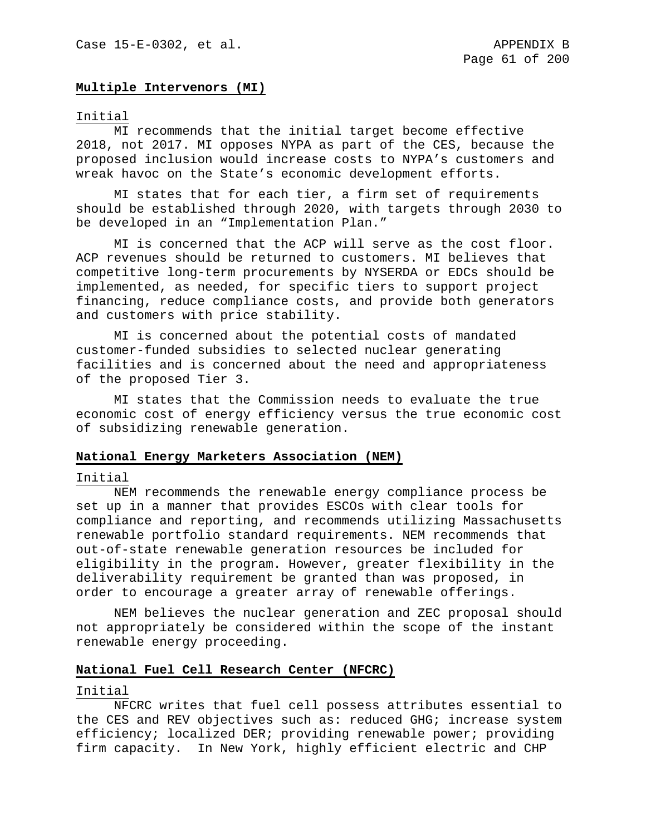## **Multiple Intervenors (MI)**

### Initial

MI recommends that the initial target become effective 2018, not 2017. MI opposes NYPA as part of the CES, because the proposed inclusion would increase costs to NYPA's customers and wreak havoc on the State's economic development efforts.

MI states that for each tier, a firm set of requirements should be established through 2020, with targets through 2030 to be developed in an "Implementation Plan."

MI is concerned that the ACP will serve as the cost floor. ACP revenues should be returned to customers. MI believes that competitive long-term procurements by NYSERDA or EDCs should be implemented, as needed, for specific tiers to support project financing, reduce compliance costs, and provide both generators and customers with price stability.

MI is concerned about the potential costs of mandated customer-funded subsidies to selected nuclear generating facilities and is concerned about the need and appropriateness of the proposed Tier 3.

MI states that the Commission needs to evaluate the true economic cost of energy efficiency versus the true economic cost of subsidizing renewable generation.

## **National Energy Marketers Association (NEM)**

### Initial

NEM recommends the renewable energy compliance process be set up in a manner that provides ESCOs with clear tools for compliance and reporting, and recommends utilizing Massachusetts renewable portfolio standard requirements. NEM recommends that out-of-state renewable generation resources be included for eligibility in the program. However, greater flexibility in the deliverability requirement be granted than was proposed, in order to encourage a greater array of renewable offerings.

NEM believes the nuclear generation and ZEC proposal should not appropriately be considered within the scope of the instant renewable energy proceeding.

#### **National Fuel Cell Research Center (NFCRC)**

#### Initial

NFCRC writes that fuel cell possess attributes essential to the CES and REV objectives such as: reduced GHG; increase system efficiency; localized DER; providing renewable power; providing firm capacity. In New York, highly efficient electric and CHP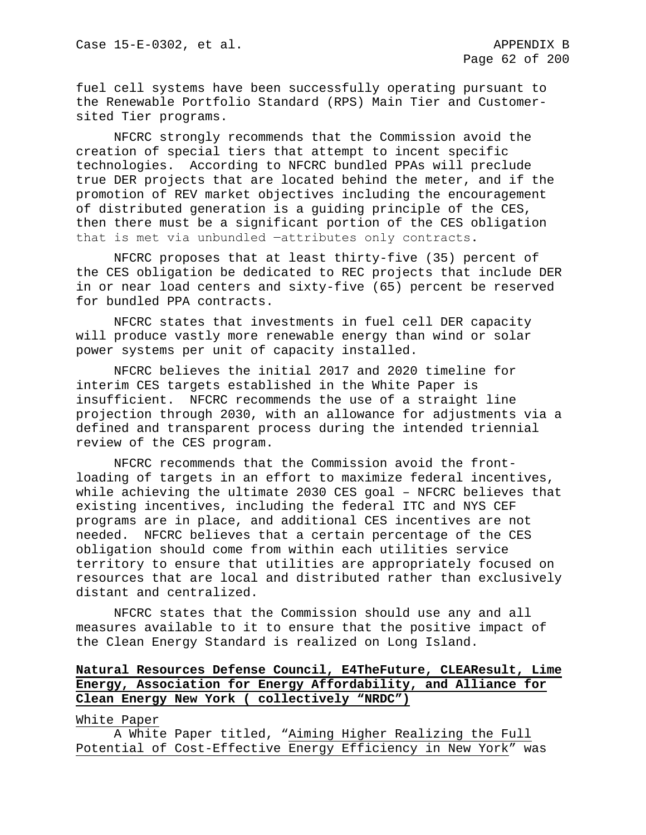fuel cell systems have been successfully operating pursuant to the Renewable Portfolio Standard (RPS) Main Tier and Customersited Tier programs.

NFCRC strongly recommends that the Commission avoid the creation of special tiers that attempt to incent specific technologies. According to NFCRC bundled PPAs will preclude true DER projects that are located behind the meter, and if the promotion of REV market objectives including the encouragement of distributed generation is a guiding principle of the CES, then there must be a significant portion of the CES obligation that is met via unbundled -attributes only contracts.

NFCRC proposes that at least thirty-five (35) percent of the CES obligation be dedicated to REC projects that include DER in or near load centers and sixty-five (65) percent be reserved for bundled PPA contracts.

NFCRC states that investments in fuel cell DER capacity will produce vastly more renewable energy than wind or solar power systems per unit of capacity installed.

NFCRC believes the initial 2017 and 2020 timeline for interim CES targets established in the White Paper is insufficient. NFCRC recommends the use of a straight line projection through 2030, with an allowance for adjustments via a defined and transparent process during the intended triennial review of the CES program.

NFCRC recommends that the Commission avoid the frontloading of targets in an effort to maximize federal incentives, while achieving the ultimate 2030 CES goal – NFCRC believes that existing incentives, including the federal ITC and NYS CEF programs are in place, and additional CES incentives are not needed. NFCRC believes that a certain percentage of the CES obligation should come from within each utilities service territory to ensure that utilities are appropriately focused on resources that are local and distributed rather than exclusively distant and centralized.

NFCRC states that the Commission should use any and all measures available to it to ensure that the positive impact of the Clean Energy Standard is realized on Long Island.

# **Natural Resources Defense Council, E4TheFuture, CLEAResult, Lime Energy, Association for Energy Affordability, and Alliance for Clean Energy New York ( collectively "NRDC")**

## White Paper

A White Paper titled, "Aiming Higher Realizing the Full Potential of Cost-Effective Energy Efficiency in New York" was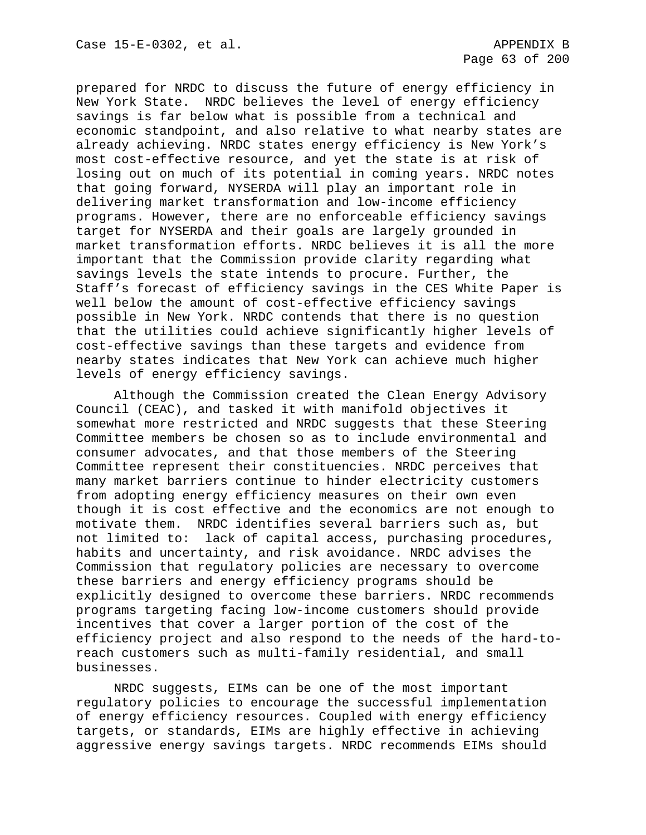prepared for NRDC to discuss the future of energy efficiency in New York State. NRDC believes the level of energy efficiency savings is far below what is possible from a technical and economic standpoint, and also relative to what nearby states are already achieving. NRDC states energy efficiency is New York's most cost-effective resource, and yet the state is at risk of losing out on much of its potential in coming years. NRDC notes that going forward, NYSERDA will play an important role in delivering market transformation and low-income efficiency programs. However, there are no enforceable efficiency savings target for NYSERDA and their goals are largely grounded in market transformation efforts. NRDC believes it is all the more important that the Commission provide clarity regarding what savings levels the state intends to procure. Further, the Staff's forecast of efficiency savings in the CES White Paper is well below the amount of cost-effective efficiency savings possible in New York. NRDC contends that there is no question that the utilities could achieve significantly higher levels of cost-effective savings than these targets and evidence from nearby states indicates that New York can achieve much higher levels of energy efficiency savings.

Although the Commission created the Clean Energy Advisory Council (CEAC), and tasked it with manifold objectives it somewhat more restricted and NRDC suggests that these Steering Committee members be chosen so as to include environmental and consumer advocates, and that those members of the Steering Committee represent their constituencies. NRDC perceives that many market barriers continue to hinder electricity customers from adopting energy efficiency measures on their own even though it is cost effective and the economics are not enough to motivate them. NRDC identifies several barriers such as, but not limited to: lack of capital access, purchasing procedures, habits and uncertainty, and risk avoidance. NRDC advises the Commission that regulatory policies are necessary to overcome these barriers and energy efficiency programs should be explicitly designed to overcome these barriers. NRDC recommends programs targeting facing low-income customers should provide incentives that cover a larger portion of the cost of the efficiency project and also respond to the needs of the hard-toreach customers such as multi-family residential, and small businesses.

NRDC suggests, EIMs can be one of the most important regulatory policies to encourage the successful implementation of energy efficiency resources. Coupled with energy efficiency targets, or standards, EIMs are highly effective in achieving aggressive energy savings targets. NRDC recommends EIMs should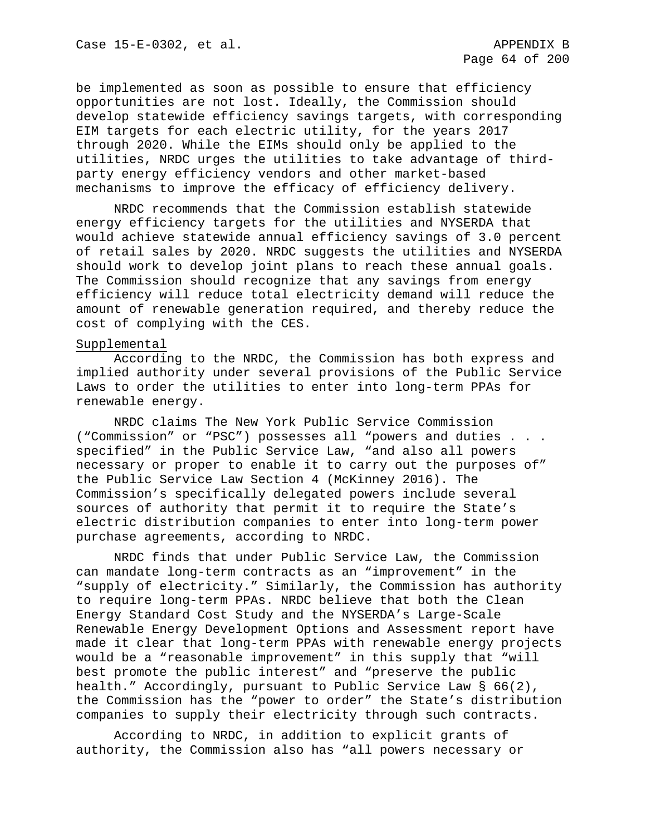be implemented as soon as possible to ensure that efficiency opportunities are not lost. Ideally, the Commission should develop statewide efficiency savings targets, with corresponding EIM targets for each electric utility, for the years 2017 through 2020. While the EIMs should only be applied to the utilities, NRDC urges the utilities to take advantage of thirdparty energy efficiency vendors and other market-based mechanisms to improve the efficacy of efficiency delivery.

NRDC recommends that the Commission establish statewide energy efficiency targets for the utilities and NYSERDA that would achieve statewide annual efficiency savings of 3.0 percent of retail sales by 2020. NRDC suggests the utilities and NYSERDA should work to develop joint plans to reach these annual goals. The Commission should recognize that any savings from energy efficiency will reduce total electricity demand will reduce the amount of renewable generation required, and thereby reduce the cost of complying with the CES.

## Supplemental

According to the NRDC, the Commission has both express and implied authority under several provisions of the Public Service Laws to order the utilities to enter into long-term PPAs for renewable energy.

NRDC claims The New York Public Service Commission ("Commission" or "PSC") possesses all "powers and duties . . . specified" in the Public Service Law, "and also all powers necessary or proper to enable it to carry out the purposes of" the Public Service Law Section 4 (McKinney 2016). The Commission's specifically delegated powers include several sources of authority that permit it to require the State's electric distribution companies to enter into long-term power purchase agreements, according to NRDC.

NRDC finds that under Public Service Law, the Commission can mandate long-term contracts as an "improvement" in the "supply of electricity." Similarly, the Commission has authority to require long-term PPAs. NRDC believe that both the Clean Energy Standard Cost Study and the NYSERDA's Large-Scale Renewable Energy Development Options and Assessment report have made it clear that long-term PPAs with renewable energy projects would be a "reasonable improvement" in this supply that "will best promote the public interest" and "preserve the public health." Accordingly, pursuant to Public Service Law § 66(2), the Commission has the "power to order" the State's distribution companies to supply their electricity through such contracts.

According to NRDC, in addition to explicit grants of authority, the Commission also has "all powers necessary or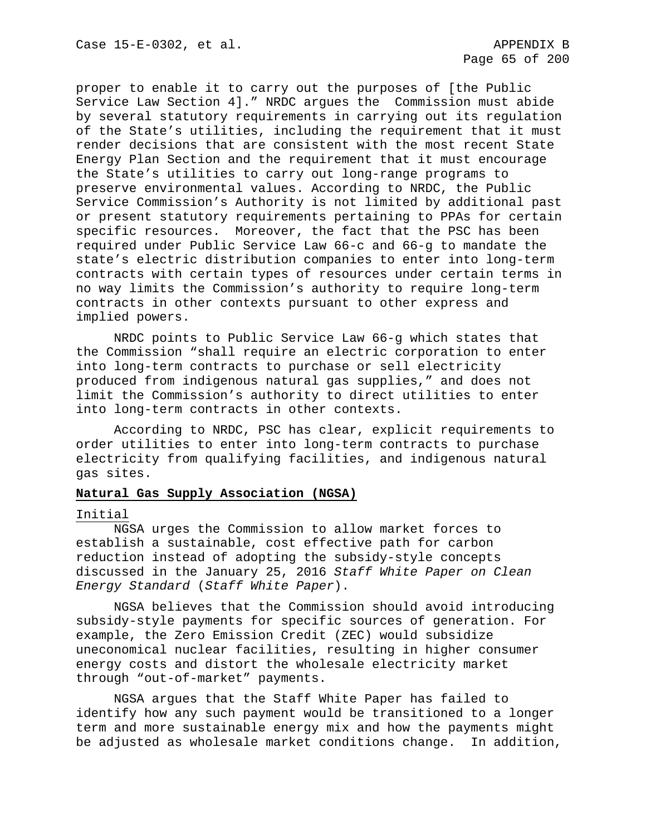proper to enable it to carry out the purposes of [the Public Service Law Section 4]." NRDC argues the Commission must abide by several statutory requirements in carrying out its regulation of the State's utilities, including the requirement that it must render decisions that are consistent with the most recent State Energy Plan Section and the requirement that it must encourage the State's utilities to carry out long-range programs to preserve environmental values. According to NRDC, the Public Service Commission's Authority is not limited by additional past or present statutory requirements pertaining to PPAs for certain specific resources. Moreover, the fact that the PSC has been required under Public Service Law 66-c and 66-g to mandate the state's electric distribution companies to enter into long-term contracts with certain types of resources under certain terms in no way limits the Commission's authority to require long-term contracts in other contexts pursuant to other express and implied powers.

NRDC points to Public Service Law 66-g which states that the Commission "shall require an electric corporation to enter into long-term contracts to purchase or sell electricity produced from indigenous natural gas supplies," and does not limit the Commission's authority to direct utilities to enter into long-term contracts in other contexts.

According to NRDC, PSC has clear, explicit requirements to order utilities to enter into long-term contracts to purchase electricity from qualifying facilities, and indigenous natural gas sites.

# **Natural Gas Supply Association (NGSA)**

### Initial

NGSA urges the Commission to allow market forces to establish a sustainable, cost effective path for carbon reduction instead of adopting the subsidy-style concepts discussed in the January 25, 2016 *Staff White Paper on Clean Energy Standard* (*Staff White Paper*).

NGSA believes that the Commission should avoid introducing subsidy-style payments for specific sources of generation. For example, the Zero Emission Credit (ZEC) would subsidize uneconomical nuclear facilities, resulting in higher consumer energy costs and distort the wholesale electricity market through "out-of-market" payments.

NGSA argues that the Staff White Paper has failed to identify how any such payment would be transitioned to a longer term and more sustainable energy mix and how the payments might be adjusted as wholesale market conditions change. In addition,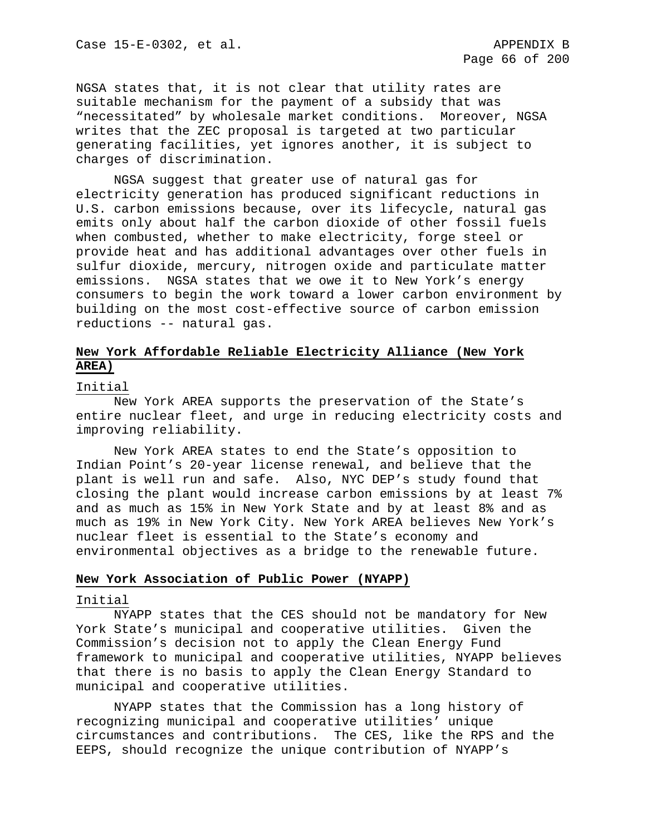NGSA states that, it is not clear that utility rates are suitable mechanism for the payment of a subsidy that was "necessitated" by wholesale market conditions. Moreover, NGSA writes that the ZEC proposal is targeted at two particular generating facilities, yet ignores another, it is subject to charges of discrimination.

NGSA suggest that greater use of natural gas for electricity generation has produced significant reductions in U.S. carbon emissions because, over its lifecycle, natural gas emits only about half the carbon dioxide of other fossil fuels when combusted, whether to make electricity, forge steel or provide heat and has additional advantages over other fuels in sulfur dioxide, mercury, nitrogen oxide and particulate matter emissions. NGSA states that we owe it to New York's energy consumers to begin the work toward a lower carbon environment by building on the most cost-effective source of carbon emission reductions -- natural gas.

# **New York Affordable Reliable Electricity Alliance (New York AREA)**

#### Initial

New York AREA supports the preservation of the State's entire nuclear fleet, and urge in reducing electricity costs and improving reliability.

New York AREA states to end the State's opposition to Indian Point's 20-year license renewal, and believe that the plant is well run and safe. Also, NYC DEP's study found that closing the plant would increase carbon emissions by at least 7% and as much as 15% in New York State and by at least 8% and as much as 19% in New York City. New York AREA believes New York's nuclear fleet is essential to the State's economy and environmental objectives as a bridge to the renewable future.

# **New York Association of Public Power (NYAPP)**

#### Initial

NYAPP states that the CES should not be mandatory for New York State's municipal and cooperative utilities. Given the Commission's decision not to apply the Clean Energy Fund framework to municipal and cooperative utilities, NYAPP believes that there is no basis to apply the Clean Energy Standard to municipal and cooperative utilities.

NYAPP states that the Commission has a long history of recognizing municipal and cooperative utilities' unique circumstances and contributions. The CES, like the RPS and the EEPS, should recognize the unique contribution of NYAPP's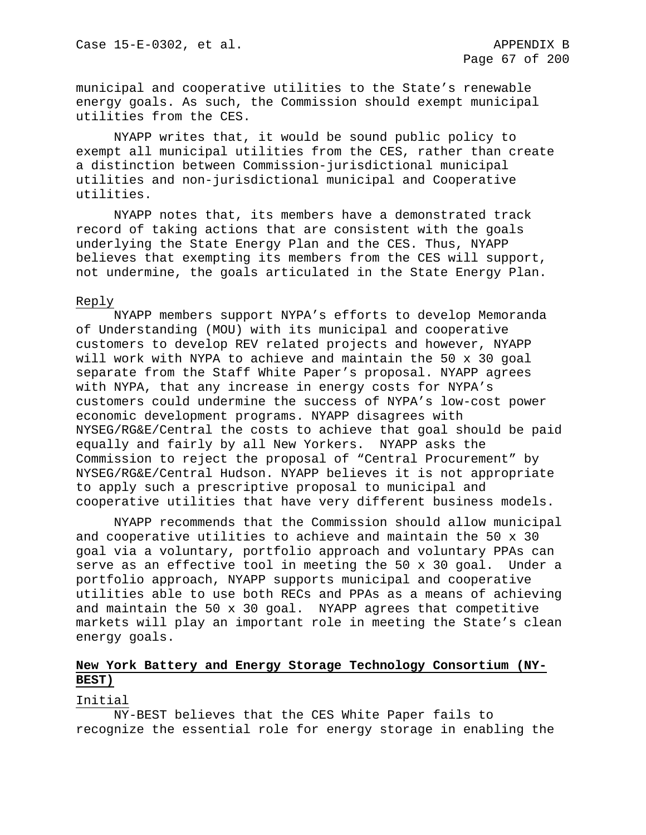municipal and cooperative utilities to the State's renewable energy goals. As such, the Commission should exempt municipal utilities from the CES.

NYAPP writes that, it would be sound public policy to exempt all municipal utilities from the CES, rather than create a distinction between Commission-jurisdictional municipal utilities and non-jurisdictional municipal and Cooperative utilities.

NYAPP notes that, its members have a demonstrated track record of taking actions that are consistent with the goals underlying the State Energy Plan and the CES. Thus, NYAPP believes that exempting its members from the CES will support, not undermine, the goals articulated in the State Energy Plan.

### Reply

NYAPP members support NYPA's efforts to develop Memoranda of Understanding (MOU) with its municipal and cooperative customers to develop REV related projects and however, NYAPP will work with NYPA to achieve and maintain the 50 x 30 goal separate from the Staff White Paper's proposal. NYAPP agrees with NYPA, that any increase in energy costs for NYPA's customers could undermine the success of NYPA's low-cost power economic development programs. NYAPP disagrees with NYSEG/RG&E/Central the costs to achieve that goal should be paid equally and fairly by all New Yorkers. NYAPP asks the Commission to reject the proposal of "Central Procurement" by NYSEG/RG&E/Central Hudson. NYAPP believes it is not appropriate to apply such a prescriptive proposal to municipal and cooperative utilities that have very different business models.

NYAPP recommends that the Commission should allow municipal and cooperative utilities to achieve and maintain the 50 x 30 goal via a voluntary, portfolio approach and voluntary PPAs can serve as an effective tool in meeting the 50 x 30 goal. Under a portfolio approach, NYAPP supports municipal and cooperative utilities able to use both RECs and PPAs as a means of achieving and maintain the 50 x 30 goal. NYAPP agrees that competitive markets will play an important role in meeting the State's clean energy goals.

# **New York Battery and Energy Storage Technology Consortium (NY-BEST)**

#### Initial

NY-BEST believes that the CES White Paper fails to recognize the essential role for energy storage in enabling the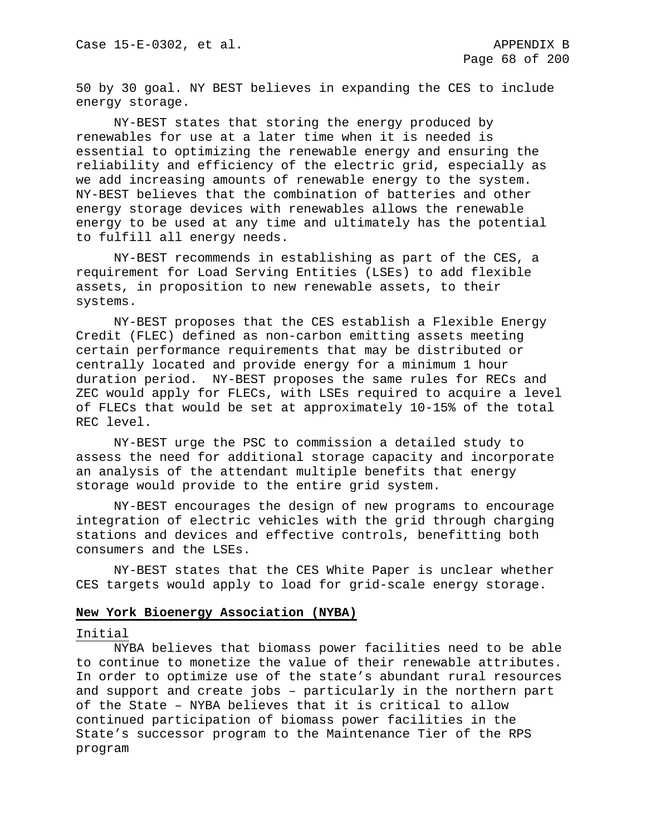50 by 30 goal. NY BEST believes in expanding the CES to include energy storage.

NY-BEST states that storing the energy produced by renewables for use at a later time when it is needed is essential to optimizing the renewable energy and ensuring the reliability and efficiency of the electric grid, especially as we add increasing amounts of renewable energy to the system. NY-BEST believes that the combination of batteries and other energy storage devices with renewables allows the renewable energy to be used at any time and ultimately has the potential to fulfill all energy needs.

NY-BEST recommends in establishing as part of the CES, a requirement for Load Serving Entities (LSEs) to add flexible assets, in proposition to new renewable assets, to their systems.

NY-BEST proposes that the CES establish a Flexible Energy Credit (FLEC) defined as non-carbon emitting assets meeting certain performance requirements that may be distributed or centrally located and provide energy for a minimum 1 hour duration period. NY-BEST proposes the same rules for RECs and ZEC would apply for FLECs, with LSEs required to acquire a level of FLECs that would be set at approximately 10-15% of the total REC level.

NY-BEST urge the PSC to commission a detailed study to assess the need for additional storage capacity and incorporate an analysis of the attendant multiple benefits that energy storage would provide to the entire grid system.

NY-BEST encourages the design of new programs to encourage integration of electric vehicles with the grid through charging stations and devices and effective controls, benefitting both consumers and the LSEs.

NY-BEST states that the CES White Paper is unclear whether CES targets would apply to load for grid-scale energy storage.

#### **New York Bioenergy Association (NYBA)**

## Initial

NYBA believes that biomass power facilities need to be able to continue to monetize the value of their renewable attributes. In order to optimize use of the state's abundant rural resources and support and create jobs – particularly in the northern part of the State – NYBA believes that it is critical to allow continued participation of biomass power facilities in the State's successor program to the Maintenance Tier of the RPS program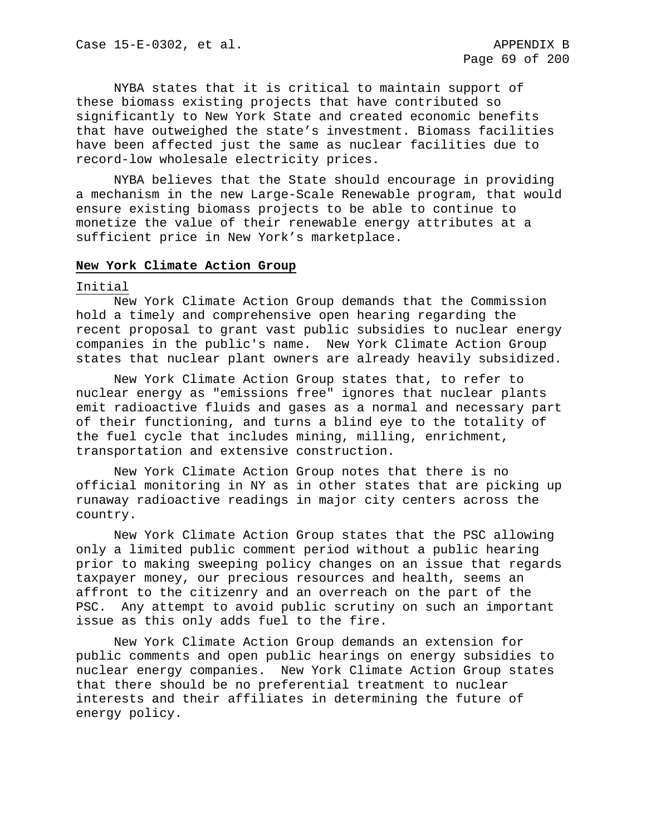NYBA states that it is critical to maintain support of these biomass existing projects that have contributed so significantly to New York State and created economic benefits that have outweighed the state's investment. Biomass facilities have been affected just the same as nuclear facilities due to record-low wholesale electricity prices.

NYBA believes that the State should encourage in providing a mechanism in the new Large-Scale Renewable program, that would ensure existing biomass projects to be able to continue to monetize the value of their renewable energy attributes at a sufficient price in New York's marketplace.

### **New York Climate Action Group**

#### Initial

New York Climate Action Group demands that the Commission hold a timely and comprehensive open hearing regarding the recent proposal to grant vast public subsidies to nuclear energy companies in the public's name. New York Climate Action Group states that nuclear plant owners are already heavily subsidized.

New York Climate Action Group states that, to refer to nuclear energy as "emissions free" ignores that nuclear plants emit radioactive fluids and gases as a normal and necessary part of their functioning, and turns a blind eye to the totality of the fuel cycle that includes mining, milling, enrichment, transportation and extensive construction.

New York Climate Action Group notes that there is no official monitoring in NY as in other states that are picking up runaway radioactive readings in major city centers across the country.

New York Climate Action Group states that the PSC allowing only a limited public comment period without a public hearing prior to making sweeping policy changes on an issue that regards taxpayer money, our precious resources and health, seems an affront to the citizenry and an overreach on the part of the PSC. Any attempt to avoid public scrutiny on such an important issue as this only adds fuel to the fire.

New York Climate Action Group demands an extension for public comments and open public hearings on energy subsidies to nuclear energy companies. New York Climate Action Group states that there should be no preferential treatment to nuclear interests and their affiliates in determining the future of energy policy.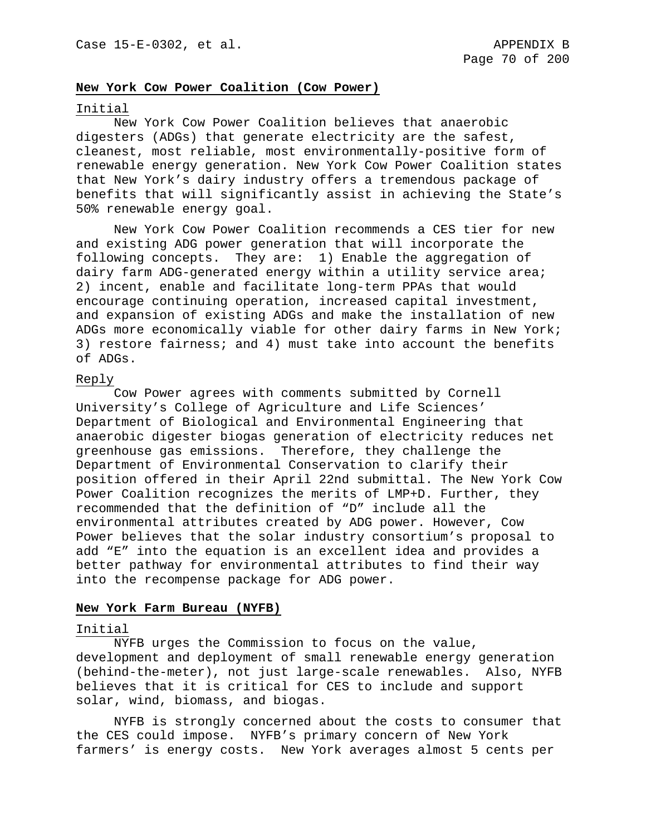#### **New York Cow Power Coalition (Cow Power)**

#### Initial

New York Cow Power Coalition believes that anaerobic digesters (ADGs) that generate electricity are the safest, cleanest, most reliable, most environmentally-positive form of renewable energy generation. New York Cow Power Coalition states that New York's dairy industry offers a tremendous package of benefits that will significantly assist in achieving the State's 50% renewable energy goal.

New York Cow Power Coalition recommends a CES tier for new and existing ADG power generation that will incorporate the following concepts. They are: 1) Enable the aggregation of dairy farm ADG-generated energy within a utility service area; 2) incent, enable and facilitate long-term PPAs that would encourage continuing operation, increased capital investment, and expansion of existing ADGs and make the installation of new ADGs more economically viable for other dairy farms in New York; 3) restore fairness; and 4) must take into account the benefits of ADGs.

#### Reply

Cow Power agrees with comments submitted by Cornell University's College of Agriculture and Life Sciences' Department of Biological and Environmental Engineering that anaerobic digester biogas generation of electricity reduces net greenhouse gas emissions. Therefore, they challenge the Department of Environmental Conservation to clarify their position offered in their April 22nd submittal. The New York Cow Power Coalition recognizes the merits of LMP+D. Further, they recommended that the definition of "D" include all the environmental attributes created by ADG power. However, Cow Power believes that the solar industry consortium's proposal to add "E" into the equation is an excellent idea and provides a better pathway for environmental attributes to find their way into the recompense package for ADG power.

### **New York Farm Bureau (NYFB)**

### Initial

NYFB urges the Commission to focus on the value, development and deployment of small renewable energy generation (behind-the-meter), not just large-scale renewables. Also, NYFB believes that it is critical for CES to include and support solar, wind, biomass, and biogas.

NYFB is strongly concerned about the costs to consumer that the CES could impose. NYFB's primary concern of New York farmers' is energy costs. New York averages almost 5 cents per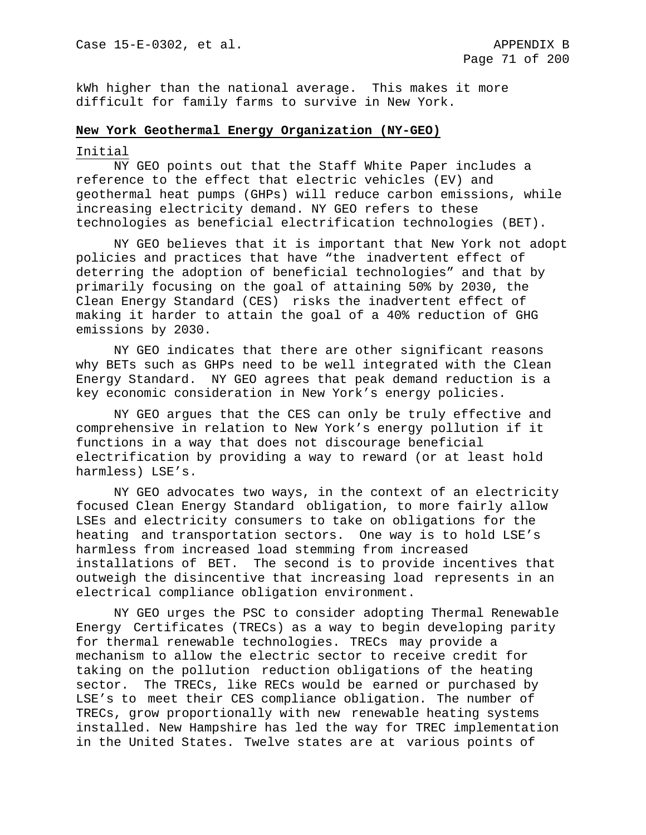kWh higher than the national average. This makes it more difficult for family farms to survive in New York.

### **New York Geothermal Energy Organization (NY-GEO)**

### Initial

NY GEO points out that the Staff White Paper includes a reference to the effect that electric vehicles (EV) and geothermal heat pumps (GHPs) will reduce carbon emissions, while increasing electricity demand. NY GEO refers to these technologies as beneficial electrification technologies (BET).

NY GEO believes that it is important that New York not adopt policies and practices that have "the inadvertent effect of deterring the adoption of beneficial technologies" and that by primarily focusing on the goal of attaining 50% by 2030, the Clean Energy Standard (CES) risks the inadvertent effect of making it harder to attain the goal of a 40% reduction of GHG emissions by 2030.

NY GEO indicates that there are other significant reasons why BETs such as GHPs need to be well integrated with the Clean Energy Standard. NY GEO agrees that peak demand reduction is a key economic consideration in New York's energy policies.

NY GEO argues that the CES can only be truly effective and comprehensive in relation to New York's energy pollution if it functions in a way that does not discourage beneficial electrification by providing a way to reward (or at least hold harmless) LSE's.

NY GEO advocates two ways, in the context of an electricity focused Clean Energy Standard obligation, to more fairly allow LSEs and electricity consumers to take on obligations for the heating and transportation sectors. One way is to hold LSE's harmless from increased load stemming from increased installations of BET. The second is to provide incentives that outweigh the disincentive that increasing load represents in an electrical compliance obligation environment.

NY GEO urges the PSC to consider adopting Thermal Renewable Energy Certificates (TRECs) as a way to begin developing parity for thermal renewable technologies. TRECs may provide a mechanism to allow the electric sector to receive credit for taking on the pollution reduction obligations of the heating sector. The TRECs, like RECs would be earned or purchased by LSE's to meet their CES compliance obligation. The number of TRECs, grow proportionally with new renewable heating systems installed. New Hampshire has led the way for TREC implementation in the United States. Twelve states are at various points of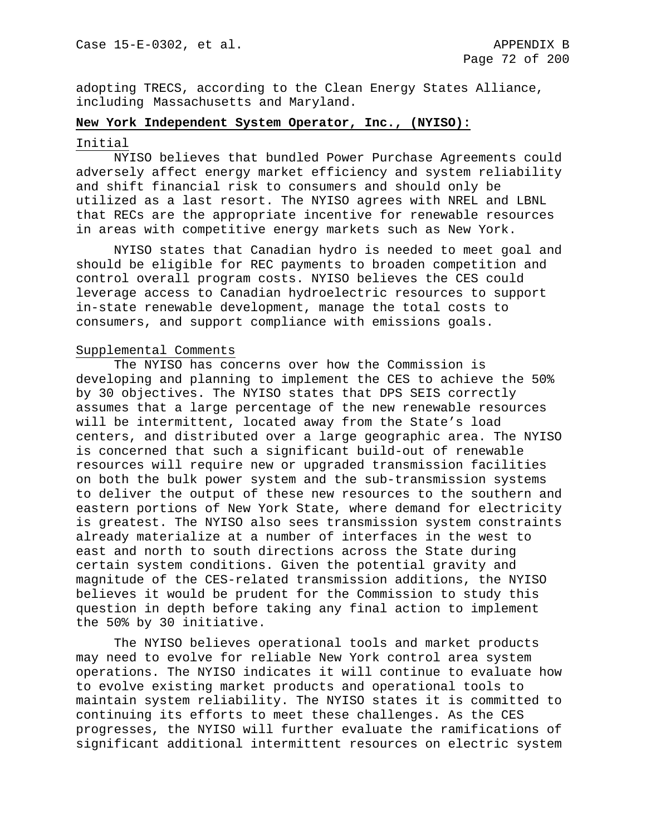adopting TRECS, according to the Clean Energy States Alliance, including Massachusetts and Maryland.

## **New York Independent System Operator, Inc., (NYISO):**

#### Initial

NYISO believes that bundled Power Purchase Agreements could adversely affect energy market efficiency and system reliability and shift financial risk to consumers and should only be utilized as a last resort. The NYISO agrees with NREL and LBNL that RECs are the appropriate incentive for renewable resources in areas with competitive energy markets such as New York.

NYISO states that Canadian hydro is needed to meet goal and should be eligible for REC payments to broaden competition and control overall program costs. NYISO believes the CES could leverage access to Canadian hydroelectric resources to support in-state renewable development, manage the total costs to consumers, and support compliance with emissions goals.

# Supplemental Comments

The NYISO has concerns over how the Commission is developing and planning to implement the CES to achieve the 50% by 30 objectives. The NYISO states that DPS SEIS correctly assumes that a large percentage of the new renewable resources will be intermittent, located away from the State's load centers, and distributed over a large geographic area. The NYISO is concerned that such a significant build-out of renewable resources will require new or upgraded transmission facilities on both the bulk power system and the sub-transmission systems to deliver the output of these new resources to the southern and eastern portions of New York State, where demand for electricity is greatest. The NYISO also sees transmission system constraints already materialize at a number of interfaces in the west to east and north to south directions across the State during certain system conditions. Given the potential gravity and magnitude of the CES-related transmission additions, the NYISO believes it would be prudent for the Commission to study this question in depth before taking any final action to implement the 50% by 30 initiative.

The NYISO believes operational tools and market products may need to evolve for reliable New York control area system operations. The NYISO indicates it will continue to evaluate how to evolve existing market products and operational tools to maintain system reliability. The NYISO states it is committed to continuing its efforts to meet these challenges. As the CES progresses, the NYISO will further evaluate the ramifications of significant additional intermittent resources on electric system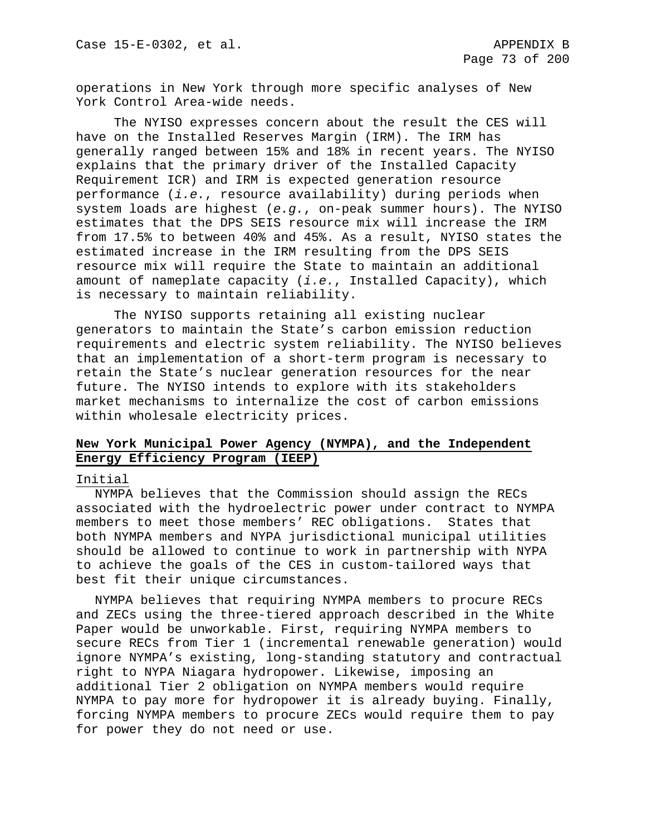operations in New York through more specific analyses of New York Control Area-wide needs.

The NYISO expresses concern about the result the CES will have on the Installed Reserves Margin (IRM). The IRM has generally ranged between 15% and 18% in recent years. The NYISO explains that the primary driver of the Installed Capacity Requirement ICR) and IRM is expected generation resource performance (*i.e.*, resource availability) during periods when system loads are highest (*e.g.*, on-peak summer hours). The NYISO estimates that the DPS SEIS resource mix will increase the IRM from 17.5% to between 40% and 45%. As a result, NYISO states the estimated increase in the IRM resulting from the DPS SEIS resource mix will require the State to maintain an additional amount of nameplate capacity (*i.e.*, Installed Capacity), which is necessary to maintain reliability.

The NYISO supports retaining all existing nuclear generators to maintain the State's carbon emission reduction requirements and electric system reliability. The NYISO believes that an implementation of a short-term program is necessary to retain the State's nuclear generation resources for the near future. The NYISO intends to explore with its stakeholders market mechanisms to internalize the cost of carbon emissions within wholesale electricity prices.

# **New York Municipal Power Agency (NYMPA), and the Independent Energy Efficiency Program (IEEP)**

# Initial

NYMPA believes that the Commission should assign the RECs associated with the hydroelectric power under contract to NYMPA members to meet those members' REC obligations. States that both NYMPA members and NYPA jurisdictional municipal utilities should be allowed to continue to work in partnership with NYPA to achieve the goals of the CES in custom-tailored ways that best fit their unique circumstances.

NYMPA believes that requiring NYMPA members to procure RECs and ZECs using the three-tiered approach described in the White Paper would be unworkable. First, requiring NYMPA members to secure RECs from Tier 1 (incremental renewable generation) would ignore NYMPA's existing, long-standing statutory and contractual right to NYPA Niagara hydropower. Likewise, imposing an additional Tier 2 obligation on NYMPA members would require NYMPA to pay more for hydropower it is already buying. Finally, forcing NYMPA members to procure ZECs would require them to pay for power they do not need or use.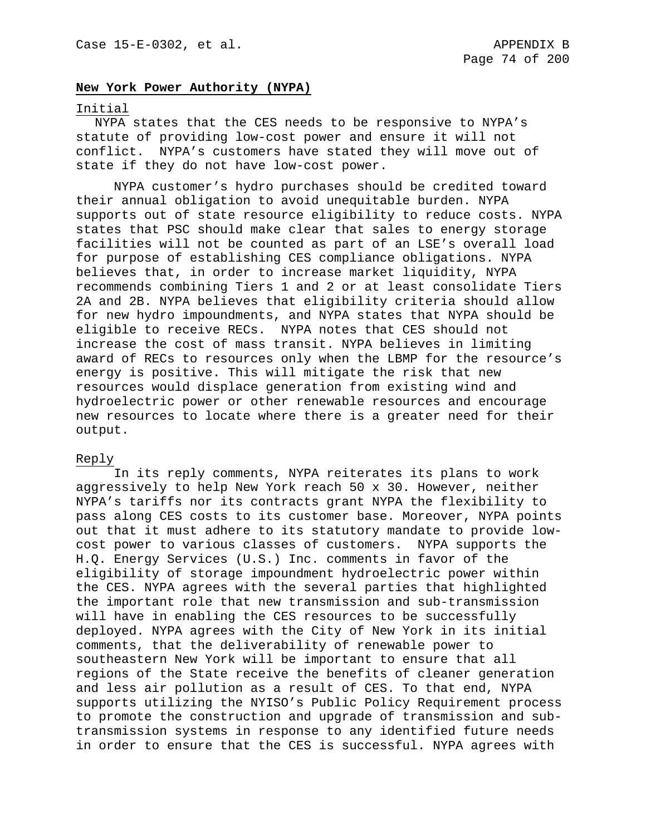## **New York Power Authority (NYPA)**

#### Initial

NYPA states that the CES needs to be responsive to NYPA's statute of providing low-cost power and ensure it will not conflict. NYPA's customers have stated they will move out of state if they do not have low-cost power.

NYPA customer's hydro purchases should be credited toward their annual obligation to avoid unequitable burden. NYPA supports out of state resource eligibility to reduce costs. NYPA states that PSC should make clear that sales to energy storage facilities will not be counted as part of an LSE's overall load for purpose of establishing CES compliance obligations. NYPA believes that, in order to increase market liquidity, NYPA recommends combining Tiers 1 and 2 or at least consolidate Tiers 2A and 2B. NYPA believes that eligibility criteria should allow for new hydro impoundments, and NYPA states that NYPA should be eligible to receive RECs. NYPA notes that CES should not increase the cost of mass transit. NYPA believes in limiting award of RECs to resources only when the LBMP for the resource's energy is positive. This will mitigate the risk that new resources would displace generation from existing wind and hydroelectric power or other renewable resources and encourage new resources to locate where there is a greater need for their output.

## Reply

In its reply comments, NYPA reiterates its plans to work aggressively to help New York reach 50 x 30. However, neither NYPA's tariffs nor its contracts grant NYPA the flexibility to pass along CES costs to its customer base. Moreover, NYPA points out that it must adhere to its statutory mandate to provide lowcost power to various classes of customers. NYPA supports the H.Q. Energy Services (U.S.) Inc. comments in favor of the eligibility of storage impoundment hydroelectric power within the CES. NYPA agrees with the several parties that highlighted the important role that new transmission and sub-transmission will have in enabling the CES resources to be successfully deployed. NYPA agrees with the City of New York in its initial comments, that the deliverability of renewable power to southeastern New York will be important to ensure that all regions of the State receive the benefits of cleaner generation and less air pollution as a result of CES. To that end, NYPA supports utilizing the NYISO's Public Policy Requirement process to promote the construction and upgrade of transmission and subtransmission systems in response to any identified future needs in order to ensure that the CES is successful. NYPA agrees with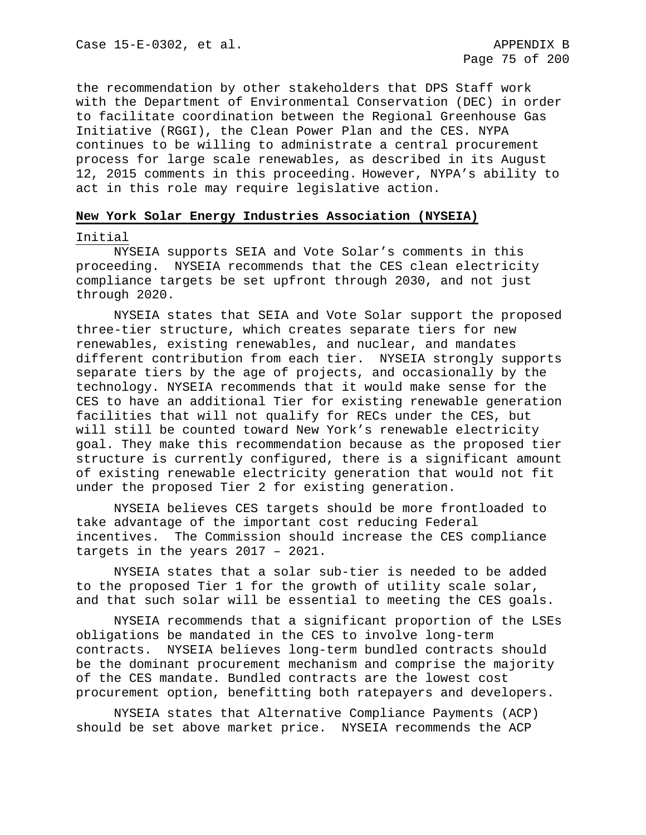the recommendation by other stakeholders that DPS Staff work with the Department of Environmental Conservation (DEC) in order to facilitate coordination between the Regional Greenhouse Gas Initiative (RGGI), the Clean Power Plan and the CES. NYPA continues to be willing to administrate a central procurement process for large scale renewables, as described in its August 12, 2015 comments in this proceeding. However, NYPA's ability to act in this role may require legislative action.

### **New York Solar Energy Industries Association (NYSEIA)**

### Initial

NYSEIA supports SEIA and Vote Solar's comments in this proceeding. NYSEIA recommends that the CES clean electricity compliance targets be set upfront through 2030, and not just through 2020.

NYSEIA states that SEIA and Vote Solar support the proposed three-tier structure, which creates separate tiers for new renewables, existing renewables, and nuclear, and mandates different contribution from each tier. NYSEIA strongly supports separate tiers by the age of projects, and occasionally by the technology. NYSEIA recommends that it would make sense for the CES to have an additional Tier for existing renewable generation facilities that will not qualify for RECs under the CES, but will still be counted toward New York's renewable electricity goal. They make this recommendation because as the proposed tier structure is currently configured, there is a significant amount of existing renewable electricity generation that would not fit under the proposed Tier 2 for existing generation.

NYSEIA believes CES targets should be more frontloaded to take advantage of the important cost reducing Federal incentives. The Commission should increase the CES compliance targets in the years 2017 – 2021.

NYSEIA states that a solar sub-tier is needed to be added to the proposed Tier 1 for the growth of utility scale solar, and that such solar will be essential to meeting the CES goals.

NYSEIA recommends that a significant proportion of the LSEs obligations be mandated in the CES to involve long-term contracts. NYSEIA believes long-term bundled contracts should be the dominant procurement mechanism and comprise the majority of the CES mandate. Bundled contracts are the lowest cost procurement option, benefitting both ratepayers and developers.

NYSEIA states that Alternative Compliance Payments (ACP) should be set above market price. NYSEIA recommends the ACP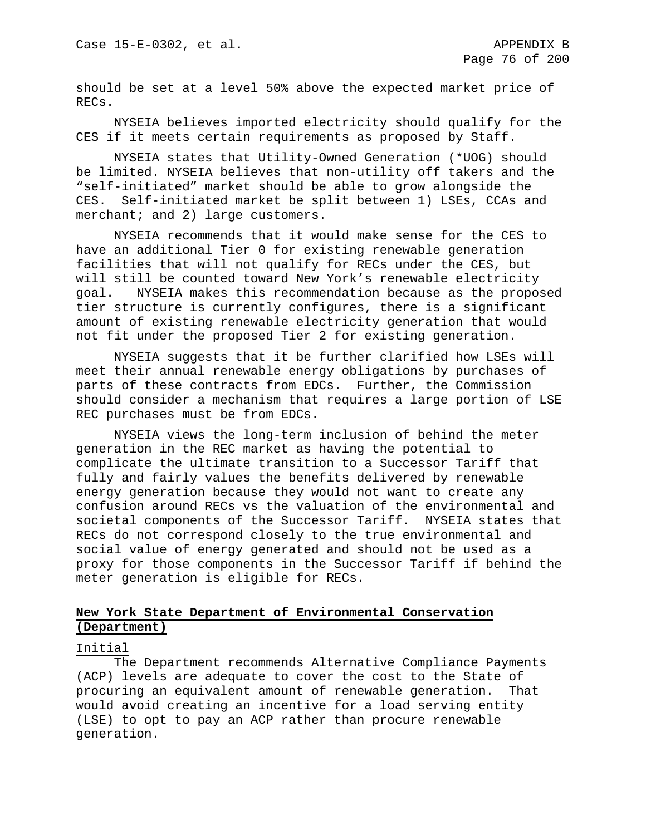should be set at a level 50% above the expected market price of RECs.

NYSEIA believes imported electricity should qualify for the CES if it meets certain requirements as proposed by Staff.

NYSEIA states that Utility-Owned Generation (\*UOG) should be limited. NYSEIA believes that non-utility off takers and the "self-initiated" market should be able to grow alongside the CES. Self-initiated market be split between 1) LSEs, CCAs and merchant; and 2) large customers.

NYSEIA recommends that it would make sense for the CES to have an additional Tier 0 for existing renewable generation facilities that will not qualify for RECs under the CES, but will still be counted toward New York's renewable electricity goal. NYSEIA makes this recommendation because as the proposed tier structure is currently configures, there is a significant amount of existing renewable electricity generation that would not fit under the proposed Tier 2 for existing generation.

NYSEIA suggests that it be further clarified how LSEs will meet their annual renewable energy obligations by purchases of parts of these contracts from EDCs. Further, the Commission should consider a mechanism that requires a large portion of LSE REC purchases must be from EDCs.

NYSEIA views the long-term inclusion of behind the meter generation in the REC market as having the potential to complicate the ultimate transition to a Successor Tariff that fully and fairly values the benefits delivered by renewable energy generation because they would not want to create any confusion around RECs vs the valuation of the environmental and societal components of the Successor Tariff. NYSEIA states that RECs do not correspond closely to the true environmental and social value of energy generated and should not be used as a proxy for those components in the Successor Tariff if behind the meter generation is eligible for RECs.

# **New York State Department of Environmental Conservation (Department)**

#### Initial

The Department recommends Alternative Compliance Payments (ACP) levels are adequate to cover the cost to the State of procuring an equivalent amount of renewable generation. That would avoid creating an incentive for a load serving entity (LSE) to opt to pay an ACP rather than procure renewable generation.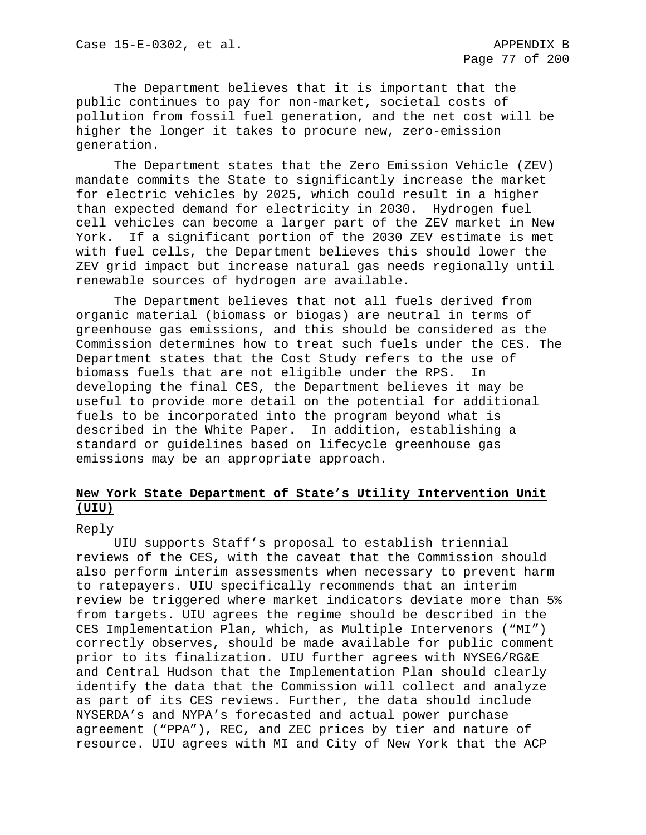The Department believes that it is important that the public continues to pay for non-market, societal costs of pollution from fossil fuel generation, and the net cost will be higher the longer it takes to procure new, zero-emission generation.

The Department states that the Zero Emission Vehicle (ZEV) mandate commits the State to significantly increase the market for electric vehicles by 2025, which could result in a higher than expected demand for electricity in 2030. Hydrogen fuel cell vehicles can become a larger part of the ZEV market in New York. If a significant portion of the 2030 ZEV estimate is met with fuel cells, the Department believes this should lower the ZEV grid impact but increase natural gas needs regionally until renewable sources of hydrogen are available.

The Department believes that not all fuels derived from organic material (biomass or biogas) are neutral in terms of greenhouse gas emissions, and this should be considered as the Commission determines how to treat such fuels under the CES. The Department states that the Cost Study refers to the use of biomass fuels that are not eligible under the RPS. In developing the final CES, the Department believes it may be useful to provide more detail on the potential for additional fuels to be incorporated into the program beyond what is described in the White Paper. In addition, establishing a standard or guidelines based on lifecycle greenhouse gas emissions may be an appropriate approach.

# **New York State Department of State's Utility Intervention Unit (UIU)**

#### Reply

UIU supports Staff's proposal to establish triennial reviews of the CES, with the caveat that the Commission should also perform interim assessments when necessary to prevent harm to ratepayers. UIU specifically recommends that an interim review be triggered where market indicators deviate more than 5% from targets. UIU agrees the regime should be described in the CES Implementation Plan, which, as Multiple Intervenors ("MI") correctly observes, should be made available for public comment prior to its finalization. UIU further agrees with NYSEG/RG&E and Central Hudson that the Implementation Plan should clearly identify the data that the Commission will collect and analyze as part of its CES reviews. Further, the data should include NYSERDA's and NYPA's forecasted and actual power purchase agreement ("PPA"), REC, and ZEC prices by tier and nature of resource. UIU agrees with MI and City of New York that the ACP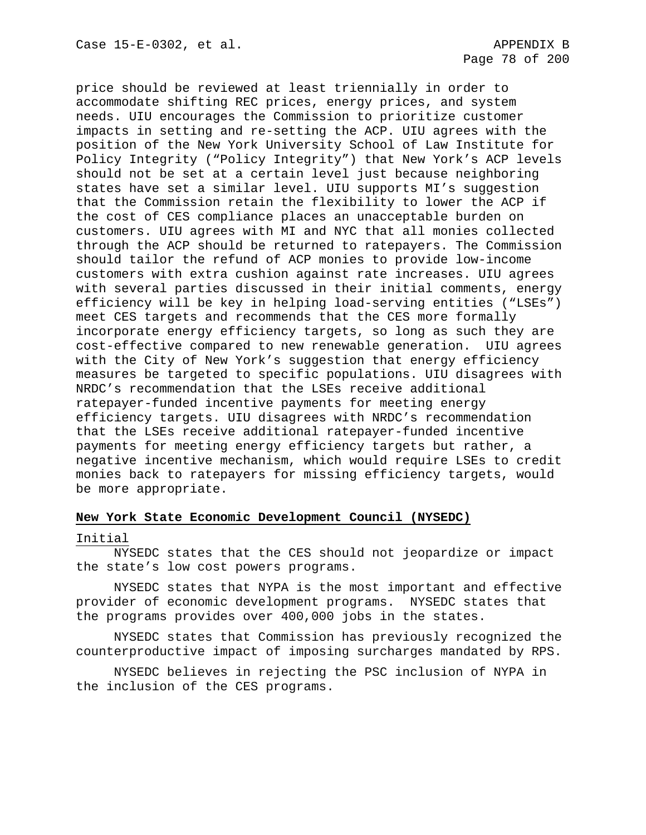price should be reviewed at least triennially in order to accommodate shifting REC prices, energy prices, and system needs. UIU encourages the Commission to prioritize customer impacts in setting and re-setting the ACP. UIU agrees with the position of the New York University School of Law Institute for Policy Integrity ("Policy Integrity") that New York's ACP levels should not be set at a certain level just because neighboring states have set a similar level. UIU supports MI's suggestion that the Commission retain the flexibility to lower the ACP if the cost of CES compliance places an unacceptable burden on customers. UIU agrees with MI and NYC that all monies collected through the ACP should be returned to ratepayers. The Commission should tailor the refund of ACP monies to provide low-income customers with extra cushion against rate increases. UIU agrees with several parties discussed in their initial comments, energy efficiency will be key in helping load-serving entities ("LSEs") meet CES targets and recommends that the CES more formally incorporate energy efficiency targets, so long as such they are cost-effective compared to new renewable generation. UIU agrees with the City of New York's suggestion that energy efficiency measures be targeted to specific populations. UIU disagrees with NRDC's recommendation that the LSEs receive additional ratepayer-funded incentive payments for meeting energy efficiency targets. UIU disagrees with NRDC's recommendation that the LSEs receive additional ratepayer-funded incentive payments for meeting energy efficiency targets but rather, a negative incentive mechanism, which would require LSEs to credit monies back to ratepayers for missing efficiency targets, would be more appropriate.

## **New York State Economic Development Council (NYSEDC)**

#### Initial

NYSEDC states that the CES should not jeopardize or impact the state's low cost powers programs.

NYSEDC states that NYPA is the most important and effective provider of economic development programs. NYSEDC states that the programs provides over 400,000 jobs in the states.

NYSEDC states that Commission has previously recognized the counterproductive impact of imposing surcharges mandated by RPS.

NYSEDC believes in rejecting the PSC inclusion of NYPA in the inclusion of the CES programs.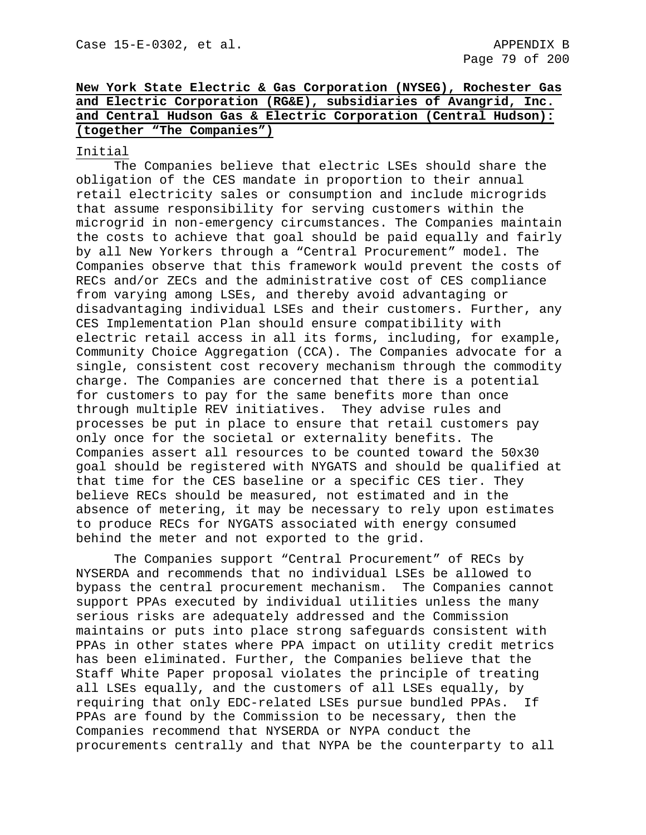# **New York State Electric & Gas Corporation (NYSEG), Rochester Gas and Electric Corporation (RG&E), subsidiaries of Avangrid, Inc. and Central Hudson Gas & Electric Corporation (Central Hudson): (together "The Companies")**

# Initial

The Companies believe that electric LSEs should share the obligation of the CES mandate in proportion to their annual retail electricity sales or consumption and include microgrids that assume responsibility for serving customers within the microgrid in non-emergency circumstances. The Companies maintain the costs to achieve that goal should be paid equally and fairly by all New Yorkers through a "Central Procurement" model. The Companies observe that this framework would prevent the costs of RECs and/or ZECs and the administrative cost of CES compliance from varying among LSEs, and thereby avoid advantaging or disadvantaging individual LSEs and their customers. Further, any CES Implementation Plan should ensure compatibility with electric retail access in all its forms, including, for example, Community Choice Aggregation (CCA). The Companies advocate for a single, consistent cost recovery mechanism through the commodity charge. The Companies are concerned that there is a potential for customers to pay for the same benefits more than once through multiple REV initiatives. They advise rules and processes be put in place to ensure that retail customers pay only once for the societal or externality benefits. The Companies assert all resources to be counted toward the 50x30 goal should be registered with NYGATS and should be qualified at that time for the CES baseline or a specific CES tier. They believe RECs should be measured, not estimated and in the absence of metering, it may be necessary to rely upon estimates to produce RECs for NYGATS associated with energy consumed behind the meter and not exported to the grid.

The Companies support "Central Procurement" of RECs by NYSERDA and recommends that no individual LSEs be allowed to bypass the central procurement mechanism. The Companies cannot support PPAs executed by individual utilities unless the many serious risks are adequately addressed and the Commission maintains or puts into place strong safeguards consistent with PPAs in other states where PPA impact on utility credit metrics has been eliminated. Further, the Companies believe that the Staff White Paper proposal violates the principle of treating all LSEs equally, and the customers of all LSEs equally, by requiring that only EDC-related LSEs pursue bundled PPAs. If PPAs are found by the Commission to be necessary, then the Companies recommend that NYSERDA or NYPA conduct the procurements centrally and that NYPA be the counterparty to all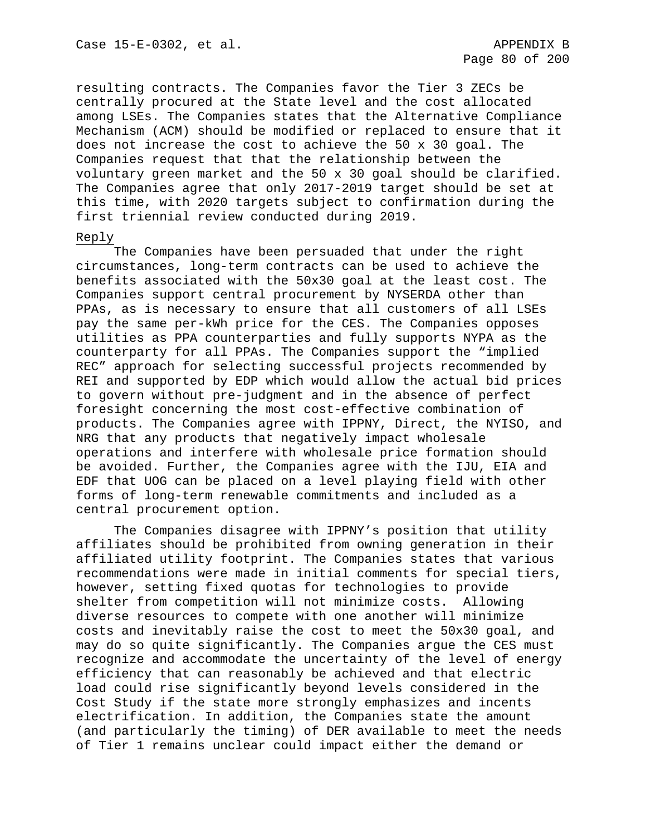resulting contracts. The Companies favor the Tier 3 ZECs be centrally procured at the State level and the cost allocated among LSEs. The Companies states that the Alternative Compliance Mechanism (ACM) should be modified or replaced to ensure that it does not increase the cost to achieve the 50 x 30 goal. The Companies request that that the relationship between the voluntary green market and the 50 x 30 goal should be clarified. The Companies agree that only 2017-2019 target should be set at this time, with 2020 targets subject to confirmation during the first triennial review conducted during 2019.

### Reply

The Companies have been persuaded that under the right circumstances, long-term contracts can be used to achieve the benefits associated with the 50x30 goal at the least cost. The Companies support central procurement by NYSERDA other than PPAs, as is necessary to ensure that all customers of all LSEs pay the same per-kWh price for the CES. The Companies opposes utilities as PPA counterparties and fully supports NYPA as the counterparty for all PPAs. The Companies support the "implied REC" approach for selecting successful projects recommended by REI and supported by EDP which would allow the actual bid prices to govern without pre-judgment and in the absence of perfect foresight concerning the most cost-effective combination of products. The Companies agree with IPPNY, Direct, the NYISO, and NRG that any products that negatively impact wholesale operations and interfere with wholesale price formation should be avoided. Further, the Companies agree with the IJU, EIA and EDF that UOG can be placed on a level playing field with other forms of long-term renewable commitments and included as a central procurement option.

The Companies disagree with IPPNY's position that utility affiliates should be prohibited from owning generation in their affiliated utility footprint. The Companies states that various recommendations were made in initial comments for special tiers, however, setting fixed quotas for technologies to provide shelter from competition will not minimize costs. Allowing diverse resources to compete with one another will minimize costs and inevitably raise the cost to meet the 50x30 goal, and may do so quite significantly. The Companies argue the CES must recognize and accommodate the uncertainty of the level of energy efficiency that can reasonably be achieved and that electric load could rise significantly beyond levels considered in the Cost Study if the state more strongly emphasizes and incents electrification. In addition, the Companies state the amount (and particularly the timing) of DER available to meet the needs of Tier 1 remains unclear could impact either the demand or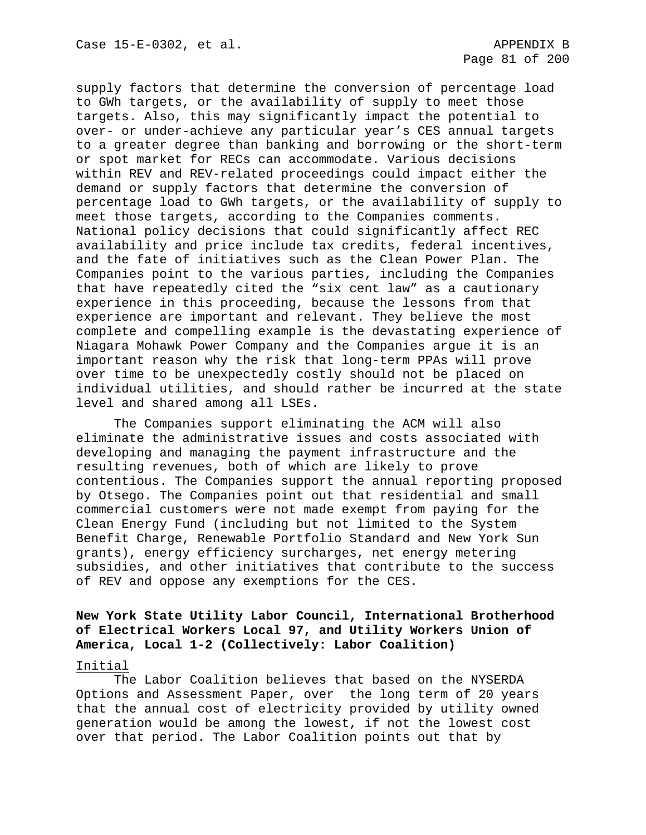supply factors that determine the conversion of percentage load to GWh targets, or the availability of supply to meet those targets. Also, this may significantly impact the potential to over- or under-achieve any particular year's CES annual targets to a greater degree than banking and borrowing or the short-term or spot market for RECs can accommodate. Various decisions within REV and REV-related proceedings could impact either the demand or supply factors that determine the conversion of percentage load to GWh targets, or the availability of supply to meet those targets, according to the Companies comments. National policy decisions that could significantly affect REC availability and price include tax credits, federal incentives, and the fate of initiatives such as the Clean Power Plan. The Companies point to the various parties, including the Companies that have repeatedly cited the "six cent law" as a cautionary experience in this proceeding, because the lessons from that experience are important and relevant. They believe the most complete and compelling example is the devastating experience of Niagara Mohawk Power Company and the Companies argue it is an important reason why the risk that long-term PPAs will prove over time to be unexpectedly costly should not be placed on individual utilities, and should rather be incurred at the state level and shared among all LSEs.

The Companies support eliminating the ACM will also eliminate the administrative issues and costs associated with developing and managing the payment infrastructure and the resulting revenues, both of which are likely to prove contentious. The Companies support the annual reporting proposed by Otsego. The Companies point out that residential and small commercial customers were not made exempt from paying for the Clean Energy Fund (including but not limited to the System Benefit Charge, Renewable Portfolio Standard and New York Sun grants), energy efficiency surcharges, net energy metering subsidies, and other initiatives that contribute to the success of REV and oppose any exemptions for the CES.

# **New York State Utility Labor Council, International Brotherhood of Electrical Workers Local 97, and Utility Workers Union of America, Local 1-2 (Collectively: Labor Coalition)**

#### Initial

The Labor Coalition believes that based on the NYSERDA Options and Assessment Paper, over the long term of 20 years that the annual cost of electricity provided by utility owned generation would be among the lowest, if not the lowest cost over that period. The Labor Coalition points out that by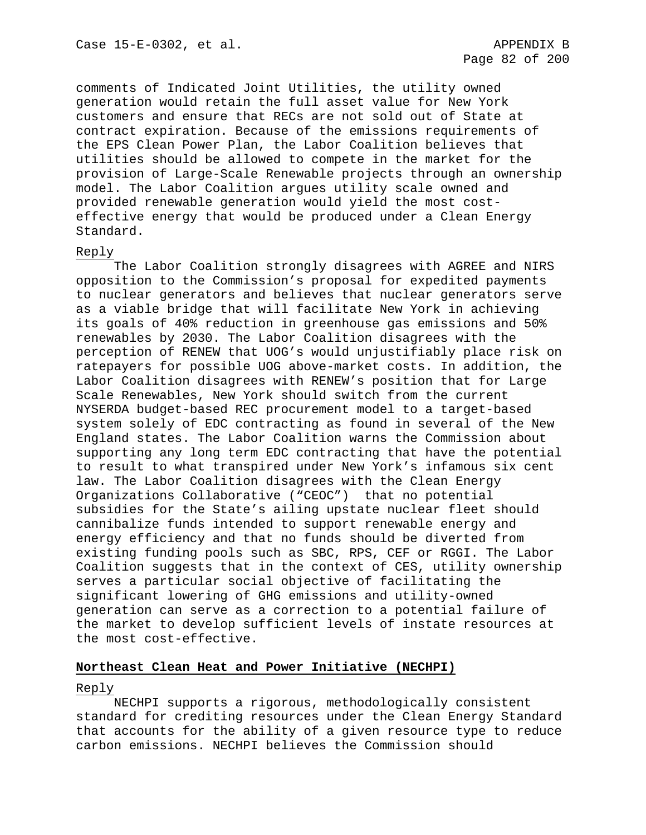comments of Indicated Joint Utilities, the utility owned generation would retain the full asset value for New York customers and ensure that RECs are not sold out of State at contract expiration. Because of the emissions requirements of the EPS Clean Power Plan, the Labor Coalition believes that utilities should be allowed to compete in the market for the provision of Large-Scale Renewable projects through an ownership model. The Labor Coalition argues utility scale owned and provided renewable generation would yield the most costeffective energy that would be produced under a Clean Energy Standard.

## Reply

The Labor Coalition strongly disagrees with AGREE and NIRS opposition to the Commission's proposal for expedited payments to nuclear generators and believes that nuclear generators serve as a viable bridge that will facilitate New York in achieving its goals of 40% reduction in greenhouse gas emissions and 50% renewables by 2030. The Labor Coalition disagrees with the perception of RENEW that UOG's would unjustifiably place risk on ratepayers for possible UOG above-market costs. In addition, the Labor Coalition disagrees with RENEW's position that for Large Scale Renewables, New York should switch from the current NYSERDA budget-based REC procurement model to a target-based system solely of EDC contracting as found in several of the New England states. The Labor Coalition warns the Commission about supporting any long term EDC contracting that have the potential to result to what transpired under New York's infamous six cent law. The Labor Coalition disagrees with the Clean Energy Organizations Collaborative ("CEOC") that no potential subsidies for the State's ailing upstate nuclear fleet should cannibalize funds intended to support renewable energy and energy efficiency and that no funds should be diverted from existing funding pools such as SBC, RPS, CEF or RGGI. The Labor Coalition suggests that in the context of CES, utility ownership serves a particular social objective of facilitating the significant lowering of GHG emissions and utility-owned generation can serve as a correction to a potential failure of the market to develop sufficient levels of instate resources at the most cost-effective.

# **Northeast Clean Heat and Power Initiative (NECHPI)**

## Reply

NECHPI supports a rigorous, methodologically consistent standard for crediting resources under the Clean Energy Standard that accounts for the ability of a given resource type to reduce carbon emissions. NECHPI believes the Commission should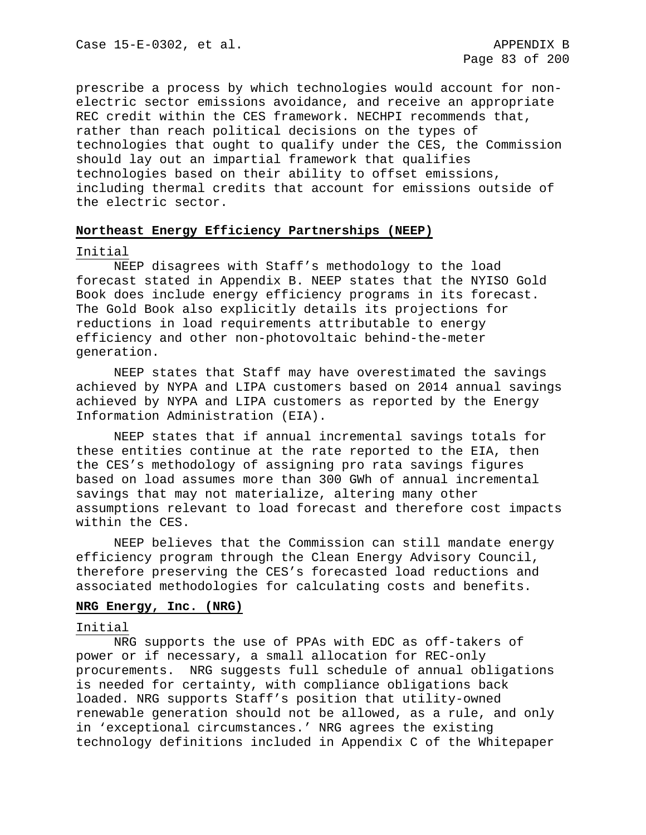prescribe a process by which technologies would account for nonelectric sector emissions avoidance, and receive an appropriate REC credit within the CES framework. NECHPI recommends that, rather than reach political decisions on the types of technologies that ought to qualify under the CES, the Commission should lay out an impartial framework that qualifies technologies based on their ability to offset emissions, including thermal credits that account for emissions outside of the electric sector.

# **Northeast Energy Efficiency Partnerships (NEEP)**

### Initial

NEEP disagrees with Staff's methodology to the load forecast stated in Appendix B. NEEP states that the NYISO Gold Book does include energy efficiency programs in its forecast. The Gold Book also explicitly details its projections for reductions in load requirements attributable to energy efficiency and other non-photovoltaic behind-the-meter generation.

NEEP states that Staff may have overestimated the savings achieved by NYPA and LIPA customers based on 2014 annual savings achieved by NYPA and LIPA customers as reported by the Energy Information Administration (EIA).

NEEP states that if annual incremental savings totals for these entities continue at the rate reported to the EIA, then the CES's methodology of assigning pro rata savings figures based on load assumes more than 300 GWh of annual incremental savings that may not materialize, altering many other assumptions relevant to load forecast and therefore cost impacts within the CES.

NEEP believes that the Commission can still mandate energy efficiency program through the Clean Energy Advisory Council, therefore preserving the CES's forecasted load reductions and associated methodologies for calculating costs and benefits.

## **NRG Energy, Inc. (NRG)**

### Initial

NRG supports the use of PPAs with EDC as off-takers of power or if necessary, a small allocation for REC-only procurements. NRG suggests full schedule of annual obligations is needed for certainty, with compliance obligations back loaded. NRG supports Staff's position that utility-owned renewable generation should not be allowed, as a rule, and only in 'exceptional circumstances.' NRG agrees the existing technology definitions included in Appendix C of the Whitepaper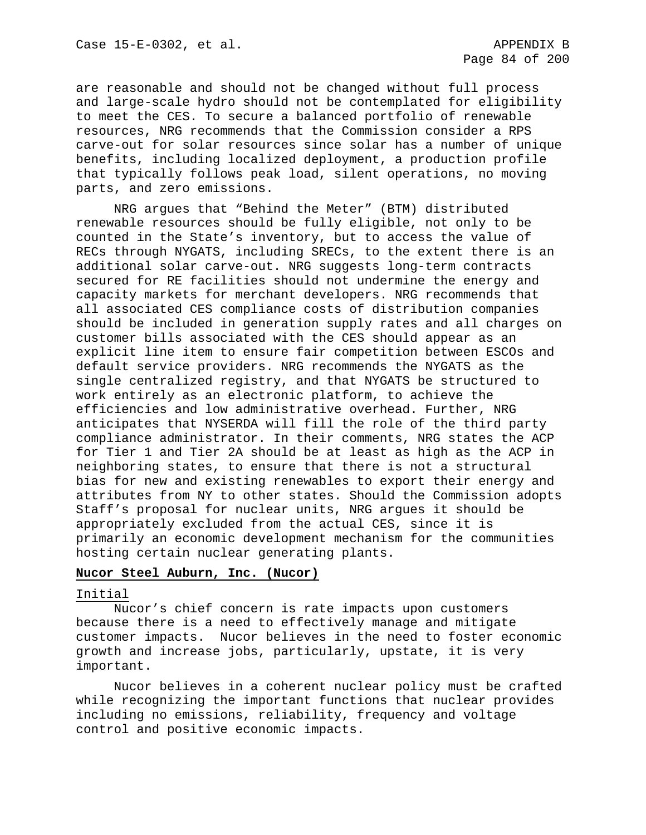are reasonable and should not be changed without full process and large-scale hydro should not be contemplated for eligibility to meet the CES. To secure a balanced portfolio of renewable resources, NRG recommends that the Commission consider a RPS carve-out for solar resources since solar has a number of unique benefits, including localized deployment, a production profile that typically follows peak load, silent operations, no moving parts, and zero emissions.

NRG argues that "Behind the Meter" (BTM) distributed renewable resources should be fully eligible, not only to be counted in the State's inventory, but to access the value of RECs through NYGATS, including SRECs, to the extent there is an additional solar carve-out. NRG suggests long-term contracts secured for RE facilities should not undermine the energy and capacity markets for merchant developers. NRG recommends that all associated CES compliance costs of distribution companies should be included in generation supply rates and all charges on customer bills associated with the CES should appear as an explicit line item to ensure fair competition between ESCOs and default service providers. NRG recommends the NYGATS as the single centralized registry, and that NYGATS be structured to work entirely as an electronic platform, to achieve the efficiencies and low administrative overhead. Further, NRG anticipates that NYSERDA will fill the role of the third party compliance administrator. In their comments, NRG states the ACP for Tier 1 and Tier 2A should be at least as high as the ACP in neighboring states, to ensure that there is not a structural bias for new and existing renewables to export their energy and attributes from NY to other states. Should the Commission adopts Staff's proposal for nuclear units, NRG argues it should be appropriately excluded from the actual CES, since it is primarily an economic development mechanism for the communities hosting certain nuclear generating plants.

# **Nucor Steel Auburn, Inc. (Nucor)**

## Initial

Nucor's chief concern is rate impacts upon customers because there is a need to effectively manage and mitigate customer impacts. Nucor believes in the need to foster economic growth and increase jobs, particularly, upstate, it is very important.

Nucor believes in a coherent nuclear policy must be crafted while recognizing the important functions that nuclear provides including no emissions, reliability, frequency and voltage control and positive economic impacts.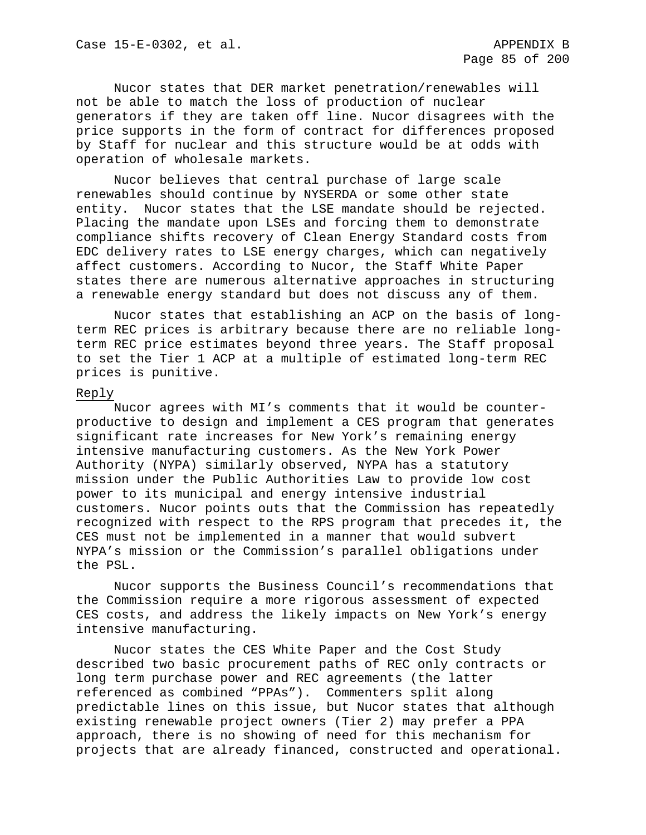Nucor states that DER market penetration/renewables will not be able to match the loss of production of nuclear generators if they are taken off line. Nucor disagrees with the price supports in the form of contract for differences proposed by Staff for nuclear and this structure would be at odds with operation of wholesale markets.

Nucor believes that central purchase of large scale renewables should continue by NYSERDA or some other state entity. Nucor states that the LSE mandate should be rejected. Placing the mandate upon LSEs and forcing them to demonstrate compliance shifts recovery of Clean Energy Standard costs from EDC delivery rates to LSE energy charges, which can negatively affect customers. According to Nucor, the Staff White Paper states there are numerous alternative approaches in structuring a renewable energy standard but does not discuss any of them.

Nucor states that establishing an ACP on the basis of longterm REC prices is arbitrary because there are no reliable longterm REC price estimates beyond three years. The Staff proposal to set the Tier 1 ACP at a multiple of estimated long-term REC prices is punitive.

#### Reply

Nucor agrees with MI's comments that it would be counterproductive to design and implement a CES program that generates significant rate increases for New York's remaining energy intensive manufacturing customers. As the New York Power Authority (NYPA) similarly observed, NYPA has a statutory mission under the Public Authorities Law to provide low cost power to its municipal and energy intensive industrial customers. Nucor points outs that the Commission has repeatedly recognized with respect to the RPS program that precedes it, the CES must not be implemented in a manner that would subvert NYPA's mission or the Commission's parallel obligations under the PSL.

Nucor supports the Business Council's recommendations that the Commission require a more rigorous assessment of expected CES costs, and address the likely impacts on New York's energy intensive manufacturing.

Nucor states the CES White Paper and the Cost Study described two basic procurement paths of REC only contracts or long term purchase power and REC agreements (the latter referenced as combined "PPAs"). Commenters split along predictable lines on this issue, but Nucor states that although existing renewable project owners (Tier 2) may prefer a PPA approach, there is no showing of need for this mechanism for projects that are already financed, constructed and operational.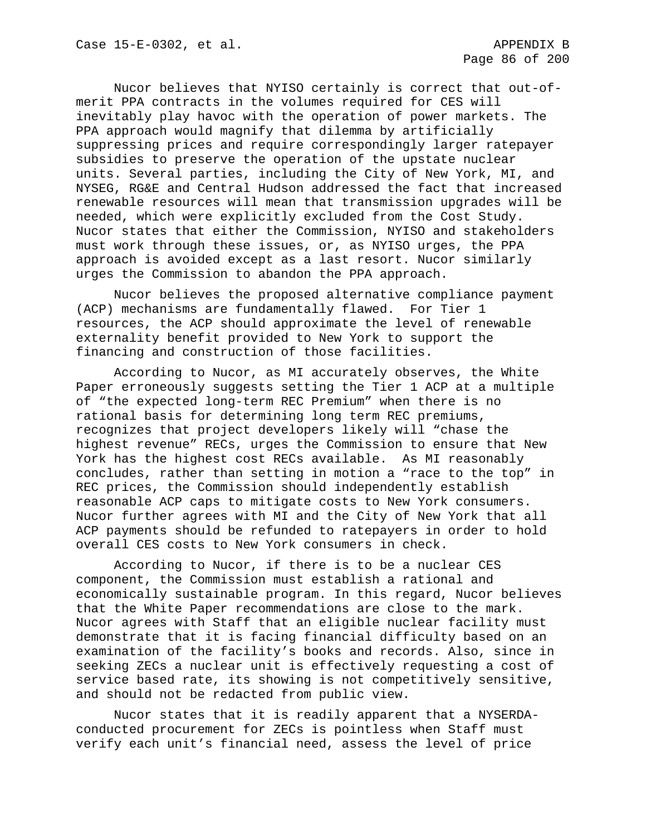Nucor believes that NYISO certainly is correct that out-ofmerit PPA contracts in the volumes required for CES will inevitably play havoc with the operation of power markets. The PPA approach would magnify that dilemma by artificially suppressing prices and require correspondingly larger ratepayer subsidies to preserve the operation of the upstate nuclear units. Several parties, including the City of New York, MI, and NYSEG, RG&E and Central Hudson addressed the fact that increased renewable resources will mean that transmission upgrades will be needed, which were explicitly excluded from the Cost Study. Nucor states that either the Commission, NYISO and stakeholders must work through these issues, or, as NYISO urges, the PPA approach is avoided except as a last resort. Nucor similarly urges the Commission to abandon the PPA approach.

Nucor believes the proposed alternative compliance payment (ACP) mechanisms are fundamentally flawed. For Tier 1 resources, the ACP should approximate the level of renewable externality benefit provided to New York to support the financing and construction of those facilities.

According to Nucor, as MI accurately observes, the White Paper erroneously suggests setting the Tier 1 ACP at a multiple of "the expected long-term REC Premium" when there is no rational basis for determining long term REC premiums, recognizes that project developers likely will "chase the highest revenue" RECs, urges the Commission to ensure that New York has the highest cost RECs available. As MI reasonably concludes, rather than setting in motion a "race to the top" in REC prices, the Commission should independently establish reasonable ACP caps to mitigate costs to New York consumers. Nucor further agrees with MI and the City of New York that all ACP payments should be refunded to ratepayers in order to hold overall CES costs to New York consumers in check.

According to Nucor, if there is to be a nuclear CES component, the Commission must establish a rational and economically sustainable program. In this regard, Nucor believes that the White Paper recommendations are close to the mark. Nucor agrees with Staff that an eligible nuclear facility must demonstrate that it is facing financial difficulty based on an examination of the facility's books and records. Also, since in seeking ZECs a nuclear unit is effectively requesting a cost of service based rate, its showing is not competitively sensitive, and should not be redacted from public view.

Nucor states that it is readily apparent that a NYSERDAconducted procurement for ZECs is pointless when Staff must verify each unit's financial need, assess the level of price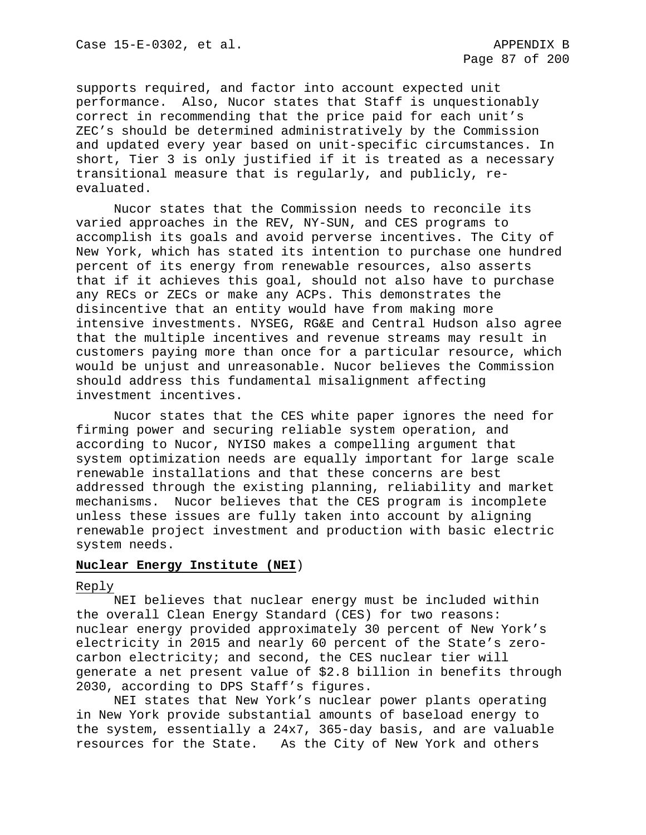supports required, and factor into account expected unit performance. Also, Nucor states that Staff is unquestionably correct in recommending that the price paid for each unit's ZEC's should be determined administratively by the Commission and updated every year based on unit-specific circumstances. In short, Tier 3 is only justified if it is treated as a necessary transitional measure that is regularly, and publicly, reevaluated.

Nucor states that the Commission needs to reconcile its varied approaches in the REV, NY-SUN, and CES programs to accomplish its goals and avoid perverse incentives. The City of New York, which has stated its intention to purchase one hundred percent of its energy from renewable resources, also asserts that if it achieves this goal, should not also have to purchase any RECs or ZECs or make any ACPs. This demonstrates the disincentive that an entity would have from making more intensive investments. NYSEG, RG&E and Central Hudson also agree that the multiple incentives and revenue streams may result in customers paying more than once for a particular resource, which would be unjust and unreasonable. Nucor believes the Commission should address this fundamental misalignment affecting investment incentives.

Nucor states that the CES white paper ignores the need for firming power and securing reliable system operation, and according to Nucor, NYISO makes a compelling argument that system optimization needs are equally important for large scale renewable installations and that these concerns are best addressed through the existing planning, reliability and market mechanisms. Nucor believes that the CES program is incomplete unless these issues are fully taken into account by aligning renewable project investment and production with basic electric system needs.

## **Nuclear Energy Institute (NEI**)

# Reply

NEI believes that nuclear energy must be included within the overall Clean Energy Standard (CES) for two reasons: nuclear energy provided approximately 30 percent of New York's electricity in 2015 and nearly 60 percent of the State's zerocarbon electricity; and second, the CES nuclear tier will generate a net present value of \$2.8 billion in benefits through 2030, according to DPS Staff's figures.

NEI states that New York's nuclear power plants operating in New York provide substantial amounts of baseload energy to the system, essentially a 24x7, 365-day basis, and are valuable resources for the State. As the City of New York and others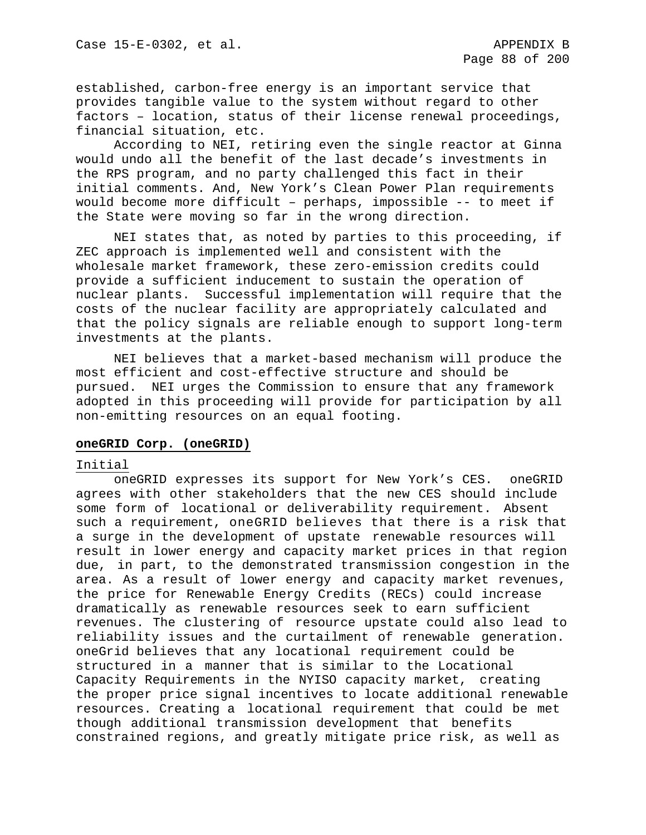established, carbon-free energy is an important service that provides tangible value to the system without regard to other factors – location, status of their license renewal proceedings, financial situation, etc.

According to NEI, retiring even the single reactor at Ginna would undo all the benefit of the last decade's investments in the RPS program, and no party challenged this fact in their initial comments. And, New York's Clean Power Plan requirements would become more difficult – perhaps, impossible -- to meet if the State were moving so far in the wrong direction.

NEI states that, as noted by parties to this proceeding, if ZEC approach is implemented well and consistent with the wholesale market framework, these zero-emission credits could provide a sufficient inducement to sustain the operation of nuclear plants. Successful implementation will require that the costs of the nuclear facility are appropriately calculated and that the policy signals are reliable enough to support long-term investments at the plants.

NEI believes that a market-based mechanism will produce the most efficient and cost-effective structure and should be pursued. NEI urges the Commission to ensure that any framework adopted in this proceeding will provide for participation by all non-emitting resources on an equal footing.

# **oneGRID Corp. (oneGRID)**

#### Initial

oneGRID expresses its support for New York's CES. oneGRID agrees with other stakeholders that the new CES should include some form of locational or deliverability requirement. Absent such a requirement, oneGRID believes that there is a risk that a surge in the development of upstate renewable resources will result in lower energy and capacity market prices in that region due, in part, to the demonstrated transmission congestion in the area. As a result of lower energy and capacity market revenues, the price for Renewable Energy Credits (RECs) could increase dramatically as renewable resources seek to earn sufficient revenues. The clustering of resource upstate could also lead to reliability issues and the curtailment of renewable generation. oneGrid believes that any locational requirement could be structured in a manner that is similar to the Locational Capacity Requirements in the NYISO capacity market, creating the proper price signal incentives to locate additional renewable resources. Creating a locational requirement that could be met though additional transmission development that benefits constrained regions, and greatly mitigate price risk, as well as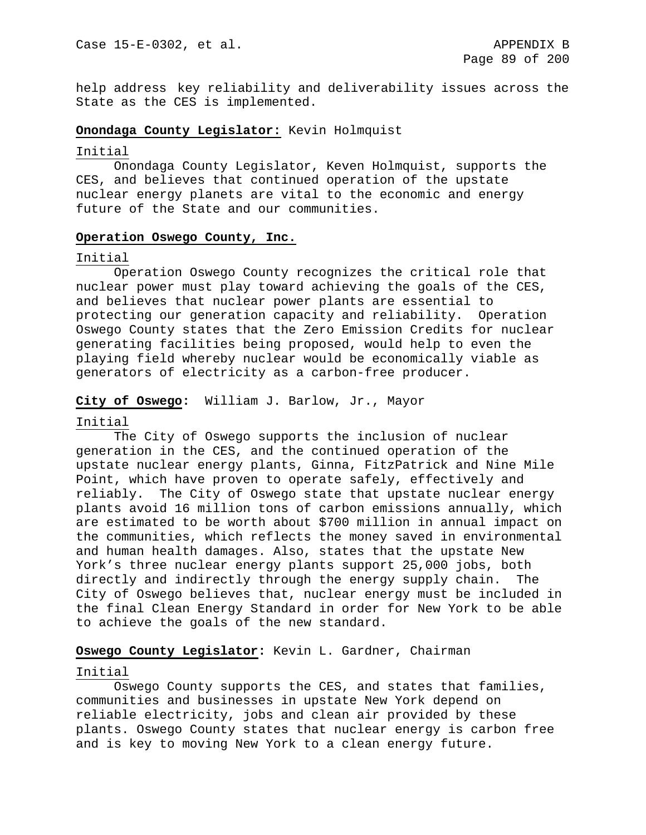help address key reliability and deliverability issues across the State as the CES is implemented.

## **Onondaga County Legislator:** Kevin Holmquist

### Initial

Onondaga County Legislator, Keven Holmquist, supports the CES, and believes that continued operation of the upstate nuclear energy planets are vital to the economic and energy future of the State and our communities.

### **Operation Oswego County, Inc.**

### Initial

Operation Oswego County recognizes the critical role that nuclear power must play toward achieving the goals of the CES, and believes that nuclear power plants are essential to protecting our generation capacity and reliability. Operation Oswego County states that the Zero Emission Credits for nuclear generating facilities being proposed, would help to even the playing field whereby nuclear would be economically viable as generators of electricity as a carbon-free producer.

### **City of Oswego:** William J. Barlow, Jr., Mayor

#### Initial

The City of Oswego supports the inclusion of nuclear generation in the CES, and the continued operation of the upstate nuclear energy plants, Ginna, FitzPatrick and Nine Mile Point, which have proven to operate safely, effectively and reliably. The City of Oswego state that upstate nuclear energy plants avoid 16 million tons of carbon emissions annually, which are estimated to be worth about \$700 million in annual impact on the communities, which reflects the money saved in environmental and human health damages. Also, states that the upstate New York's three nuclear energy plants support 25,000 jobs, both directly and indirectly through the energy supply chain. The City of Oswego believes that, nuclear energy must be included in the final Clean Energy Standard in order for New York to be able to achieve the goals of the new standard.

## **Oswego County Legislator:** Kevin L. Gardner, Chairman

#### Initial

Oswego County supports the CES, and states that families, communities and businesses in upstate New York depend on reliable electricity, jobs and clean air provided by these plants. Oswego County states that nuclear energy is carbon free and is key to moving New York to a clean energy future.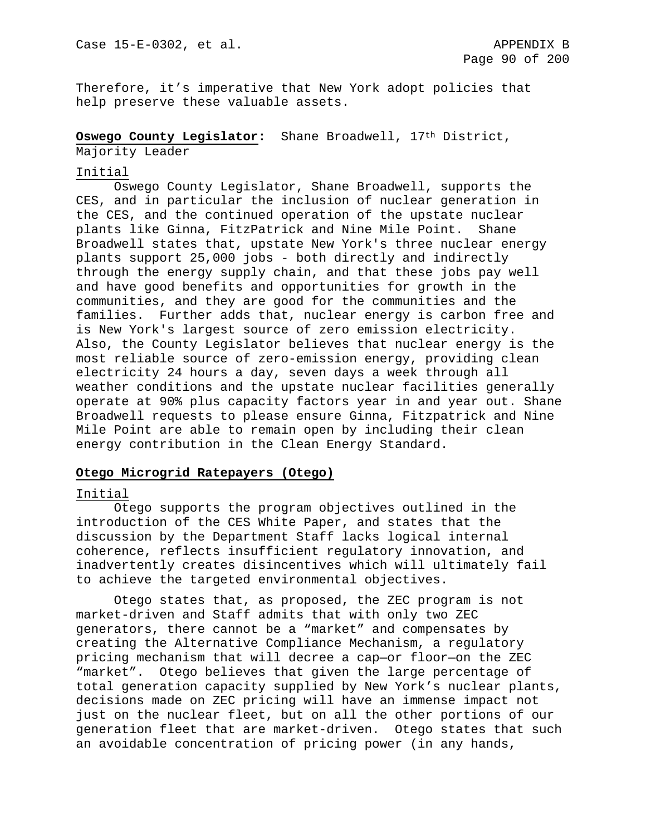Therefore, it's imperative that New York adopt policies that help preserve these valuable assets.

**Oswego County Legislator:** Shane Broadwell, 17th District,

Majority Leader

# Initial

Oswego County Legislator, Shane Broadwell, supports the CES, and in particular the inclusion of nuclear generation in the CES, and the continued operation of the upstate nuclear plants like Ginna, FitzPatrick and Nine Mile Point. Shane Broadwell states that, upstate New York's three nuclear energy plants support 25,000 jobs - both directly and indirectly through the energy supply chain, and that these jobs pay well and have good benefits and opportunities for growth in the communities, and they are good for the communities and the families. Further adds that, nuclear energy is carbon free and is New York's largest source of zero emission electricity. Also, the County Legislator believes that nuclear energy is the most reliable source of zero-emission energy, providing clean electricity 24 hours a day, seven days a week through all weather conditions and the upstate nuclear facilities generally operate at 90% plus capacity factors year in and year out. Shane Broadwell requests to please ensure Ginna, Fitzpatrick and Nine Mile Point are able to remain open by including their clean energy contribution in the Clean Energy Standard.

# **Otego Microgrid Ratepayers (Otego)**

## Initial

Otego supports the program objectives outlined in the introduction of the CES White Paper, and states that the discussion by the Department Staff lacks logical internal coherence, reflects insufficient regulatory innovation, and inadvertently creates disincentives which will ultimately fail to achieve the targeted environmental objectives.

Otego states that, as proposed, the ZEC program is not market-driven and Staff admits that with only two ZEC generators, there cannot be a "market" and compensates by creating the Alternative Compliance Mechanism, a regulatory pricing mechanism that will decree a cap—or floor—on the ZEC "market". Otego believes that given the large percentage of total generation capacity supplied by New York's nuclear plants, decisions made on ZEC pricing will have an immense impact not just on the nuclear fleet, but on all the other portions of our generation fleet that are market-driven. Otego states that such an avoidable concentration of pricing power (in any hands,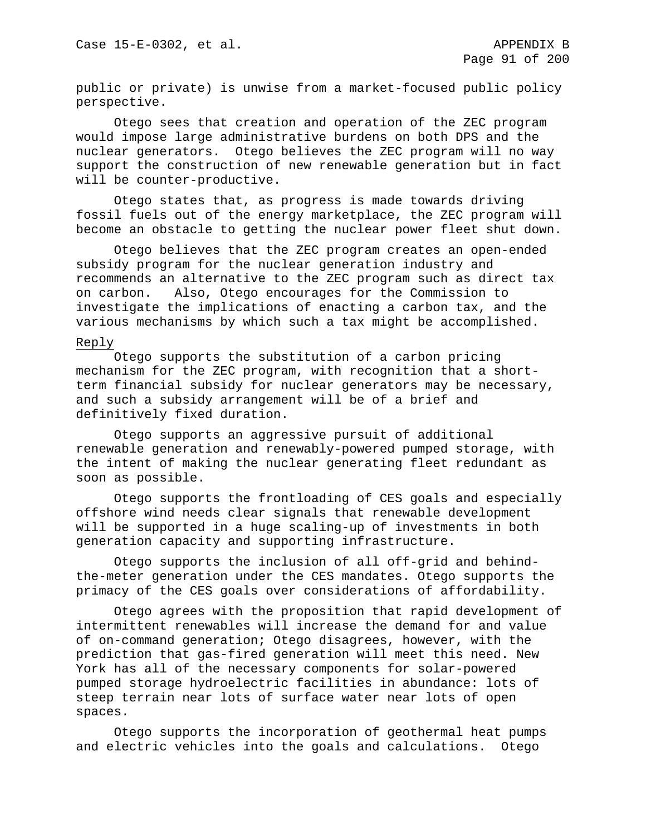public or private) is unwise from a market-focused public policy perspective.

Otego sees that creation and operation of the ZEC program would impose large administrative burdens on both DPS and the nuclear generators. Otego believes the ZEC program will no way support the construction of new renewable generation but in fact will be counter-productive.

Otego states that, as progress is made towards driving fossil fuels out of the energy marketplace, the ZEC program will become an obstacle to getting the nuclear power fleet shut down.

Otego believes that the ZEC program creates an open-ended subsidy program for the nuclear generation industry and recommends an alternative to the ZEC program such as direct tax on carbon. Also, Otego encourages for the Commission to investigate the implications of enacting a carbon tax, and the various mechanisms by which such a tax might be accomplished.

# Reply

Otego supports the substitution of a carbon pricing mechanism for the ZEC program, with recognition that a shortterm financial subsidy for nuclear generators may be necessary, and such a subsidy arrangement will be of a brief and definitively fixed duration.

Otego supports an aggressive pursuit of additional renewable generation and renewably-powered pumped storage, with the intent of making the nuclear generating fleet redundant as soon as possible.

Otego supports the frontloading of CES goals and especially offshore wind needs clear signals that renewable development will be supported in a huge scaling-up of investments in both generation capacity and supporting infrastructure.

Otego supports the inclusion of all off-grid and behindthe-meter generation under the CES mandates. Otego supports the primacy of the CES goals over considerations of affordability.

Otego agrees with the proposition that rapid development of intermittent renewables will increase the demand for and value of on-command generation; Otego disagrees, however, with the prediction that gas-fired generation will meet this need. New York has all of the necessary components for solar-powered pumped storage hydroelectric facilities in abundance: lots of steep terrain near lots of surface water near lots of open spaces.

Otego supports the incorporation of geothermal heat pumps and electric vehicles into the goals and calculations. Otego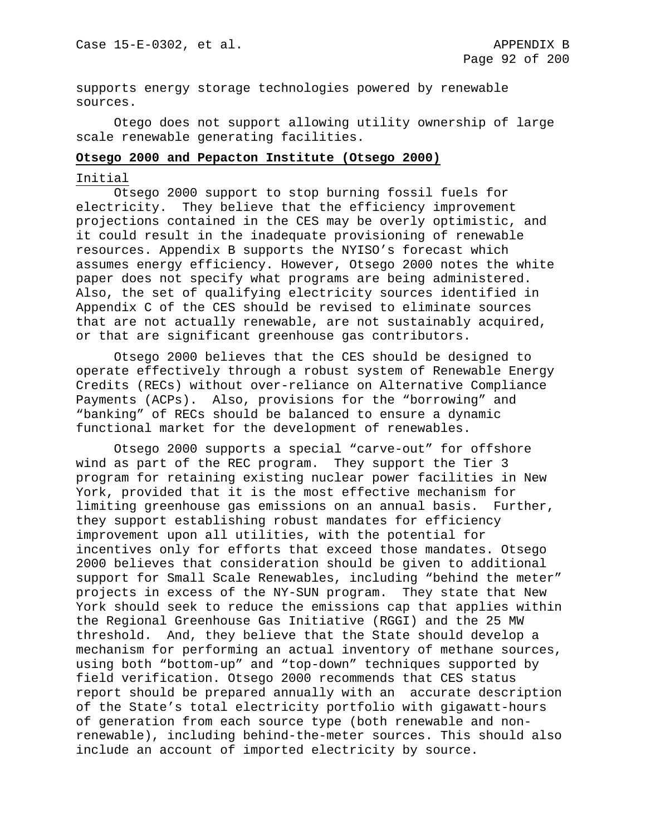supports energy storage technologies powered by renewable sources.

Otego does not support allowing utility ownership of large scale renewable generating facilities.

### **Otsego 2000 and Pepacton Institute (Otsego 2000)**

#### Initial

Otsego 2000 support to stop burning fossil fuels for electricity. They believe that the efficiency improvement projections contained in the CES may be overly optimistic, and it could result in the inadequate provisioning of renewable resources. Appendix B supports the NYISO's forecast which assumes energy efficiency. However, Otsego 2000 notes the white paper does not specify what programs are being administered. Also, the set of qualifying electricity sources identified in Appendix C of the CES should be revised to eliminate sources that are not actually renewable, are not sustainably acquired, or that are significant greenhouse gas contributors.

Otsego 2000 believes that the CES should be designed to operate effectively through a robust system of Renewable Energy Credits (RECs) without over-reliance on Alternative Compliance Payments (ACPs). Also, provisions for the "borrowing" and "banking" of RECs should be balanced to ensure a dynamic functional market for the development of renewables.

Otsego 2000 supports a special "carve-out" for offshore wind as part of the REC program. They support the Tier 3 program for retaining existing nuclear power facilities in New York, provided that it is the most effective mechanism for limiting greenhouse gas emissions on an annual basis. Further, they support establishing robust mandates for efficiency improvement upon all utilities, with the potential for incentives only for efforts that exceed those mandates. Otsego 2000 believes that consideration should be given to additional support for Small Scale Renewables, including "behind the meter" projects in excess of the NY-SUN program. They state that New York should seek to reduce the emissions cap that applies within the Regional Greenhouse Gas Initiative (RGGI) and the 25 MW threshold. And, they believe that the State should develop a mechanism for performing an actual inventory of methane sources, using both "bottom-up" and "top-down" techniques supported by field verification. Otsego 2000 recommends that CES status report should be prepared annually with an accurate description of the State's total electricity portfolio with gigawatt-hours of generation from each source type (both renewable and nonrenewable), including behind-the-meter sources. This should also include an account of imported electricity by source.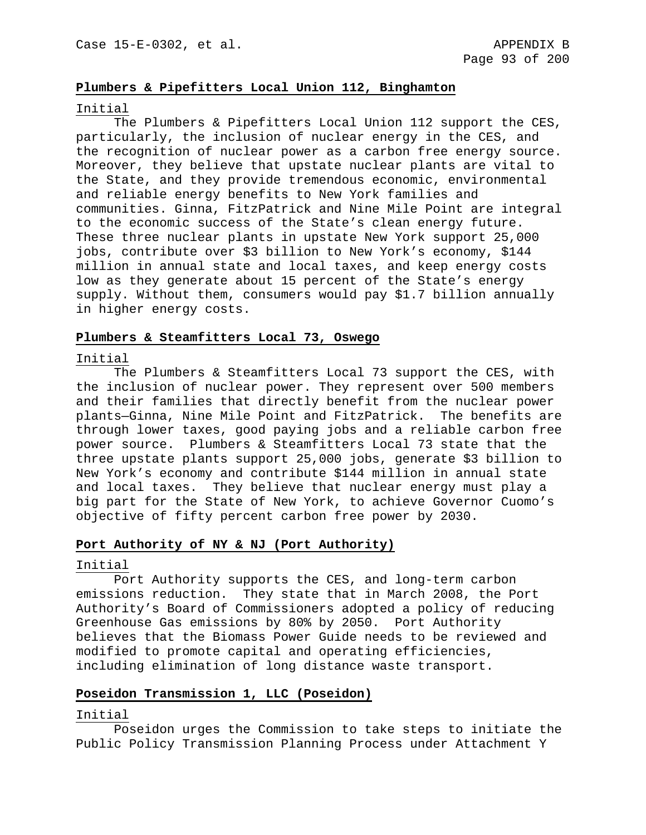# **Plumbers & Pipefitters Local Union 112, Binghamton**

#### Initial

The Plumbers & Pipefitters Local Union 112 support the CES, particularly, the inclusion of nuclear energy in the CES, and the recognition of nuclear power as a carbon free energy source. Moreover, they believe that upstate nuclear plants are vital to the State, and they provide tremendous economic, environmental and reliable energy benefits to New York families and communities. Ginna, FitzPatrick and Nine Mile Point are integral to the economic success of the State's clean energy future. These three nuclear plants in upstate New York support 25,000 jobs, contribute over \$3 billion to New York's economy, \$144 million in annual state and local taxes, and keep energy costs low as they generate about 15 percent of the State's energy supply. Without them, consumers would pay \$1.7 billion annually in higher energy costs.

### **Plumbers & Steamfitters Local 73, Oswego**

#### Initial

The Plumbers & Steamfitters Local 73 support the CES, with the inclusion of nuclear power. They represent over 500 members and their families that directly benefit from the nuclear power plants—Ginna, Nine Mile Point and FitzPatrick. The benefits are through lower taxes, good paying jobs and a reliable carbon free power source. Plumbers & Steamfitters Local 73 state that the three upstate plants support 25,000 jobs, generate \$3 billion to New York's economy and contribute \$144 million in annual state and local taxes. They believe that nuclear energy must play a big part for the State of New York, to achieve Governor Cuomo's objective of fifty percent carbon free power by 2030.

### **Port Authority of NY & NJ (Port Authority)**

#### Initial

Port Authority supports the CES, and long-term carbon emissions reduction. They state that in March 2008, the Port Authority's Board of Commissioners adopted a policy of reducing Greenhouse Gas emissions by 80% by 2050. Port Authority believes that the Biomass Power Guide needs to be reviewed and modified to promote capital and operating efficiencies, including elimination of long distance waste transport.

# **Poseidon Transmission 1, LLC (Poseidon)**

#### Initial

Poseidon urges the Commission to take steps to initiate the Public Policy Transmission Planning Process under Attachment Y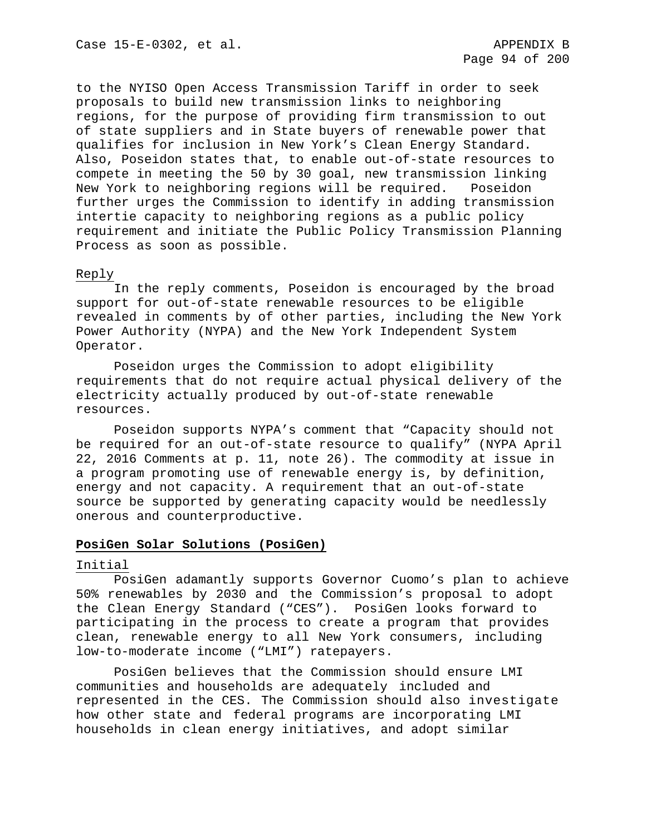to the NYISO Open Access Transmission Tariff in order to seek proposals to build new transmission links to neighboring regions, for the purpose of providing firm transmission to out of state suppliers and in State buyers of renewable power that qualifies for inclusion in New York's Clean Energy Standard. Also, Poseidon states that, to enable out-of-state resources to compete in meeting the 50 by 30 goal, new transmission linking<br>New York to neighboring regions will be required. Poseidon New York to neighboring regions will be required. further urges the Commission to identify in adding transmission intertie capacity to neighboring regions as a public policy requirement and initiate the Public Policy Transmission Planning Process as soon as possible.

### Reply

In the reply comments, Poseidon is encouraged by the broad support for out-of-state renewable resources to be eligible revealed in comments by of other parties, including the New York Power Authority (NYPA) and the New York Independent System Operator.

Poseidon urges the Commission to adopt eligibility requirements that do not require actual physical delivery of the electricity actually produced by out-of-state renewable resources.

Poseidon supports NYPA's comment that "Capacity should not be required for an out-of-state resource to qualify" (NYPA April 22, 2016 Comments at p. 11, note 26). The commodity at issue in a program promoting use of renewable energy is, by definition, energy and not capacity. A requirement that an out-of-state source be supported by generating capacity would be needlessly onerous and counterproductive.

## **PosiGen Solar Solutions (PosiGen)**

#### Initial

PosiGen adamantly supports Governor Cuomo's plan to achieve 50% renewables by 2030 and the Commission's proposal to adopt the Clean Energy Standard ("CES"). PosiGen looks forward to participating in the process to create a program that provides clean, renewable energy to all New York consumers, including low-to-moderate income ("LMI") ratepayers.

PosiGen believes that the Commission should ensure LMI communities and households are adequately included and represented in the CES. The Commission should also investigate how other state and federal programs are incorporating LMI households in clean energy initiatives, and adopt similar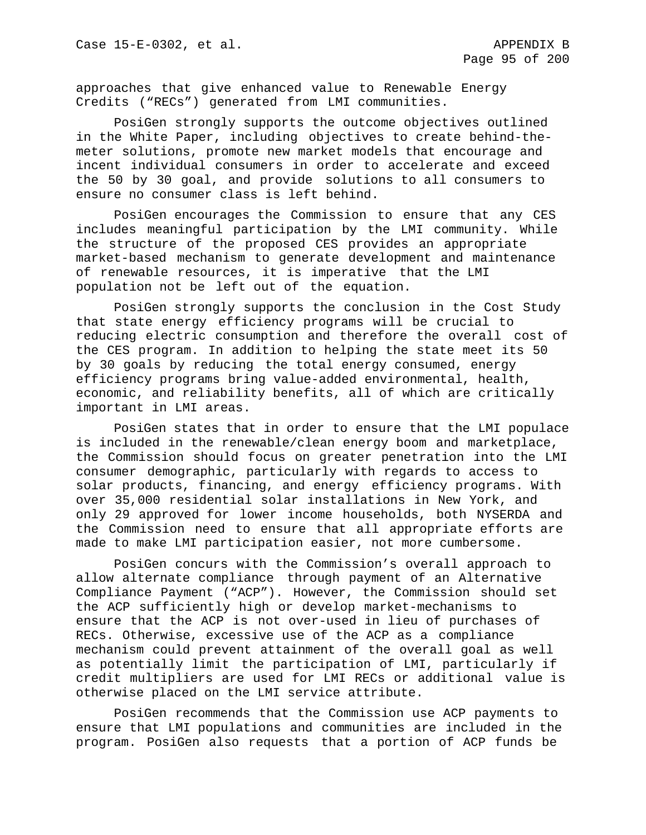approaches that give enhanced value to Renewable Energy Credits ("RECs") generated from LMI communities.

PosiGen strongly supports the outcome objectives outlined in the White Paper, including objectives to create behind-themeter solutions, promote new market models that encourage and incent individual consumers in order to accelerate and exceed the 50 by 30 goal, and provide solutions to all consumers to ensure no consumer class is left behind.

PosiGen encourages the Commission to ensure that any CES includes meaningful participation by the LMI community. While the structure of the proposed CES provides an appropriate market-based mechanism to generate development and maintenance of renewable resources, it is imperative that the LMI population not be left out of the equation.

PosiGen strongly supports the conclusion in the Cost Study that state energy efficiency programs will be crucial to reducing electric consumption and therefore the overall cost of the CES program. In addition to helping the state meet its 50 by 30 goals by reducing the total energy consumed, energy efficiency programs bring value-added environmental, health, economic, and reliability benefits, all of which are critically important in LMI areas.

PosiGen states that in order to ensure that the LMI populace is included in the renewable/clean energy boom and marketplace, the Commission should focus on greater penetration into the LMI consumer demographic, particularly with regards to access to solar products, financing, and energy efficiency programs. With over 35,000 residential solar installations in New York, and only 29 approved for lower income households, both NYSERDA and the Commission need to ensure that all appropriate efforts are made to make LMI participation easier, not more cumbersome.

PosiGen concurs with the Commission's overall approach to allow alternate compliance through payment of an Alternative Compliance Payment ("ACP"). However, the Commission should set the ACP sufficiently high or develop market-mechanisms to ensure that the ACP is not over-used in lieu of purchases of RECs. Otherwise, excessive use of the ACP as a compliance mechanism could prevent attainment of the overall goal as well as potentially limit the participation of LMI, particularly if credit multipliers are used for LMI RECs or additional value is otherwise placed on the LMI service attribute.

PosiGen recommends that the Commission use ACP payments to ensure that LMI populations and communities are included in the program. PosiGen also requests that a portion of ACP funds be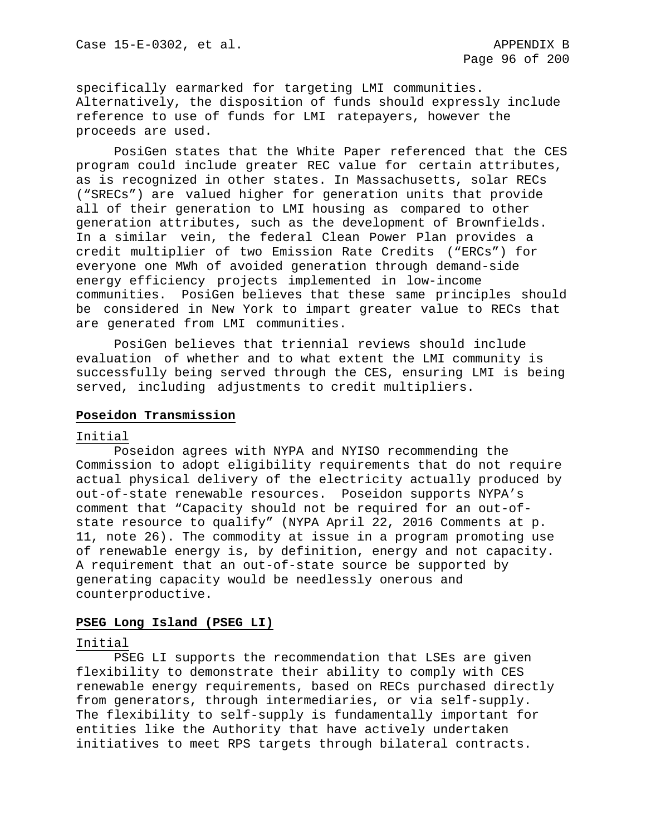specifically earmarked for targeting LMI communities. Alternatively, the disposition of funds should expressly include reference to use of funds for LMI ratepayers, however the proceeds are used.

PosiGen states that the White Paper referenced that the CES program could include greater REC value for certain attributes, as is recognized in other states. In Massachusetts, solar RECs ("SRECs") are valued higher for generation units that provide all of their generation to LMI housing as compared to other generation attributes, such as the development of Brownfields. In a similar vein, the federal Clean Power Plan provides a credit multiplier of two Emission Rate Credits ("ERCs") for everyone one MWh of avoided generation through demand-side energy efficiency projects implemented in low-income communities. PosiGen believes that these same principles should be considered in New York to impart greater value to RECs that are generated from LMI communities.

PosiGen believes that triennial reviews should include evaluation of whether and to what extent the LMI community is successfully being served through the CES, ensuring LMI is being served, including adjustments to credit multipliers.

## **Poseidon Transmission**

#### Initial

Poseidon agrees with NYPA and NYISO recommending the Commission to adopt eligibility requirements that do not require actual physical delivery of the electricity actually produced by out-of-state renewable resources. Poseidon supports NYPA's comment that "Capacity should not be required for an out-ofstate resource to qualify" (NYPA April 22, 2016 Comments at p. 11, note 26). The commodity at issue in a program promoting use of renewable energy is, by definition, energy and not capacity. A requirement that an out-of-state source be supported by generating capacity would be needlessly onerous and counterproductive.

# **PSEG Long Island (PSEG LI)**

#### Initial

PSEG LI supports the recommendation that LSEs are given flexibility to demonstrate their ability to comply with CES renewable energy requirements, based on RECs purchased directly from generators, through intermediaries, or via self-supply. The flexibility to self-supply is fundamentally important for entities like the Authority that have actively undertaken initiatives to meet RPS targets through bilateral contracts.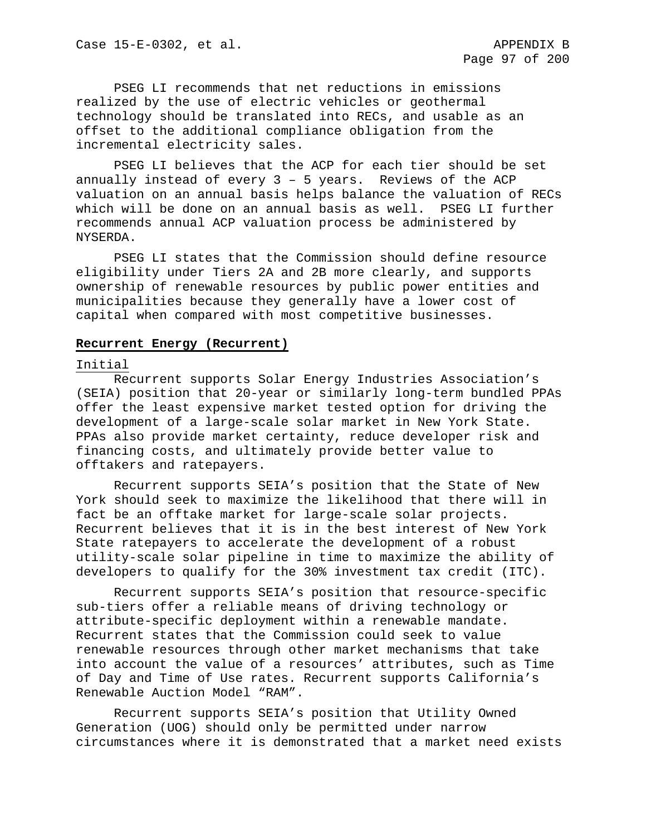PSEG LI recommends that net reductions in emissions realized by the use of electric vehicles or geothermal technology should be translated into RECs, and usable as an offset to the additional compliance obligation from the incremental electricity sales.

PSEG LI believes that the ACP for each tier should be set annually instead of every 3 – 5 years. Reviews of the ACP valuation on an annual basis helps balance the valuation of RECs which will be done on an annual basis as well. PSEG LI further recommends annual ACP valuation process be administered by NYSERDA.

PSEG LI states that the Commission should define resource eligibility under Tiers 2A and 2B more clearly, and supports ownership of renewable resources by public power entities and municipalities because they generally have a lower cost of capital when compared with most competitive businesses.

#### **Recurrent Energy (Recurrent)**

### Initial

Recurrent supports Solar Energy Industries Association's (SEIA) position that 20-year or similarly long-term bundled PPAs offer the least expensive market tested option for driving the development of a large-scale solar market in New York State. PPAs also provide market certainty, reduce developer risk and financing costs, and ultimately provide better value to offtakers and ratepayers.

Recurrent supports SEIA's position that the State of New York should seek to maximize the likelihood that there will in fact be an offtake market for large-scale solar projects. Recurrent believes that it is in the best interest of New York State ratepayers to accelerate the development of a robust utility-scale solar pipeline in time to maximize the ability of developers to qualify for the 30% investment tax credit (ITC).

Recurrent supports SEIA's position that resource-specific sub-tiers offer a reliable means of driving technology or attribute-specific deployment within a renewable mandate. Recurrent states that the Commission could seek to value renewable resources through other market mechanisms that take into account the value of a resources' attributes, such as Time of Day and Time of Use rates. Recurrent supports California's Renewable Auction Model "RAM".

Recurrent supports SEIA's position that Utility Owned Generation (UOG) should only be permitted under narrow circumstances where it is demonstrated that a market need exists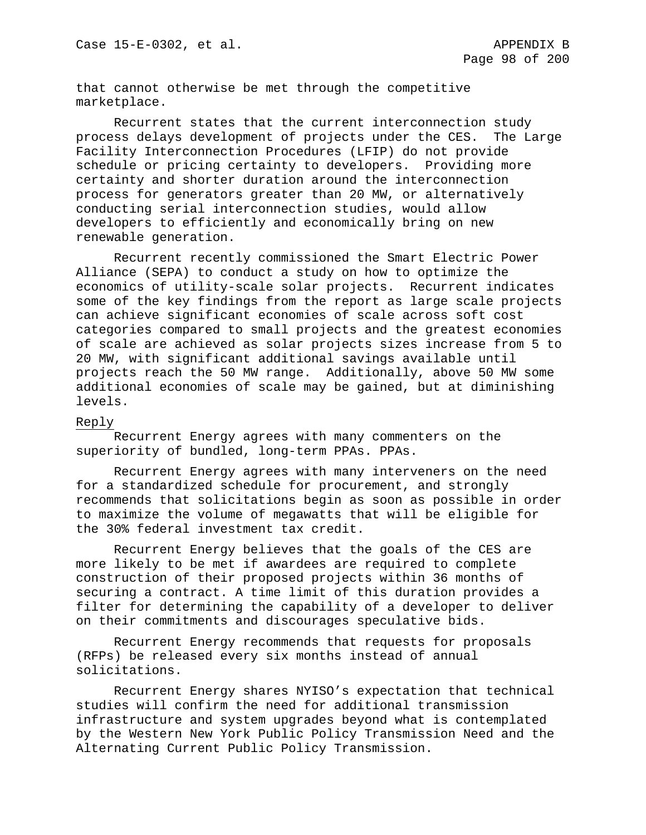that cannot otherwise be met through the competitive marketplace.

Recurrent states that the current interconnection study process delays development of projects under the CES. The Large Facility Interconnection Procedures (LFIP) do not provide schedule or pricing certainty to developers. Providing more certainty and shorter duration around the interconnection process for generators greater than 20 MW, or alternatively conducting serial interconnection studies, would allow developers to efficiently and economically bring on new renewable generation.

Recurrent recently commissioned the Smart Electric Power Alliance (SEPA) to conduct a study on how to optimize the economics of utility-scale solar projects. Recurrent indicates some of the key findings from the report as large scale projects can achieve significant economies of scale across soft cost categories compared to small projects and the greatest economies of scale are achieved as solar projects sizes increase from 5 to 20 MW, with significant additional savings available until projects reach the 50 MW range. Additionally, above 50 MW some additional economies of scale may be gained, but at diminishing levels.

### Reply

Recurrent Energy agrees with many commenters on the superiority of bundled, long-term PPAs. PPAs.

Recurrent Energy agrees with many interveners on the need for a standardized schedule for procurement, and strongly recommends that solicitations begin as soon as possible in order to maximize the volume of megawatts that will be eligible for the 30% federal investment tax credit.

Recurrent Energy believes that the goals of the CES are more likely to be met if awardees are required to complete construction of their proposed projects within 36 months of securing a contract. A time limit of this duration provides a filter for determining the capability of a developer to deliver on their commitments and discourages speculative bids.

Recurrent Energy recommends that requests for proposals (RFPs) be released every six months instead of annual solicitations.

Recurrent Energy shares NYISO's expectation that technical studies will confirm the need for additional transmission infrastructure and system upgrades beyond what is contemplated by the Western New York Public Policy Transmission Need and the Alternating Current Public Policy Transmission.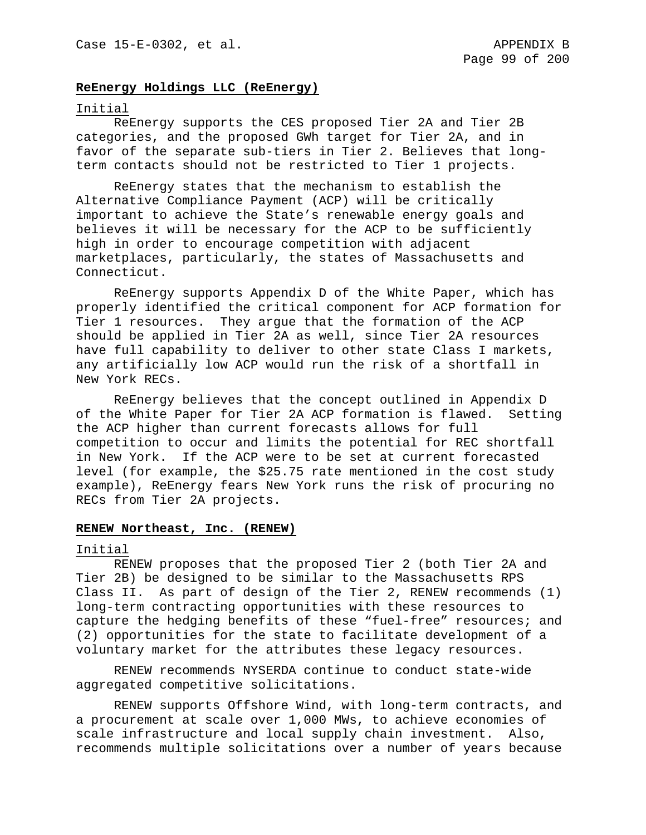# **ReEnergy Holdings LLC (ReEnergy)**

#### Initial

ReEnergy supports the CES proposed Tier 2A and Tier 2B categories, and the proposed GWh target for Tier 2A, and in favor of the separate sub-tiers in Tier 2. Believes that longterm contacts should not be restricted to Tier 1 projects.

ReEnergy states that the mechanism to establish the Alternative Compliance Payment (ACP) will be critically important to achieve the State's renewable energy goals and believes it will be necessary for the ACP to be sufficiently high in order to encourage competition with adjacent marketplaces, particularly, the states of Massachusetts and Connecticut.

ReEnergy supports Appendix D of the White Paper, which has properly identified the critical component for ACP formation for Tier 1 resources. They argue that the formation of the ACP should be applied in Tier 2A as well, since Tier 2A resources have full capability to deliver to other state Class I markets, any artificially low ACP would run the risk of a shortfall in New York RECs.

ReEnergy believes that the concept outlined in Appendix D of the White Paper for Tier 2A ACP formation is flawed. Setting the ACP higher than current forecasts allows for full competition to occur and limits the potential for REC shortfall in New York. If the ACP were to be set at current forecasted level (for example, the \$25.75 rate mentioned in the cost study example), ReEnergy fears New York runs the risk of procuring no RECs from Tier 2A projects.

### **RENEW Northeast, Inc. (RENEW)**

#### Initial

RENEW proposes that the proposed Tier 2 (both Tier 2A and Tier 2B) be designed to be similar to the Massachusetts RPS Class II. As part of design of the Tier 2, RENEW recommends (1) long-term contracting opportunities with these resources to capture the hedging benefits of these "fuel-free" resources; and (2) opportunities for the state to facilitate development of a voluntary market for the attributes these legacy resources.

RENEW recommends NYSERDA continue to conduct state-wide aggregated competitive solicitations.

RENEW supports Offshore Wind, with long-term contracts, and a procurement at scale over 1,000 MWs, to achieve economies of scale infrastructure and local supply chain investment. Also, recommends multiple solicitations over a number of years because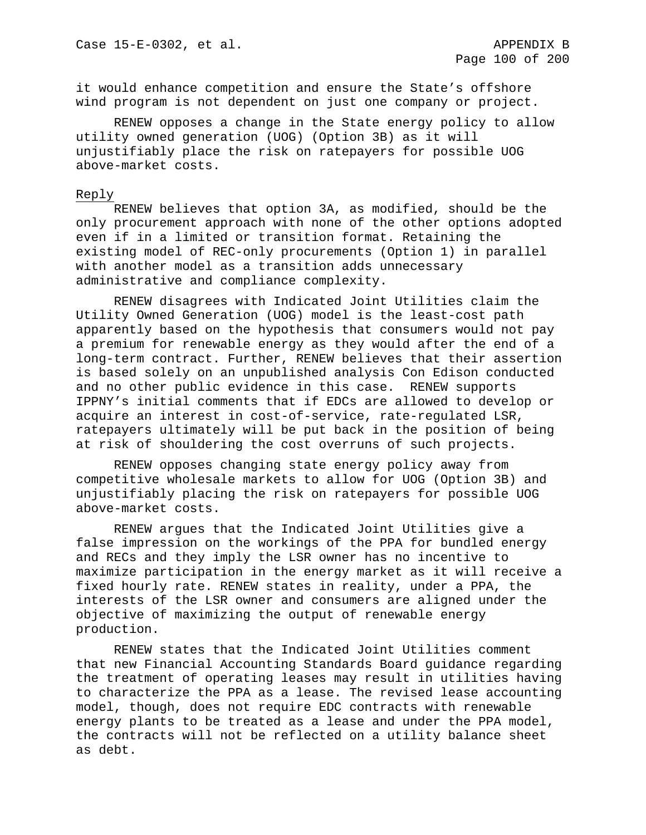it would enhance competition and ensure the State's offshore wind program is not dependent on just one company or project.

RENEW opposes a change in the State energy policy to allow utility owned generation (UOG) (Option 3B) as it will unjustifiably place the risk on ratepayers for possible UOG above-market costs.

### Reply

RENEW believes that option 3A, as modified, should be the only procurement approach with none of the other options adopted even if in a limited or transition format. Retaining the existing model of REC-only procurements (Option 1) in parallel with another model as a transition adds unnecessary administrative and compliance complexity.

RENEW disagrees with Indicated Joint Utilities claim the Utility Owned Generation (UOG) model is the least-cost path apparently based on the hypothesis that consumers would not pay a premium for renewable energy as they would after the end of a long-term contract. Further, RENEW believes that their assertion is based solely on an unpublished analysis Con Edison conducted and no other public evidence in this case. RENEW supports IPPNY's initial comments that if EDCs are allowed to develop or acquire an interest in cost-of-service, rate-regulated LSR, ratepayers ultimately will be put back in the position of being at risk of shouldering the cost overruns of such projects.

RENEW opposes changing state energy policy away from competitive wholesale markets to allow for UOG (Option 3B) and unjustifiably placing the risk on ratepayers for possible UOG above-market costs.

RENEW argues that the Indicated Joint Utilities give a false impression on the workings of the PPA for bundled energy and RECs and they imply the LSR owner has no incentive to maximize participation in the energy market as it will receive a fixed hourly rate. RENEW states in reality, under a PPA, the interests of the LSR owner and consumers are aligned under the objective of maximizing the output of renewable energy production.

RENEW states that the Indicated Joint Utilities comment that new Financial Accounting Standards Board guidance regarding the treatment of operating leases may result in utilities having to characterize the PPA as a lease. The revised lease accounting model, though, does not require EDC contracts with renewable energy plants to be treated as a lease and under the PPA model, the contracts will not be reflected on a utility balance sheet as debt.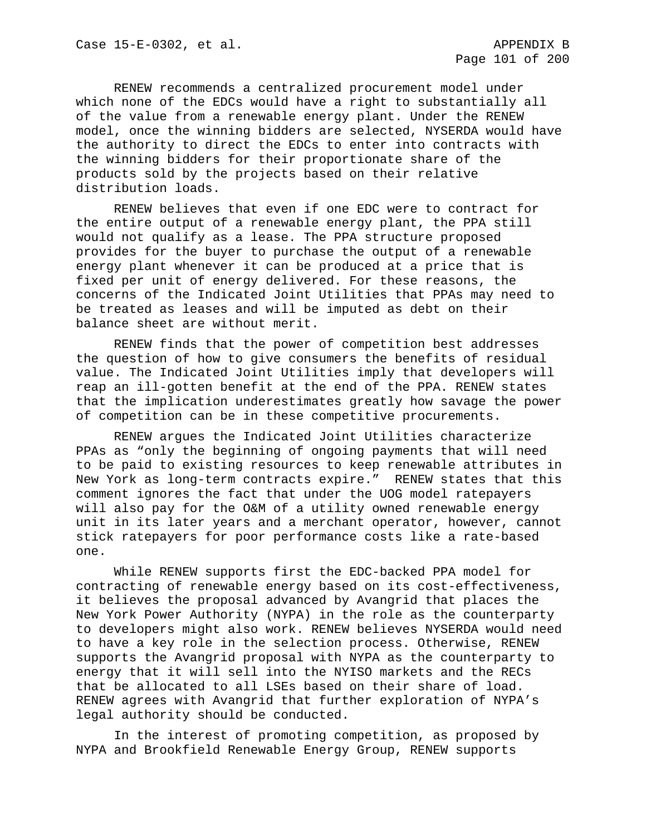RENEW recommends a centralized procurement model under which none of the EDCs would have a right to substantially all of the value from a renewable energy plant. Under the RENEW model, once the winning bidders are selected, NYSERDA would have the authority to direct the EDCs to enter into contracts with the winning bidders for their proportionate share of the products sold by the projects based on their relative distribution loads.

RENEW believes that even if one EDC were to contract for the entire output of a renewable energy plant, the PPA still would not qualify as a lease. The PPA structure proposed provides for the buyer to purchase the output of a renewable energy plant whenever it can be produced at a price that is fixed per unit of energy delivered. For these reasons, the concerns of the Indicated Joint Utilities that PPAs may need to be treated as leases and will be imputed as debt on their balance sheet are without merit.

RENEW finds that the power of competition best addresses the question of how to give consumers the benefits of residual value. The Indicated Joint Utilities imply that developers will reap an ill-gotten benefit at the end of the PPA. RENEW states that the implication underestimates greatly how savage the power of competition can be in these competitive procurements.

RENEW argues the Indicated Joint Utilities characterize PPAs as "only the beginning of ongoing payments that will need to be paid to existing resources to keep renewable attributes in New York as long-term contracts expire." RENEW states that this comment ignores the fact that under the UOG model ratepayers will also pay for the O&M of a utility owned renewable energy unit in its later years and a merchant operator, however, cannot stick ratepayers for poor performance costs like a rate-based one.

While RENEW supports first the EDC-backed PPA model for contracting of renewable energy based on its cost-effectiveness, it believes the proposal advanced by Avangrid that places the New York Power Authority (NYPA) in the role as the counterparty to developers might also work. RENEW believes NYSERDA would need to have a key role in the selection process. Otherwise, RENEW supports the Avangrid proposal with NYPA as the counterparty to energy that it will sell into the NYISO markets and the RECs that be allocated to all LSEs based on their share of load. RENEW agrees with Avangrid that further exploration of NYPA's legal authority should be conducted.

In the interest of promoting competition, as proposed by NYPA and Brookfield Renewable Energy Group, RENEW supports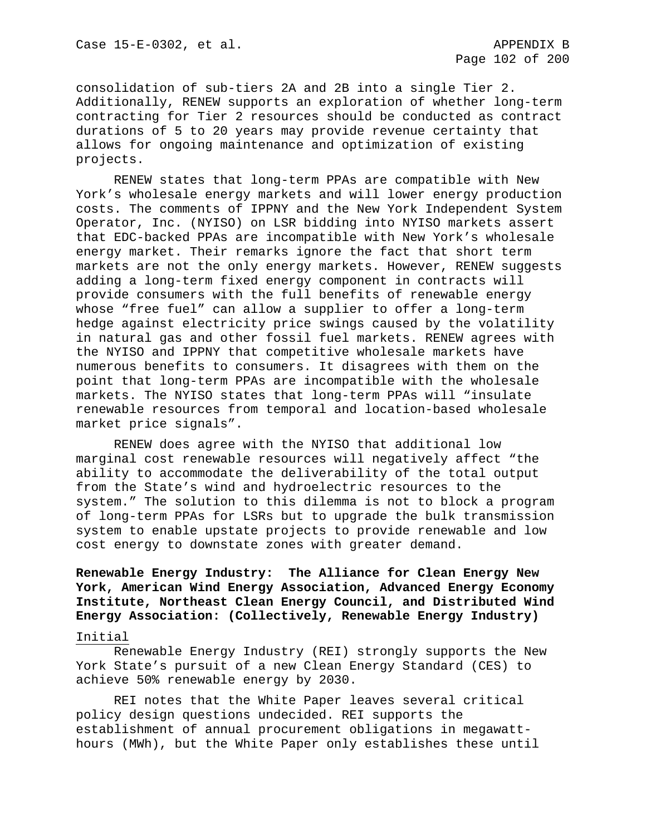consolidation of sub-tiers 2A and 2B into a single Tier 2. Additionally, RENEW supports an exploration of whether long-term contracting for Tier 2 resources should be conducted as contract durations of 5 to 20 years may provide revenue certainty that allows for ongoing maintenance and optimization of existing projects.

RENEW states that long-term PPAs are compatible with New York's wholesale energy markets and will lower energy production costs. The comments of IPPNY and the New York Independent System Operator, Inc. (NYISO) on LSR bidding into NYISO markets assert that EDC-backed PPAs are incompatible with New York's wholesale energy market. Their remarks ignore the fact that short term markets are not the only energy markets. However, RENEW suggests adding a long-term fixed energy component in contracts will provide consumers with the full benefits of renewable energy whose "free fuel" can allow a supplier to offer a long-term hedge against electricity price swings caused by the volatility in natural gas and other fossil fuel markets. RENEW agrees with the NYISO and IPPNY that competitive wholesale markets have numerous benefits to consumers. It disagrees with them on the point that long-term PPAs are incompatible with the wholesale markets. The NYISO states that long-term PPAs will "insulate renewable resources from temporal and location-based wholesale market price signals".

RENEW does agree with the NYISO that additional low marginal cost renewable resources will negatively affect "the ability to accommodate the deliverability of the total output from the State's wind and hydroelectric resources to the system." The solution to this dilemma is not to block a program of long-term PPAs for LSRs but to upgrade the bulk transmission system to enable upstate projects to provide renewable and low cost energy to downstate zones with greater demand.

# **Renewable Energy Industry: The Alliance for Clean Energy New York, American Wind Energy Association, Advanced Energy Economy Institute, Northeast Clean Energy Council, and Distributed Wind Energy Association: (Collectively, Renewable Energy Industry)**

### Initial

Renewable Energy Industry (REI) strongly supports the New York State's pursuit of a new Clean Energy Standard (CES) to achieve 50% renewable energy by 2030.

REI notes that the White Paper leaves several critical policy design questions undecided. REI supports the establishment of annual procurement obligations in megawatthours (MWh), but the White Paper only establishes these until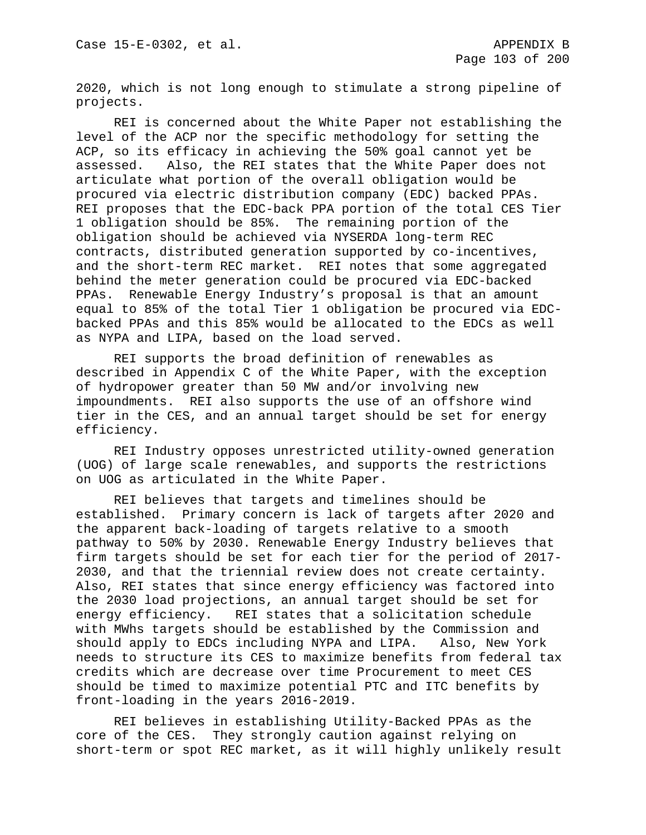2020, which is not long enough to stimulate a strong pipeline of projects.

REI is concerned about the White Paper not establishing the level of the ACP nor the specific methodology for setting the ACP, so its efficacy in achieving the 50% goal cannot yet be<br>assessed. Also, the REI states that the White Paper does no Also, the REI states that the White Paper does not articulate what portion of the overall obligation would be procured via electric distribution company (EDC) backed PPAs. REI proposes that the EDC-back PPA portion of the total CES Tier 1 obligation should be 85%. The remaining portion of the obligation should be achieved via NYSERDA long-term REC contracts, distributed generation supported by co-incentives, and the short-term REC market. REI notes that some aggregated behind the meter generation could be procured via EDC-backed PPAs. Renewable Energy Industry's proposal is that an amount equal to 85% of the total Tier 1 obligation be procured via EDCbacked PPAs and this 85% would be allocated to the EDCs as well as NYPA and LIPA, based on the load served.

REI supports the broad definition of renewables as described in Appendix C of the White Paper, with the exception of hydropower greater than 50 MW and/or involving new impoundments. REI also supports the use of an offshore wind tier in the CES, and an annual target should be set for energy efficiency.

REI Industry opposes unrestricted utility-owned generation (UOG) of large scale renewables, and supports the restrictions on UOG as articulated in the White Paper.

REI believes that targets and timelines should be established. Primary concern is lack of targets after 2020 and the apparent back-loading of targets relative to a smooth pathway to 50% by 2030. Renewable Energy Industry believes that firm targets should be set for each tier for the period of 2017- 2030, and that the triennial review does not create certainty. Also, REI states that since energy efficiency was factored into the 2030 load projections, an annual target should be set for<br>energy efficiency. REI states that a solicitation schedule REI states that a solicitation schedule with MWhs targets should be established by the Commission and should apply to EDCs including NYPA and LIPA. Also, New York needs to structure its CES to maximize benefits from federal tax credits which are decrease over time Procurement to meet CES should be timed to maximize potential PTC and ITC benefits by front-loading in the years 2016-2019.

REI believes in establishing Utility-Backed PPAs as the core of the CES. They strongly caution against relying on short-term or spot REC market, as it will highly unlikely result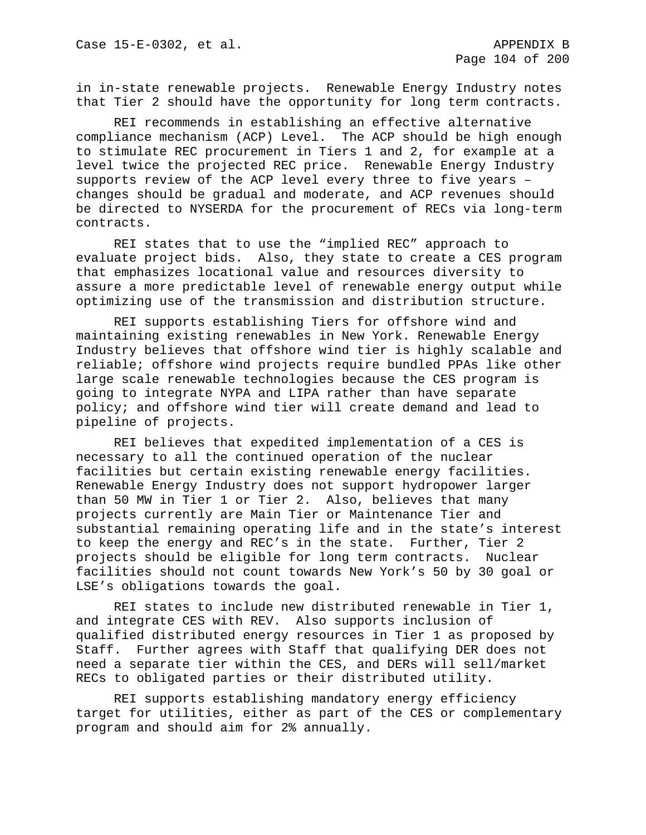in in-state renewable projects. Renewable Energy Industry notes that Tier 2 should have the opportunity for long term contracts.

REI recommends in establishing an effective alternative compliance mechanism (ACP) Level. The ACP should be high enough to stimulate REC procurement in Tiers 1 and 2, for example at a level twice the projected REC price. Renewable Energy Industry supports review of the ACP level every three to five years – changes should be gradual and moderate, and ACP revenues should be directed to NYSERDA for the procurement of RECs via long-term contracts.

REI states that to use the "implied REC" approach to evaluate project bids. Also, they state to create a CES program that emphasizes locational value and resources diversity to assure a more predictable level of renewable energy output while optimizing use of the transmission and distribution structure.

REI supports establishing Tiers for offshore wind and maintaining existing renewables in New York. Renewable Energy Industry believes that offshore wind tier is highly scalable and reliable; offshore wind projects require bundled PPAs like other large scale renewable technologies because the CES program is going to integrate NYPA and LIPA rather than have separate policy; and offshore wind tier will create demand and lead to pipeline of projects.

REI believes that expedited implementation of a CES is necessary to all the continued operation of the nuclear facilities but certain existing renewable energy facilities. Renewable Energy Industry does not support hydropower larger than 50 MW in Tier 1 or Tier 2. Also, believes that many projects currently are Main Tier or Maintenance Tier and substantial remaining operating life and in the state's interest to keep the energy and REC's in the state. Further, Tier 2 projects should be eligible for long term contracts. Nuclear facilities should not count towards New York's 50 by 30 goal or LSE's obligations towards the goal.

REI states to include new distributed renewable in Tier 1, and integrate CES with REV. Also supports inclusion of qualified distributed energy resources in Tier 1 as proposed by Staff. Further agrees with Staff that qualifying DER does not need a separate tier within the CES, and DERs will sell/market RECs to obligated parties or their distributed utility.

REI supports establishing mandatory energy efficiency target for utilities, either as part of the CES or complementary program and should aim for 2% annually.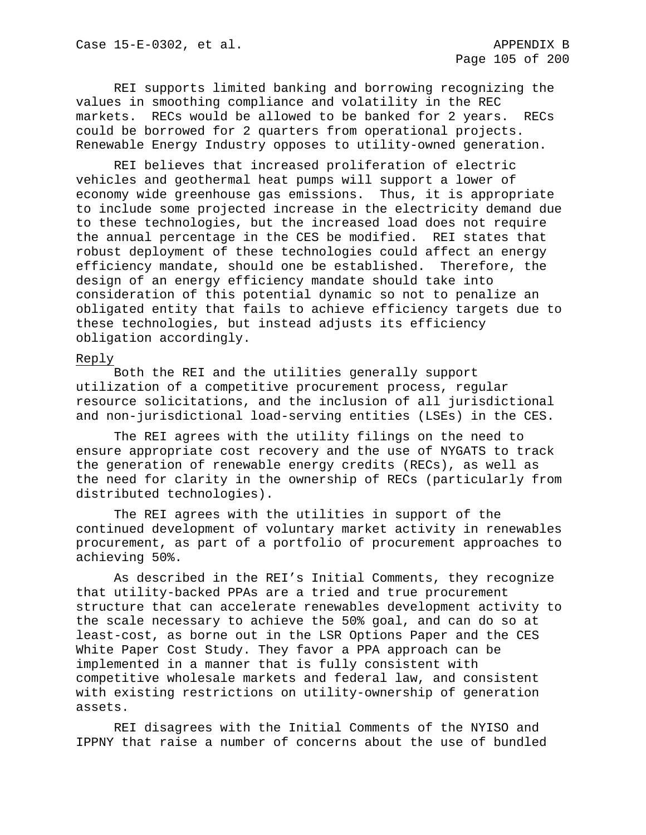REI supports limited banking and borrowing recognizing the values in smoothing compliance and volatility in the REC markets. RECs would be allowed to be banked for 2 years. RECs could be borrowed for 2 quarters from operational projects. Renewable Energy Industry opposes to utility-owned generation.

REI believes that increased proliferation of electric vehicles and geothermal heat pumps will support a lower of economy wide greenhouse gas emissions. Thus, it is appropriate to include some projected increase in the electricity demand due to these technologies, but the increased load does not require the annual percentage in the CES be modified. REI states that robust deployment of these technologies could affect an energy efficiency mandate, should one be established. Therefore, the design of an energy efficiency mandate should take into consideration of this potential dynamic so not to penalize an obligated entity that fails to achieve efficiency targets due to these technologies, but instead adjusts its efficiency obligation accordingly.

### Reply

Both the REI and the utilities generally support utilization of a competitive procurement process, regular resource solicitations, and the inclusion of all jurisdictional and non-jurisdictional load-serving entities (LSEs) in the CES.

The REI agrees with the utility filings on the need to ensure appropriate cost recovery and the use of NYGATS to track the generation of renewable energy credits (RECs), as well as the need for clarity in the ownership of RECs (particularly from distributed technologies).

The REI agrees with the utilities in support of the continued development of voluntary market activity in renewables procurement, as part of a portfolio of procurement approaches to achieving 50%.

As described in the REI's Initial Comments, they recognize that utility-backed PPAs are a tried and true procurement structure that can accelerate renewables development activity to the scale necessary to achieve the 50% goal, and can do so at least-cost, as borne out in the LSR Options Paper and the CES White Paper Cost Study. They favor a PPA approach can be implemented in a manner that is fully consistent with competitive wholesale markets and federal law, and consistent with existing restrictions on utility-ownership of generation assets.

REI disagrees with the Initial Comments of the NYISO and IPPNY that raise a number of concerns about the use of bundled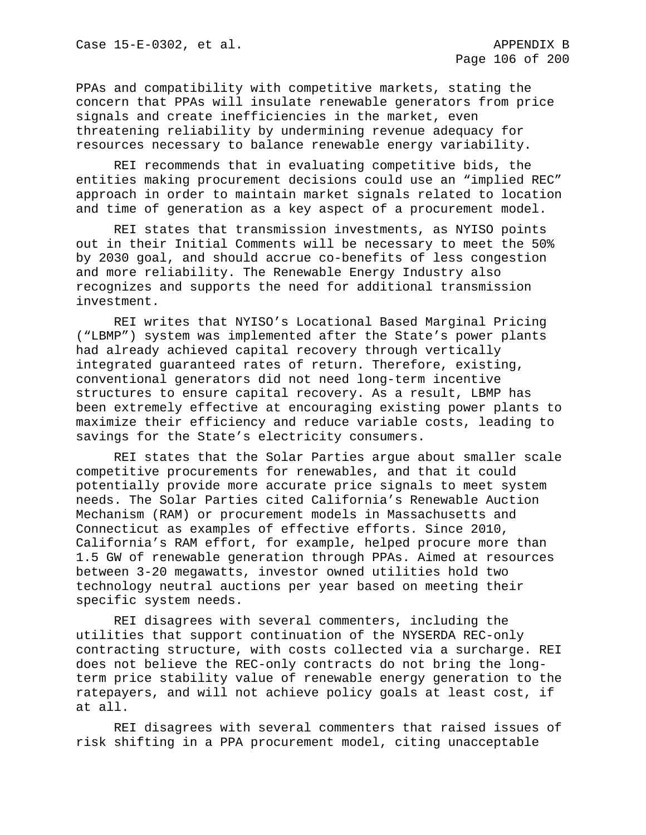PPAs and compatibility with competitive markets, stating the concern that PPAs will insulate renewable generators from price signals and create inefficiencies in the market, even threatening reliability by undermining revenue adequacy for resources necessary to balance renewable energy variability.

REI recommends that in evaluating competitive bids, the entities making procurement decisions could use an "implied REC" approach in order to maintain market signals related to location and time of generation as a key aspect of a procurement model.

REI states that transmission investments, as NYISO points out in their Initial Comments will be necessary to meet the 50% by 2030 goal, and should accrue co-benefits of less congestion and more reliability. The Renewable Energy Industry also recognizes and supports the need for additional transmission investment.

REI writes that NYISO's Locational Based Marginal Pricing ("LBMP") system was implemented after the State's power plants had already achieved capital recovery through vertically integrated guaranteed rates of return. Therefore, existing, conventional generators did not need long-term incentive structures to ensure capital recovery. As a result, LBMP has been extremely effective at encouraging existing power plants to maximize their efficiency and reduce variable costs, leading to savings for the State's electricity consumers.

REI states that the Solar Parties argue about smaller scale competitive procurements for renewables, and that it could potentially provide more accurate price signals to meet system needs. The Solar Parties cited California's Renewable Auction Mechanism (RAM) or procurement models in Massachusetts and Connecticut as examples of effective efforts. Since 2010, California's RAM effort, for example, helped procure more than 1.5 GW of renewable generation through PPAs. Aimed at resources between 3-20 megawatts, investor owned utilities hold two technology neutral auctions per year based on meeting their specific system needs.

REI disagrees with several commenters, including the utilities that support continuation of the NYSERDA REC-only contracting structure, with costs collected via a surcharge. REI does not believe the REC-only contracts do not bring the longterm price stability value of renewable energy generation to the ratepayers, and will not achieve policy goals at least cost, if at all.

REI disagrees with several commenters that raised issues of risk shifting in a PPA procurement model, citing unacceptable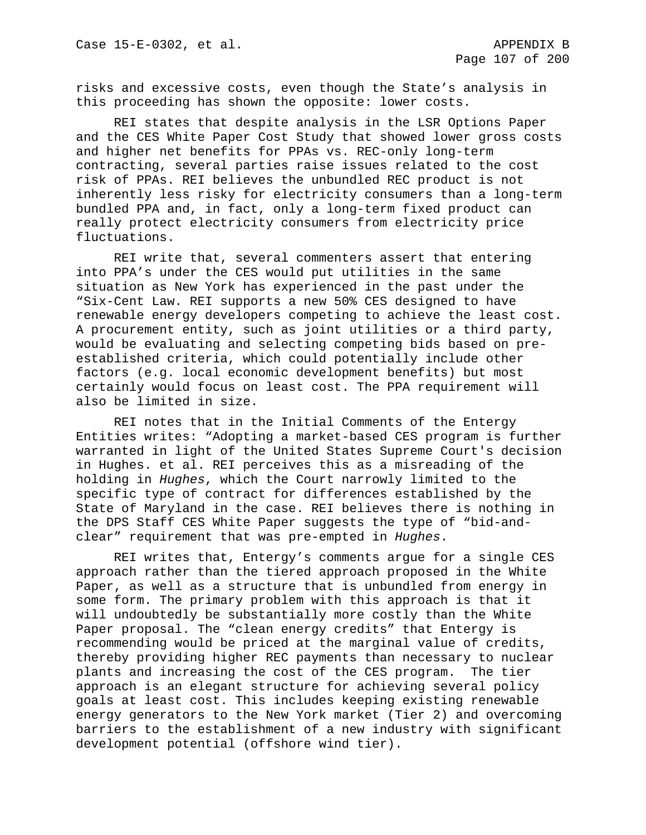risks and excessive costs, even though the State's analysis in this proceeding has shown the opposite: lower costs.

REI states that despite analysis in the LSR Options Paper and the CES White Paper Cost Study that showed lower gross costs and higher net benefits for PPAs vs. REC-only long-term contracting, several parties raise issues related to the cost risk of PPAs. REI believes the unbundled REC product is not inherently less risky for electricity consumers than a long-term bundled PPA and, in fact, only a long-term fixed product can really protect electricity consumers from electricity price fluctuations.

REI write that, several commenters assert that entering into PPA's under the CES would put utilities in the same situation as New York has experienced in the past under the "Six-Cent Law. REI supports a new 50% CES designed to have renewable energy developers competing to achieve the least cost. A procurement entity, such as joint utilities or a third party, would be evaluating and selecting competing bids based on preestablished criteria, which could potentially include other factors (e.g. local economic development benefits) but most certainly would focus on least cost. The PPA requirement will also be limited in size.

REI notes that in the Initial Comments of the Entergy Entities writes: "Adopting a market-based CES program is further warranted in light of the United States Supreme Court's decision in Hughes. et al. REI perceives this as a misreading of the holding in *Hughes*, which the Court narrowly limited to the specific type of contract for differences established by the State of Maryland in the case. REI believes there is nothing in the DPS Staff CES White Paper suggests the type of "bid-andclear" requirement that was pre-empted in *Hughes*.

REI writes that, Entergy's comments argue for a single CES approach rather than the tiered approach proposed in the White Paper, as well as a structure that is unbundled from energy in some form. The primary problem with this approach is that it will undoubtedly be substantially more costly than the White Paper proposal. The "clean energy credits" that Entergy is recommending would be priced at the marginal value of credits, thereby providing higher REC payments than necessary to nuclear plants and increasing the cost of the CES program. The tier approach is an elegant structure for achieving several policy goals at least cost. This includes keeping existing renewable energy generators to the New York market (Tier 2) and overcoming barriers to the establishment of a new industry with significant development potential (offshore wind tier).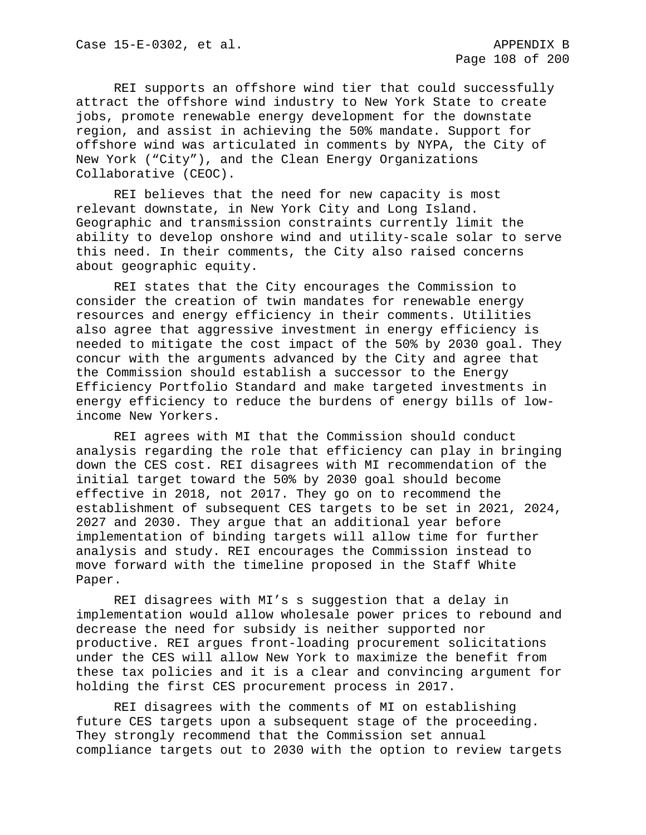REI supports an offshore wind tier that could successfully attract the offshore wind industry to New York State to create jobs, promote renewable energy development for the downstate region, and assist in achieving the 50% mandate. Support for offshore wind was articulated in comments by NYPA, the City of New York ("City"), and the Clean Energy Organizations Collaborative (CEOC).

REI believes that the need for new capacity is most relevant downstate, in New York City and Long Island. Geographic and transmission constraints currently limit the ability to develop onshore wind and utility-scale solar to serve this need. In their comments, the City also raised concerns about geographic equity.

REI states that the City encourages the Commission to consider the creation of twin mandates for renewable energy resources and energy efficiency in their comments. Utilities also agree that aggressive investment in energy efficiency is needed to mitigate the cost impact of the 50% by 2030 goal. They concur with the arguments advanced by the City and agree that the Commission should establish a successor to the Energy Efficiency Portfolio Standard and make targeted investments in energy efficiency to reduce the burdens of energy bills of lowincome New Yorkers.

REI agrees with MI that the Commission should conduct analysis regarding the role that efficiency can play in bringing down the CES cost. REI disagrees with MI recommendation of the initial target toward the 50% by 2030 goal should become effective in 2018, not 2017. They go on to recommend the establishment of subsequent CES targets to be set in 2021, 2024, 2027 and 2030. They argue that an additional year before implementation of binding targets will allow time for further analysis and study. REI encourages the Commission instead to move forward with the timeline proposed in the Staff White Paper.

REI disagrees with MI's s suggestion that a delay in implementation would allow wholesale power prices to rebound and decrease the need for subsidy is neither supported nor productive. REI argues front-loading procurement solicitations under the CES will allow New York to maximize the benefit from these tax policies and it is a clear and convincing argument for holding the first CES procurement process in 2017.

REI disagrees with the comments of MI on establishing future CES targets upon a subsequent stage of the proceeding. They strongly recommend that the Commission set annual compliance targets out to 2030 with the option to review targets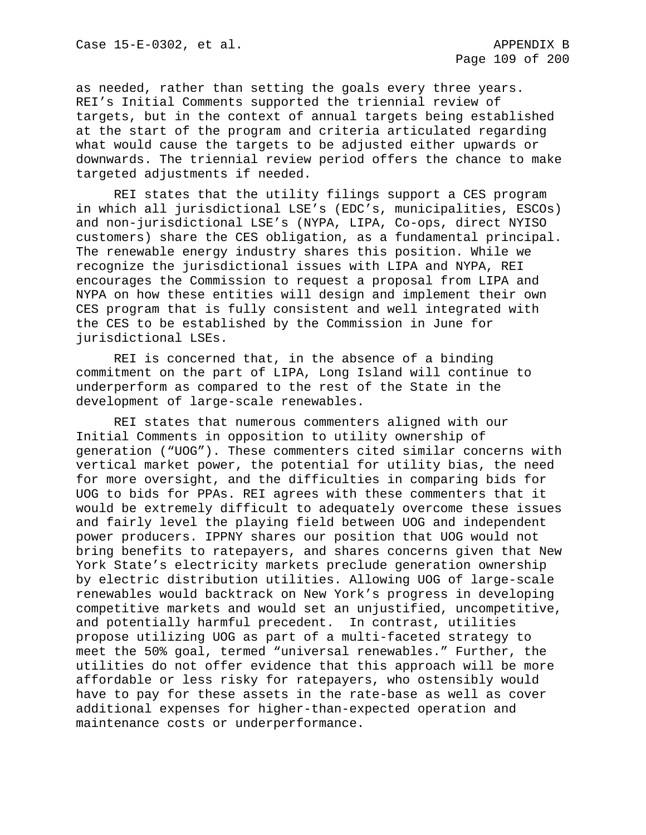as needed, rather than setting the goals every three years. REI's Initial Comments supported the triennial review of targets, but in the context of annual targets being established at the start of the program and criteria articulated regarding what would cause the targets to be adjusted either upwards or downwards. The triennial review period offers the chance to make targeted adjustments if needed.

REI states that the utility filings support a CES program in which all jurisdictional LSE's (EDC's, municipalities, ESCOs) and non-jurisdictional LSE's (NYPA, LIPA, Co-ops, direct NYISO customers) share the CES obligation, as a fundamental principal. The renewable energy industry shares this position. While we recognize the jurisdictional issues with LIPA and NYPA, REI encourages the Commission to request a proposal from LIPA and NYPA on how these entities will design and implement their own CES program that is fully consistent and well integrated with the CES to be established by the Commission in June for jurisdictional LSEs.

REI is concerned that, in the absence of a binding commitment on the part of LIPA, Long Island will continue to underperform as compared to the rest of the State in the development of large-scale renewables.

REI states that numerous commenters aligned with our Initial Comments in opposition to utility ownership of generation ("UOG"). These commenters cited similar concerns with vertical market power, the potential for utility bias, the need for more oversight, and the difficulties in comparing bids for UOG to bids for PPAs. REI agrees with these commenters that it would be extremely difficult to adequately overcome these issues and fairly level the playing field between UOG and independent power producers. IPPNY shares our position that UOG would not bring benefits to ratepayers, and shares concerns given that New York State's electricity markets preclude generation ownership by electric distribution utilities. Allowing UOG of large-scale renewables would backtrack on New York's progress in developing competitive markets and would set an unjustified, uncompetitive, and potentially harmful precedent. In contrast, utilities propose utilizing UOG as part of a multi-faceted strategy to meet the 50% goal, termed "universal renewables." Further, the utilities do not offer evidence that this approach will be more affordable or less risky for ratepayers, who ostensibly would have to pay for these assets in the rate-base as well as cover additional expenses for higher-than-expected operation and maintenance costs or underperformance.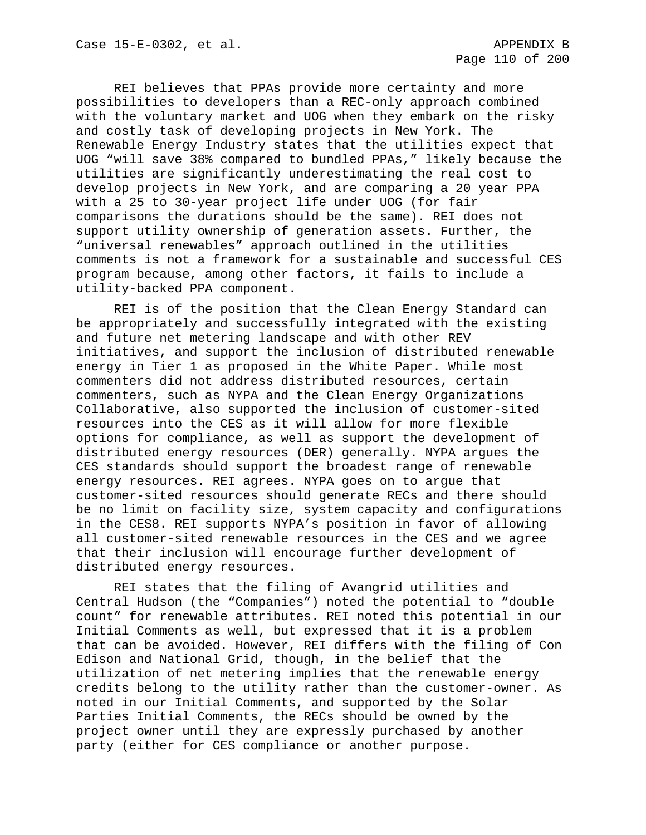REI believes that PPAs provide more certainty and more possibilities to developers than a REC-only approach combined with the voluntary market and UOG when they embark on the risky and costly task of developing projects in New York. The Renewable Energy Industry states that the utilities expect that UOG "will save 38% compared to bundled PPAs," likely because the utilities are significantly underestimating the real cost to develop projects in New York, and are comparing a 20 year PPA with a 25 to 30-year project life under UOG (for fair comparisons the durations should be the same). REI does not support utility ownership of generation assets. Further, the "universal renewables" approach outlined in the utilities comments is not a framework for a sustainable and successful CES program because, among other factors, it fails to include a utility-backed PPA component.

REI is of the position that the Clean Energy Standard can be appropriately and successfully integrated with the existing and future net metering landscape and with other REV initiatives, and support the inclusion of distributed renewable energy in Tier 1 as proposed in the White Paper. While most commenters did not address distributed resources, certain commenters, such as NYPA and the Clean Energy Organizations Collaborative, also supported the inclusion of customer-sited resources into the CES as it will allow for more flexible options for compliance, as well as support the development of distributed energy resources (DER) generally. NYPA argues the CES standards should support the broadest range of renewable energy resources. REI agrees. NYPA goes on to argue that customer-sited resources should generate RECs and there should be no limit on facility size, system capacity and configurations in the CES8. REI supports NYPA's position in favor of allowing all customer-sited renewable resources in the CES and we agree that their inclusion will encourage further development of distributed energy resources.

REI states that the filing of Avangrid utilities and Central Hudson (the "Companies") noted the potential to "double count" for renewable attributes. REI noted this potential in our Initial Comments as well, but expressed that it is a problem that can be avoided. However, REI differs with the filing of Con Edison and National Grid, though, in the belief that the utilization of net metering implies that the renewable energy credits belong to the utility rather than the customer-owner. As noted in our Initial Comments, and supported by the Solar Parties Initial Comments, the RECs should be owned by the project owner until they are expressly purchased by another party (either for CES compliance or another purpose.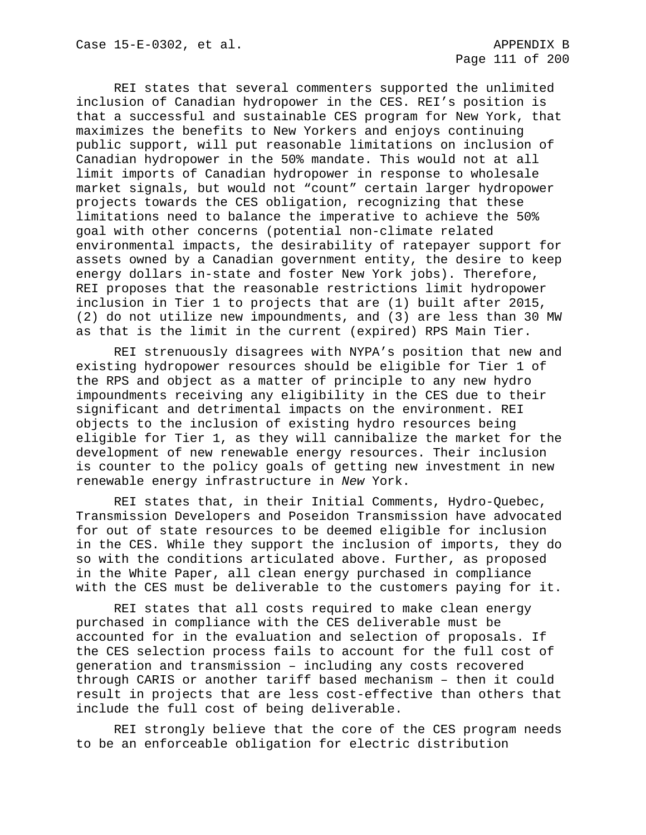REI states that several commenters supported the unlimited inclusion of Canadian hydropower in the CES. REI's position is that a successful and sustainable CES program for New York, that maximizes the benefits to New Yorkers and enjoys continuing public support, will put reasonable limitations on inclusion of Canadian hydropower in the 50% mandate. This would not at all limit imports of Canadian hydropower in response to wholesale market signals, but would not "count" certain larger hydropower projects towards the CES obligation, recognizing that these limitations need to balance the imperative to achieve the 50% goal with other concerns (potential non-climate related environmental impacts, the desirability of ratepayer support for assets owned by a Canadian government entity, the desire to keep energy dollars in-state and foster New York jobs). Therefore, REI proposes that the reasonable restrictions limit hydropower inclusion in Tier 1 to projects that are (1) built after 2015, (2) do not utilize new impoundments, and (3) are less than 30 MW as that is the limit in the current (expired) RPS Main Tier.

REI strenuously disagrees with NYPA's position that new and existing hydropower resources should be eligible for Tier 1 of the RPS and object as a matter of principle to any new hydro impoundments receiving any eligibility in the CES due to their significant and detrimental impacts on the environment. REI objects to the inclusion of existing hydro resources being eligible for Tier 1, as they will cannibalize the market for the development of new renewable energy resources. Their inclusion is counter to the policy goals of getting new investment in new renewable energy infrastructure in *New* York.

REI states that, in their Initial Comments, Hydro-Quebec, Transmission Developers and Poseidon Transmission have advocated for out of state resources to be deemed eligible for inclusion in the CES. While they support the inclusion of imports, they do so with the conditions articulated above. Further, as proposed in the White Paper, all clean energy purchased in compliance with the CES must be deliverable to the customers paying for it.

REI states that all costs required to make clean energy purchased in compliance with the CES deliverable must be accounted for in the evaluation and selection of proposals. If the CES selection process fails to account for the full cost of generation and transmission – including any costs recovered through CARIS or another tariff based mechanism – then it could result in projects that are less cost-effective than others that include the full cost of being deliverable.

REI strongly believe that the core of the CES program needs to be an enforceable obligation for electric distribution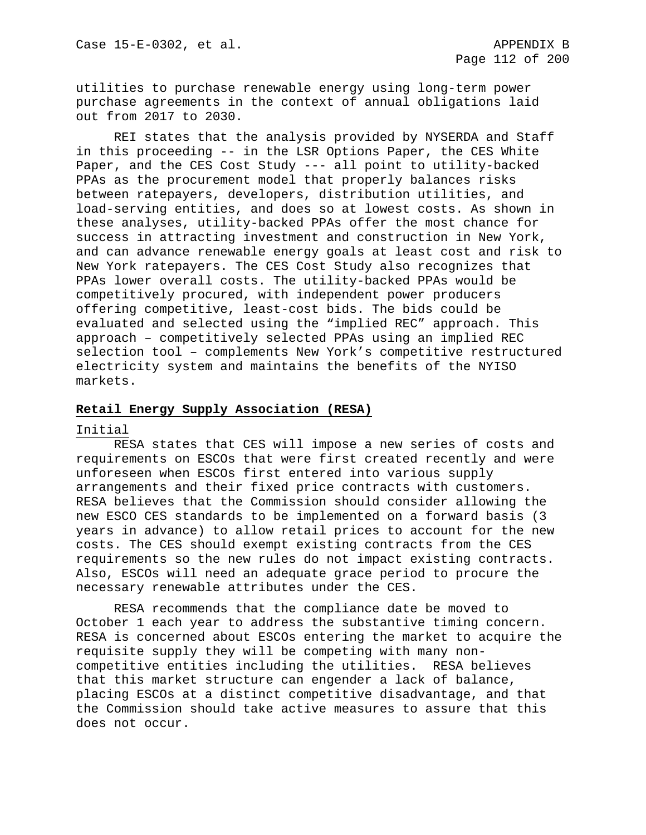utilities to purchase renewable energy using long-term power purchase agreements in the context of annual obligations laid out from 2017 to 2030.

REI states that the analysis provided by NYSERDA and Staff in this proceeding -- in the LSR Options Paper, the CES White Paper, and the CES Cost Study --- all point to utility-backed PPAs as the procurement model that properly balances risks between ratepayers, developers, distribution utilities, and load-serving entities, and does so at lowest costs. As shown in these analyses, utility-backed PPAs offer the most chance for success in attracting investment and construction in New York, and can advance renewable energy goals at least cost and risk to New York ratepayers. The CES Cost Study also recognizes that PPAs lower overall costs. The utility-backed PPAs would be competitively procured, with independent power producers offering competitive, least-cost bids. The bids could be evaluated and selected using the "implied REC" approach. This approach – competitively selected PPAs using an implied REC selection tool – complements New York's competitive restructured electricity system and maintains the benefits of the NYISO markets.

### **Retail Energy Supply Association (RESA)**

### Initial

RESA states that CES will impose a new series of costs and requirements on ESCOs that were first created recently and were unforeseen when ESCOs first entered into various supply arrangements and their fixed price contracts with customers. RESA believes that the Commission should consider allowing the new ESCO CES standards to be implemented on a forward basis (3 years in advance) to allow retail prices to account for the new costs. The CES should exempt existing contracts from the CES requirements so the new rules do not impact existing contracts. Also, ESCOs will need an adequate grace period to procure the necessary renewable attributes under the CES.

RESA recommends that the compliance date be moved to October 1 each year to address the substantive timing concern. RESA is concerned about ESCOs entering the market to acquire the requisite supply they will be competing with many noncompetitive entities including the utilities. RESA believes that this market structure can engender a lack of balance, placing ESCOs at a distinct competitive disadvantage, and that the Commission should take active measures to assure that this does not occur.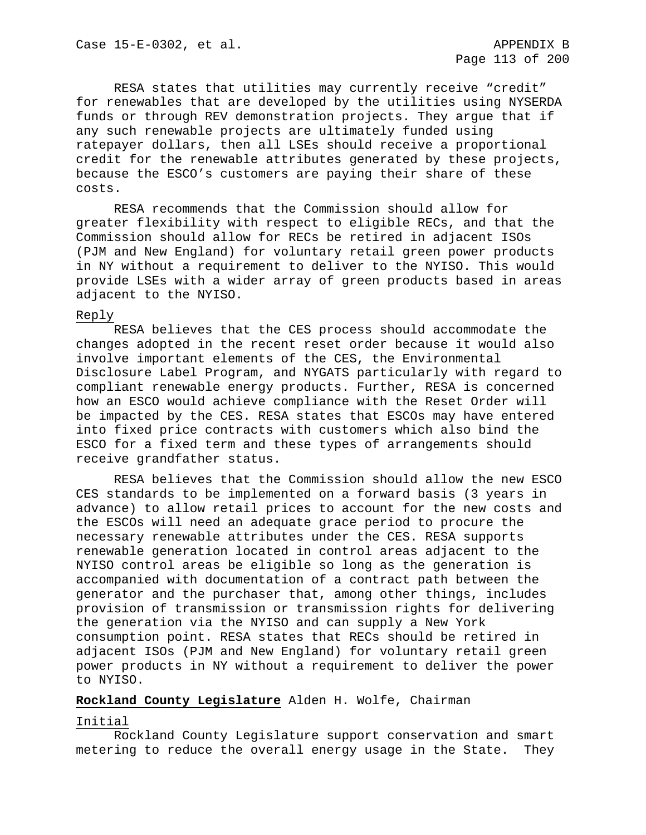RESA states that utilities may currently receive "credit" for renewables that are developed by the utilities using NYSERDA funds or through REV demonstration projects. They argue that if any such renewable projects are ultimately funded using ratepayer dollars, then all LSEs should receive a proportional credit for the renewable attributes generated by these projects, because the ESCO's customers are paying their share of these costs.

RESA recommends that the Commission should allow for greater flexibility with respect to eligible RECs, and that the Commission should allow for RECs be retired in adjacent ISOs (PJM and New England) for voluntary retail green power products in NY without a requirement to deliver to the NYISO. This would provide LSEs with a wider array of green products based in areas adjacent to the NYISO.

### Reply

RESA believes that the CES process should accommodate the changes adopted in the recent reset order because it would also involve important elements of the CES, the Environmental Disclosure Label Program, and NYGATS particularly with regard to compliant renewable energy products. Further, RESA is concerned how an ESCO would achieve compliance with the Reset Order will be impacted by the CES. RESA states that ESCOs may have entered into fixed price contracts with customers which also bind the ESCO for a fixed term and these types of arrangements should receive grandfather status.

RESA believes that the Commission should allow the new ESCO CES standards to be implemented on a forward basis (3 years in advance) to allow retail prices to account for the new costs and the ESCOs will need an adequate grace period to procure the necessary renewable attributes under the CES. RESA supports renewable generation located in control areas adjacent to the NYISO control areas be eligible so long as the generation is accompanied with documentation of a contract path between the generator and the purchaser that, among other things, includes provision of transmission or transmission rights for delivering the generation via the NYISO and can supply a New York consumption point. RESA states that RECs should be retired in adjacent ISOs (PJM and New England) for voluntary retail green power products in NY without a requirement to deliver the power to NYISO.

### **Rockland County Legislature** Alden H. Wolfe, Chairman

### Initial

Rockland County Legislature support conservation and smart metering to reduce the overall energy usage in the State. They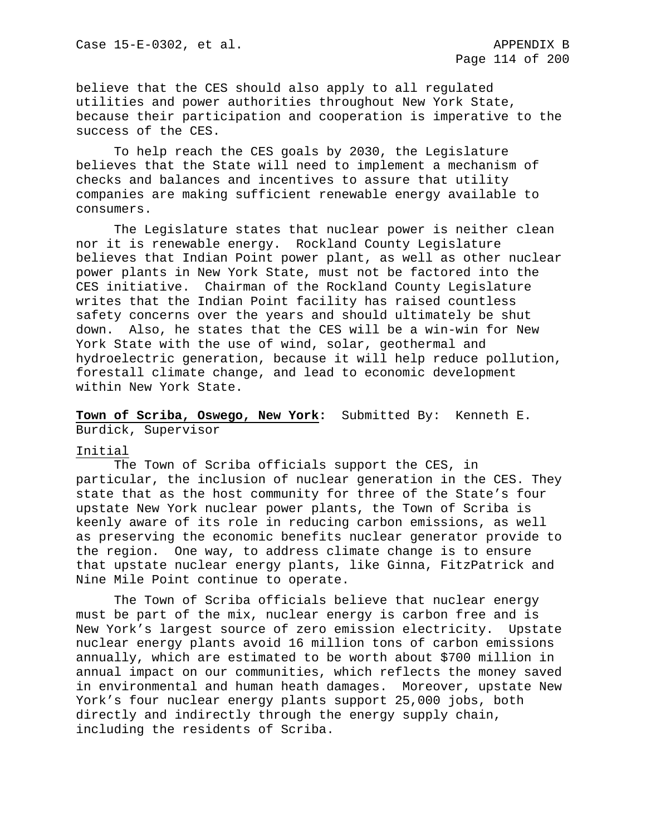believe that the CES should also apply to all regulated utilities and power authorities throughout New York State, because their participation and cooperation is imperative to the success of the CES.

To help reach the CES goals by 2030, the Legislature believes that the State will need to implement a mechanism of checks and balances and incentives to assure that utility companies are making sufficient renewable energy available to consumers.

The Legislature states that nuclear power is neither clean nor it is renewable energy. Rockland County Legislature believes that Indian Point power plant, as well as other nuclear power plants in New York State, must not be factored into the CES initiative. Chairman of the Rockland County Legislature writes that the Indian Point facility has raised countless safety concerns over the years and should ultimately be shut down. Also, he states that the CES will be a win-win for New York State with the use of wind, solar, geothermal and hydroelectric generation, because it will help reduce pollution, forestall climate change, and lead to economic development within New York State.

# **Town of Scriba, Oswego, New York:** Submitted By: Kenneth E. Burdick, Supervisor

### Initial

The Town of Scriba officials support the CES, in particular, the inclusion of nuclear generation in the CES. They state that as the host community for three of the State's four upstate New York nuclear power plants, the Town of Scriba is keenly aware of its role in reducing carbon emissions, as well as preserving the economic benefits nuclear generator provide to the region. One way, to address climate change is to ensure that upstate nuclear energy plants, like Ginna, FitzPatrick and Nine Mile Point continue to operate.

The Town of Scriba officials believe that nuclear energy must be part of the mix, nuclear energy is carbon free and is New York's largest source of zero emission electricity. Upstate nuclear energy plants avoid 16 million tons of carbon emissions annually, which are estimated to be worth about \$700 million in annual impact on our communities, which reflects the money saved in environmental and human heath damages. Moreover, upstate New York's four nuclear energy plants support 25,000 jobs, both directly and indirectly through the energy supply chain, including the residents of Scriba.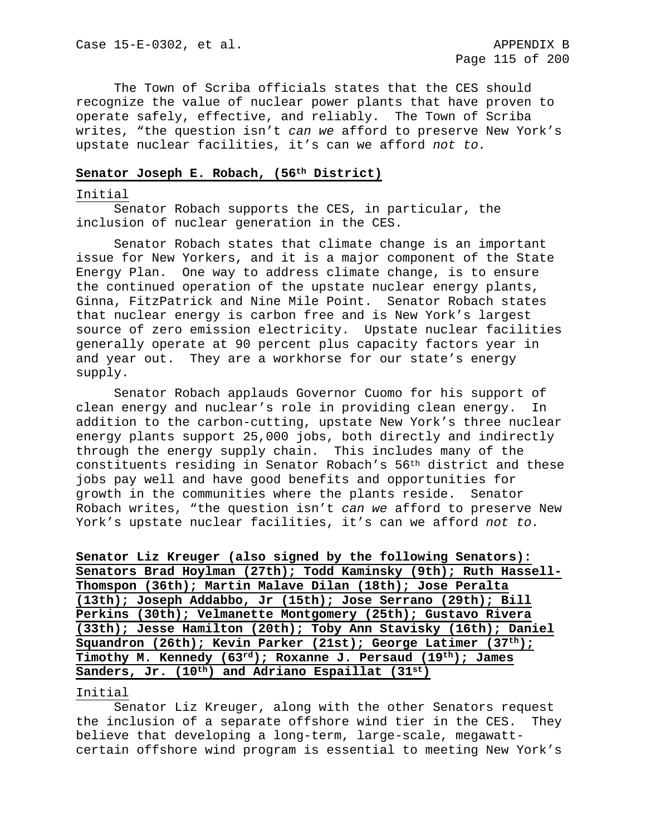The Town of Scriba officials states that the CES should recognize the value of nuclear power plants that have proven to operate safely, effective, and reliably. The Town of Scriba writes, "the question isn't *can we* afford to preserve New York's upstate nuclear facilities, it's can we afford *not to.* 

## **Senator Joseph E. Robach, (56th District)**

### Initial

Senator Robach supports the CES, in particular, the inclusion of nuclear generation in the CES.

Senator Robach states that climate change is an important issue for New Yorkers, and it is a major component of the State Energy Plan. One way to address climate change, is to ensure the continued operation of the upstate nuclear energy plants, Ginna, FitzPatrick and Nine Mile Point. Senator Robach states that nuclear energy is carbon free and is New York's largest source of zero emission electricity. Upstate nuclear facilities generally operate at 90 percent plus capacity factors year in and year out. They are a workhorse for our state's energy supply.

Senator Robach applauds Governor Cuomo for his support of clean energy and nuclear's role in providing clean energy. In addition to the carbon-cutting, upstate New York's three nuclear energy plants support 25,000 jobs, both directly and indirectly through the energy supply chain. This includes many of the constituents residing in Senator Robach's 56th district and these jobs pay well and have good benefits and opportunities for growth in the communities where the plants reside. Senator Robach writes, "the question isn't *can we* afford to preserve New York's upstate nuclear facilities, it's can we afford *not to.* 

**Senator Liz Kreuger (also signed by the following Senators): Senators Brad Hoylman (27th); Todd Kaminsky (9th); Ruth Hassell-Thomspon (36th); Martin Malave Dilan (18th); Jose Peralta (13th); Joseph Addabbo, Jr (15th); Jose Serrano (29th); Bill Perkins (30th); Velmanette Montgomery (25th); Gustavo Rivera (33th); Jesse Hamilton (20th); Toby Ann Stavisky (16th); Daniel Squandron (26th); Kevin Parker (21st); George Latimer (37th); Timothy M. Kennedy (63rd); Roxanne J. Persaud (19th); James**  Sanders, Jr. (10<sup>th</sup>) and Adriano Espaillat (31<sup>st</sup>)

#### Initial

Senator Liz Kreuger, along with the other Senators request the inclusion of a separate offshore wind tier in the CES. They believe that developing a long-term, large-scale, megawattcertain offshore wind program is essential to meeting New York's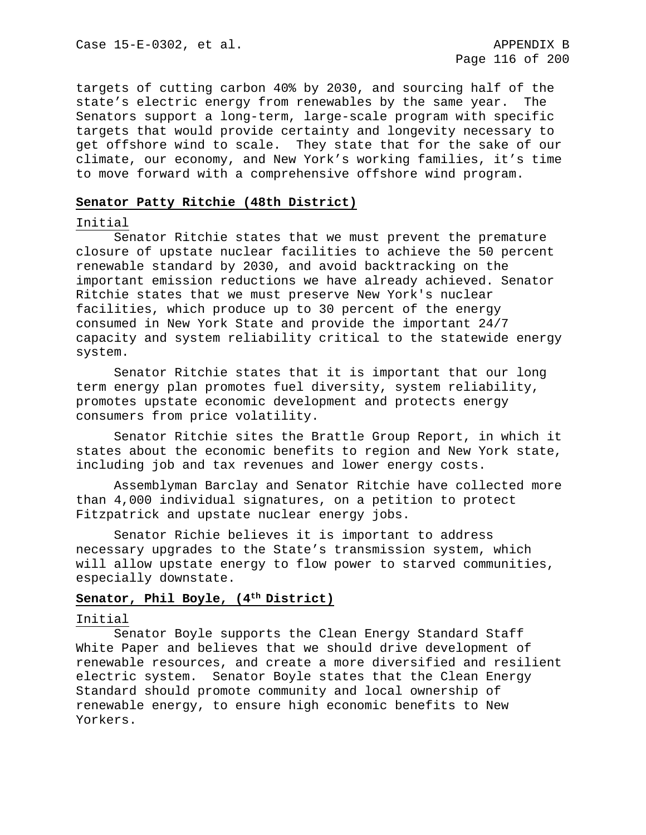targets of cutting carbon 40% by 2030, and sourcing half of the state's electric energy from renewables by the same year. The Senators support a long-term, large-scale program with specific targets that would provide certainty and longevity necessary to get offshore wind to scale. They state that for the sake of our climate, our economy, and New York's working families, it's time to move forward with a comprehensive offshore wind program.

### **Senator Patty Ritchie (48th District)**

## Initial

Senator Ritchie states that we must prevent the premature closure of upstate nuclear facilities to achieve the 50 percent renewable standard by 2030, and avoid backtracking on the important emission reductions we have already achieved. Senator Ritchie states that we must preserve New York's nuclear facilities, which produce up to 30 percent of the energy consumed in New York State and provide the important 24/7 capacity and system reliability critical to the statewide energy system.

Senator Ritchie states that it is important that our long term energy plan promotes fuel diversity, system reliability, promotes upstate economic development and protects energy consumers from price volatility.

Senator Ritchie sites the Brattle Group Report, in which it states about the economic benefits to region and New York state, including job and tax revenues and lower energy costs.

Assemblyman Barclay and Senator Ritchie have collected more than 4,000 individual signatures, on a petition to protect Fitzpatrick and upstate nuclear energy jobs.

Senator Richie believes it is important to address necessary upgrades to the State's transmission system, which will allow upstate energy to flow power to starved communities, especially downstate.

# **Senator, Phil Boyle, (4th District)**

### Initial

Senator Boyle supports the Clean Energy Standard Staff White Paper and believes that we should drive development of renewable resources, and create a more diversified and resilient electric system. Senator Boyle states that the Clean Energy Standard should promote community and local ownership of renewable energy, to ensure high economic benefits to New Yorkers.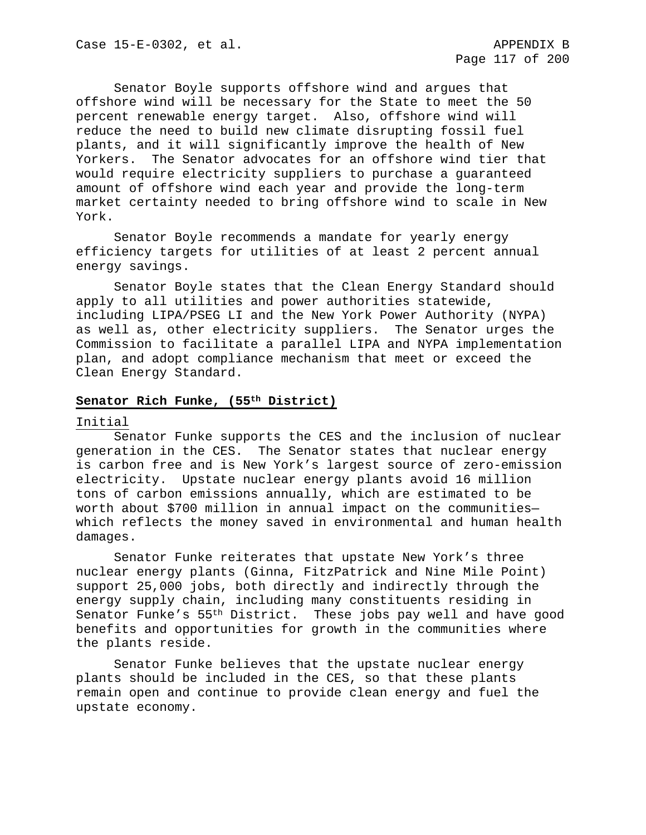Senator Boyle supports offshore wind and argues that offshore wind will be necessary for the State to meet the 50 percent renewable energy target. Also, offshore wind will reduce the need to build new climate disrupting fossil fuel plants, and it will significantly improve the health of New Yorkers. The Senator advocates for an offshore wind tier that would require electricity suppliers to purchase a guaranteed amount of offshore wind each year and provide the long-term market certainty needed to bring offshore wind to scale in New York.

Senator Boyle recommends a mandate for yearly energy efficiency targets for utilities of at least 2 percent annual energy savings.

Senator Boyle states that the Clean Energy Standard should apply to all utilities and power authorities statewide, including LIPA/PSEG LI and the New York Power Authority (NYPA) as well as, other electricity suppliers. The Senator urges the Commission to facilitate a parallel LIPA and NYPA implementation plan, and adopt compliance mechanism that meet or exceed the Clean Energy Standard.

### **Senator Rich Funke, (55th District)**

#### Initial

Senator Funke supports the CES and the inclusion of nuclear generation in the CES. The Senator states that nuclear energy is carbon free and is New York's largest source of zero-emission electricity. Upstate nuclear energy plants avoid 16 million tons of carbon emissions annually, which are estimated to be worth about \$700 million in annual impact on the communities which reflects the money saved in environmental and human health damages.

Senator Funke reiterates that upstate New York's three nuclear energy plants (Ginna, FitzPatrick and Nine Mile Point) support 25,000 jobs, both directly and indirectly through the energy supply chain, including many constituents residing in Senator Funke's 55th District. These jobs pay well and have good benefits and opportunities for growth in the communities where the plants reside.

Senator Funke believes that the upstate nuclear energy plants should be included in the CES, so that these plants remain open and continue to provide clean energy and fuel the upstate economy.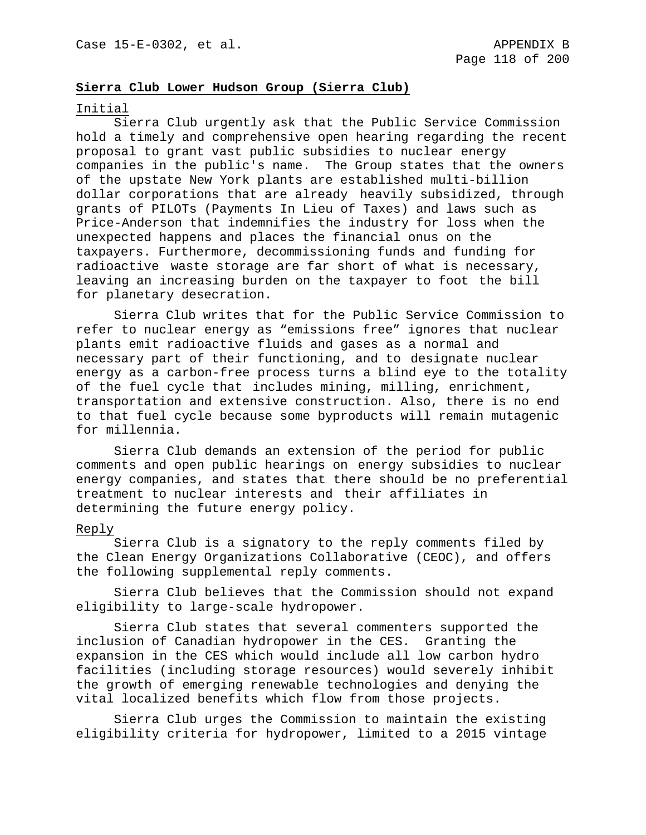## **Sierra Club Lower Hudson Group (Sierra Club)**

### Initial

Sierra Club urgently ask that the Public Service Commission hold a timely and comprehensive open hearing regarding the recent proposal to grant vast public subsidies to nuclear energy companies in the public's name. The Group states that the owners of the upstate New York plants are established multi-billion dollar corporations that are already heavily subsidized, through grants of PILOTs (Payments In Lieu of Taxes) and laws such as Price-Anderson that indemnifies the industry for loss when the unexpected happens and places the financial onus on the taxpayers. Furthermore, decommissioning funds and funding for radioactive waste storage are far short of what is necessary, leaving an increasing burden on the taxpayer to foot the bill for planetary desecration.

Sierra Club writes that for the Public Service Commission to refer to nuclear energy as "emissions free" ignores that nuclear plants emit radioactive fluids and gases as a normal and necessary part of their functioning, and to designate nuclear energy as a carbon-free process turns a blind eye to the totality of the fuel cycle that includes mining, milling, enrichment, transportation and extensive construction. Also, there is no end to that fuel cycle because some byproducts will remain mutagenic for millennia.

Sierra Club demands an extension of the period for public comments and open public hearings on energy subsidies to nuclear energy companies, and states that there should be no preferential treatment to nuclear interests and their affiliates in determining the future energy policy.

### Reply

Sierra Club is a signatory to the reply comments filed by the Clean Energy Organizations Collaborative (CEOC), and offers the following supplemental reply comments.

Sierra Club believes that the Commission should not expand eligibility to large-scale hydropower.

Sierra Club states that several commenters supported the inclusion of Canadian hydropower in the CES. Granting the expansion in the CES which would include all low carbon hydro facilities (including storage resources) would severely inhibit the growth of emerging renewable technologies and denying the vital localized benefits which flow from those projects.

Sierra Club urges the Commission to maintain the existing eligibility criteria for hydropower, limited to a 2015 vintage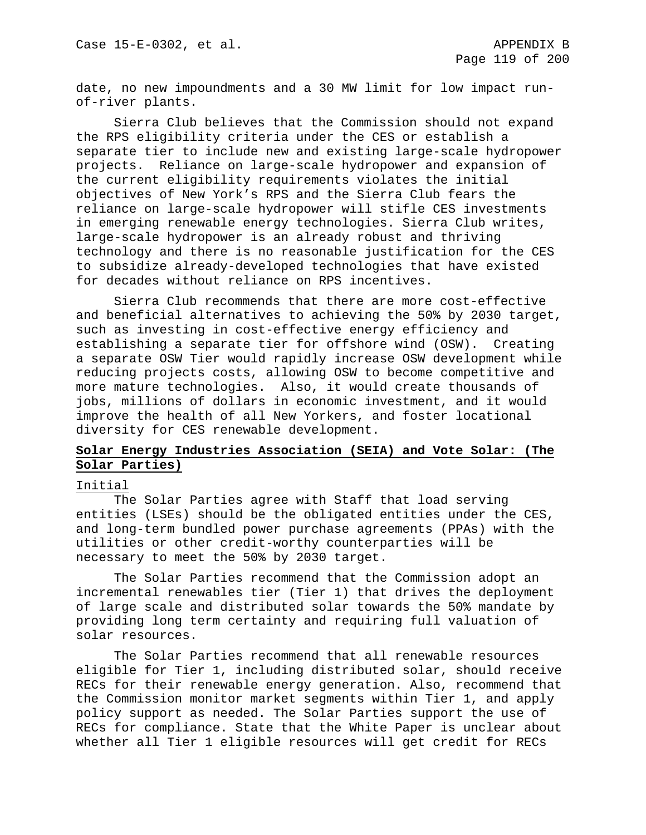date, no new impoundments and a 30 MW limit for low impact runof-river plants.

Sierra Club believes that the Commission should not expand the RPS eligibility criteria under the CES or establish a separate tier to include new and existing large-scale hydropower projects. Reliance on large-scale hydropower and expansion of the current eligibility requirements violates the initial objectives of New York's RPS and the Sierra Club fears the reliance on large-scale hydropower will stifle CES investments in emerging renewable energy technologies. Sierra Club writes, large-scale hydropower is an already robust and thriving technology and there is no reasonable justification for the CES to subsidize already-developed technologies that have existed for decades without reliance on RPS incentives.

Sierra Club recommends that there are more cost-effective and beneficial alternatives to achieving the 50% by 2030 target, such as investing in cost-effective energy efficiency and establishing a separate tier for offshore wind (OSW). Creating a separate OSW Tier would rapidly increase OSW development while reducing projects costs, allowing OSW to become competitive and more mature technologies. Also, it would create thousands of jobs, millions of dollars in economic investment, and it would improve the health of all New Yorkers, and foster locational diversity for CES renewable development.

# **Solar Energy Industries Association (SEIA) and Vote Solar: (The Solar Parties)**

## Initial

The Solar Parties agree with Staff that load serving entities (LSEs) should be the obligated entities under the CES, and long-term bundled power purchase agreements (PPAs) with the utilities or other credit-worthy counterparties will be necessary to meet the 50% by 2030 target.

The Solar Parties recommend that the Commission adopt an incremental renewables tier (Tier 1) that drives the deployment of large scale and distributed solar towards the 50% mandate by providing long term certainty and requiring full valuation of solar resources.

The Solar Parties recommend that all renewable resources eligible for Tier 1, including distributed solar, should receive RECs for their renewable energy generation. Also, recommend that the Commission monitor market segments within Tier 1, and apply policy support as needed. The Solar Parties support the use of RECs for compliance. State that the White Paper is unclear about whether all Tier 1 eligible resources will get credit for RECs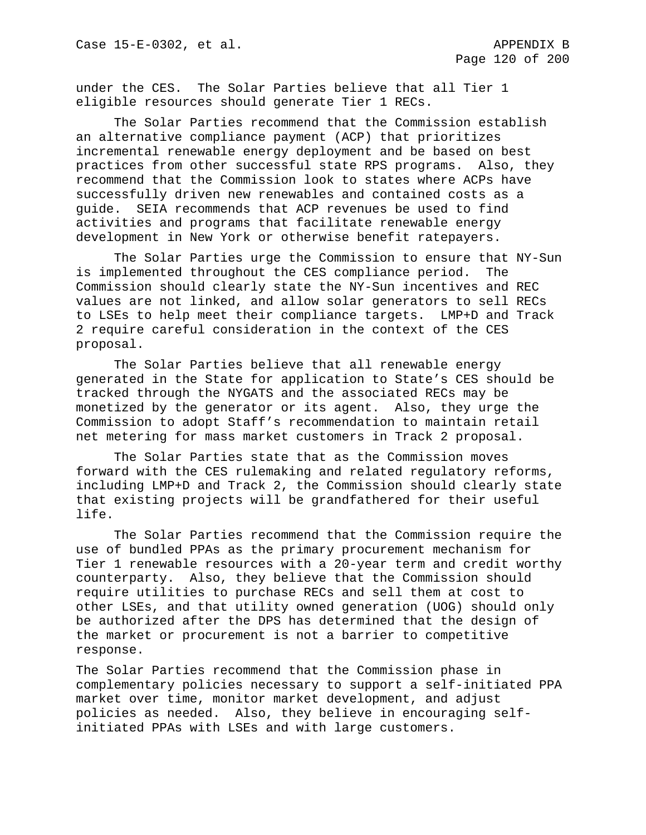under the CES. The Solar Parties believe that all Tier 1 eligible resources should generate Tier 1 RECs.

The Solar Parties recommend that the Commission establish an alternative compliance payment (ACP) that prioritizes incremental renewable energy deployment and be based on best practices from other successful state RPS programs. Also, they recommend that the Commission look to states where ACPs have successfully driven new renewables and contained costs as a guide. SEIA recommends that ACP revenues be used to find activities and programs that facilitate renewable energy development in New York or otherwise benefit ratepayers.

The Solar Parties urge the Commission to ensure that NY-Sun is implemented throughout the CES compliance period. The Commission should clearly state the NY-Sun incentives and REC values are not linked, and allow solar generators to sell RECs to LSEs to help meet their compliance targets. LMP+D and Track 2 require careful consideration in the context of the CES proposal.

The Solar Parties believe that all renewable energy generated in the State for application to State's CES should be tracked through the NYGATS and the associated RECs may be monetized by the generator or its agent. Also, they urge the Commission to adopt Staff's recommendation to maintain retail net metering for mass market customers in Track 2 proposal.

The Solar Parties state that as the Commission moves forward with the CES rulemaking and related regulatory reforms, including LMP+D and Track 2, the Commission should clearly state that existing projects will be grandfathered for their useful life.

The Solar Parties recommend that the Commission require the use of bundled PPAs as the primary procurement mechanism for Tier 1 renewable resources with a 20-year term and credit worthy counterparty. Also, they believe that the Commission should require utilities to purchase RECs and sell them at cost to other LSEs, and that utility owned generation (UOG) should only be authorized after the DPS has determined that the design of the market or procurement is not a barrier to competitive response.

The Solar Parties recommend that the Commission phase in complementary policies necessary to support a self-initiated PPA market over time, monitor market development, and adjust policies as needed. Also, they believe in encouraging selfinitiated PPAs with LSEs and with large customers.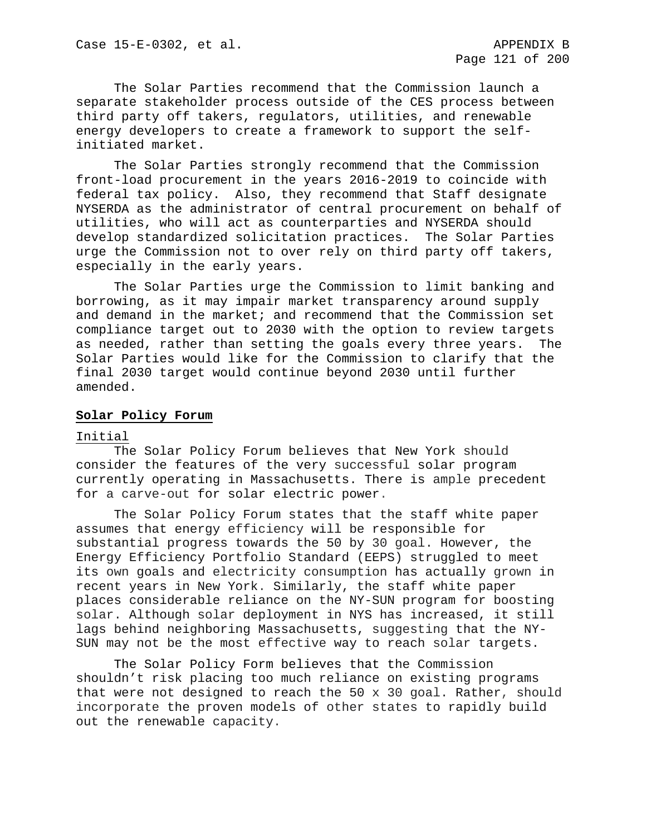The Solar Parties recommend that the Commission launch a separate stakeholder process outside of the CES process between third party off takers, regulators, utilities, and renewable energy developers to create a framework to support the selfinitiated market.

The Solar Parties strongly recommend that the Commission front-load procurement in the years 2016-2019 to coincide with federal tax policy. Also, they recommend that Staff designate NYSERDA as the administrator of central procurement on behalf of utilities, who will act as counterparties and NYSERDA should develop standardized solicitation practices. The Solar Parties urge the Commission not to over rely on third party off takers, especially in the early years.

The Solar Parties urge the Commission to limit banking and borrowing, as it may impair market transparency around supply and demand in the market; and recommend that the Commission set compliance target out to 2030 with the option to review targets as needed, rather than setting the goals every three years. The Solar Parties would like for the Commission to clarify that the final 2030 target would continue beyond 2030 until further amended.

## **Solar Policy Forum**

### Initial

The Solar Policy Forum believes that New York should consider the features of the very successful solar program currently operating in Massachusetts. There is ample precedent for a carve-out for solar electric power.

The Solar Policy Forum states that the staff white paper assumes that energy efficiency will be responsible for substantial progress towards the 50 by 30 goal. However, the Energy Efficiency Portfolio Standard (EEPS) struggled to meet its own goals and electricity consumption has actually grown in recent years in New York. Similarly, the staff white paper places considerable reliance on the NY-SUN program for boosting solar. Although solar deployment in NYS has increased, it still lags behind neighboring Massachusetts, suggesting that the NY-SUN may not be the most effective way to reach solar targets.

The Solar Policy Form believes that the Commission shouldn't risk placing too much reliance on existing programs that were not designed to reach the 50 x 30 goal. Rather, should incorporate the proven models of other states to rapidly build out the renewable capacity.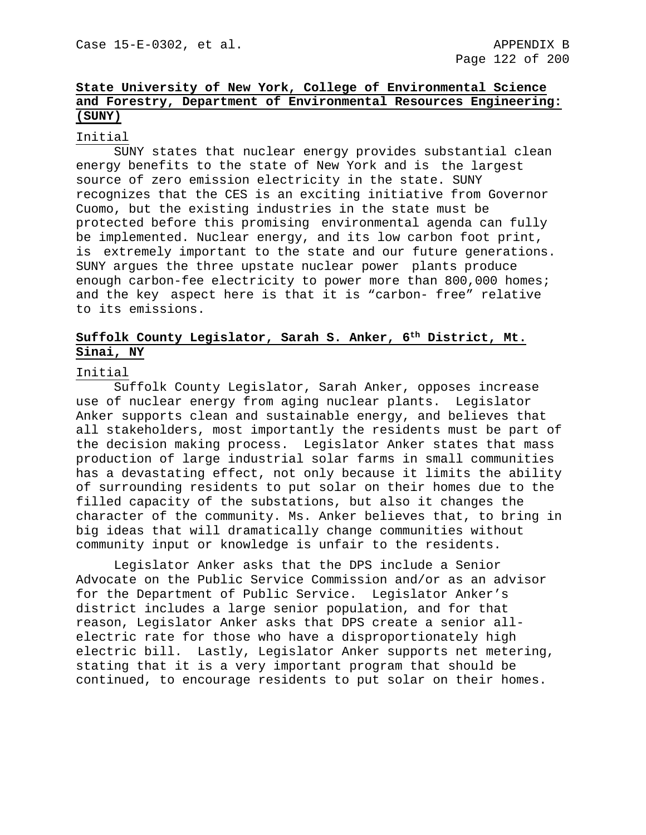# **State University of New York, College of Environmental Science and Forestry, Department of Environmental Resources Engineering: (SUNY)**

## Initial

SUNY states that nuclear energy provides substantial clean energy benefits to the state of New York and is the largest source of zero emission electricity in the state. SUNY recognizes that the CES is an exciting initiative from Governor Cuomo, but the existing industries in the state must be protected before this promising environmental agenda can fully be implemented. Nuclear energy, and its low carbon foot print, is extremely important to the state and our future generations. SUNY argues the three upstate nuclear power plants produce enough carbon-fee electricity to power more than 800,000 homes; and the key aspect here is that it is "carbon- free" relative to its emissions.

# **Suffolk County Legislator, Sarah S. Anker, 6th District, Mt. Sinai, NY**

### Initial

Suffolk County Legislator, Sarah Anker, opposes increase use of nuclear energy from aging nuclear plants. Legislator Anker supports clean and sustainable energy, and believes that all stakeholders, most importantly the residents must be part of the decision making process. Legislator Anker states that mass production of large industrial solar farms in small communities has a devastating effect, not only because it limits the ability of surrounding residents to put solar on their homes due to the filled capacity of the substations, but also it changes the character of the community. Ms. Anker believes that, to bring in big ideas that will dramatically change communities without community input or knowledge is unfair to the residents.

Legislator Anker asks that the DPS include a Senior Advocate on the Public Service Commission and/or as an advisor for the Department of Public Service. Legislator Anker's district includes a large senior population, and for that reason, Legislator Anker asks that DPS create a senior allelectric rate for those who have a disproportionately high electric bill. Lastly, Legislator Anker supports net metering, stating that it is a very important program that should be continued, to encourage residents to put solar on their homes.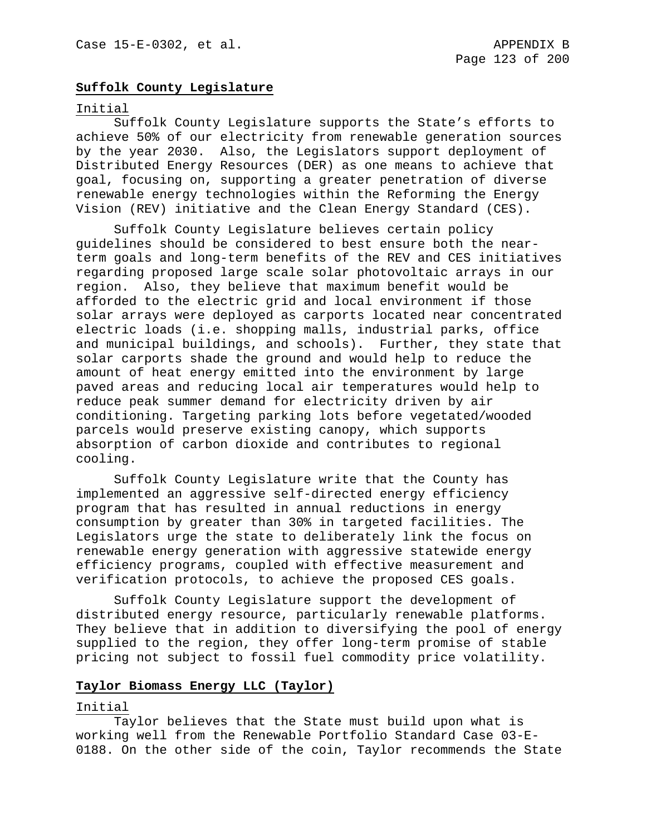## **Suffolk County Legislature**

### Initial

Suffolk County Legislature supports the State's efforts to achieve 50% of our electricity from renewable generation sources by the year 2030. Also, the Legislators support deployment of Distributed Energy Resources (DER) as one means to achieve that goal, focusing on, supporting a greater penetration of diverse renewable energy technologies within the Reforming the Energy Vision (REV) initiative and the Clean Energy Standard (CES).

Suffolk County Legislature believes certain policy guidelines should be considered to best ensure both the nearterm goals and long-term benefits of the REV and CES initiatives regarding proposed large scale solar photovoltaic arrays in our region. Also, they believe that maximum benefit would be afforded to the electric grid and local environment if those solar arrays were deployed as carports located near concentrated electric loads (i.e. shopping malls, industrial parks, office and municipal buildings, and schools). Further, they state that solar carports shade the ground and would help to reduce the amount of heat energy emitted into the environment by large paved areas and reducing local air temperatures would help to reduce peak summer demand for electricity driven by air conditioning. Targeting parking lots before vegetated/wooded parcels would preserve existing canopy, which supports absorption of carbon dioxide and contributes to regional cooling.

Suffolk County Legislature write that the County has implemented an aggressive self-directed energy efficiency program that has resulted in annual reductions in energy consumption by greater than 30% in targeted facilities. The Legislators urge the state to deliberately link the focus on renewable energy generation with aggressive statewide energy efficiency programs, coupled with effective measurement and verification protocols, to achieve the proposed CES goals.

Suffolk County Legislature support the development of distributed energy resource, particularly renewable platforms. They believe that in addition to diversifying the pool of energy supplied to the region, they offer long-term promise of stable pricing not subject to fossil fuel commodity price volatility.

## **Taylor Biomass Energy LLC (Taylor)**

### Initial

Taylor believes that the State must build upon what is working well from the Renewable Portfolio Standard Case 03-E-0188. On the other side of the coin, Taylor recommends the State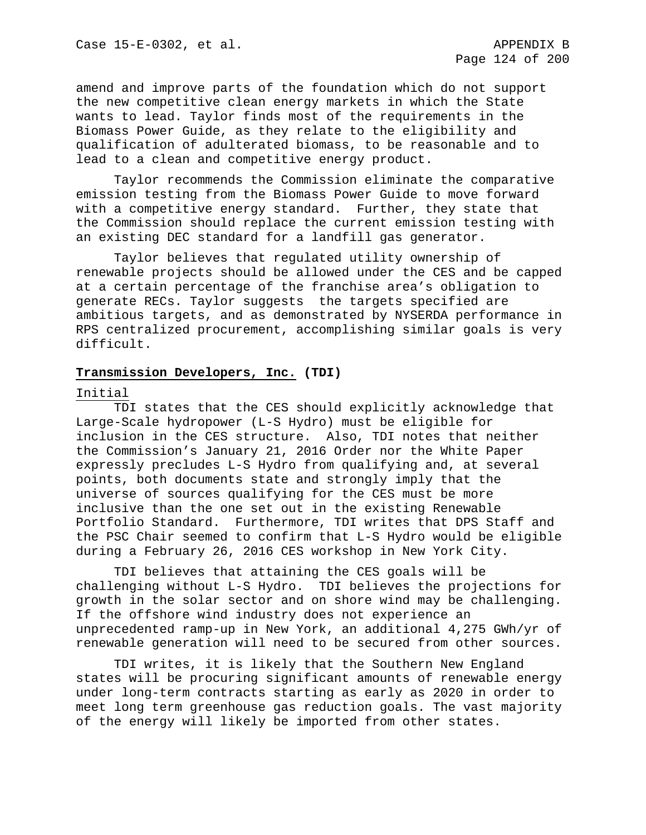amend and improve parts of the foundation which do not support the new competitive clean energy markets in which the State wants to lead. Taylor finds most of the requirements in the Biomass Power Guide, as they relate to the eligibility and qualification of adulterated biomass, to be reasonable and to lead to a clean and competitive energy product.

Taylor recommends the Commission eliminate the comparative emission testing from the Biomass Power Guide to move forward with a competitive energy standard. Further, they state that the Commission should replace the current emission testing with an existing DEC standard for a landfill gas generator.

Taylor believes that regulated utility ownership of renewable projects should be allowed under the CES and be capped at a certain percentage of the franchise area's obligation to generate RECs. Taylor suggests the targets specified are ambitious targets, and as demonstrated by NYSERDA performance in RPS centralized procurement, accomplishing similar goals is very difficult.

### **Transmission Developers, Inc. (TDI)**

### Initial

TDI states that the CES should explicitly acknowledge that Large-Scale hydropower (L-S Hydro) must be eligible for inclusion in the CES structure. Also, TDI notes that neither the Commission's January 21, 2016 Order nor the White Paper expressly precludes L-S Hydro from qualifying and, at several points, both documents state and strongly imply that the universe of sources qualifying for the CES must be more inclusive than the one set out in the existing Renewable Portfolio Standard. Furthermore, TDI writes that DPS Staff and the PSC Chair seemed to confirm that L-S Hydro would be eligible during a February 26, 2016 CES workshop in New York City.

TDI believes that attaining the CES goals will be challenging without L-S Hydro. TDI believes the projections for growth in the solar sector and on shore wind may be challenging. If the offshore wind industry does not experience an unprecedented ramp-up in New York, an additional 4,275 GWh/yr of renewable generation will need to be secured from other sources.

TDI writes, it is likely that the Southern New England states will be procuring significant amounts of renewable energy under long-term contracts starting as early as 2020 in order to meet long term greenhouse gas reduction goals. The vast majority of the energy will likely be imported from other states.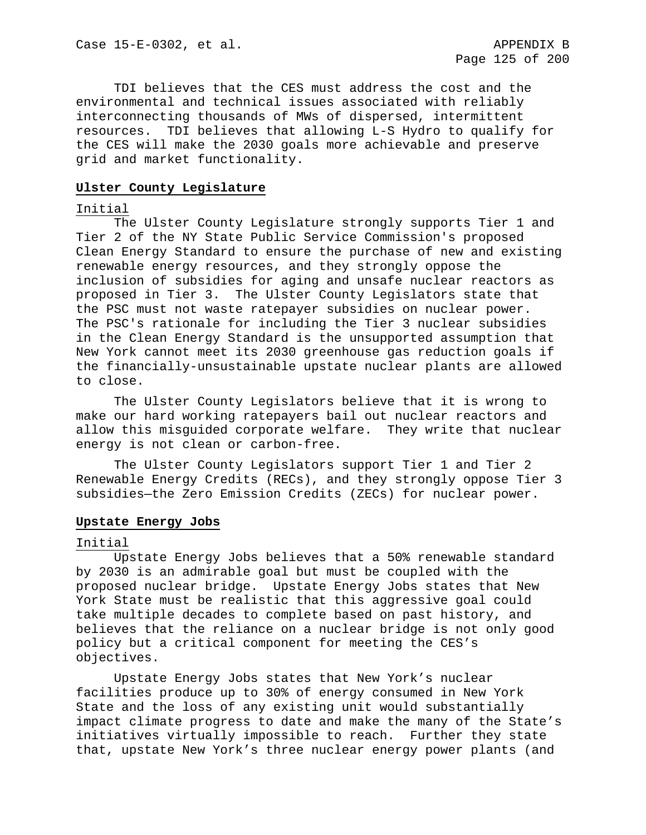TDI believes that the CES must address the cost and the environmental and technical issues associated with reliably interconnecting thousands of MWs of dispersed, intermittent resources. TDI believes that allowing L-S Hydro to qualify for the CES will make the 2030 goals more achievable and preserve grid and market functionality.

### **Ulster County Legislature**

### Initial

The Ulster County Legislature strongly supports Tier 1 and Tier 2 of the NY State Public Service Commission's proposed Clean Energy Standard to ensure the purchase of new and existing renewable energy resources, and they strongly oppose the inclusion of subsidies for aging and unsafe nuclear reactors as proposed in Tier 3. The Ulster County Legislators state that the PSC must not waste ratepayer subsidies on nuclear power. The PSC's rationale for including the Tier 3 nuclear subsidies in the Clean Energy Standard is the unsupported assumption that New York cannot meet its 2030 greenhouse gas reduction goals if the financially-unsustainable upstate nuclear plants are allowed to close.

The Ulster County Legislators believe that it is wrong to make our hard working ratepayers bail out nuclear reactors and allow this misguided corporate welfare. They write that nuclear energy is not clean or carbon-free.

The Ulster County Legislators support Tier 1 and Tier 2 Renewable Energy Credits (RECs), and they strongly oppose Tier 3 subsidies—the Zero Emission Credits (ZECs) for nuclear power.

### **Upstate Energy Jobs**

### Initial

Upstate Energy Jobs believes that a 50% renewable standard by 2030 is an admirable goal but must be coupled with the proposed nuclear bridge. Upstate Energy Jobs states that New York State must be realistic that this aggressive goal could take multiple decades to complete based on past history, and believes that the reliance on a nuclear bridge is not only good policy but a critical component for meeting the CES's objectives.

Upstate Energy Jobs states that New York's nuclear facilities produce up to 30% of energy consumed in New York State and the loss of any existing unit would substantially impact climate progress to date and make the many of the State's initiatives virtually impossible to reach. Further they state that, upstate New York's three nuclear energy power plants (and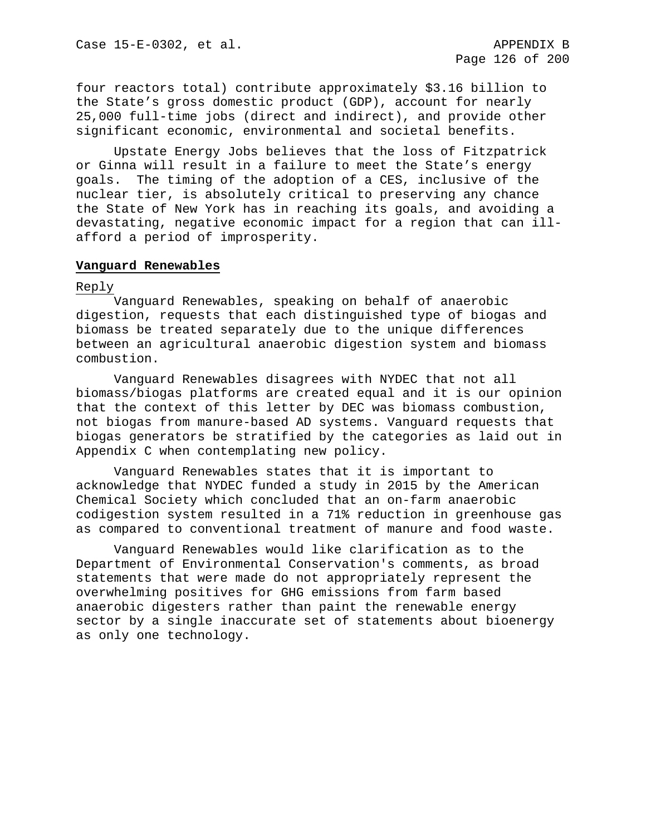four reactors total) contribute approximately \$3.16 billion to the State's gross domestic product (GDP), account for nearly 25,000 full-time jobs (direct and indirect), and provide other significant economic, environmental and societal benefits.

Upstate Energy Jobs believes that the loss of Fitzpatrick or Ginna will result in a failure to meet the State's energy goals. The timing of the adoption of a CES, inclusive of the nuclear tier, is absolutely critical to preserving any chance the State of New York has in reaching its goals, and avoiding a devastating, negative economic impact for a region that can illafford a period of improsperity.

### **Vanguard Renewables**

### Reply

Vanguard Renewables, speaking on behalf of anaerobic digestion, requests that each distinguished type of biogas and biomass be treated separately due to the unique differences between an agricultural anaerobic digestion system and biomass combustion.

Vanguard Renewables disagrees with NYDEC that not all biomass/biogas platforms are created equal and it is our opinion that the context of this letter by DEC was biomass combustion, not biogas from manure-based AD systems. Vanguard requests that biogas generators be stratified by the categories as laid out in Appendix C when contemplating new policy.

Vanguard Renewables states that it is important to acknowledge that NYDEC funded a study in 2015 by the American Chemical Society which concluded that an on-farm anaerobic codigestion system resulted in a 71% reduction in greenhouse gas as compared to conventional treatment of manure and food waste.

Vanguard Renewables would like clarification as to the Department of Environmental Conservation's comments, as broad statements that were made do not appropriately represent the overwhelming positives for GHG emissions from farm based anaerobic digesters rather than paint the renewable energy sector by a single inaccurate set of statements about bioenergy as only one technology.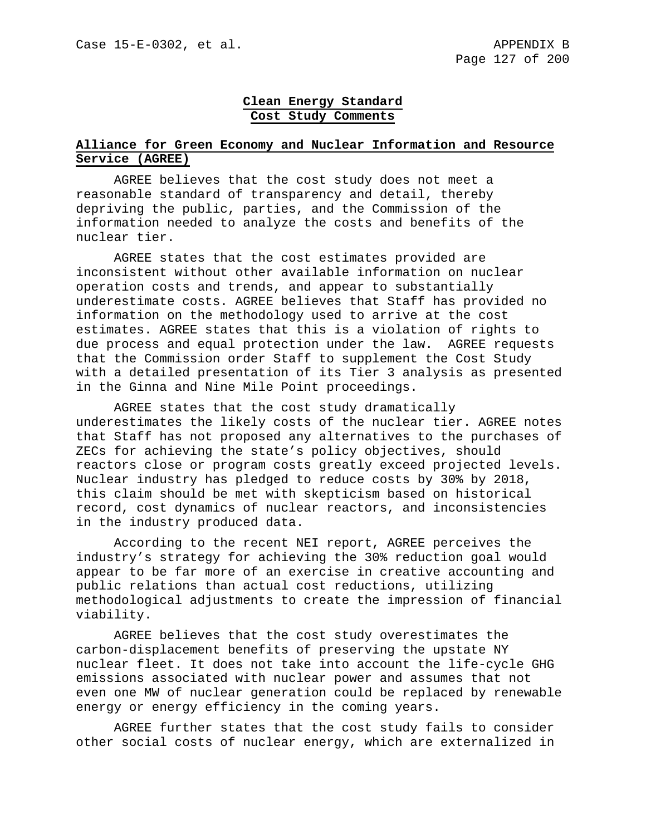# **Clean Energy Standard Cost Study Comments**

# **Alliance for Green Economy and Nuclear Information and Resource Service (AGREE)**

AGREE believes that the cost study does not meet a reasonable standard of transparency and detail, thereby depriving the public, parties, and the Commission of the information needed to analyze the costs and benefits of the nuclear tier.

AGREE states that the cost estimates provided are inconsistent without other available information on nuclear operation costs and trends, and appear to substantially underestimate costs. AGREE believes that Staff has provided no information on the methodology used to arrive at the cost estimates. AGREE states that this is a violation of rights to due process and equal protection under the law. AGREE requests that the Commission order Staff to supplement the Cost Study with a detailed presentation of its Tier 3 analysis as presented in the Ginna and Nine Mile Point proceedings.

AGREE states that the cost study dramatically underestimates the likely costs of the nuclear tier. AGREE notes that Staff has not proposed any alternatives to the purchases of ZECs for achieving the state's policy objectives, should reactors close or program costs greatly exceed projected levels. Nuclear industry has pledged to reduce costs by 30% by 2018, this claim should be met with skepticism based on historical record, cost dynamics of nuclear reactors, and inconsistencies in the industry produced data.

According to the recent NEI report, AGREE perceives the industry's strategy for achieving the 30% reduction goal would appear to be far more of an exercise in creative accounting and public relations than actual cost reductions, utilizing methodological adjustments to create the impression of financial viability.

AGREE believes that the cost study overestimates the carbon-displacement benefits of preserving the upstate NY nuclear fleet. It does not take into account the life-cycle GHG emissions associated with nuclear power and assumes that not even one MW of nuclear generation could be replaced by renewable energy or energy efficiency in the coming years.

AGREE further states that the cost study fails to consider other social costs of nuclear energy, which are externalized in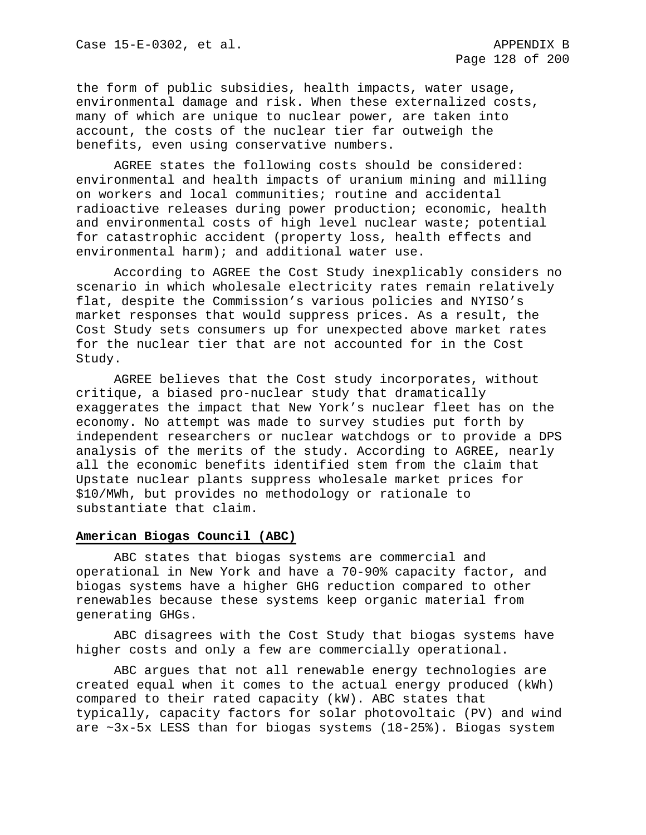the form of public subsidies, health impacts, water usage, environmental damage and risk. When these externalized costs, many of which are unique to nuclear power, are taken into account, the costs of the nuclear tier far outweigh the benefits, even using conservative numbers.

AGREE states the following costs should be considered: environmental and health impacts of uranium mining and milling on workers and local communities; routine and accidental radioactive releases during power production; economic, health and environmental costs of high level nuclear waste; potential for catastrophic accident (property loss, health effects and environmental harm); and additional water use.

According to AGREE the Cost Study inexplicably considers no scenario in which wholesale electricity rates remain relatively flat, despite the Commission's various policies and NYISO's market responses that would suppress prices. As a result, the Cost Study sets consumers up for unexpected above market rates for the nuclear tier that are not accounted for in the Cost Study.

AGREE believes that the Cost study incorporates, without critique, a biased pro-nuclear study that dramatically exaggerates the impact that New York's nuclear fleet has on the economy. No attempt was made to survey studies put forth by independent researchers or nuclear watchdogs or to provide a DPS analysis of the merits of the study. According to AGREE, nearly all the economic benefits identified stem from the claim that Upstate nuclear plants suppress wholesale market prices for \$10/MWh, but provides no methodology or rationale to substantiate that claim.

# **American Biogas Council (ABC)**

ABC states that biogas systems are commercial and operational in New York and have a 70-90% capacity factor, and biogas systems have a higher GHG reduction compared to other renewables because these systems keep organic material from generating GHGs.

ABC disagrees with the Cost Study that biogas systems have higher costs and only a few are commercially operational.

ABC argues that not all renewable energy technologies are created equal when it comes to the actual energy produced (kWh) compared to their rated capacity (kW). ABC states that typically, capacity factors for solar photovoltaic (PV) and wind are  $~2x$ -5x LESS than for biogas systems (18-25%). Biogas system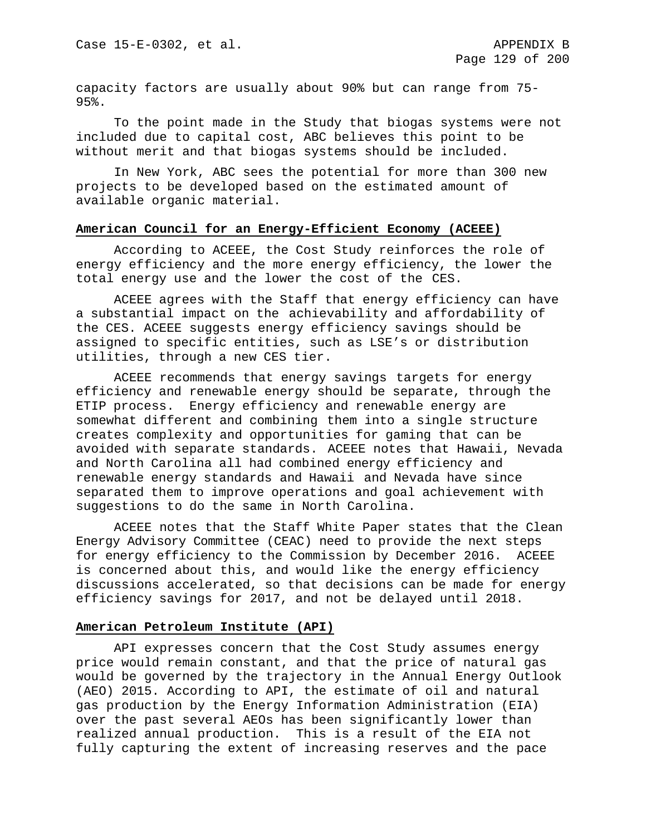capacity factors are usually about 90% but can range from 75- 95%.

To the point made in the Study that biogas systems were not included due to capital cost, ABC believes this point to be without merit and that biogas systems should be included.

In New York, ABC sees the potential for more than 300 new projects to be developed based on the estimated amount of available organic material.

## **American Council for an Energy-Efficient Economy (ACEEE)**

According to ACEEE, the Cost Study reinforces the role of energy efficiency and the more energy efficiency, the lower the total energy use and the lower the cost of the CES.

ACEEE agrees with the Staff that energy efficiency can have a substantial impact on the achievability and affordability of the CES. ACEEE suggests energy efficiency savings should be assigned to specific entities, such as LSE's or distribution utilities, through a new CES tier.

ACEEE recommends that energy savings targets for energy efficiency and renewable energy should be separate, through the ETIP process. Energy efficiency and renewable energy are somewhat different and combining them into a single structure creates complexity and opportunities for gaming that can be avoided with separate standards. ACEEE notes that Hawaii, Nevada and North Carolina all had combined energy efficiency and renewable energy standards and Hawaii and Nevada have since separated them to improve operations and goal achievement with suggestions to do the same in North Carolina.

ACEEE notes that the Staff White Paper states that the Clean Energy Advisory Committee (CEAC) need to provide the next steps for energy efficiency to the Commission by December 2016. ACEEE is concerned about this, and would like the energy efficiency discussions accelerated, so that decisions can be made for energy efficiency savings for 2017, and not be delayed until 2018.

#### **American Petroleum Institute (API)**

API expresses concern that the Cost Study assumes energy price would remain constant, and that the price of natural gas would be governed by the trajectory in the Annual Energy Outlook (AEO) 2015. According to API, the estimate of oil and natural gas production by the Energy Information Administration (EIA) over the past several AEOs has been significantly lower than realized annual production. This is a result of the EIA not fully capturing the extent of increasing reserves and the pace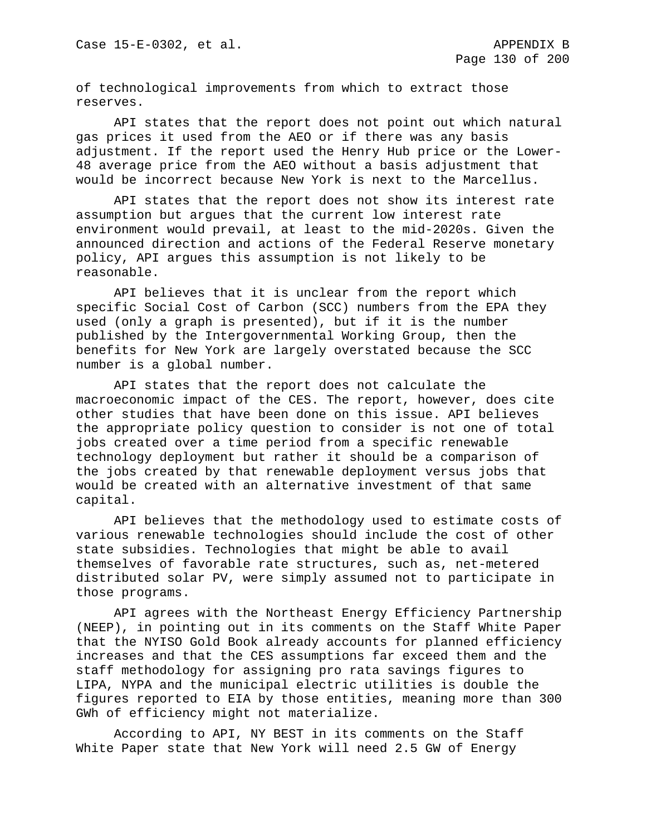of technological improvements from which to extract those reserves.

API states that the report does not point out which natural gas prices it used from the AEO or if there was any basis adjustment. If the report used the Henry Hub price or the Lower-48 average price from the AEO without a basis adjustment that would be incorrect because New York is next to the Marcellus.

API states that the report does not show its interest rate assumption but argues that the current low interest rate environment would prevail, at least to the mid-2020s. Given the announced direction and actions of the Federal Reserve monetary policy, API argues this assumption is not likely to be reasonable.

API believes that it is unclear from the report which specific Social Cost of Carbon (SCC) numbers from the EPA they used (only a graph is presented), but if it is the number published by the Intergovernmental Working Group, then the benefits for New York are largely overstated because the SCC number is a global number.

API states that the report does not calculate the macroeconomic impact of the CES. The report, however, does cite other studies that have been done on this issue. API believes the appropriate policy question to consider is not one of total jobs created over a time period from a specific renewable technology deployment but rather it should be a comparison of the jobs created by that renewable deployment versus jobs that would be created with an alternative investment of that same capital.

API believes that the methodology used to estimate costs of various renewable technologies should include the cost of other state subsidies. Technologies that might be able to avail themselves of favorable rate structures, such as, net-metered distributed solar PV, were simply assumed not to participate in those programs.

API agrees with the Northeast Energy Efficiency Partnership (NEEP), in pointing out in its comments on the Staff White Paper that the NYISO Gold Book already accounts for planned efficiency increases and that the CES assumptions far exceed them and the staff methodology for assigning pro rata savings figures to LIPA, NYPA and the municipal electric utilities is double the figures reported to EIA by those entities, meaning more than 300 GWh of efficiency might not materialize.

According to API, NY BEST in its comments on the Staff White Paper state that New York will need 2.5 GW of Energy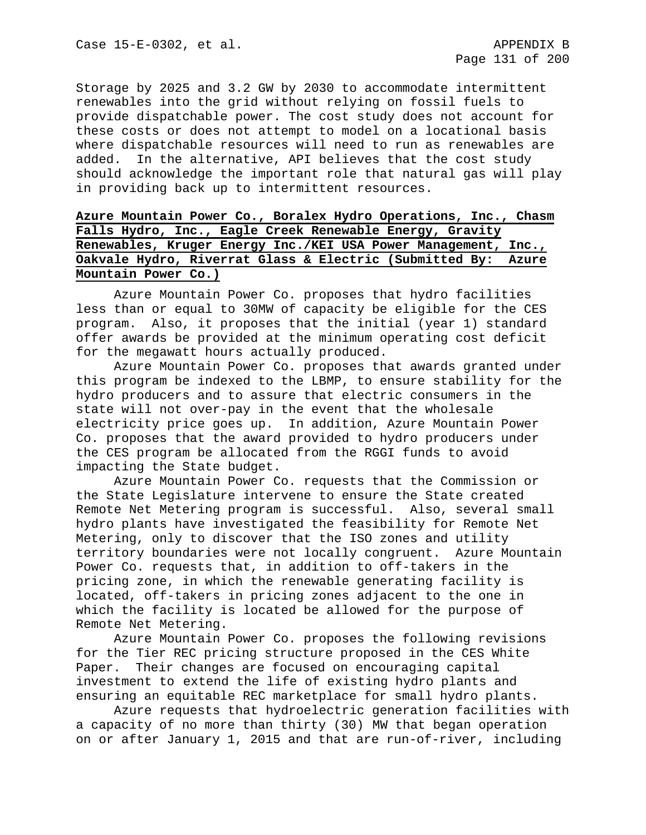Storage by 2025 and 3.2 GW by 2030 to accommodate intermittent renewables into the grid without relying on fossil fuels to provide dispatchable power. The cost study does not account for these costs or does not attempt to model on a locational basis where dispatchable resources will need to run as renewables are added. In the alternative, API believes that the cost study should acknowledge the important role that natural gas will play in providing back up to intermittent resources.

# **Azure Mountain Power Co., Boralex Hydro Operations, Inc., Chasm Falls Hydro, Inc., Eagle Creek Renewable Energy, Gravity Renewables, Kruger Energy Inc./KEI USA Power Management, Inc., Oakvale Hydro, Riverrat Glass & Electric (Submitted By: Azure Mountain Power Co.)**

Azure Mountain Power Co. proposes that hydro facilities less than or equal to 30MW of capacity be eligible for the CES program. Also, it proposes that the initial (year 1) standard offer awards be provided at the minimum operating cost deficit for the megawatt hours actually produced.

Azure Mountain Power Co. proposes that awards granted under this program be indexed to the LBMP, to ensure stability for the hydro producers and to assure that electric consumers in the state will not over-pay in the event that the wholesale electricity price goes up. In addition, Azure Mountain Power Co. proposes that the award provided to hydro producers under the CES program be allocated from the RGGI funds to avoid impacting the State budget.

Azure Mountain Power Co. requests that the Commission or the State Legislature intervene to ensure the State created Remote Net Metering program is successful. Also, several small hydro plants have investigated the feasibility for Remote Net Metering, only to discover that the ISO zones and utility territory boundaries were not locally congruent. Azure Mountain Power Co. requests that, in addition to off-takers in the pricing zone, in which the renewable generating facility is located, off-takers in pricing zones adjacent to the one in which the facility is located be allowed for the purpose of Remote Net Metering.

Azure Mountain Power Co. proposes the following revisions for the Tier REC pricing structure proposed in the CES White<br>Paper. Their changes are focused on encouraging capital Their changes are focused on encouraging capital investment to extend the life of existing hydro plants and ensuring an equitable REC marketplace for small hydro plants.

Azure requests that hydroelectric generation facilities with a capacity of no more than thirty (30) MW that began operation on or after January 1, 2015 and that are run-of-river, including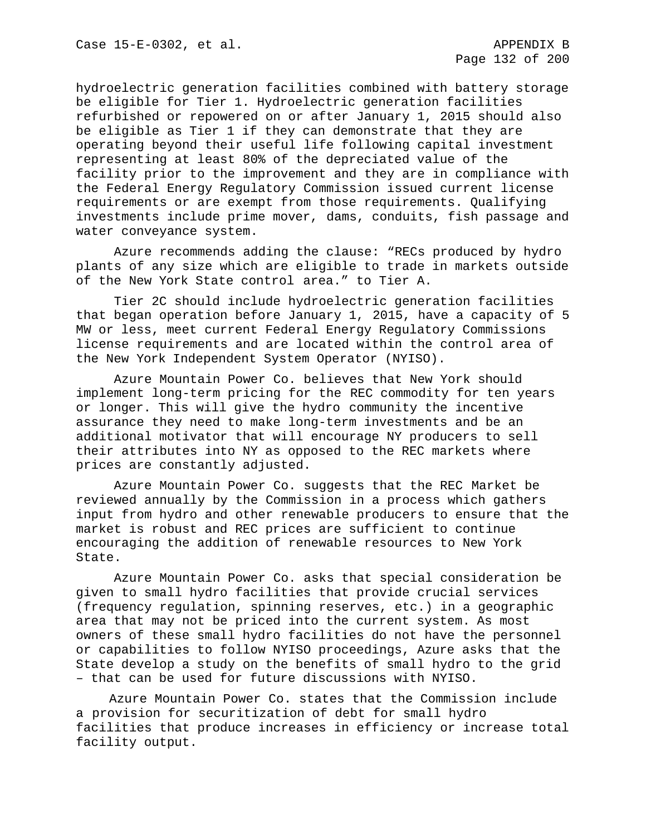hydroelectric generation facilities combined with battery storage be eligible for Tier 1. Hydroelectric generation facilities refurbished or repowered on or after January 1, 2015 should also be eligible as Tier 1 if they can demonstrate that they are operating beyond their useful life following capital investment representing at least 80% of the depreciated value of the facility prior to the improvement and they are in compliance with the Federal Energy Regulatory Commission issued current license requirements or are exempt from those requirements. Qualifying investments include prime mover, dams, conduits, fish passage and water conveyance system.

Azure recommends adding the clause: "RECs produced by hydro plants of any size which are eligible to trade in markets outside of the New York State control area." to Tier A.

Tier 2C should include hydroelectric generation facilities that began operation before January 1, 2015, have a capacity of 5 MW or less, meet current Federal Energy Regulatory Commissions license requirements and are located within the control area of the New York Independent System Operator (NYISO).

Azure Mountain Power Co. believes that New York should implement long-term pricing for the REC commodity for ten years or longer. This will give the hydro community the incentive assurance they need to make long-term investments and be an additional motivator that will encourage NY producers to sell their attributes into NY as opposed to the REC markets where prices are constantly adjusted.

Azure Mountain Power Co. suggests that the REC Market be reviewed annually by the Commission in a process which gathers input from hydro and other renewable producers to ensure that the market is robust and REC prices are sufficient to continue encouraging the addition of renewable resources to New York State.

Azure Mountain Power Co. asks that special consideration be given to small hydro facilities that provide crucial services (frequency regulation, spinning reserves, etc.) in a geographic area that may not be priced into the current system. As most owners of these small hydro facilities do not have the personnel or capabilities to follow NYISO proceedings, Azure asks that the State develop a study on the benefits of small hydro to the grid – that can be used for future discussions with NYISO.

Azure Mountain Power Co. states that the Commission include a provision for securitization of debt for small hydro facilities that produce increases in efficiency or increase total facility output.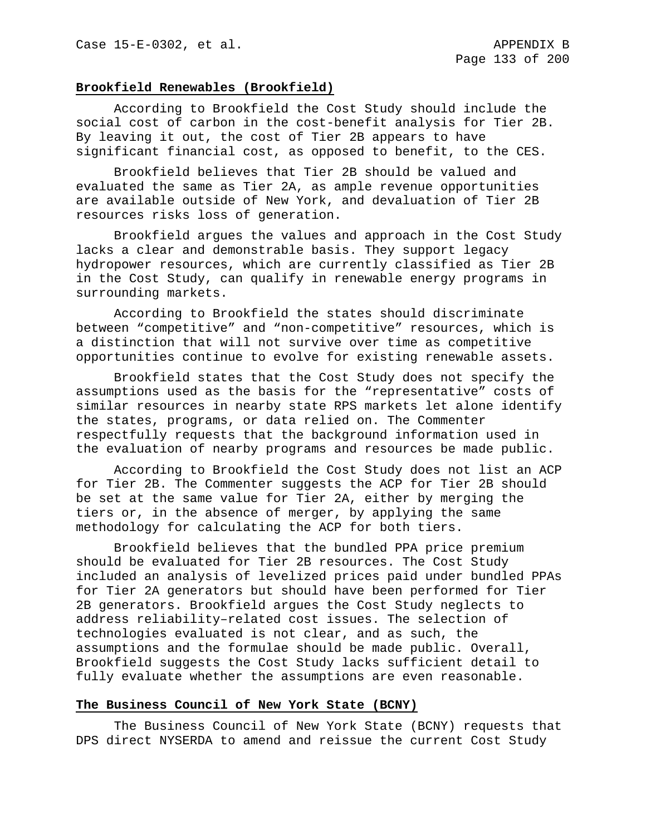### **Brookfield Renewables (Brookfield)**

According to Brookfield the Cost Study should include the social cost of carbon in the cost-benefit analysis for Tier 2B. By leaving it out, the cost of Tier 2B appears to have significant financial cost, as opposed to benefit, to the CES.

Brookfield believes that Tier 2B should be valued and evaluated the same as Tier 2A, as ample revenue opportunities are available outside of New York, and devaluation of Tier 2B resources risks loss of generation.

Brookfield argues the values and approach in the Cost Study lacks a clear and demonstrable basis. They support legacy hydropower resources, which are currently classified as Tier 2B in the Cost Study, can qualify in renewable energy programs in surrounding markets.

According to Brookfield the states should discriminate between "competitive" and "non-competitive" resources, which is a distinction that will not survive over time as competitive opportunities continue to evolve for existing renewable assets.

Brookfield states that the Cost Study does not specify the assumptions used as the basis for the "representative" costs of similar resources in nearby state RPS markets let alone identify the states, programs, or data relied on. The Commenter respectfully requests that the background information used in the evaluation of nearby programs and resources be made public.

According to Brookfield the Cost Study does not list an ACP for Tier 2B. The Commenter suggests the ACP for Tier 2B should be set at the same value for Tier 2A, either by merging the tiers or, in the absence of merger, by applying the same methodology for calculating the ACP for both tiers.

Brookfield believes that the bundled PPA price premium should be evaluated for Tier 2B resources. The Cost Study included an analysis of levelized prices paid under bundled PPAs for Tier 2A generators but should have been performed for Tier 2B generators. Brookfield argues the Cost Study neglects to address reliability–related cost issues. The selection of technologies evaluated is not clear, and as such, the assumptions and the formulae should be made public. Overall, Brookfield suggests the Cost Study lacks sufficient detail to fully evaluate whether the assumptions are even reasonable.

### **The Business Council of New York State (BCNY)**

The Business Council of New York State (BCNY) requests that DPS direct NYSERDA to amend and reissue the current Cost Study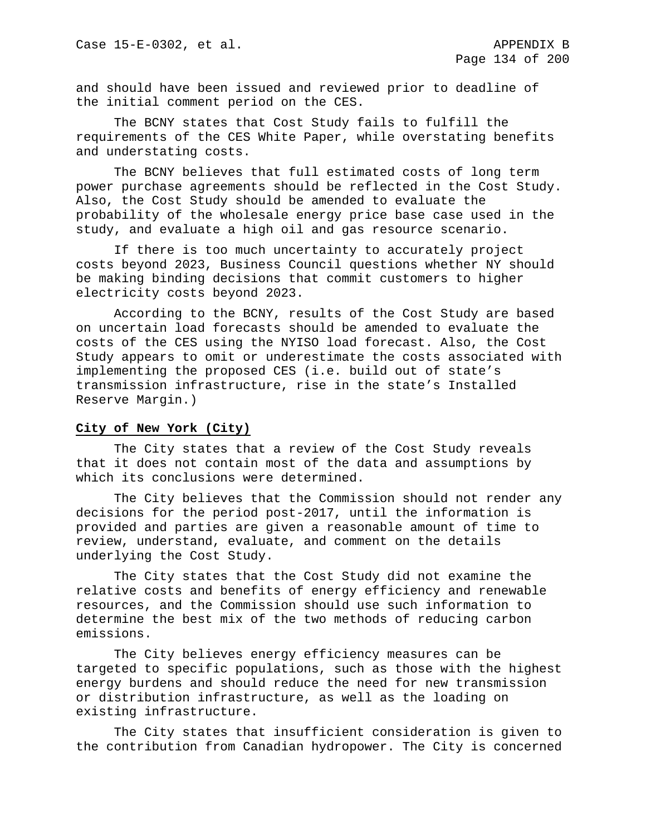and should have been issued and reviewed prior to deadline of the initial comment period on the CES.

The BCNY states that Cost Study fails to fulfill the requirements of the CES White Paper, while overstating benefits and understating costs.

The BCNY believes that full estimated costs of long term power purchase agreements should be reflected in the Cost Study. Also, the Cost Study should be amended to evaluate the probability of the wholesale energy price base case used in the study, and evaluate a high oil and gas resource scenario.

If there is too much uncertainty to accurately project costs beyond 2023, Business Council questions whether NY should be making binding decisions that commit customers to higher electricity costs beyond 2023.

According to the BCNY, results of the Cost Study are based on uncertain load forecasts should be amended to evaluate the costs of the CES using the NYISO load forecast. Also, the Cost Study appears to omit or underestimate the costs associated with implementing the proposed CES (i.e. build out of state's transmission infrastructure, rise in the state's Installed Reserve Margin.)

## **City of New York (City)**

The City states that a review of the Cost Study reveals that it does not contain most of the data and assumptions by which its conclusions were determined.

The City believes that the Commission should not render any decisions for the period post-2017, until the information is provided and parties are given a reasonable amount of time to review, understand, evaluate, and comment on the details underlying the Cost Study.

The City states that the Cost Study did not examine the relative costs and benefits of energy efficiency and renewable resources, and the Commission should use such information to determine the best mix of the two methods of reducing carbon emissions.

The City believes energy efficiency measures can be targeted to specific populations, such as those with the highest energy burdens and should reduce the need for new transmission or distribution infrastructure, as well as the loading on existing infrastructure.

The City states that insufficient consideration is given to the contribution from Canadian hydropower. The City is concerned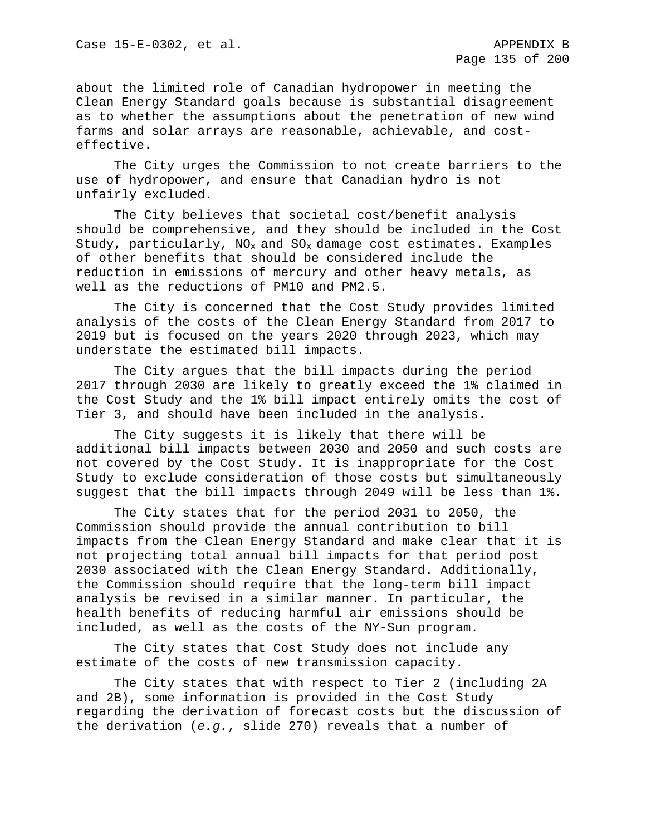about the limited role of Canadian hydropower in meeting the Clean Energy Standard goals because is substantial disagreement as to whether the assumptions about the penetration of new wind farms and solar arrays are reasonable, achievable, and costeffective.

The City urges the Commission to not create barriers to the use of hydropower, and ensure that Canadian hydro is not unfairly excluded.

The City believes that societal cost/benefit analysis should be comprehensive, and they should be included in the Cost Study, particularly,  $NO<sub>x</sub>$  and  $SO<sub>x</sub>$  damage cost estimates. Examples of other benefits that should be considered include the reduction in emissions of mercury and other heavy metals, as well as the reductions of PM10 and PM2.5.

The City is concerned that the Cost Study provides limited analysis of the costs of the Clean Energy Standard from 2017 to 2019 but is focused on the years 2020 through 2023, which may understate the estimated bill impacts.

The City argues that the bill impacts during the period 2017 through 2030 are likely to greatly exceed the 1% claimed in the Cost Study and the 1% bill impact entirely omits the cost of Tier 3, and should have been included in the analysis.

The City suggests it is likely that there will be additional bill impacts between 2030 and 2050 and such costs are not covered by the Cost Study. It is inappropriate for the Cost Study to exclude consideration of those costs but simultaneously suggest that the bill impacts through 2049 will be less than 1%.

The City states that for the period 2031 to 2050, the Commission should provide the annual contribution to bill impacts from the Clean Energy Standard and make clear that it is not projecting total annual bill impacts for that period post 2030 associated with the Clean Energy Standard. Additionally, the Commission should require that the long-term bill impact analysis be revised in a similar manner. In particular, the health benefits of reducing harmful air emissions should be included, as well as the costs of the NY-Sun program.

The City states that Cost Study does not include any estimate of the costs of new transmission capacity.

The City states that with respect to Tier 2 (including 2A and 2B), some information is provided in the Cost Study regarding the derivation of forecast costs but the discussion of the derivation (*e.g.*, slide 270) reveals that a number of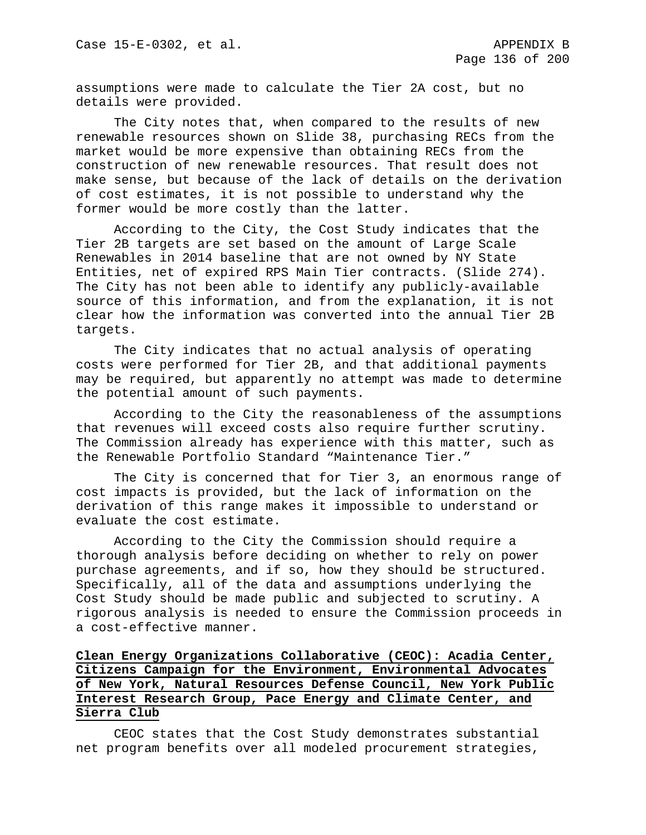assumptions were made to calculate the Tier 2A cost, but no details were provided.

The City notes that, when compared to the results of new renewable resources shown on Slide 38, purchasing RECs from the market would be more expensive than obtaining RECs from the construction of new renewable resources. That result does not make sense, but because of the lack of details on the derivation of cost estimates, it is not possible to understand why the former would be more costly than the latter.

According to the City, the Cost Study indicates that the Tier 2B targets are set based on the amount of Large Scale Renewables in 2014 baseline that are not owned by NY State Entities, net of expired RPS Main Tier contracts. (Slide 274). The City has not been able to identify any publicly-available source of this information, and from the explanation, it is not clear how the information was converted into the annual Tier 2B targets.

The City indicates that no actual analysis of operating costs were performed for Tier 2B, and that additional payments may be required, but apparently no attempt was made to determine the potential amount of such payments.

According to the City the reasonableness of the assumptions that revenues will exceed costs also require further scrutiny. The Commission already has experience with this matter, such as the Renewable Portfolio Standard "Maintenance Tier."

The City is concerned that for Tier 3, an enormous range of cost impacts is provided, but the lack of information on the derivation of this range makes it impossible to understand or evaluate the cost estimate.

According to the City the Commission should require a thorough analysis before deciding on whether to rely on power purchase agreements, and if so, how they should be structured. Specifically, all of the data and assumptions underlying the Cost Study should be made public and subjected to scrutiny. A rigorous analysis is needed to ensure the Commission proceeds in a cost-effective manner.

# **Clean Energy Organizations Collaborative (CEOC): Acadia Center, Citizens Campaign for the Environment, Environmental Advocates of New York, Natural Resources Defense Council, New York Public Interest Research Group, Pace Energy and Climate Center, and Sierra Club**

CEOC states that the Cost Study demonstrates substantial net program benefits over all modeled procurement strategies,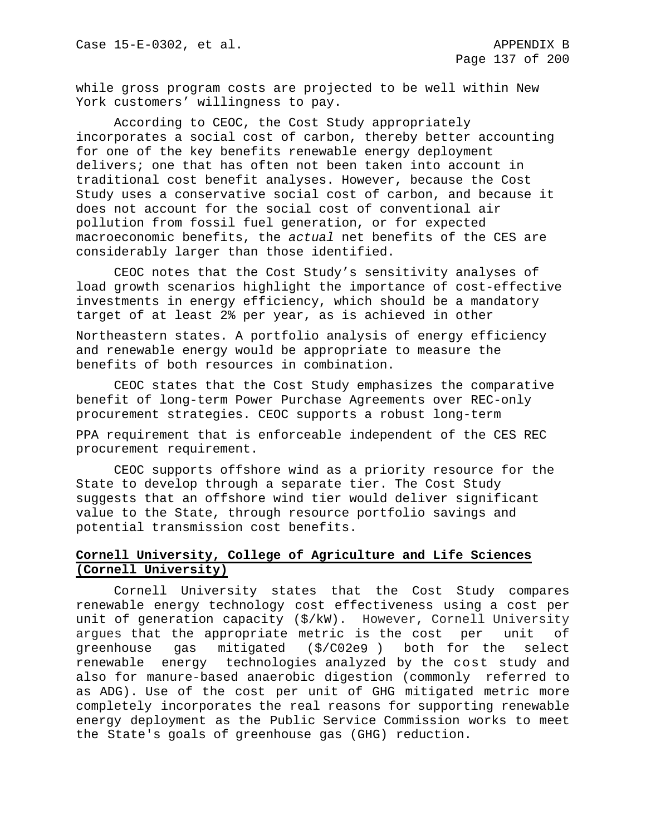while gross program costs are projected to be well within New York customers' willingness to pay.

According to CEOC, the Cost Study appropriately incorporates a social cost of carbon, thereby better accounting for one of the key benefits renewable energy deployment delivers; one that has often not been taken into account in traditional cost benefit analyses. However, because the Cost Study uses a conservative social cost of carbon, and because it does not account for the social cost of conventional air pollution from fossil fuel generation, or for expected macroeconomic benefits, the *actual* net benefits of the CES are considerably larger than those identified.

CEOC notes that the Cost Study's sensitivity analyses of load growth scenarios highlight the importance of cost-effective investments in energy efficiency, which should be a mandatory target of at least 2% per year, as is achieved in other

Northeastern states. A portfolio analysis of energy efficiency and renewable energy would be appropriate to measure the benefits of both resources in combination.

CEOC states that the Cost Study emphasizes the comparative benefit of long-term Power Purchase Agreements over REC-only procurement strategies. CEOC supports a robust long-term

PPA requirement that is enforceable independent of the CES REC procurement requirement.

CEOC supports offshore wind as a priority resource for the State to develop through a separate tier. The Cost Study suggests that an offshore wind tier would deliver significant value to the State, through resource portfolio savings and potential transmission cost benefits.

# **Cornell University, College of Agriculture and Life Sciences (Cornell University)**

Cornell University states that the Cost Study compares renewable energy technology cost effectiveness using a cost per unit of generation capacity (\$/kW). However, Cornell University argues that the appropriate metric is the cost per unit of greenhouse gas mitigated (\$/C02e9 ) both for the select renewable energy technologies analyzed by the cost study and also for manure-based anaerobic digestion (commonly referred to as ADG). Use of the cost per unit of GHG mitigated metric more completely incorporates the real reasons for supporting renewable energy deployment as the Public Service Commission works to meet the State's goals of greenhouse gas (GHG) reduction.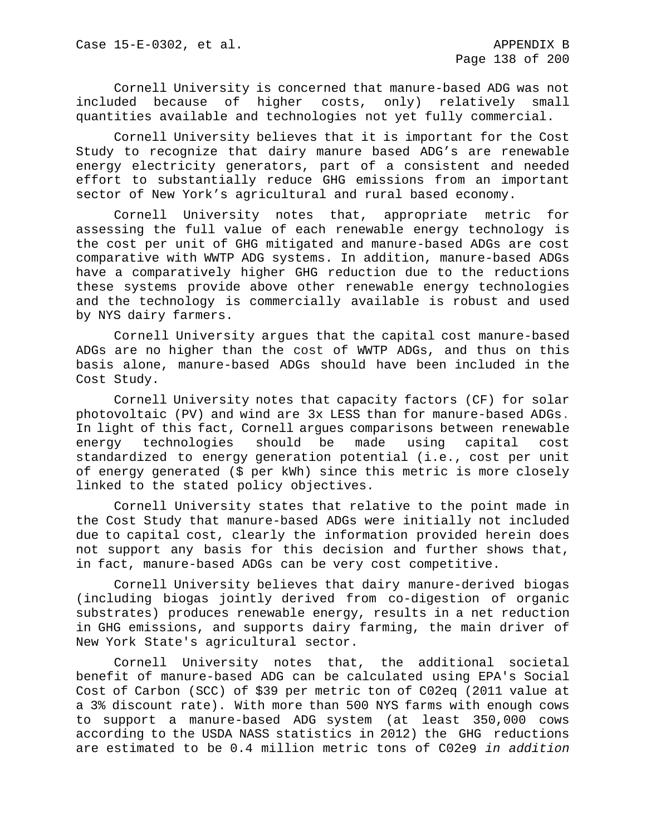Cornell University is concerned that manure-based ADG was not included because of higher costs, only) relatively small quantities available and technologies not yet fully commercial.

Cornell University believes that it is important for the Cost Study to recognize that dairy manure based ADG's are renewable energy electricity generators, part of a consistent and needed effort to substantially reduce GHG emissions from an important sector of New York's agricultural and rural based economy.

Cornell University notes that, appropriate metric for assessing the full value of each renewable energy technology is the cost per unit of GHG mitigated and manure-based ADGs are cost comparative with WWTP ADG systems. In addition, manure-based ADGs have a comparatively higher GHG reduction due to the reductions these systems provide above other renewable energy technologies and the technology is commercially available is robust and used by NYS dairy farmers.

Cornell University argues that the capital cost manure-based ADGs are no higher than the cost of WWTP ADGs, and thus on this basis alone, manure-based ADGs should have been included in the Cost Study.

Cornell University notes that capacity factors (CF) for solar photovoltaic (PV) and wind are 3x LESS than for manure-based ADGs. In light of this fact, Cornell argues comparisons between renewable energy technologies should be made using capital cost standardized to energy generation potential (i.e., cost per unit of energy generated (\$ per kWh) since this metric is more closely linked to the stated policy objectives.

Cornell University states that relative to the point made in the Cost Study that manure-based ADGs were initially not included due to capital cost, clearly the information provided herein does not support any basis for this decision and further shows that, in fact, manure-based ADGs can be very cost competitive.

Cornell University believes that dairy manure-derived biogas (including biogas jointly derived from co-digestion of organic substrates) produces renewable energy, results in a net reduction in GHG emissions, and supports dairy farming, the main driver of New York State's agricultural sector.

Cornell University notes that, the additional societal benefit of manure-based ADG can be calculated using EPA's Social Cost of Carbon (SCC) of \$39 per metric ton of C02eq (2011 value at a 3% discount rate). With more than 500 NYS farms with enough cows to support a manure-based ADG system (at least 350,000 cows according to the USDA NASS statistics in 2012) the GHG reductions are estimated to be 0.4 million metric tons of C02e9 *in addition*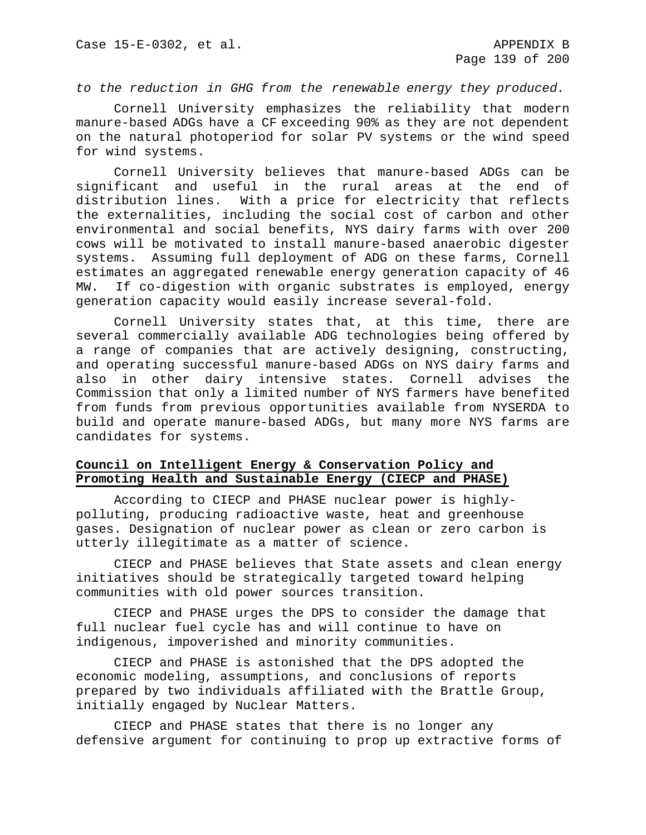*to the reduction in GHG from the renewable energy they produced.*

Cornell University emphasizes the reliability that modern manure-based ADGs have a CF exceeding 90% as they are not dependent on the natural photoperiod for solar PV systems or the wind speed for wind systems.

Cornell University believes that manure-based ADGs can be significant and useful in the rural areas at the end of distribution lines. With a price for electricity that reflects the externalities, including the social cost of carbon and other environmental and social benefits, NYS dairy farms with over 200 cows will be motivated to install manure-based anaerobic digester systems. Assuming full deployment of ADG on these farms, Cornell estimates an aggregated renewable energy generation capacity of 46 MW. If co-digestion with organic substrates is employed, energy generation capacity would easily increase several-fold.

Cornell University states that, at this time, there are several commercially available ADG technologies being offered by a range of companies that are actively designing, constructing, and operating successful manure-based ADGs on NYS dairy farms and also in other dairy intensive states. Cornell advises the Commission that only a limited number of NYS farmers have benefited from funds from previous opportunities available from NYSERDA to build and operate manure-based ADGs, but many more NYS farms are candidates for systems.

# **Council on Intelligent Energy & Conservation Policy and Promoting Health and Sustainable Energy (CIECP and PHASE)**

According to CIECP and PHASE nuclear power is highlypolluting, producing radioactive waste, heat and greenhouse gases. Designation of nuclear power as clean or zero carbon is utterly illegitimate as a matter of science.

CIECP and PHASE believes that State assets and clean energy initiatives should be strategically targeted toward helping communities with old power sources transition.

CIECP and PHASE urges the DPS to consider the damage that full nuclear fuel cycle has and will continue to have on indigenous, impoverished and minority communities.

CIECP and PHASE is astonished that the DPS adopted the economic modeling, assumptions, and conclusions of reports prepared by two individuals affiliated with the Brattle Group, initially engaged by Nuclear Matters.

CIECP and PHASE states that there is no longer any defensive argument for continuing to prop up extractive forms of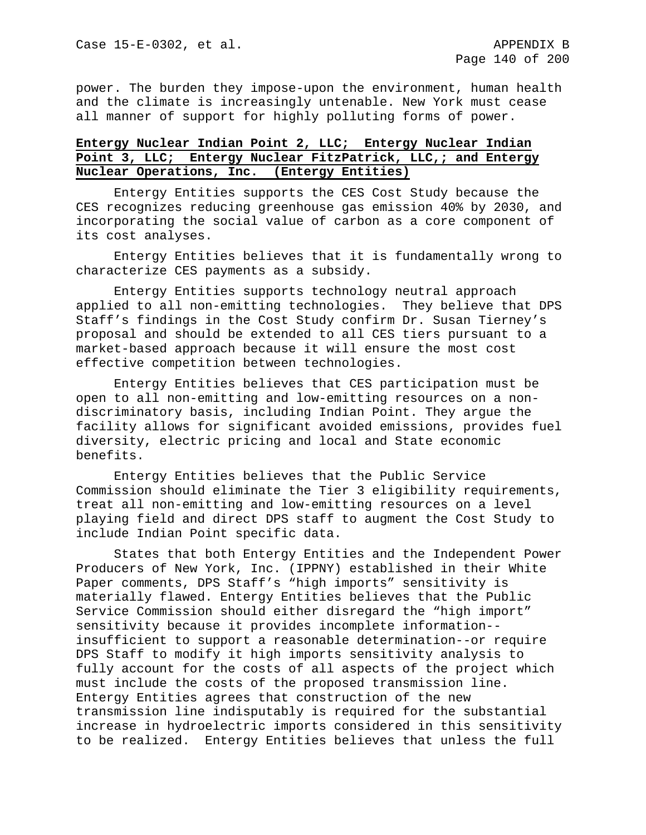power. The burden they impose-upon the environment, human health and the climate is increasingly untenable. New York must cease all manner of support for highly polluting forms of power.

# **Entergy Nuclear Indian Point 2, LLC; Entergy Nuclear Indian Point 3, LLC; Entergy Nuclear FitzPatrick, LLC,; and Entergy Nuclear Operations, Inc. (Entergy Entities)**

Entergy Entities supports the CES Cost Study because the CES recognizes reducing greenhouse gas emission 40% by 2030, and incorporating the social value of carbon as a core component of its cost analyses.

Entergy Entities believes that it is fundamentally wrong to characterize CES payments as a subsidy.

Entergy Entities supports technology neutral approach applied to all non-emitting technologies. They believe that DPS Staff's findings in the Cost Study confirm Dr. Susan Tierney's proposal and should be extended to all CES tiers pursuant to a market-based approach because it will ensure the most cost effective competition between technologies.

Entergy Entities believes that CES participation must be open to all non-emitting and low-emitting resources on a nondiscriminatory basis, including Indian Point. They argue the facility allows for significant avoided emissions, provides fuel diversity, electric pricing and local and State economic benefits.

Entergy Entities believes that the Public Service Commission should eliminate the Tier 3 eligibility requirements, treat all non-emitting and low-emitting resources on a level playing field and direct DPS staff to augment the Cost Study to include Indian Point specific data.

States that both Entergy Entities and the Independent Power Producers of New York, Inc. (IPPNY) established in their White Paper comments, DPS Staff's "high imports" sensitivity is materially flawed. Entergy Entities believes that the Public Service Commission should either disregard the "high import" sensitivity because it provides incomplete information- insufficient to support a reasonable determination--or require DPS Staff to modify it high imports sensitivity analysis to fully account for the costs of all aspects of the project which must include the costs of the proposed transmission line. Entergy Entities agrees that construction of the new transmission line indisputably is required for the substantial increase in hydroelectric imports considered in this sensitivity to be realized. Entergy Entities believes that unless the full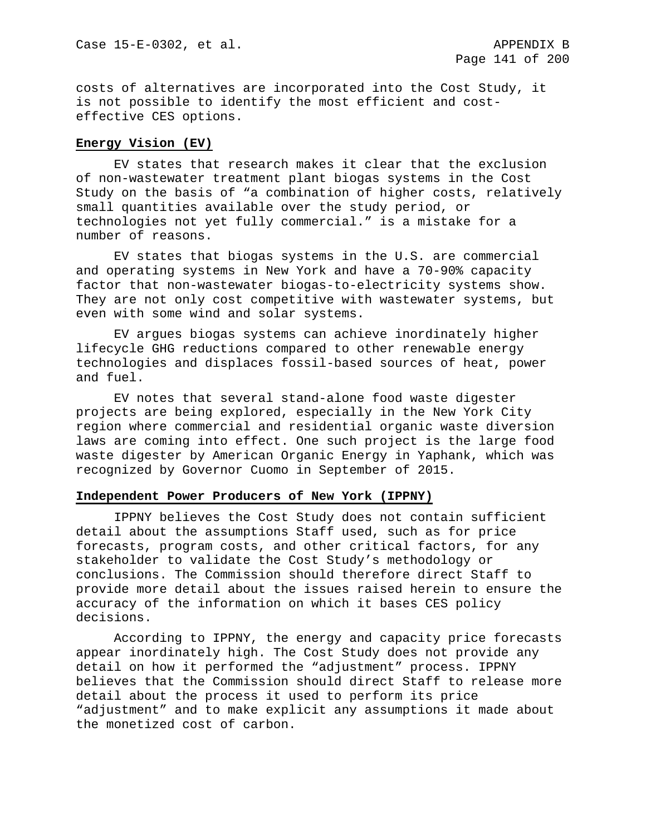costs of alternatives are incorporated into the Cost Study, it is not possible to identify the most efficient and costeffective CES options.

### **Energy Vision (EV)**

EV states that research makes it clear that the exclusion of non-wastewater treatment plant biogas systems in the Cost Study on the basis of "a combination of higher costs, relatively small quantities available over the study period, or technologies not yet fully commercial." is a mistake for a number of reasons.

EV states that biogas systems in the U.S. are commercial and operating systems in New York and have a 70-90% capacity factor that non-wastewater biogas-to-electricity systems show. They are not only cost competitive with wastewater systems, but even with some wind and solar systems.

EV argues biogas systems can achieve inordinately higher lifecycle GHG reductions compared to other renewable energy technologies and displaces fossil-based sources of heat, power and fuel.

EV notes that several stand-alone food waste digester projects are being explored, especially in the New York City region where commercial and residential organic waste diversion laws are coming into effect. One such project is the large food waste digester by American Organic Energy in Yaphank, which was recognized by Governor Cuomo in September of 2015.

### **Independent Power Producers of New York (IPPNY)**

IPPNY believes the Cost Study does not contain sufficient detail about the assumptions Staff used, such as for price forecasts, program costs, and other critical factors, for any stakeholder to validate the Cost Study's methodology or conclusions. The Commission should therefore direct Staff to provide more detail about the issues raised herein to ensure the accuracy of the information on which it bases CES policy decisions.

According to IPPNY, the energy and capacity price forecasts appear inordinately high. The Cost Study does not provide any detail on how it performed the "adjustment" process. IPPNY believes that the Commission should direct Staff to release more detail about the process it used to perform its price "adjustment" and to make explicit any assumptions it made about the monetized cost of carbon.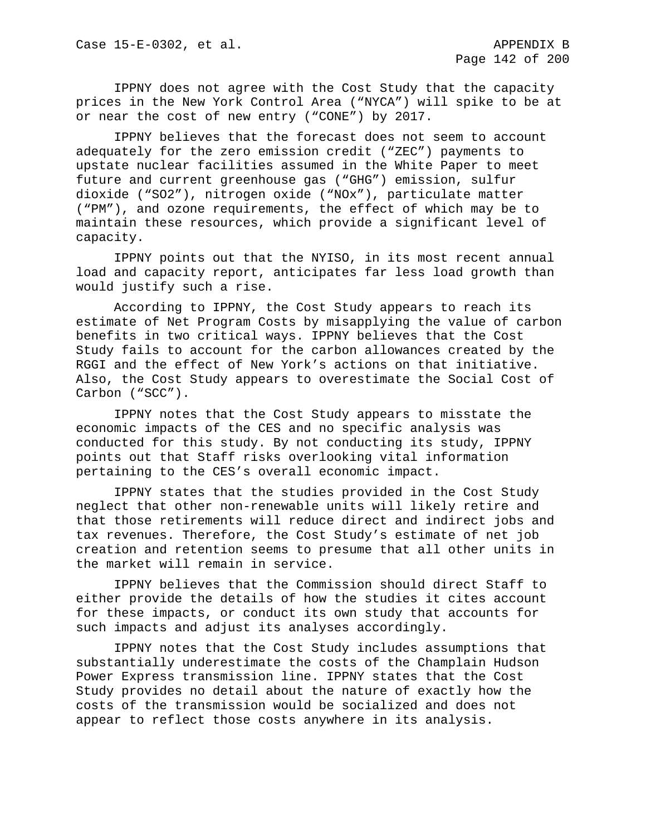IPPNY does not agree with the Cost Study that the capacity prices in the New York Control Area ("NYCA") will spike to be at or near the cost of new entry ("CONE") by 2017.

IPPNY believes that the forecast does not seem to account adequately for the zero emission credit ("ZEC") payments to upstate nuclear facilities assumed in the White Paper to meet future and current greenhouse gas ("GHG") emission, sulfur dioxide ("SO2"), nitrogen oxide ("NOx"), particulate matter ("PM"), and ozone requirements, the effect of which may be to maintain these resources, which provide a significant level of capacity.

IPPNY points out that the NYISO, in its most recent annual load and capacity report, anticipates far less load growth than would justify such a rise.

According to IPPNY, the Cost Study appears to reach its estimate of Net Program Costs by misapplying the value of carbon benefits in two critical ways. IPPNY believes that the Cost Study fails to account for the carbon allowances created by the RGGI and the effect of New York's actions on that initiative. Also, the Cost Study appears to overestimate the Social Cost of Carbon ("SCC").

IPPNY notes that the Cost Study appears to misstate the economic impacts of the CES and no specific analysis was conducted for this study. By not conducting its study, IPPNY points out that Staff risks overlooking vital information pertaining to the CES's overall economic impact.

IPPNY states that the studies provided in the Cost Study neglect that other non-renewable units will likely retire and that those retirements will reduce direct and indirect jobs and tax revenues. Therefore, the Cost Study's estimate of net job creation and retention seems to presume that all other units in the market will remain in service.

IPPNY believes that the Commission should direct Staff to either provide the details of how the studies it cites account for these impacts, or conduct its own study that accounts for such impacts and adjust its analyses accordingly.

IPPNY notes that the Cost Study includes assumptions that substantially underestimate the costs of the Champlain Hudson Power Express transmission line. IPPNY states that the Cost Study provides no detail about the nature of exactly how the costs of the transmission would be socialized and does not appear to reflect those costs anywhere in its analysis.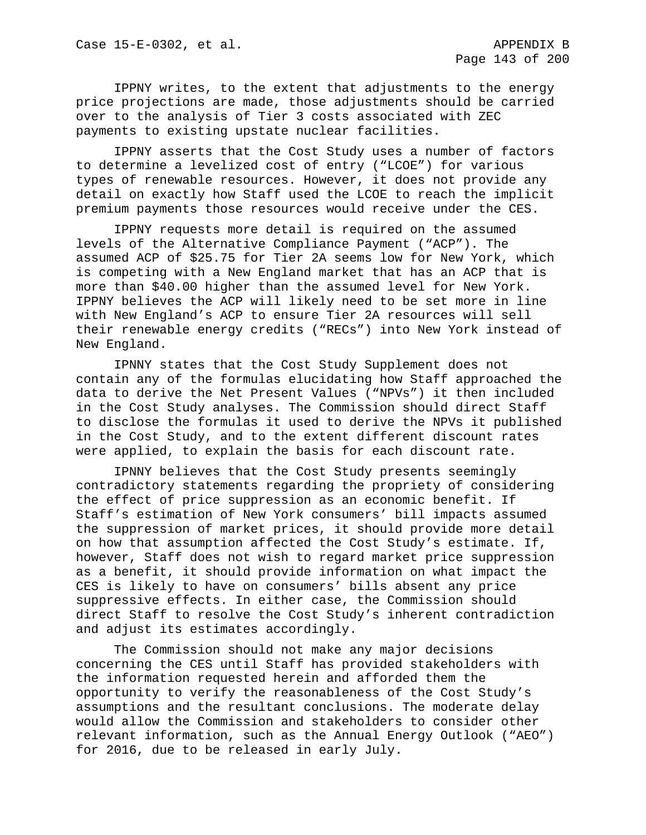IPPNY writes, to the extent that adjustments to the energy price projections are made, those adjustments should be carried over to the analysis of Tier 3 costs associated with ZEC payments to existing upstate nuclear facilities.

IPPNY asserts that the Cost Study uses a number of factors to determine a levelized cost of entry ("LCOE") for various types of renewable resources. However, it does not provide any detail on exactly how Staff used the LCOE to reach the implicit premium payments those resources would receive under the CES.

IPPNY requests more detail is required on the assumed levels of the Alternative Compliance Payment ("ACP"). The assumed ACP of \$25.75 for Tier 2A seems low for New York, which is competing with a New England market that has an ACP that is more than \$40.00 higher than the assumed level for New York. IPPNY believes the ACP will likely need to be set more in line with New England's ACP to ensure Tier 2A resources will sell their renewable energy credits ("RECs") into New York instead of New England.

IPNNY states that the Cost Study Supplement does not contain any of the formulas elucidating how Staff approached the data to derive the Net Present Values ("NPVs") it then included in the Cost Study analyses. The Commission should direct Staff to disclose the formulas it used to derive the NPVs it published in the Cost Study, and to the extent different discount rates were applied, to explain the basis for each discount rate.

IPNNY believes that the Cost Study presents seemingly contradictory statements regarding the propriety of considering the effect of price suppression as an economic benefit. If Staff's estimation of New York consumers' bill impacts assumed the suppression of market prices, it should provide more detail on how that assumption affected the Cost Study's estimate. If, however, Staff does not wish to regard market price suppression as a benefit, it should provide information on what impact the CES is likely to have on consumers' bills absent any price suppressive effects. In either case, the Commission should direct Staff to resolve the Cost Study's inherent contradiction and adjust its estimates accordingly.

The Commission should not make any major decisions concerning the CES until Staff has provided stakeholders with the information requested herein and afforded them the opportunity to verify the reasonableness of the Cost Study's assumptions and the resultant conclusions. The moderate delay would allow the Commission and stakeholders to consider other relevant information, such as the Annual Energy Outlook ("AEO") for 2016, due to be released in early July.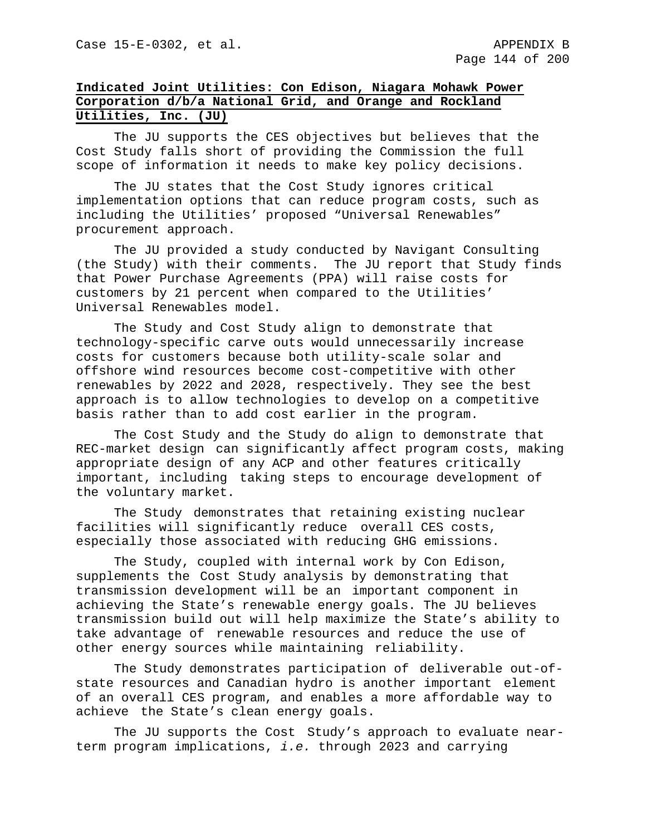# **Indicated Joint Utilities: Con Edison, Niagara Mohawk Power Corporation d/b/a National Grid, and Orange and Rockland Utilities, Inc. (JU)**

The JU supports the CES objectives but believes that the Cost Study falls short of providing the Commission the full scope of information it needs to make key policy decisions.

The JU states that the Cost Study ignores critical implementation options that can reduce program costs, such as including the Utilities' proposed "Universal Renewables" procurement approach.

The JU provided a study conducted by Navigant Consulting (the Study) with their comments. The JU report that Study finds that Power Purchase Agreements (PPA) will raise costs for customers by 21 percent when compared to the Utilities' Universal Renewables model.

The Study and Cost Study align to demonstrate that technology-specific carve outs would unnecessarily increase costs for customers because both utility-scale solar and offshore wind resources become cost-competitive with other renewables by 2022 and 2028, respectively. They see the best approach is to allow technologies to develop on a competitive basis rather than to add cost earlier in the program.

The Cost Study and the Study do align to demonstrate that REC-market design can significantly affect program costs, making appropriate design of any ACP and other features critically important, including taking steps to encourage development of the voluntary market.

The Study demonstrates that retaining existing nuclear facilities will significantly reduce overall CES costs, especially those associated with reducing GHG emissions.

The Study, coupled with internal work by Con Edison, supplements the Cost Study analysis by demonstrating that transmission development will be an important component in achieving the State's renewable energy goals. The JU believes transmission build out will help maximize the State's ability to take advantage of renewable resources and reduce the use of other energy sources while maintaining reliability.

The Study demonstrates participation of deliverable out-ofstate resources and Canadian hydro is another important element of an overall CES program, and enables a more affordable way to achieve the State's clean energy goals.

The JU supports the Cost Study's approach to evaluate nearterm program implications, *i.e.* through 2023 and carrying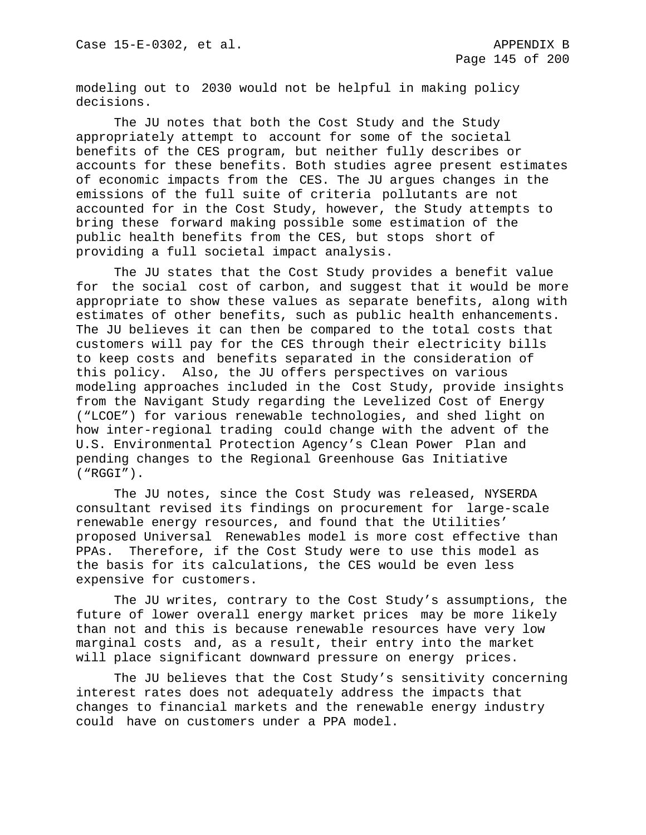modeling out to 2030 would not be helpful in making policy decisions.

The JU notes that both the Cost Study and the Study appropriately attempt to account for some of the societal benefits of the CES program, but neither fully describes or accounts for these benefits. Both studies agree present estimates of economic impacts from the CES. The JU argues changes in the emissions of the full suite of criteria pollutants are not accounted for in the Cost Study, however, the Study attempts to bring these forward making possible some estimation of the public health benefits from the CES, but stops short of providing a full societal impact analysis.

The JU states that the Cost Study provides a benefit value for the social cost of carbon, and suggest that it would be more appropriate to show these values as separate benefits, along with estimates of other benefits, such as public health enhancements. The JU believes it can then be compared to the total costs that customers will pay for the CES through their electricity bills to keep costs and benefits separated in the consideration of this policy. Also, the JU offers perspectives on various modeling approaches included in the Cost Study, provide insights from the Navigant Study regarding the Levelized Cost of Energy ("LCOE") for various renewable technologies, and shed light on how inter-regional trading could change with the advent of the U.S. Environmental Protection Agency's Clean Power Plan and pending changes to the Regional Greenhouse Gas Initiative ("RGGI").

The JU notes, since the Cost Study was released, NYSERDA consultant revised its findings on procurement for large-scale renewable energy resources, and found that the Utilities' proposed Universal Renewables model is more cost effective than PPAs. Therefore, if the Cost Study were to use this model as the basis for its calculations, the CES would be even less expensive for customers.

The JU writes, contrary to the Cost Study's assumptions, the future of lower overall energy market prices may be more likely than not and this is because renewable resources have very low marginal costs and, as a result, their entry into the market will place significant downward pressure on energy prices.

The JU believes that the Cost Study's sensitivity concerning interest rates does not adequately address the impacts that changes to financial markets and the renewable energy industry could have on customers under a PPA model.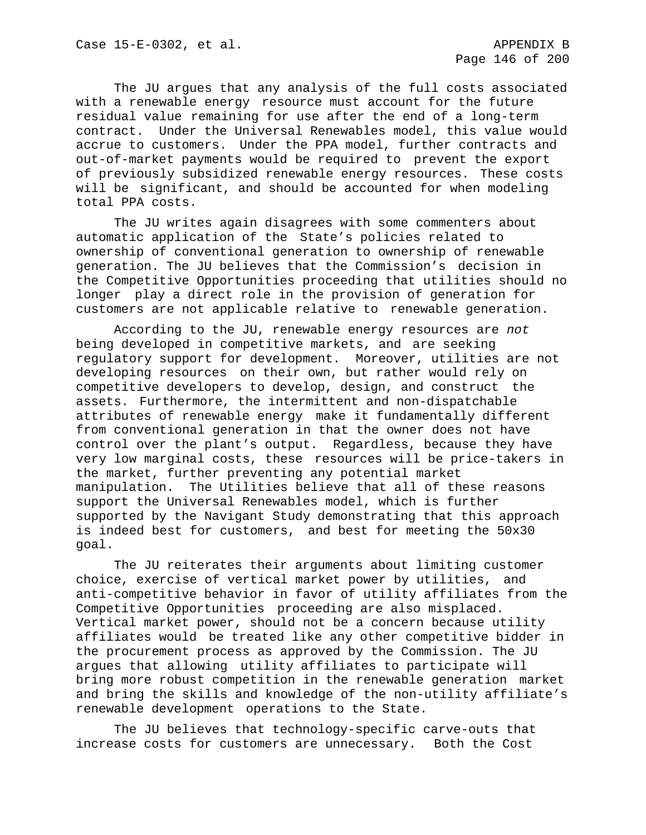The JU argues that any analysis of the full costs associated with a renewable energy resource must account for the future residual value remaining for use after the end of a long-term contract. Under the Universal Renewables model, this value would accrue to customers. Under the PPA model, further contracts and out-of-market payments would be required to prevent the export of previously subsidized renewable energy resources. These costs will be significant, and should be accounted for when modeling total PPA costs.

The JU writes again disagrees with some commenters about automatic application of the State's policies related to ownership of conventional generation to ownership of renewable generation. The JU believes that the Commission's decision in the Competitive Opportunities proceeding that utilities should no longer play a direct role in the provision of generation for customers are not applicable relative to renewable generation.

According to the JU, renewable energy resources are *not*  being developed in competitive markets, and are seeking regulatory support for development. Moreover, utilities are not developing resources on their own, but rather would rely on competitive developers to develop, design, and construct the assets. Furthermore, the intermittent and non-dispatchable attributes of renewable energy make it fundamentally different from conventional generation in that the owner does not have control over the plant's output. Regardless, because they have very low marginal costs, these resources will be price-takers in the market, further preventing any potential market manipulation. The Utilities believe that all of these reasons support the Universal Renewables model, which is further supported by the Navigant Study demonstrating that this approach is indeed best for customers, and best for meeting the 50x30 goal.

The JU reiterates their arguments about limiting customer choice, exercise of vertical market power by utilities, and anti-competitive behavior in favor of utility affiliates from the Competitive Opportunities proceeding are also misplaced. Vertical market power, should not be a concern because utility affiliates would be treated like any other competitive bidder in the procurement process as approved by the Commission. The JU argues that allowing utility affiliates to participate will bring more robust competition in the renewable generation market and bring the skills and knowledge of the non-utility affiliate's renewable development operations to the State.

The JU believes that technology-specific carve-outs that increase costs for customers are unnecessary. Both the Cost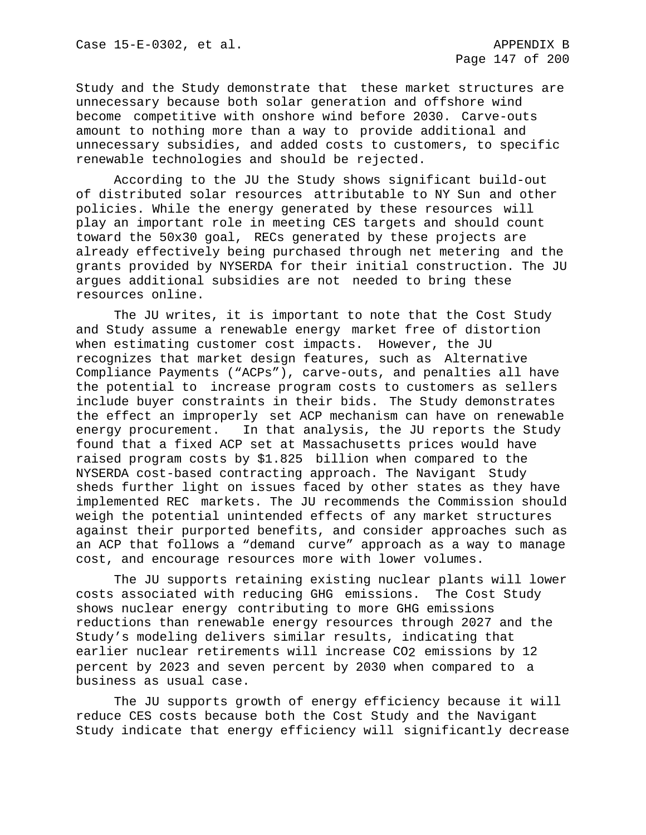Study and the Study demonstrate that these market structures are unnecessary because both solar generation and offshore wind become competitive with onshore wind before 2030. Carve-outs amount to nothing more than a way to provide additional and unnecessary subsidies, and added costs to customers, to specific renewable technologies and should be rejected.

According to the JU the Study shows significant build-out of distributed solar resources attributable to NY Sun and other policies. While the energy generated by these resources will play an important role in meeting CES targets and should count toward the 50x30 goal, RECs generated by these projects are already effectively being purchased through net metering and the grants provided by NYSERDA for their initial construction. The JU argues additional subsidies are not needed to bring these resources online.

The JU writes, it is important to note that the Cost Study and Study assume a renewable energy market free of distortion when estimating customer cost impacts. However, the JU recognizes that market design features, such as Alternative Compliance Payments ("ACPs"), carve-outs, and penalties all have the potential to increase program costs to customers as sellers include buyer constraints in their bids. The Study demonstrates the effect an improperly set ACP mechanism can have on renewable energy procurement. In that analysis, the JU reports the Study found that a fixed ACP set at Massachusetts prices would have raised program costs by \$1.825 billion when compared to the NYSERDA cost-based contracting approach. The Navigant Study sheds further light on issues faced by other states as they have implemented REC markets. The JU recommends the Commission should weigh the potential unintended effects of any market structures against their purported benefits, and consider approaches such as an ACP that follows a "demand curve" approach as a way to manage cost, and encourage resources more with lower volumes.

The JU supports retaining existing nuclear plants will lower costs associated with reducing GHG emissions. The Cost Study shows nuclear energy contributing to more GHG emissions reductions than renewable energy resources through 2027 and the Study's modeling delivers similar results, indicating that earlier nuclear retirements will increase CO2 emissions by 12 percent by 2023 and seven percent by 2030 when compared to a business as usual case.

The JU supports growth of energy efficiency because it will reduce CES costs because both the Cost Study and the Navigant Study indicate that energy efficiency will significantly decrease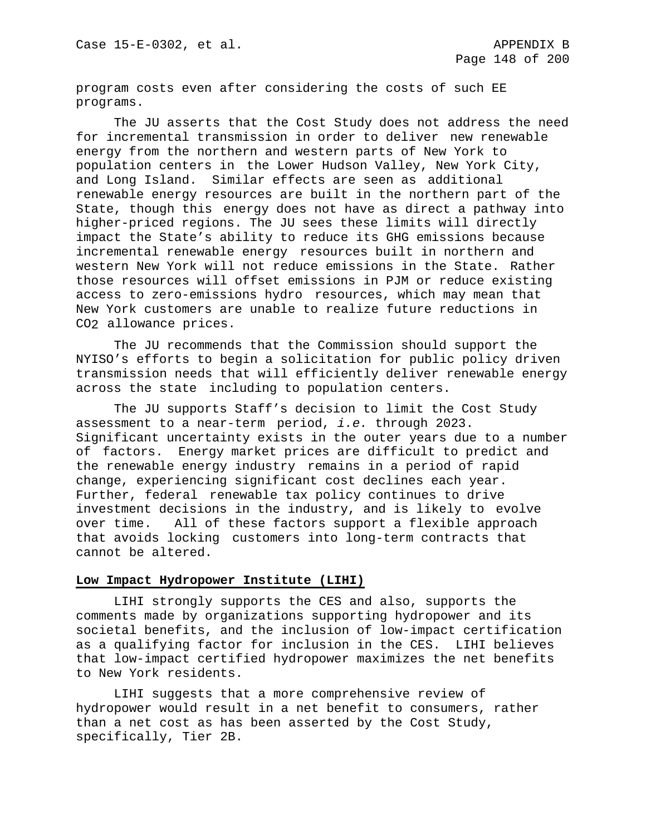program costs even after considering the costs of such EE programs.

The JU asserts that the Cost Study does not address the need for incremental transmission in order to deliver new renewable energy from the northern and western parts of New York to population centers in the Lower Hudson Valley, New York City, and Long Island. Similar effects are seen as additional renewable energy resources are built in the northern part of the State, though this energy does not have as direct a pathway into higher-priced regions. The JU sees these limits will directly impact the State's ability to reduce its GHG emissions because incremental renewable energy resources built in northern and western New York will not reduce emissions in the State. Rather those resources will offset emissions in PJM or reduce existing access to zero-emissions hydro resources, which may mean that New York customers are unable to realize future reductions in CO2 allowance prices.

The JU recommends that the Commission should support the NYISO's efforts to begin a solicitation for public policy driven transmission needs that will efficiently deliver renewable energy across the state including to population centers.

The JU supports Staff's decision to limit the Cost Study assessment to a near-term period, *i.e.* through 2023. Significant uncertainty exists in the outer years due to a number of factors. Energy market prices are difficult to predict and the renewable energy industry remains in a period of rapid change, experiencing significant cost declines each year. Further, federal renewable tax policy continues to drive investment decisions in the industry, and is likely to evolve<br>over time. All of these factors support a flexible approach All of these factors support a flexible approach that avoids locking customers into long-term contracts that cannot be altered.

#### **Low Impact Hydropower Institute (LIHI)**

LIHI strongly supports the CES and also, supports the comments made by organizations supporting hydropower and its societal benefits, and the inclusion of low-impact certification as a qualifying factor for inclusion in the CES. LIHI believes that low-impact certified hydropower maximizes the net benefits to New York residents.

LIHI suggests that a more comprehensive review of hydropower would result in a net benefit to consumers, rather than a net cost as has been asserted by the Cost Study, specifically, Tier 2B.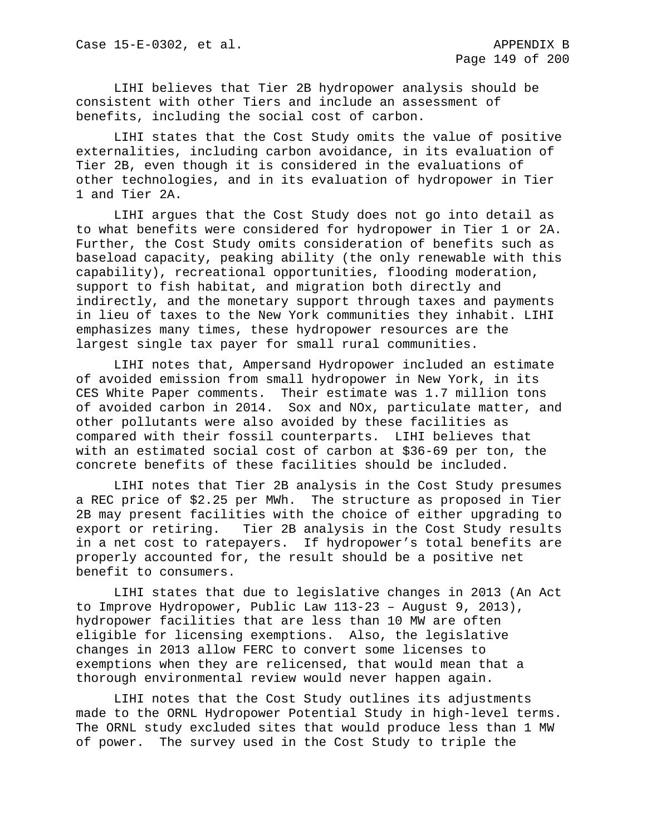LIHI believes that Tier 2B hydropower analysis should be consistent with other Tiers and include an assessment of benefits, including the social cost of carbon.

LIHI states that the Cost Study omits the value of positive externalities, including carbon avoidance, in its evaluation of Tier 2B, even though it is considered in the evaluations of other technologies, and in its evaluation of hydropower in Tier 1 and Tier 2A.

LIHI argues that the Cost Study does not go into detail as to what benefits were considered for hydropower in Tier 1 or 2A. Further, the Cost Study omits consideration of benefits such as baseload capacity, peaking ability (the only renewable with this capability), recreational opportunities, flooding moderation, support to fish habitat, and migration both directly and indirectly, and the monetary support through taxes and payments in lieu of taxes to the New York communities they inhabit. LIHI emphasizes many times, these hydropower resources are the largest single tax payer for small rural communities.

LIHI notes that, Ampersand Hydropower included an estimate of avoided emission from small hydropower in New York, in its CES White Paper comments. Their estimate was 1.7 million tons of avoided carbon in 2014. Sox and NOx, particulate matter, and other pollutants were also avoided by these facilities as compared with their fossil counterparts. LIHI believes that with an estimated social cost of carbon at \$36-69 per ton, the concrete benefits of these facilities should be included.

LIHI notes that Tier 2B analysis in the Cost Study presumes a REC price of \$2.25 per MWh. The structure as proposed in Tier 2B may present facilities with the choice of either upgrading to<br>export or retiring. Tier 2B analysis in the Cost Study results Tier 2B analysis in the Cost Study results in a net cost to ratepayers. If hydropower's total benefits are properly accounted for, the result should be a positive net benefit to consumers.

LIHI states that due to legislative changes in 2013 (An Act to Improve Hydropower, Public Law 113-23 – August 9, 2013), hydropower facilities that are less than 10 MW are often eligible for licensing exemptions. Also, the legislative changes in 2013 allow FERC to convert some licenses to exemptions when they are relicensed, that would mean that a thorough environmental review would never happen again.

LIHI notes that the Cost Study outlines its adjustments made to the ORNL Hydropower Potential Study in high-level terms. The ORNL study excluded sites that would produce less than 1 MW of power. The survey used in the Cost Study to triple the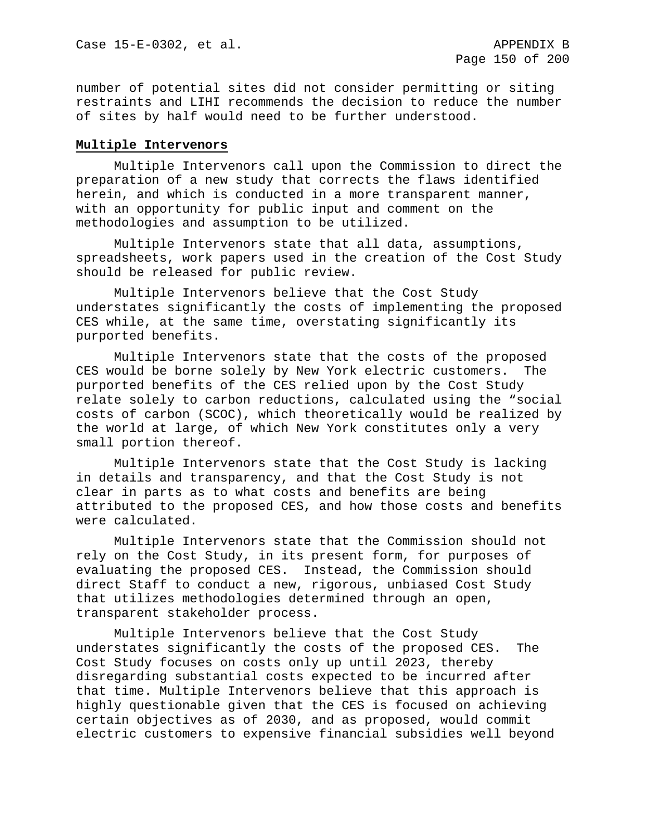number of potential sites did not consider permitting or siting restraints and LIHI recommends the decision to reduce the number of sites by half would need to be further understood.

### **Multiple Intervenors**

Multiple Intervenors call upon the Commission to direct the preparation of a new study that corrects the flaws identified herein, and which is conducted in a more transparent manner, with an opportunity for public input and comment on the methodologies and assumption to be utilized.

Multiple Intervenors state that all data, assumptions, spreadsheets, work papers used in the creation of the Cost Study should be released for public review.

Multiple Intervenors believe that the Cost Study understates significantly the costs of implementing the proposed CES while, at the same time, overstating significantly its purported benefits.

Multiple Intervenors state that the costs of the proposed CES would be borne solely by New York electric customers. The purported benefits of the CES relied upon by the Cost Study relate solely to carbon reductions, calculated using the "social costs of carbon (SCOC), which theoretically would be realized by the world at large, of which New York constitutes only a very small portion thereof.

Multiple Intervenors state that the Cost Study is lacking in details and transparency, and that the Cost Study is not clear in parts as to what costs and benefits are being attributed to the proposed CES, and how those costs and benefits were calculated.

Multiple Intervenors state that the Commission should not rely on the Cost Study, in its present form, for purposes of evaluating the proposed CES. Instead, the Commission should direct Staff to conduct a new, rigorous, unbiased Cost Study that utilizes methodologies determined through an open, transparent stakeholder process.

Multiple Intervenors believe that the Cost Study understates significantly the costs of the proposed CES. The Cost Study focuses on costs only up until 2023, thereby disregarding substantial costs expected to be incurred after that time. Multiple Intervenors believe that this approach is highly questionable given that the CES is focused on achieving certain objectives as of 2030, and as proposed, would commit electric customers to expensive financial subsidies well beyond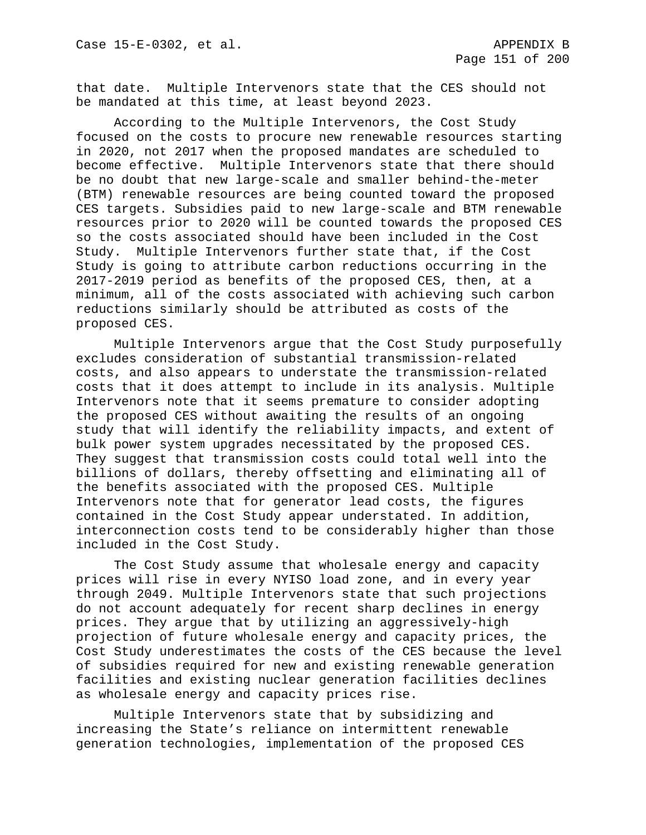that date. Multiple Intervenors state that the CES should not be mandated at this time, at least beyond 2023.

According to the Multiple Intervenors, the Cost Study focused on the costs to procure new renewable resources starting in 2020, not 2017 when the proposed mandates are scheduled to become effective. Multiple Intervenors state that there should be no doubt that new large-scale and smaller behind-the-meter (BTM) renewable resources are being counted toward the proposed CES targets. Subsidies paid to new large-scale and BTM renewable resources prior to 2020 will be counted towards the proposed CES so the costs associated should have been included in the Cost Study. Multiple Intervenors further state that, if the Cost Study is going to attribute carbon reductions occurring in the 2017-2019 period as benefits of the proposed CES, then, at a minimum, all of the costs associated with achieving such carbon reductions similarly should be attributed as costs of the proposed CES.

Multiple Intervenors argue that the Cost Study purposefully excludes consideration of substantial transmission-related costs, and also appears to understate the transmission-related costs that it does attempt to include in its analysis. Multiple Intervenors note that it seems premature to consider adopting the proposed CES without awaiting the results of an ongoing study that will identify the reliability impacts, and extent of bulk power system upgrades necessitated by the proposed CES. They suggest that transmission costs could total well into the billions of dollars, thereby offsetting and eliminating all of the benefits associated with the proposed CES. Multiple Intervenors note that for generator lead costs, the figures contained in the Cost Study appear understated. In addition, interconnection costs tend to be considerably higher than those included in the Cost Study.

The Cost Study assume that wholesale energy and capacity prices will rise in every NYISO load zone, and in every year through 2049. Multiple Intervenors state that such projections do not account adequately for recent sharp declines in energy prices. They argue that by utilizing an aggressively-high projection of future wholesale energy and capacity prices, the Cost Study underestimates the costs of the CES because the level of subsidies required for new and existing renewable generation facilities and existing nuclear generation facilities declines as wholesale energy and capacity prices rise.

Multiple Intervenors state that by subsidizing and increasing the State's reliance on intermittent renewable generation technologies, implementation of the proposed CES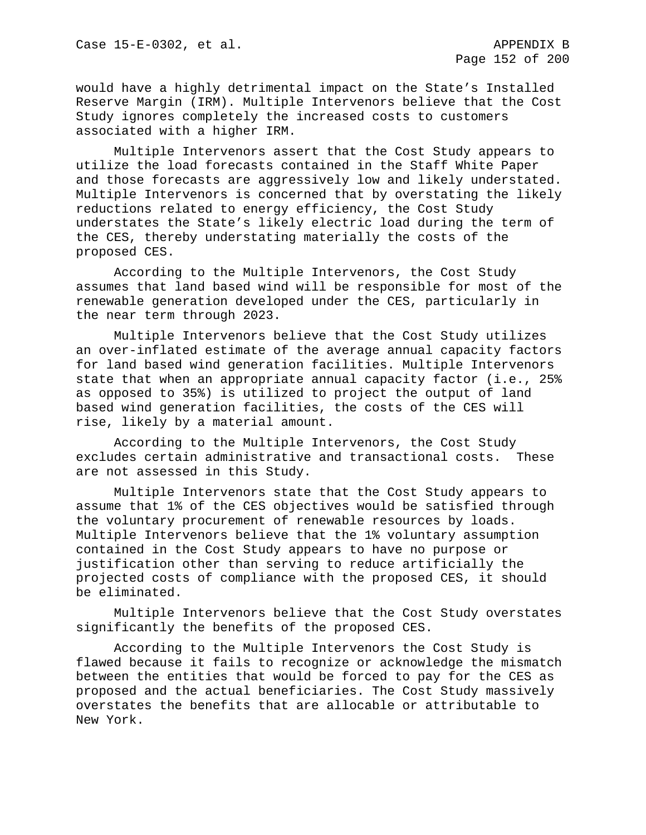would have a highly detrimental impact on the State's Installed Reserve Margin (IRM). Multiple Intervenors believe that the Cost Study ignores completely the increased costs to customers associated with a higher IRM.

Multiple Intervenors assert that the Cost Study appears to utilize the load forecasts contained in the Staff White Paper and those forecasts are aggressively low and likely understated. Multiple Intervenors is concerned that by overstating the likely reductions related to energy efficiency, the Cost Study understates the State's likely electric load during the term of the CES, thereby understating materially the costs of the proposed CES.

According to the Multiple Intervenors, the Cost Study assumes that land based wind will be responsible for most of the renewable generation developed under the CES, particularly in the near term through 2023.

Multiple Intervenors believe that the Cost Study utilizes an over-inflated estimate of the average annual capacity factors for land based wind generation facilities. Multiple Intervenors state that when an appropriate annual capacity factor (i.e., 25% as opposed to 35%) is utilized to project the output of land based wind generation facilities, the costs of the CES will rise, likely by a material amount.

According to the Multiple Intervenors, the Cost Study excludes certain administrative and transactional costs. These are not assessed in this Study.

Multiple Intervenors state that the Cost Study appears to assume that 1% of the CES objectives would be satisfied through the voluntary procurement of renewable resources by loads. Multiple Intervenors believe that the 1% voluntary assumption contained in the Cost Study appears to have no purpose or justification other than serving to reduce artificially the projected costs of compliance with the proposed CES, it should be eliminated.

Multiple Intervenors believe that the Cost Study overstates significantly the benefits of the proposed CES.

According to the Multiple Intervenors the Cost Study is flawed because it fails to recognize or acknowledge the mismatch between the entities that would be forced to pay for the CES as proposed and the actual beneficiaries. The Cost Study massively overstates the benefits that are allocable or attributable to New York.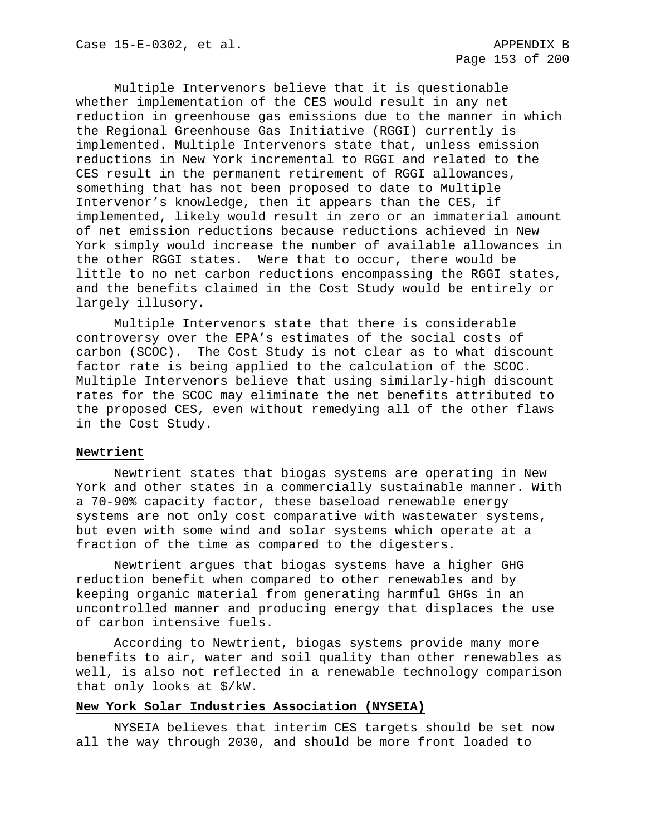Multiple Intervenors believe that it is questionable whether implementation of the CES would result in any net reduction in greenhouse gas emissions due to the manner in which the Regional Greenhouse Gas Initiative (RGGI) currently is implemented. Multiple Intervenors state that, unless emission reductions in New York incremental to RGGI and related to the CES result in the permanent retirement of RGGI allowances, something that has not been proposed to date to Multiple Intervenor's knowledge, then it appears than the CES, if implemented, likely would result in zero or an immaterial amount of net emission reductions because reductions achieved in New York simply would increase the number of available allowances in the other RGGI states. Were that to occur, there would be little to no net carbon reductions encompassing the RGGI states, and the benefits claimed in the Cost Study would be entirely or largely illusory.

Multiple Intervenors state that there is considerable controversy over the EPA's estimates of the social costs of carbon (SCOC). The Cost Study is not clear as to what discount factor rate is being applied to the calculation of the SCOC. Multiple Intervenors believe that using similarly-high discount rates for the SCOC may eliminate the net benefits attributed to the proposed CES, even without remedying all of the other flaws in the Cost Study.

### **Newtrient**

Newtrient states that biogas systems are operating in New York and other states in a commercially sustainable manner. With a 70-90% capacity factor, these baseload renewable energy systems are not only cost comparative with wastewater systems, but even with some wind and solar systems which operate at a fraction of the time as compared to the digesters.

Newtrient argues that biogas systems have a higher GHG reduction benefit when compared to other renewables and by keeping organic material from generating harmful GHGs in an uncontrolled manner and producing energy that displaces the use of carbon intensive fuels.

According to Newtrient, biogas systems provide many more benefits to air, water and soil quality than other renewables as well, is also not reflected in a renewable technology comparison that only looks at \$/kW.

### **New York Solar Industries Association (NYSEIA)**

NYSEIA believes that interim CES targets should be set now all the way through 2030, and should be more front loaded to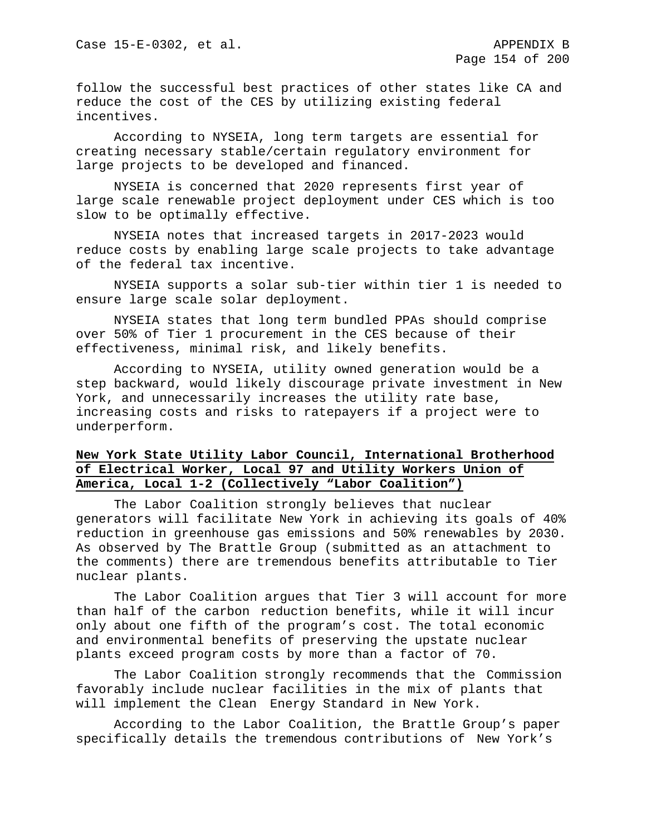follow the successful best practices of other states like CA and reduce the cost of the CES by utilizing existing federal incentives.

According to NYSEIA, long term targets are essential for creating necessary stable/certain regulatory environment for large projects to be developed and financed.

NYSEIA is concerned that 2020 represents first year of large scale renewable project deployment under CES which is too slow to be optimally effective.

NYSEIA notes that increased targets in 2017-2023 would reduce costs by enabling large scale projects to take advantage of the federal tax incentive.

NYSEIA supports a solar sub-tier within tier 1 is needed to ensure large scale solar deployment.

NYSEIA states that long term bundled PPAs should comprise over 50% of Tier 1 procurement in the CES because of their effectiveness, minimal risk, and likely benefits.

According to NYSEIA, utility owned generation would be a step backward, would likely discourage private investment in New York, and unnecessarily increases the utility rate base, increasing costs and risks to ratepayers if a project were to underperform.

# **New York State Utility Labor Council, International Brotherhood of Electrical Worker, Local 97 and Utility Workers Union of America, Local 1-2 (Collectively "Labor Coalition")**

The Labor Coalition strongly believes that nuclear generators will facilitate New York in achieving its goals of 40% reduction in greenhouse gas emissions and 50% renewables by 2030. As observed by The Brattle Group (submitted as an attachment to the comments) there are tremendous benefits attributable to Tier nuclear plants.

The Labor Coalition argues that Tier 3 will account for more than half of the carbon reduction benefits, while it will incur only about one fifth of the program's cost. The total economic and environmental benefits of preserving the upstate nuclear plants exceed program costs by more than a factor of 70.

The Labor Coalition strongly recommends that the Commission favorably include nuclear facilities in the mix of plants that will implement the Clean Energy Standard in New York.

According to the Labor Coalition, the Brattle Group's paper specifically details the tremendous contributions of New York's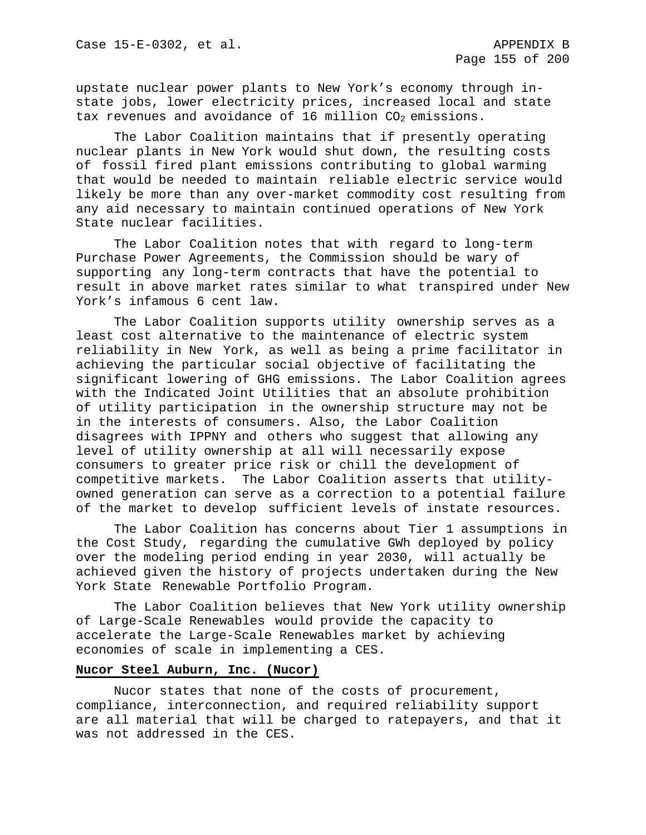upstate nuclear power plants to New York's economy through instate jobs, lower electricity prices, increased local and state tax revenues and avoidance of 16 million  $CO<sub>2</sub>$  emissions.

The Labor Coalition maintains that if presently operating nuclear plants in New York would shut down, the resulting costs of fossil fired plant emissions contributing to global warming that would be needed to maintain reliable electric service would likely be more than any over-market commodity cost resulting from any aid necessary to maintain continued operations of New York State nuclear facilities.

The Labor Coalition notes that with regard to long-term Purchase Power Agreements, the Commission should be wary of supporting any long-term contracts that have the potential to result in above market rates similar to what transpired under New York's infamous 6 cent law.

The Labor Coalition supports utility ownership serves as a least cost alternative to the maintenance of electric system reliability in New York, as well as being a prime facilitator in achieving the particular social objective of facilitating the significant lowering of GHG emissions. The Labor Coalition agrees with the Indicated Joint Utilities that an absolute prohibition of utility participation in the ownership structure may not be in the interests of consumers. Also, the Labor Coalition disagrees with IPPNY and others who suggest that allowing any level of utility ownership at all will necessarily expose consumers to greater price risk or chill the development of competitive markets. The Labor Coalition asserts that utilityowned generation can serve as a correction to a potential failure of the market to develop sufficient levels of instate resources.

The Labor Coalition has concerns about Tier 1 assumptions in the Cost Study, regarding the cumulative GWh deployed by policy over the modeling period ending in year 2030, will actually be achieved given the history of projects undertaken during the New York State Renewable Portfolio Program.

The Labor Coalition believes that New York utility ownership of Large-Scale Renewables would provide the capacity to accelerate the Large-Scale Renewables market by achieving economies of scale in implementing a CES.

#### **Nucor Steel Auburn, Inc. (Nucor)**

Nucor states that none of the costs of procurement, compliance, interconnection, and required reliability support are all material that will be charged to ratepayers, and that it was not addressed in the CES.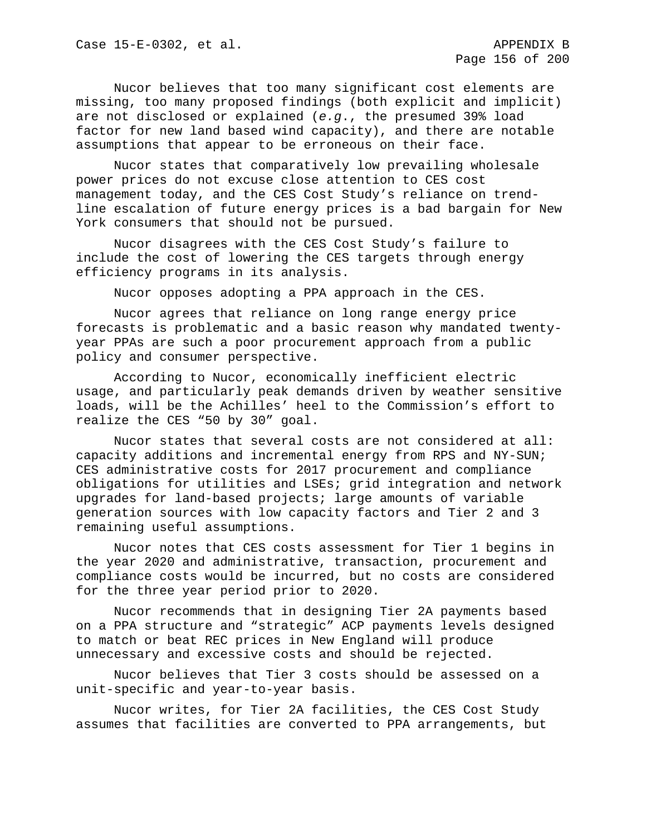Nucor believes that too many significant cost elements are missing, too many proposed findings (both explicit and implicit) are not disclosed or explained (*e.g*., the presumed 39% load factor for new land based wind capacity), and there are notable assumptions that appear to be erroneous on their face.

Nucor states that comparatively low prevailing wholesale power prices do not excuse close attention to CES cost management today, and the CES Cost Study's reliance on trendline escalation of future energy prices is a bad bargain for New York consumers that should not be pursued.

Nucor disagrees with the CES Cost Study's failure to include the cost of lowering the CES targets through energy efficiency programs in its analysis.

Nucor opposes adopting a PPA approach in the CES.

Nucor agrees that reliance on long range energy price forecasts is problematic and a basic reason why mandated twentyyear PPAs are such a poor procurement approach from a public policy and consumer perspective.

According to Nucor, economically inefficient electric usage, and particularly peak demands driven by weather sensitive loads, will be the Achilles' heel to the Commission's effort to realize the CES "50 by 30" goal.

Nucor states that several costs are not considered at all: capacity additions and incremental energy from RPS and NY-SUN; CES administrative costs for 2017 procurement and compliance obligations for utilities and LSEs; grid integration and network upgrades for land-based projects; large amounts of variable generation sources with low capacity factors and Tier 2 and 3 remaining useful assumptions.

Nucor notes that CES costs assessment for Tier 1 begins in the year 2020 and administrative, transaction, procurement and compliance costs would be incurred, but no costs are considered for the three year period prior to 2020.

Nucor recommends that in designing Tier 2A payments based on a PPA structure and "strategic" ACP payments levels designed to match or beat REC prices in New England will produce unnecessary and excessive costs and should be rejected.

Nucor believes that Tier 3 costs should be assessed on a unit-specific and year-to-year basis.

Nucor writes, for Tier 2A facilities, the CES Cost Study assumes that facilities are converted to PPA arrangements, but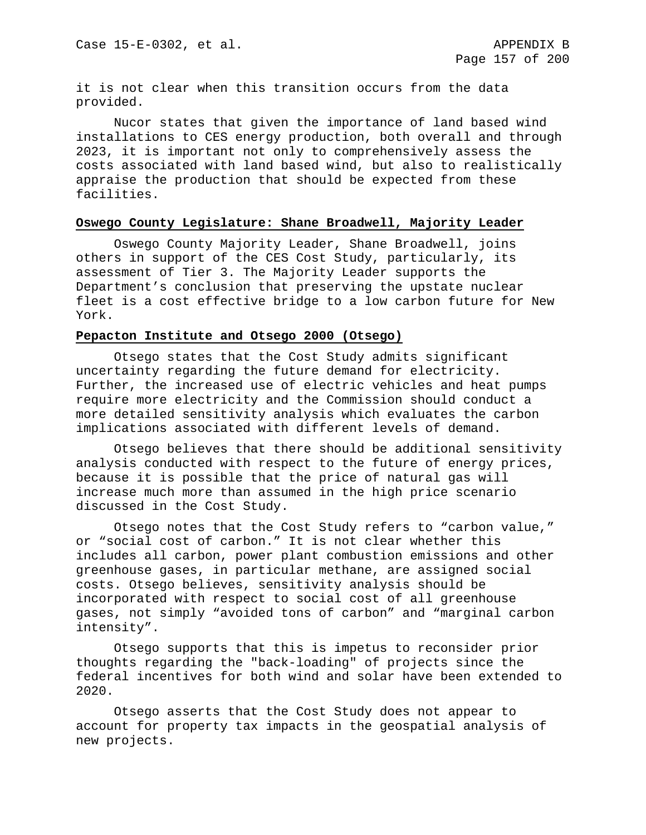it is not clear when this transition occurs from the data provided.

Nucor states that given the importance of land based wind installations to CES energy production, both overall and through 2023, it is important not only to comprehensively assess the costs associated with land based wind, but also to realistically appraise the production that should be expected from these facilities.

#### **Oswego County Legislature: Shane Broadwell, Majority Leader**

Oswego County Majority Leader, Shane Broadwell, joins others in support of the CES Cost Study, particularly, its assessment of Tier 3. The Majority Leader supports the Department's conclusion that preserving the upstate nuclear fleet is a cost effective bridge to a low carbon future for New York.

### **Pepacton Institute and Otsego 2000 (Otsego)**

Otsego states that the Cost Study admits significant uncertainty regarding the future demand for electricity. Further, the increased use of electric vehicles and heat pumps require more electricity and the Commission should conduct a more detailed sensitivity analysis which evaluates the carbon implications associated with different levels of demand.

Otsego believes that there should be additional sensitivity analysis conducted with respect to the future of energy prices, because it is possible that the price of natural gas will increase much more than assumed in the high price scenario discussed in the Cost Study.

Otsego notes that the Cost Study refers to "carbon value," or "social cost of carbon." It is not clear whether this includes all carbon, power plant combustion emissions and other greenhouse gases, in particular methane, are assigned social costs. Otsego believes, sensitivity analysis should be incorporated with respect to social cost of all greenhouse gases, not simply "avoided tons of carbon" and "marginal carbon intensity".

Otsego supports that this is impetus to reconsider prior thoughts regarding the "back-loading" of projects since the federal incentives for both wind and solar have been extended to 2020.

Otsego asserts that the Cost Study does not appear to account for property tax impacts in the geospatial analysis of new projects.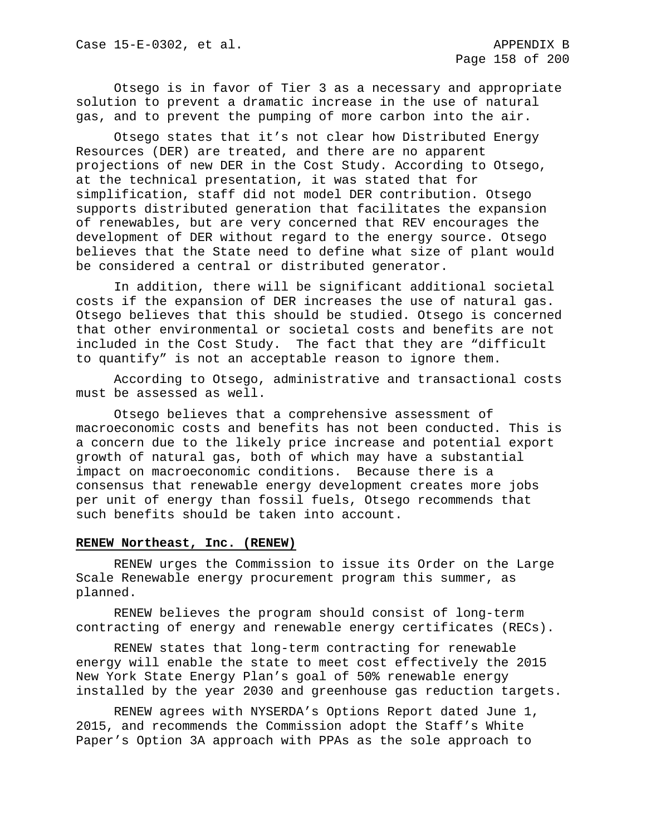Otsego is in favor of Tier 3 as a necessary and appropriate solution to prevent a dramatic increase in the use of natural gas, and to prevent the pumping of more carbon into the air.

Otsego states that it's not clear how Distributed Energy Resources (DER) are treated, and there are no apparent projections of new DER in the Cost Study. According to Otsego, at the technical presentation, it was stated that for simplification, staff did not model DER contribution. Otsego supports distributed generation that facilitates the expansion of renewables, but are very concerned that REV encourages the development of DER without regard to the energy source. Otsego believes that the State need to define what size of plant would be considered a central or distributed generator.

In addition, there will be significant additional societal costs if the expansion of DER increases the use of natural gas. Otsego believes that this should be studied. Otsego is concerned that other environmental or societal costs and benefits are not included in the Cost Study. The fact that they are "difficult to quantify" is not an acceptable reason to ignore them.

According to Otsego, administrative and transactional costs must be assessed as well.

Otsego believes that a comprehensive assessment of macroeconomic costs and benefits has not been conducted. This is a concern due to the likely price increase and potential export growth of natural gas, both of which may have a substantial impact on macroeconomic conditions. Because there is a consensus that renewable energy development creates more jobs per unit of energy than fossil fuels, Otsego recommends that such benefits should be taken into account.

#### **RENEW Northeast, Inc. (RENEW)**

RENEW urges the Commission to issue its Order on the Large Scale Renewable energy procurement program this summer, as planned.

RENEW believes the program should consist of long-term contracting of energy and renewable energy certificates (RECs).

RENEW states that long-term contracting for renewable energy will enable the state to meet cost effectively the 2015 New York State Energy Plan's goal of 50% renewable energy installed by the year 2030 and greenhouse gas reduction targets.

RENEW agrees with NYSERDA's Options Report dated June 1, 2015, and recommends the Commission adopt the Staff's White Paper's Option 3A approach with PPAs as the sole approach to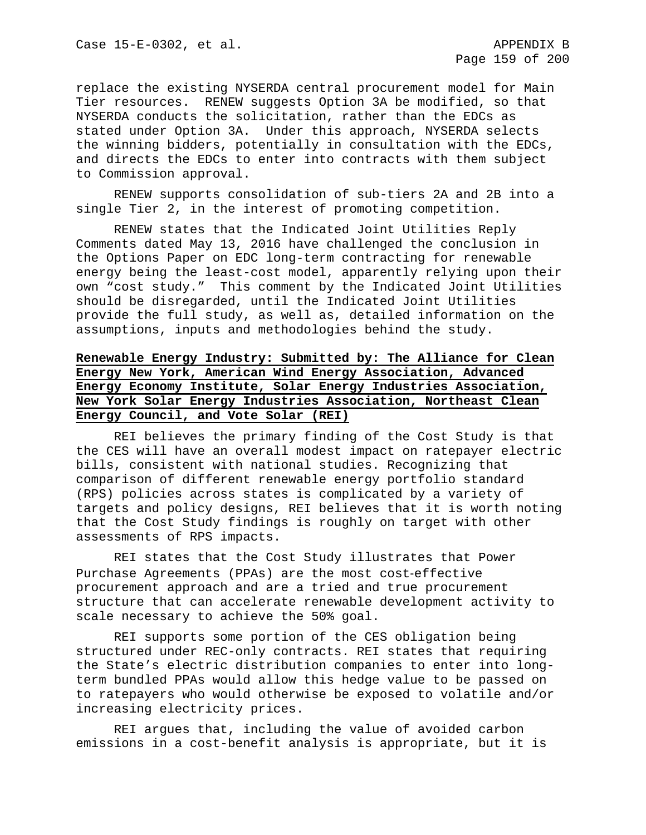replace the existing NYSERDA central procurement model for Main Tier resources. RENEW suggests Option 3A be modified, so that NYSERDA conducts the solicitation, rather than the EDCs as stated under Option 3A. Under this approach, NYSERDA selects the winning bidders, potentially in consultation with the EDCs, and directs the EDCs to enter into contracts with them subject to Commission approval.

RENEW supports consolidation of sub-tiers 2A and 2B into a single Tier 2, in the interest of promoting competition.

RENEW states that the Indicated Joint Utilities Reply Comments dated May 13, 2016 have challenged the conclusion in the Options Paper on EDC long-term contracting for renewable energy being the least-cost model, apparently relying upon their own "cost study." This comment by the Indicated Joint Utilities should be disregarded, until the Indicated Joint Utilities provide the full study, as well as, detailed information on the assumptions, inputs and methodologies behind the study.

# **Renewable Energy Industry: Submitted by: The Alliance for Clean Energy New York, American Wind Energy Association, Advanced Energy Economy Institute, Solar Energy Industries Association, New York Solar Energy Industries Association, Northeast Clean Energy Council, and Vote Solar (REI)**

REI believes the primary finding of the Cost Study is that the CES will have an overall modest impact on ratepayer electric bills, consistent with national studies. Recognizing that comparison of different renewable energy portfolio standard (RPS) policies across states is complicated by a variety of targets and policy designs, REI believes that it is worth noting that the Cost Study findings is roughly on target with other assessments of RPS impacts.

REI states that the Cost Study illustrates that Power Purchase Agreements (PPAs) are the most cost-effective procurement approach and are a tried and true procurement structure that can accelerate renewable development activity to scale necessary to achieve the 50% goal.

REI supports some portion of the CES obligation being structured under REC-only contracts. REI states that requiring the State's electric distribution companies to enter into longterm bundled PPAs would allow this hedge value to be passed on to ratepayers who would otherwise be exposed to volatile and/or increasing electricity prices.

REI argues that, including the value of avoided carbon emissions in a cost-benefit analysis is appropriate, but it is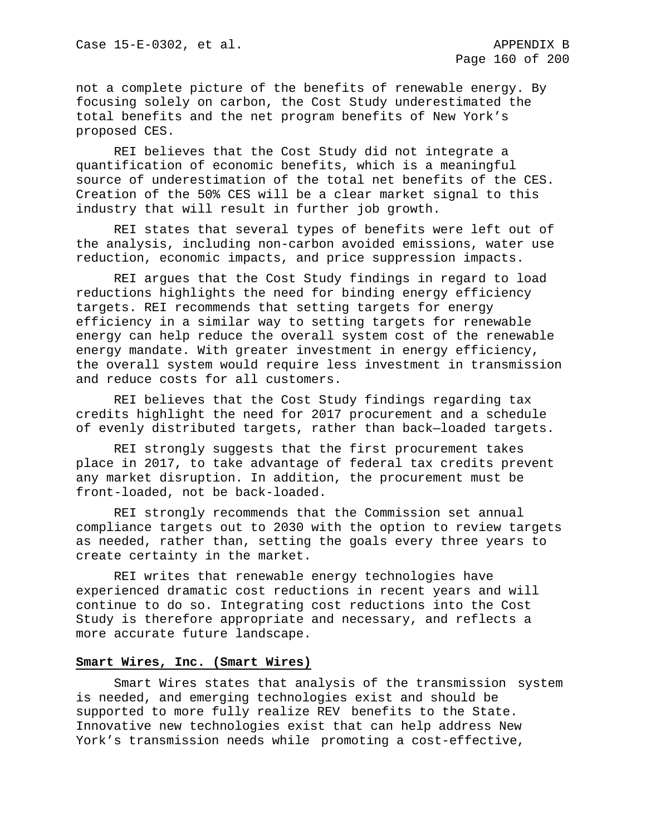not a complete picture of the benefits of renewable energy. By focusing solely on carbon, the Cost Study underestimated the total benefits and the net program benefits of New York's proposed CES.

REI believes that the Cost Study did not integrate a quantification of economic benefits, which is a meaningful source of underestimation of the total net benefits of the CES. Creation of the 50% CES will be a clear market signal to this industry that will result in further job growth.

REI states that several types of benefits were left out of the analysis, including non-carbon avoided emissions, water use reduction, economic impacts, and price suppression impacts.

REI argues that the Cost Study findings in regard to load reductions highlights the need for binding energy efficiency targets. REI recommends that setting targets for energy efficiency in a similar way to setting targets for renewable energy can help reduce the overall system cost of the renewable energy mandate. With greater investment in energy efficiency, the overall system would require less investment in transmission and reduce costs for all customers.

REI believes that the Cost Study findings regarding tax credits highlight the need for 2017 procurement and a schedule of evenly distributed targets, rather than back—loaded targets.

REI strongly suggests that the first procurement takes place in 2017, to take advantage of federal tax credits prevent any market disruption. In addition, the procurement must be front-loaded, not be back-loaded.

REI strongly recommends that the Commission set annual compliance targets out to 2030 with the option to review targets as needed, rather than, setting the goals every three years to create certainty in the market.

REI writes that renewable energy technologies have experienced dramatic cost reductions in recent years and will continue to do so. Integrating cost reductions into the Cost Study is therefore appropriate and necessary, and reflects a more accurate future landscape.

#### **Smart Wires, Inc. (Smart Wires)**

Smart Wires states that analysis of the transmission system is needed, and emerging technologies exist and should be supported to more fully realize REV benefits to the State. Innovative new technologies exist that can help address New York's transmission needs while promoting a cost-effective,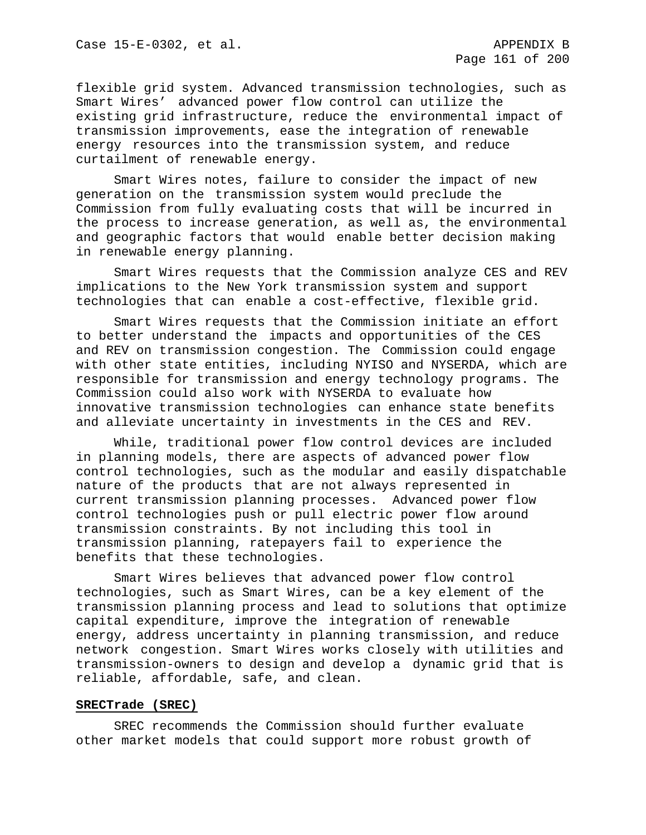flexible grid system. Advanced transmission technologies, such as Smart Wires' advanced power flow control can utilize the existing grid infrastructure, reduce the environmental impact of transmission improvements, ease the integration of renewable energy resources into the transmission system, and reduce curtailment of renewable energy.

Smart Wires notes, failure to consider the impact of new generation on the transmission system would preclude the Commission from fully evaluating costs that will be incurred in the process to increase generation, as well as, the environmental and geographic factors that would enable better decision making in renewable energy planning.

Smart Wires requests that the Commission analyze CES and REV implications to the New York transmission system and support technologies that can enable a cost-effective, flexible grid.

Smart Wires requests that the Commission initiate an effort to better understand the impacts and opportunities of the CES and REV on transmission congestion. The Commission could engage with other state entities, including NYISO and NYSERDA, which are responsible for transmission and energy technology programs. The Commission could also work with NYSERDA to evaluate how innovative transmission technologies can enhance state benefits and alleviate uncertainty in investments in the CES and REV.

While, traditional power flow control devices are included in planning models, there are aspects of advanced power flow control technologies, such as the modular and easily dispatchable nature of the products that are not always represented in current transmission planning processes. Advanced power flow control technologies push or pull electric power flow around transmission constraints. By not including this tool in transmission planning, ratepayers fail to experience the benefits that these technologies.

Smart Wires believes that advanced power flow control technologies, such as Smart Wires, can be a key element of the transmission planning process and lead to solutions that optimize capital expenditure, improve the integration of renewable energy, address uncertainty in planning transmission, and reduce network congestion. Smart Wires works closely with utilities and transmission-owners to design and develop a dynamic grid that is reliable, affordable, safe, and clean.

### **SRECTrade (SREC)**

SREC recommends the Commission should further evaluate other market models that could support more robust growth of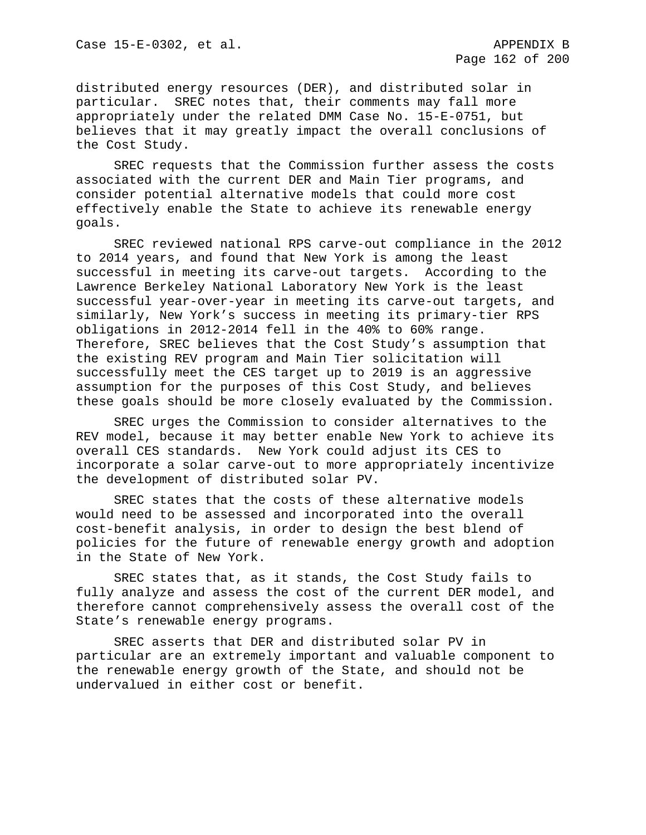distributed energy resources (DER), and distributed solar in particular. SREC notes that, their comments may fall more appropriately under the related DMM Case No. 15-E-0751, but believes that it may greatly impact the overall conclusions of the Cost Study.

SREC requests that the Commission further assess the costs associated with the current DER and Main Tier programs, and consider potential alternative models that could more cost effectively enable the State to achieve its renewable energy goals.

SREC reviewed national RPS carve-out compliance in the 2012 to 2014 years, and found that New York is among the least successful in meeting its carve-out targets. According to the Lawrence Berkeley National Laboratory New York is the least successful year-over-year in meeting its carve-out targets, and similarly, New York's success in meeting its primary-tier RPS obligations in 2012-2014 fell in the 40% to 60% range. Therefore, SREC believes that the Cost Study's assumption that the existing REV program and Main Tier solicitation will successfully meet the CES target up to 2019 is an aggressive assumption for the purposes of this Cost Study, and believes these goals should be more closely evaluated by the Commission.

SREC urges the Commission to consider alternatives to the REV model, because it may better enable New York to achieve its overall CES standards. New York could adjust its CES to incorporate a solar carve-out to more appropriately incentivize the development of distributed solar PV.

SREC states that the costs of these alternative models would need to be assessed and incorporated into the overall cost-benefit analysis, in order to design the best blend of policies for the future of renewable energy growth and adoption in the State of New York.

SREC states that, as it stands, the Cost Study fails to fully analyze and assess the cost of the current DER model, and therefore cannot comprehensively assess the overall cost of the State's renewable energy programs.

SREC asserts that DER and distributed solar PV in particular are an extremely important and valuable component to the renewable energy growth of the State, and should not be undervalued in either cost or benefit.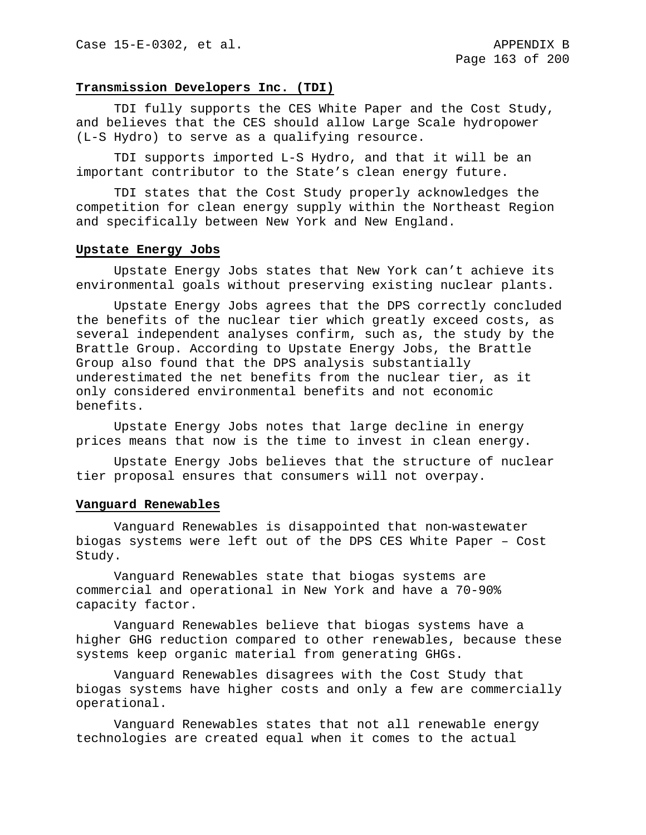### **Transmission Developers Inc. (TDI)**

TDI fully supports the CES White Paper and the Cost Study, and believes that the CES should allow Large Scale hydropower (L-S Hydro) to serve as a qualifying resource.

TDI supports imported L-S Hydro, and that it will be an important contributor to the State's clean energy future.

TDI states that the Cost Study properly acknowledges the competition for clean energy supply within the Northeast Region and specifically between New York and New England.

#### **Upstate Energy Jobs**

Upstate Energy Jobs states that New York can't achieve its environmental goals without preserving existing nuclear plants.

Upstate Energy Jobs agrees that the DPS correctly concluded the benefits of the nuclear tier which greatly exceed costs, as several independent analyses confirm, such as, the study by the Brattle Group. According to Upstate Energy Jobs, the Brattle Group also found that the DPS analysis substantially underestimated the net benefits from the nuclear tier, as it only considered environmental benefits and not economic benefits.

Upstate Energy Jobs notes that large decline in energy prices means that now is the time to invest in clean energy.

Upstate Energy Jobs believes that the structure of nuclear tier proposal ensures that consumers will not overpay.

#### **Vanguard Renewables**

Vanguard Renewables is disappointed that non‐wastewater biogas systems were left out of the DPS CES White Paper – Cost Study.

Vanguard Renewables state that biogas systems are commercial and operational in New York and have a 70-90% capacity factor.

Vanguard Renewables believe that biogas systems have a higher GHG reduction compared to other renewables, because these systems keep organic material from generating GHGs.

Vanguard Renewables disagrees with the Cost Study that biogas systems have higher costs and only a few are commercially operational.

Vanguard Renewables states that not all renewable energy technologies are created equal when it comes to the actual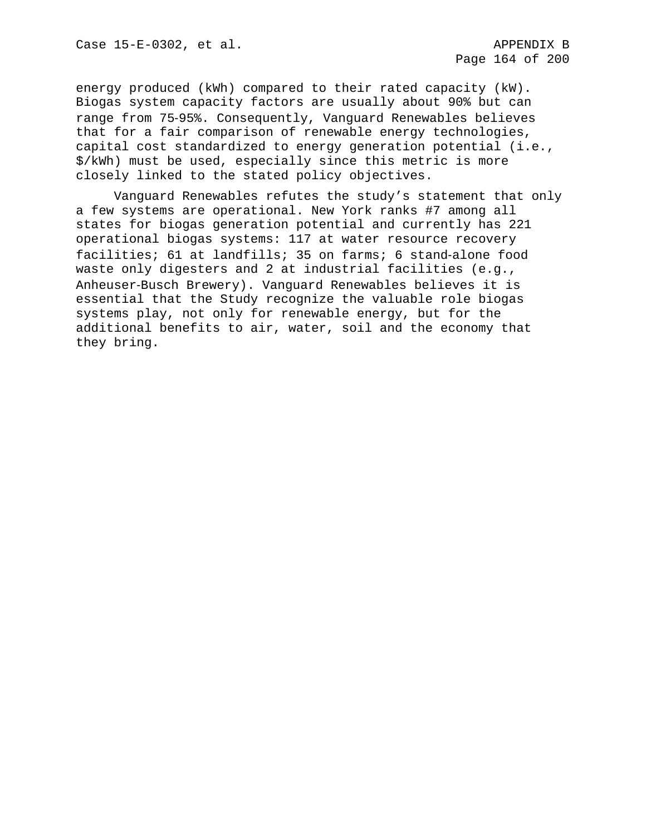energy produced (kWh) compared to their rated capacity (kW). Biogas system capacity factors are usually about 90% but can range from 75‐95%. Consequently, Vanguard Renewables believes that for a fair comparison of renewable energy technologies, capital cost standardized to energy generation potential (i.e., \$/kWh) must be used, especially since this metric is more closely linked to the stated policy objectives.

Vanguard Renewables refutes the study's statement that only a few systems are operational. New York ranks #7 among all states for biogas generation potential and currently has 221 operational biogas systems: 117 at water resource recovery facilities; 61 at landfills; 35 on farms; 6 stand-alone food waste only digesters and 2 at industrial facilities (e.g., Anheuser‐Busch Brewery). Vanguard Renewables believes it is essential that the Study recognize the valuable role biogas systems play, not only for renewable energy, but for the additional benefits to air, water, soil and the economy that they bring.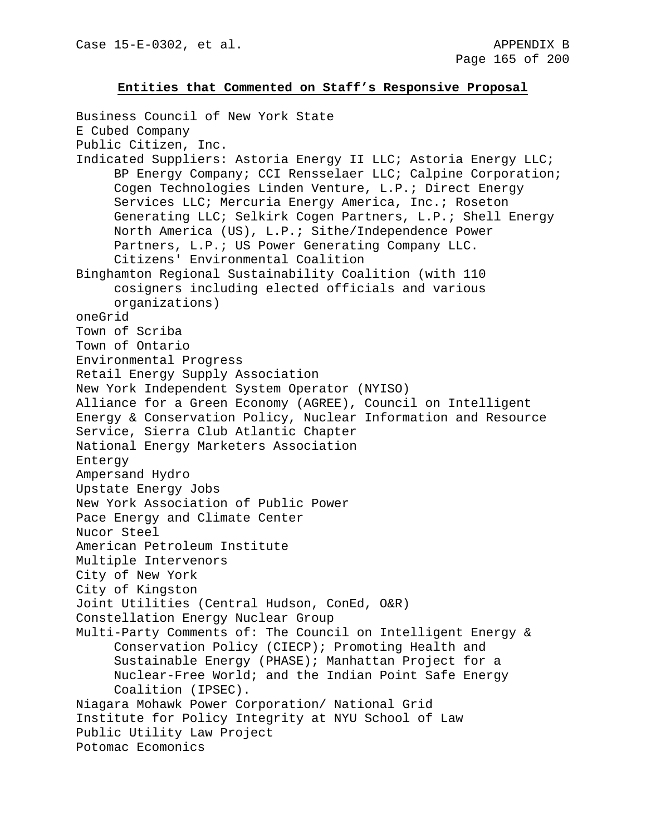#### **Entities that Commented on Staff's Responsive Proposal**

Business Council of New York State E Cubed Company Public Citizen, Inc. Indicated Suppliers: Astoria Energy II LLC; Astoria Energy LLC; BP Energy Company; CCI Rensselaer LLC; Calpine Corporation; Cogen Technologies Linden Venture, L.P.; Direct Energy Services LLC; Mercuria Energy America, Inc.; Roseton Generating LLC; Selkirk Cogen Partners, L.P.; Shell Energy North America (US), L.P.; Sithe/Independence Power Partners, L.P.; US Power Generating Company LLC. Citizens' Environmental Coalition Binghamton Regional Sustainability Coalition (with 110 cosigners including elected officials and various organizations) oneGrid Town of Scriba Town of Ontario Environmental Progress Retail Energy Supply Association New York Independent System Operator (NYISO) Alliance for a Green Economy (AGREE), Council on Intelligent Energy & Conservation Policy, Nuclear Information and Resource Service, Sierra Club Atlantic Chapter National Energy Marketers Association Entergy Ampersand Hydro Upstate Energy Jobs New York Association of Public Power Pace Energy and Climate Center Nucor Steel American Petroleum Institute Multiple Intervenors City of New York City of Kingston Joint Utilities (Central Hudson, ConEd, O&R) Constellation Energy Nuclear Group Multi-Party Comments of: The Council on Intelligent Energy & Conservation Policy (CIECP); Promoting Health and Sustainable Energy (PHASE); Manhattan Project for a Nuclear-Free World; and the Indian Point Safe Energy Coalition (IPSEC). Niagara Mohawk Power Corporation/ National Grid Institute for Policy Integrity at NYU School of Law Public Utility Law Project Potomac Ecomonics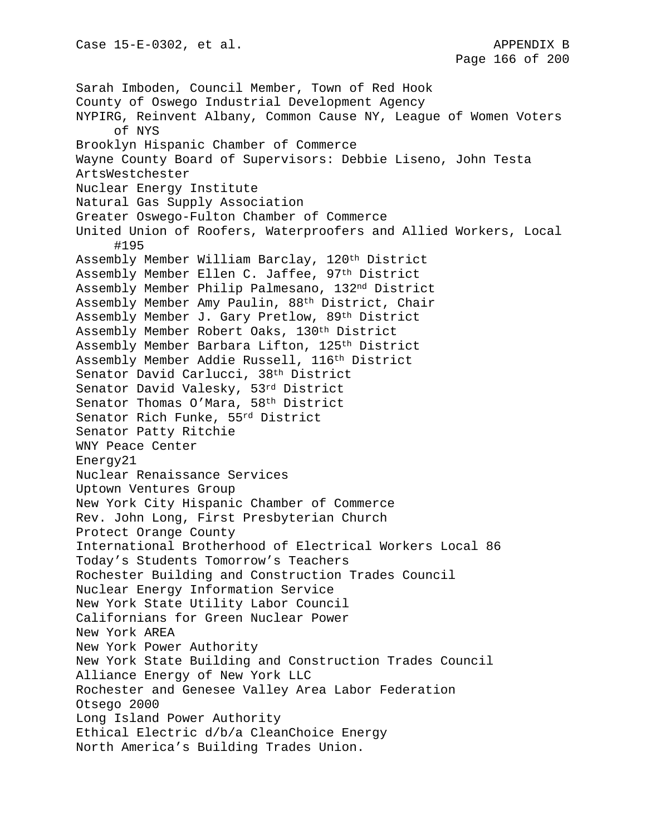Sarah Imboden, Council Member, Town of Red Hook County of Oswego Industrial Development Agency NYPIRG, Reinvent Albany, Common Cause NY, League of Women Voters of NYS Brooklyn Hispanic Chamber of Commerce Wayne County Board of Supervisors: Debbie Liseno, John Testa ArtsWestchester Nuclear Energy Institute Natural Gas Supply Association Greater Oswego-Fulton Chamber of Commerce United Union of Roofers, Waterproofers and Allied Workers, Local #195 Assembly Member William Barclay, 120th District Assembly Member Ellen C. Jaffee, 97th District Assembly Member Philip Palmesano, 132nd District Assembly Member Amy Paulin, 88th District, Chair Assembly Member J. Gary Pretlow, 89th District Assembly Member Robert Oaks, 130th District Assembly Member Barbara Lifton, 125th District Assembly Member Addie Russell, 116th District Senator David Carlucci, 38th District Senator David Valesky, 53rd District Senator Thomas O'Mara, 58th District Senator Rich Funke, 55rd District Senator Patty Ritchie WNY Peace Center Energy21 Nuclear Renaissance Services Uptown Ventures Group New York City Hispanic Chamber of Commerce Rev. John Long, First Presbyterian Church Protect Orange County International Brotherhood of Electrical Workers Local 86 Today's Students Tomorrow's Teachers Rochester Building and Construction Trades Council Nuclear Energy Information Service New York State Utility Labor Council Californians for Green Nuclear Power New York AREA New York Power Authority New York State Building and Construction Trades Council Alliance Energy of New York LLC Rochester and Genesee Valley Area Labor Federation Otsego 2000 Long Island Power Authority Ethical Electric d/b/a CleanChoice Energy North America's Building Trades Union.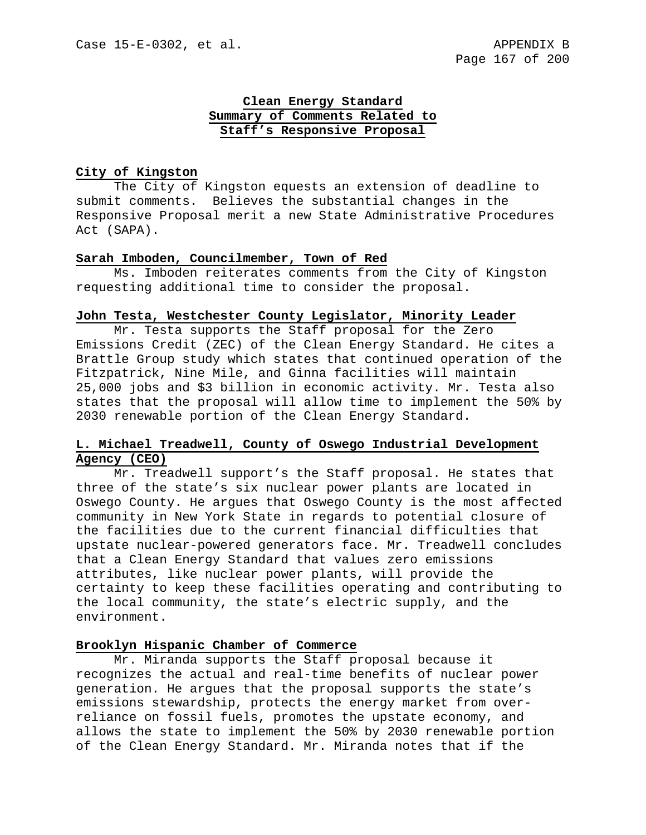## **Clean Energy Standard Summary of Comments Related to Staff's Responsive Proposal**

### **City of Kingston**

The City of Kingston equests an extension of deadline to submit comments. Believes the substantial changes in the Responsive Proposal merit a new State Administrative Procedures Act (SAPA).

#### **Sarah Imboden, Councilmember, Town of Red**

Ms. Imboden reiterates comments from the City of Kingston requesting additional time to consider the proposal.

### **John Testa, Westchester County Legislator, Minority Leader**

Mr. Testa supports the Staff proposal for the Zero Emissions Credit (ZEC) of the Clean Energy Standard. He cites a Brattle Group study which states that continued operation of the Fitzpatrick, Nine Mile, and Ginna facilities will maintain 25,000 jobs and \$3 billion in economic activity. Mr. Testa also states that the proposal will allow time to implement the 50% by 2030 renewable portion of the Clean Energy Standard.

## **L. Michael Treadwell, County of Oswego Industrial Development Agency (CEO)**

Mr. Treadwell support's the Staff proposal. He states that three of the state's six nuclear power plants are located in Oswego County. He argues that Oswego County is the most affected community in New York State in regards to potential closure of the facilities due to the current financial difficulties that upstate nuclear-powered generators face. Mr. Treadwell concludes that a Clean Energy Standard that values zero emissions attributes, like nuclear power plants, will provide the certainty to keep these facilities operating and contributing to the local community, the state's electric supply, and the environment.

### **Brooklyn Hispanic Chamber of Commerce**

Mr. Miranda supports the Staff proposal because it recognizes the actual and real-time benefits of nuclear power generation. He argues that the proposal supports the state's emissions stewardship, protects the energy market from overreliance on fossil fuels, promotes the upstate economy, and allows the state to implement the 50% by 2030 renewable portion of the Clean Energy Standard. Mr. Miranda notes that if the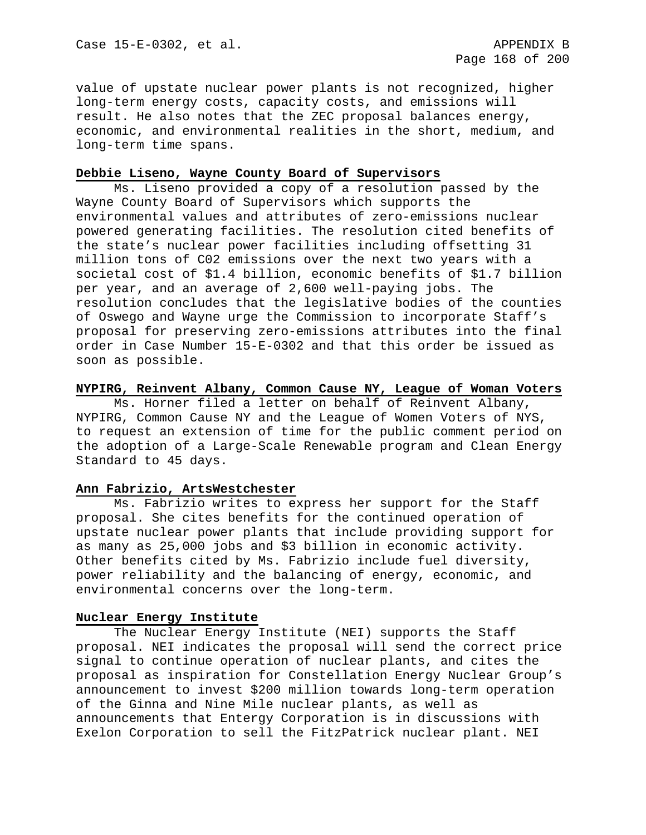value of upstate nuclear power plants is not recognized, higher long-term energy costs, capacity costs, and emissions will result. He also notes that the ZEC proposal balances energy, economic, and environmental realities in the short, medium, and long-term time spans.

## **Debbie Liseno, Wayne County Board of Supervisors**

Ms. Liseno provided a copy of a resolution passed by the Wayne County Board of Supervisors which supports the environmental values and attributes of zero-emissions nuclear powered generating facilities. The resolution cited benefits of the state's nuclear power facilities including offsetting 31 million tons of C02 emissions over the next two years with a societal cost of \$1.4 billion, economic benefits of \$1.7 billion per year, and an average of 2,600 well-paying jobs. The resolution concludes that the legislative bodies of the counties of Oswego and Wayne urge the Commission to incorporate Staff's proposal for preserving zero-emissions attributes into the final order in Case Number 15-E-0302 and that this order be issued as soon as possible.

# **NYPIRG, Reinvent Albany, Common Cause NY, League of Woman Voters**

Ms. Horner filed a letter on behalf of Reinvent Albany, NYPIRG, Common Cause NY and the League of Women Voters of NYS, to request an extension of time for the public comment period on the adoption of a Large-Scale Renewable program and Clean Energy Standard to 45 days.

### **Ann Fabrizio, ArtsWestchester**

Ms. Fabrizio writes to express her support for the Staff proposal. She cites benefits for the continued operation of upstate nuclear power plants that include providing support for as many as 25,000 jobs and \$3 billion in economic activity. Other benefits cited by Ms. Fabrizio include fuel diversity, power reliability and the balancing of energy, economic, and environmental concerns over the long-term.

#### **Nuclear Energy Institute**

The Nuclear Energy Institute (NEI) supports the Staff proposal. NEI indicates the proposal will send the correct price signal to continue operation of nuclear plants, and cites the proposal as inspiration for Constellation Energy Nuclear Group's announcement to invest \$200 million towards long-term operation of the Ginna and Nine Mile nuclear plants, as well as announcements that Entergy Corporation is in discussions with Exelon Corporation to sell the FitzPatrick nuclear plant. NEI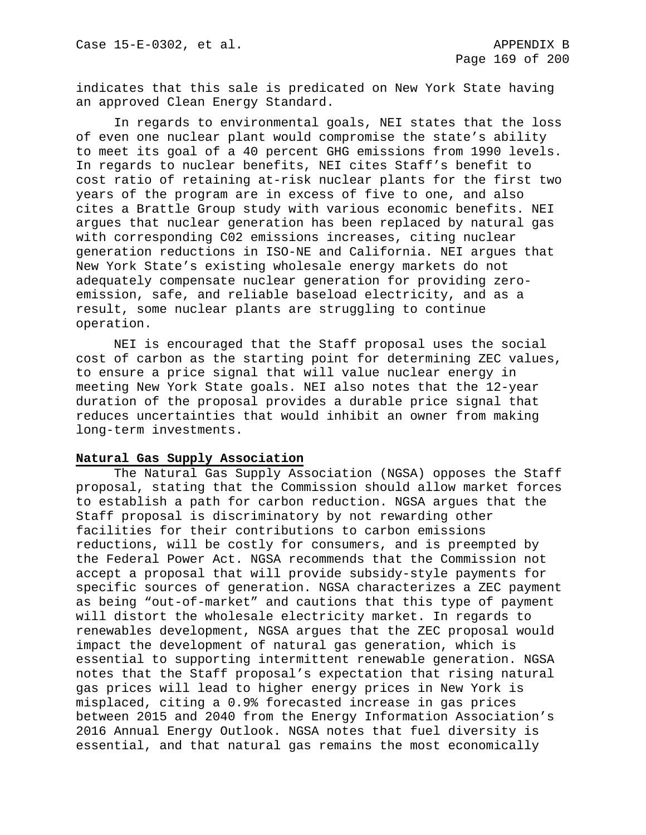indicates that this sale is predicated on New York State having an approved Clean Energy Standard.

In regards to environmental goals, NEI states that the loss of even one nuclear plant would compromise the state's ability to meet its goal of a 40 percent GHG emissions from 1990 levels. In regards to nuclear benefits, NEI cites Staff's benefit to cost ratio of retaining at-risk nuclear plants for the first two years of the program are in excess of five to one, and also cites a Brattle Group study with various economic benefits. NEI argues that nuclear generation has been replaced by natural gas with corresponding C02 emissions increases, citing nuclear generation reductions in ISO-NE and California. NEI argues that New York State's existing wholesale energy markets do not adequately compensate nuclear generation for providing zeroemission, safe, and reliable baseload electricity, and as a result, some nuclear plants are struggling to continue operation.

NEI is encouraged that the Staff proposal uses the social cost of carbon as the starting point for determining ZEC values, to ensure a price signal that will value nuclear energy in meeting New York State goals. NEI also notes that the 12-year duration of the proposal provides a durable price signal that reduces uncertainties that would inhibit an owner from making long-term investments.

#### **Natural Gas Supply Association**

The Natural Gas Supply Association (NGSA) opposes the Staff proposal, stating that the Commission should allow market forces to establish a path for carbon reduction. NGSA argues that the Staff proposal is discriminatory by not rewarding other facilities for their contributions to carbon emissions reductions, will be costly for consumers, and is preempted by the Federal Power Act. NGSA recommends that the Commission not accept a proposal that will provide subsidy-style payments for specific sources of generation. NGSA characterizes a ZEC payment as being "out-of-market" and cautions that this type of payment will distort the wholesale electricity market. In regards to renewables development, NGSA argues that the ZEC proposal would impact the development of natural gas generation, which is essential to supporting intermittent renewable generation. NGSA notes that the Staff proposal's expectation that rising natural gas prices will lead to higher energy prices in New York is misplaced, citing a 0.9% forecasted increase in gas prices between 2015 and 2040 from the Energy Information Association's 2016 Annual Energy Outlook. NGSA notes that fuel diversity is essential, and that natural gas remains the most economically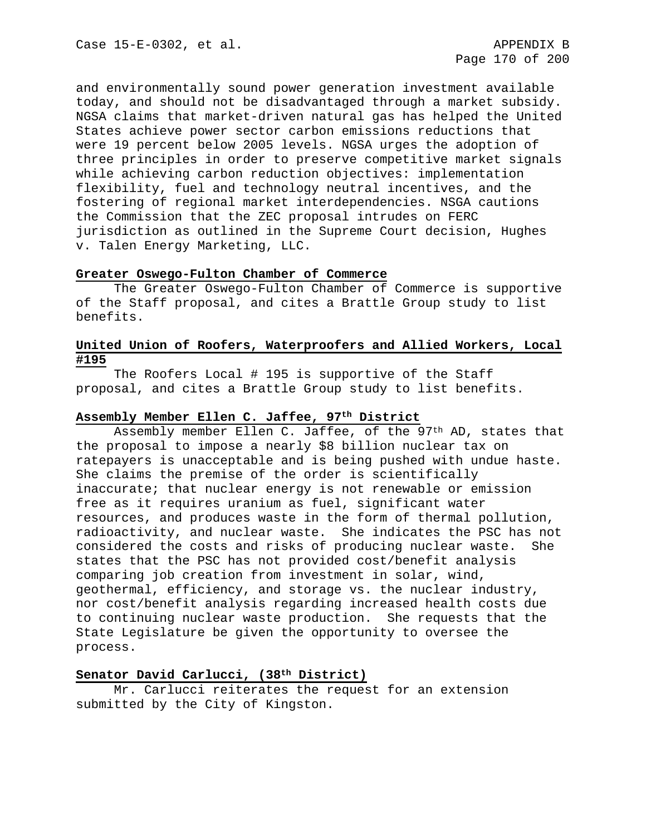and environmentally sound power generation investment available today, and should not be disadvantaged through a market subsidy. NGSA claims that market-driven natural gas has helped the United States achieve power sector carbon emissions reductions that were 19 percent below 2005 levels. NGSA urges the adoption of three principles in order to preserve competitive market signals while achieving carbon reduction objectives: implementation flexibility, fuel and technology neutral incentives, and the fostering of regional market interdependencies. NSGA cautions the Commission that the ZEC proposal intrudes on FERC jurisdiction as outlined in the Supreme Court decision, Hughes v. Talen Energy Marketing, LLC.

## **Greater Oswego-Fulton Chamber of Commerce**

The Greater Oswego-Fulton Chamber of Commerce is supportive of the Staff proposal, and cites a Brattle Group study to list benefits.

## **United Union of Roofers, Waterproofers and Allied Workers, Local #195**

The Roofers Local # 195 is supportive of the Staff proposal, and cites a Brattle Group study to list benefits.

## **Assembly Member Ellen C. Jaffee, 97th District**

Assembly member Ellen C. Jaffee, of the 97<sup>th</sup> AD, states that the proposal to impose a nearly \$8 billion nuclear tax on ratepayers is unacceptable and is being pushed with undue haste. She claims the premise of the order is scientifically inaccurate; that nuclear energy is not renewable or emission free as it requires uranium as fuel, significant water resources, and produces waste in the form of thermal pollution, radioactivity, and nuclear waste. She indicates the PSC has not considered the costs and risks of producing nuclear waste. She states that the PSC has not provided cost/benefit analysis comparing job creation from investment in solar, wind, geothermal, efficiency, and storage vs. the nuclear industry, nor cost/benefit analysis regarding increased health costs due to continuing nuclear waste production. She requests that the State Legislature be given the opportunity to oversee the process.

## **Senator David Carlucci, (38th District)**

Mr. Carlucci reiterates the request for an extension submitted by the City of Kingston.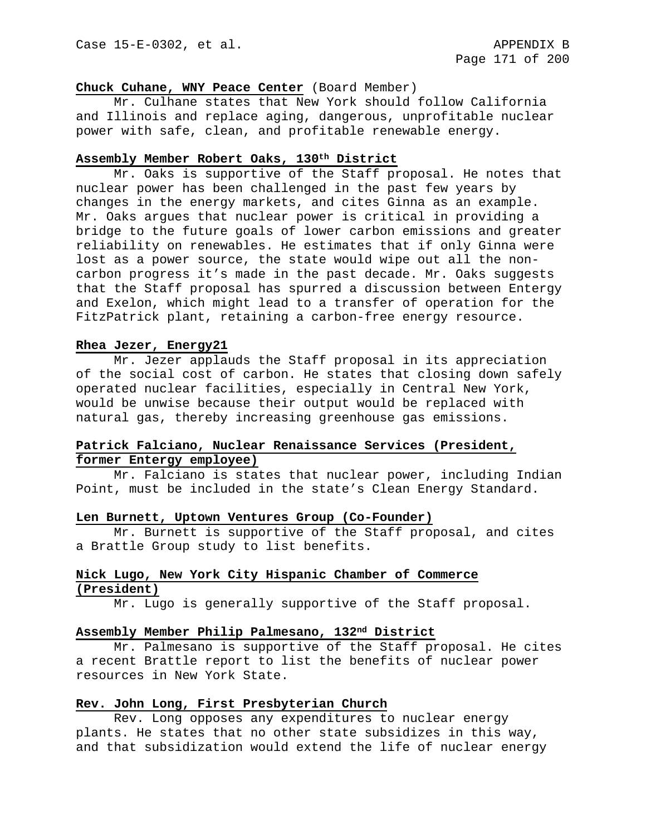### **Chuck Cuhane, WNY Peace Center** (Board Member)

Mr. Culhane states that New York should follow California and Illinois and replace aging, dangerous, unprofitable nuclear power with safe, clean, and profitable renewable energy.

### **Assembly Member Robert Oaks, 130th District**

Mr. Oaks is supportive of the Staff proposal. He notes that nuclear power has been challenged in the past few years by changes in the energy markets, and cites Ginna as an example. Mr. Oaks argues that nuclear power is critical in providing a bridge to the future goals of lower carbon emissions and greater reliability on renewables. He estimates that if only Ginna were lost as a power source, the state would wipe out all the noncarbon progress it's made in the past decade. Mr. Oaks suggests that the Staff proposal has spurred a discussion between Entergy and Exelon, which might lead to a transfer of operation for the FitzPatrick plant, retaining a carbon-free energy resource.

### **Rhea Jezer, Energy21**

Mr. Jezer applauds the Staff proposal in its appreciation of the social cost of carbon. He states that closing down safely operated nuclear facilities, especially in Central New York, would be unwise because their output would be replaced with natural gas, thereby increasing greenhouse gas emissions.

# **Patrick Falciano, Nuclear Renaissance Services (President, former Entergy employee)**

Mr. Falciano is states that nuclear power, including Indian Point, must be included in the state's Clean Energy Standard.

#### **Len Burnett, Uptown Ventures Group (Co-Founder)**

Mr. Burnett is supportive of the Staff proposal, and cites a Brattle Group study to list benefits.

## **Nick Lugo, New York City Hispanic Chamber of Commerce (President)**

Mr. Lugo is generally supportive of the Staff proposal.

## **Assembly Member Philip Palmesano, 132nd District**

Mr. Palmesano is supportive of the Staff proposal. He cites a recent Brattle report to list the benefits of nuclear power resources in New York State.

### **Rev. John Long, First Presbyterian Church**

Rev. Long opposes any expenditures to nuclear energy plants. He states that no other state subsidizes in this way, and that subsidization would extend the life of nuclear energy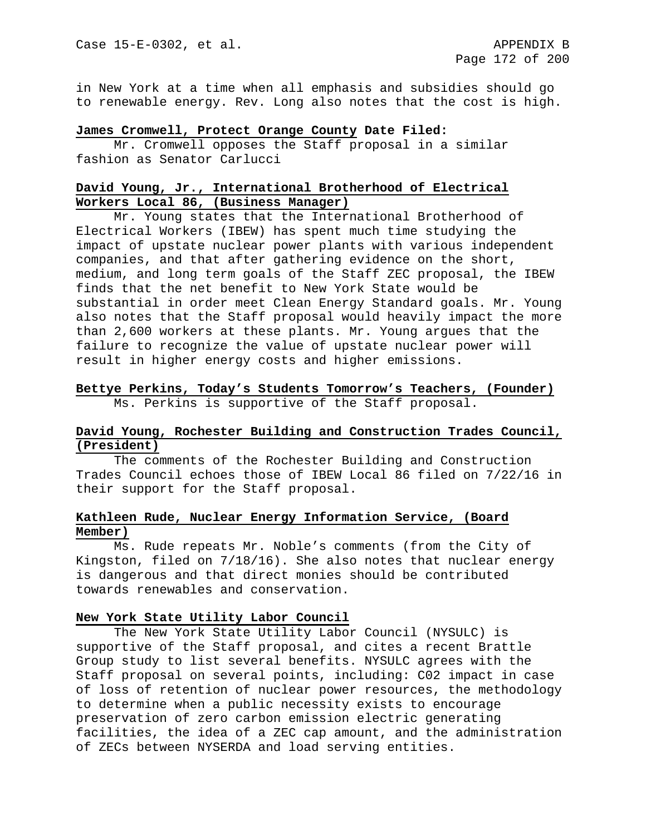in New York at a time when all emphasis and subsidies should go to renewable energy. Rev. Long also notes that the cost is high.

#### **James Cromwell, Protect Orange County Date Filed:**

Mr. Cromwell opposes the Staff proposal in a similar fashion as Senator Carlucci

## **David Young, Jr., International Brotherhood of Electrical Workers Local 86, (Business Manager)**

Mr. Young states that the International Brotherhood of Electrical Workers (IBEW) has spent much time studying the impact of upstate nuclear power plants with various independent companies, and that after gathering evidence on the short, medium, and long term goals of the Staff ZEC proposal, the IBEW finds that the net benefit to New York State would be substantial in order meet Clean Energy Standard goals. Mr. Young also notes that the Staff proposal would heavily impact the more than 2,600 workers at these plants. Mr. Young argues that the failure to recognize the value of upstate nuclear power will result in higher energy costs and higher emissions.

# **Bettye Perkins, Today's Students Tomorrow's Teachers, (Founder)** Ms. Perkins is supportive of the Staff proposal.

## **David Young, Rochester Building and Construction Trades Council, (President)**

The comments of the Rochester Building and Construction Trades Council echoes those of IBEW Local 86 filed on 7/22/16 in their support for the Staff proposal.

## **Kathleen Rude, Nuclear Energy Information Service, (Board Member)**

Ms. Rude repeats Mr. Noble's comments (from the City of Kingston, filed on 7/18/16). She also notes that nuclear energy is dangerous and that direct monies should be contributed towards renewables and conservation.

#### **New York State Utility Labor Council**

The New York State Utility Labor Council (NYSULC) is supportive of the Staff proposal, and cites a recent Brattle Group study to list several benefits. NYSULC agrees with the Staff proposal on several points, including: C02 impact in case of loss of retention of nuclear power resources, the methodology to determine when a public necessity exists to encourage preservation of zero carbon emission electric generating facilities, the idea of a ZEC cap amount, and the administration of ZECs between NYSERDA and load serving entities.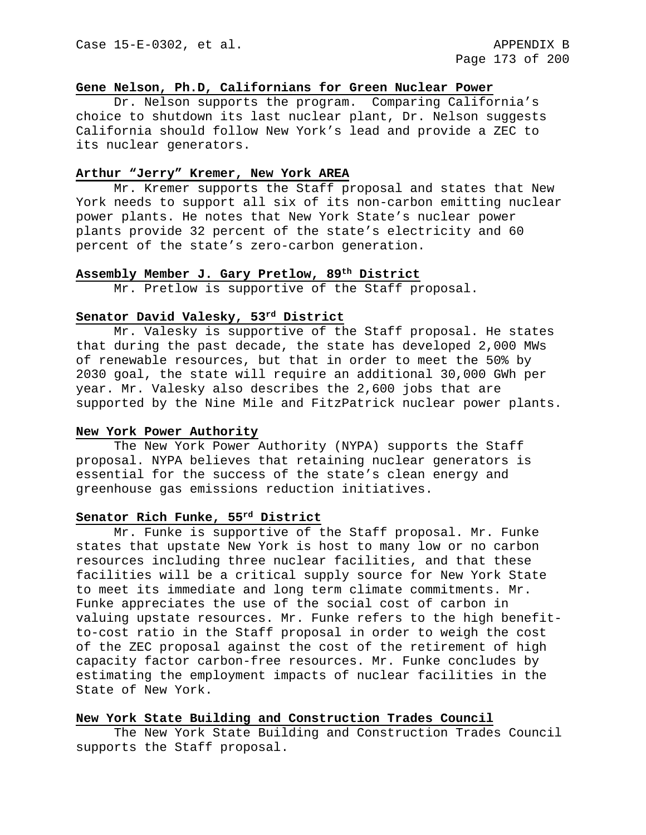# **Gene Nelson, Ph.D, Californians for Green Nuclear Power**

Dr. Nelson supports the program. Comparing California's choice to shutdown its last nuclear plant, Dr. Nelson suggests California should follow New York's lead and provide a ZEC to its nuclear generators.

# **Arthur "Jerry" Kremer, New York AREA**

Mr. Kremer supports the Staff proposal and states that New York needs to support all six of its non-carbon emitting nuclear power plants. He notes that New York State's nuclear power plants provide 32 percent of the state's electricity and 60 percent of the state's zero-carbon generation.

## **Assembly Member J. Gary Pretlow, 89th District**

Mr. Pretlow is supportive of the Staff proposal.

# **Senator David Valesky, 53rd District**

Mr. Valesky is supportive of the Staff proposal. He states that during the past decade, the state has developed 2,000 MWs of renewable resources, but that in order to meet the 50% by 2030 goal, the state will require an additional 30,000 GWh per year. Mr. Valesky also describes the 2,600 jobs that are supported by the Nine Mile and FitzPatrick nuclear power plants.

#### **New York Power Authority**

The New York Power Authority (NYPA) supports the Staff proposal. NYPA believes that retaining nuclear generators is essential for the success of the state's clean energy and greenhouse gas emissions reduction initiatives.

# **Senator Rich Funke, 55rd District**

Mr. Funke is supportive of the Staff proposal. Mr. Funke states that upstate New York is host to many low or no carbon resources including three nuclear facilities, and that these facilities will be a critical supply source for New York State to meet its immediate and long term climate commitments. Mr. Funke appreciates the use of the social cost of carbon in valuing upstate resources. Mr. Funke refers to the high benefitto-cost ratio in the Staff proposal in order to weigh the cost of the ZEC proposal against the cost of the retirement of high capacity factor carbon-free resources. Mr. Funke concludes by estimating the employment impacts of nuclear facilities in the State of New York.

#### **New York State Building and Construction Trades Council**

The New York State Building and Construction Trades Council supports the Staff proposal.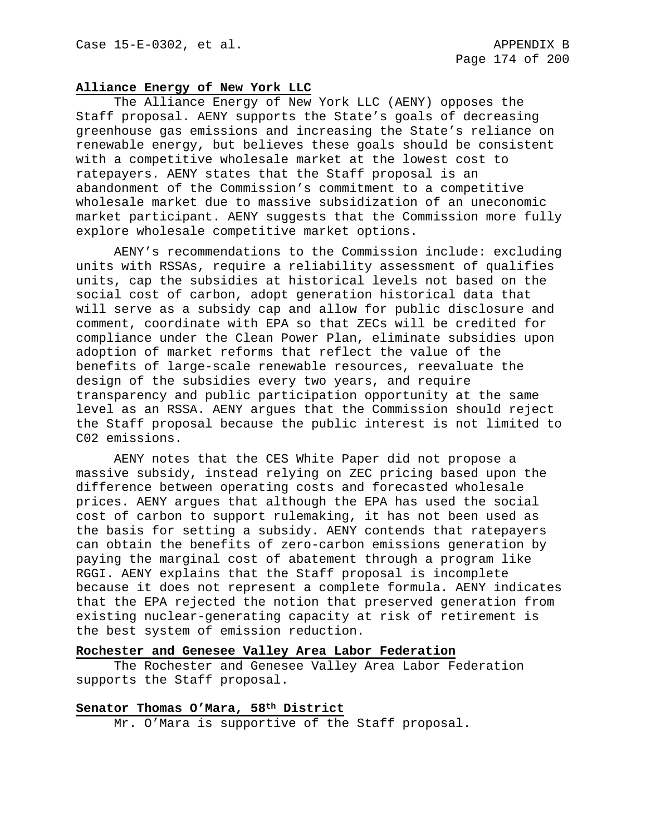# **Alliance Energy of New York LLC**

The Alliance Energy of New York LLC (AENY) opposes the Staff proposal. AENY supports the State's goals of decreasing greenhouse gas emissions and increasing the State's reliance on renewable energy, but believes these goals should be consistent with a competitive wholesale market at the lowest cost to ratepayers. AENY states that the Staff proposal is an abandonment of the Commission's commitment to a competitive wholesale market due to massive subsidization of an uneconomic market participant. AENY suggests that the Commission more fully explore wholesale competitive market options.

AENY's recommendations to the Commission include: excluding units with RSSAs, require a reliability assessment of qualifies units, cap the subsidies at historical levels not based on the social cost of carbon, adopt generation historical data that will serve as a subsidy cap and allow for public disclosure and comment, coordinate with EPA so that ZECs will be credited for compliance under the Clean Power Plan, eliminate subsidies upon adoption of market reforms that reflect the value of the benefits of large-scale renewable resources, reevaluate the design of the subsidies every two years, and require transparency and public participation opportunity at the same level as an RSSA. AENY argues that the Commission should reject the Staff proposal because the public interest is not limited to C02 emissions.

AENY notes that the CES White Paper did not propose a massive subsidy, instead relying on ZEC pricing based upon the difference between operating costs and forecasted wholesale prices. AENY argues that although the EPA has used the social cost of carbon to support rulemaking, it has not been used as the basis for setting a subsidy. AENY contends that ratepayers can obtain the benefits of zero-carbon emissions generation by paying the marginal cost of abatement through a program like RGGI. AENY explains that the Staff proposal is incomplete because it does not represent a complete formula. AENY indicates that the EPA rejected the notion that preserved generation from existing nuclear-generating capacity at risk of retirement is the best system of emission reduction.

#### **Rochester and Genesee Valley Area Labor Federation**

The Rochester and Genesee Valley Area Labor Federation supports the Staff proposal.

### **Senator Thomas O'Mara, 58th District**

Mr. O'Mara is supportive of the Staff proposal.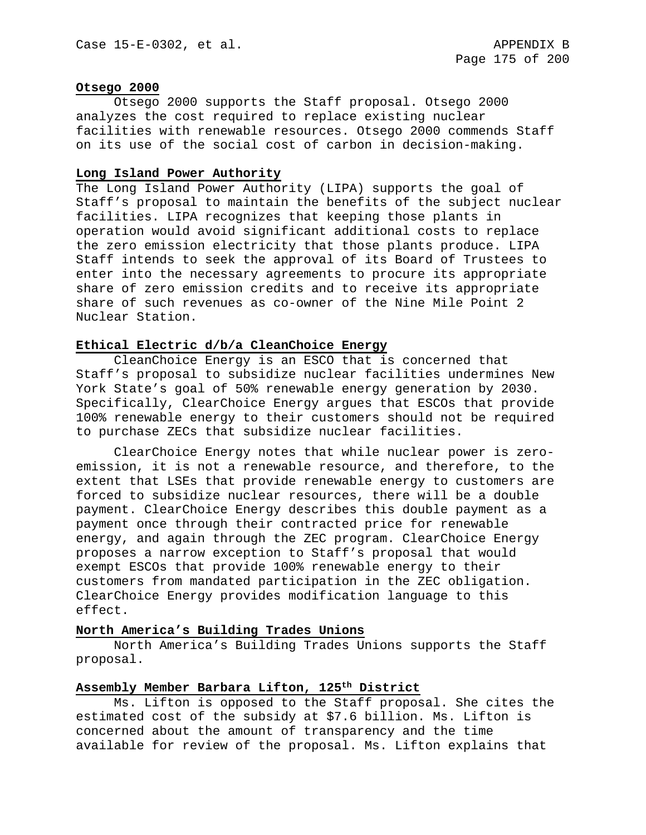#### **Otsego 2000**

Otsego 2000 supports the Staff proposal. Otsego 2000 analyzes the cost required to replace existing nuclear facilities with renewable resources. Otsego 2000 commends Staff on its use of the social cost of carbon in decision-making.

# **Long Island Power Authority**

The Long Island Power Authority (LIPA) supports the goal of Staff's proposal to maintain the benefits of the subject nuclear facilities. LIPA recognizes that keeping those plants in operation would avoid significant additional costs to replace the zero emission electricity that those plants produce. LIPA Staff intends to seek the approval of its Board of Trustees to enter into the necessary agreements to procure its appropriate share of zero emission credits and to receive its appropriate share of such revenues as co-owner of the Nine Mile Point 2 Nuclear Station.

## **Ethical Electric d/b/a CleanChoice Energy**

CleanChoice Energy is an ESCO that is concerned that Staff's proposal to subsidize nuclear facilities undermines New York State's goal of 50% renewable energy generation by 2030. Specifically, ClearChoice Energy argues that ESCOs that provide 100% renewable energy to their customers should not be required to purchase ZECs that subsidize nuclear facilities.

ClearChoice Energy notes that while nuclear power is zeroemission, it is not a renewable resource, and therefore, to the extent that LSEs that provide renewable energy to customers are forced to subsidize nuclear resources, there will be a double payment. ClearChoice Energy describes this double payment as a payment once through their contracted price for renewable energy, and again through the ZEC program. ClearChoice Energy proposes a narrow exception to Staff's proposal that would exempt ESCOs that provide 100% renewable energy to their customers from mandated participation in the ZEC obligation. ClearChoice Energy provides modification language to this effect.

# **North America's Building Trades Unions**

North America's Building Trades Unions supports the Staff proposal.

# **Assembly Member Barbara Lifton, 125th District**

Ms. Lifton is opposed to the Staff proposal. She cites the estimated cost of the subsidy at \$7.6 billion. Ms. Lifton is concerned about the amount of transparency and the time available for review of the proposal. Ms. Lifton explains that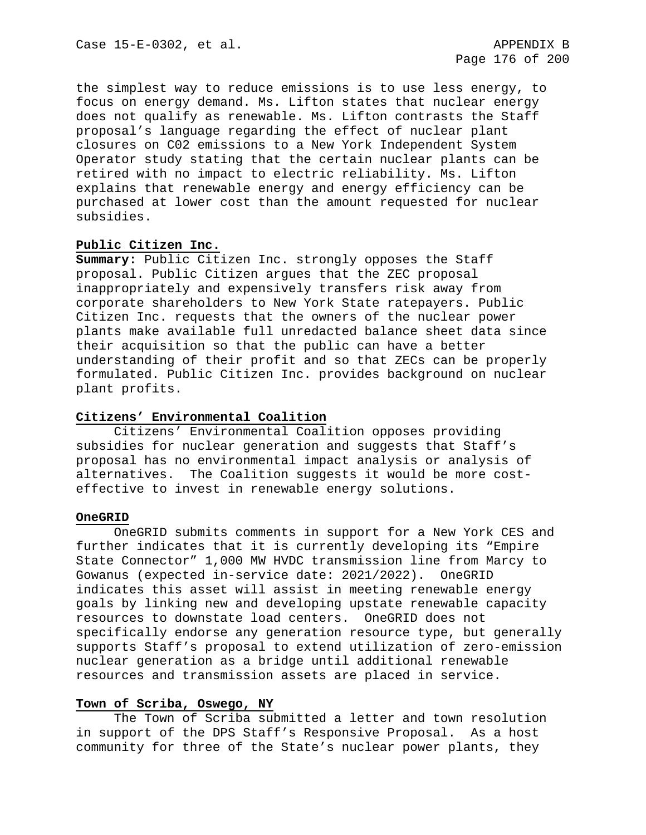the simplest way to reduce emissions is to use less energy, to focus on energy demand. Ms. Lifton states that nuclear energy does not qualify as renewable. Ms. Lifton contrasts the Staff proposal's language regarding the effect of nuclear plant closures on C02 emissions to a New York Independent System Operator study stating that the certain nuclear plants can be retired with no impact to electric reliability. Ms. Lifton explains that renewable energy and energy efficiency can be purchased at lower cost than the amount requested for nuclear subsidies.

## **Public Citizen Inc.**

**Summary:** Public Citizen Inc. strongly opposes the Staff proposal. Public Citizen argues that the ZEC proposal inappropriately and expensively transfers risk away from corporate shareholders to New York State ratepayers. Public Citizen Inc. requests that the owners of the nuclear power plants make available full unredacted balance sheet data since their acquisition so that the public can have a better understanding of their profit and so that ZECs can be properly formulated. Public Citizen Inc. provides background on nuclear plant profits.

# **Citizens' Environmental Coalition**

Citizens' Environmental Coalition opposes providing subsidies for nuclear generation and suggests that Staff's proposal has no environmental impact analysis or analysis of alternatives. The Coalition suggests it would be more costeffective to invest in renewable energy solutions.

## **OneGRID**

OneGRID submits comments in support for a New York CES and further indicates that it is currently developing its "Empire State Connector" 1,000 MW HVDC transmission line from Marcy to Gowanus (expected in-service date: 2021/2022). OneGRID indicates this asset will assist in meeting renewable energy goals by linking new and developing upstate renewable capacity resources to downstate load centers. OneGRID does not specifically endorse any generation resource type, but generally supports Staff's proposal to extend utilization of zero-emission nuclear generation as a bridge until additional renewable resources and transmission assets are placed in service.

## **Town of Scriba, Oswego, NY**

The Town of Scriba submitted a letter and town resolution in support of the DPS Staff's Responsive Proposal. As a host community for three of the State's nuclear power plants, they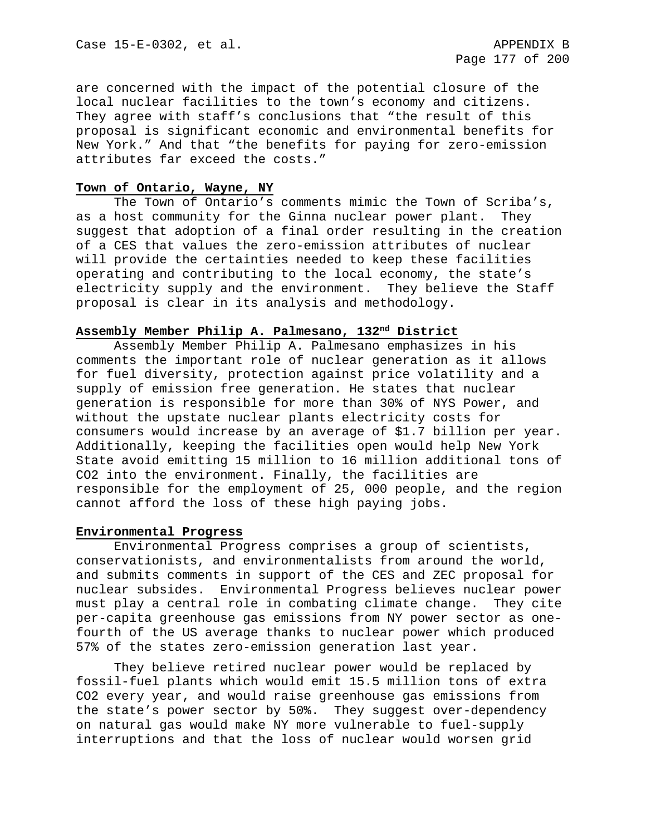are concerned with the impact of the potential closure of the local nuclear facilities to the town's economy and citizens. They agree with staff's conclusions that "the result of this proposal is significant economic and environmental benefits for New York." And that "the benefits for paying for zero-emission attributes far exceed the costs."

## **Town of Ontario, Wayne, NY**

The Town of Ontario's comments mimic the Town of Scriba's, as a host community for the Ginna nuclear power plant. They suggest that adoption of a final order resulting in the creation of a CES that values the zero-emission attributes of nuclear will provide the certainties needed to keep these facilities operating and contributing to the local economy, the state's electricity supply and the environment. They believe the Staff proposal is clear in its analysis and methodology.

## **Assembly Member Philip A. Palmesano, 132nd District**

Assembly Member Philip A. Palmesano emphasizes in his comments the important role of nuclear generation as it allows for fuel diversity, protection against price volatility and a supply of emission free generation. He states that nuclear generation is responsible for more than 30% of NYS Power, and without the upstate nuclear plants electricity costs for consumers would increase by an average of \$1.7 billion per year. Additionally, keeping the facilities open would help New York State avoid emitting 15 million to 16 million additional tons of CO2 into the environment. Finally, the facilities are responsible for the employment of 25, 000 people, and the region cannot afford the loss of these high paying jobs.

## **Environmental Progress**

Environmental Progress comprises a group of scientists, conservationists, and environmentalists from around the world, and submits comments in support of the CES and ZEC proposal for nuclear subsides. Environmental Progress believes nuclear power must play a central role in combating climate change. They cite per-capita greenhouse gas emissions from NY power sector as onefourth of the US average thanks to nuclear power which produced 57% of the states zero-emission generation last year.

They believe retired nuclear power would be replaced by fossil-fuel plants which would emit 15.5 million tons of extra CO2 every year, and would raise greenhouse gas emissions from the state's power sector by 50%. They suggest over-dependency on natural gas would make NY more vulnerable to fuel-supply interruptions and that the loss of nuclear would worsen grid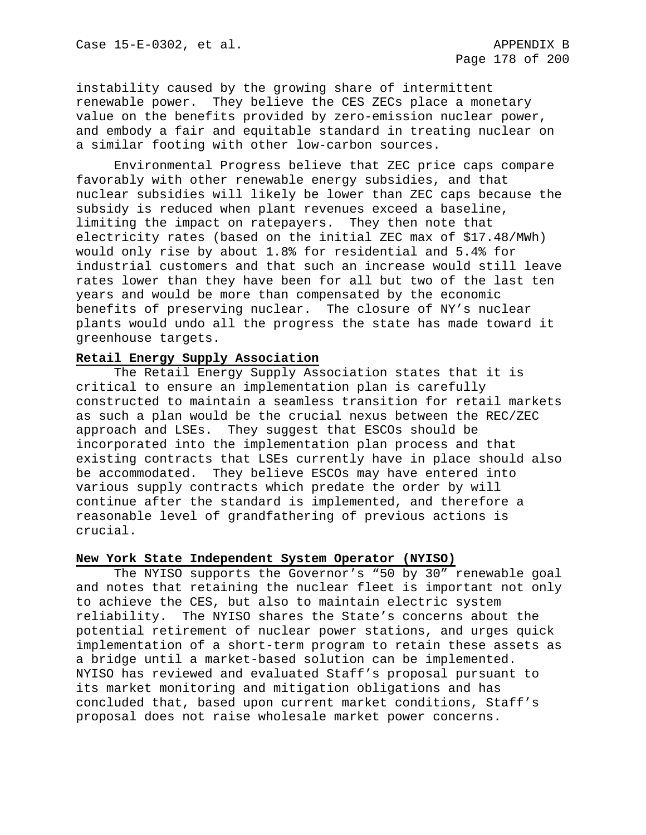instability caused by the growing share of intermittent renewable power. They believe the CES ZECs place a monetary value on the benefits provided by zero-emission nuclear power, and embody a fair and equitable standard in treating nuclear on a similar footing with other low-carbon sources.

Environmental Progress believe that ZEC price caps compare favorably with other renewable energy subsidies, and that nuclear subsidies will likely be lower than ZEC caps because the subsidy is reduced when plant revenues exceed a baseline, limiting the impact on ratepayers. They then note that electricity rates (based on the initial ZEC max of \$17.48/MWh) would only rise by about 1.8% for residential and 5.4% for industrial customers and that such an increase would still leave rates lower than they have been for all but two of the last ten years and would be more than compensated by the economic benefits of preserving nuclear. The closure of NY's nuclear plants would undo all the progress the state has made toward it greenhouse targets.

## **Retail Energy Supply Association**

The Retail Energy Supply Association states that it is critical to ensure an implementation plan is carefully constructed to maintain a seamless transition for retail markets as such a plan would be the crucial nexus between the REC/ZEC approach and LSEs. They suggest that ESCOs should be incorporated into the implementation plan process and that existing contracts that LSEs currently have in place should also be accommodated. They believe ESCOs may have entered into various supply contracts which predate the order by will continue after the standard is implemented, and therefore a reasonable level of grandfathering of previous actions is crucial.

## **New York State Independent System Operator (NYISO)**

The NYISO supports the Governor's "50 by 30" renewable goal and notes that retaining the nuclear fleet is important not only to achieve the CES, but also to maintain electric system reliability. The NYISO shares the State's concerns about the potential retirement of nuclear power stations, and urges quick implementation of a short-term program to retain these assets as a bridge until a market-based solution can be implemented. NYISO has reviewed and evaluated Staff's proposal pursuant to its market monitoring and mitigation obligations and has concluded that, based upon current market conditions, Staff's proposal does not raise wholesale market power concerns.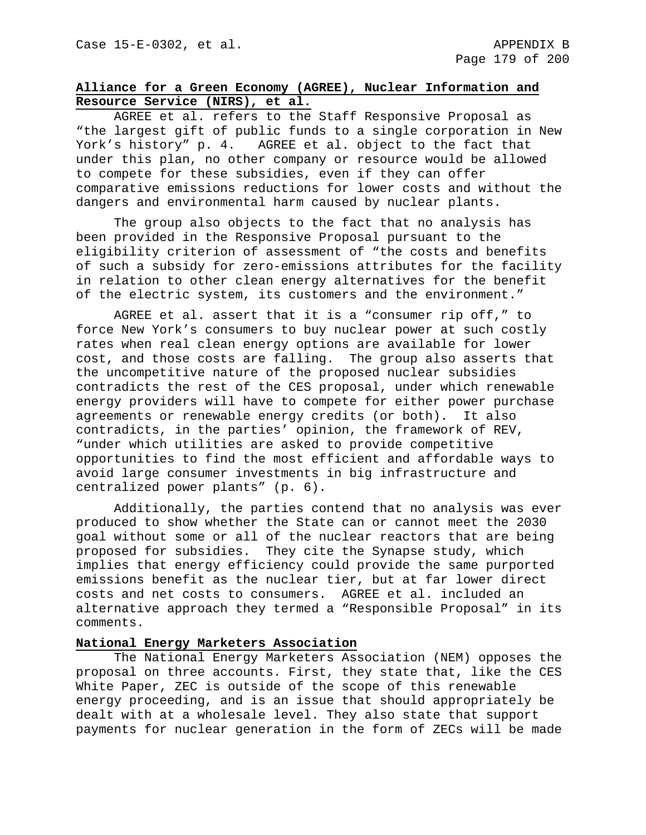# **Alliance for a Green Economy (AGREE), Nuclear Information and Resource Service (NIRS), et al.**

AGREE et al. refers to the Staff Responsive Proposal as "the largest gift of public funds to a single corporation in New York's history" p. 4. AGREE et al. object to the fact that under this plan, no other company or resource would be allowed to compete for these subsidies, even if they can offer comparative emissions reductions for lower costs and without the dangers and environmental harm caused by nuclear plants.

The group also objects to the fact that no analysis has been provided in the Responsive Proposal pursuant to the eligibility criterion of assessment of "the costs and benefits of such a subsidy for zero-emissions attributes for the facility in relation to other clean energy alternatives for the benefit of the electric system, its customers and the environment."

AGREE et al. assert that it is a "consumer rip off," to force New York's consumers to buy nuclear power at such costly rates when real clean energy options are available for lower cost, and those costs are falling. The group also asserts that the uncompetitive nature of the proposed nuclear subsidies contradicts the rest of the CES proposal, under which renewable energy providers will have to compete for either power purchase agreements or renewable energy credits (or both). It also contradicts, in the parties' opinion, the framework of REV, "under which utilities are asked to provide competitive opportunities to find the most efficient and affordable ways to avoid large consumer investments in big infrastructure and centralized power plants" (p. 6).

Additionally, the parties contend that no analysis was ever produced to show whether the State can or cannot meet the 2030 goal without some or all of the nuclear reactors that are being proposed for subsidies. They cite the Synapse study, which implies that energy efficiency could provide the same purported emissions benefit as the nuclear tier, but at far lower direct costs and net costs to consumers. AGREE et al. included an alternative approach they termed a "Responsible Proposal" in its comments.

# **National Energy Marketers Association**

The National Energy Marketers Association (NEM) opposes the proposal on three accounts. First, they state that, like the CES White Paper, ZEC is outside of the scope of this renewable energy proceeding, and is an issue that should appropriately be dealt with at a wholesale level. They also state that support payments for nuclear generation in the form of ZECs will be made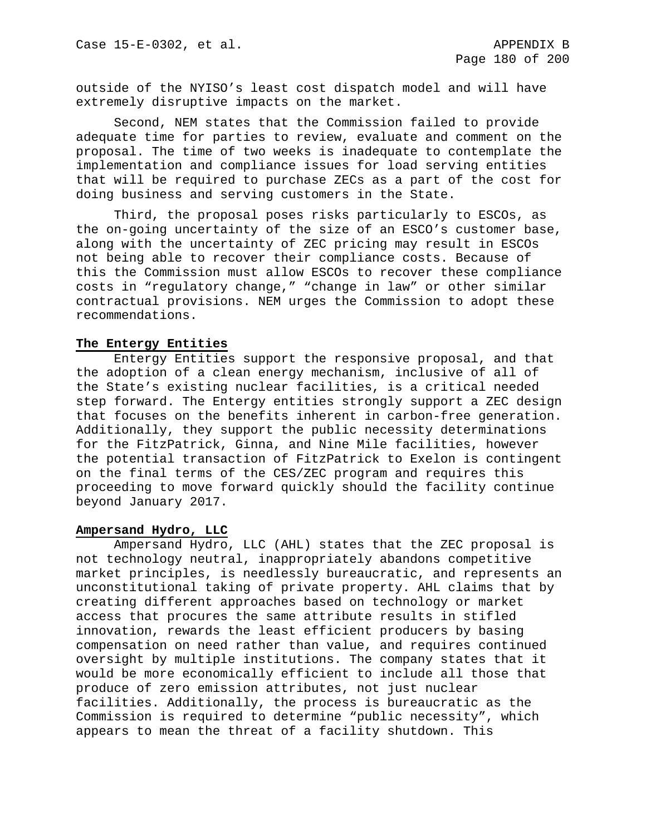outside of the NYISO's least cost dispatch model and will have extremely disruptive impacts on the market.

Second, NEM states that the Commission failed to provide adequate time for parties to review, evaluate and comment on the proposal. The time of two weeks is inadequate to contemplate the implementation and compliance issues for load serving entities that will be required to purchase ZECs as a part of the cost for doing business and serving customers in the State.

Third, the proposal poses risks particularly to ESCOs, as the on-going uncertainty of the size of an ESCO's customer base, along with the uncertainty of ZEC pricing may result in ESCOs not being able to recover their compliance costs. Because of this the Commission must allow ESCOs to recover these compliance costs in "regulatory change," "change in law" or other similar contractual provisions. NEM urges the Commission to adopt these recommendations.

## **The Entergy Entities**

Entergy Entities support the responsive proposal, and that the adoption of a clean energy mechanism, inclusive of all of the State's existing nuclear facilities, is a critical needed step forward. The Entergy entities strongly support a ZEC design that focuses on the benefits inherent in carbon-free generation. Additionally, they support the public necessity determinations for the FitzPatrick, Ginna, and Nine Mile facilities, however the potential transaction of FitzPatrick to Exelon is contingent on the final terms of the CES/ZEC program and requires this proceeding to move forward quickly should the facility continue beyond January 2017.

## **Ampersand Hydro, LLC**

Ampersand Hydro, LLC (AHL) states that the ZEC proposal is not technology neutral, inappropriately abandons competitive market principles, is needlessly bureaucratic, and represents an unconstitutional taking of private property. AHL claims that by creating different approaches based on technology or market access that procures the same attribute results in stifled innovation, rewards the least efficient producers by basing compensation on need rather than value, and requires continued oversight by multiple institutions. The company states that it would be more economically efficient to include all those that produce of zero emission attributes, not just nuclear facilities. Additionally, the process is bureaucratic as the Commission is required to determine "public necessity", which appears to mean the threat of a facility shutdown. This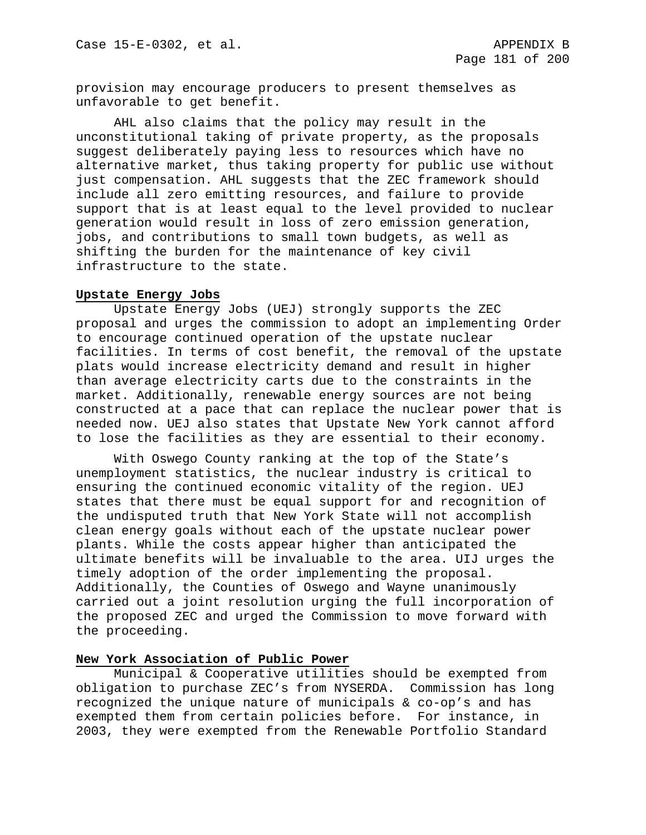provision may encourage producers to present themselves as unfavorable to get benefit.

AHL also claims that the policy may result in the unconstitutional taking of private property, as the proposals suggest deliberately paying less to resources which have no alternative market, thus taking property for public use without just compensation. AHL suggests that the ZEC framework should include all zero emitting resources, and failure to provide support that is at least equal to the level provided to nuclear generation would result in loss of zero emission generation, jobs, and contributions to small town budgets, as well as shifting the burden for the maintenance of key civil infrastructure to the state.

#### **Upstate Energy Jobs**

Upstate Energy Jobs (UEJ) strongly supports the ZEC proposal and urges the commission to adopt an implementing Order to encourage continued operation of the upstate nuclear facilities. In terms of cost benefit, the removal of the upstate plats would increase electricity demand and result in higher than average electricity carts due to the constraints in the market. Additionally, renewable energy sources are not being constructed at a pace that can replace the nuclear power that is needed now. UEJ also states that Upstate New York cannot afford to lose the facilities as they are essential to their economy.

With Oswego County ranking at the top of the State's unemployment statistics, the nuclear industry is critical to ensuring the continued economic vitality of the region. UEJ states that there must be equal support for and recognition of the undisputed truth that New York State will not accomplish clean energy goals without each of the upstate nuclear power plants. While the costs appear higher than anticipated the ultimate benefits will be invaluable to the area. UIJ urges the timely adoption of the order implementing the proposal. Additionally, the Counties of Oswego and Wayne unanimously carried out a joint resolution urging the full incorporation of the proposed ZEC and urged the Commission to move forward with the proceeding.

# **New York Association of Public Power**

Municipal & Cooperative utilities should be exempted from obligation to purchase ZEC's from NYSERDA. Commission has long recognized the unique nature of municipals & co-op's and has exempted them from certain policies before. For instance, in 2003, they were exempted from the Renewable Portfolio Standard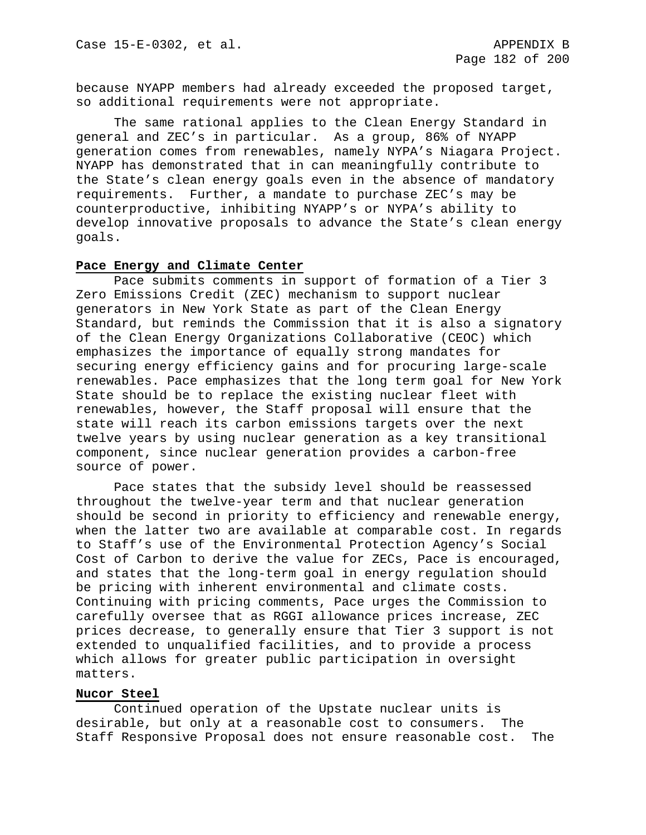because NYAPP members had already exceeded the proposed target, so additional requirements were not appropriate.

The same rational applies to the Clean Energy Standard in general and ZEC's in particular. As a group, 86% of NYAPP generation comes from renewables, namely NYPA's Niagara Project. NYAPP has demonstrated that in can meaningfully contribute to the State's clean energy goals even in the absence of mandatory requirements. Further, a mandate to purchase ZEC's may be counterproductive, inhibiting NYAPP's or NYPA's ability to develop innovative proposals to advance the State's clean energy goals.

#### **Pace Energy and Climate Center**

Pace submits comments in support of formation of a Tier 3 Zero Emissions Credit (ZEC) mechanism to support nuclear generators in New York State as part of the Clean Energy Standard, but reminds the Commission that it is also a signatory of the Clean Energy Organizations Collaborative (CEOC) which emphasizes the importance of equally strong mandates for securing energy efficiency gains and for procuring large-scale renewables. Pace emphasizes that the long term goal for New York State should be to replace the existing nuclear fleet with renewables, however, the Staff proposal will ensure that the state will reach its carbon emissions targets over the next twelve years by using nuclear generation as a key transitional component, since nuclear generation provides a carbon-free source of power.

Pace states that the subsidy level should be reassessed throughout the twelve-year term and that nuclear generation should be second in priority to efficiency and renewable energy, when the latter two are available at comparable cost. In regards to Staff's use of the Environmental Protection Agency's Social Cost of Carbon to derive the value for ZECs, Pace is encouraged, and states that the long-term goal in energy regulation should be pricing with inherent environmental and climate costs. Continuing with pricing comments, Pace urges the Commission to carefully oversee that as RGGI allowance prices increase, ZEC prices decrease, to generally ensure that Tier 3 support is not extended to unqualified facilities, and to provide a process which allows for greater public participation in oversight matters.

#### **Nucor Steel**

Continued operation of the Upstate nuclear units is desirable, but only at a reasonable cost to consumers. The Staff Responsive Proposal does not ensure reasonable cost. The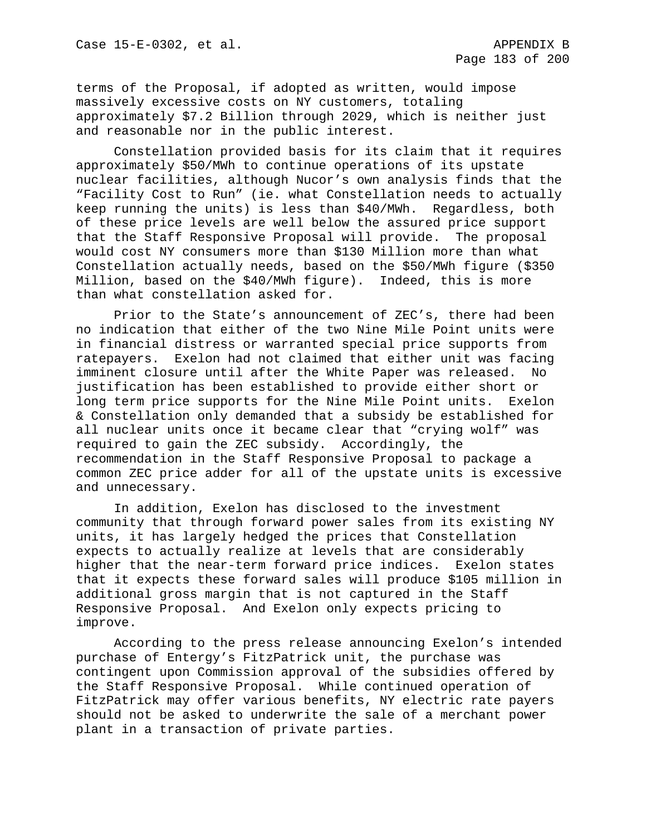terms of the Proposal, if adopted as written, would impose massively excessive costs on NY customers, totaling approximately \$7.2 Billion through 2029, which is neither just and reasonable nor in the public interest.

Constellation provided basis for its claim that it requires approximately \$50/MWh to continue operations of its upstate nuclear facilities, although Nucor's own analysis finds that the "Facility Cost to Run" (ie. what Constellation needs to actually keep running the units) is less than \$40/MWh. Regardless, both of these price levels are well below the assured price support that the Staff Responsive Proposal will provide. The proposal would cost NY consumers more than \$130 Million more than what Constellation actually needs, based on the \$50/MWh figure (\$350 Million, based on the \$40/MWh figure). Indeed, this is more than what constellation asked for.

Prior to the State's announcement of ZEC's, there had been no indication that either of the two Nine Mile Point units were in financial distress or warranted special price supports from ratepayers. Exelon had not claimed that either unit was facing imminent closure until after the White Paper was released. No justification has been established to provide either short or long term price supports for the Nine Mile Point units. Exelon & Constellation only demanded that a subsidy be established for all nuclear units once it became clear that "crying wolf" was required to gain the ZEC subsidy. Accordingly, the recommendation in the Staff Responsive Proposal to package a common ZEC price adder for all of the upstate units is excessive and unnecessary.

In addition, Exelon has disclosed to the investment community that through forward power sales from its existing NY units, it has largely hedged the prices that Constellation expects to actually realize at levels that are considerably higher that the near-term forward price indices. Exelon states that it expects these forward sales will produce \$105 million in additional gross margin that is not captured in the Staff Responsive Proposal. And Exelon only expects pricing to improve.

According to the press release announcing Exelon's intended purchase of Entergy's FitzPatrick unit, the purchase was contingent upon Commission approval of the subsidies offered by the Staff Responsive Proposal. While continued operation of FitzPatrick may offer various benefits, NY electric rate payers should not be asked to underwrite the sale of a merchant power plant in a transaction of private parties.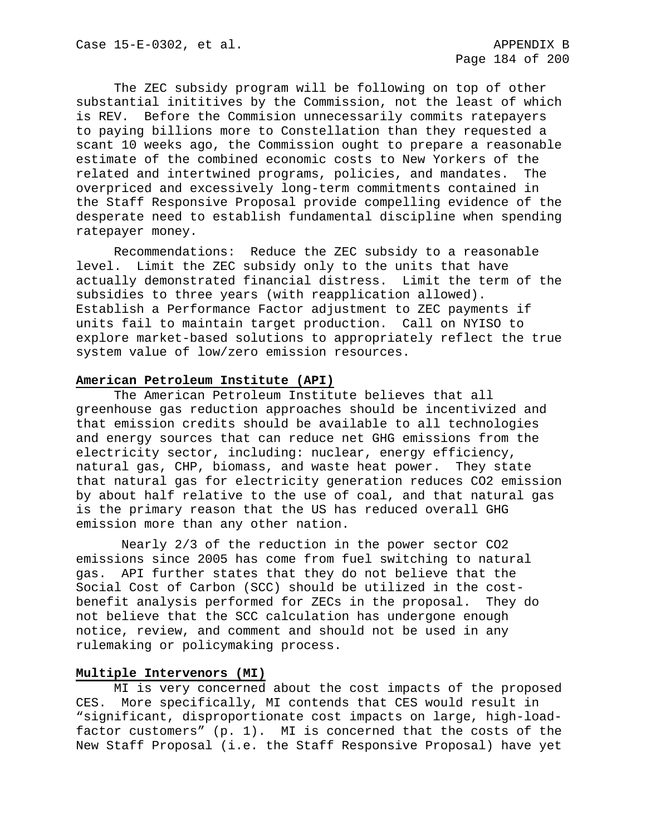The ZEC subsidy program will be following on top of other substantial inititives by the Commission, not the least of which is REV. Before the Commision unnecessarily commits ratepayers to paying billions more to Constellation than they requested a scant 10 weeks ago, the Commission ought to prepare a reasonable estimate of the combined economic costs to New Yorkers of the<br>related and intertwined programs, policies, and mandates. The related and intertwined programs, policies, and mandates. overpriced and excessively long-term commitments contained in the Staff Responsive Proposal provide compelling evidence of the desperate need to establish fundamental discipline when spending ratepayer money.

Recommendations: Reduce the ZEC subsidy to a reasonable level. Limit the ZEC subsidy only to the units that have actually demonstrated financial distress. Limit the term of the subsidies to three years (with reapplication allowed). Establish a Performance Factor adjustment to ZEC payments if units fail to maintain target production. Call on NYISO to explore market-based solutions to appropriately reflect the true system value of low/zero emission resources.

#### **American Petroleum Institute (API)**

The American Petroleum Institute believes that all greenhouse gas reduction approaches should be incentivized and that emission credits should be available to all technologies and energy sources that can reduce net GHG emissions from the electricity sector, including: nuclear, energy efficiency, natural gas, CHP, biomass, and waste heat power. They state that natural gas for electricity generation reduces CO2 emission by about half relative to the use of coal, and that natural gas is the primary reason that the US has reduced overall GHG emission more than any other nation.

Nearly 2/3 of the reduction in the power sector CO2 emissions since 2005 has come from fuel switching to natural gas. API further states that they do not believe that the Social Cost of Carbon (SCC) should be utilized in the costbenefit analysis performed for ZECs in the proposal. They do not believe that the SCC calculation has undergone enough notice, review, and comment and should not be used in any rulemaking or policymaking process.

# **Multiple Intervenors (MI)**

MI is very concerned about the cost impacts of the proposed CES. More specifically, MI contends that CES would result in "significant, disproportionate cost impacts on large, high-loadfactor customers" (p. 1). MI is concerned that the costs of the New Staff Proposal (i.e. the Staff Responsive Proposal) have yet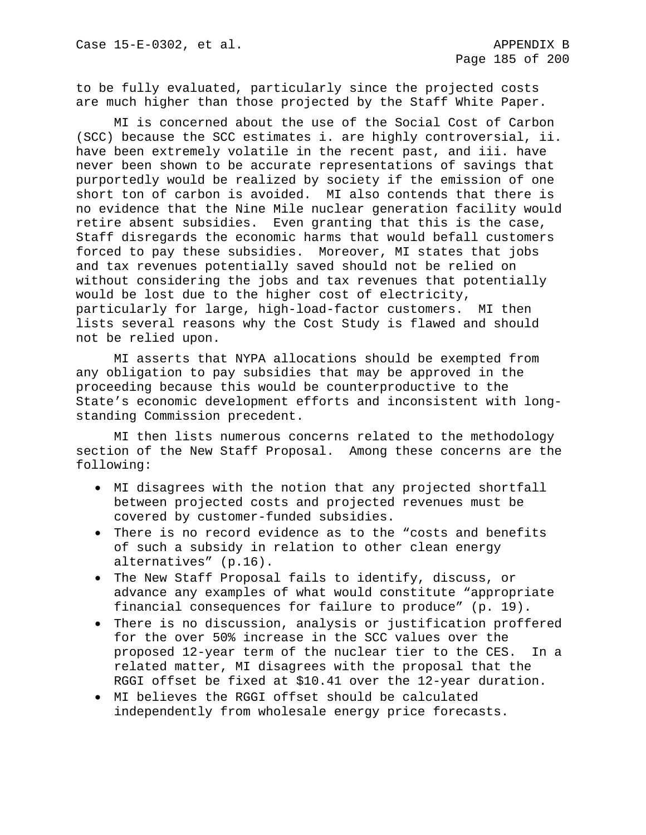to be fully evaluated, particularly since the projected costs are much higher than those projected by the Staff White Paper.

MI is concerned about the use of the Social Cost of Carbon (SCC) because the SCC estimates i. are highly controversial, ii. have been extremely volatile in the recent past, and iii. have never been shown to be accurate representations of savings that purportedly would be realized by society if the emission of one short ton of carbon is avoided. MI also contends that there is no evidence that the Nine Mile nuclear generation facility would retire absent subsidies. Even granting that this is the case, Staff disregards the economic harms that would befall customers forced to pay these subsidies. Moreover, MI states that jobs and tax revenues potentially saved should not be relied on without considering the jobs and tax revenues that potentially would be lost due to the higher cost of electricity, particularly for large, high-load-factor customers. MI then lists several reasons why the Cost Study is flawed and should not be relied upon.

MI asserts that NYPA allocations should be exempted from any obligation to pay subsidies that may be approved in the proceeding because this would be counterproductive to the State's economic development efforts and inconsistent with longstanding Commission precedent.

MI then lists numerous concerns related to the methodology section of the New Staff Proposal. Among these concerns are the following:

- MI disagrees with the notion that any projected shortfall between projected costs and projected revenues must be covered by customer-funded subsidies.
- There is no record evidence as to the "costs and benefits of such a subsidy in relation to other clean energy alternatives" (p.16).
- The New Staff Proposal fails to identify, discuss, or advance any examples of what would constitute "appropriate financial consequences for failure to produce" (p. 19).
- There is no discussion, analysis or justification proffered for the over 50% increase in the SCC values over the proposed 12-year term of the nuclear tier to the CES. In a related matter, MI disagrees with the proposal that the RGGI offset be fixed at \$10.41 over the 12-year duration.
- MI believes the RGGI offset should be calculated independently from wholesale energy price forecasts.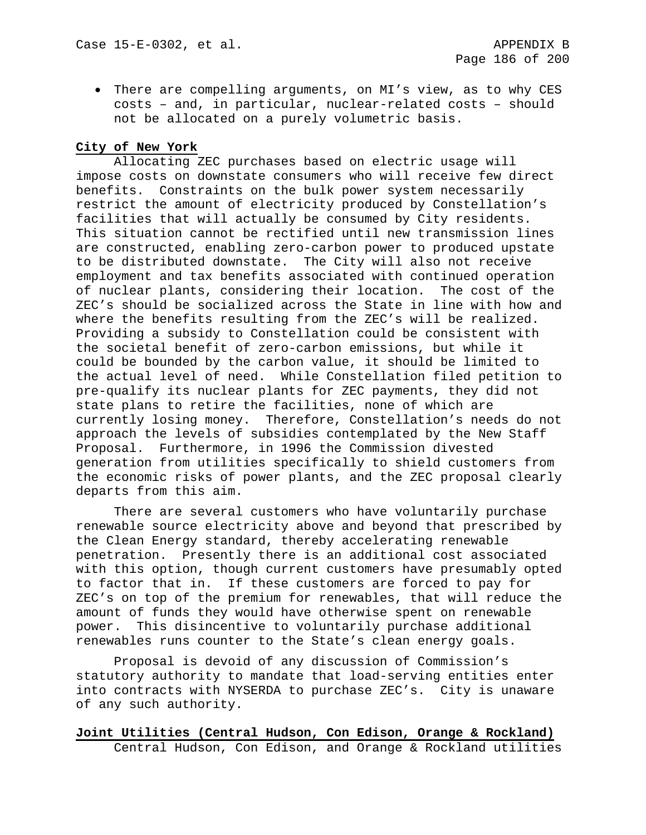• There are compelling arguments, on MI's view, as to why CES costs – and, in particular, nuclear-related costs – should not be allocated on a purely volumetric basis.

# **City of New York**

Allocating ZEC purchases based on electric usage will impose costs on downstate consumers who will receive few direct benefits. Constraints on the bulk power system necessarily restrict the amount of electricity produced by Constellation's facilities that will actually be consumed by City residents. This situation cannot be rectified until new transmission lines are constructed, enabling zero-carbon power to produced upstate to be distributed downstate. The City will also not receive employment and tax benefits associated with continued operation of nuclear plants, considering their location. The cost of the ZEC's should be socialized across the State in line with how and where the benefits resulting from the ZEC's will be realized. Providing a subsidy to Constellation could be consistent with the societal benefit of zero-carbon emissions, but while it could be bounded by the carbon value, it should be limited to the actual level of need. While Constellation filed petition to pre-qualify its nuclear plants for ZEC payments, they did not state plans to retire the facilities, none of which are currently losing money. Therefore, Constellation's needs do not approach the levels of subsidies contemplated by the New Staff Proposal. Furthermore, in 1996 the Commission divested generation from utilities specifically to shield customers from the economic risks of power plants, and the ZEC proposal clearly departs from this aim.

There are several customers who have voluntarily purchase renewable source electricity above and beyond that prescribed by the Clean Energy standard, thereby accelerating renewable penetration. Presently there is an additional cost associated with this option, though current customers have presumably opted to factor that in. If these customers are forced to pay for ZEC's on top of the premium for renewables, that will reduce the amount of funds they would have otherwise spent on renewable power. This disincentive to voluntarily purchase additional renewables runs counter to the State's clean energy goals.

Proposal is devoid of any discussion of Commission's statutory authority to mandate that load-serving entities enter into contracts with NYSERDA to purchase ZEC's. City is unaware of any such authority.

# **Joint Utilities (Central Hudson, Con Edison, Orange & Rockland)** Central Hudson, Con Edison, and Orange & Rockland utilities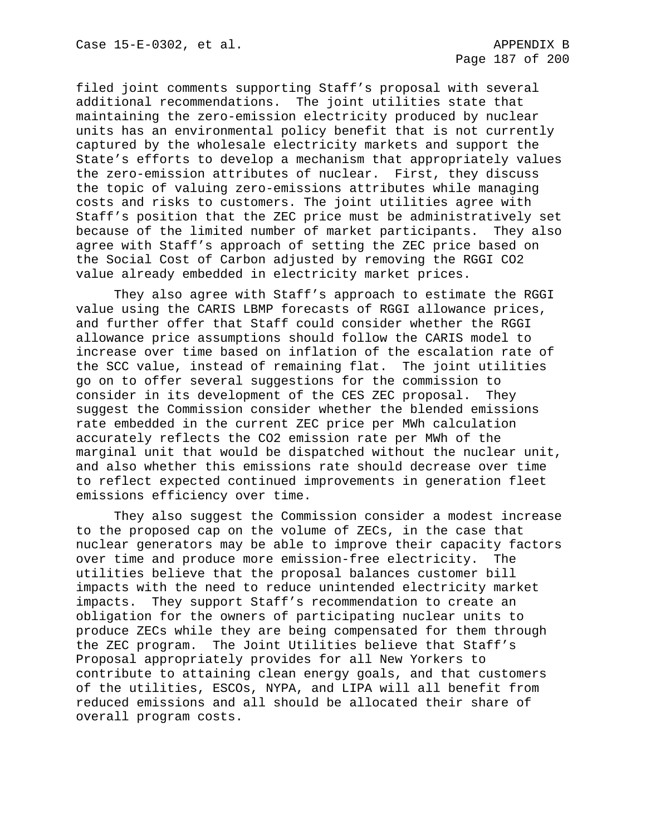filed joint comments supporting Staff's proposal with several additional recommendations. The joint utilities state that maintaining the zero-emission electricity produced by nuclear units has an environmental policy benefit that is not currently captured by the wholesale electricity markets and support the State's efforts to develop a mechanism that appropriately values the zero-emission attributes of nuclear. First, they discuss the topic of valuing zero-emissions attributes while managing costs and risks to customers. The joint utilities agree with Staff's position that the ZEC price must be administratively set because of the limited number of market participants. They also agree with Staff's approach of setting the ZEC price based on the Social Cost of Carbon adjusted by removing the RGGI CO2 value already embedded in electricity market prices.

They also agree with Staff's approach to estimate the RGGI value using the CARIS LBMP forecasts of RGGI allowance prices, and further offer that Staff could consider whether the RGGI allowance price assumptions should follow the CARIS model to increase over time based on inflation of the escalation rate of the SCC value, instead of remaining flat. The joint utilities go on to offer several suggestions for the commission to consider in its development of the CES ZEC proposal. They suggest the Commission consider whether the blended emissions rate embedded in the current ZEC price per MWh calculation accurately reflects the CO2 emission rate per MWh of the marginal unit that would be dispatched without the nuclear unit, and also whether this emissions rate should decrease over time to reflect expected continued improvements in generation fleet emissions efficiency over time.

They also suggest the Commission consider a modest increase to the proposed cap on the volume of ZECs, in the case that nuclear generators may be able to improve their capacity factors over time and produce more emission-free electricity. The utilities believe that the proposal balances customer bill impacts with the need to reduce unintended electricity market impacts. They support Staff's recommendation to create an obligation for the owners of participating nuclear units to produce ZECs while they are being compensated for them through the ZEC program. The Joint Utilities believe that Staff's Proposal appropriately provides for all New Yorkers to contribute to attaining clean energy goals, and that customers of the utilities, ESCOs, NYPA, and LIPA will all benefit from reduced emissions and all should be allocated their share of overall program costs.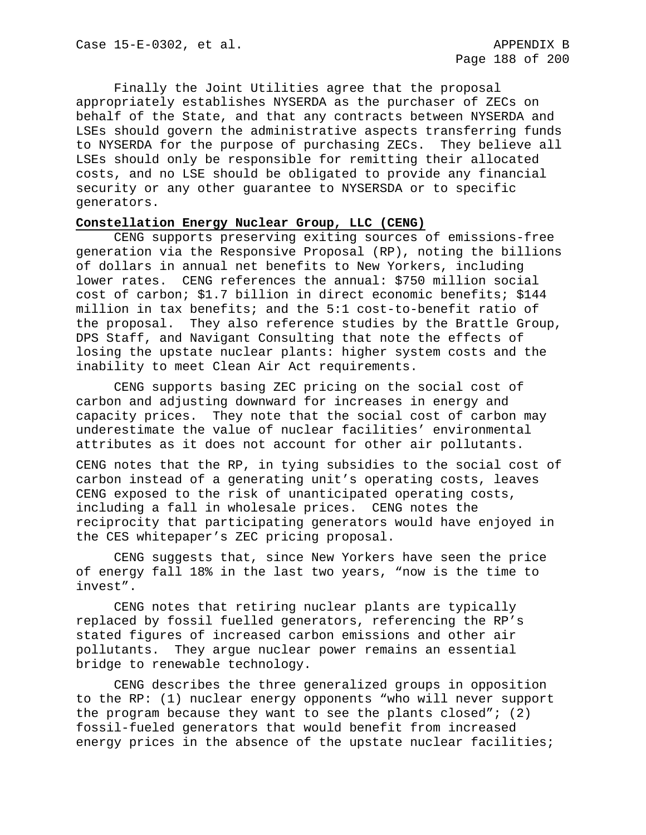Finally the Joint Utilities agree that the proposal appropriately establishes NYSERDA as the purchaser of ZECs on behalf of the State, and that any contracts between NYSERDA and LSEs should govern the administrative aspects transferring funds to NYSERDA for the purpose of purchasing ZECs. They believe all LSEs should only be responsible for remitting their allocated costs, and no LSE should be obligated to provide any financial security or any other guarantee to NYSERSDA or to specific generators.

## **Constellation Energy Nuclear Group, LLC (CENG)**

CENG supports preserving exiting sources of emissions-free generation via the Responsive Proposal (RP), noting the billions of dollars in annual net benefits to New Yorkers, including lower rates. CENG references the annual: \$750 million social cost of carbon; \$1.7 billion in direct economic benefits; \$144 million in tax benefits; and the 5:1 cost-to-benefit ratio of the proposal. They also reference studies by the Brattle Group, DPS Staff, and Navigant Consulting that note the effects of losing the upstate nuclear plants: higher system costs and the inability to meet Clean Air Act requirements.

CENG supports basing ZEC pricing on the social cost of carbon and adjusting downward for increases in energy and capacity prices. They note that the social cost of carbon may underestimate the value of nuclear facilities' environmental attributes as it does not account for other air pollutants.

CENG notes that the RP, in tying subsidies to the social cost of carbon instead of a generating unit's operating costs, leaves CENG exposed to the risk of unanticipated operating costs, including a fall in wholesale prices. CENG notes the reciprocity that participating generators would have enjoyed in the CES whitepaper's ZEC pricing proposal.

CENG suggests that, since New Yorkers have seen the price of energy fall 18% in the last two years, "now is the time to invest".

CENG notes that retiring nuclear plants are typically replaced by fossil fuelled generators, referencing the RP's stated figures of increased carbon emissions and other air pollutants. They argue nuclear power remains an essential bridge to renewable technology.

CENG describes the three generalized groups in opposition to the RP: (1) nuclear energy opponents "who will never support the program because they want to see the plants closed"; (2) fossil-fueled generators that would benefit from increased energy prices in the absence of the upstate nuclear facilities;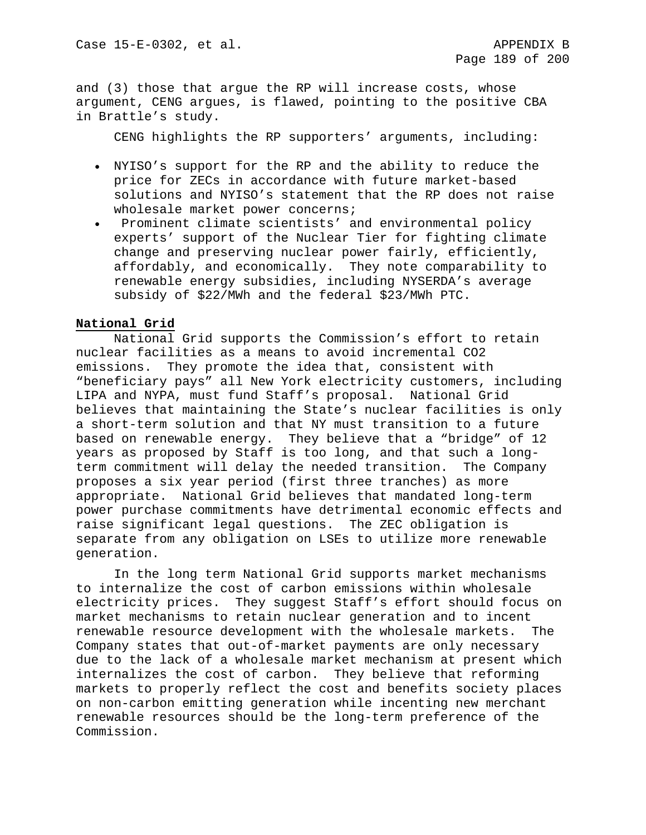and (3) those that argue the RP will increase costs, whose argument, CENG argues, is flawed, pointing to the positive CBA in Brattle's study.

CENG highlights the RP supporters' arguments, including:

- NYISO's support for the RP and the ability to reduce the price for ZECs in accordance with future market-based solutions and NYISO's statement that the RP does not raise wholesale market power concerns;
- Prominent climate scientists' and environmental policy experts' support of the Nuclear Tier for fighting climate change and preserving nuclear power fairly, efficiently, affordably, and economically. They note comparability to renewable energy subsidies, including NYSERDA's average subsidy of \$22/MWh and the federal \$23/MWh PTC.

# **National Grid**

National Grid supports the Commission's effort to retain nuclear facilities as a means to avoid incremental CO2 emissions. They promote the idea that, consistent with "beneficiary pays" all New York electricity customers, including LIPA and NYPA, must fund Staff's proposal. National Grid believes that maintaining the State's nuclear facilities is only a short-term solution and that NY must transition to a future based on renewable energy. They believe that a "bridge" of 12 years as proposed by Staff is too long, and that such a longterm commitment will delay the needed transition. The Company proposes a six year period (first three tranches) as more appropriate. National Grid believes that mandated long-term power purchase commitments have detrimental economic effects and raise significant legal questions. The ZEC obligation is separate from any obligation on LSEs to utilize more renewable generation.

In the long term National Grid supports market mechanisms to internalize the cost of carbon emissions within wholesale electricity prices. They suggest Staff's effort should focus on market mechanisms to retain nuclear generation and to incent renewable resource development with the wholesale markets. The Company states that out-of-market payments are only necessary due to the lack of a wholesale market mechanism at present which internalizes the cost of carbon. They believe that reforming markets to properly reflect the cost and benefits society places on non-carbon emitting generation while incenting new merchant renewable resources should be the long-term preference of the Commission.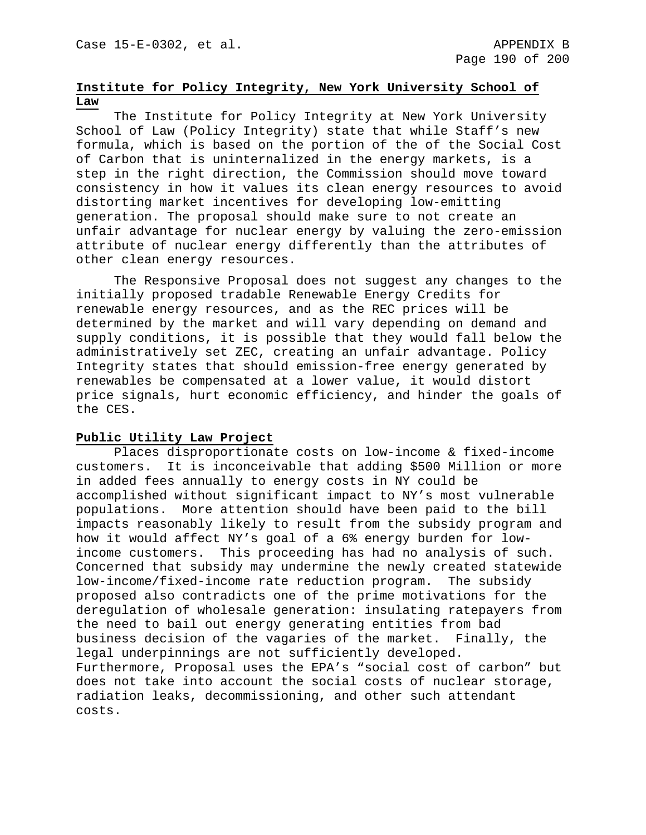# **Institute for Policy Integrity, New York University School of Law**

The Institute for Policy Integrity at New York University School of Law (Policy Integrity) state that while Staff's new formula, which is based on the portion of the of the Social Cost of Carbon that is uninternalized in the energy markets, is a step in the right direction, the Commission should move toward consistency in how it values its clean energy resources to avoid distorting market incentives for developing low-emitting generation. The proposal should make sure to not create an unfair advantage for nuclear energy by valuing the zero-emission attribute of nuclear energy differently than the attributes of other clean energy resources.

The Responsive Proposal does not suggest any changes to the initially proposed tradable Renewable Energy Credits for renewable energy resources, and as the REC prices will be determined by the market and will vary depending on demand and supply conditions, it is possible that they would fall below the administratively set ZEC, creating an unfair advantage. Policy Integrity states that should emission-free energy generated by renewables be compensated at a lower value, it would distort price signals, hurt economic efficiency, and hinder the goals of the CES.

# **Public Utility Law Project**

Places disproportionate costs on low-income & fixed-income customers. It is inconceivable that adding \$500 Million or more in added fees annually to energy costs in NY could be accomplished without significant impact to NY's most vulnerable populations. More attention should have been paid to the bill impacts reasonably likely to result from the subsidy program and how it would affect NY's goal of a 6% energy burden for lowincome customers. This proceeding has had no analysis of such. Concerned that subsidy may undermine the newly created statewide low-income/fixed-income rate reduction program. The subsidy proposed also contradicts one of the prime motivations for the deregulation of wholesale generation: insulating ratepayers from the need to bail out energy generating entities from bad business decision of the vagaries of the market. Finally, the legal underpinnings are not sufficiently developed. Furthermore, Proposal uses the EPA's "social cost of carbon" but does not take into account the social costs of nuclear storage, radiation leaks, decommissioning, and other such attendant costs.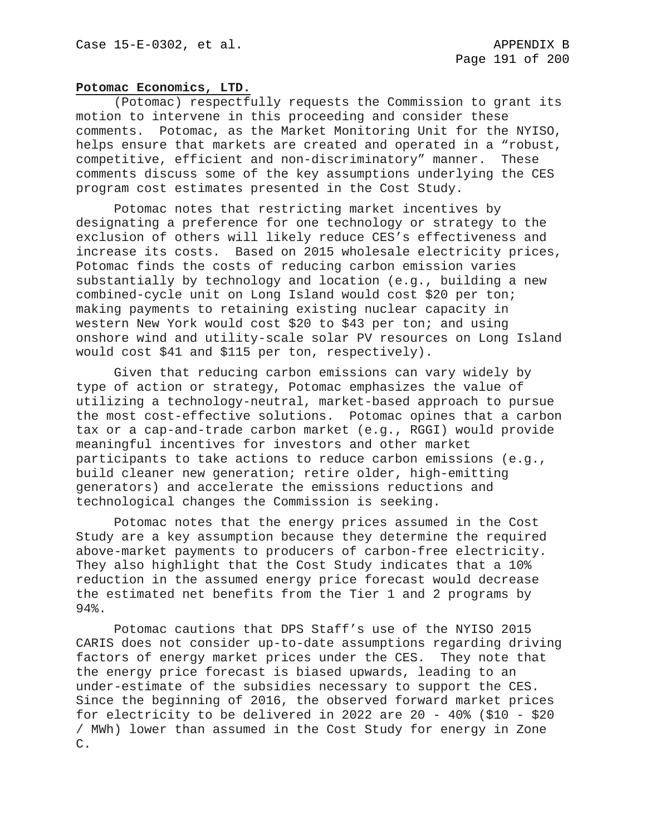#### **Potomac Economics, LTD.**

(Potomac) respectfully requests the Commission to grant its motion to intervene in this proceeding and consider these comments. Potomac, as the Market Monitoring Unit for the NYISO, helps ensure that markets are created and operated in a "robust, competitive, efficient and non-discriminatory" manner. These comments discuss some of the key assumptions underlying the CES program cost estimates presented in the Cost Study.

Potomac notes that restricting market incentives by designating a preference for one technology or strategy to the exclusion of others will likely reduce CES's effectiveness and increase its costs. Based on 2015 wholesale electricity prices, Potomac finds the costs of reducing carbon emission varies substantially by technology and location (e.g., building a new combined-cycle unit on Long Island would cost \$20 per ton; making payments to retaining existing nuclear capacity in western New York would cost \$20 to \$43 per ton; and using onshore wind and utility-scale solar PV resources on Long Island would cost \$41 and \$115 per ton, respectively).

Given that reducing carbon emissions can vary widely by type of action or strategy, Potomac emphasizes the value of utilizing a technology-neutral, market-based approach to pursue the most cost-effective solutions. Potomac opines that a carbon tax or a cap-and-trade carbon market (e.g., RGGI) would provide meaningful incentives for investors and other market participants to take actions to reduce carbon emissions (e.g., build cleaner new generation; retire older, high-emitting generators) and accelerate the emissions reductions and technological changes the Commission is seeking.

Potomac notes that the energy prices assumed in the Cost Study are a key assumption because they determine the required above-market payments to producers of carbon-free electricity. They also highlight that the Cost Study indicates that a 10% reduction in the assumed energy price forecast would decrease the estimated net benefits from the Tier 1 and 2 programs by 94%.

Potomac cautions that DPS Staff's use of the NYISO 2015 CARIS does not consider up-to-date assumptions regarding driving factors of energy market prices under the CES. They note that the energy price forecast is biased upwards, leading to an under-estimate of the subsidies necessary to support the CES. Since the beginning of 2016, the observed forward market prices for electricity to be delivered in 2022 are 20 - 40% (\$10 - \$20 / MWh) lower than assumed in the Cost Study for energy in Zone C.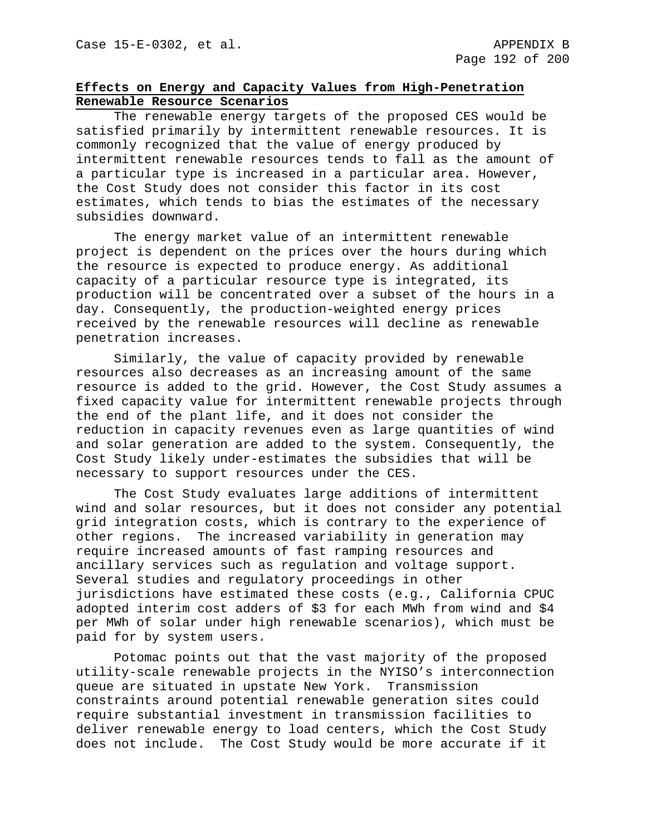# **Effects on Energy and Capacity Values from High-Penetration Renewable Resource Scenarios**

The renewable energy targets of the proposed CES would be satisfied primarily by intermittent renewable resources. It is commonly recognized that the value of energy produced by intermittent renewable resources tends to fall as the amount of a particular type is increased in a particular area. However, the Cost Study does not consider this factor in its cost estimates, which tends to bias the estimates of the necessary subsidies downward.

The energy market value of an intermittent renewable project is dependent on the prices over the hours during which the resource is expected to produce energy. As additional capacity of a particular resource type is integrated, its production will be concentrated over a subset of the hours in a day. Consequently, the production-weighted energy prices received by the renewable resources will decline as renewable penetration increases.

Similarly, the value of capacity provided by renewable resources also decreases as an increasing amount of the same resource is added to the grid. However, the Cost Study assumes a fixed capacity value for intermittent renewable projects through the end of the plant life, and it does not consider the reduction in capacity revenues even as large quantities of wind and solar generation are added to the system. Consequently, the Cost Study likely under-estimates the subsidies that will be necessary to support resources under the CES.

The Cost Study evaluates large additions of intermittent wind and solar resources, but it does not consider any potential grid integration costs, which is contrary to the experience of other regions. The increased variability in generation may require increased amounts of fast ramping resources and ancillary services such as regulation and voltage support. Several studies and regulatory proceedings in other jurisdictions have estimated these costs (e.g., California CPUC adopted interim cost adders of \$3 for each MWh from wind and \$4 per MWh of solar under high renewable scenarios), which must be paid for by system users.

Potomac points out that the vast majority of the proposed utility-scale renewable projects in the NYISO's interconnection queue are situated in upstate New York. Transmission constraints around potential renewable generation sites could require substantial investment in transmission facilities to deliver renewable energy to load centers, which the Cost Study does not include. The Cost Study would be more accurate if it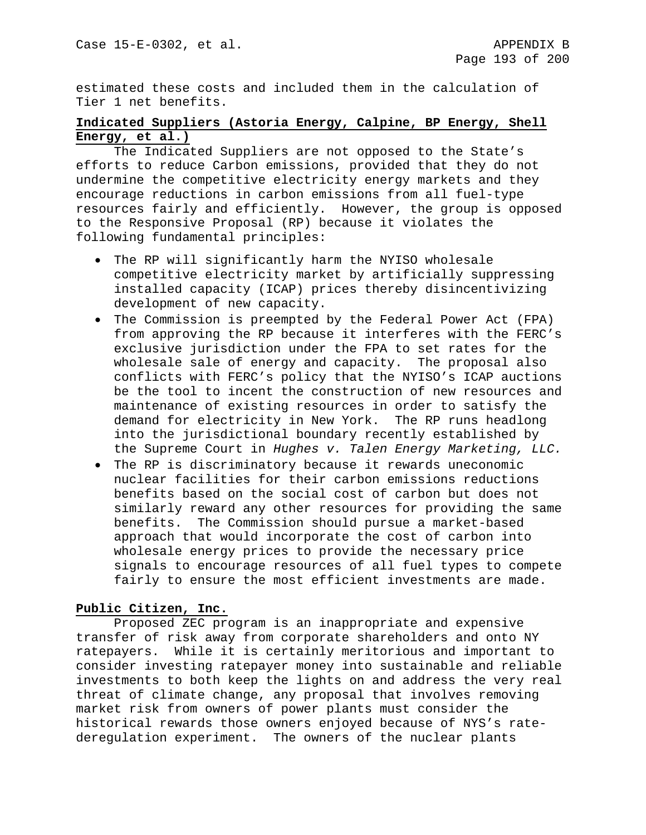estimated these costs and included them in the calculation of Tier 1 net benefits.

# **Indicated Suppliers (Astoria Energy, Calpine, BP Energy, Shell Energy, et al.)**

The Indicated Suppliers are not opposed to the State's efforts to reduce Carbon emissions, provided that they do not undermine the competitive electricity energy markets and they encourage reductions in carbon emissions from all fuel-type resources fairly and efficiently. However, the group is opposed to the Responsive Proposal (RP) because it violates the following fundamental principles:

- The RP will significantly harm the NYISO wholesale competitive electricity market by artificially suppressing installed capacity (ICAP) prices thereby disincentivizing development of new capacity.
- The Commission is preempted by the Federal Power Act (FPA) from approving the RP because it interferes with the FERC's exclusive jurisdiction under the FPA to set rates for the wholesale sale of energy and capacity. The proposal also conflicts with FERC's policy that the NYISO's ICAP auctions be the tool to incent the construction of new resources and maintenance of existing resources in order to satisfy the demand for electricity in New York. The RP runs headlong into the jurisdictional boundary recently established by the Supreme Court in *Hughes v. Talen Energy Marketing, LLC.*
- The RP is discriminatory because it rewards uneconomic nuclear facilities for their carbon emissions reductions benefits based on the social cost of carbon but does not similarly reward any other resources for providing the same benefits. The Commission should pursue a market-based approach that would incorporate the cost of carbon into wholesale energy prices to provide the necessary price signals to encourage resources of all fuel types to compete fairly to ensure the most efficient investments are made.

# **Public Citizen, Inc.**

Proposed ZEC program is an inappropriate and expensive transfer of risk away from corporate shareholders and onto NY ratepayers. While it is certainly meritorious and important to consider investing ratepayer money into sustainable and reliable investments to both keep the lights on and address the very real threat of climate change, any proposal that involves removing market risk from owners of power plants must consider the historical rewards those owners enjoyed because of NYS's ratederegulation experiment. The owners of the nuclear plants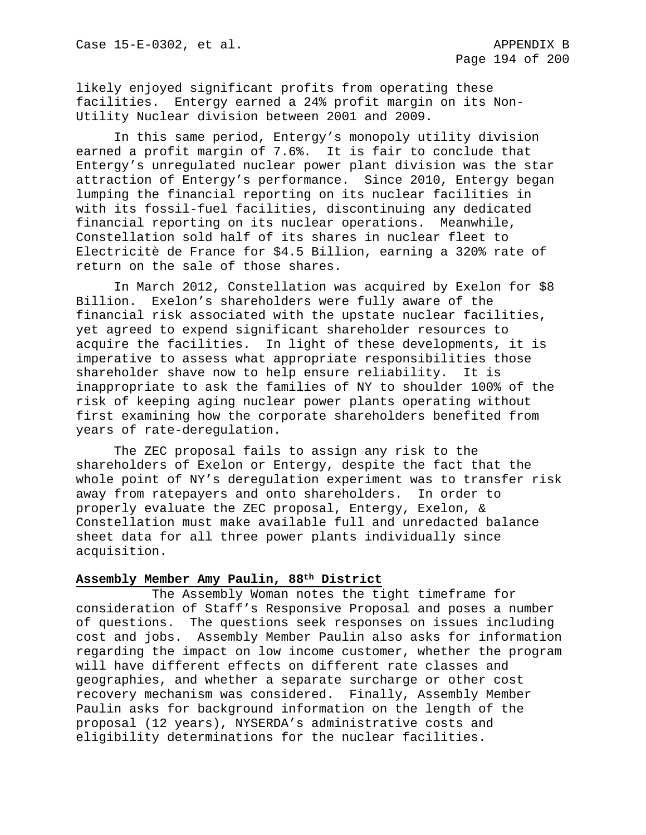likely enjoyed significant profits from operating these facilities. Entergy earned a 24% profit margin on its Non-Utility Nuclear division between 2001 and 2009.

In this same period, Entergy's monopoly utility division earned a profit margin of 7.6%. It is fair to conclude that Entergy's unregulated nuclear power plant division was the star attraction of Entergy's performance. Since 2010, Entergy began lumping the financial reporting on its nuclear facilities in with its fossil-fuel facilities, discontinuing any dedicated financial reporting on its nuclear operations. Meanwhile, Constellation sold half of its shares in nuclear fleet to Electricitè de France for \$4.5 Billion, earning a 320% rate of return on the sale of those shares.

In March 2012, Constellation was acquired by Exelon for \$8 Billion. Exelon's shareholders were fully aware of the financial risk associated with the upstate nuclear facilities, yet agreed to expend significant shareholder resources to acquire the facilities. In light of these developments, it is imperative to assess what appropriate responsibilities those shareholder shave now to help ensure reliability. It is inappropriate to ask the families of NY to shoulder 100% of the risk of keeping aging nuclear power plants operating without first examining how the corporate shareholders benefited from years of rate-deregulation.

The ZEC proposal fails to assign any risk to the shareholders of Exelon or Entergy, despite the fact that the whole point of NY's deregulation experiment was to transfer risk away from ratepayers and onto shareholders. In order to properly evaluate the ZEC proposal, Entergy, Exelon, & Constellation must make available full and unredacted balance sheet data for all three power plants individually since acquisition.

## **Assembly Member Amy Paulin, 88th District**

The Assembly Woman notes the tight timeframe for consideration of Staff's Responsive Proposal and poses a number of questions. The questions seek responses on issues including cost and jobs. Assembly Member Paulin also asks for information regarding the impact on low income customer, whether the program will have different effects on different rate classes and geographies, and whether a separate surcharge or other cost recovery mechanism was considered. Finally, Assembly Member Paulin asks for background information on the length of the proposal (12 years), NYSERDA's administrative costs and eligibility determinations for the nuclear facilities.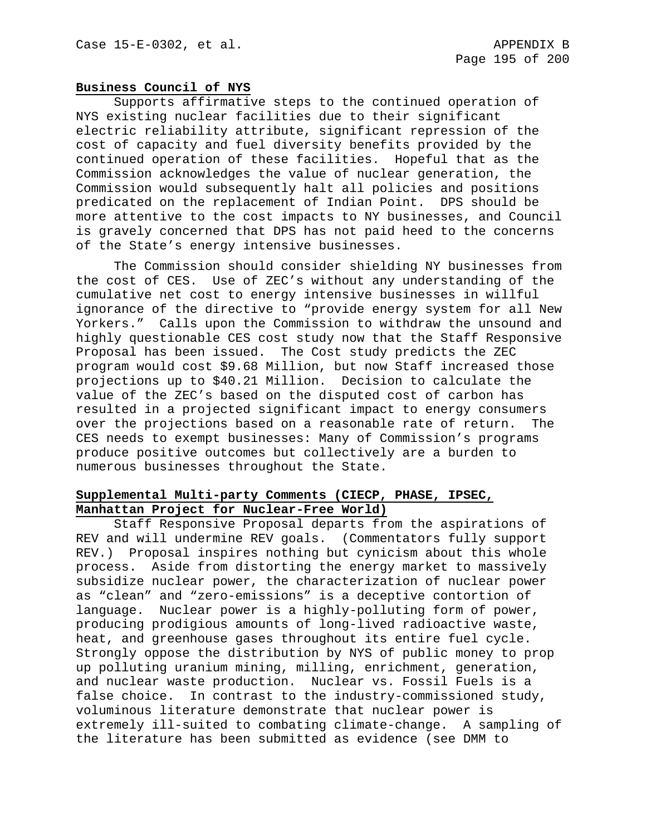#### **Business Council of NYS**

Supports affirmative steps to the continued operation of NYS existing nuclear facilities due to their significant electric reliability attribute, significant repression of the cost of capacity and fuel diversity benefits provided by the continued operation of these facilities. Hopeful that as the Commission acknowledges the value of nuclear generation, the Commission would subsequently halt all policies and positions predicated on the replacement of Indian Point. DPS should be more attentive to the cost impacts to NY businesses, and Council is gravely concerned that DPS has not paid heed to the concerns of the State's energy intensive businesses.

The Commission should consider shielding NY businesses from the cost of CES. Use of ZEC's without any understanding of the cumulative net cost to energy intensive businesses in willful ignorance of the directive to "provide energy system for all New Yorkers." Calls upon the Commission to withdraw the unsound and highly questionable CES cost study now that the Staff Responsive Proposal has been issued. The Cost study predicts the ZEC program would cost \$9.68 Million, but now Staff increased those projections up to \$40.21 Million. Decision to calculate the value of the ZEC's based on the disputed cost of carbon has resulted in a projected significant impact to energy consumers over the projections based on a reasonable rate of return. CES needs to exempt businesses: Many of Commission's programs produce positive outcomes but collectively are a burden to numerous businesses throughout the State.

# **Supplemental Multi-party Comments (CIECP, PHASE, IPSEC, Manhattan Project for Nuclear-Free World)**

Staff Responsive Proposal departs from the aspirations of REV and will undermine REV goals. (Commentators fully support REV.) Proposal inspires nothing but cynicism about this whole process. Aside from distorting the energy market to massively subsidize nuclear power, the characterization of nuclear power as "clean" and "zero-emissions" is a deceptive contortion of language. Nuclear power is a highly-polluting form of power, producing prodigious amounts of long-lived radioactive waste, heat, and greenhouse gases throughout its entire fuel cycle. Strongly oppose the distribution by NYS of public money to prop up polluting uranium mining, milling, enrichment, generation, and nuclear waste production. Nuclear vs. Fossil Fuels is a false choice. In contrast to the industry-commissioned study, voluminous literature demonstrate that nuclear power is extremely ill-suited to combating climate-change. A sampling of the literature has been submitted as evidence (see DMM to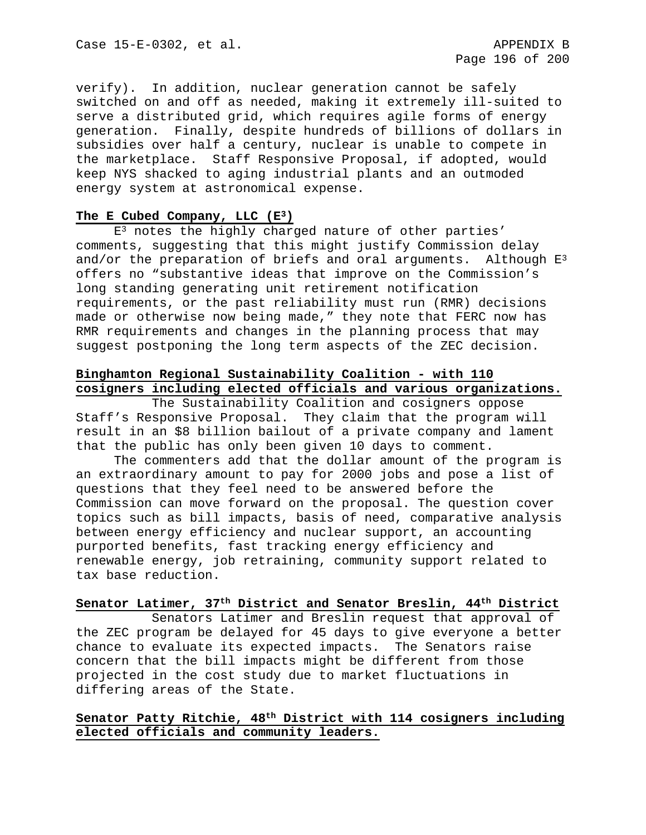verify). In addition, nuclear generation cannot be safely switched on and off as needed, making it extremely ill-suited to serve a distributed grid, which requires agile forms of energy generation. Finally, despite hundreds of billions of dollars in subsidies over half a century, nuclear is unable to compete in the marketplace. Staff Responsive Proposal, if adopted, would keep NYS shacked to aging industrial plants and an outmoded energy system at astronomical expense.

## **The E Cubed Company, LLC (E3)**

 $E<sup>3</sup>$  notes the highly charged nature of other parties' comments, suggesting that this might justify Commission delay and/or the preparation of briefs and oral arguments. Although  $E^3$ offers no "substantive ideas that improve on the Commission's long standing generating unit retirement notification requirements, or the past reliability must run (RMR) decisions made or otherwise now being made," they note that FERC now has RMR requirements and changes in the planning process that may suggest postponing the long term aspects of the ZEC decision.

# **Binghamton Regional Sustainability Coalition - with 110 cosigners including elected officials and various organizations.**

The Sustainability Coalition and cosigners oppose Staff's Responsive Proposal. They claim that the program will result in an \$8 billion bailout of a private company and lament that the public has only been given 10 days to comment.

The commenters add that the dollar amount of the program is an extraordinary amount to pay for 2000 jobs and pose a list of questions that they feel need to be answered before the Commission can move forward on the proposal. The question cover topics such as bill impacts, basis of need, comparative analysis between energy efficiency and nuclear support, an accounting purported benefits, fast tracking energy efficiency and renewable energy, job retraining, community support related to tax base reduction.

# **Senator Latimer, 37th District and Senator Breslin, 44th District**

Senators Latimer and Breslin request that approval of the ZEC program be delayed for 45 days to give everyone a better chance to evaluate its expected impacts. The Senators raise concern that the bill impacts might be different from those projected in the cost study due to market fluctuations in differing areas of the State.

# **Senator Patty Ritchie, 48th District with 114 cosigners including elected officials and community leaders.**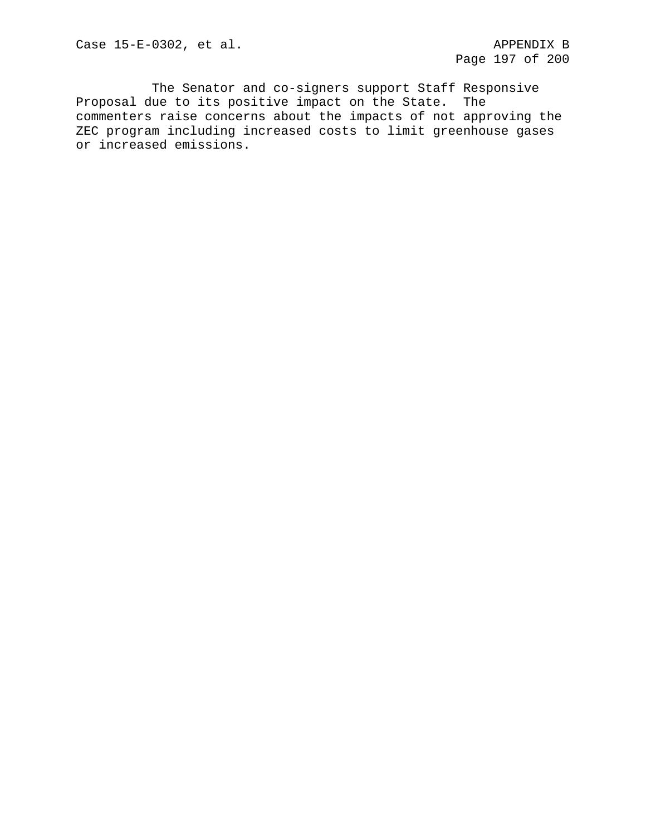The Senator and co-signers support Staff Responsive Proposal due to its positive impact on the State. The commenters raise concerns about the impacts of not approving the ZEC program including increased costs to limit greenhouse gases or increased emissions.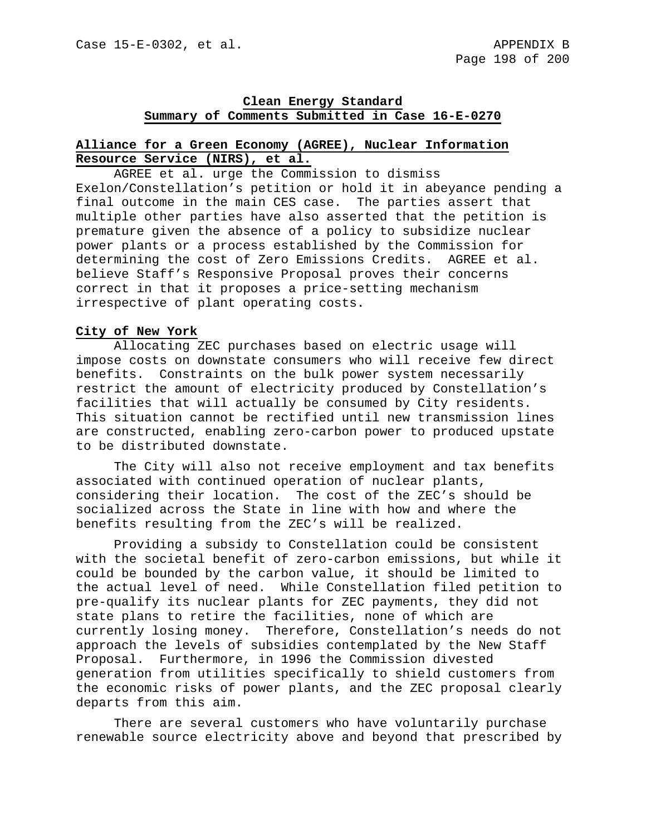# **Clean Energy Standard Summary of Comments Submitted in Case 16-E-0270**

# **Alliance for a Green Economy (AGREE), Nuclear Information Resource Service (NIRS), et al.**

AGREE et al. urge the Commission to dismiss Exelon/Constellation's petition or hold it in abeyance pending a final outcome in the main CES case. The parties assert that multiple other parties have also asserted that the petition is premature given the absence of a policy to subsidize nuclear power plants or a process established by the Commission for determining the cost of Zero Emissions Credits. AGREE et al. believe Staff's Responsive Proposal proves their concerns correct in that it proposes a price-setting mechanism irrespective of plant operating costs.

# **City of New York**

Allocating ZEC purchases based on electric usage will impose costs on downstate consumers who will receive few direct benefits. Constraints on the bulk power system necessarily restrict the amount of electricity produced by Constellation's facilities that will actually be consumed by City residents. This situation cannot be rectified until new transmission lines are constructed, enabling zero-carbon power to produced upstate to be distributed downstate.

The City will also not receive employment and tax benefits associated with continued operation of nuclear plants, considering their location. The cost of the ZEC's should be socialized across the State in line with how and where the benefits resulting from the ZEC's will be realized.

Providing a subsidy to Constellation could be consistent with the societal benefit of zero-carbon emissions, but while it could be bounded by the carbon value, it should be limited to the actual level of need. While Constellation filed petition to pre-qualify its nuclear plants for ZEC payments, they did not state plans to retire the facilities, none of which are currently losing money. Therefore, Constellation's needs do not approach the levels of subsidies contemplated by the New Staff Proposal. Furthermore, in 1996 the Commission divested generation from utilities specifically to shield customers from the economic risks of power plants, and the ZEC proposal clearly departs from this aim.

There are several customers who have voluntarily purchase renewable source electricity above and beyond that prescribed by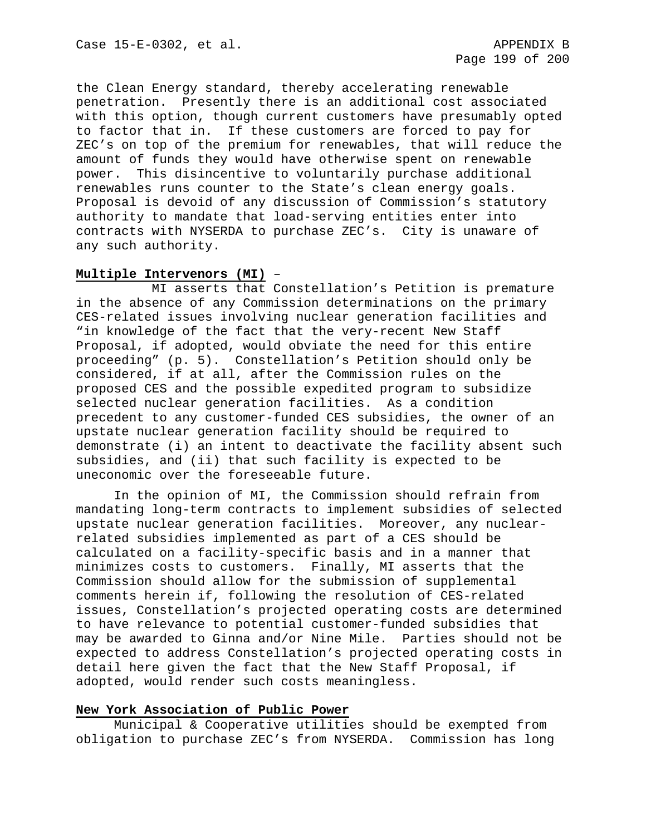the Clean Energy standard, thereby accelerating renewable penetration. Presently there is an additional cost associated with this option, though current customers have presumably opted to factor that in. If these customers are forced to pay for ZEC's on top of the premium for renewables, that will reduce the amount of funds they would have otherwise spent on renewable power. This disincentive to voluntarily purchase additional renewables runs counter to the State's clean energy goals. Proposal is devoid of any discussion of Commission's statutory authority to mandate that load-serving entities enter into contracts with NYSERDA to purchase ZEC's. City is unaware of any such authority.

# **Multiple Intervenors (MI)** –

MI asserts that Constellation's Petition is premature in the absence of any Commission determinations on the primary CES-related issues involving nuclear generation facilities and "in knowledge of the fact that the very-recent New Staff Proposal, if adopted, would obviate the need for this entire proceeding" (p. 5). Constellation's Petition should only be considered, if at all, after the Commission rules on the proposed CES and the possible expedited program to subsidize selected nuclear generation facilities. As a condition precedent to any customer-funded CES subsidies, the owner of an upstate nuclear generation facility should be required to demonstrate (i) an intent to deactivate the facility absent such subsidies, and (ii) that such facility is expected to be uneconomic over the foreseeable future.

 In the opinion of MI, the Commission should refrain from mandating long-term contracts to implement subsidies of selected upstate nuclear generation facilities. Moreover, any nuclearrelated subsidies implemented as part of a CES should be calculated on a facility-specific basis and in a manner that minimizes costs to customers. Finally, MI asserts that the Commission should allow for the submission of supplemental comments herein if, following the resolution of CES-related issues, Constellation's projected operating costs are determined to have relevance to potential customer-funded subsidies that may be awarded to Ginna and/or Nine Mile. Parties should not be expected to address Constellation's projected operating costs in detail here given the fact that the New Staff Proposal, if adopted, would render such costs meaningless.

## **New York Association of Public Power**

Municipal & Cooperative utilities should be exempted from obligation to purchase ZEC's from NYSERDA. Commission has long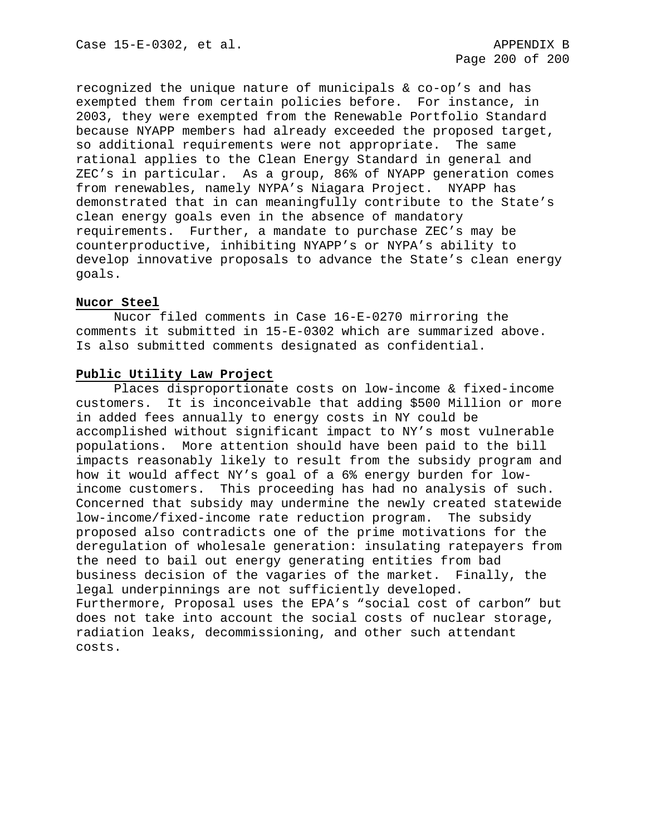recognized the unique nature of municipals & co-op's and has exempted them from certain policies before. For instance, in 2003, they were exempted from the Renewable Portfolio Standard because NYAPP members had already exceeded the proposed target, so additional requirements were not appropriate. The same rational applies to the Clean Energy Standard in general and ZEC's in particular. As a group, 86% of NYAPP generation comes from renewables, namely NYPA's Niagara Project. NYAPP has demonstrated that in can meaningfully contribute to the State's clean energy goals even in the absence of mandatory requirements. Further, a mandate to purchase ZEC's may be counterproductive, inhibiting NYAPP's or NYPA's ability to develop innovative proposals to advance the State's clean energy goals.

# **Nucor Steel**

Nucor filed comments in Case 16-E-0270 mirroring the comments it submitted in 15-E-0302 which are summarized above. Is also submitted comments designated as confidential.

# **Public Utility Law Project**

Places disproportionate costs on low-income & fixed-income customers. It is inconceivable that adding \$500 Million or more in added fees annually to energy costs in NY could be accomplished without significant impact to NY's most vulnerable populations. More attention should have been paid to the bill impacts reasonably likely to result from the subsidy program and how it would affect NY's goal of a 6% energy burden for lowincome customers. This proceeding has had no analysis of such. Concerned that subsidy may undermine the newly created statewide low-income/fixed-income rate reduction program. The subsidy proposed also contradicts one of the prime motivations for the deregulation of wholesale generation: insulating ratepayers from the need to bail out energy generating entities from bad business decision of the vagaries of the market. Finally, the legal underpinnings are not sufficiently developed. Furthermore, Proposal uses the EPA's "social cost of carbon" but does not take into account the social costs of nuclear storage, radiation leaks, decommissioning, and other such attendant costs.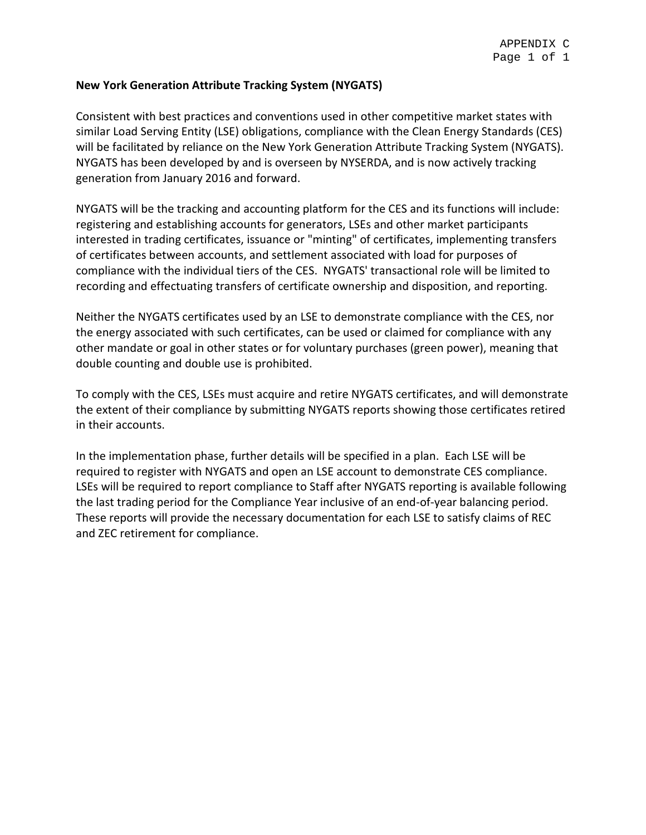# **New York Generation Attribute Tracking System (NYGATS)**

Consistent with best practices and conventions used in other competitive market states with similar Load Serving Entity (LSE) obligations, compliance with the Clean Energy Standards (CES) will be facilitated by reliance on the New York Generation Attribute Tracking System (NYGATS). NYGATS has been developed by and is overseen by NYSERDA, and is now actively tracking generation from January 2016 and forward.

NYGATS will be the tracking and accounting platform for the CES and its functions will include: registering and establishing accounts for generators, LSEs and other market participants interested in trading certificates, issuance or "minting" of certificates, implementing transfers of certificates between accounts, and settlement associated with load for purposes of compliance with the individual tiers of the CES. NYGATS' transactional role will be limited to recording and effectuating transfers of certificate ownership and disposition, and reporting.

Neither the NYGATS certificates used by an LSE to demonstrate compliance with the CES, nor the energy associated with such certificates, can be used or claimed for compliance with any other mandate or goal in other states or for voluntary purchases (green power), meaning that double counting and double use is prohibited.

To comply with the CES, LSEs must acquire and retire NYGATS certificates, and will demonstrate the extent of their compliance by submitting NYGATS reports showing those certificates retired in their accounts.

In the implementation phase, further details will be specified in a plan. Each LSE will be required to register with NYGATS and open an LSE account to demonstrate CES compliance. LSEs will be required to report compliance to Staff after NYGATS reporting is available following the last trading period for the Compliance Year inclusive of an end-of-year balancing period. These reports will provide the necessary documentation for each LSE to satisfy claims of REC and ZEC retirement for compliance.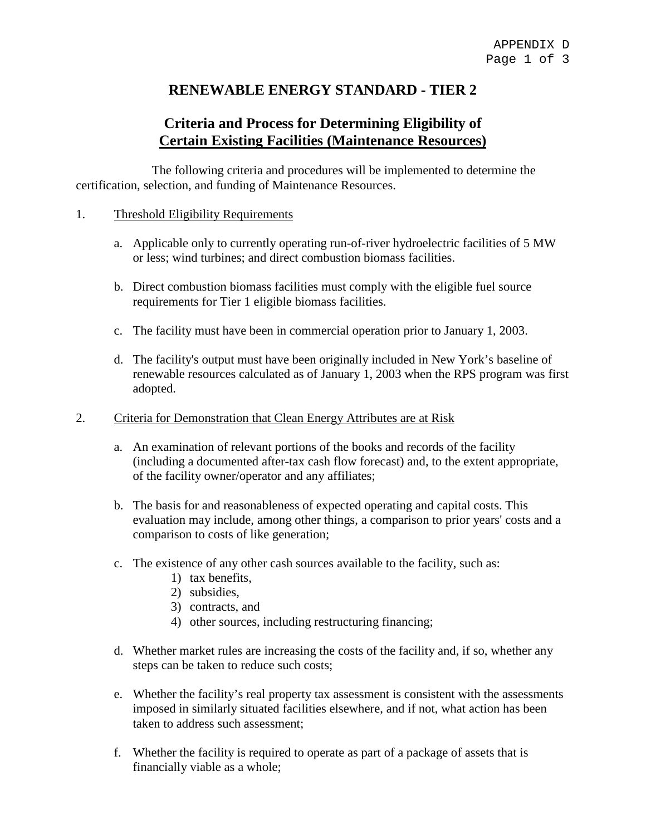# **RENEWABLE ENERGY STANDARD - TIER 2**

# **Criteria and Process for Determining Eligibility of Certain Existing Facilities (Maintenance Resources)**

The following criteria and procedures will be implemented to determine the certification, selection, and funding of Maintenance Resources.

# 1. Threshold Eligibility Requirements

- a. Applicable only to currently operating run-of-river hydroelectric facilities of 5 MW or less; wind turbines; and direct combustion biomass facilities.
- b. Direct combustion biomass facilities must comply with the eligible fuel source requirements for Tier 1 eligible biomass facilities.
- c. The facility must have been in commercial operation prior to January 1, 2003.
- d. The facility's output must have been originally included in New York's baseline of renewable resources calculated as of January 1, 2003 when the RPS program was first adopted.
- 2. Criteria for Demonstration that Clean Energy Attributes are at Risk
	- a. An examination of relevant portions of the books and records of the facility (including a documented after-tax cash flow forecast) and, to the extent appropriate, of the facility owner/operator and any affiliates;
	- b. The basis for and reasonableness of expected operating and capital costs. This evaluation may include, among other things, a comparison to prior years' costs and a comparison to costs of like generation;
	- c. The existence of any other cash sources available to the facility, such as:
		- 1) tax benefits,
		- 2) subsidies,
		- 3) contracts, and
		- 4) other sources, including restructuring financing;
	- d. Whether market rules are increasing the costs of the facility and, if so, whether any steps can be taken to reduce such costs;
	- e. Whether the facility's real property tax assessment is consistent with the assessments imposed in similarly situated facilities elsewhere, and if not, what action has been taken to address such assessment;
	- f. Whether the facility is required to operate as part of a package of assets that is financially viable as a whole;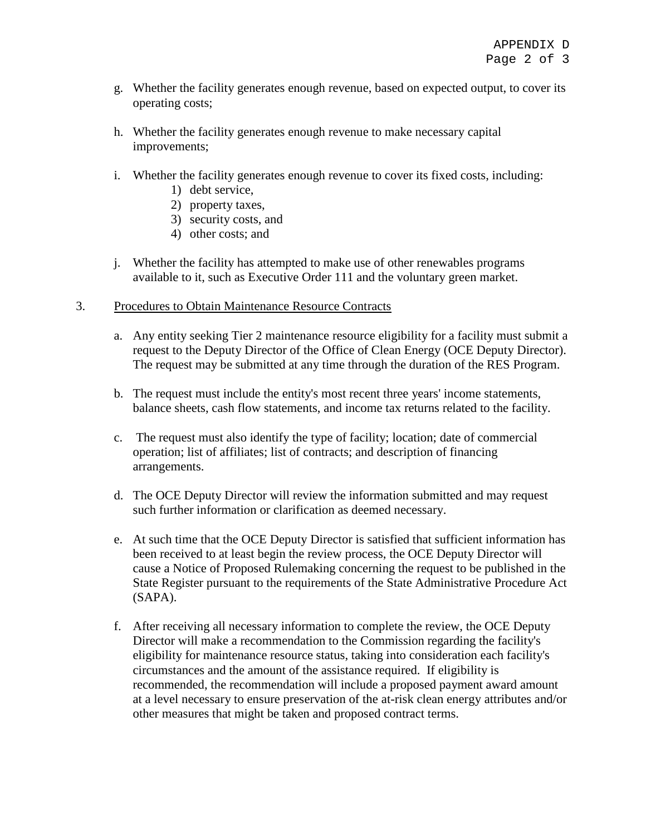- g. Whether the facility generates enough revenue, based on expected output, to cover its operating costs;
- h. Whether the facility generates enough revenue to make necessary capital improvements;
- i. Whether the facility generates enough revenue to cover its fixed costs, including:
	- 1) debt service,
	- 2) property taxes,
	- 3) security costs, and
	- 4) other costs; and
- j. Whether the facility has attempted to make use of other renewables programs available to it, such as Executive Order 111 and the voluntary green market.
- 3. Procedures to Obtain Maintenance Resource Contracts
	- a. Any entity seeking Tier 2 maintenance resource eligibility for a facility must submit a request to the Deputy Director of the Office of Clean Energy (OCE Deputy Director). The request may be submitted at any time through the duration of the RES Program.
	- b. The request must include the entity's most recent three years' income statements, balance sheets, cash flow statements, and income tax returns related to the facility.
	- c. The request must also identify the type of facility; location; date of commercial operation; list of affiliates; list of contracts; and description of financing arrangements.
	- d. The OCE Deputy Director will review the information submitted and may request such further information or clarification as deemed necessary.
	- e. At such time that the OCE Deputy Director is satisfied that sufficient information has been received to at least begin the review process, the OCE Deputy Director will cause a Notice of Proposed Rulemaking concerning the request to be published in the State Register pursuant to the requirements of the State Administrative Procedure Act (SAPA).
	- f. After receiving all necessary information to complete the review, the OCE Deputy Director will make a recommendation to the Commission regarding the facility's eligibility for maintenance resource status, taking into consideration each facility's circumstances and the amount of the assistance required. If eligibility is recommended, the recommendation will include a proposed payment award amount at a level necessary to ensure preservation of the at-risk clean energy attributes and/or other measures that might be taken and proposed contract terms.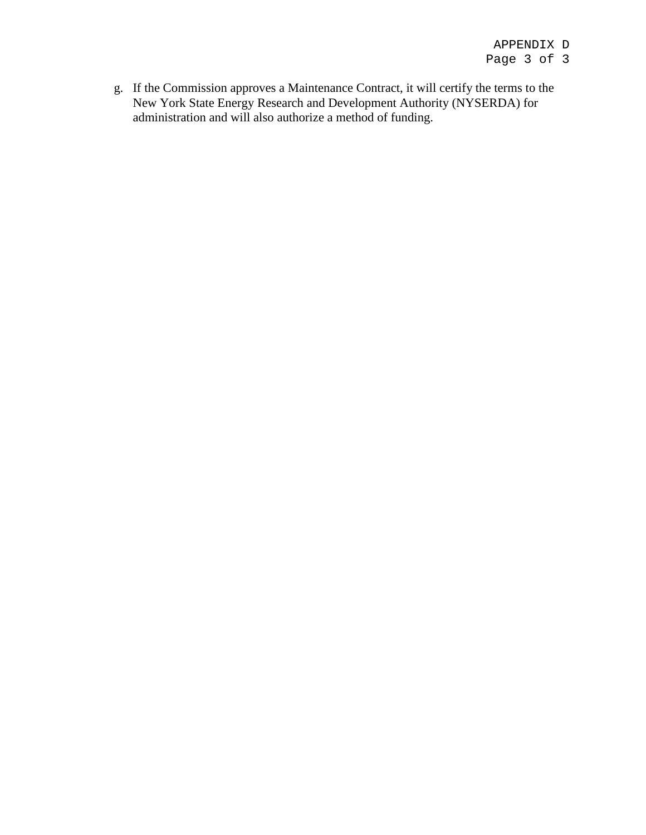g. If the Commission approves a Maintenance Contract, it will certify the terms to the New York State Energy Research and Development Authority (NYSERDA) for administration and will also authorize a method of funding.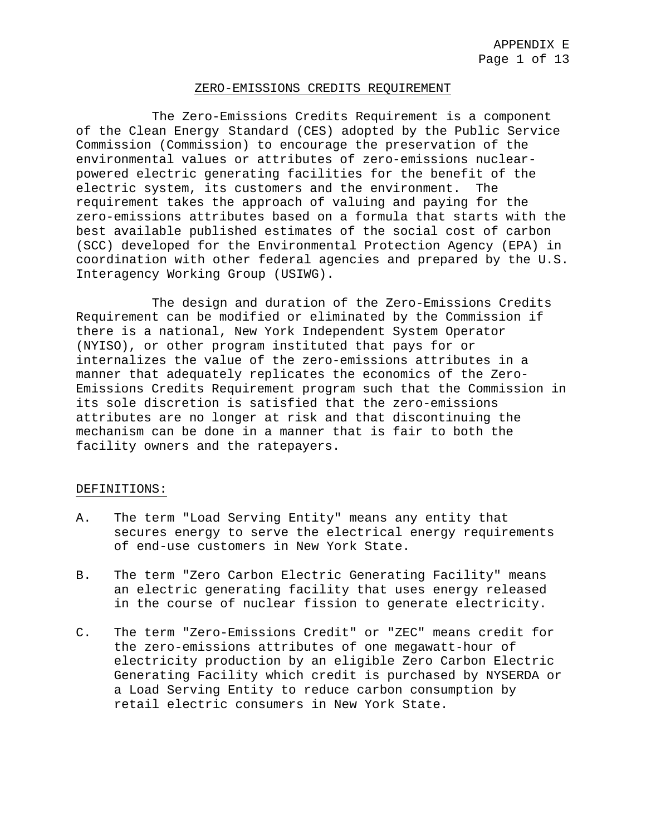#### ZERO-EMISSIONS CREDITS REQUIREMENT

The Zero-Emissions Credits Requirement is a component of the Clean Energy Standard (CES) adopted by the Public Service Commission (Commission) to encourage the preservation of the environmental values or attributes of zero-emissions nuclearpowered electric generating facilities for the benefit of the electric system, its customers and the environment. The requirement takes the approach of valuing and paying for the zero-emissions attributes based on a formula that starts with the best available published estimates of the social cost of carbon (SCC) developed for the Environmental Protection Agency (EPA) in coordination with other federal agencies and prepared by the U.S. Interagency Working Group (USIWG).

The design and duration of the Zero-Emissions Credits Requirement can be modified or eliminated by the Commission if there is a national, New York Independent System Operator (NYISO), or other program instituted that pays for or internalizes the value of the zero-emissions attributes in a manner that adequately replicates the economics of the Zero-Emissions Credits Requirement program such that the Commission in its sole discretion is satisfied that the zero-emissions attributes are no longer at risk and that discontinuing the mechanism can be done in a manner that is fair to both the facility owners and the ratepayers.

#### DEFINITIONS:

- A. The term "Load Serving Entity" means any entity that secures energy to serve the electrical energy requirements of end-use customers in New York State.
- B. The term "Zero Carbon Electric Generating Facility" means an electric generating facility that uses energy released in the course of nuclear fission to generate electricity.
- C. The term "Zero-Emissions Credit" or "ZEC" means credit for the zero-emissions attributes of one megawatt-hour of electricity production by an eligible Zero Carbon Electric Generating Facility which credit is purchased by NYSERDA or a Load Serving Entity to reduce carbon consumption by retail electric consumers in New York State.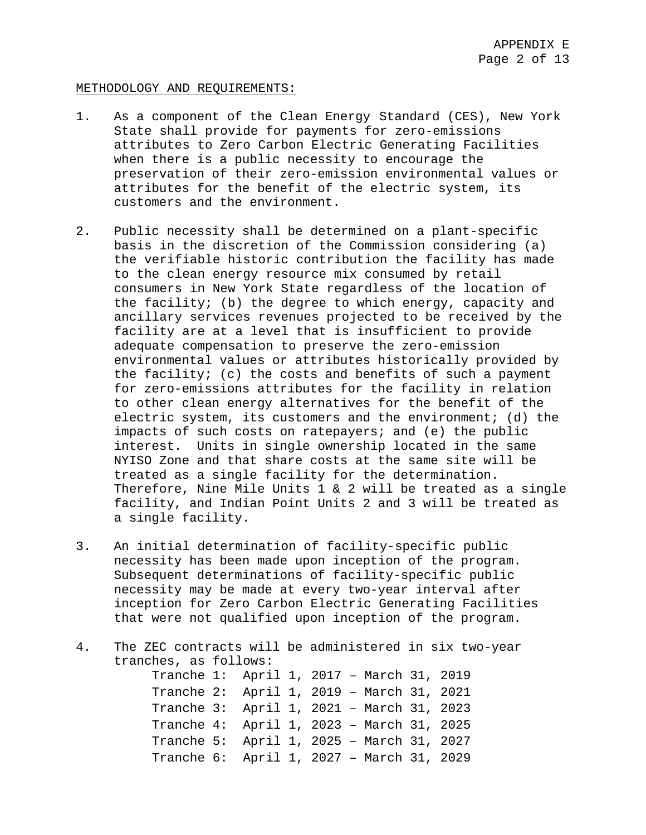#### METHODOLOGY AND REQUIREMENTS:

- 1. As a component of the Clean Energy Standard (CES), New York State shall provide for payments for zero-emissions attributes to Zero Carbon Electric Generating Facilities when there is a public necessity to encourage the preservation of their zero-emission environmental values or attributes for the benefit of the electric system, its customers and the environment.
- 2. Public necessity shall be determined on a plant-specific basis in the discretion of the Commission considering (a) the verifiable historic contribution the facility has made to the clean energy resource mix consumed by retail consumers in New York State regardless of the location of the facility; (b) the degree to which energy, capacity and ancillary services revenues projected to be received by the facility are at a level that is insufficient to provide adequate compensation to preserve the zero-emission environmental values or attributes historically provided by the facility; (c) the costs and benefits of such a payment for zero-emissions attributes for the facility in relation to other clean energy alternatives for the benefit of the electric system, its customers and the environment; (d) the impacts of such costs on ratepayers; and (e) the public interest. Units in single ownership located in the same NYISO Zone and that share costs at the same site will be treated as a single facility for the determination. Therefore, Nine Mile Units 1 & 2 will be treated as a single facility, and Indian Point Units 2 and 3 will be treated as a single facility.
- 3. An initial determination of facility-specific public necessity has been made upon inception of the program. Subsequent determinations of facility-specific public necessity may be made at every two-year interval after inception for Zero Carbon Electric Generating Facilities that were not qualified upon inception of the program.
- 4. The ZEC contracts will be administered in six two-year tranches, as follows:

Tranche 1: April 1, 2017 – March 31, 2019 Tranche 2: April 1, 2019 – March 31, 2021 Tranche 3: April 1, 2021 – March 31, 2023 Tranche 4: April 1, 2023 – March 31, 2025 Tranche 5: April 1, 2025 – March 31, 2027 Tranche 6: April 1, 2027 – March 31, 2029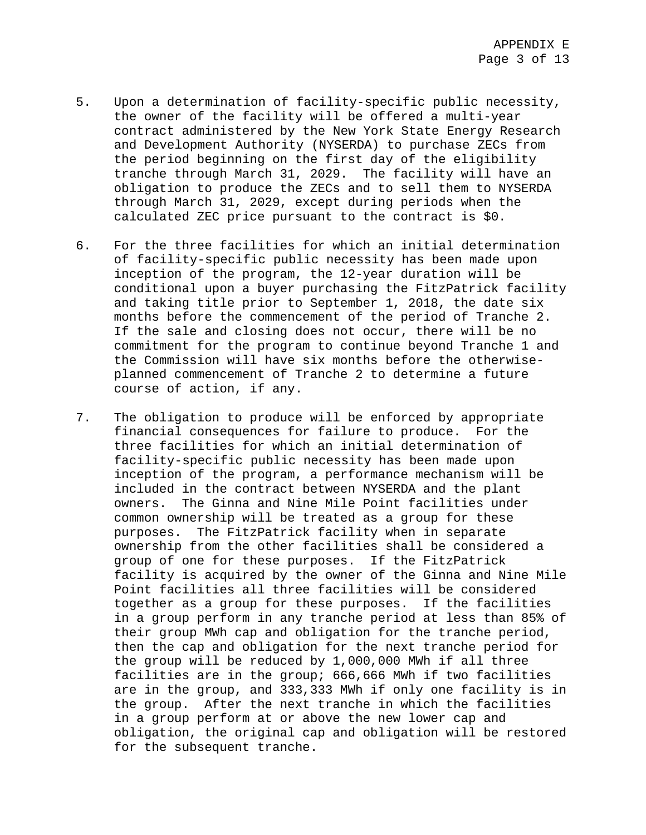- 5. Upon a determination of facility-specific public necessity, the owner of the facility will be offered a multi-year contract administered by the New York State Energy Research and Development Authority (NYSERDA) to purchase ZECs from the period beginning on the first day of the eligibility tranche through March 31, 2029. The facility will have an obligation to produce the ZECs and to sell them to NYSERDA through March 31, 2029, except during periods when the calculated ZEC price pursuant to the contract is \$0.
- 6. For the three facilities for which an initial determination of facility-specific public necessity has been made upon inception of the program, the 12-year duration will be conditional upon a buyer purchasing the FitzPatrick facility and taking title prior to September 1, 2018, the date six months before the commencement of the period of Tranche 2. If the sale and closing does not occur, there will be no commitment for the program to continue beyond Tranche 1 and the Commission will have six months before the otherwiseplanned commencement of Tranche 2 to determine a future course of action, if any.
- 7. The obligation to produce will be enforced by appropriate financial consequences for failure to produce. For the three facilities for which an initial determination of facility-specific public necessity has been made upon inception of the program, a performance mechanism will be included in the contract between NYSERDA and the plant owners. The Ginna and Nine Mile Point facilities under common ownership will be treated as a group for these purposes. The FitzPatrick facility when in separate ownership from the other facilities shall be considered a group of one for these purposes. If the FitzPatrick facility is acquired by the owner of the Ginna and Nine Mile Point facilities all three facilities will be considered together as a group for these purposes. If the facilities in a group perform in any tranche period at less than 85% of their group MWh cap and obligation for the tranche period, then the cap and obligation for the next tranche period for the group will be reduced by 1,000,000 MWh if all three facilities are in the group; 666,666 MWh if two facilities are in the group, and 333,333 MWh if only one facility is in the group. After the next tranche in which the facilities in a group perform at or above the new lower cap and obligation, the original cap and obligation will be restored for the subsequent tranche.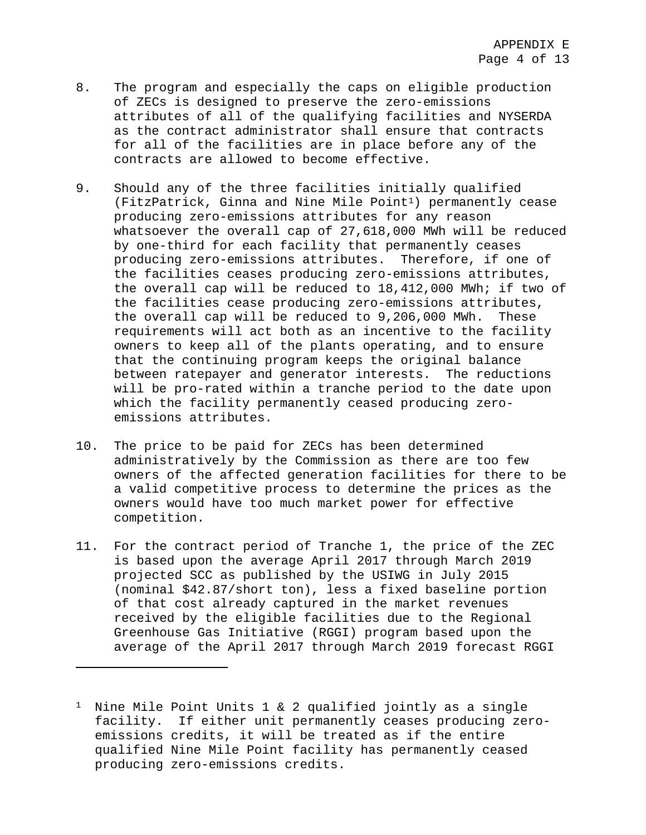- 8. The program and especially the caps on eligible production of ZECs is designed to preserve the zero-emissions attributes of all of the qualifying facilities and NYSERDA as the contract administrator shall ensure that contracts for all of the facilities are in place before any of the contracts are allowed to become effective.
- 9. Should any of the three facilities initially qualified (FitzPatrick, Ginna and Nine Mile Poin[t1](#page-215-0)) permanently cease producing zero-emissions attributes for any reason whatsoever the overall cap of 27,618,000 MWh will be reduced by one-third for each facility that permanently ceases producing zero-emissions attributes. Therefore, if one of the facilities ceases producing zero-emissions attributes, the overall cap will be reduced to 18,412,000 MWh; if two of the facilities cease producing zero-emissions attributes, the overall cap will be reduced to 9,206,000 MWh. These requirements will act both as an incentive to the facility owners to keep all of the plants operating, and to ensure that the continuing program keeps the original balance between ratepayer and generator interests. The reductions will be pro-rated within a tranche period to the date upon which the facility permanently ceased producing zeroemissions attributes.
- 10. The price to be paid for ZECs has been determined administratively by the Commission as there are too few owners of the affected generation facilities for there to be a valid competitive process to determine the prices as the owners would have too much market power for effective competition.
- 11. For the contract period of Tranche 1, the price of the ZEC is based upon the average April 2017 through March 2019 projected SCC as published by the USIWG in July 2015 (nominal \$42.87/short ton), less a fixed baseline portion of that cost already captured in the market revenues received by the eligible facilities due to the Regional Greenhouse Gas Initiative (RGGI) program based upon the average of the April 2017 through March 2019 forecast RGGI

 $\overline{\phantom{a}}$ 

<span id="page-215-0"></span><sup>&</sup>lt;sup>1</sup> Nine Mile Point Units 1 & 2 qualified jointly as a single facility. If either unit permanently ceases producing zeroemissions credits, it will be treated as if the entire qualified Nine Mile Point facility has permanently ceased producing zero-emissions credits.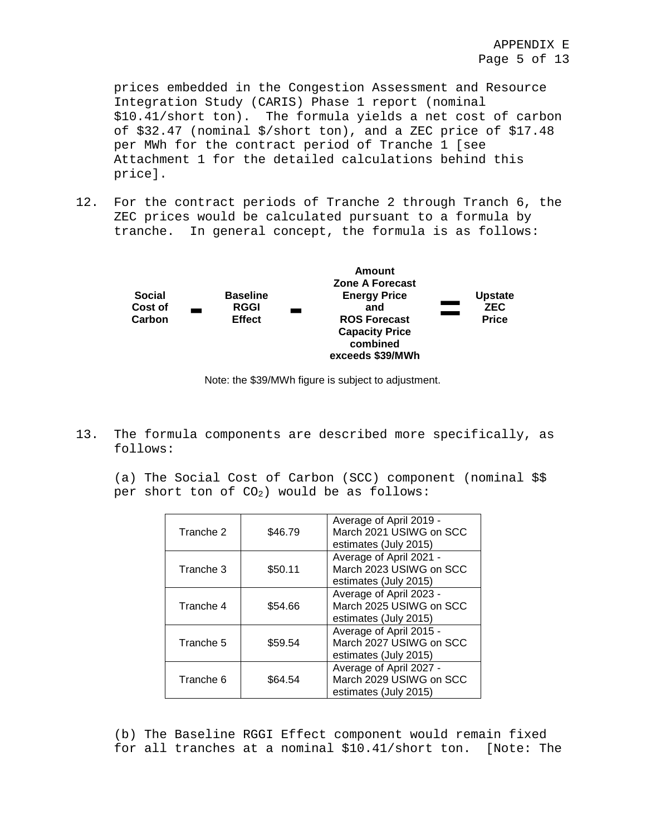prices embedded in the Congestion Assessment and Resource Integration Study (CARIS) Phase 1 report (nominal \$10.41/short ton). The formula yields a net cost of carbon of \$32.47 (nominal \$/short ton), and a ZEC price of \$17.48 per MWh for the contract period of Tranche 1 [see Attachment 1 for the detailed calculations behind this price].

12. For the contract periods of Tranche 2 through Tranch 6, the ZEC prices would be calculated pursuant to a formula by tranche. In general concept, the formula is as follows:



Note: the \$39/MWh figure is subject to adjustment.

13. The formula components are described more specifically, as follows:

(a) The Social Cost of Carbon (SCC) component (nominal \$\$ per short ton of  $CO<sub>2</sub>$ ) would be as follows:

| Tranche 2 | \$46.79 | Average of April 2019 -<br>March 2021 USIWG on SCC<br>estimates (July 2015) |
|-----------|---------|-----------------------------------------------------------------------------|
| Tranche 3 | \$50.11 | Average of April 2021 -<br>March 2023 USIWG on SCC<br>estimates (July 2015) |
| Tranche 4 | \$54.66 | Average of April 2023 -<br>March 2025 USIWG on SCC<br>estimates (July 2015) |
| Tranche 5 | \$59.54 | Average of April 2015 -<br>March 2027 USIWG on SCC<br>estimates (July 2015) |
| Tranche 6 | \$64.54 | Average of April 2027 -<br>March 2029 USIWG on SCC<br>estimates (July 2015) |

(b) The Baseline RGGI Effect component would remain fixed for all tranches at a nominal \$10.41/short ton. [Note: The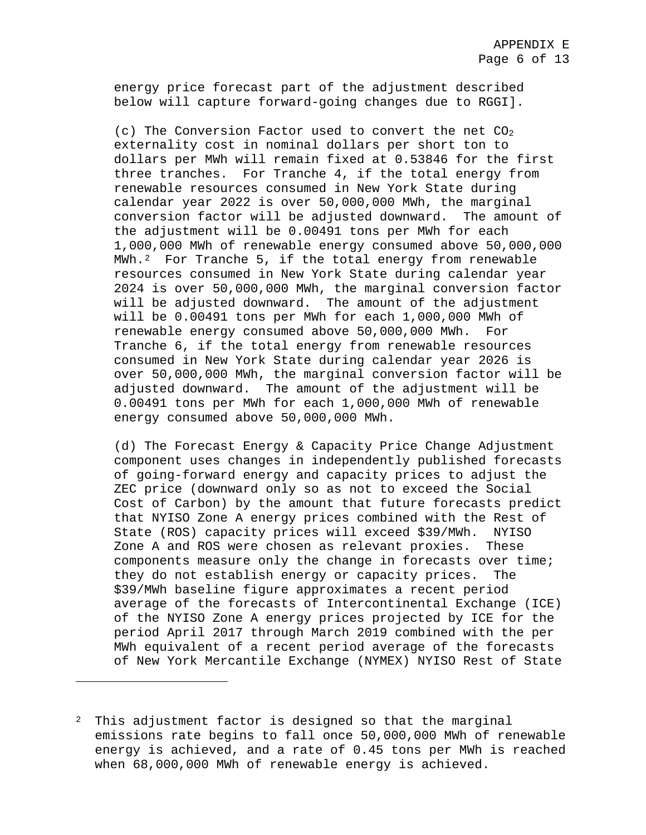energy price forecast part of the adjustment described below will capture forward-going changes due to RGGI].

(c) The Conversion Factor used to convert the net  $CO<sub>2</sub>$ externality cost in nominal dollars per short ton to dollars per MWh will remain fixed at 0.53846 for the first three tranches. For Tranche 4, if the total energy from renewable resources consumed in New York State during calendar year 2022 is over 50,000,000 MWh, the marginal conversion factor will be adjusted downward. the adjustment will be 0.00491 tons per MWh for each 1,000,000 MWh of renewable energy consumed above 50,000,000 MWh.[2](#page-217-0) For Tranche 5, if the total energy from renewable resources consumed in New York State during calendar year 2024 is over 50,000,000 MWh, the marginal conversion factor will be adjusted downward. The amount of the adjustment will be 0.00491 tons per MWh for each 1,000,000 MWh of renewable energy consumed above 50,000,000 MWh. For Tranche 6, if the total energy from renewable resources consumed in New York State during calendar year 2026 is over 50,000,000 MWh, the marginal conversion factor will be adjusted downward. The amount of the adjustment will be 0.00491 tons per MWh for each 1,000,000 MWh of renewable energy consumed above 50,000,000 MWh.

(d) The Forecast Energy & Capacity Price Change Adjustment component uses changes in independently published forecasts of going-forward energy and capacity prices to adjust the ZEC price (downward only so as not to exceed the Social Cost of Carbon) by the amount that future forecasts predict that NYISO Zone A energy prices combined with the Rest of State (ROS) capacity prices will exceed \$39/MWh. NYISO Zone A and ROS were chosen as relevant proxies. These components measure only the change in forecasts over time; they do not establish energy or capacity prices. The \$39/MWh baseline figure approximates a recent period average of the forecasts of Intercontinental Exchange (ICE) of the NYISO Zone A energy prices projected by ICE for the period April 2017 through March 2019 combined with the per MWh equivalent of a recent period average of the forecasts of New York Mercantile Exchange (NYMEX) NYISO Rest of State

 $\overline{\phantom{a}}$ 

<span id="page-217-0"></span><sup>&</sup>lt;sup>2</sup> This adjustment factor is designed so that the marginal emissions rate begins to fall once 50,000,000 MWh of renewable energy is achieved, and a rate of 0.45 tons per MWh is reached when 68,000,000 MWh of renewable energy is achieved.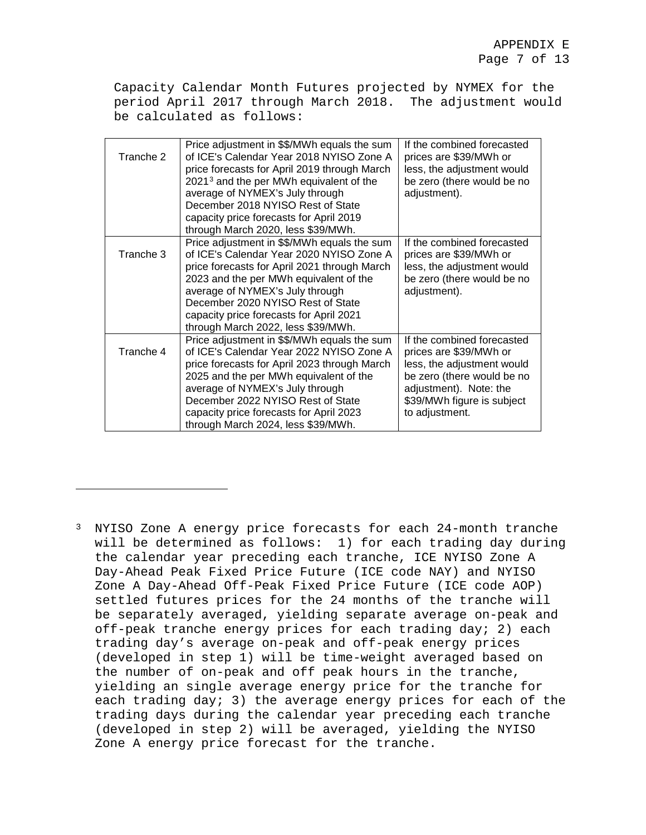Capacity Calendar Month Futures projected by NYMEX for the period April 2017 through March 2018. The adjustment would be calculated as follows:

| Tranche 2 | Price adjustment in \$\$/MWh equals the sum<br>of ICE's Calendar Year 2018 NYISO Zone A<br>price forecasts for April 2019 through March<br>2021 <sup>3</sup> and the per MWh equivalent of the<br>average of NYMEX's July through<br>December 2018 NYISO Rest of State<br>capacity price forecasts for April 2019<br>through March 2020, less \$39/MWh. | If the combined forecasted<br>prices are \$39/MWh or<br>less, the adjustment would<br>be zero (there would be no<br>adjustment).                                                           |
|-----------|---------------------------------------------------------------------------------------------------------------------------------------------------------------------------------------------------------------------------------------------------------------------------------------------------------------------------------------------------------|--------------------------------------------------------------------------------------------------------------------------------------------------------------------------------------------|
| Tranche 3 | Price adjustment in \$\$/MWh equals the sum<br>of ICE's Calendar Year 2020 NYISO Zone A<br>price forecasts for April 2021 through March<br>2023 and the per MWh equivalent of the<br>average of NYMEX's July through<br>December 2020 NYISO Rest of State<br>capacity price forecasts for April 2021<br>through March 2022, less \$39/MWh.              | If the combined forecasted<br>prices are \$39/MWh or<br>less, the adjustment would<br>be zero (there would be no<br>adjustment).                                                           |
| Tranche 4 | Price adjustment in \$\$/MWh equals the sum<br>of ICE's Calendar Year 2022 NYISO Zone A<br>price forecasts for April 2023 through March<br>2025 and the per MWh equivalent of the<br>average of NYMEX's July through<br>December 2022 NYISO Rest of State<br>capacity price forecasts for April 2023<br>through March 2024, less \$39/MWh.              | If the combined forecasted<br>prices are \$39/MWh or<br>less, the adjustment would<br>be zero (there would be no<br>adjustment). Note: the<br>\$39/MWh figure is subject<br>to adjustment. |

<span id="page-218-0"></span><sup>3</sup> NYISO Zone A energy price forecasts for each 24-month tranche will be determined as follows: 1) for each trading day during the calendar year preceding each tranche, ICE NYISO Zone A Day-Ahead Peak Fixed Price Future (ICE code NAY) and NYISO Zone A Day-Ahead Off-Peak Fixed Price Future (ICE code AOP) settled futures prices for the 24 months of the tranche will be separately averaged, yielding separate average on-peak and off-peak tranche energy prices for each trading day; 2) each trading day's average on-peak and off-peak energy prices (developed in step 1) will be time-weight averaged based on the number of on-peak and off peak hours in the tranche, yielding an single average energy price for the tranche for each trading day; 3) the average energy prices for each of the trading days during the calendar year preceding each tranche (developed in step 2) will be averaged, yielding the NYISO Zone A energy price forecast for the tranche.

 $\overline{\phantom{a}}$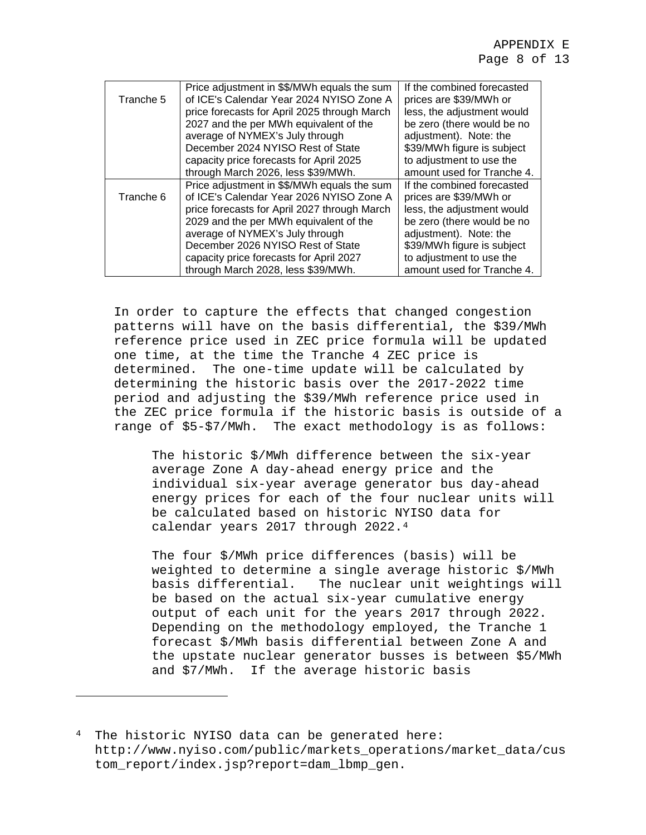|           | Price adjustment in \$\$/MWh equals the sum  | If the combined forecasted |
|-----------|----------------------------------------------|----------------------------|
| Tranche 5 | of ICE's Calendar Year 2024 NYISO Zone A     | prices are \$39/MWh or     |
|           | price forecasts for April 2025 through March | less, the adjustment would |
|           | 2027 and the per MWh equivalent of the       | be zero (there would be no |
|           | average of NYMEX's July through              | adjustment). Note: the     |
|           | December 2024 NYISO Rest of State            | \$39/MWh figure is subject |
|           | capacity price forecasts for April 2025      | to adjustment to use the   |
|           | through March 2026, less \$39/MWh.           | amount used for Tranche 4. |
|           | Price adjustment in \$\$/MWh equals the sum  | If the combined forecasted |
| Tranche 6 | of ICE's Calendar Year 2026 NYISO Zone A     | prices are \$39/MWh or     |
|           | price forecasts for April 2027 through March | less, the adjustment would |
|           | 2029 and the per MWh equivalent of the       | be zero (there would be no |
|           | average of NYMEX's July through              | adjustment). Note: the     |
|           | December 2026 NYISO Rest of State            | \$39/MWh figure is subject |
|           | capacity price forecasts for April 2027      | to adjustment to use the   |
|           | through March 2028, less \$39/MWh.           | amount used for Tranche 4. |

In order to capture the effects that changed congestion patterns will have on the basis differential, the \$39/MWh reference price used in ZEC price formula will be updated one time, at the time the Tranche 4 ZEC price is determined. The one-time update will be calculated by determining the historic basis over the 2017-2022 time period and adjusting the \$39/MWh reference price used in the ZEC price formula if the historic basis is outside of a range of \$5-\$7/MWh. The exact methodology is as follows:

The historic \$/MWh difference between the six-year average Zone A day-ahead energy price and the individual six-year average generator bus day-ahead energy prices for each of the four nuclear units will be calculated based on historic NYISO data for calendar years 2017 through 2022.[4](#page-219-0)

The four \$/MWh price differences (basis) will be weighted to determine a single average historic \$/MWh basis differential. The nuclear unit weightings will be based on the actual six-year cumulative energy output of each unit for the years 2017 through 2022. Depending on the methodology employed, the Tranche 1 forecast \$/MWh basis differential between Zone A and the upstate nuclear generator busses is between \$5/MWh and \$7/MWh. If the average historic basis

l

<span id="page-219-0"></span><sup>&</sup>lt;sup>4</sup> The historic NYISO data can be generated here: http://www.nyiso.com/public/markets\_operations/market\_data/cus tom\_report/index.jsp?report=dam\_lbmp\_gen.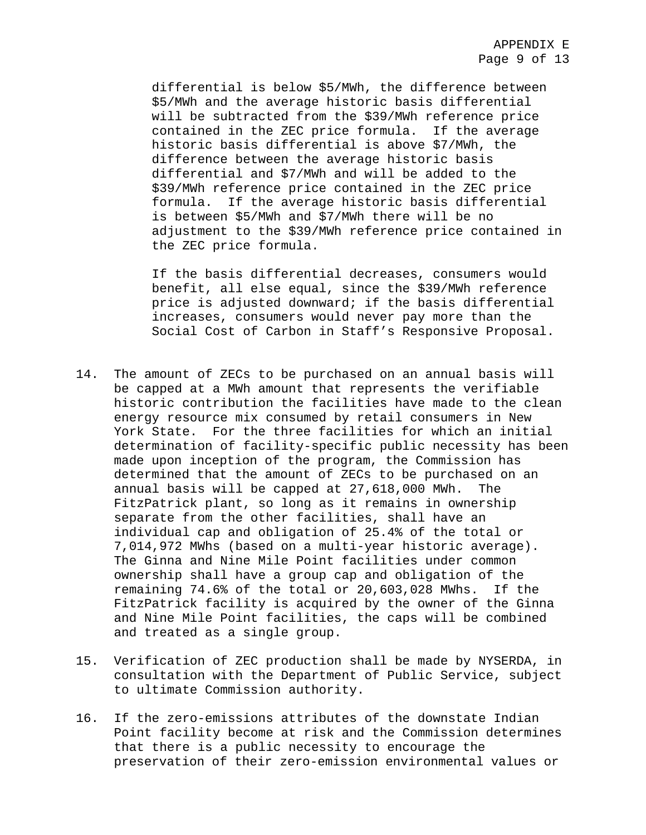differential is below \$5/MWh, the difference between \$5/MWh and the average historic basis differential will be subtracted from the \$39/MWh reference price contained in the ZEC price formula. If the average historic basis differential is above \$7/MWh, the difference between the average historic basis differential and \$7/MWh and will be added to the \$39/MWh reference price contained in the ZEC price formula. If the average historic basis differential is between \$5/MWh and \$7/MWh there will be no adjustment to the \$39/MWh reference price contained in the ZEC price formula.

If the basis differential decreases, consumers would benefit, all else equal, since the \$39/MWh reference price is adjusted downward; if the basis differential increases, consumers would never pay more than the Social Cost of Carbon in Staff's Responsive Proposal.

- 14. The amount of ZECs to be purchased on an annual basis will be capped at a MWh amount that represents the verifiable historic contribution the facilities have made to the clean energy resource mix consumed by retail consumers in New York State. For the three facilities for which an initial determination of facility-specific public necessity has been made upon inception of the program, the Commission has determined that the amount of ZECs to be purchased on an annual basis will be capped at 27,618,000 MWh. The FitzPatrick plant, so long as it remains in ownership separate from the other facilities, shall have an individual cap and obligation of 25.4% of the total or 7,014,972 MWhs (based on a multi-year historic average). The Ginna and Nine Mile Point facilities under common ownership shall have a group cap and obligation of the remaining 74.6% of the total or 20,603,028 MWhs. If the FitzPatrick facility is acquired by the owner of the Ginna and Nine Mile Point facilities, the caps will be combined and treated as a single group.
- 15. Verification of ZEC production shall be made by NYSERDA, in consultation with the Department of Public Service, subject to ultimate Commission authority.
- 16. If the zero-emissions attributes of the downstate Indian Point facility become at risk and the Commission determines that there is a public necessity to encourage the preservation of their zero-emission environmental values or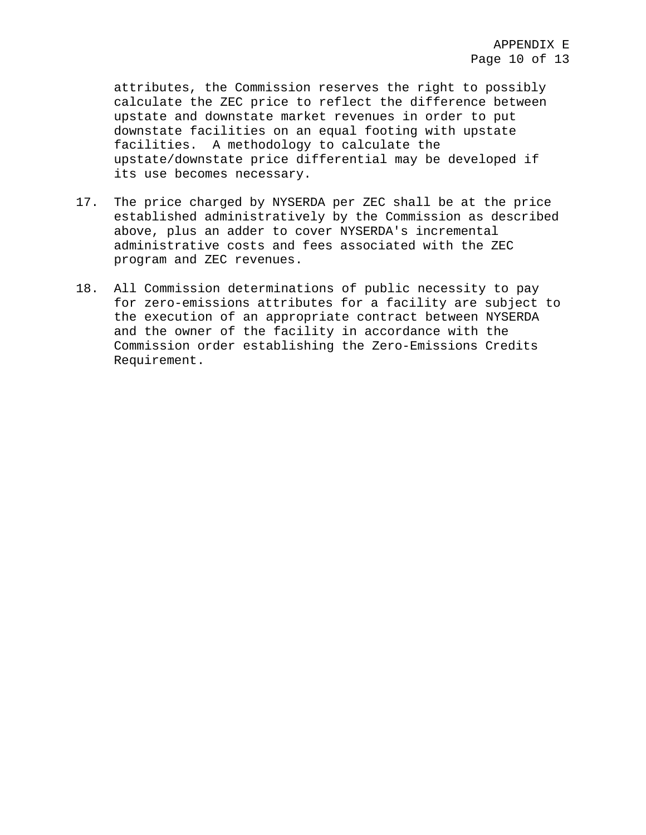attributes, the Commission reserves the right to possibly calculate the ZEC price to reflect the difference between upstate and downstate market revenues in order to put downstate facilities on an equal footing with upstate facilities. A methodology to calculate the upstate/downstate price differential may be developed if its use becomes necessary.

- 17. The price charged by NYSERDA per ZEC shall be at the price established administratively by the Commission as described above, plus an adder to cover NYSERDA's incremental administrative costs and fees associated with the ZEC program and ZEC revenues.
- 18. All Commission determinations of public necessity to pay for zero-emissions attributes for a facility are subject to the execution of an appropriate contract between NYSERDA and the owner of the facility in accordance with the Commission order establishing the Zero-Emissions Credits Requirement.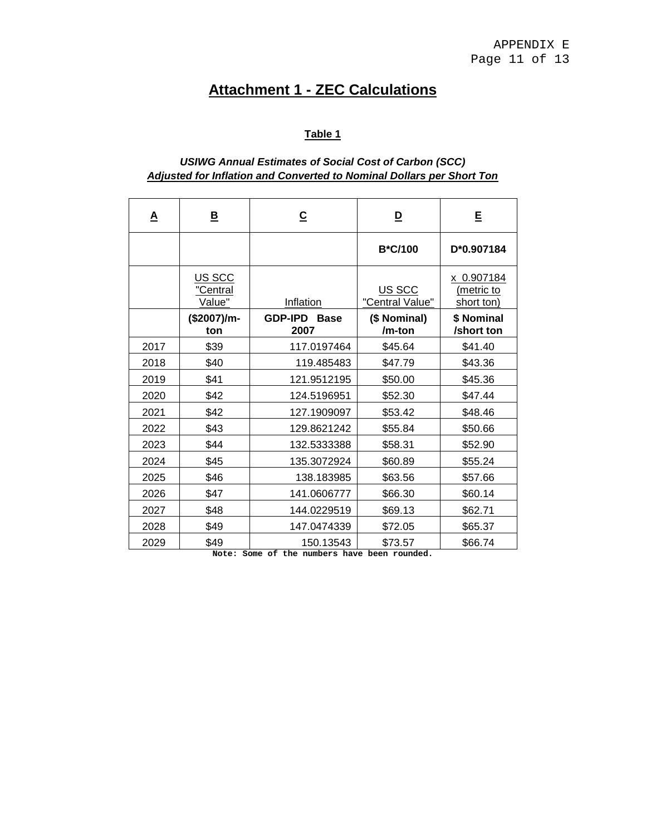# **Attachment 1 - ZEC Calculations**

# **Table 1**

## *USIWG Annual Estimates of Social Cost of Carbon (SCC) Adjusted for Inflation and Converted to Nominal Dollars per Short Ton*

| <u>A</u> | <u>B</u>                     | $\overline{c}$                                      | $\overline{\mathsf{D}}$   | Ε                                      |
|----------|------------------------------|-----------------------------------------------------|---------------------------|----------------------------------------|
|          |                              |                                                     | <b>B*C/100</b>            | D*0.907184                             |
|          | US SCC<br>"Central<br>Value" | Inflation                                           | US SCC<br>"Central Value" | x 0.907184<br>(metric to<br>short ton) |
|          | (\$2007)/m-<br>ton           | <b>GDP-IPD</b><br><b>Base</b><br>2007               | (\$ Nominal)<br>/m-ton    | \$ Nominal<br>/short ton               |
| 2017     | \$39                         | 117.0197464                                         | \$45.64                   | \$41.40                                |
| 2018     | \$40                         | 119.485483                                          | \$47.79                   | \$43.36                                |
| 2019     | \$41                         | 121.9512195                                         | \$50.00                   | \$45.36                                |
| 2020     | \$42                         | 124.5196951                                         | \$52.30                   | \$47.44                                |
| 2021     | \$42                         | 127.1909097                                         | \$53.42                   | \$48.46                                |
| 2022     | \$43                         | 129.8621242                                         | \$55.84                   | \$50.66                                |
| 2023     | \$44                         | 132.5333388                                         | \$58.31                   | \$52.90                                |
| 2024     | \$45                         | 135.3072924                                         | \$60.89                   | \$55.24                                |
| 2025     | \$46                         | 138.183985                                          | \$63.56                   | \$57.66                                |
| 2026     | \$47                         | 141.0606777                                         | \$66.30                   | \$60.14                                |
| 2027     | \$48                         | 144.0229519                                         | \$69.13                   | \$62.71                                |
| 2028     | \$49                         | 147.0474339                                         | \$72.05                   | \$65.37                                |
| 2029     | \$49<br>Note:                | 150.13543<br>Some of the numbers have been rounded. | \$73.57                   | \$66.74                                |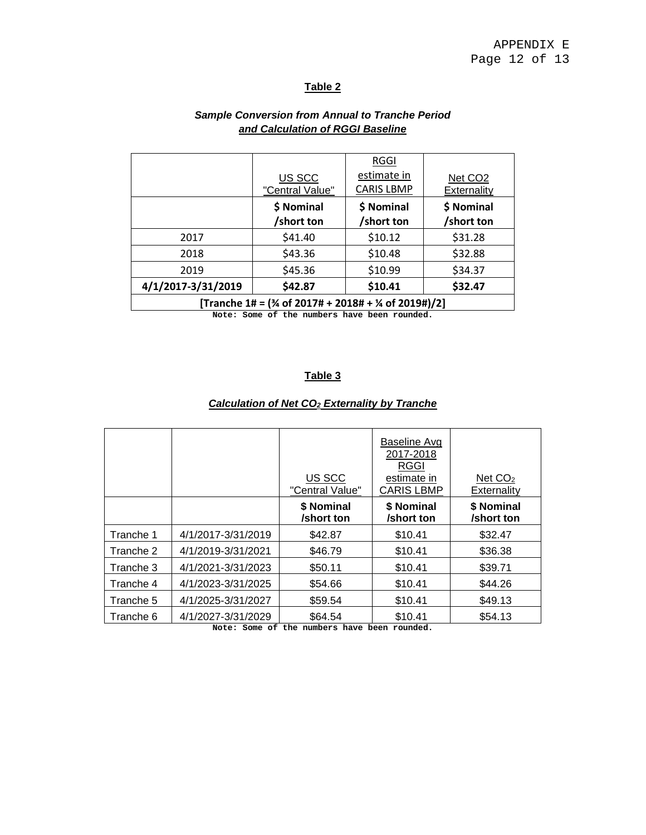## **Table 2**

|                                                                            |                           | RGGI                             |                                    |  |
|----------------------------------------------------------------------------|---------------------------|----------------------------------|------------------------------------|--|
|                                                                            | US SCC<br>"Central Value" | estimate in<br><b>CARIS LBMP</b> | Net CO <sub>2</sub><br>Externality |  |
|                                                                            |                           |                                  |                                    |  |
|                                                                            | \$ Nominal                | \$ Nominal                       | \$ Nominal                         |  |
|                                                                            | /short ton                | /short ton                       | /short ton                         |  |
| 2017                                                                       | \$41.40                   | \$10.12                          | \$31.28                            |  |
| 2018                                                                       | \$43.36                   | \$10.48                          | \$32.88                            |  |
| 2019                                                                       | \$45.36                   | \$10.99                          | \$34.37                            |  |
| 4/1/2017-3/31/2019                                                         | \$42.87                   | \$10.41                          | \$32.47                            |  |
| [Tranche 1# = $(\frac{3}{4}$ of 2017# + 2018# + $\frac{1}{4}$ of 2019#)/2] |                           |                                  |                                    |  |
| with a company of the countries house to company and the                   |                           |                                  |                                    |  |

## *Sample Conversion from Annual to Tranche Period and Calculation of RGGI Baseline*

**Note: Some of the numbers have been rounded.**

## **Table 3**

## *Calculation of Net CO2 Externality by Tranche*

|           |                    | US SCC<br>"Central Value" | Baseline Avg<br>2017-2018<br><b>RGGI</b><br>estimate in<br><b>CARIS LBMP</b> | Net $CO2$<br>Externality |
|-----------|--------------------|---------------------------|------------------------------------------------------------------------------|--------------------------|
|           |                    | \$ Nominal<br>/short ton  | \$ Nominal<br>/short ton                                                     | \$ Nominal<br>/short ton |
| Tranche 1 | 4/1/2017-3/31/2019 | \$42.87                   | \$10.41                                                                      | \$32.47                  |
| Tranche 2 | 4/1/2019-3/31/2021 | \$46.79                   | \$10.41                                                                      | \$36.38                  |
| Tranche 3 | 4/1/2021-3/31/2023 | \$50.11                   | \$10.41                                                                      | \$39.71                  |
| Tranche 4 | 4/1/2023-3/31/2025 | \$54.66                   | \$10.41                                                                      | \$44.26                  |
| Tranche 5 | 4/1/2025-3/31/2027 | \$59.54                   | \$10.41                                                                      | \$49.13                  |
| Tranche 6 | 4/1/2027-3/31/2029 | \$64.54                   | \$10.41                                                                      | \$54.13                  |

**Note: Some of the numbers have been rounded.**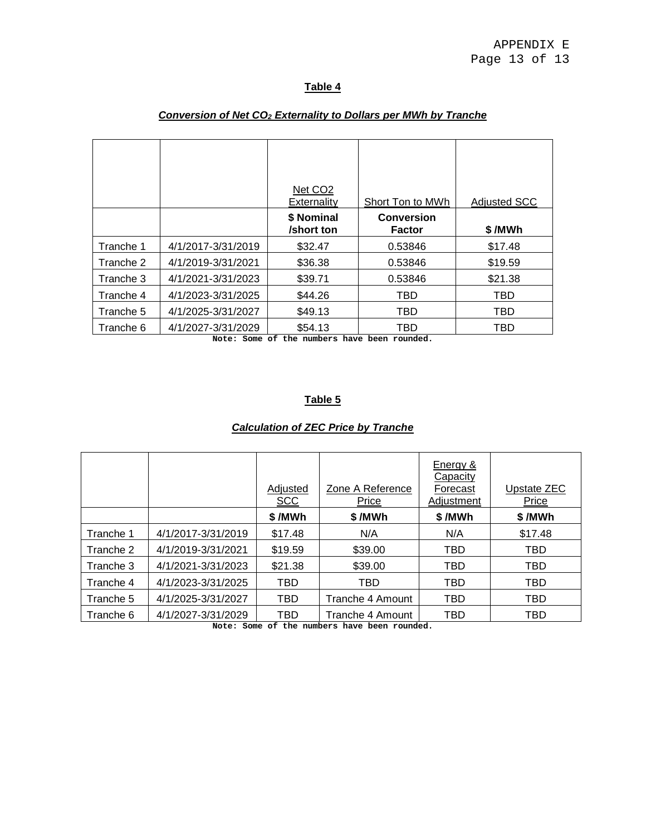## **Table 4**

|           |                    | Net CO <sub>2</sub><br>Externality | Short Ton to MWh            | <b>Adjusted SCC</b> |
|-----------|--------------------|------------------------------------|-----------------------------|---------------------|
|           |                    | \$ Nominal<br>/short ton           | <b>Conversion</b><br>Factor | \$/MWh              |
| Tranche 1 | 4/1/2017-3/31/2019 | \$32.47                            | 0.53846                     | \$17.48             |
| Tranche 2 | 4/1/2019-3/31/2021 | \$36.38                            | 0.53846                     | \$19.59             |
| Tranche 3 | 4/1/2021-3/31/2023 | \$39.71                            | 0.53846                     | \$21.38             |
| Tranche 4 | 4/1/2023-3/31/2025 | \$44.26                            | TBD                         | TBD                 |
| Tranche 5 | 4/1/2025-3/31/2027 | \$49.13                            | TBD                         | TBD                 |
| Tranche 6 | 4/1/2027-3/31/2029 | \$54.13                            | TBD                         | TBD                 |

### *Conversion of Net CO2 Externality to Dollars per MWh by Tranche*

**Note: Some of the numbers have been rounded.**

## **Table 5**

## *Calculation of ZEC Price by Tranche*

|           |                    | Adjusted<br><b>SCC</b> | Zone A Reference<br>Price | Energy &<br>Capacity<br>Forecast<br>Adjustment | Upstate ZEC<br>Price |
|-----------|--------------------|------------------------|---------------------------|------------------------------------------------|----------------------|
|           |                    | \$/MWh                 | \$/MWh                    | \$/MWh                                         | \$/MWh               |
| Tranche 1 | 4/1/2017-3/31/2019 | \$17.48                | N/A                       | N/A                                            | \$17.48              |
| Tranche 2 | 4/1/2019-3/31/2021 | \$19.59                | \$39.00                   | TBD                                            | TBD                  |
| Tranche 3 | 4/1/2021-3/31/2023 | \$21.38                | \$39.00                   | TBD                                            | TBD                  |
| Tranche 4 | 4/1/2023-3/31/2025 | TBD                    | TBD                       | TBD                                            | TBD                  |
| Tranche 5 | 4/1/2025-3/31/2027 | TBD                    | Tranche 4 Amount          | TBD                                            | TBD                  |
| Tranche 6 | 4/1/2027-3/31/2029 | TBD                    | Tranche 4 Amount          | TBD                                            | TBD                  |

**Note: Some of the numbers have been rounded.**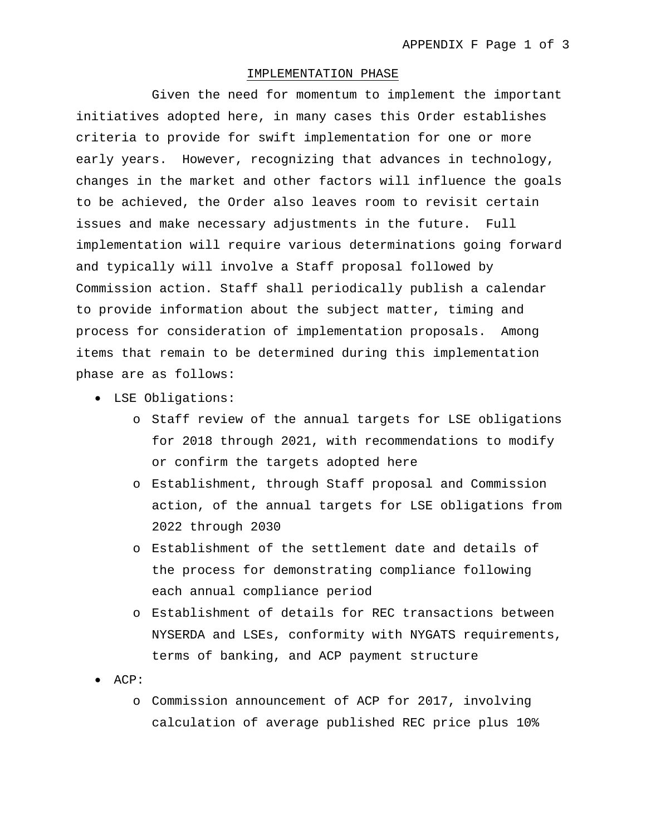#### IMPLEMENTATION PHASE

Given the need for momentum to implement the important initiatives adopted here, in many cases this Order establishes criteria to provide for swift implementation for one or more early years. However, recognizing that advances in technology, changes in the market and other factors will influence the goals to be achieved, the Order also leaves room to revisit certain issues and make necessary adjustments in the future. Full implementation will require various determinations going forward and typically will involve a Staff proposal followed by Commission action. Staff shall periodically publish a calendar to provide information about the subject matter, timing and process for consideration of implementation proposals. Among items that remain to be determined during this implementation phase are as follows:

- LSE Obligations:
	- o Staff review of the annual targets for LSE obligations for 2018 through 2021, with recommendations to modify or confirm the targets adopted here
	- o Establishment, through Staff proposal and Commission action, of the annual targets for LSE obligations from 2022 through 2030
	- o Establishment of the settlement date and details of the process for demonstrating compliance following each annual compliance period
	- o Establishment of details for REC transactions between NYSERDA and LSEs, conformity with NYGATS requirements, terms of banking, and ACP payment structure
- ACP:
	- o Commission announcement of ACP for 2017, involving calculation of average published REC price plus 10%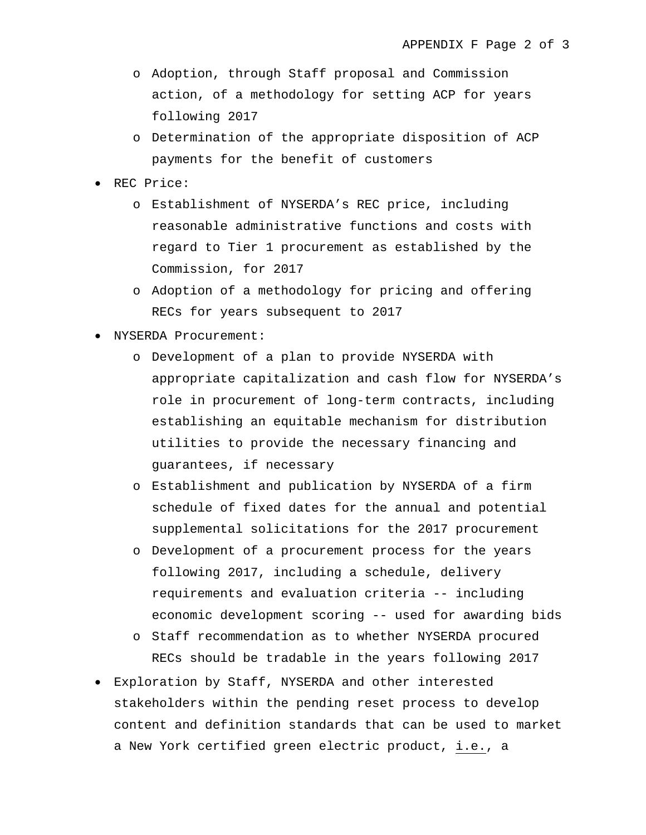- o Adoption, through Staff proposal and Commission action, of a methodology for setting ACP for years following 2017
- o Determination of the appropriate disposition of ACP payments for the benefit of customers
- REC Price:
	- o Establishment of NYSERDA's REC price, including reasonable administrative functions and costs with regard to Tier 1 procurement as established by the Commission, for 2017
	- o Adoption of a methodology for pricing and offering RECs for years subsequent to 2017
- NYSERDA Procurement:
	- o Development of a plan to provide NYSERDA with appropriate capitalization and cash flow for NYSERDA's role in procurement of long-term contracts, including establishing an equitable mechanism for distribution utilities to provide the necessary financing and guarantees, if necessary
	- o Establishment and publication by NYSERDA of a firm schedule of fixed dates for the annual and potential supplemental solicitations for the 2017 procurement
	- o Development of a procurement process for the years following 2017, including a schedule, delivery requirements and evaluation criteria -- including economic development scoring -- used for awarding bids
	- o Staff recommendation as to whether NYSERDA procured RECs should be tradable in the years following 2017
- Exploration by Staff, NYSERDA and other interested stakeholders within the pending reset process to develop content and definition standards that can be used to market a New York certified green electric product, i.e., a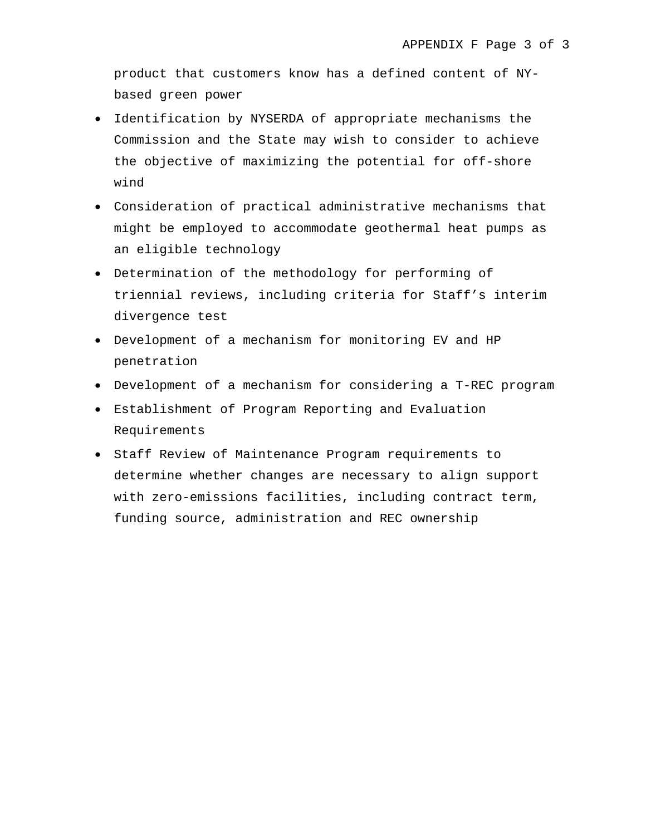product that customers know has a defined content of NYbased green power

- Identification by NYSERDA of appropriate mechanisms the Commission and the State may wish to consider to achieve the objective of maximizing the potential for off-shore wind
- Consideration of practical administrative mechanisms that might be employed to accommodate geothermal heat pumps as an eligible technology
- Determination of the methodology for performing of triennial reviews, including criteria for Staff's interim divergence test
- Development of a mechanism for monitoring EV and HP penetration
- Development of a mechanism for considering a T-REC program
- Establishment of Program Reporting and Evaluation Requirements
- Staff Review of Maintenance Program requirements to determine whether changes are necessary to align support with zero-emissions facilities, including contract term, funding source, administration and REC ownership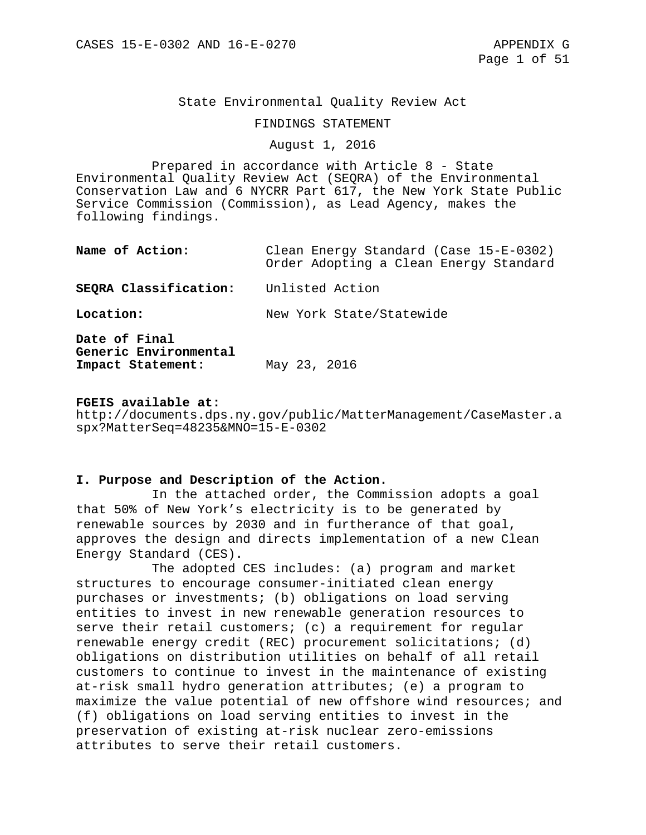#### State Environmental Quality Review Act

#### FINDINGS STATEMENT

## August 1, 2016

Prepared in accordance with Article 8 - State Environmental Quality Review Act (SEQRA) of the Environmental Conservation Law and 6 NYCRR Part 617, the New York State Public Service Commission (Commission), as Lead Agency, makes the following findings.

| Name of Action:                                             | Clean Energy Standard (Case 15-E-0302)<br>Order Adopting a Clean Energy Standard |
|-------------------------------------------------------------|----------------------------------------------------------------------------------|
| SEQRA Classification:                                       | Unlisted Action                                                                  |
| Location:                                                   | New York State/Statewide                                                         |
| Date of Final<br>Generic Environmental<br>Impact Statement: | May 23, 2016                                                                     |

#### **FGEIS available at:**

http://documents.dps.ny.gov/public/MatterManagement/CaseMaster.a spx?MatterSeq=48235&MNO=15-E-0302

#### **I. Purpose and Description of the Action.**

In the attached order, the Commission adopts a goal that 50% of New York's electricity is to be generated by renewable sources by 2030 and in furtherance of that goal, approves the design and directs implementation of a new Clean Energy Standard (CES).

The adopted CES includes: (a) program and market structures to encourage consumer-initiated clean energy purchases or investments; (b) obligations on load serving entities to invest in new renewable generation resources to serve their retail customers; (c) a requirement for regular renewable energy credit (REC) procurement solicitations; (d) obligations on distribution utilities on behalf of all retail customers to continue to invest in the maintenance of existing at-risk small hydro generation attributes; (e) a program to maximize the value potential of new offshore wind resources; and (f) obligations on load serving entities to invest in the preservation of existing at-risk nuclear zero-emissions attributes to serve their retail customers.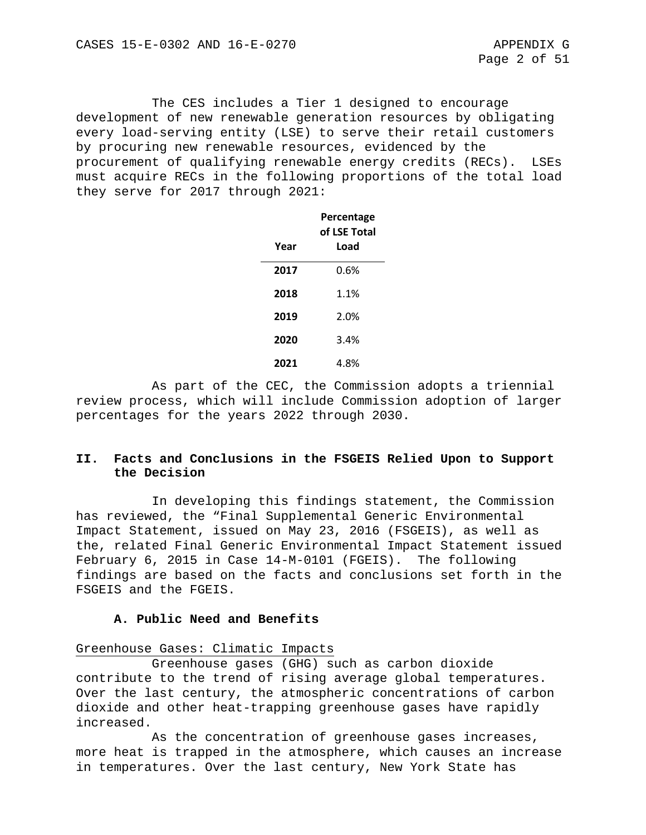The CES includes a Tier 1 designed to encourage development of new renewable generation resources by obligating every load-serving entity (LSE) to serve their retail customers by procuring new renewable resources, evidenced by the procurement of qualifying renewable energy credits (RECs). LSEs must acquire RECs in the following proportions of the total load they serve for 2017 through 2021:

|      | Percentage<br>of LSE Total |
|------|----------------------------|
| Year | Load                       |
| 2017 | 0.6%                       |
| 2018 | 1.1%                       |
| 2019 | 2.0%                       |
| 2020 | 3.4%                       |
| 2021 | 4.8%                       |

As part of the CEC, the Commission adopts a triennial review process, which will include Commission adoption of larger percentages for the years 2022 through 2030.

## **II. Facts and Conclusions in the FSGEIS Relied Upon to Support the Decision**

In developing this findings statement, the Commission has reviewed, the "Final Supplemental Generic Environmental Impact Statement, issued on May 23, 2016 (FSGEIS), as well as the, related Final Generic Environmental Impact Statement issued February 6, 2015 in Case 14-M-0101 (FGEIS). The following findings are based on the facts and conclusions set forth in the FSGEIS and the FGEIS.

#### **A. Public Need and Benefits**

## Greenhouse Gases: Climatic Impacts

Greenhouse gases (GHG) such as carbon dioxide contribute to the trend of rising average global temperatures. Over the last century, the atmospheric concentrations of carbon dioxide and other heat-trapping greenhouse gases have rapidly increased.

As the concentration of greenhouse gases increases, more heat is trapped in the atmosphere, which causes an increase in temperatures. Over the last century, New York State has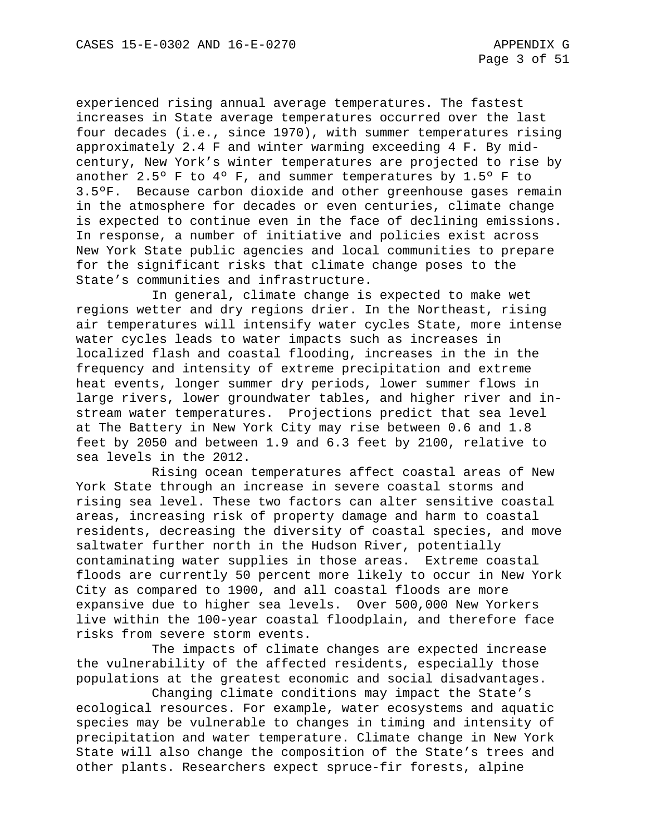experienced rising annual average temperatures. The fastest increases in State average temperatures occurred over the last four decades (i.e., since 1970), with summer temperatures rising approximately 2.4 F and winter warming exceeding 4 F. By midcentury, New York's winter temperatures are projected to rise by another 2.5° F to  $4^{\circ}$  F, and summer temperatures by 1.5° F to 3.5ºF. Because carbon dioxide and other greenhouse gases remain in the atmosphere for decades or even centuries, climate change is expected to continue even in the face of declining emissions. In response, a number of initiative and policies exist across New York State public agencies and local communities to prepare for the significant risks that climate change poses to the State's communities and infrastructure.

In general, climate change is expected to make wet regions wetter and dry regions drier. In the Northeast, rising air temperatures will intensify water cycles State, more intense water cycles leads to water impacts such as increases in localized flash and coastal flooding, increases in the in the frequency and intensity of extreme precipitation and extreme heat events, longer summer dry periods, lower summer flows in large rivers, lower groundwater tables, and higher river and instream water temperatures. Projections predict that sea level at The Battery in New York City may rise between 0.6 and 1.8 feet by 2050 and between 1.9 and 6.3 feet by 2100, relative to sea levels in the 2012.

Rising ocean temperatures affect coastal areas of New York State through an increase in severe coastal storms and rising sea level. These two factors can alter sensitive coastal areas, increasing risk of property damage and harm to coastal residents, decreasing the diversity of coastal species, and move saltwater further north in the Hudson River, potentially contaminating water supplies in those areas. Extreme coastal floods are currently 50 percent more likely to occur in New York City as compared to 1900, and all coastal floods are more expansive due to higher sea levels. Over 500,000 New Yorkers live within the 100-year coastal floodplain, and therefore face risks from severe storm events.

The impacts of climate changes are expected increase the vulnerability of the affected residents, especially those populations at the greatest economic and social disadvantages.

Changing climate conditions may impact the State's ecological resources. For example, water ecosystems and aquatic species may be vulnerable to changes in timing and intensity of precipitation and water temperature. Climate change in New York State will also change the composition of the State's trees and other plants. Researchers expect spruce-fir forests, alpine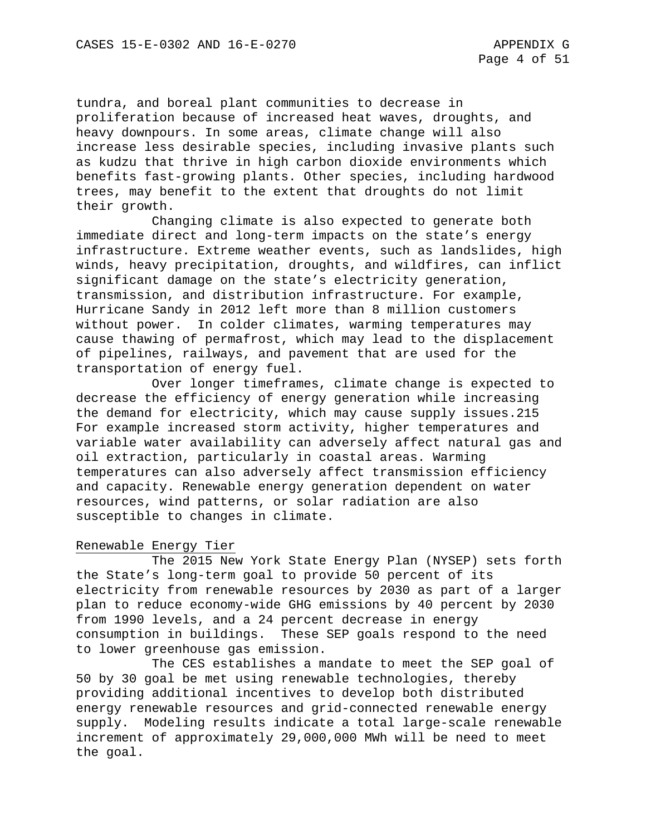tundra, and boreal plant communities to decrease in proliferation because of increased heat waves, droughts, and heavy downpours. In some areas, climate change will also increase less desirable species, including invasive plants such as kudzu that thrive in high carbon dioxide environments which benefits fast-growing plants. Other species, including hardwood trees, may benefit to the extent that droughts do not limit their growth.

Changing climate is also expected to generate both immediate direct and long-term impacts on the state's energy infrastructure. Extreme weather events, such as landslides, high winds, heavy precipitation, droughts, and wildfires, can inflict significant damage on the state's electricity generation, transmission, and distribution infrastructure. For example, Hurricane Sandy in 2012 left more than 8 million customers without power. In colder climates, warming temperatures may cause thawing of permafrost, which may lead to the displacement of pipelines, railways, and pavement that are used for the transportation of energy fuel.

Over longer timeframes, climate change is expected to decrease the efficiency of energy generation while increasing the demand for electricity, which may cause supply issues.215 For example increased storm activity, higher temperatures and variable water availability can adversely affect natural gas and oil extraction, particularly in coastal areas. Warming temperatures can also adversely affect transmission efficiency and capacity. Renewable energy generation dependent on water resources, wind patterns, or solar radiation are also susceptible to changes in climate.

#### Renewable Energy Tier

The 2015 New York State Energy Plan (NYSEP) sets forth the State's long-term goal to provide 50 percent of its electricity from renewable resources by 2030 as part of a larger plan to reduce economy-wide GHG emissions by 40 percent by 2030 from 1990 levels, and a 24 percent decrease in energy consumption in buildings. These SEP goals respond to the need to lower greenhouse gas emission.

The CES establishes a mandate to meet the SEP goal of 50 by 30 goal be met using renewable technologies, thereby providing additional incentives to develop both distributed energy renewable resources and grid-connected renewable energy supply. Modeling results indicate a total large-scale renewable increment of approximately 29,000,000 MWh will be need to meet the goal.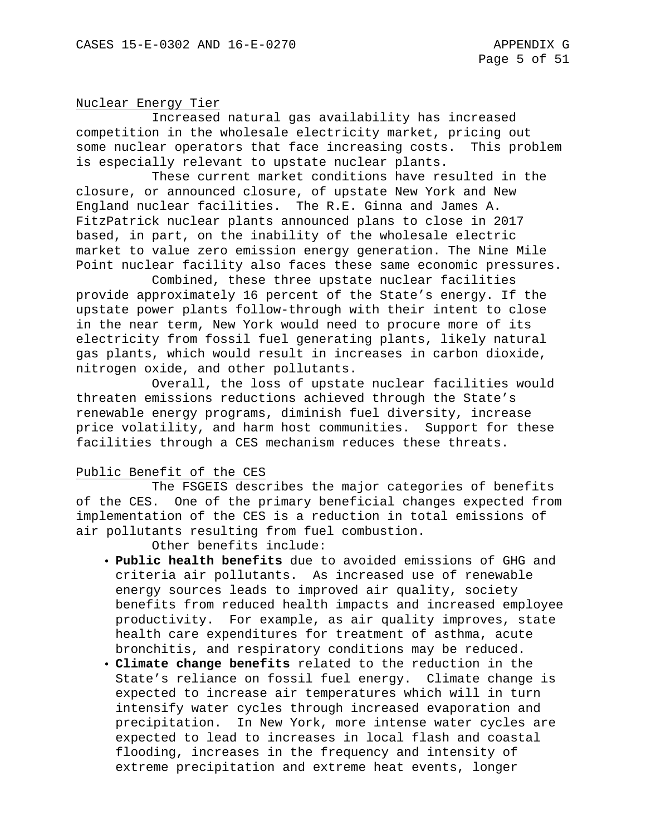#### Nuclear Energy Tier

Increased natural gas availability has increased competition in the wholesale electricity market, pricing out some nuclear operators that face increasing costs. This problem is especially relevant to upstate nuclear plants.

These current market conditions have resulted in the closure, or announced closure, of upstate New York and New England nuclear facilities. The R.E. Ginna and James A. FitzPatrick nuclear plants announced plans to close in 2017 based, in part, on the inability of the wholesale electric market to value zero emission energy generation. The Nine Mile Point nuclear facility also faces these same economic pressures.

Combined, these three upstate nuclear facilities provide approximately 16 percent of the State's energy. If the upstate power plants follow-through with their intent to close in the near term, New York would need to procure more of its electricity from fossil fuel generating plants, likely natural gas plants, which would result in increases in carbon dioxide, nitrogen oxide, and other pollutants.

Overall, the loss of upstate nuclear facilities would threaten emissions reductions achieved through the State's renewable energy programs, diminish fuel diversity, increase price volatility, and harm host communities. Support for these facilities through a CES mechanism reduces these threats.

#### Public Benefit of the CES

The FSGEIS describes the major categories of benefits of the CES. One of the primary beneficial changes expected from implementation of the CES is a reduction in total emissions of air pollutants resulting from fuel combustion.

Other benefits include:

- **Public health benefits** due to avoided emissions of GHG and criteria air pollutants. As increased use of renewable energy sources leads to improved air quality, society benefits from reduced health impacts and increased employee productivity. For example, as air quality improves, state health care expenditures for treatment of asthma, acute bronchitis, and respiratory conditions may be reduced.
- **Climate change benefits** related to the reduction in the State's reliance on fossil fuel energy. Climate change is expected to increase air temperatures which will in turn intensify water cycles through increased evaporation and precipitation. In New York, more intense water cycles are expected to lead to increases in local flash and coastal flooding, increases in the frequency and intensity of extreme precipitation and extreme heat events, longer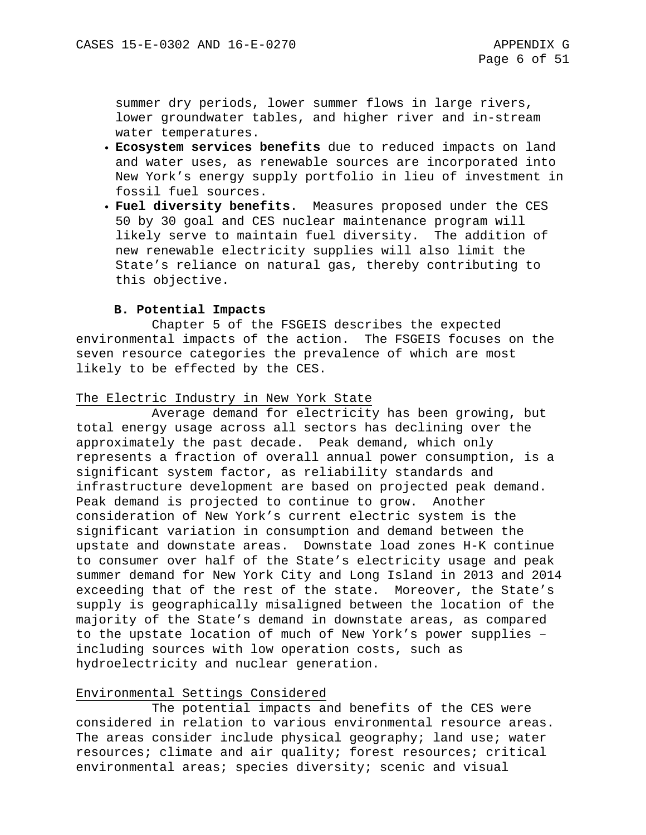summer dry periods, lower summer flows in large rivers, lower groundwater tables, and higher river and in-stream water temperatures.

- **Ecosystem services benefits** due to reduced impacts on land and water uses, as renewable sources are incorporated into New York's energy supply portfolio in lieu of investment in fossil fuel sources.
- **Fuel diversity benefits**. Measures proposed under the CES 50 by 30 goal and CES nuclear maintenance program will likely serve to maintain fuel diversity. The addition of new renewable electricity supplies will also limit the State's reliance on natural gas, thereby contributing to this objective.

### **B. Potential Impacts**

Chapter 5 of the FSGEIS describes the expected environmental impacts of the action. The FSGEIS focuses on the seven resource categories the prevalence of which are most likely to be effected by the CES.

#### The Electric Industry in New York State

Average demand for electricity has been growing, but total energy usage across all sectors has declining over the approximately the past decade. Peak demand, which only represents a fraction of overall annual power consumption, is a significant system factor, as reliability standards and infrastructure development are based on projected peak demand. Peak demand is projected to continue to grow. Another consideration of New York's current electric system is the significant variation in consumption and demand between the upstate and downstate areas. Downstate load zones H-K continue to consumer over half of the State's electricity usage and peak summer demand for New York City and Long Island in 2013 and 2014 exceeding that of the rest of the state. Moreover, the State's supply is geographically misaligned between the location of the majority of the State's demand in downstate areas, as compared to the upstate location of much of New York's power supplies – including sources with low operation costs, such as hydroelectricity and nuclear generation.

## Environmental Settings Considered

The potential impacts and benefits of the CES were considered in relation to various environmental resource areas. The areas consider include physical geography; land use; water resources; climate and air quality; forest resources; critical environmental areas; species diversity; scenic and visual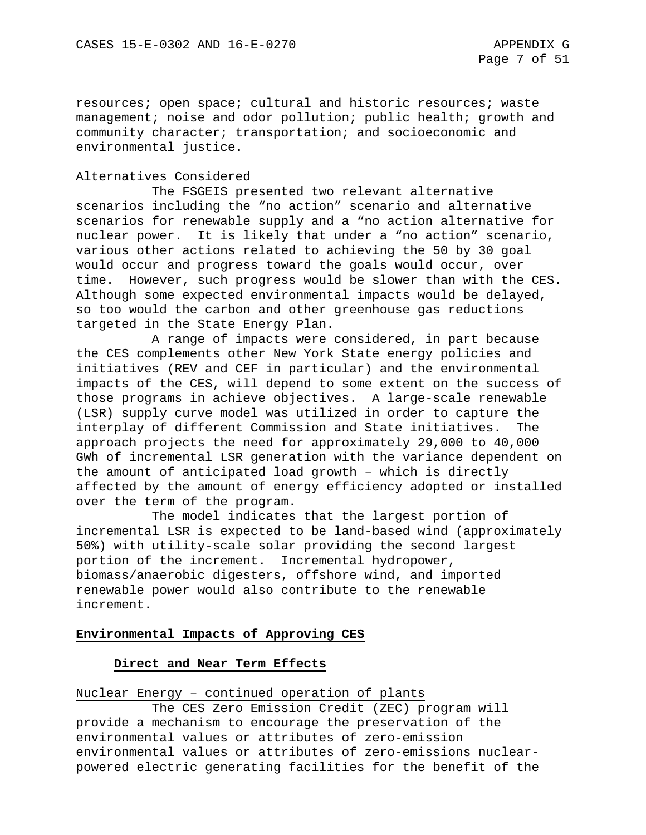resources; open space; cultural and historic resources; waste management; noise and odor pollution; public health; growth and community character; transportation; and socioeconomic and environmental justice.

#### Alternatives Considered

The FSGEIS presented two relevant alternative scenarios including the "no action" scenario and alternative scenarios for renewable supply and a "no action alternative for nuclear power. It is likely that under a "no action" scenario, various other actions related to achieving the 50 by 30 goal would occur and progress toward the goals would occur, over time. However, such progress would be slower than with the CES. Although some expected environmental impacts would be delayed, so too would the carbon and other greenhouse gas reductions targeted in the State Energy Plan.

A range of impacts were considered, in part because the CES complements other New York State energy policies and initiatives (REV and CEF in particular) and the environmental impacts of the CES, will depend to some extent on the success of those programs in achieve objectives. A large-scale renewable (LSR) supply curve model was utilized in order to capture the interplay of different Commission and State initiatives. The approach projects the need for approximately 29,000 to 40,000 GWh of incremental LSR generation with the variance dependent on the amount of anticipated load growth – which is directly affected by the amount of energy efficiency adopted or installed over the term of the program.

The model indicates that the largest portion of incremental LSR is expected to be land-based wind (approximately 50%) with utility-scale solar providing the second largest portion of the increment. Incremental hydropower, biomass/anaerobic digesters, offshore wind, and imported renewable power would also contribute to the renewable increment.

#### **Environmental Impacts of Approving CES**

#### **Direct and Near Term Effects**

Nuclear Energy – continued operation of plants

The CES Zero Emission Credit (ZEC) program will provide a mechanism to encourage the preservation of the environmental values or attributes of zero-emission environmental values or attributes of zero-emissions nuclearpowered electric generating facilities for the benefit of the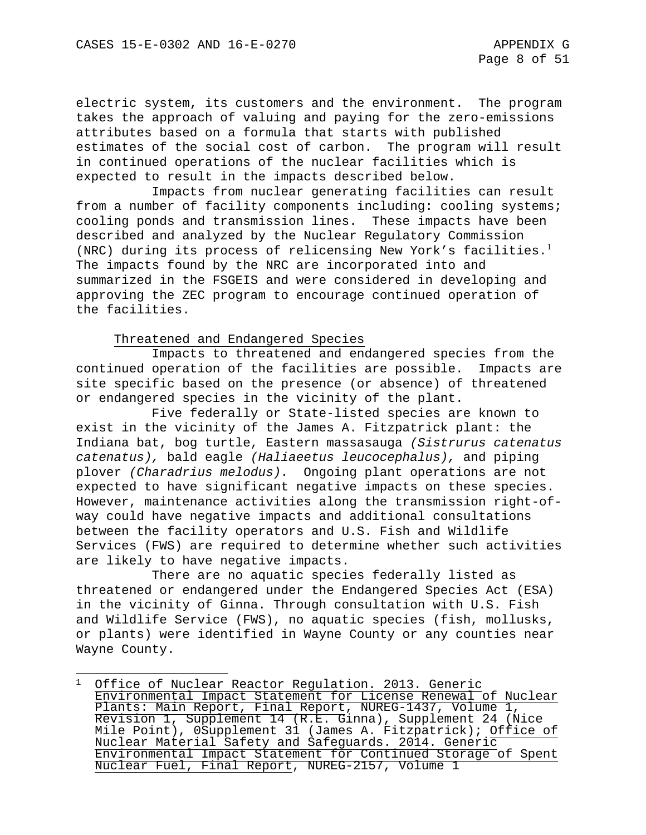electric system, its customers and the environment. The program takes the approach of valuing and paying for the zero-emissions attributes based on a formula that starts with published estimates of the social cost of carbon. The program will result in continued operations of the nuclear facilities which is expected to result in the impacts described below.

Impacts from nuclear generating facilities can result from a number of facility components including: cooling systems; cooling ponds and transmission lines. These impacts have been described and analyzed by the Nuclear Regulatory Commission (NRC) during its process of relicensing New York's facilities.<sup>[1](#page-235-0)</sup> The impacts found by the NRC are incorporated into and summarized in the FSGEIS and were considered in developing and approving the ZEC program to encourage continued operation of the facilities.

#### Threatened and Endangered Species

l

Impacts to threatened and endangered species from the continued operation of the facilities are possible. Impacts are site specific based on the presence (or absence) of threatened or endangered species in the vicinity of the plant.

Five federally or State-listed species are known to exist in the vicinity of the James A. Fitzpatrick plant: the Indiana bat, bog turtle, Eastern massasauga *(Sistrurus catenatus catenatus),* bald eagle *(Haliaeetus leucocephalus),* and piping plover *(Charadrius melodus).* Ongoing plant operations are not expected to have significant negative impacts on these species. However, maintenance activities along the transmission right-ofway could have negative impacts and additional consultations between the facility operators and U.S. Fish and Wildlife Services (FWS) are required to determine whether such activities are likely to have negative impacts.

There are no aquatic species federally listed as threatened or endangered under the Endangered Species Act (ESA) in the vicinity of Ginna. Through consultation with U.S. Fish and Wildlife Service (FWS), no aquatic species (fish, mollusks, or plants) were identified in Wayne County or any counties near Wayne County.

<span id="page-235-0"></span><sup>&</sup>lt;sup>1</sup> Office of Nuclear Reactor Regulation. 2013. Generic Environmental Impact Statement for License Renewal of Nuclear Plants: Main Report, Final Report, NUREG-1437, Volume 1, Revision 1, Supplement 14 (R.E. Ginna), Supplement 24 (Nice Mile Point), 0Supplement 31 (James A. Fitzpatrick); Office of Nuclear Material Safety and Safeguards. 2014. Generic Environmental Impact Statement for Continued Storage of Spent Nuclear Fuel, Final Report, NUREG-2157, Volume 1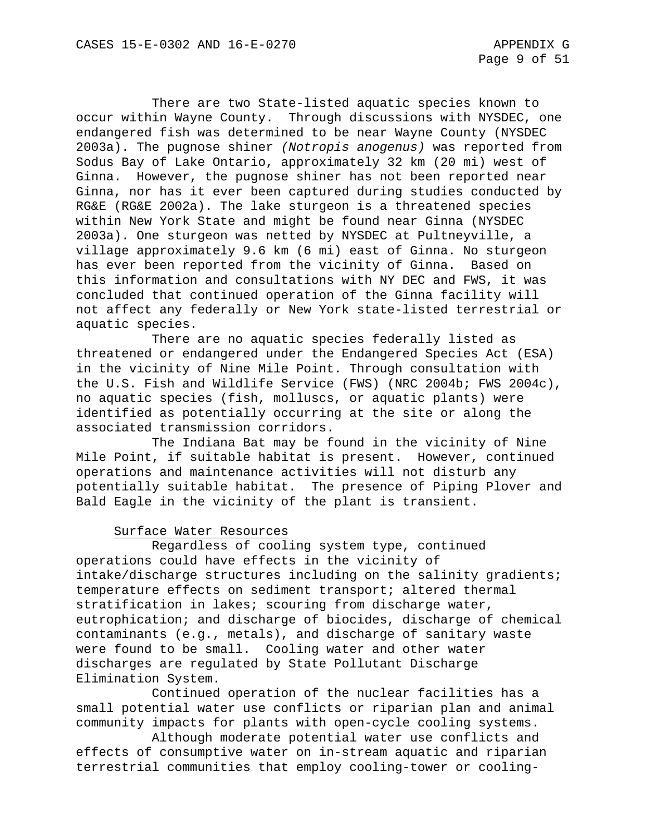There are two State-listed aquatic species known to occur within Wayne County. Through discussions with NYSDEC, one endangered fish was determined to be near Wayne County (NYSDEC 2003a). The pugnose shiner *(Notropis anogenus)* was reported from Sodus Bay of Lake Ontario, approximately 32 km (20 mi) west of Ginna. However, the pugnose shiner has not been reported near Ginna, nor has it ever been captured during studies conducted by RG&E (RG&E 2002a). The lake sturgeon is a threatened species within New York State and might be found near Ginna (NYSDEC 2003a). One sturgeon was netted by NYSDEC at Pultneyville, a village approximately 9.6 km (6 mi) east of Ginna. No sturgeon has ever been reported from the vicinity of Ginna. Based on this information and consultations with NY DEC and FWS, it was concluded that continued operation of the Ginna facility will not affect any federally or New York state-listed terrestrial or aquatic species.

There are no aquatic species federally listed as threatened or endangered under the Endangered Species Act (ESA) in the vicinity of Nine Mile Point. Through consultation with the U.S. Fish and Wildlife Service (FWS) (NRC 2004b; FWS 2004c), no aquatic species (fish, molluscs, or aquatic plants) were identified as potentially occurring at the site or along the associated transmission corridors.

The Indiana Bat may be found in the vicinity of Nine Mile Point, if suitable habitat is present. However, continued operations and maintenance activities will not disturb any potentially suitable habitat. The presence of Piping Plover and Bald Eagle in the vicinity of the plant is transient.

#### Surface Water Resources

Regardless of cooling system type, continued operations could have effects in the vicinity of intake/discharge structures including on the salinity gradients; temperature effects on sediment transport; altered thermal stratification in lakes; scouring from discharge water, eutrophication; and discharge of biocides, discharge of chemical contaminants (e.g., metals), and discharge of sanitary waste were found to be small. Cooling water and other water discharges are regulated by State Pollutant Discharge Elimination System.

Continued operation of the nuclear facilities has a small potential water use conflicts or riparian plan and animal community impacts for plants with open-cycle cooling systems.

Although moderate potential water use conflicts and effects of consumptive water on in-stream aquatic and riparian terrestrial communities that employ cooling-tower or cooling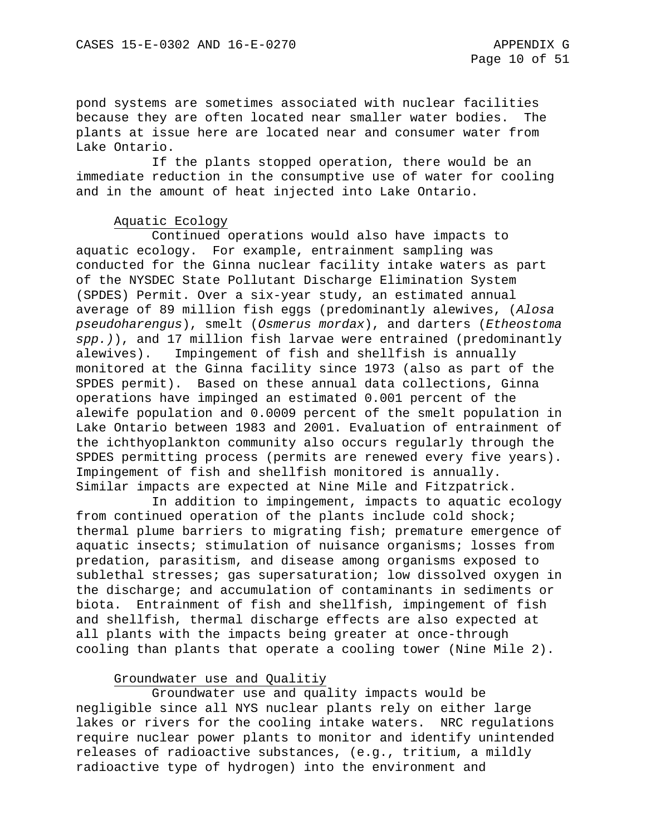pond systems are sometimes associated with nuclear facilities because they are often located near smaller water bodies. The plants at issue here are located near and consumer water from Lake Ontario.

 If the plants stopped operation, there would be an immediate reduction in the consumptive use of water for cooling and in the amount of heat injected into Lake Ontario.

#### Aquatic Ecology

Continued operations would also have impacts to aquatic ecology. For example, entrainment sampling was conducted for the Ginna nuclear facility intake waters as part of the NYSDEC State Pollutant Discharge Elimination System (SPDES) Permit. Over a six-year study, an estimated annual average of 89 million fish eggs (predominantly alewives, (*Alosa pseudoharengus*), smelt (*Osmerus mordax*), and darters (*Etheostoma spp.)*), and 17 million fish larvae were entrained (predominantly alewives). Impingement of fish and shellfish is annually monitored at the Ginna facility since 1973 (also as part of the SPDES permit). Based on these annual data collections, Ginna operations have impinged an estimated 0.001 percent of the alewife population and 0.0009 percent of the smelt population in Lake Ontario between 1983 and 2001. Evaluation of entrainment of the ichthyoplankton community also occurs regularly through the SPDES permitting process (permits are renewed every five years). Impingement of fish and shellfish monitored is annually. Similar impacts are expected at Nine Mile and Fitzpatrick.

In addition to impingement, impacts to aquatic ecology from continued operation of the plants include cold shock; thermal plume barriers to migrating fish; premature emergence of aquatic insects; stimulation of nuisance organisms; losses from predation, parasitism, and disease among organisms exposed to sublethal stresses; gas supersaturation; low dissolved oxygen in the discharge; and accumulation of contaminants in sediments or biota. Entrainment of fish and shellfish, impingement of fish and shellfish, thermal discharge effects are also expected at all plants with the impacts being greater at once-through cooling than plants that operate a cooling tower (Nine Mile 2).

#### Groundwater use and Qualitiy

Groundwater use and quality impacts would be negligible since all NYS nuclear plants rely on either large lakes or rivers for the cooling intake waters. NRC regulations require nuclear power plants to monitor and identify unintended releases of radioactive substances, (e.g., tritium, a mildly radioactive type of hydrogen) into the environment and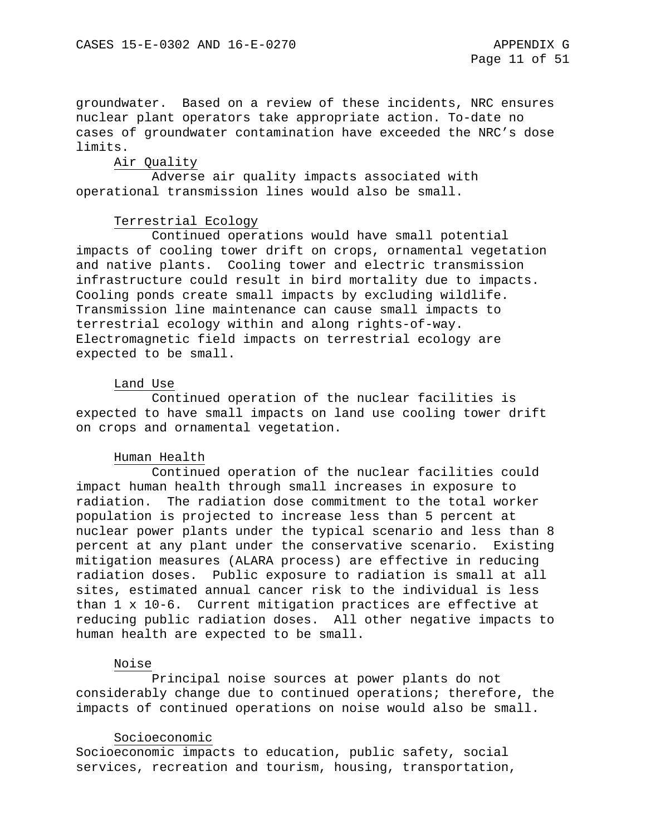groundwater. Based on a review of these incidents, NRC ensures nuclear plant operators take appropriate action. To-date no cases of groundwater contamination have exceeded the NRC's dose limits.

### Air Quality

Adverse air quality impacts associated with operational transmission lines would also be small.

### Terrestrial Ecology

Continued operations would have small potential impacts of cooling tower drift on crops, ornamental vegetation and native plants. Cooling tower and electric transmission infrastructure could result in bird mortality due to impacts. Cooling ponds create small impacts by excluding wildlife. Transmission line maintenance can cause small impacts to terrestrial ecology within and along rights-of-way. Electromagnetic field impacts on terrestrial ecology are expected to be small.

### Land Use

Continued operation of the nuclear facilities is expected to have small impacts on land use cooling tower drift on crops and ornamental vegetation.

#### Human Health

Continued operation of the nuclear facilities could impact human health through small increases in exposure to radiation. The radiation dose commitment to the total worker population is projected to increase less than 5 percent at nuclear power plants under the typical scenario and less than 8 percent at any plant under the conservative scenario. Existing mitigation measures (ALARA process) are effective in reducing radiation doses. Public exposure to radiation is small at all sites, estimated annual cancer risk to the individual is less than 1 x 10-6. Current mitigation practices are effective at reducing public radiation doses. All other negative impacts to human health are expected to be small.

#### Noise

Principal noise sources at power plants do not considerably change due to continued operations; therefore, the impacts of continued operations on noise would also be small.

#### Socioeconomic

Socioeconomic impacts to education, public safety, social services, recreation and tourism, housing, transportation,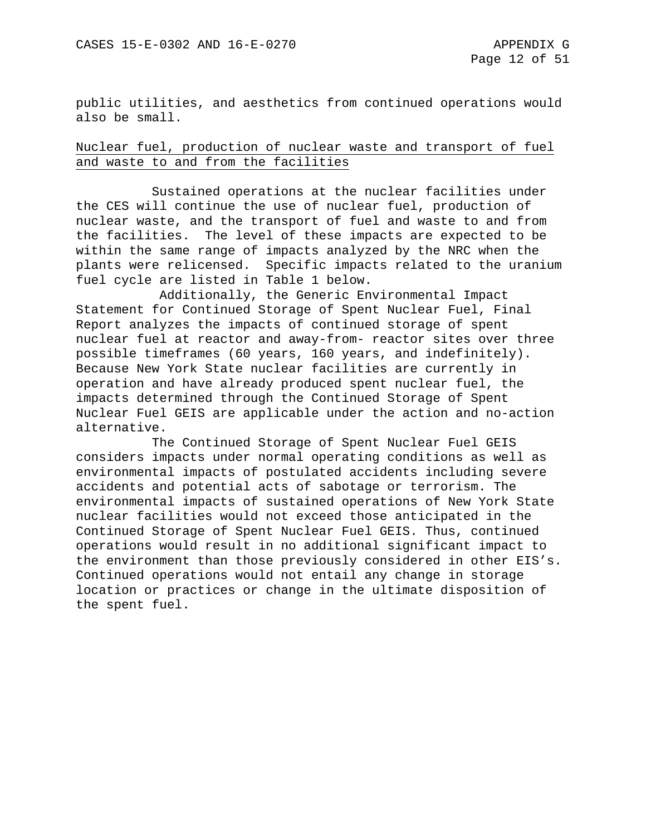public utilities, and aesthetics from continued operations would also be small.

Nuclear fuel, production of nuclear waste and transport of fuel and waste to and from the facilities

Sustained operations at the nuclear facilities under the CES will continue the use of nuclear fuel, production of nuclear waste, and the transport of fuel and waste to and from the facilities. The level of these impacts are expected to be within the same range of impacts analyzed by the NRC when the plants were relicensed. Specific impacts related to the uranium fuel cycle are listed in Table 1 below.

Additionally, the Generic Environmental Impact Statement for Continued Storage of Spent Nuclear Fuel, Final Report analyzes the impacts of continued storage of spent nuclear fuel at reactor and away-from- reactor sites over three possible timeframes (60 years, 160 years, and indefinitely). Because New York State nuclear facilities are currently in operation and have already produced spent nuclear fuel, the impacts determined through the Continued Storage of Spent Nuclear Fuel GEIS are applicable under the action and no-action alternative.

The Continued Storage of Spent Nuclear Fuel GEIS considers impacts under normal operating conditions as well as environmental impacts of postulated accidents including severe accidents and potential acts of sabotage or terrorism. The environmental impacts of sustained operations of New York State nuclear facilities would not exceed those anticipated in the Continued Storage of Spent Nuclear Fuel GEIS. Thus, continued operations would result in no additional significant impact to the environment than those previously considered in other EIS's. Continued operations would not entail any change in storage location or practices or change in the ultimate disposition of the spent fuel.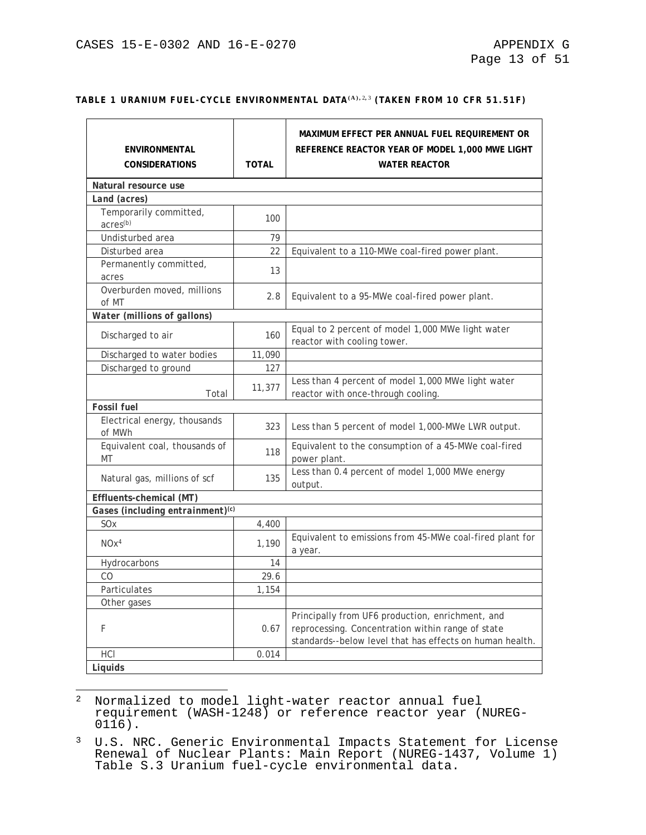#### **TABLE 1 URANIUM FUEL-CYCLE ENVIRONMENTAL DATA(A),** [2](#page-240-0)**,** [3](#page-240-1) **(TAKEN FROM 10 CFR 51.51F)**

| <b>ENVIRONMENTAL</b><br><b>CONSIDERATIONS</b>  | <b>TOTAL</b> | MAXIMUM EFFECT PER ANNUAL FUEL REQUIREMENT OR<br>REFERENCE REACTOR YEAR OF MODEL 1,000 MWE LIGHT<br><b>WATER REACTOR</b>                                          |
|------------------------------------------------|--------------|-------------------------------------------------------------------------------------------------------------------------------------------------------------------|
| Natural resource use                           |              |                                                                                                                                                                   |
| Land (acres)                                   |              |                                                                                                                                                                   |
| Temporarily committed,<br>acres <sup>(b)</sup> | 100          |                                                                                                                                                                   |
| Undisturbed area                               | 79           |                                                                                                                                                                   |
| Disturbed area                                 | 22           | Equivalent to a 110-MWe coal-fired power plant.                                                                                                                   |
| Permanently committed,<br>acres                | 13           |                                                                                                                                                                   |
| Overburden moved, millions<br>of MT            | 2.8          | Equivalent to a 95-MWe coal-fired power plant.                                                                                                                    |
| Water (millions of gallons)                    |              |                                                                                                                                                                   |
| Discharged to air                              | 160          | Equal to 2 percent of model 1,000 MWe light water<br>reactor with cooling tower.                                                                                  |
| Discharged to water bodies                     | 11,090       |                                                                                                                                                                   |
| Discharged to ground                           | 127          |                                                                                                                                                                   |
| Total                                          | 11,377       | Less than 4 percent of model 1,000 MWe light water<br>reactor with once-through cooling.                                                                          |
| <b>Fossil fuel</b>                             |              |                                                                                                                                                                   |
| Electrical energy, thousands<br>of MWh         | 323          | Less than 5 percent of model 1,000-MWe LWR output.                                                                                                                |
| Equivalent coal, thousands of<br>MT            | 118          | Equivalent to the consumption of a 45-MWe coal-fired<br>power plant.                                                                                              |
| Natural gas, millions of scf                   | 135          | Less than 0.4 percent of model 1,000 MWe energy<br>output.                                                                                                        |
| Effluents-chemical (MT)                        |              |                                                                                                                                                                   |
| Gases (including entrainment) <sup>(c)</sup>   |              |                                                                                                                                                                   |
| SO <sub>x</sub>                                | 4,400        |                                                                                                                                                                   |
| NOx <sup>4</sup>                               | 1,190        | Equivalent to emissions from 45-MWe coal-fired plant for<br>a year.                                                                                               |
| Hydrocarbons                                   | 14           |                                                                                                                                                                   |
| CO                                             | 29.6         |                                                                                                                                                                   |
| Particulates                                   | 1,154        |                                                                                                                                                                   |
| Other gases                                    |              |                                                                                                                                                                   |
| F                                              | 0.67         | Principally from UF6 production, enrichment, and<br>reprocessing. Concentration within range of state<br>standards--below level that has effects on human health. |
| HCI                                            | 0.014        |                                                                                                                                                                   |
| Liquids                                        |              |                                                                                                                                                                   |

<span id="page-240-0"></span> $\overline{\phantom{a}}$ <sup>2</sup> Normalized to model light-water reactor annual fuel requirement (WASH-1248) or reference reactor year (NUREG-<br>0116).

<span id="page-240-1"></span><sup>&</sup>lt;sup>3</sup> U.S. NRC. Generic Environmental Impacts Statement for License Renewal of Nuclear Plants: Main Report (NUREG-1437, Volume 1) Table S.3 Uranium fuel-cycle environmental data.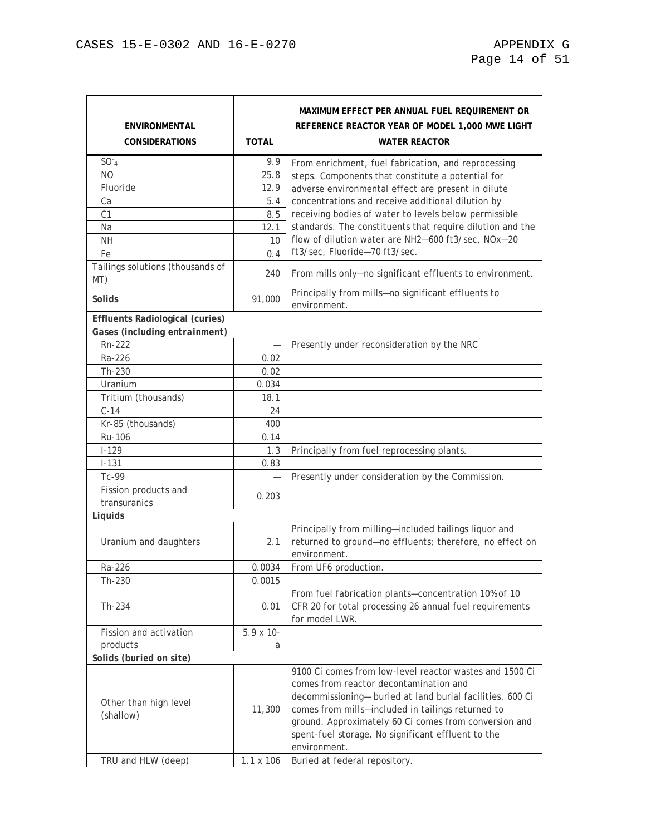| <b>ENVIRONMENTAL</b><br><b>CONSIDERATIONS</b> | <b>TOTAL</b>      | MAXIMUM EFFECT PER ANNUAL FUEL REQUIREMENT OR<br>REFERENCE REACTOR YEAR OF MODEL 1,000 MWE LIGHT<br><b>WATER REACTOR</b>                                                                                                                                                                                                                           |
|-----------------------------------------------|-------------------|----------------------------------------------------------------------------------------------------------------------------------------------------------------------------------------------------------------------------------------------------------------------------------------------------------------------------------------------------|
| SO <sub>4</sub>                               | 9.9               | From enrichment, fuel fabrication, and reprocessing                                                                                                                                                                                                                                                                                                |
| <b>NO</b>                                     | 25.8              | steps. Components that constitute a potential for                                                                                                                                                                                                                                                                                                  |
| Fluoride                                      | 12.9              | adverse environmental effect are present in dilute                                                                                                                                                                                                                                                                                                 |
| Ca                                            | 5.4               | concentrations and receive additional dilution by                                                                                                                                                                                                                                                                                                  |
| C1                                            | 8.5               | receiving bodies of water to levels below permissible                                                                                                                                                                                                                                                                                              |
| Na                                            | 12.1              | standards. The constituents that require dilution and the                                                                                                                                                                                                                                                                                          |
| <b>NH</b>                                     | 10                | flow of dilution water are NH2-600 ft3/sec, NOx-20                                                                                                                                                                                                                                                                                                 |
| Fe                                            | 0.4               | ft3/sec, Fluoride-70 ft3/sec.                                                                                                                                                                                                                                                                                                                      |
| Tailings solutions (thousands of<br>MT)       | 240               | From mills only-no significant effluents to environment.                                                                                                                                                                                                                                                                                           |
| <b>Solids</b>                                 | 91,000            | Principally from mills-no significant effluents to<br>environment.                                                                                                                                                                                                                                                                                 |
| <b>Effluents Radiological (curies)</b>        |                   |                                                                                                                                                                                                                                                                                                                                                    |
| Gases (including entrainment)                 |                   |                                                                                                                                                                                                                                                                                                                                                    |
| Rn-222                                        |                   | Presently under reconsideration by the NRC                                                                                                                                                                                                                                                                                                         |
| Ra-226                                        | 0.02              |                                                                                                                                                                                                                                                                                                                                                    |
| Th-230                                        | 0.02              |                                                                                                                                                                                                                                                                                                                                                    |
| Uranium                                       | 0.034             |                                                                                                                                                                                                                                                                                                                                                    |
| Tritium (thousands)                           | 18.1              |                                                                                                                                                                                                                                                                                                                                                    |
| $C-14$                                        | 24                |                                                                                                                                                                                                                                                                                                                                                    |
| Kr-85 (thousands)                             | 400               |                                                                                                                                                                                                                                                                                                                                                    |
| Ru-106                                        | 0.14              |                                                                                                                                                                                                                                                                                                                                                    |
| $I-129$                                       | 1.3               | Principally from fuel reprocessing plants.                                                                                                                                                                                                                                                                                                         |
| $I - 131$                                     | 0.83              |                                                                                                                                                                                                                                                                                                                                                    |
| Tc-99                                         |                   | Presently under consideration by the Commission.                                                                                                                                                                                                                                                                                                   |
| Fission products and                          | 0.203             |                                                                                                                                                                                                                                                                                                                                                    |
| transuranics                                  |                   |                                                                                                                                                                                                                                                                                                                                                    |
| Liquids                                       |                   |                                                                                                                                                                                                                                                                                                                                                    |
| Uranium and daughters                         | 2.1               | Principally from milling-included tailings liquor and<br>returned to ground-no effluents; therefore, no effect on<br>environment.                                                                                                                                                                                                                  |
| Ra-226                                        | 0.0034            | From UF6 production.                                                                                                                                                                                                                                                                                                                               |
| Th-230                                        | 0.0015            |                                                                                                                                                                                                                                                                                                                                                    |
| Th-234                                        | 0.01              | From fuel fabrication plants-concentration 10% of 10<br>CFR 20 for total processing 26 annual fuel requirements<br>for model LWR.                                                                                                                                                                                                                  |
| Fission and activation                        | $5.9 \times 10$ - |                                                                                                                                                                                                                                                                                                                                                    |
| products                                      | a                 |                                                                                                                                                                                                                                                                                                                                                    |
| Solids (buried on site)                       |                   |                                                                                                                                                                                                                                                                                                                                                    |
| Other than high level<br>(shallow)            | 11,300            | 9100 Ci comes from low-level reactor wastes and 1500 Ci<br>comes from reactor decontamination and<br>decommissioning- buried at land burial facilities. 600 Ci<br>comes from mills-included in tailings returned to<br>ground. Approximately 60 Ci comes from conversion and<br>spent-fuel storage. No significant effluent to the<br>environment. |
| TRU and HLW (deep)                            | $1.1 \times 106$  | Buried at federal repository.                                                                                                                                                                                                                                                                                                                      |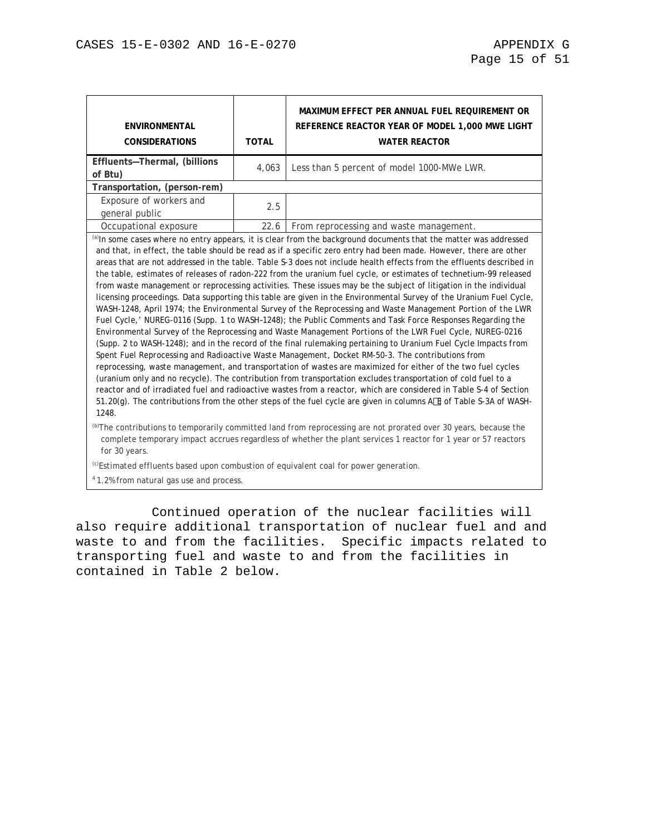| <b>ENVIRONMENTAL</b><br><b>CONSIDERATIONS</b> | <b>TOTAL</b>                                                                                                                                                                                                                                                                                                                                                                                                                                                                                                                                                                                                                                                                                                                                                                                                                                                                                                                                                                                                                                                                                                                                                                                                                                                                                                                                                                                                                                                                                                                                                                                                                                                                                                                                                              | MAXIMUM EFFECT PER ANNUAL FUEL REQUIREMENT OR<br>REFERENCE REACTOR YEAR OF MODEL 1,000 MWE LIGHT<br><b>WATER REACTOR</b>                                                                                                                       |  |  |  |  |  |
|-----------------------------------------------|---------------------------------------------------------------------------------------------------------------------------------------------------------------------------------------------------------------------------------------------------------------------------------------------------------------------------------------------------------------------------------------------------------------------------------------------------------------------------------------------------------------------------------------------------------------------------------------------------------------------------------------------------------------------------------------------------------------------------------------------------------------------------------------------------------------------------------------------------------------------------------------------------------------------------------------------------------------------------------------------------------------------------------------------------------------------------------------------------------------------------------------------------------------------------------------------------------------------------------------------------------------------------------------------------------------------------------------------------------------------------------------------------------------------------------------------------------------------------------------------------------------------------------------------------------------------------------------------------------------------------------------------------------------------------------------------------------------------------------------------------------------------------|------------------------------------------------------------------------------------------------------------------------------------------------------------------------------------------------------------------------------------------------|--|--|--|--|--|
| Effluents-Thermal, (billions<br>of Btu)       | 4,063<br>Less than 5 percent of model 1000-MWe LWR.                                                                                                                                                                                                                                                                                                                                                                                                                                                                                                                                                                                                                                                                                                                                                                                                                                                                                                                                                                                                                                                                                                                                                                                                                                                                                                                                                                                                                                                                                                                                                                                                                                                                                                                       |                                                                                                                                                                                                                                                |  |  |  |  |  |
| Transportation, (person-rem)                  |                                                                                                                                                                                                                                                                                                                                                                                                                                                                                                                                                                                                                                                                                                                                                                                                                                                                                                                                                                                                                                                                                                                                                                                                                                                                                                                                                                                                                                                                                                                                                                                                                                                                                                                                                                           |                                                                                                                                                                                                                                                |  |  |  |  |  |
| Exposure of workers and<br>general public     | 2.5                                                                                                                                                                                                                                                                                                                                                                                                                                                                                                                                                                                                                                                                                                                                                                                                                                                                                                                                                                                                                                                                                                                                                                                                                                                                                                                                                                                                                                                                                                                                                                                                                                                                                                                                                                       |                                                                                                                                                                                                                                                |  |  |  |  |  |
| Occupational exposure                         | 22.6                                                                                                                                                                                                                                                                                                                                                                                                                                                                                                                                                                                                                                                                                                                                                                                                                                                                                                                                                                                                                                                                                                                                                                                                                                                                                                                                                                                                                                                                                                                                                                                                                                                                                                                                                                      | From reprocessing and waste management.                                                                                                                                                                                                        |  |  |  |  |  |
| 1248.                                         | (a)In some cases where no entry appears, it is clear from the background documents that the matter was addressed<br>and that, in effect, the table should be read as if a specific zero entry had been made. However, there are other<br>areas that are not addressed in the table. Table S-3 does not include health effects from the effluents described in<br>the table, estimates of releases of radon-222 from the uranium fuel cycle, or estimates of technetium-99 released<br>from waste management or reprocessing activities. These issues may be the subject of litigation in the individual<br>licensing proceedings. Data supporting this table are given in the Environmental Survey of the Uranium Fuel Cycle,<br>WASH-1248, April 1974; the Environmental Survey of the Reprocessing and Waste Management Portion of the LWR<br>Fuel Cycle,' NUREG-0116 (Supp. 1 to WASH-1248); the Public Comments and Task Force Responses Regarding the<br>Environmental Survey of the Reprocessing and Waste Management Portions of the LWR Fuel Cycle, NUREG-0216<br>(Supp. 2 to WASH-1248); and in the record of the final rulemaking pertaining to Uranium Fuel Cycle Impacts from<br>Spent Fuel Reprocessing and Radioactive Waste Management, Docket RM-50-3. The contributions from<br>reprocessing, waste management, and transportation of wastes are maximized for either of the two fuel cycles<br>(uranium only and no recycle). The contribution from transportation excludes transportation of cold fuel to a<br>reactor and of irradiated fuel and radioactive wastes from a reactor, which are considered in Table S-4 of Section<br>51.20(g). The contributions from the other steps of the fuel cycle are given in columns AI of Table S-3A of WASH- |                                                                                                                                                                                                                                                |  |  |  |  |  |
| for 30 years.                                 |                                                                                                                                                                                                                                                                                                                                                                                                                                                                                                                                                                                                                                                                                                                                                                                                                                                                                                                                                                                                                                                                                                                                                                                                                                                                                                                                                                                                                                                                                                                                                                                                                                                                                                                                                                           | <sup>(b)</sup> The contributions to temporarily committed land from reprocessing are not prorated over 30 years, because the<br>complete temporary impact accrues regardless of whether the plant services 1 reactor for 1 year or 57 reactors |  |  |  |  |  |

(c)Estimated effluents based upon combustion of equivalent coal for power generation.

4 1.2% from natural gas use and process.

Continued operation of the nuclear facilities will also require additional transportation of nuclear fuel and and waste to and from the facilities. Specific impacts related to transporting fuel and waste to and from the facilities in contained in Table 2 below.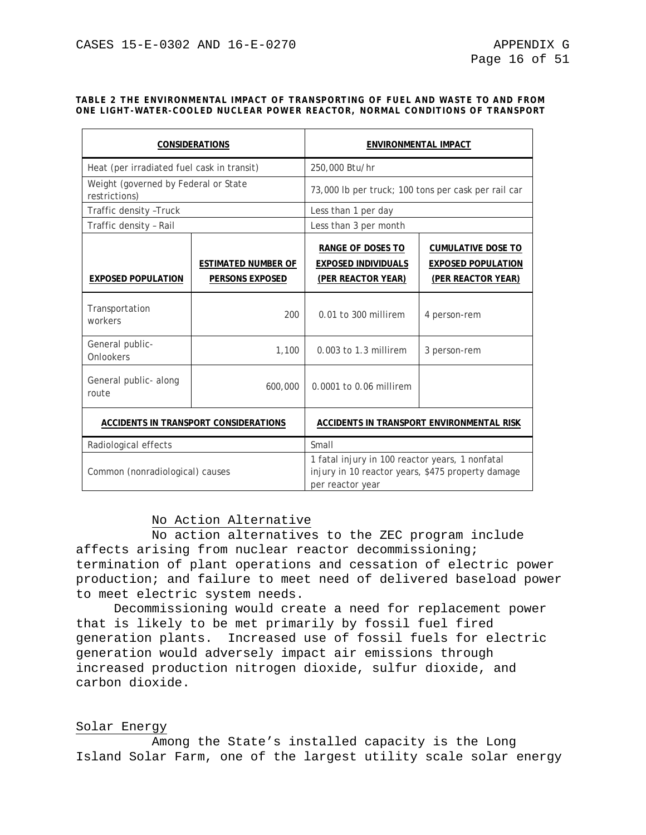#### **TABLE 2 THE ENVIRONMENTAL IMPACT OF TRANSPORTING OF FUEL AND WASTE TO AND FROM ONE LIGHT-WATER-COOLED NUCLEAR POWER REACTOR, NORMAL CONDITIONS OF TRANSPORT**

|                                                       | <b>CONSIDERATIONS</b>                         | ENVIRONMENTAL IMPACT                                                                                                     |                                                                                     |  |  |  |
|-------------------------------------------------------|-----------------------------------------------|--------------------------------------------------------------------------------------------------------------------------|-------------------------------------------------------------------------------------|--|--|--|
| Heat (per irradiated fuel cask in transit)            |                                               | 250,000 Btu/hr                                                                                                           |                                                                                     |  |  |  |
| Weight (governed by Federal or State<br>restrictions) |                                               | 73,000 lb per truck; 100 tons per cask per rail car                                                                      |                                                                                     |  |  |  |
| Traffic density - Truck                               |                                               | Less than 1 per day                                                                                                      |                                                                                     |  |  |  |
| Traffic density - Rail                                |                                               | Less than 3 per month                                                                                                    |                                                                                     |  |  |  |
| <b>EXPOSED POPULATION</b>                             | <b>ESTIMATED NUMBER OF</b><br>PERSONS EXPOSED | RANGE OF DOSES TO<br><b>EXPOSED INDIVIDUALS</b><br><u>(PER REACTOR YEAR)</u>                                             | <b>CUMULATIVE DOSE TO</b><br><b>EXPOSED POPULATION</b><br><u>(PER REACTOR YEAR)</u> |  |  |  |
| Transportation<br>workers                             | 200                                           | 0.01 to 300 millirem                                                                                                     | 4 person-rem                                                                        |  |  |  |
| General public-<br>Onlookers                          | 1,100                                         | 0.003 to 1.3 millirem                                                                                                    | 3 person-rem                                                                        |  |  |  |
| General public- along<br>route                        | 600,000                                       | 0.0001 to 0.06 millirem                                                                                                  |                                                                                     |  |  |  |
|                                                       | ACCIDENTS IN TRANSPORT CONSIDERATIONS         | ACCIDENTS IN TRANSPORT ENVIRONMENTAL RISK                                                                                |                                                                                     |  |  |  |
| Radiological effects                                  |                                               | Small                                                                                                                    |                                                                                     |  |  |  |
| Common (nonradiological) causes                       |                                               | 1 fatal injury in 100 reactor years, 1 nonfatal<br>injury in 10 reactor years, \$475 property damage<br>per reactor year |                                                                                     |  |  |  |

## No Action Alternative

No action alternatives to the ZEC program include affects arising from nuclear reactor decommissioning; termination of plant operations and cessation of electric power production; and failure to meet need of delivered baseload power to meet electric system needs.

Decommissioning would create a need for replacement power that is likely to be met primarily by fossil fuel fired generation plants. Increased use of fossil fuels for electric generation would adversely impact air emissions through increased production nitrogen dioxide, sulfur dioxide, and carbon dioxide.

## Solar Energy

Among the State's installed capacity is the Long Island Solar Farm, one of the largest utility scale solar energy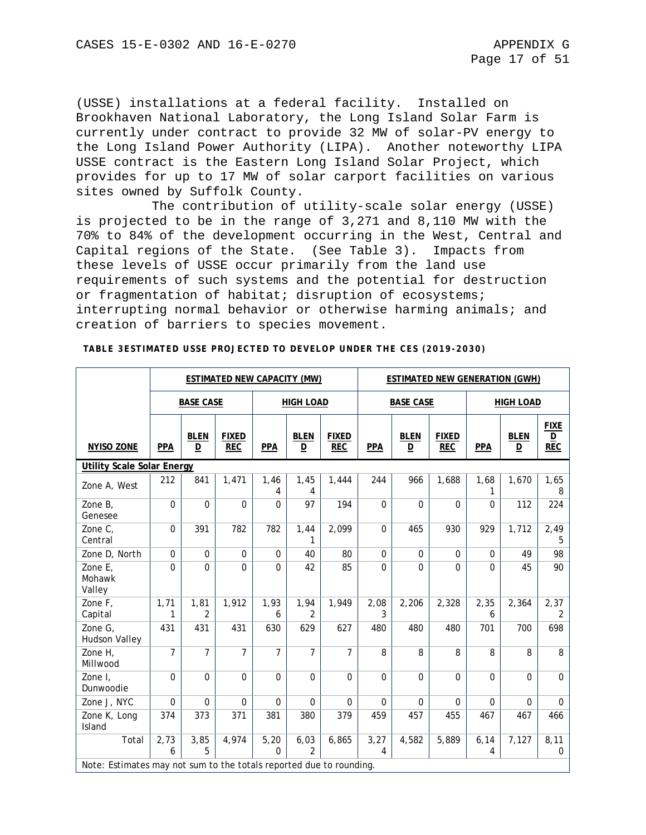(USSE) installations at a federal facility. Installed on Brookhaven National Laboratory, the Long Island Solar Farm is currently under contract to provide 32 MW of solar-PV energy to the Long Island Power Authority (LIPA). Another noteworthy LIPA USSE contract is the Eastern Long Island Solar Project, which provides for up to 17 MW of solar carport facilities on various sites owned by Suffolk County.

The contribution of utility-scale solar energy (USSE) is projected to be in the range of 3,271 and 8,110 MW with the 70% to 84% of the development occurring in the West, Central and Capital regions of the State. (See Table 3). Impacts from these levels of USSE occur primarily from the land use requirements of such systems and the potential for destruction or fragmentation of habitat; disruption of ecosystems; interrupting normal behavior or otherwise harming animals; and creation of barriers to species movement.

|                                                                     |                |                                        | ESTIMATED NEW CAPACITY (MW) |                  |                                        | <b>ESTIMATED NEW GENERATION (GWH)</b> |                  |                  |                            |                  |                                        |                                                |
|---------------------------------------------------------------------|----------------|----------------------------------------|-----------------------------|------------------|----------------------------------------|---------------------------------------|------------------|------------------|----------------------------|------------------|----------------------------------------|------------------------------------------------|
|                                                                     |                | <b>BASE CASE</b>                       |                             |                  | <b>HIGH LOAD</b>                       |                                       | <b>BASE CASE</b> |                  |                            | <b>HIGH LOAD</b> |                                        |                                                |
| <b>NYISO ZONE</b>                                                   | <b>PPA</b>     | <b>BLEN</b><br>$\overline{\mathsf{D}}$ | <b>FIXED</b><br><b>REC</b>  | <b>PPA</b>       | <b>BLEN</b><br>$\overline{\mathsf{D}}$ | <b>FIXED</b><br><b>REC</b>            | <b>PPA</b>       | <b>BLEN</b><br>D | <b>FIXED</b><br><b>REC</b> | PPA              | <b>BLEN</b><br>$\overline{\mathsf{D}}$ | <b>FIXE</b><br>$\underline{\mathsf{D}}$<br>REC |
| <b>Utility Scale Solar Energy</b>                                   |                |                                        |                             |                  |                                        |                                       |                  |                  |                            |                  |                                        |                                                |
| Zone A, West                                                        | 212            | 841                                    | 1,471                       | 1,46<br>4        | 1,45<br>4                              | 1,444                                 | 244              | 966              | 1,688                      | 1,68<br>1        | 1,670                                  | 1,65<br>8                                      |
| Zone B,<br>Genesee                                                  | $\overline{0}$ | $\overline{0}$                         | $\Omega$                    | $\mathbf{0}$     | 97                                     | 194                                   | $\Omega$         | $\Omega$         | $\Omega$                   | $\Omega$         | 112                                    | 224                                            |
| Zone C,<br>Central                                                  | $\mathbf 0$    | 391                                    | 782                         | 782              | 1,44<br>1                              | 2,099                                 | $\mathbf 0$      | 465              | 930                        | 929              | 1,712                                  | 2,49<br>5                                      |
| Zone D, North                                                       | $\mathbf 0$    | $\mathbf 0$                            | $\mathbf{0}$                | $\Omega$         | 40                                     | 80                                    | $\mathbf 0$      | $\mathbf 0$      | $\Omega$                   | $\Omega$         | 49                                     | 98                                             |
| Zone E,<br>Mohawk<br>Valley                                         | $\Omega$       | $\Omega$                               | $\Omega$                    | $\Omega$         | 42                                     | 85                                    | $\Omega$         | 0                | $\Omega$                   | $\Omega$         | 45                                     | 90                                             |
| Zone F,<br>Capital                                                  | 1,71<br>1      | 1,81<br>$\overline{2}$                 | 1,912                       | 1,93<br>6        | 1,94<br>2                              | 1,949                                 | 2,08<br>3        | 2,206            | 2,328                      | 2,35<br>6        | 2,364                                  | 2,37<br>$\overline{2}$                         |
| Zone G,<br><b>Hudson Valley</b>                                     | 431            | 431                                    | 431                         | 630              | 629                                    | 627                                   | 480              | 480              | 480                        | 701              | 700                                    | 698                                            |
| Zone H,<br>Millwood                                                 | $\overline{7}$ | $\overline{7}$                         | $\overline{7}$              | $\overline{7}$   | $\overline{7}$                         | $\overline{7}$                        | 8                | 8                | 8                          | 8                | 8                                      | 8                                              |
| Zone I,<br>Dunwoodie                                                | $\mathbf 0$    | $\mathbf 0$                            | $\Omega$                    | $\mathbf 0$      | $\mathbf 0$                            | $\mathbf 0$                           | $\mathbf 0$      | $\mathbf 0$      | $\pmb{0}$                  | $\Omega$         | $\mathbf 0$                            | $\mathbf 0$                                    |
| Zone J, NYC                                                         | 0              | $\mathbf 0$                            | $\Omega$                    | $\mathbf 0$      | $\mathbf 0$                            | $\pmb{0}$                             | $\mathbf 0$      | $\mathbf 0$      | $\Omega$                   | $\Omega$         | $\Omega$                               | $\mathbf 0$                                    |
| Zone K, Long<br>Island                                              | 374            | 373                                    | 371                         | 381              | 380                                    | 379                                   | 459              | 457              | 455                        | 467              | 467                                    | 466                                            |
| Total                                                               | 2,73<br>6      | 3,85<br>5                              | 4,974                       | 5,20<br>$\Omega$ | 6,03<br>$\mathfrak{p}$                 | 6,865                                 | 3,27<br>4        | 4,582            | 5,889                      | 6, 14<br>4       | 7,127                                  | 8,11<br>0                                      |
| Note: Estimates may not sum to the totals reported due to rounding. |                |                                        |                             |                  |                                        |                                       |                  |                  |                            |                  |                                        |                                                |

 **TABLE 3ESTIMATED USSE PROJECTED TO DEVELOP UNDER THE CES (2019-2030)**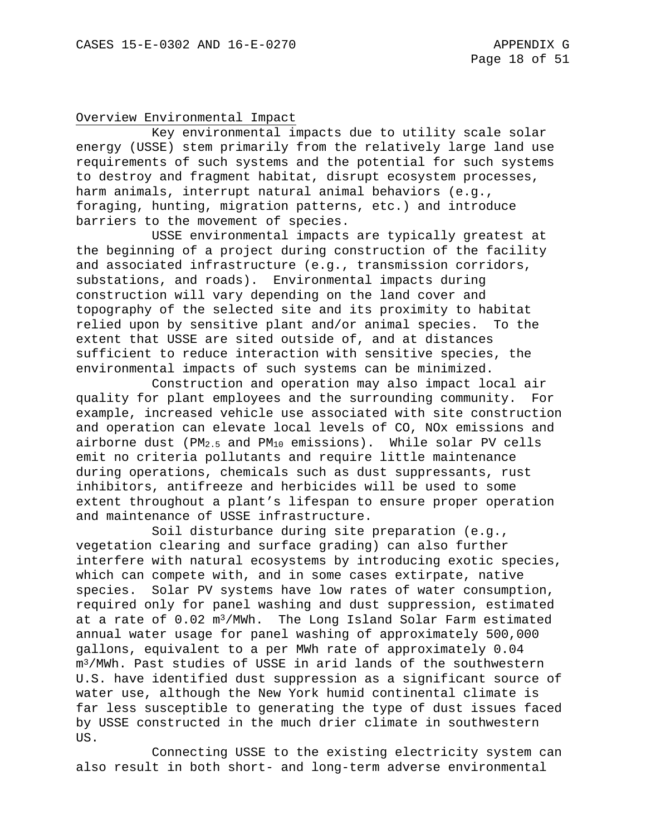#### Overview Environmental Impact

Key environmental impacts due to utility scale solar energy (USSE) stem primarily from the relatively large land use requirements of such systems and the potential for such systems to destroy and fragment habitat, disrupt ecosystem processes, harm animals, interrupt natural animal behaviors (e.g., foraging, hunting, migration patterns, etc.) and introduce barriers to the movement of species.

USSE environmental impacts are typically greatest at the beginning of a project during construction of the facility and associated infrastructure (e.g., transmission corridors, substations, and roads). Environmental impacts during construction will vary depending on the land cover and topography of the selected site and its proximity to habitat relied upon by sensitive plant and/or animal species. To the extent that USSE are sited outside of, and at distances sufficient to reduce interaction with sensitive species, the environmental impacts of such systems can be minimized.

Construction and operation may also impact local air quality for plant employees and the surrounding community. For example, increased vehicle use associated with site construction and operation can elevate local levels of CO, NOx emissions and airborne dust (PM<sub>2.5</sub> and PM<sub>10</sub> emissions). While solar PV cells emit no criteria pollutants and require little maintenance during operations, chemicals such as dust suppressants, rust inhibitors, antifreeze and herbicides will be used to some extent throughout a plant's lifespan to ensure proper operation and maintenance of USSE infrastructure.

Soil disturbance during site preparation (e.g., vegetation clearing and surface grading) can also further interfere with natural ecosystems by introducing exotic species, which can compete with, and in some cases extirpate, native species. Solar PV systems have low rates of water consumption, required only for panel washing and dust suppression, estimated at a rate of 0.02 m<sup>3</sup>/MWh. The Long Island Solar Farm estimated annual water usage for panel washing of approximately 500,000 gallons, equivalent to a per MWh rate of approximately 0.04 m3/MWh. Past studies of USSE in arid lands of the southwestern U.S. have identified dust suppression as a significant source of water use, although the New York humid continental climate is far less susceptible to generating the type of dust issues faced by USSE constructed in the much drier climate in southwestern US.

Connecting USSE to the existing electricity system can also result in both short- and long-term adverse environmental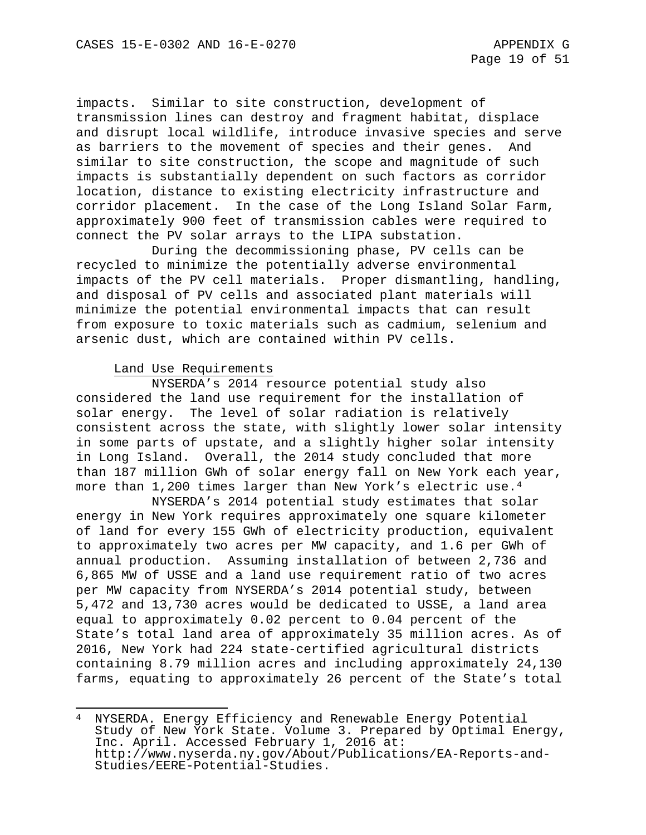impacts. Similar to site construction, development of transmission lines can destroy and fragment habitat, displace and disrupt local wildlife, introduce invasive species and serve as barriers to the movement of species and their genes. And similar to site construction, the scope and magnitude of such impacts is substantially dependent on such factors as corridor location, distance to existing electricity infrastructure and corridor placement. In the case of the Long Island Solar Farm, approximately 900 feet of transmission cables were required to connect the PV solar arrays to the LIPA substation.

During the decommissioning phase, PV cells can be recycled to minimize the potentially adverse environmental impacts of the PV cell materials. Proper dismantling, handling, and disposal of PV cells and associated plant materials will minimize the potential environmental impacts that can result from exposure to toxic materials such as cadmium, selenium and arsenic dust, which are contained within PV cells.

#### Land Use Requirements

NYSERDA's 2014 resource potential study also considered the land use requirement for the installation of solar energy. The level of solar radiation is relatively consistent across the state, with slightly lower solar intensity in some parts of upstate, and a slightly higher solar intensity in Long Island. Overall, the 2014 study concluded that more than 187 million GWh of solar energy fall on New York each year, more than 1,200 times larger than New York's electric use.[4](#page-246-0)

NYSERDA's 2014 potential study estimates that solar energy in New York requires approximately one square kilometer of land for every 155 GWh of electricity production, equivalent to approximately two acres per MW capacity, and 1.6 per GWh of annual production. Assuming installation of between 2,736 and 6,865 MW of USSE and a land use requirement ratio of two acres per MW capacity from NYSERDA's 2014 potential study, between 5,472 and 13,730 acres would be dedicated to USSE, a land area equal to approximately 0.02 percent to 0.04 percent of the State's total land area of approximately 35 million acres. As of 2016, New York had 224 state-certified agricultural districts containing 8.79 million acres and including approximately 24,130 farms, equating to approximately 26 percent of the State's total

<span id="page-246-0"></span>l NYSERDA. Energy Efficiency and Renewable Energy Potential Study of New York State. Volume 3. Prepared by Optimal Energy, Inc. April. Accessed February 1, 2016 at: http://www.nyserda.ny.gov/About/Publications/EA-Reports-and-<br>Studies/EERE-Potential-Studies.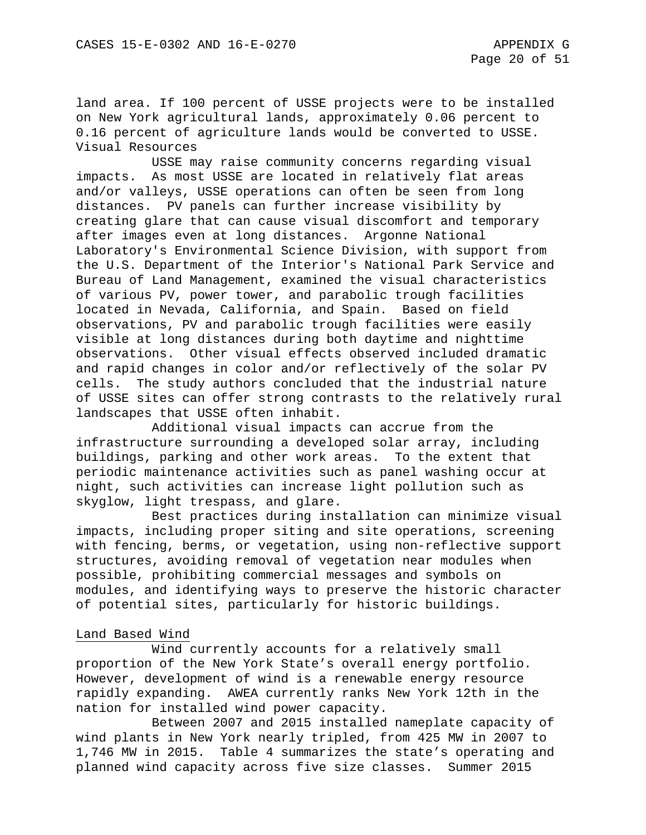land area. If 100 percent of USSE projects were to be installed on New York agricultural lands, approximately 0.06 percent to 0.16 percent of agriculture lands would be converted to USSE. Visual Resources

USSE may raise community concerns regarding visual impacts. As most USSE are located in relatively flat areas and/or valleys, USSE operations can often be seen from long distances. PV panels can further increase visibility by creating glare that can cause visual discomfort and temporary after images even at long distances. Argonne National Laboratory's Environmental Science Division, with support from the U.S. Department of the Interior's National Park Service and Bureau of Land Management, examined the visual characteristics of various PV, power tower, and parabolic trough facilities located in Nevada, California, and Spain. Based on field observations, PV and parabolic trough facilities were easily visible at long distances during both daytime and nighttime observations. Other visual effects observed included dramatic and rapid changes in color and/or reflectively of the solar PV cells. The study authors concluded that the industrial nature of USSE sites can offer strong contrasts to the relatively rural landscapes that USSE often inhabit.

Additional visual impacts can accrue from the infrastructure surrounding a developed solar array, including buildings, parking and other work areas. To the extent that periodic maintenance activities such as panel washing occur at night, such activities can increase light pollution such as skyglow, light trespass, and glare.

Best practices during installation can minimize visual impacts, including proper siting and site operations, screening with fencing, berms, or vegetation, using non-reflective support structures, avoiding removal of vegetation near modules when possible, prohibiting commercial messages and symbols on modules, and identifying ways to preserve the historic character of potential sites, particularly for historic buildings.

#### Land Based Wind

Wind currently accounts for a relatively small proportion of the New York State's overall energy portfolio. However, development of wind is a renewable energy resource rapidly expanding. AWEA currently ranks New York 12th in the nation for installed wind power capacity.

Between 2007 and 2015 installed nameplate capacity of wind plants in New York nearly tripled, from 425 MW in 2007 to 1,746 MW in 2015. Table 4 summarizes the state's operating and planned wind capacity across five size classes. Summer 2015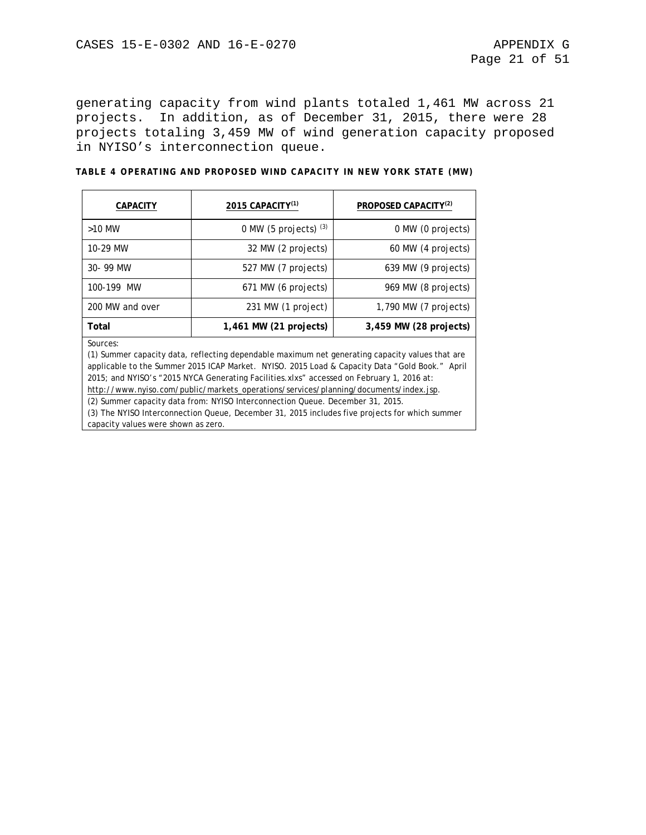generating capacity from wind plants totaled 1,461 MW across 21 projects. In addition, as of December 31, 2015, there were 28 projects totaling 3,459 MW of wind generation capacity proposed in NYISO's interconnection queue.

| TABLE 4 OPERATING AND PROPOSED WIND CAPACITY IN NEW YORK STATE (MW) |  |  |  |  |  |
|---------------------------------------------------------------------|--|--|--|--|--|
|                                                                     |  |  |  |  |  |

| CAPACITY                                                                                                                                                                                                                                                                                                                                                                                                                                                                              | 2015 CAPACITY <sup>(1)</sup>                       | PROPOSED CAPACITY <sup>(2)</sup>               |  |  |  |  |  |  |
|---------------------------------------------------------------------------------------------------------------------------------------------------------------------------------------------------------------------------------------------------------------------------------------------------------------------------------------------------------------------------------------------------------------------------------------------------------------------------------------|----------------------------------------------------|------------------------------------------------|--|--|--|--|--|--|
| $>10$ MW                                                                                                                                                                                                                                                                                                                                                                                                                                                                              | 0 MW (5 projects) $(3)$                            | 0 MW (0 projects)                              |  |  |  |  |  |  |
| 10-29 MW                                                                                                                                                                                                                                                                                                                                                                                                                                                                              | 32 MW (2 projects)                                 | 60 MW (4 projects)                             |  |  |  |  |  |  |
| 30-99 MW                                                                                                                                                                                                                                                                                                                                                                                                                                                                              | 527 MW (7 projects)                                | 639 MW (9 projects)                            |  |  |  |  |  |  |
| 100-199 MW                                                                                                                                                                                                                                                                                                                                                                                                                                                                            | 671 MW (6 projects)                                | 969 MW (8 projects)<br>$1,790$ MW (7 projects) |  |  |  |  |  |  |
| 200 MW and over                                                                                                                                                                                                                                                                                                                                                                                                                                                                       | 231 MW (1 project)                                 |                                                |  |  |  |  |  |  |
| Total                                                                                                                                                                                                                                                                                                                                                                                                                                                                                 | $1,461$ MW (21 projects)<br>3,459 MW (28 projects) |                                                |  |  |  |  |  |  |
| Sources:<br>(1) Summer capacity data, reflecting dependable maximum net generating capacity values that are<br>applicable to the Summer 2015 ICAP Market. NYISO. 2015 Load & Capacity Data "Gold Book." April<br>2015; and NYISO's "2015 NYCA Generating Facilities.xlxs" accessed on February 1, 2016 at:<br>http://www.nyiso.com/public/markets_operations/services/planning/documents/index.jsp.<br>(2) Summer capacity data from: NYISO Interconnection Queue. December 31, 2015. |                                                    |                                                |  |  |  |  |  |  |

(3) The NYISO Interconnection Queue, December 31, 2015 includes five projects for which summer capacity values were shown as zero.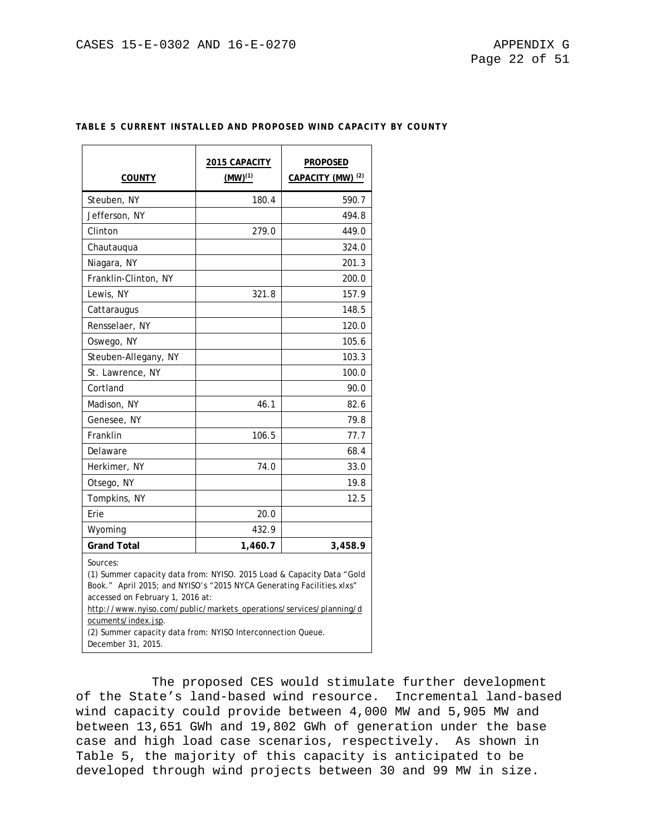| <b>COUNTY</b>                                                                                                                                                                                                                                                                                                                                                                    | 2015 CAPACITY<br>$(MW)^{(1)}$ | <b>PROPOSED</b><br>CAPACITY (MW) <sup>(2)</sup> |  |  |  |  |  |
|----------------------------------------------------------------------------------------------------------------------------------------------------------------------------------------------------------------------------------------------------------------------------------------------------------------------------------------------------------------------------------|-------------------------------|-------------------------------------------------|--|--|--|--|--|
| Steuben, NY                                                                                                                                                                                                                                                                                                                                                                      | 180.4                         | 590.7                                           |  |  |  |  |  |
| Jefferson, NY                                                                                                                                                                                                                                                                                                                                                                    |                               | 494.8                                           |  |  |  |  |  |
| Clinton                                                                                                                                                                                                                                                                                                                                                                          | 279.0                         | 449.0                                           |  |  |  |  |  |
| Chautauqua                                                                                                                                                                                                                                                                                                                                                                       |                               | 324.0                                           |  |  |  |  |  |
| Niagara, NY                                                                                                                                                                                                                                                                                                                                                                      |                               | 201.3                                           |  |  |  |  |  |
| Franklin-Clinton, NY                                                                                                                                                                                                                                                                                                                                                             |                               | 200.0                                           |  |  |  |  |  |
| Lewis, NY                                                                                                                                                                                                                                                                                                                                                                        | 321.8                         | 157.9                                           |  |  |  |  |  |
| Cattaraugus                                                                                                                                                                                                                                                                                                                                                                      |                               | 148.5                                           |  |  |  |  |  |
| Rensselaer, NY                                                                                                                                                                                                                                                                                                                                                                   |                               | 120.0                                           |  |  |  |  |  |
| Oswego, NY                                                                                                                                                                                                                                                                                                                                                                       |                               | 105.6                                           |  |  |  |  |  |
| Steuben-Allegany, NY                                                                                                                                                                                                                                                                                                                                                             |                               | 103.3                                           |  |  |  |  |  |
| St. Lawrence, NY                                                                                                                                                                                                                                                                                                                                                                 |                               | 100.0                                           |  |  |  |  |  |
| Cortland                                                                                                                                                                                                                                                                                                                                                                         |                               | 90.0                                            |  |  |  |  |  |
| Madison, NY                                                                                                                                                                                                                                                                                                                                                                      | 46.1                          | 82.6                                            |  |  |  |  |  |
| Genesee, NY                                                                                                                                                                                                                                                                                                                                                                      |                               | 79.8                                            |  |  |  |  |  |
| Franklin                                                                                                                                                                                                                                                                                                                                                                         | 106.5                         | 77.7                                            |  |  |  |  |  |
| Delaware                                                                                                                                                                                                                                                                                                                                                                         |                               | 68.4                                            |  |  |  |  |  |
| Herkimer, NY                                                                                                                                                                                                                                                                                                                                                                     | 74.0                          | 33.0                                            |  |  |  |  |  |
| Otsego, NY                                                                                                                                                                                                                                                                                                                                                                       |                               | 19.8                                            |  |  |  |  |  |
| Tompkins, NY                                                                                                                                                                                                                                                                                                                                                                     |                               | 12.5                                            |  |  |  |  |  |
| Erie                                                                                                                                                                                                                                                                                                                                                                             | 20.0                          |                                                 |  |  |  |  |  |
| Wyoming                                                                                                                                                                                                                                                                                                                                                                          | 432.9                         |                                                 |  |  |  |  |  |
| <b>Grand Total</b>                                                                                                                                                                                                                                                                                                                                                               | 1,460.7                       | 3,458.9                                         |  |  |  |  |  |
| Sources:<br>(1) Summer capacity data from: NYISO. 2015 Load & Capacity Data "Gold<br>Book." April 2015; and NYISO's "2015 NYCA Generating Facilities.xlxs"<br>accessed on February 1, 2016 at:<br>http://www.nyiso.com/public/markets_operations/services/planning/d<br>ocuments/index.jsp.<br>(2) Summer capacity data from: NYISO Interconnection Queue.<br>December 31, 2015. |                               |                                                 |  |  |  |  |  |

## **TABLE 5 CURRENT INSTALLED AND PROPOSED WIND CAPACITY BY COUNTY**

The proposed CES would stimulate further development of the State's land-based wind resource. Incremental land-based wind capacity could provide between 4,000 MW and 5,905 MW and between 13,651 GWh and 19,802 GWh of generation under the base case and high load case scenarios, respectively. As shown in Table 5, the majority of this capacity is anticipated to be developed through wind projects between 30 and 99 MW in size.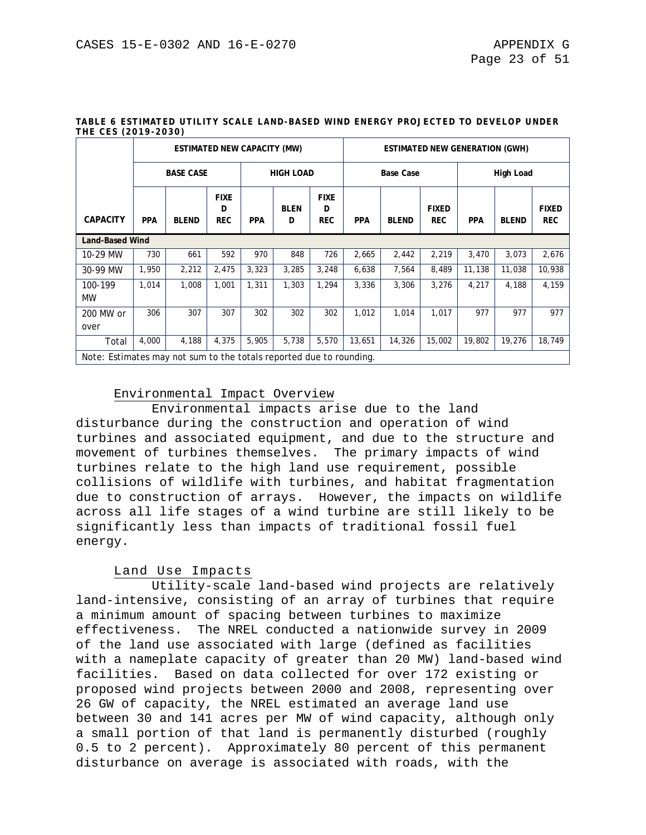|                      | ESTIMATED NEW CAPACITY (MW)                                         |                  |                                |                  |                  |                                | <b>ESTIMATED NEW GENERATION (GWH)</b> |              |                            |                  |              |                            |  |
|----------------------|---------------------------------------------------------------------|------------------|--------------------------------|------------------|------------------|--------------------------------|---------------------------------------|--------------|----------------------------|------------------|--------------|----------------------------|--|
|                      |                                                                     | <b>BASE CASE</b> |                                | <b>HIGH LOAD</b> |                  |                                | <b>Base Case</b>                      |              |                            | <b>High Load</b> |              |                            |  |
| <b>CAPACITY</b>      | <b>PPA</b>                                                          | <b>BLEND</b>     | <b>FIXE</b><br>D<br><b>REC</b> | <b>PPA</b>       | <b>BLEN</b><br>D | <b>FIXE</b><br>D<br><b>REC</b> | <b>PPA</b>                            | <b>BLEND</b> | <b>FIXED</b><br><b>REC</b> | <b>PPA</b>       | <b>BLEND</b> | <b>FIXED</b><br><b>REC</b> |  |
|                      | <b>Land-Based Wind</b>                                              |                  |                                |                  |                  |                                |                                       |              |                            |                  |              |                            |  |
| 10-29 MW             | 730                                                                 | 661              | 592                            | 970              | 848              | 726                            | 2,665                                 | 2,442        | 2,219                      | 3,470            | 3,073        | 2,676                      |  |
| 30-99 MW             | 1,950                                                               | 2,212            | 2,475                          | 3,323            | 3,285            | 3,248                          | 6,638                                 | 7,564        | 8,489                      | 11,138           | 11,038       | 10,938                     |  |
| 100-199<br><b>MW</b> | 1,014                                                               | 1,008            | 1,001                          | 1.311            | 1,303            | 1.294                          | 3,336                                 | 3,306        | 3,276                      | 4,217            | 4,188        | 4,159                      |  |
| 200 MW or<br>over    | 306                                                                 | 307              | 307                            | 302              | 302              | 302                            | 1,012                                 | 1,014        | 1,017                      | 977              | 977          | 977                        |  |
| Total                | 4,000                                                               | 4,188            | 4,375                          | 5,905            | 5,738            | 5,570                          | 13,651                                | 14,326       | 15,002                     | 19,802           | 19,276       | 18,749                     |  |
|                      | Note: Estimates may not sum to the totals reported due to rounding. |                  |                                |                  |                  |                                |                                       |              |                            |                  |              |                            |  |

#### **TABLE 6 ESTIMATED UTILITY SCALE LAND-BASED WIND ENERGY PROJECTED TO DEVELOP UNDER THE CES (2019-2030)**

## Environmental Impact Overview

Environmental impacts arise due to the land disturbance during the construction and operation of wind turbines and associated equipment, and due to the structure and movement of turbines themselves. The primary impacts of wind turbines relate to the high land use requirement, possible collisions of wildlife with turbines, and habitat fragmentation due to construction of arrays. However, the impacts on wildlife across all life stages of a wind turbine are still likely to be significantly less than impacts of traditional fossil fuel energy.

#### Land Use Impacts

Utility-scale land-based wind projects are relatively land-intensive, consisting of an array of turbines that require a minimum amount of spacing between turbines to maximize effectiveness. The NREL conducted a nationwide survey in 2009 of the land use associated with large (defined as facilities with a nameplate capacity of greater than 20 MW) land-based wind facilities. Based on data collected for over 172 existing or proposed wind projects between 2000 and 2008, representing over 26 GW of capacity, the NREL estimated an average land use between 30 and 141 acres per MW of wind capacity, although only a small portion of that land is permanently disturbed (roughly 0.5 to 2 percent). Approximately 80 percent of this permanent disturbance on average is associated with roads, with the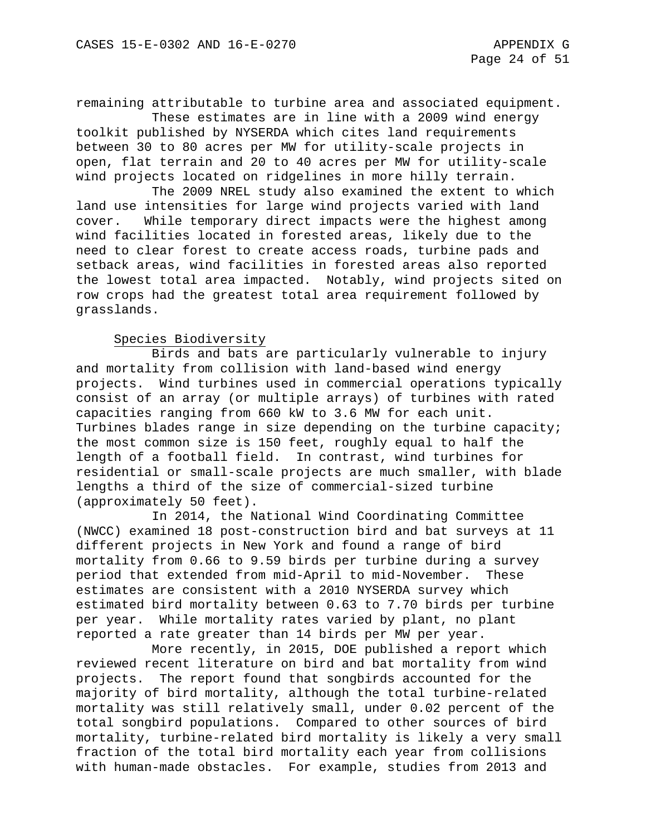remaining attributable to turbine area and associated equipment.

These estimates are in line with a 2009 wind energy toolkit published by NYSERDA which cites land requirements between 30 to 80 acres per MW for utility-scale projects in open, flat terrain and 20 to 40 acres per MW for utility-scale wind projects located on ridgelines in more hilly terrain.

The 2009 NREL study also examined the extent to which land use intensities for large wind projects varied with land cover. While temporary direct impacts were the highest among wind facilities located in forested areas, likely due to the need to clear forest to create access roads, turbine pads and setback areas, wind facilities in forested areas also reported the lowest total area impacted. Notably, wind projects sited on row crops had the greatest total area requirement followed by grasslands.

#### Species Biodiversity

Birds and bats are particularly vulnerable to injury and mortality from collision with land-based wind energy projects. Wind turbines used in commercial operations typically consist of an array (or multiple arrays) of turbines with rated capacities ranging from 660 kW to 3.6 MW for each unit. Turbines blades range in size depending on the turbine capacity; the most common size is 150 feet, roughly equal to half the length of a football field. In contrast, wind turbines for residential or small-scale projects are much smaller, with blade lengths a third of the size of commercial-sized turbine (approximately 50 feet).

In 2014, the National Wind Coordinating Committee (NWCC) examined 18 post-construction bird and bat surveys at 11 different projects in New York and found a range of bird mortality from 0.66 to 9.59 birds per turbine during a survey period that extended from mid-April to mid-November. These estimates are consistent with a 2010 NYSERDA survey which estimated bird mortality between 0.63 to 7.70 birds per turbine per year. While mortality rates varied by plant, no plant reported a rate greater than 14 birds per MW per year.

More recently, in 2015, DOE published a report which reviewed recent literature on bird and bat mortality from wind projects. The report found that songbirds accounted for the majority of bird mortality, although the total turbine-related mortality was still relatively small, under 0.02 percent of the total songbird populations. Compared to other sources of bird mortality, turbine-related bird mortality is likely a very small fraction of the total bird mortality each year from collisions with human-made obstacles. For example, studies from 2013 and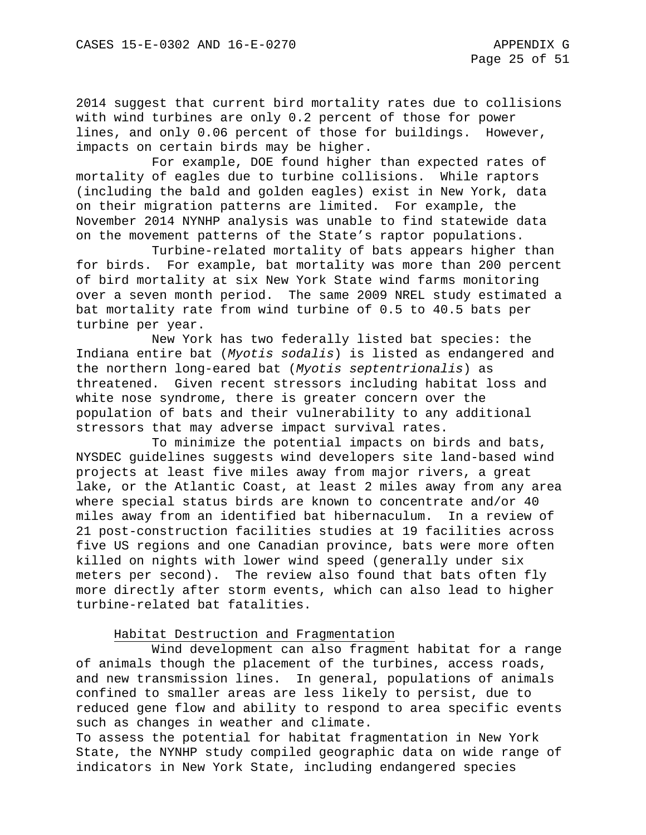2014 suggest that current bird mortality rates due to collisions with wind turbines are only 0.2 percent of those for power lines, and only 0.06 percent of those for buildings. However, impacts on certain birds may be higher.

For example, DOE found higher than expected rates of mortality of eagles due to turbine collisions. While raptors (including the bald and golden eagles) exist in New York, data on their migration patterns are limited. For example, the November 2014 NYNHP analysis was unable to find statewide data on the movement patterns of the State's raptor populations.

Turbine-related mortality of bats appears higher than for birds. For example, bat mortality was more than 200 percent of bird mortality at six New York State wind farms monitoring over a seven month period. The same 2009 NREL study estimated a bat mortality rate from wind turbine of 0.5 to 40.5 bats per turbine per year.

New York has two federally listed bat species: the Indiana entire bat (*Myotis sodalis*) is listed as endangered and the northern long-eared bat (*Myotis septentrionalis*) as threatened. Given recent stressors including habitat loss and white nose syndrome, there is greater concern over the population of bats and their vulnerability to any additional stressors that may adverse impact survival rates.

To minimize the potential impacts on birds and bats, NYSDEC guidelines suggests wind developers site land-based wind projects at least five miles away from major rivers, a great lake, or the Atlantic Coast, at least 2 miles away from any area where special status birds are known to concentrate and/or 40 miles away from an identified bat hibernaculum. In a review of 21 post-construction facilities studies at 19 facilities across five US regions and one Canadian province, bats were more often killed on nights with lower wind speed (generally under six meters per second). The review also found that bats often fly more directly after storm events, which can also lead to higher turbine-related bat fatalities.

## Habitat Destruction and Fragmentation

Wind development can also fragment habitat for a range of animals though the placement of the turbines, access roads, and new transmission lines. In general, populations of animals confined to smaller areas are less likely to persist, due to reduced gene flow and ability to respond to area specific events such as changes in weather and climate.

To assess the potential for habitat fragmentation in New York State, the NYNHP study compiled geographic data on wide range of indicators in New York State, including endangered species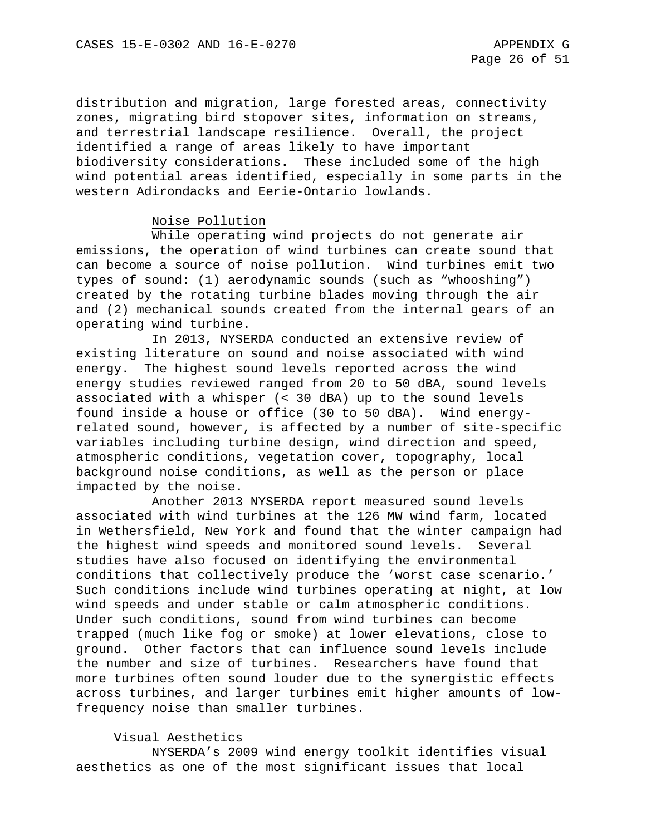distribution and migration, large forested areas, connectivity zones, migrating bird stopover sites, information on streams, and terrestrial landscape resilience. Overall, the project identified a range of areas likely to have important biodiversity considerations**.** These included some of the high wind potential areas identified, especially in some parts in the western Adirondacks and Eerie-Ontario lowlands.

## Noise Pollution

While operating wind projects do not generate air emissions, the operation of wind turbines can create sound that can become a source of noise pollution. Wind turbines emit two types of sound: (1) aerodynamic sounds (such as "whooshing") created by the rotating turbine blades moving through the air and (2) mechanical sounds created from the internal gears of an operating wind turbine.

In 2013, NYSERDA conducted an extensive review of existing literature on sound and noise associated with wind energy. The highest sound levels reported across the wind energy studies reviewed ranged from 20 to 50 dBA, sound levels associated with a whisper (< 30 dBA) up to the sound levels found inside a house or office (30 to 50 dBA). Wind energyrelated sound, however, is affected by a number of site-specific variables including turbine design, wind direction and speed, atmospheric conditions, vegetation cover, topography, local background noise conditions, as well as the person or place impacted by the noise.

Another 2013 NYSERDA report measured sound levels associated with wind turbines at the 126 MW wind farm, located in Wethersfield, New York and found that the winter campaign had the highest wind speeds and monitored sound levels. Several studies have also focused on identifying the environmental conditions that collectively produce the 'worst case scenario.' Such conditions include wind turbines operating at night, at low wind speeds and under stable or calm atmospheric conditions. Under such conditions, sound from wind turbines can become trapped (much like fog or smoke) at lower elevations, close to ground. Other factors that can influence sound levels include the number and size of turbines. Researchers have found that more turbines often sound louder due to the synergistic effects across turbines, and larger turbines emit higher amounts of lowfrequency noise than smaller turbines.

## Visual Aesthetics

NYSERDA's 2009 wind energy toolkit identifies visual aesthetics as one of the most significant issues that local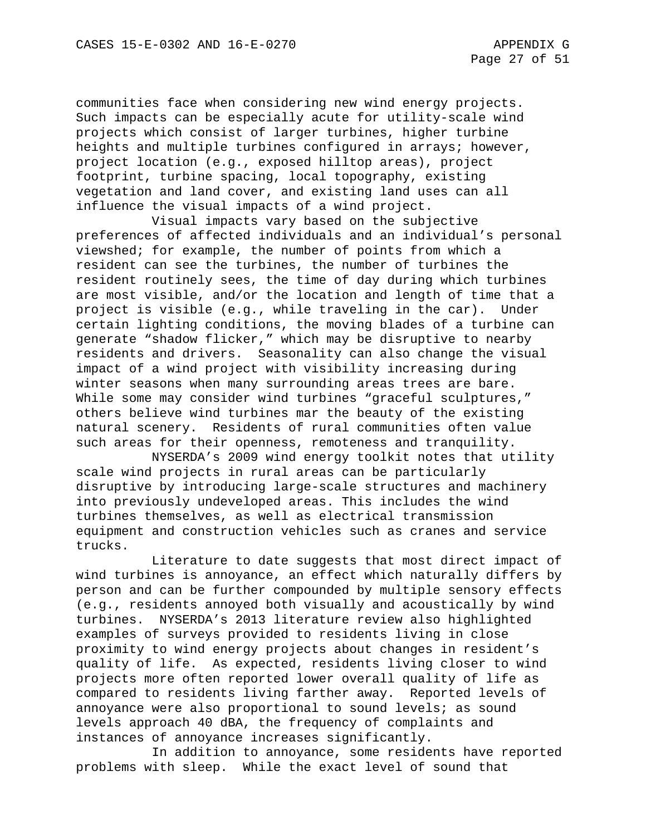communities face when considering new wind energy projects. Such impacts can be especially acute for utility-scale wind projects which consist of larger turbines, higher turbine heights and multiple turbines configured in arrays; however, project location (e.g., exposed hilltop areas), project footprint, turbine spacing, local topography, existing vegetation and land cover, and existing land uses can all influence the visual impacts of a wind project.

Visual impacts vary based on the subjective preferences of affected individuals and an individual's personal viewshed; for example, the number of points from which a resident can see the turbines, the number of turbines the resident routinely sees, the time of day during which turbines are most visible, and/or the location and length of time that a project is visible (e.g., while traveling in the car). Under certain lighting conditions, the moving blades of a turbine can generate "shadow flicker," which may be disruptive to nearby residents and drivers. Seasonality can also change the visual impact of a wind project with visibility increasing during winter seasons when many surrounding areas trees are bare. While some may consider wind turbines "graceful sculptures," others believe wind turbines mar the beauty of the existing natural scenery. Residents of rural communities often value such areas for their openness, remoteness and tranquility.

NYSERDA's 2009 wind energy toolkit notes that utility scale wind projects in rural areas can be particularly disruptive by introducing large-scale structures and machinery into previously undeveloped areas. This includes the wind turbines themselves, as well as electrical transmission equipment and construction vehicles such as cranes and service trucks.

Literature to date suggests that most direct impact of wind turbines is annoyance, an effect which naturally differs by person and can be further compounded by multiple sensory effects (e.g., residents annoyed both visually and acoustically by wind turbines. NYSERDA's 2013 literature review also highlighted examples of surveys provided to residents living in close proximity to wind energy projects about changes in resident's quality of life. As expected, residents living closer to wind projects more often reported lower overall quality of life as compared to residents living farther away. Reported levels of annoyance were also proportional to sound levels; as sound levels approach 40 dBA, the frequency of complaints and instances of annoyance increases significantly.

In addition to annoyance, some residents have reported problems with sleep. While the exact level of sound that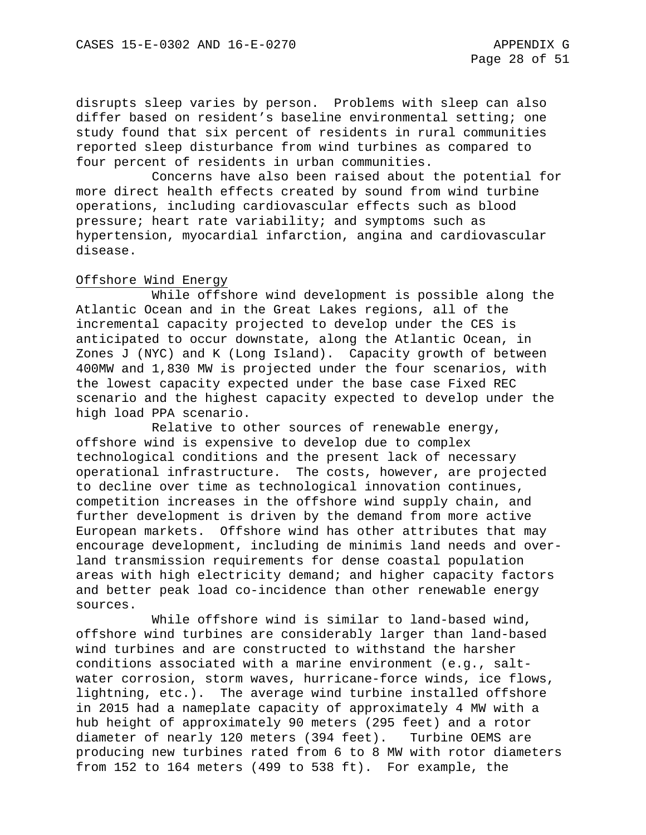disrupts sleep varies by person. Problems with sleep can also differ based on resident's baseline environmental setting; one study found that six percent of residents in rural communities reported sleep disturbance from wind turbines as compared to four percent of residents in urban communities.

Concerns have also been raised about the potential for more direct health effects created by sound from wind turbine operations, including cardiovascular effects such as blood pressure; heart rate variability; and symptoms such as hypertension, myocardial infarction, angina and cardiovascular disease.

## Offshore Wind Energy

While offshore wind development is possible along the Atlantic Ocean and in the Great Lakes regions, all of the incremental capacity projected to develop under the CES is anticipated to occur downstate, along the Atlantic Ocean, in Zones J (NYC) and K (Long Island). Capacity growth of between 400MW and 1,830 MW is projected under the four scenarios, with the lowest capacity expected under the base case Fixed REC scenario and the highest capacity expected to develop under the high load PPA scenario.

Relative to other sources of renewable energy, offshore wind is expensive to develop due to complex technological conditions and the present lack of necessary operational infrastructure. The costs, however, are projected to decline over time as technological innovation continues, competition increases in the offshore wind supply chain, and further development is driven by the demand from more active European markets. Offshore wind has other attributes that may encourage development, including de minimis land needs and overland transmission requirements for dense coastal population areas with high electricity demand; and higher capacity factors and better peak load co-incidence than other renewable energy sources.

While offshore wind is similar to land-based wind, offshore wind turbines are considerably larger than land-based wind turbines and are constructed to withstand the harsher conditions associated with a marine environment (e.g., saltwater corrosion, storm waves, hurricane-force winds, ice flows, lightning, etc.). The average wind turbine installed offshore in 2015 had a nameplate capacity of approximately 4 MW with a hub height of approximately 90 meters (295 feet) and a rotor diameter of nearly 120 meters (394 feet). Turbine OEMS are producing new turbines rated from 6 to 8 MW with rotor diameters from 152 to 164 meters (499 to 538 ft). For example, the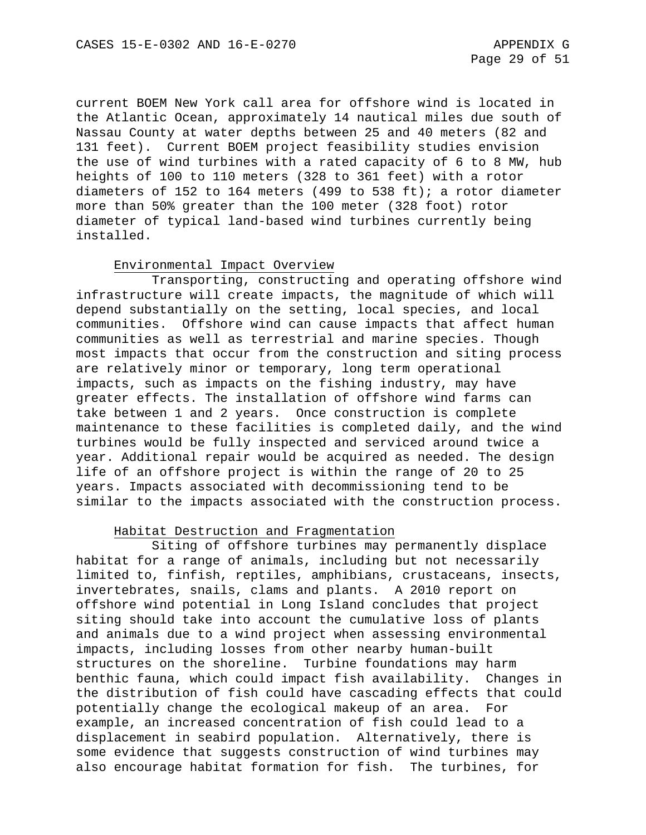current BOEM New York call area for offshore wind is located in the Atlantic Ocean, approximately 14 nautical miles due south of Nassau County at water depths between 25 and 40 meters (82 and 131 feet). Current BOEM project feasibility studies envision the use of wind turbines with a rated capacity of 6 to 8 MW, hub heights of 100 to 110 meters (328 to 361 feet) with a rotor diameters of 152 to 164 meters (499 to 538 ft); a rotor diameter more than 50% greater than the 100 meter (328 foot) rotor diameter of typical land-based wind turbines currently being installed.

#### Environmental Impact Overview

Transporting, constructing and operating offshore wind infrastructure will create impacts, the magnitude of which will depend substantially on the setting, local species, and local communities. Offshore wind can cause impacts that affect human communities as well as terrestrial and marine species. Though most impacts that occur from the construction and siting process are relatively minor or temporary, long term operational impacts, such as impacts on the fishing industry, may have greater effects. The installation of offshore wind farms can take between 1 and 2 years. Once construction is complete maintenance to these facilities is completed daily, and the wind turbines would be fully inspected and serviced around twice a year. Additional repair would be acquired as needed. The design life of an offshore project is within the range of 20 to 25 years. Impacts associated with decommissioning tend to be similar to the impacts associated with the construction process.

#### Habitat Destruction and Fragmentation

Siting of offshore turbines may permanently displace habitat for a range of animals, including but not necessarily limited to, finfish, reptiles, amphibians, crustaceans, insects, invertebrates, snails, clams and plants. A 2010 report on offshore wind potential in Long Island concludes that project siting should take into account the cumulative loss of plants and animals due to a wind project when assessing environmental impacts, including losses from other nearby human-built structures on the shoreline. Turbine foundations may harm benthic fauna, which could impact fish availability. Changes in the distribution of fish could have cascading effects that could potentially change the ecological makeup of an area. For example, an increased concentration of fish could lead to a displacement in seabird population. Alternatively, there is some evidence that suggests construction of wind turbines may also encourage habitat formation for fish. The turbines, for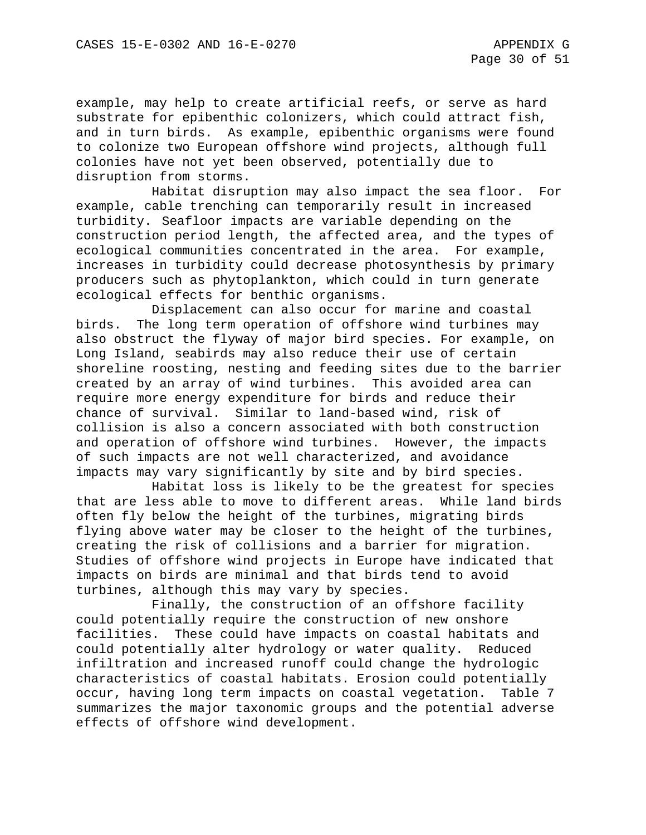example, may help to create artificial reefs, or serve as hard substrate for epibenthic colonizers, which could attract fish, and in turn birds. As example, epibenthic organisms were found to colonize two European offshore wind projects, although full colonies have not yet been observed, potentially due to disruption from storms.

Habitat disruption may also impact the sea floor. For example, cable trenching can temporarily result in increased turbidity. Seafloor impacts are variable depending on the construction period length, the affected area, and the types of ecological communities concentrated in the area. For example, increases in turbidity could decrease photosynthesis by primary producers such as phytoplankton, which could in turn generate ecological effects for benthic organisms.

Displacement can also occur for marine and coastal birds. The long term operation of offshore wind turbines may also obstruct the flyway of major bird species. For example, on Long Island, seabirds may also reduce their use of certain shoreline roosting, nesting and feeding sites due to the barrier created by an array of wind turbines. This avoided area can require more energy expenditure for birds and reduce their chance of survival. Similar to land-based wind, risk of collision is also a concern associated with both construction and operation of offshore wind turbines. However, the impacts of such impacts are not well characterized, and avoidance impacts may vary significantly by site and by bird species.

Habitat loss is likely to be the greatest for species that are less able to move to different areas. While land birds often fly below the height of the turbines, migrating birds flying above water may be closer to the height of the turbines, creating the risk of collisions and a barrier for migration. Studies of offshore wind projects in Europe have indicated that impacts on birds are minimal and that birds tend to avoid turbines, although this may vary by species.

Finally, the construction of an offshore facility could potentially require the construction of new onshore facilities. These could have impacts on coastal habitats and could potentially alter hydrology or water quality. Reduced infiltration and increased runoff could change the hydrologic characteristics of coastal habitats. Erosion could potentially occur, having long term impacts on coastal vegetation. Table 7 summarizes the major taxonomic groups and the potential adverse effects of offshore wind development.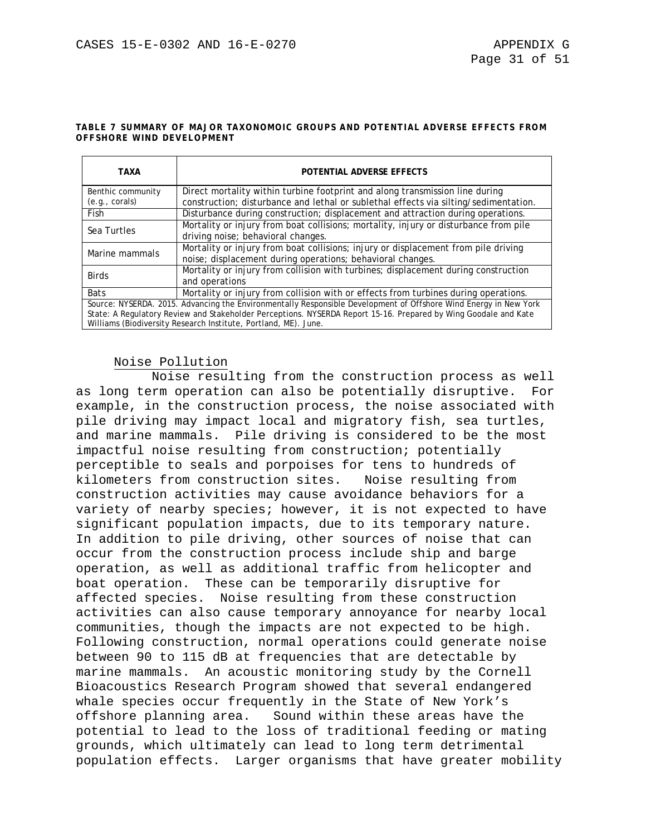#### **TABLE 7 SUMMARY OF MAJOR TAXONOMOIC GROUPS AND POTENTIAL ADVERSE EFFECTS FROM OFFSHORE WIND DEVELOPMENT**

| TAXA                                                                                                                                                                                                                                                                                                   | POTENTIAL ADVERSE EFFECTS                                                                                                                                            |
|--------------------------------------------------------------------------------------------------------------------------------------------------------------------------------------------------------------------------------------------------------------------------------------------------------|----------------------------------------------------------------------------------------------------------------------------------------------------------------------|
| Benthic community<br>(e.g., corals)                                                                                                                                                                                                                                                                    | Direct mortality within turbine footprint and along transmission line during<br>construction; disturbance and lethal or sublethal effects via silting/sedimentation. |
| Fish                                                                                                                                                                                                                                                                                                   | Disturbance during construction; displacement and attraction during operations.                                                                                      |
| Sea Turtles                                                                                                                                                                                                                                                                                            | Mortality or injury from boat collisions; mortality, injury or disturbance from pile<br>driving noise; behavioral changes.                                           |
| Marine mammals                                                                                                                                                                                                                                                                                         | Mortality or injury from boat collisions; injury or displacement from pile driving<br>noise; displacement during operations; behavioral changes.                     |
| <b>Birds</b>                                                                                                                                                                                                                                                                                           | Mortality or injury from collision with turbines; displacement during construction<br>and operations                                                                 |
| <b>Bats</b>                                                                                                                                                                                                                                                                                            | Mortality or injury from collision with or effects from turbines during operations.                                                                                  |
| Source: NYSERDA. 2015. Advancing the Environmentally Responsible Development of Offshore Wind Energy in New York<br>State: A Regulatory Review and Stakeholder Perceptions. NYSERDA Report 15-16. Prepared by Wing Goodale and Kate<br>Williams (Biodiversity Research Institute, Portland, ME). June. |                                                                                                                                                                      |

## Noise Pollution

Noise resulting from the construction process as well as long term operation can also be potentially disruptive. For example, in the construction process, the noise associated with pile driving may impact local and migratory fish, sea turtles, and marine mammals. Pile driving is considered to be the most impactful noise resulting from construction; potentially perceptible to seals and porpoises for tens to hundreds of kilometers from construction sites. Noise resulting from construction activities may cause avoidance behaviors for a variety of nearby species; however, it is not expected to have significant population impacts, due to its temporary nature. In addition to pile driving, other sources of noise that can occur from the construction process include ship and barge operation, as well as additional traffic from helicopter and boat operation. These can be temporarily disruptive for affected species. Noise resulting from these construction activities can also cause temporary annoyance for nearby local communities, though the impacts are not expected to be high. Following construction, normal operations could generate noise between 90 to 115 dB at frequencies that are detectable by marine mammals. An acoustic monitoring study by the Cornell Bioacoustics Research Program showed that several endangered whale species occur frequently in the State of New York's offshore planning area. Sound within these areas have the potential to lead to the loss of traditional feeding or mating grounds, which ultimately can lead to long term detrimental population effects. Larger organisms that have greater mobility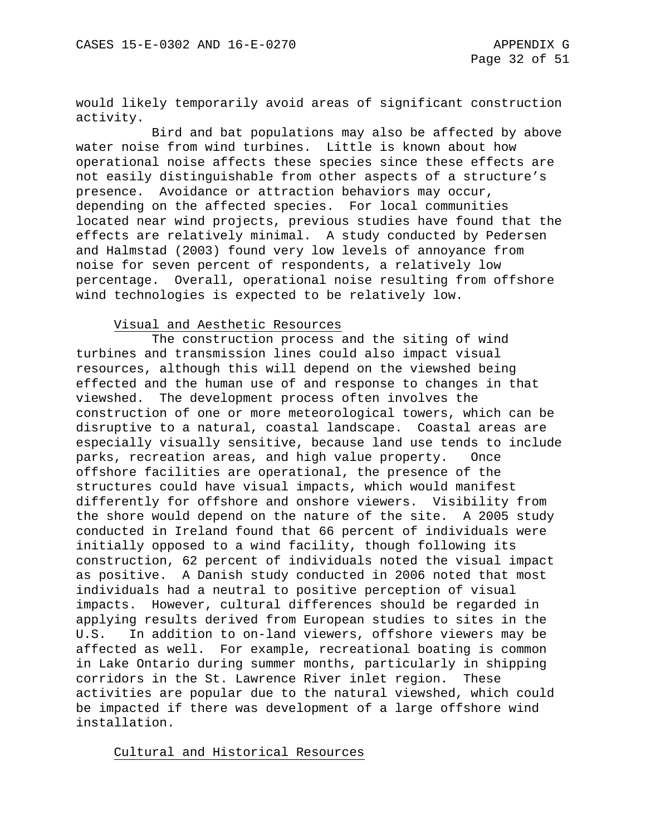would likely temporarily avoid areas of significant construction activity.

Bird and bat populations may also be affected by above water noise from wind turbines. Little is known about how operational noise affects these species since these effects are not easily distinguishable from other aspects of a structure's presence. Avoidance or attraction behaviors may occur, depending on the affected species. For local communities located near wind projects, previous studies have found that the effects are relatively minimal. A study conducted by Pedersen and Halmstad (2003) found very low levels of annoyance from noise for seven percent of respondents, a relatively low percentage. Overall, operational noise resulting from offshore wind technologies is expected to be relatively low.

## Visual and Aesthetic Resources

The construction process and the siting of wind turbines and transmission lines could also impact visual resources, although this will depend on the viewshed being effected and the human use of and response to changes in that viewshed. The development process often involves the construction of one or more meteorological towers, which can be disruptive to a natural, coastal landscape. Coastal areas are especially visually sensitive, because land use tends to include parks, recreation areas, and high value property. Once offshore facilities are operational, the presence of the structures could have visual impacts, which would manifest differently for offshore and onshore viewers. Visibility from the shore would depend on the nature of the site. A 2005 study conducted in Ireland found that 66 percent of individuals were initially opposed to a wind facility, though following its construction, 62 percent of individuals noted the visual impact as positive. A Danish study conducted in 2006 noted that most individuals had a neutral to positive perception of visual impacts. However, cultural differences should be regarded in applying results derived from European studies to sites in the U.S. In addition to on-land viewers, offshore viewers may be affected as well. For example, recreational boating is common in Lake Ontario during summer months, particularly in shipping corridors in the St. Lawrence River inlet region. These activities are popular due to the natural viewshed, which could be impacted if there was development of a large offshore wind installation.

Cultural and Historical Resources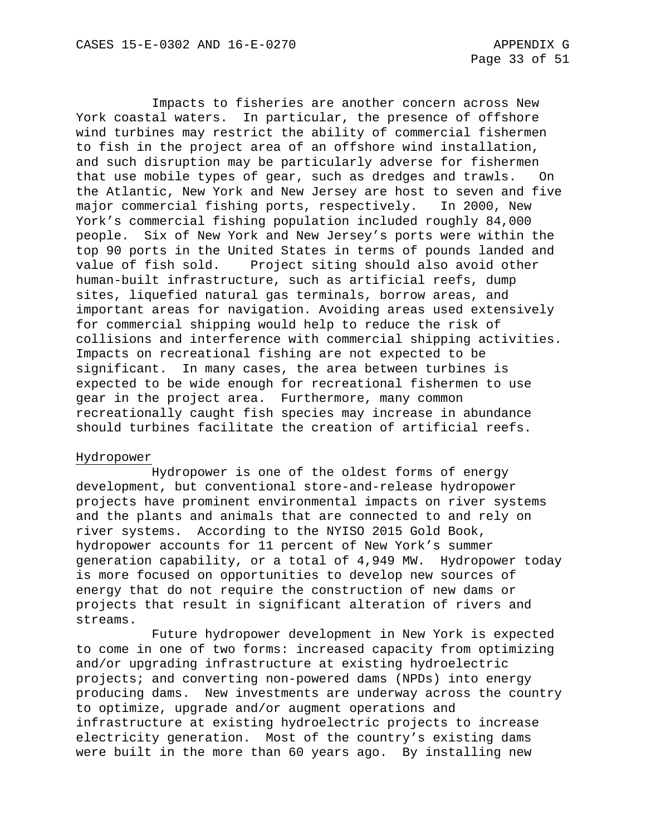Impacts to fisheries are another concern across New York coastal waters. In particular, the presence of offshore wind turbines may restrict the ability of commercial fishermen to fish in the project area of an offshore wind installation, and such disruption may be particularly adverse for fishermen that use mobile types of gear, such as dredges and trawls. On the Atlantic, New York and New Jersey are host to seven and five major commercial fishing ports, respectively. In 2000, New York's commercial fishing population included roughly 84,000 people. Six of New York and New Jersey's ports were within the top 90 ports in the United States in terms of pounds landed and value of fish sold. Project siting should also avoid other human-built infrastructure, such as artificial reefs, dump sites, liquefied natural gas terminals, borrow areas, and important areas for navigation. Avoiding areas used extensively for commercial shipping would help to reduce the risk of collisions and interference with commercial shipping activities. Impacts on recreational fishing are not expected to be significant. In many cases, the area between turbines is expected to be wide enough for recreational fishermen to use gear in the project area. Furthermore, many common recreationally caught fish species may increase in abundance should turbines facilitate the creation of artificial reefs.

## Hydropower

Hydropower is one of the oldest forms of energy development, but conventional store-and-release hydropower projects have prominent environmental impacts on river systems and the plants and animals that are connected to and rely on river systems. According to the NYISO 2015 Gold Book, hydropower accounts for 11 percent of New York's summer generation capability, or a total of 4,949 MW. Hydropower today is more focused on opportunities to develop new sources of energy that do not require the construction of new dams or projects that result in significant alteration of rivers and streams.

Future hydropower development in New York is expected to come in one of two forms: increased capacity from optimizing and/or upgrading infrastructure at existing hydroelectric projects; and converting non-powered dams (NPDs) into energy producing dams. New investments are underway across the country to optimize, upgrade and/or augment operations and infrastructure at existing hydroelectric projects to increase electricity generation. Most of the country's existing dams were built in the more than 60 years ago. By installing new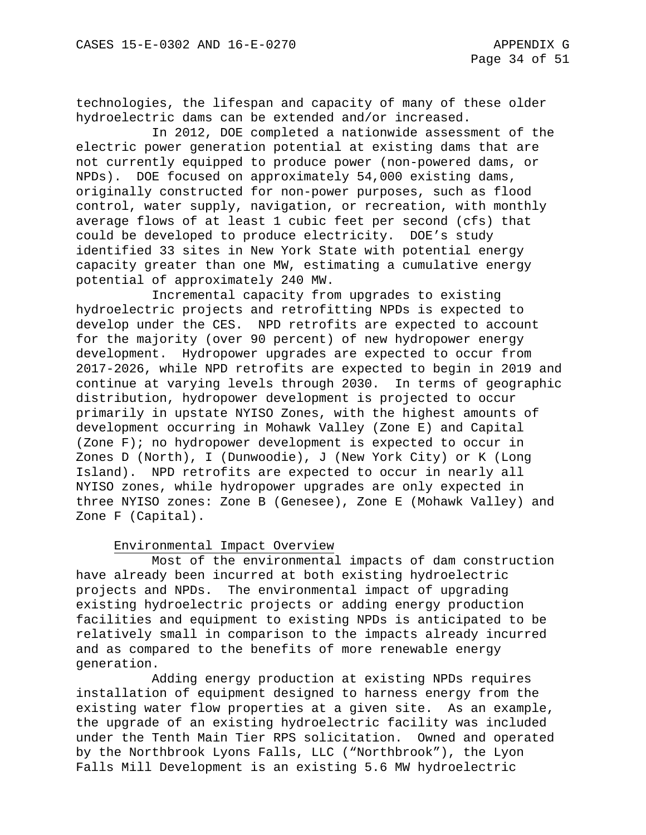technologies, the lifespan and capacity of many of these older hydroelectric dams can be extended and/or increased.

In 2012, DOE completed a nationwide assessment of the electric power generation potential at existing dams that are not currently equipped to produce power (non-powered dams, or NPDs). DOE focused on approximately 54,000 existing dams, originally constructed for non-power purposes, such as flood control, water supply, navigation, or recreation, with monthly average flows of at least 1 cubic feet per second (cfs) that could be developed to produce electricity. DOE's study identified 33 sites in New York State with potential energy capacity greater than one MW, estimating a cumulative energy potential of approximately 240 MW.

Incremental capacity from upgrades to existing hydroelectric projects and retrofitting NPDs is expected to develop under the CES. NPD retrofits are expected to account for the majority (over 90 percent) of new hydropower energy development. Hydropower upgrades are expected to occur from 2017-2026, while NPD retrofits are expected to begin in 2019 and continue at varying levels through 2030. In terms of geographic distribution, hydropower development is projected to occur primarily in upstate NYISO Zones, with the highest amounts of development occurring in Mohawk Valley (Zone E) and Capital (Zone F); no hydropower development is expected to occur in Zones D (North), I (Dunwoodie), J (New York City) or K (Long Island). NPD retrofits are expected to occur in nearly all NYISO zones, while hydropower upgrades are only expected in three NYISO zones: Zone B (Genesee), Zone E (Mohawk Valley) and Zone F (Capital).

## Environmental Impact Overview

Most of the environmental impacts of dam construction have already been incurred at both existing hydroelectric projects and NPDs. The environmental impact of upgrading existing hydroelectric projects or adding energy production facilities and equipment to existing NPDs is anticipated to be relatively small in comparison to the impacts already incurred and as compared to the benefits of more renewable energy generation.

Adding energy production at existing NPDs requires installation of equipment designed to harness energy from the existing water flow properties at a given site. As an example, the upgrade of an existing hydroelectric facility was included under the Tenth Main Tier RPS solicitation. Owned and operated by the Northbrook Lyons Falls, LLC ("Northbrook"), the Lyon Falls Mill Development is an existing 5.6 MW hydroelectric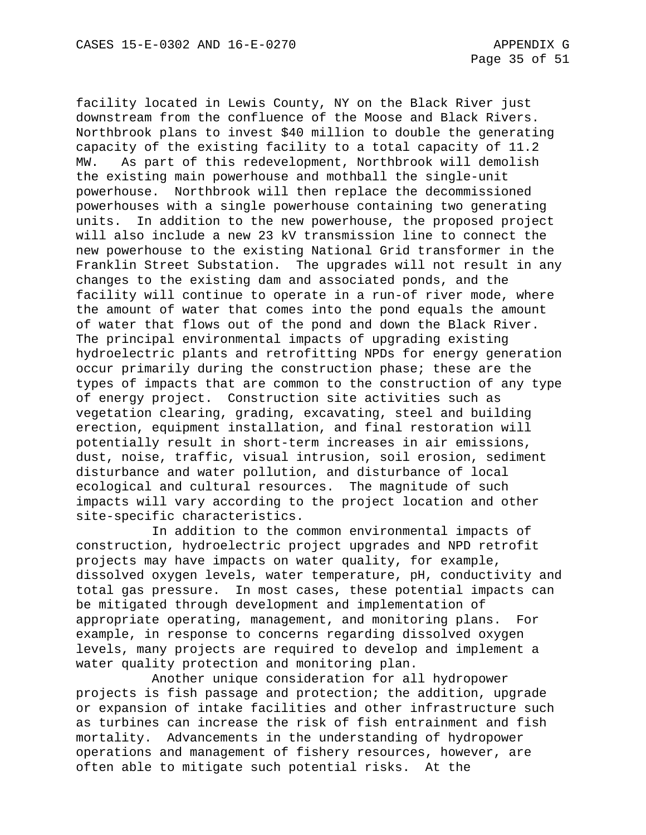facility located in Lewis County, NY on the Black River just downstream from the confluence of the Moose and Black Rivers. Northbrook plans to invest \$40 million to double the generating capacity of the existing facility to a total capacity of 11.2 MW. As part of this redevelopment, Northbrook will demolish the existing main powerhouse and mothball the single-unit powerhouse. Northbrook will then replace the decommissioned powerhouses with a single powerhouse containing two generating units. In addition to the new powerhouse, the proposed project will also include a new 23 kV transmission line to connect the new powerhouse to the existing National Grid transformer in the Franklin Street Substation. The upgrades will not result in any changes to the existing dam and associated ponds, and the facility will continue to operate in a run-of river mode, where the amount of water that comes into the pond equals the amount of water that flows out of the pond and down the Black River. The principal environmental impacts of upgrading existing hydroelectric plants and retrofitting NPDs for energy generation occur primarily during the construction phase; these are the types of impacts that are common to the construction of any type of energy project. Construction site activities such as vegetation clearing, grading, excavating, steel and building erection, equipment installation, and final restoration will potentially result in short-term increases in air emissions, dust, noise, traffic, visual intrusion, soil erosion, sediment disturbance and water pollution, and disturbance of local ecological and cultural resources. The magnitude of such impacts will vary according to the project location and other site-specific characteristics.

In addition to the common environmental impacts of construction, hydroelectric project upgrades and NPD retrofit projects may have impacts on water quality, for example, dissolved oxygen levels, water temperature, pH, conductivity and total gas pressure. In most cases, these potential impacts can be mitigated through development and implementation of appropriate operating, management, and monitoring plans. For example, in response to concerns regarding dissolved oxygen levels, many projects are required to develop and implement a water quality protection and monitoring plan.

Another unique consideration for all hydropower projects is fish passage and protection; the addition, upgrade or expansion of intake facilities and other infrastructure such as turbines can increase the risk of fish entrainment and fish mortality. Advancements in the understanding of hydropower operations and management of fishery resources, however, are often able to mitigate such potential risks. At the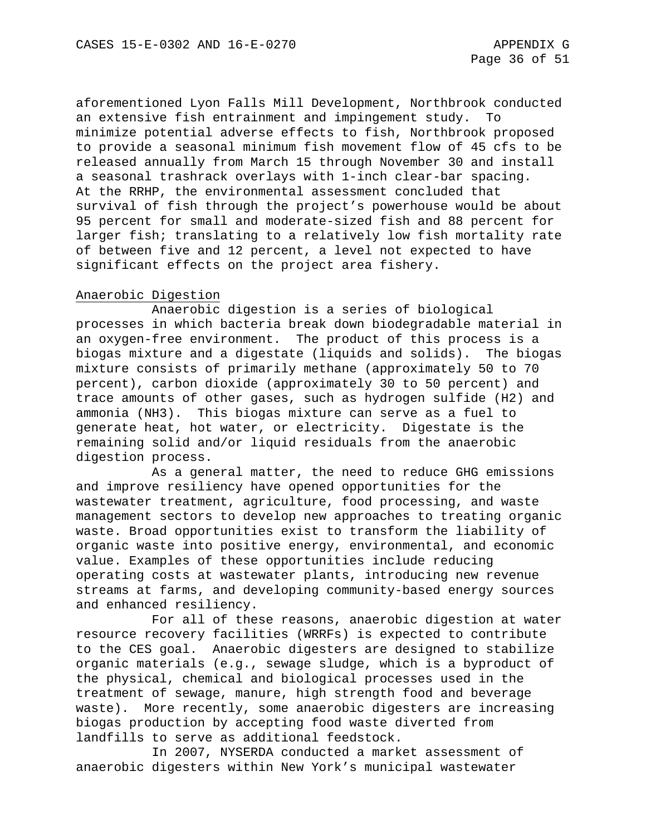aforementioned Lyon Falls Mill Development, Northbrook conducted an extensive fish entrainment and impingement study. To minimize potential adverse effects to fish, Northbrook proposed to provide a seasonal minimum fish movement flow of 45 cfs to be released annually from March 15 through November 30 and install a seasonal trashrack overlays with 1-inch clear-bar spacing. At the RRHP, the environmental assessment concluded that survival of fish through the project's powerhouse would be about 95 percent for small and moderate-sized fish and 88 percent for larger fish; translating to a relatively low fish mortality rate of between five and 12 percent, a level not expected to have significant effects on the project area fishery.

## Anaerobic Digestion

Anaerobic digestion is a series of biological processes in which bacteria break down biodegradable material in an oxygen-free environment. The product of this process is a biogas mixture and a digestate (liquids and solids). The biogas mixture consists of primarily methane (approximately 50 to 70 percent), carbon dioxide (approximately 30 to 50 percent) and trace amounts of other gases, such as hydrogen sulfide (H2) and ammonia (NH3). This biogas mixture can serve as a fuel to generate heat, hot water, or electricity. Digestate is the remaining solid and/or liquid residuals from the anaerobic digestion process.

As a general matter, the need to reduce GHG emissions and improve resiliency have opened opportunities for the wastewater treatment, agriculture, food processing, and waste management sectors to develop new approaches to treating organic waste. Broad opportunities exist to transform the liability of organic waste into positive energy, environmental, and economic value. Examples of these opportunities include reducing operating costs at wastewater plants, introducing new revenue streams at farms, and developing community-based energy sources and enhanced resiliency.

For all of these reasons, anaerobic digestion at water resource recovery facilities (WRRFs) is expected to contribute to the CES goal. Anaerobic digesters are designed to stabilize organic materials (e.g., sewage sludge, which is a byproduct of the physical, chemical and biological processes used in the treatment of sewage, manure, high strength food and beverage waste). More recently, some anaerobic digesters are increasing biogas production by accepting food waste diverted from landfills to serve as additional feedstock.

In 2007, NYSERDA conducted a market assessment of anaerobic digesters within New York's municipal wastewater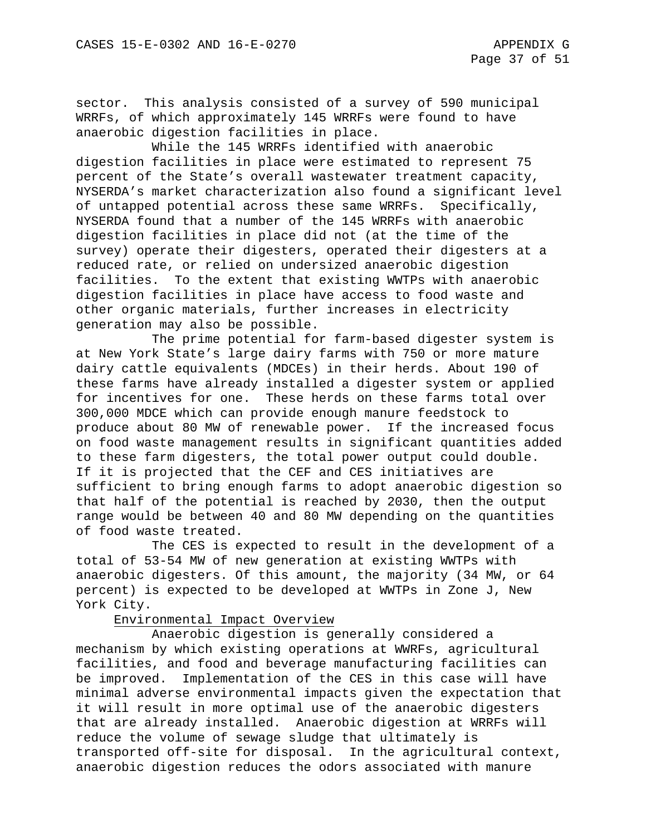sector. This analysis consisted of a survey of 590 municipal WRRFs, of which approximately 145 WRRFs were found to have anaerobic digestion facilities in place.

While the 145 WRRFs identified with anaerobic digestion facilities in place were estimated to represent 75 percent of the State's overall wastewater treatment capacity, NYSERDA's market characterization also found a significant level of untapped potential across these same WRRFs. Specifically, NYSERDA found that a number of the 145 WRRFs with anaerobic digestion facilities in place did not (at the time of the survey) operate their digesters, operated their digesters at a reduced rate, or relied on undersized anaerobic digestion facilities. To the extent that existing WWTPs with anaerobic digestion facilities in place have access to food waste and other organic materials, further increases in electricity generation may also be possible.

The prime potential for farm-based digester system is at New York State's large dairy farms with 750 or more mature dairy cattle equivalents (MDCEs) in their herds. About 190 of these farms have already installed a digester system or applied for incentives for one. These herds on these farms total over 300,000 MDCE which can provide enough manure feedstock to produce about 80 MW of renewable power. If the increased focus on food waste management results in significant quantities added to these farm digesters, the total power output could double. If it is projected that the CEF and CES initiatives are sufficient to bring enough farms to adopt anaerobic digestion so that half of the potential is reached by 2030, then the output range would be between 40 and 80 MW depending on the quantities of food waste treated.

The CES is expected to result in the development of a total of 53-54 MW of new generation at existing WWTPs with anaerobic digesters. Of this amount, the majority (34 MW, or 64 percent) is expected to be developed at WWTPs in Zone J, New York City.

## Environmental Impact Overview

Anaerobic digestion is generally considered a mechanism by which existing operations at WWRFs, agricultural facilities, and food and beverage manufacturing facilities can be improved. Implementation of the CES in this case will have minimal adverse environmental impacts given the expectation that it will result in more optimal use of the anaerobic digesters that are already installed. Anaerobic digestion at WRRFs will reduce the volume of sewage sludge that ultimately is transported off-site for disposal. In the agricultural context, anaerobic digestion reduces the odors associated with manure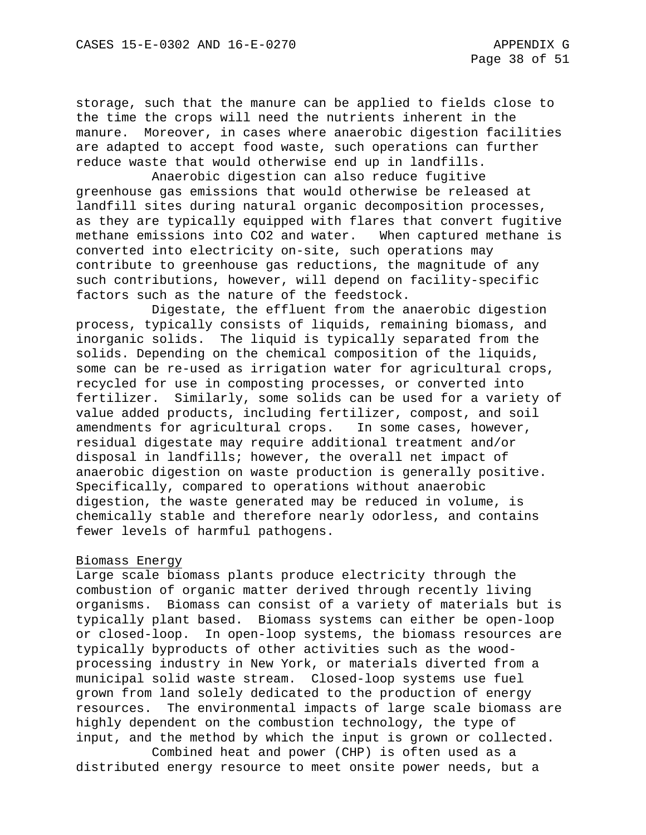storage, such that the manure can be applied to fields close to the time the crops will need the nutrients inherent in the manure. Moreover, in cases where anaerobic digestion facilities are adapted to accept food waste, such operations can further reduce waste that would otherwise end up in landfills.

Anaerobic digestion can also reduce fugitive greenhouse gas emissions that would otherwise be released at landfill sites during natural organic decomposition processes, as they are typically equipped with flares that convert fugitive methane emissions into CO2 and water. When captured methane is converted into electricity on-site, such operations may contribute to greenhouse gas reductions, the magnitude of any such contributions, however, will depend on facility-specific factors such as the nature of the feedstock.

Digestate, the effluent from the anaerobic digestion process, typically consists of liquids, remaining biomass, and inorganic solids. The liquid is typically separated from the solids. Depending on the chemical composition of the liquids, some can be re-used as irrigation water for agricultural crops, recycled for use in composting processes, or converted into fertilizer. Similarly, some solids can be used for a variety of value added products, including fertilizer, compost, and soil amendments for agricultural crops. In some cases, however, residual digestate may require additional treatment and/or disposal in landfills; however, the overall net impact of anaerobic digestion on waste production is generally positive. Specifically, compared to operations without anaerobic digestion, the waste generated may be reduced in volume, is chemically stable and therefore nearly odorless, and contains fewer levels of harmful pathogens.

## Biomass Energy

Large scale biomass plants produce electricity through the combustion of organic matter derived through recently living organisms. Biomass can consist of a variety of materials but is typically plant based. Biomass systems can either be open-loop or closed-loop. In open-loop systems, the biomass resources are typically byproducts of other activities such as the woodprocessing industry in New York, or materials diverted from a municipal solid waste stream. Closed-loop systems use fuel grown from land solely dedicated to the production of energy resources. The environmental impacts of large scale biomass are highly dependent on the combustion technology, the type of input, and the method by which the input is grown or collected.

Combined heat and power (CHP) is often used as a distributed energy resource to meet onsite power needs, but a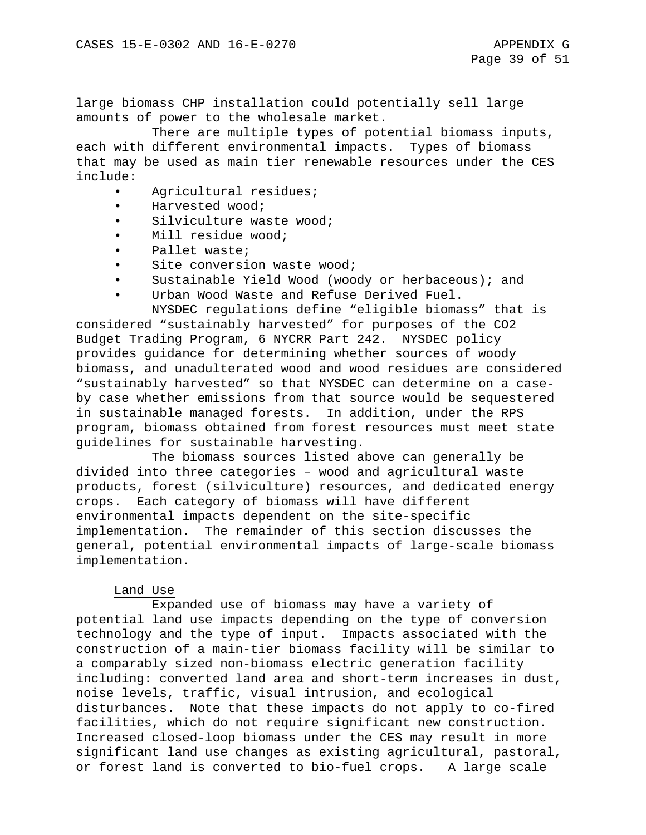large biomass CHP installation could potentially sell large amounts of power to the wholesale market.

There are multiple types of potential biomass inputs, each with different environmental impacts. Types of biomass that may be used as main tier renewable resources under the CES include:

- Agricultural residues;
- Harvested wood;
- Silviculture waste wood;
- Mill residue wood;
- Pallet waste;
- Site conversion waste wood;
- Sustainable Yield Wood (woody or herbaceous); and
- Urban Wood Waste and Refuse Derived Fuel.

NYSDEC regulations define "eligible biomass" that is considered "sustainably harvested" for purposes of the CO2 Budget Trading Program, 6 NYCRR Part 242. NYSDEC policy provides guidance for determining whether sources of woody biomass, and unadulterated wood and wood residues are considered "sustainably harvested" so that NYSDEC can determine on a caseby case whether emissions from that source would be sequestered in sustainable managed forests. In addition, under the RPS program, biomass obtained from forest resources must meet state guidelines for sustainable harvesting.

The biomass sources listed above can generally be divided into three categories – wood and agricultural waste products, forest (silviculture) resources, and dedicated energy crops. Each category of biomass will have different environmental impacts dependent on the site-specific implementation. The remainder of this section discusses the general, potential environmental impacts of large-scale biomass implementation.

## Land Use

Expanded use of biomass may have a variety of potential land use impacts depending on the type of conversion technology and the type of input. Impacts associated with the construction of a main-tier biomass facility will be similar to a comparably sized non-biomass electric generation facility including: converted land area and short-term increases in dust, noise levels, traffic, visual intrusion, and ecological disturbances. Note that these impacts do not apply to co-fired facilities, which do not require significant new construction. Increased closed-loop biomass under the CES may result in more significant land use changes as existing agricultural, pastoral, or forest land is converted to bio-fuel crops. A large scale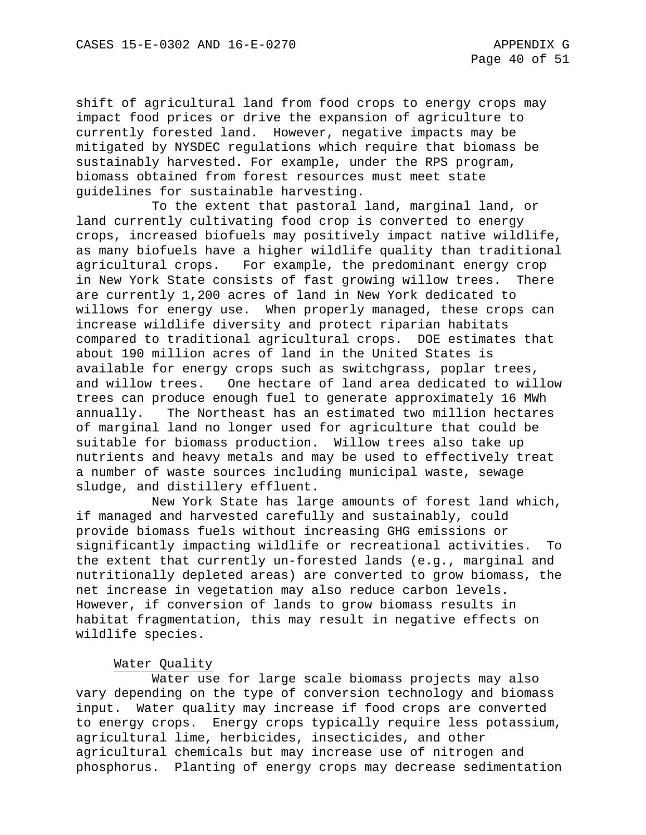shift of agricultural land from food crops to energy crops may impact food prices or drive the expansion of agriculture to currently forested land. However, negative impacts may be mitigated by NYSDEC regulations which require that biomass be sustainably harvested. For example, under the RPS program, biomass obtained from forest resources must meet state guidelines for sustainable harvesting.

To the extent that pastoral land, marginal land, or land currently cultivating food crop is converted to energy crops, increased biofuels may positively impact native wildlife, as many biofuels have a higher wildlife quality than traditional agricultural crops. For example, the predominant energy crop in New York State consists of fast growing willow trees. There are currently 1,200 acres of land in New York dedicated to willows for energy use. When properly managed, these crops can increase wildlife diversity and protect riparian habitats compared to traditional agricultural crops. DOE estimates that about 190 million acres of land in the United States is available for energy crops such as switchgrass, poplar trees, and willow trees. One hectare of land area dedicated to willow trees can produce enough fuel to generate approximately 16 MWh annually. The Northeast has an estimated two million hectares of marginal land no longer used for agriculture that could be suitable for biomass production. Willow trees also take up nutrients and heavy metals and may be used to effectively treat a number of waste sources including municipal waste, sewage sludge, and distillery effluent.

New York State has large amounts of forest land which, if managed and harvested carefully and sustainably, could provide biomass fuels without increasing GHG emissions or significantly impacting wildlife or recreational activities. To the extent that currently un-forested lands (e.g., marginal and nutritionally depleted areas) are converted to grow biomass, the net increase in vegetation may also reduce carbon levels. However, if conversion of lands to grow biomass results in habitat fragmentation, this may result in negative effects on wildlife species.

# Water Quality

Water use for large scale biomass projects may also vary depending on the type of conversion technology and biomass input. Water quality may increase if food crops are converted to energy crops. Energy crops typically require less potassium, agricultural lime, herbicides, insecticides, and other agricultural chemicals but may increase use of nitrogen and phosphorus. Planting of energy crops may decrease sedimentation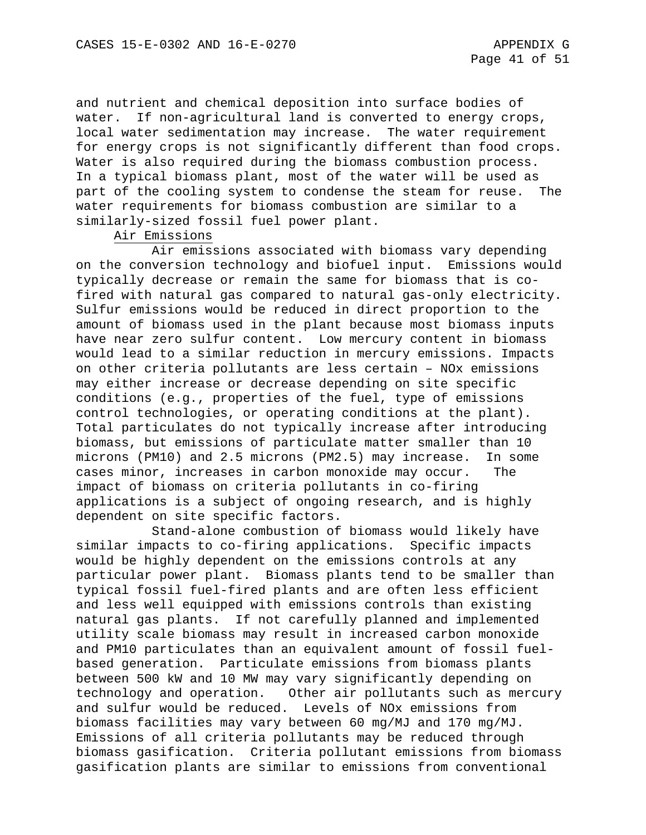and nutrient and chemical deposition into surface bodies of water. If non-agricultural land is converted to energy crops, local water sedimentation may increase. The water requirement for energy crops is not significantly different than food crops. Water is also required during the biomass combustion process. In a typical biomass plant, most of the water will be used as part of the cooling system to condense the steam for reuse. The water requirements for biomass combustion are similar to a similarly-sized fossil fuel power plant.

#### Air Emissions

Air emissions associated with biomass vary depending on the conversion technology and biofuel input. Emissions would typically decrease or remain the same for biomass that is cofired with natural gas compared to natural gas-only electricity. Sulfur emissions would be reduced in direct proportion to the amount of biomass used in the plant because most biomass inputs have near zero sulfur content. Low mercury content in biomass would lead to a similar reduction in mercury emissions. Impacts on other criteria pollutants are less certain – NOx emissions may either increase or decrease depending on site specific conditions (e.g., properties of the fuel, type of emissions control technologies, or operating conditions at the plant). Total particulates do not typically increase after introducing biomass, but emissions of particulate matter smaller than 10 microns (PM10) and 2.5 microns (PM2.5) may increase. In some cases minor, increases in carbon monoxide may occur. The impact of biomass on criteria pollutants in co-firing applications is a subject of ongoing research, and is highly dependent on site specific factors.

Stand-alone combustion of biomass would likely have<br>pacts to co-firing applications. Specific impacts similar impacts to co-firing applications. would be highly dependent on the emissions controls at any particular power plant. Biomass plants tend to be smaller than typical fossil fuel-fired plants and are often less efficient and less well equipped with emissions controls than existing natural gas plants. If not carefully planned and implemented utility scale biomass may result in increased carbon monoxide and PM10 particulates than an equivalent amount of fossil fuelbased generation. Particulate emissions from biomass plants between 500 kW and 10 MW may vary significantly depending on technology and operation. Other air pollutants such as mercury and sulfur would be reduced. Levels of NOx emissions from biomass facilities may vary between 60 mg/MJ and 170 mg/MJ. Emissions of all criteria pollutants may be reduced through biomass gasification. Criteria pollutant emissions from biomass gasification plants are similar to emissions from conventional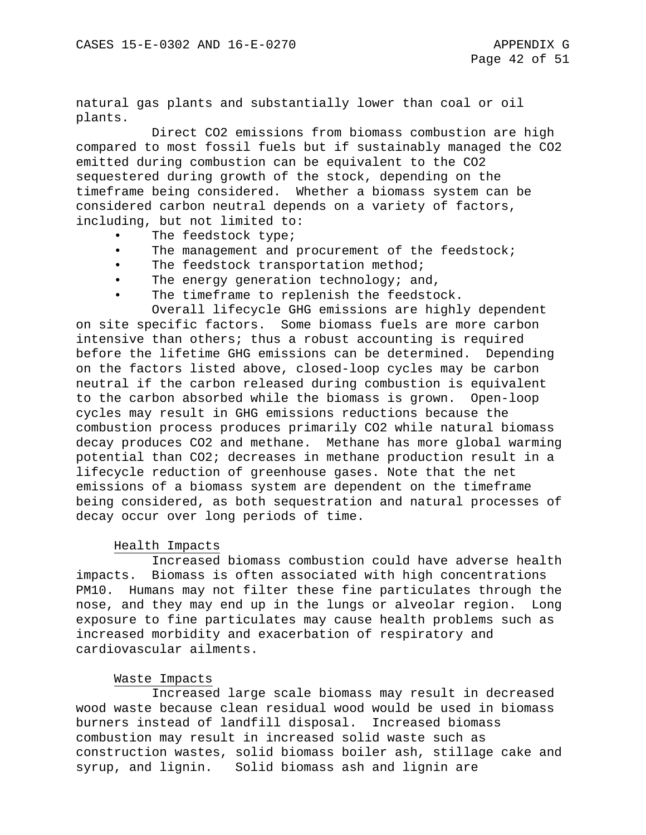natural gas plants and substantially lower than coal or oil plants.

Direct CO2 emissions from biomass combustion are high compared to most fossil fuels but if sustainably managed the CO2 emitted during combustion can be equivalent to the CO2 sequestered during growth of the stock, depending on the timeframe being considered. Whether a biomass system can be considered carbon neutral depends on a variety of factors, including, but not limited to:

- The feedstock type;
- The management and procurement of the feedstock;
- The feedstock transportation method;
- The energy generation technology; and,
- The timeframe to replenish the feedstock.

Overall lifecycle GHG emissions are highly dependent on site specific factors. Some biomass fuels are more carbon intensive than others; thus a robust accounting is required before the lifetime GHG emissions can be determined. Depending on the factors listed above, closed-loop cycles may be carbon neutral if the carbon released during combustion is equivalent to the carbon absorbed while the biomass is grown. Open-loop cycles may result in GHG emissions reductions because the combustion process produces primarily CO2 while natural biomass decay produces CO2 and methane. Methane has more global warming potential than CO2; decreases in methane production result in a lifecycle reduction of greenhouse gases. Note that the net emissions of a biomass system are dependent on the timeframe being considered, as both sequestration and natural processes of decay occur over long periods of time.

#### Health Impacts

Increased biomass combustion could have adverse health impacts. Biomass is often associated with high concentrations PM10. Humans may not filter these fine particulates through the nose, and they may end up in the lungs or alveolar region. Long exposure to fine particulates may cause health problems such as increased morbidity and exacerbation of respiratory and cardiovascular ailments.

#### Waste Impacts

Increased large scale biomass may result in decreased wood waste because clean residual wood would be used in biomass burners instead of landfill disposal. Increased biomass combustion may result in increased solid waste such as construction wastes, solid biomass boiler ash, stillage cake and syrup, and lignin. Solid biomass ash and lignin are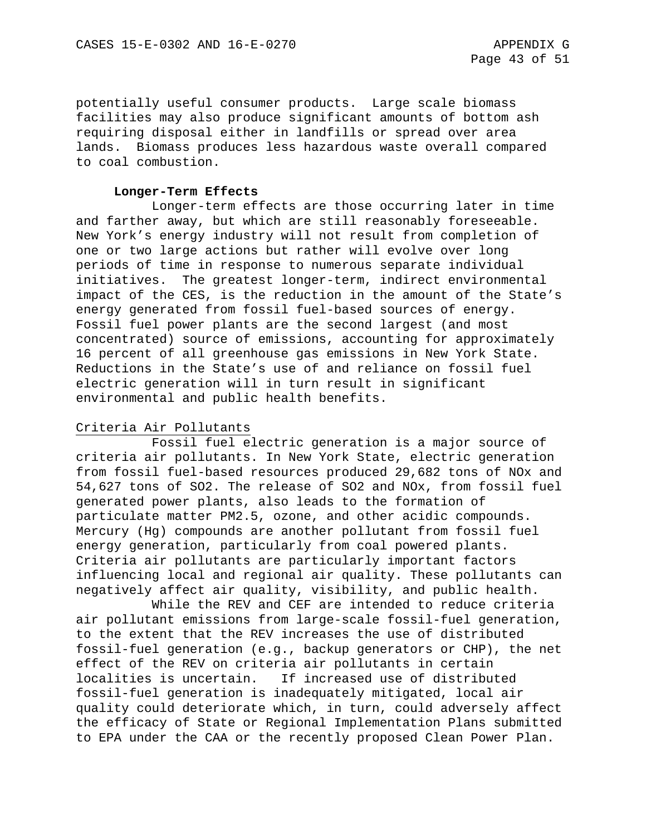potentially useful consumer products. Large scale biomass facilities may also produce significant amounts of bottom ash requiring disposal either in landfills or spread over area lands. Biomass produces less hazardous waste overall compared to coal combustion.

#### **Longer-Term Effects**

Longer-term effects are those occurring later in time and farther away, but which are still reasonably foreseeable. New York's energy industry will not result from completion of one or two large actions but rather will evolve over long periods of time in response to numerous separate individual initiatives. The greatest longer-term, indirect environmental impact of the CES, is the reduction in the amount of the State's energy generated from fossil fuel-based sources of energy. Fossil fuel power plants are the second largest (and most concentrated) source of emissions, accounting for approximately 16 percent of all greenhouse gas emissions in New York State. Reductions in the State's use of and reliance on fossil fuel electric generation will in turn result in significant environmental and public health benefits.

### Criteria Air Pollutants

Fossil fuel electric generation is a major source of criteria air pollutants. In New York State, electric generation from fossil fuel-based resources produced 29,682 tons of NOx and 54,627 tons of SO2. The release of SO2 and NOx, from fossil fuel generated power plants, also leads to the formation of particulate matter PM2.5, ozone, and other acidic compounds. Mercury (Hg) compounds are another pollutant from fossil fuel energy generation, particularly from coal powered plants. Criteria air pollutants are particularly important factors influencing local and regional air quality. These pollutants can negatively affect air quality, visibility, and public health.

While the REV and CEF are intended to reduce criteria air pollutant emissions from large-scale fossil-fuel generation, to the extent that the REV increases the use of distributed fossil-fuel generation (e.g., backup generators or CHP), the net effect of the REV on criteria air pollutants in certain<br>localities is uncertain. If increased use of distribut If increased use of distributed fossil-fuel generation is inadequately mitigated, local air quality could deteriorate which, in turn, could adversely affect the efficacy of State or Regional Implementation Plans submitted to EPA under the CAA or the recently proposed Clean Power Plan.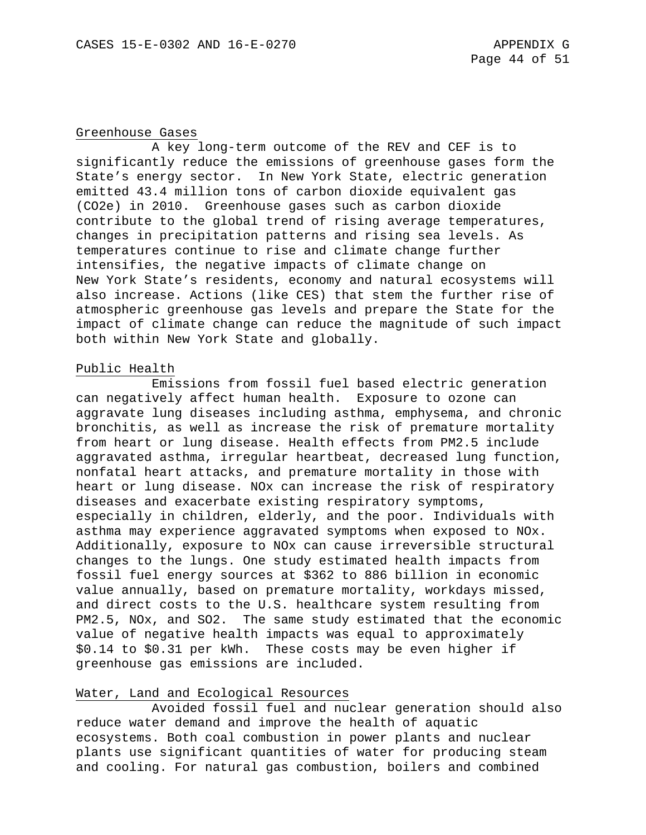#### Greenhouse Gases

A key long-term outcome of the REV and CEF is to significantly reduce the emissions of greenhouse gases form the State's energy sector. In New York State, electric generation emitted 43.4 million tons of carbon dioxide equivalent gas (CO2e) in 2010. Greenhouse gases such as carbon dioxide contribute to the global trend of rising average temperatures, changes in precipitation patterns and rising sea levels. As temperatures continue to rise and climate change further intensifies, the negative impacts of climate change on New York State's residents, economy and natural ecosystems will also increase. Actions (like CES) that stem the further rise of atmospheric greenhouse gas levels and prepare the State for the impact of climate change can reduce the magnitude of such impact both within New York State and globally.

### Public Health

Emissions from fossil fuel based electric generation can negatively affect human health. Exposure to ozone can aggravate lung diseases including asthma, emphysema, and chronic bronchitis, as well as increase the risk of premature mortality from heart or lung disease. Health effects from PM2.5 include aggravated asthma, irregular heartbeat, decreased lung function, nonfatal heart attacks, and premature mortality in those with heart or lung disease. NOx can increase the risk of respiratory diseases and exacerbate existing respiratory symptoms, especially in children, elderly, and the poor. Individuals with asthma may experience aggravated symptoms when exposed to NOx. Additionally, exposure to NOx can cause irreversible structural changes to the lungs. One study estimated health impacts from fossil fuel energy sources at \$362 to 886 billion in economic value annually, based on premature mortality, workdays missed, and direct costs to the U.S. healthcare system resulting from PM2.5, NOx, and SO2. The same study estimated that the economic value of negative health impacts was equal to approximately \$0.14 to \$0.31 per kWh. These costs may be even higher if greenhouse gas emissions are included.

## Water, Land and Ecological Resources

Avoided fossil fuel and nuclear generation should also reduce water demand and improve the health of aquatic ecosystems. Both coal combustion in power plants and nuclear plants use significant quantities of water for producing steam and cooling. For natural gas combustion, boilers and combined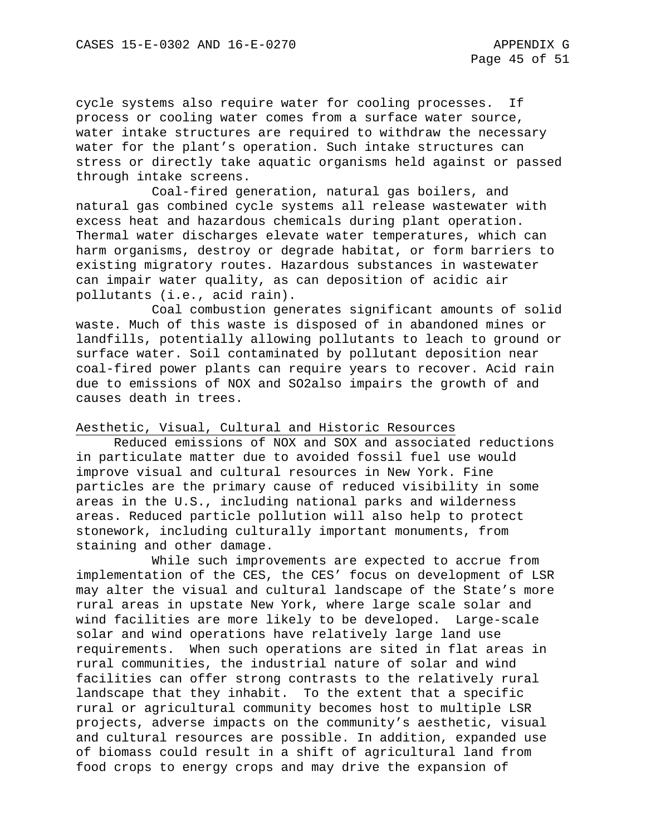cycle systems also require water for cooling processes. If process or cooling water comes from a surface water source, water intake structures are required to withdraw the necessary water for the plant's operation. Such intake structures can stress or directly take aquatic organisms held against or passed through intake screens.

Coal-fired generation, natural gas boilers, and natural gas combined cycle systems all release wastewater with excess heat and hazardous chemicals during plant operation. Thermal water discharges elevate water temperatures, which can harm organisms, destroy or degrade habitat, or form barriers to existing migratory routes. Hazardous substances in wastewater can impair water quality, as can deposition of acidic air pollutants (i.e., acid rain).

Coal combustion generates significant amounts of solid waste. Much of this waste is disposed of in abandoned mines or landfills, potentially allowing pollutants to leach to ground or surface water. Soil contaminated by pollutant deposition near coal-fired power plants can require years to recover. Acid rain due to emissions of NOX and SO2also impairs the growth of and causes death in trees.

### Aesthetic, Visual, Cultural and Historic Resources

Reduced emissions of NOX and SOX and associated reductions in particulate matter due to avoided fossil fuel use would improve visual and cultural resources in New York. Fine particles are the primary cause of reduced visibility in some areas in the U.S., including national parks and wilderness areas. Reduced particle pollution will also help to protect stonework, including culturally important monuments, from staining and other damage.

While such improvements are expected to accrue from implementation of the CES, the CES' focus on development of LSR may alter the visual and cultural landscape of the State's more rural areas in upstate New York, where large scale solar and wind facilities are more likely to be developed. Large-scale solar and wind operations have relatively large land use requirements. When such operations are sited in flat areas in rural communities, the industrial nature of solar and wind facilities can offer strong contrasts to the relatively rural landscape that they inhabit. To the extent that a specific rural or agricultural community becomes host to multiple LSR projects, adverse impacts on the community's aesthetic, visual and cultural resources are possible. In addition, expanded use of biomass could result in a shift of agricultural land from food crops to energy crops and may drive the expansion of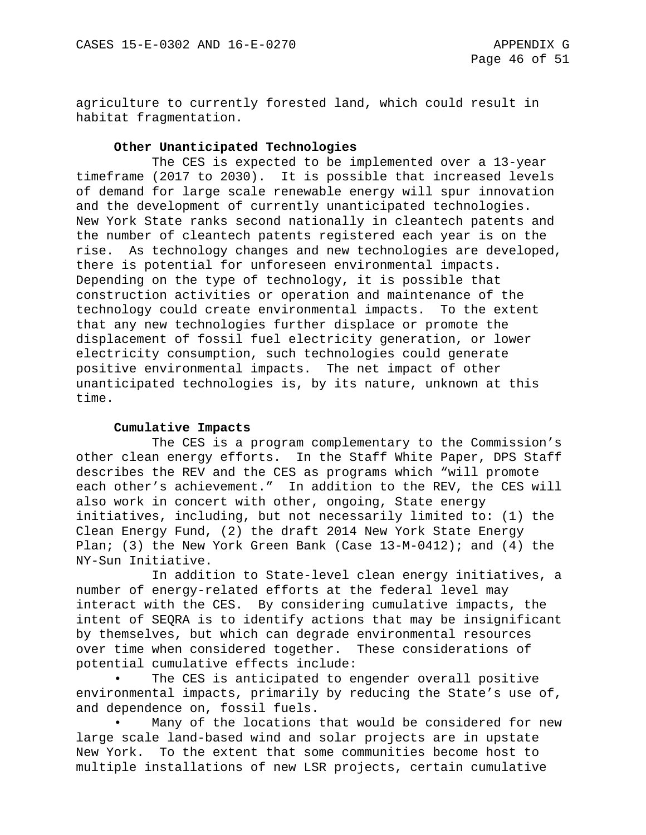agriculture to currently forested land, which could result in habitat fragmentation.

### **Other Unanticipated Technologies**

The CES is expected to be implemented over a 13-year timeframe (2017 to 2030). It is possible that increased levels of demand for large scale renewable energy will spur innovation and the development of currently unanticipated technologies. New York State ranks second nationally in cleantech patents and the number of cleantech patents registered each year is on the rise. As technology changes and new technologies are developed, there is potential for unforeseen environmental impacts. Depending on the type of technology, it is possible that construction activities or operation and maintenance of the technology could create environmental impacts. To the extent that any new technologies further displace or promote the displacement of fossil fuel electricity generation, or lower electricity consumption, such technologies could generate positive environmental impacts. The net impact of other unanticipated technologies is, by its nature, unknown at this time.

### **Cumulative Impacts**

The CES is a program complementary to the Commission's other clean energy efforts. In the Staff White Paper, DPS Staff describes the REV and the CES as programs which "will promote each other's achievement." In addition to the REV, the CES will also work in concert with other, ongoing, State energy initiatives, including, but not necessarily limited to: (1) the Clean Energy Fund, (2) the draft 2014 New York State Energy Plan; (3) the New York Green Bank (Case 13-M-0412); and (4) the NY-Sun Initiative.

In addition to State-level clean energy initiatives, a number of energy-related efforts at the federal level may interact with the CES. By considering cumulative impacts, the intent of SEQRA is to identify actions that may be insignificant by themselves, but which can degrade environmental resources over time when considered together. These considerations of potential cumulative effects include:

The CES is anticipated to engender overall positive environmental impacts, primarily by reducing the State's use of, and dependence on, fossil fuels.

Many of the locations that would be considered for new large scale land-based wind and solar projects are in upstate New York. To the extent that some communities become host to multiple installations of new LSR projects, certain cumulative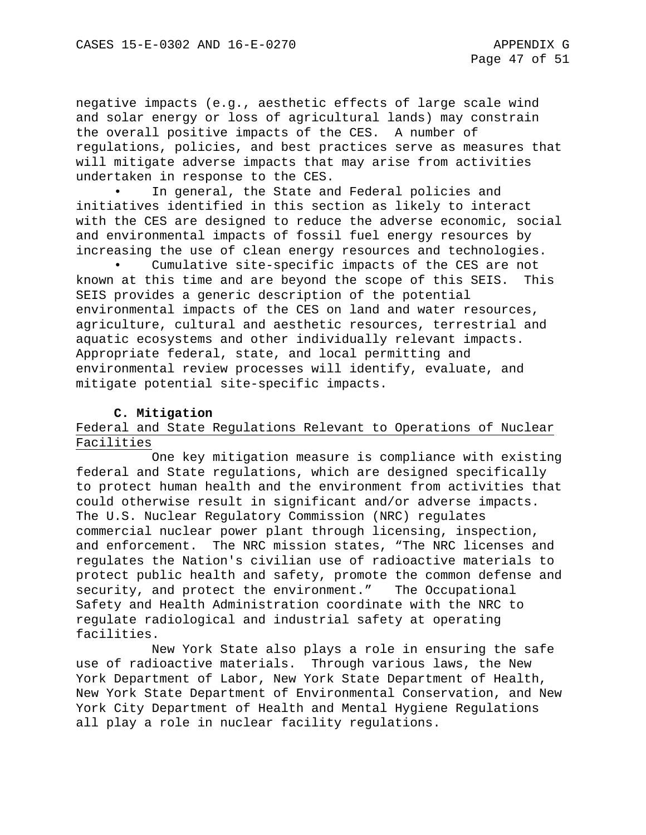negative impacts (e.g., aesthetic effects of large scale wind and solar energy or loss of agricultural lands) may constrain the overall positive impacts of the CES. A number of regulations, policies, and best practices serve as measures that will mitigate adverse impacts that may arise from activities undertaken in response to the CES.

In general, the State and Federal policies and initiatives identified in this section as likely to interact with the CES are designed to reduce the adverse economic, social and environmental impacts of fossil fuel energy resources by increasing the use of clean energy resources and technologies.

Cumulative site-specific impacts of the CES are not known at this time and are beyond the scope of this SEIS. This SEIS provides a generic description of the potential environmental impacts of the CES on land and water resources, agriculture, cultural and aesthetic resources, terrestrial and aquatic ecosystems and other individually relevant impacts. Appropriate federal, state, and local permitting and environmental review processes will identify, evaluate, and mitigate potential site-specific impacts.

# **C. Mitigation**

# Federal and State Regulations Relevant to Operations of Nuclear Facilities

One key mitigation measure is compliance with existing federal and State regulations, which are designed specifically to protect human health and the environment from activities that could otherwise result in significant and/or adverse impacts. The U.S. Nuclear Regulatory Commission (NRC) regulates commercial nuclear power plant through licensing, inspection, and enforcement. The NRC mission states, "The NRC licenses and regulates the Nation's civilian use of radioactive materials to protect public health and safety, promote the common defense and security, and protect the environment." The Occupational Safety and Health Administration coordinate with the NRC to regulate radiological and industrial safety at operating facilities.

New York State also plays a role in ensuring the safe use of radioactive materials. Through various laws, the New York Department of Labor, New York State Department of Health, New York State Department of Environmental Conservation, and New York City Department of Health and Mental Hygiene Regulations all play a role in nuclear facility regulations.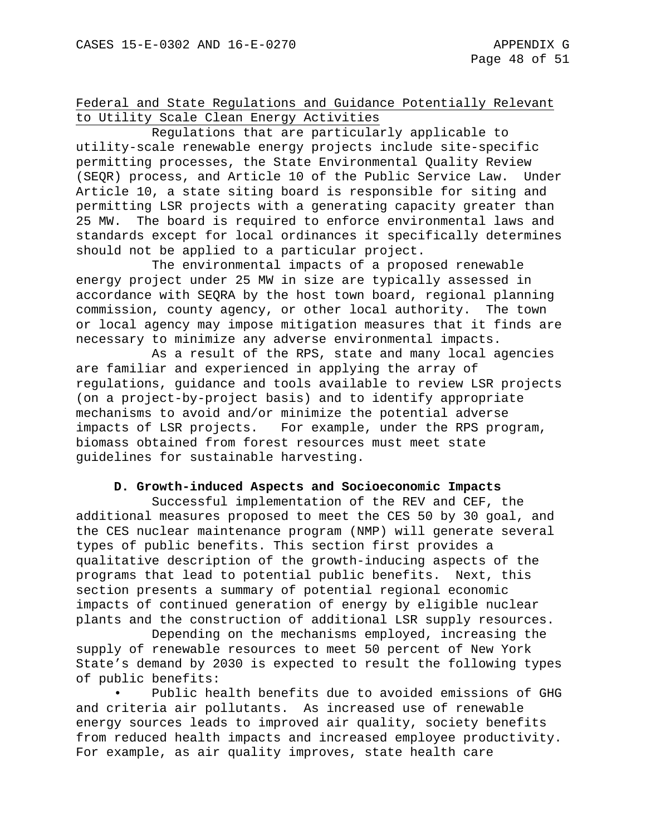# Federal and State Regulations and Guidance Potentially Relevant to Utility Scale Clean Energy Activities

Regulations that are particularly applicable to utility-scale renewable energy projects include site-specific permitting processes, the State Environmental Quality Review (SEQR) process, and Article 10 of the Public Service Law. Under Article 10, a state siting board is responsible for siting and permitting LSR projects with a generating capacity greater than 25 MW. The board is required to enforce environmental laws and standards except for local ordinances it specifically determines should not be applied to a particular project.

The environmental impacts of a proposed renewable energy project under 25 MW in size are typically assessed in accordance with SEQRA by the host town board, regional planning commission, county agency, or other local authority. The town or local agency may impose mitigation measures that it finds are necessary to minimize any adverse environmental impacts.

As a result of the RPS, state and many local agencies are familiar and experienced in applying the array of regulations, guidance and tools available to review LSR projects (on a project-by-project basis) and to identify appropriate mechanisms to avoid and/or minimize the potential adverse impacts of LSR projects. For example, under the RPS program, biomass obtained from forest resources must meet state guidelines for sustainable harvesting.

## **D. Growth-induced Aspects and Socioeconomic Impacts**

Successful implementation of the REV and CEF, the additional measures proposed to meet the CES 50 by 30 goal, and the CES nuclear maintenance program (NMP) will generate several types of public benefits. This section first provides a qualitative description of the growth-inducing aspects of the programs that lead to potential public benefits. Next, this section presents a summary of potential regional economic impacts of continued generation of energy by eligible nuclear plants and the construction of additional LSR supply resources.

Depending on the mechanisms employed, increasing the supply of renewable resources to meet 50 percent of New York State's demand by 2030 is expected to result the following types of public benefits:

Public health benefits due to avoided emissions of GHG and criteria air pollutants. As increased use of renewable energy sources leads to improved air quality, society benefits from reduced health impacts and increased employee productivity. For example, as air quality improves, state health care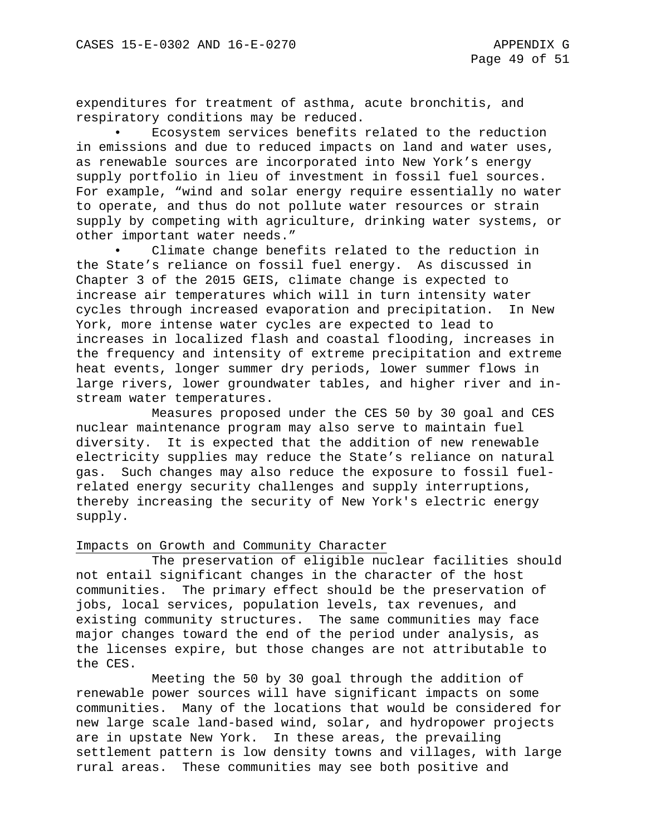expenditures for treatment of asthma, acute bronchitis, and respiratory conditions may be reduced.

• Ecosystem services benefits related to the reduction in emissions and due to reduced impacts on land and water uses, as renewable sources are incorporated into New York's energy supply portfolio in lieu of investment in fossil fuel sources. For example, "wind and solar energy require essentially no water to operate, and thus do not pollute water resources or strain supply by competing with agriculture, drinking water systems, or other important water needs."

Climate change benefits related to the reduction in the State's reliance on fossil fuel energy. As discussed in Chapter 3 of the 2015 GEIS, climate change is expected to increase air temperatures which will in turn intensity water cycles through increased evaporation and precipitation. In New York, more intense water cycles are expected to lead to increases in localized flash and coastal flooding, increases in the frequency and intensity of extreme precipitation and extreme heat events, longer summer dry periods, lower summer flows in large rivers, lower groundwater tables, and higher river and instream water temperatures.

Measures proposed under the CES 50 by 30 goal and CES nuclear maintenance program may also serve to maintain fuel diversity. It is expected that the addition of new renewable electricity supplies may reduce the State's reliance on natural gas. Such changes may also reduce the exposure to fossil fuelrelated energy security challenges and supply interruptions, thereby increasing the security of New York's electric energy supply.

### Impacts on Growth and Community Character

The preservation of eligible nuclear facilities should not entail significant changes in the character of the host communities. The primary effect should be the preservation of jobs, local services, population levels, tax revenues, and existing community structures. The same communities may face major changes toward the end of the period under analysis, as the licenses expire, but those changes are not attributable to the CES.

Meeting the 50 by 30 goal through the addition of renewable power sources will have significant impacts on some communities. Many of the locations that would be considered for new large scale land-based wind, solar, and hydropower projects are in upstate New York. In these areas, the prevailing settlement pattern is low density towns and villages, with large rural areas. These communities may see both positive and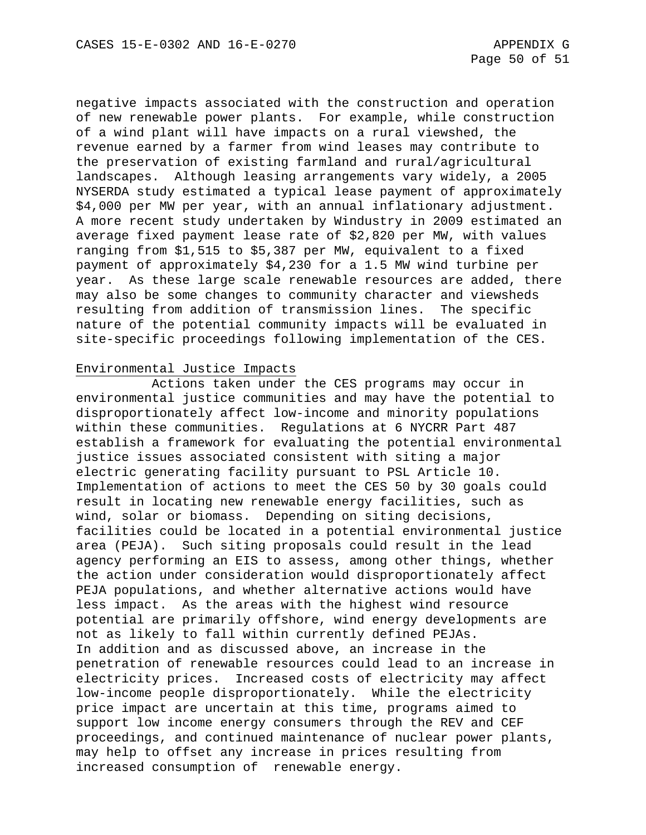negative impacts associated with the construction and operation of new renewable power plants. For example, while construction of a wind plant will have impacts on a rural viewshed, the revenue earned by a farmer from wind leases may contribute to the preservation of existing farmland and rural/agricultural landscapes. Although leasing arrangements vary widely, a 2005 NYSERDA study estimated a typical lease payment of approximately \$4,000 per MW per year, with an annual inflationary adjustment. A more recent study undertaken by Windustry in 2009 estimated an average fixed payment lease rate of \$2,820 per MW, with values ranging from \$1,515 to \$5,387 per MW, equivalent to a fixed payment of approximately \$4,230 for a 1.5 MW wind turbine per year. As these large scale renewable resources are added, there may also be some changes to community character and viewsheds resulting from addition of transmission lines. The specific nature of the potential community impacts will be evaluated in site-specific proceedings following implementation of the CES.

## Environmental Justice Impacts

Actions taken under the CES programs may occur in environmental justice communities and may have the potential to disproportionately affect low-income and minority populations within these communities. Regulations at 6 NYCRR Part 487 establish a framework for evaluating the potential environmental justice issues associated consistent with siting a major electric generating facility pursuant to PSL Article 10. Implementation of actions to meet the CES 50 by 30 goals could result in locating new renewable energy facilities, such as wind, solar or biomass. Depending on siting decisions, facilities could be located in a potential environmental justice area (PEJA). Such siting proposals could result in the lead agency performing an EIS to assess, among other things, whether the action under consideration would disproportionately affect PEJA populations, and whether alternative actions would have less impact. As the areas with the highest wind resource potential are primarily offshore, wind energy developments are not as likely to fall within currently defined PEJAs. In addition and as discussed above, an increase in the penetration of renewable resources could lead to an increase in electricity prices. Increased costs of electricity may affect low-income people disproportionately. While the electricity price impact are uncertain at this time, programs aimed to support low income energy consumers through the REV and CEF proceedings, and continued maintenance of nuclear power plants, may help to offset any increase in prices resulting from increased consumption of renewable energy.